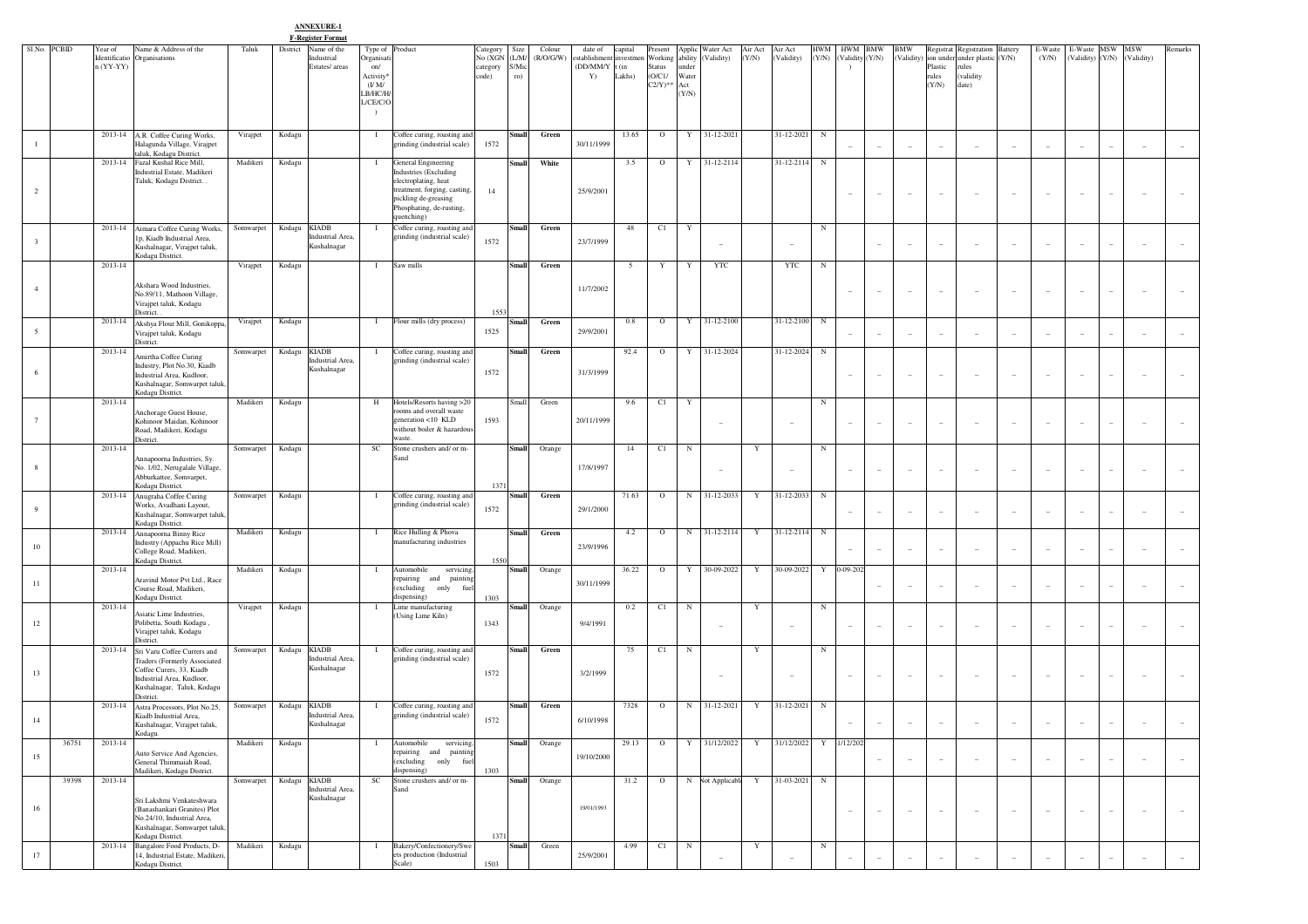**ANNEXURE-1**

|                         |              |                                     |                                                                                                                 |           | <b>F-Register Format</b>                                  |                                                       |                                                                           |                                                           |                     |                                                     |                   |                           |                          |                                |                  |                          |              |                               |                          |                          |                          |                                                                          |                          |                  |                                 |                          |                          |                                 |
|-------------------------|--------------|-------------------------------------|-----------------------------------------------------------------------------------------------------------------|-----------|-----------------------------------------------------------|-------------------------------------------------------|---------------------------------------------------------------------------|-----------------------------------------------------------|---------------------|-----------------------------------------------------|-------------------|---------------------------|--------------------------|--------------------------------|------------------|--------------------------|--------------|-------------------------------|--------------------------|--------------------------|--------------------------|--------------------------------------------------------------------------|--------------------------|------------------|---------------------------------|--------------------------|--------------------------|---------------------------------|
|                         | Sl.No. PCBID | Year of<br>Identificatio<br>(YY-YY) | Name & Address of the<br>Organisations                                                                          | Taluk     | District<br>Name of the<br>Industrial<br>Estates/ areas   | Type of<br>Organisati<br>on/                          | Product                                                                   | Category<br>Size<br>No (XGN<br>(L/M)<br>S/Mic<br>category | Colour<br>(R/O/G/W) | date of<br>stablishment investmen<br>(DD/MM/Y t (in | capital<br>Lakhs) | resent<br>Status<br>O/C1/ | Working ability<br>under | Applic Water Act<br>(Validity) | Air Act<br>(Y/N) | Air Act<br>(Validity)    | HWM<br>(Y/N) | <b>HWM</b><br>(Validity (Y/N) | <b>BMW</b>               | <b>BMW</b><br>(Validity) | Plastic                  | Registrat Registration Battery<br>ion under under plastic (Y/N)<br>rules |                          | E-Waste<br>(Y/N) | E-Waste MSW<br>(Validity) (Y/N) |                          | <b>MSW</b><br>(Validity) | Remarks                         |
|                         |              |                                     |                                                                                                                 |           |                                                           | Activity <sup>®</sup><br>(U M)<br>LB/HC/H<br>L/CE/C/O |                                                                           | code)<br>ro)                                              |                     | Y)                                                  |                   | $C2/Y)$ **                | Water<br>Act<br>(Y/N)    |                                |                  |                          |              |                               |                          |                          | rules<br>(Y/N)           | (validity<br>date)                                                       |                          |                  |                                 |                          |                          |                                 |
|                         |              |                                     |                                                                                                                 |           |                                                           |                                                       |                                                                           |                                                           |                     |                                                     |                   |                           |                          |                                |                  |                          |              |                               |                          |                          |                          |                                                                          |                          |                  |                                 |                          |                          |                                 |
|                         |              |                                     | 2013-14 A.R. Coffee Curing Works,<br>Halagunda Village, Virajpet<br>taluk, Kodagu District.                     | Virajpet  | Kodagu                                                    | - 1                                                   | Coffee curing, roasting and<br>grinding (industrial scale)                | Small<br>1572                                             | Green               | 30/11/1999                                          | 13.65             | $\circ$                   |                          | Y 31-12-2021                   |                  | 31-12-2021               | $_{\rm N}$   |                               | $\sim$                   | i.                       | $\sim$                   |                                                                          | $\overline{\phantom{a}}$ |                  |                                 |                          |                          |                                 |
|                         |              | 2013-14                             | Fazal Kushal Rice Mill,<br>Industrial Estate, Madikeri                                                          | Madikeri  | Kodagu                                                    | $\mathbf{I}$                                          | General Engineering<br><b>Industries</b> (Excluding                       | <b>Small</b>                                              | White               |                                                     | 3.5               | $\circ$                   |                          | Y 31-12-2114                   |                  | 31-12-2114 N             |              |                               |                          |                          |                          |                                                                          |                          |                  |                                 |                          |                          |                                 |
| 2                       |              |                                     | Taluk, Kodagu District. .                                                                                       |           |                                                           |                                                       | electroplating, heat<br>treatment, forging, casting,                      | 14                                                        |                     | 25/9/2001                                           |                   |                           |                          |                                |                  |                          |              | ٠                             |                          | i.                       | $\overline{\phantom{a}}$ |                                                                          | $\overline{\phantom{m}}$ |                  |                                 |                          |                          |                                 |
|                         |              |                                     |                                                                                                                 |           |                                                           |                                                       | pickling de-greasing<br>Phosphating, de-rusting,<br>quenching)            |                                                           |                     |                                                     |                   |                           |                          |                                |                  |                          |              |                               |                          |                          |                          |                                                                          |                          |                  |                                 |                          |                          |                                 |
| $\overline{\mathbf{3}}$ |              | 2013-14                             | Aimara Coffee Curing Works,<br>1p, Kiadb Industrial Area,<br>Kushalnagar, Virajpet taluk,<br>Kodagu District.   | Somwarpet | <b>KIADB</b><br>Kodagu<br>Industrial Area,<br>Kushalnagar | - 1                                                   | Coffee curing, roasting and<br>grinding (industrial scale)                | <b>Small</b><br>1572                                      | Green               | 23/7/1999                                           | 48                | C1                        | Y                        | $\overline{\phantom{a}}$       |                  | ۰                        | N            |                               | $\sim$                   | i.                       | $\overline{\phantom{a}}$ | ÷                                                                        | $\sim$                   |                  | ٠                               |                          | $\overline{\phantom{a}}$ |                                 |
|                         |              | 2013-14                             |                                                                                                                 | Virajpet  | Kodagu                                                    | - 1                                                   | Saw mills                                                                 | <b>Small</b>                                              | Green               |                                                     | 5                 | Y                         | Y                        | <b>YTC</b>                     |                  | <b>YTC</b>               | N            |                               |                          |                          |                          |                                                                          |                          |                  |                                 |                          |                          |                                 |
| $\overline{4}$          |              |                                     | Akshara Wood Industries,<br>No.89/11, Mathoon Village,<br>Virajpet taluk, Kodagu<br>District.                   |           |                                                           |                                                       |                                                                           | 1553                                                      |                     | 11/7/2002                                           |                   |                           |                          |                                |                  |                          |              | $\frac{1}{2}$                 | $\sim$                   | $\overline{\phantom{a}}$ | $\overline{\phantom{a}}$ | ٠                                                                        | $\overline{\phantom{m}}$ |                  |                                 |                          |                          |                                 |
| $5\overline{5}$         |              | 2013-14                             | Akshya Flour Mill, Gonikoppa,<br>Virajpet taluk, Kodagu                                                         | Virajpet  | Kodagu                                                    | - 1                                                   | Flour mills (dry process)                                                 | Small<br>1525                                             | Green               | 29/9/2001                                           | 0.8               | $\circ$                   | Y                        | 31-12-2100                     |                  | 31-12-2100 N             |              | $\overline{a}$                |                          |                          | $\overline{a}$           |                                                                          |                          |                  |                                 |                          |                          |                                 |
|                         |              | 2013-14                             | District.<br>Amirtha Coffee Curing                                                                              | Somwarpet | Kodagu<br><b>KIADB</b><br>Industrial Area,                |                                                       | Coffee curing, roasting and<br>grinding (industrial scale)                | Small                                                     | Green               |                                                     | 92.4              | $\circ$                   | Y                        | 31-12-2024                     |                  | 31-12-2024               | $\mathbf N$  |                               |                          |                          |                          |                                                                          |                          |                  |                                 |                          |                          |                                 |
| 6                       |              |                                     | Industry, Plot No.30, Kiadb<br>Industrial Area, Kudloor,<br>Kushalnagar, Somwarpet taluk<br>Kodagu District.    |           | Kushalnagar                                               |                                                       |                                                                           | 1572                                                      |                     | 31/3/1999                                           |                   |                           |                          |                                |                  |                          |              | $\overline{\phantom{0}}$      | $\overline{\phantom{a}}$ | $\overline{\phantom{a}}$ | $\overline{\phantom{a}}$ | $\overline{\phantom{a}}$                                                 | $\overline{\phantom{a}}$ |                  | $\qquad \qquad -$               |                          |                          |                                 |
| $7\phantom{.0}$         |              | 2013-14                             | Anchorage Guest House,<br>Kohinoor Maidan, Kohinoor                                                             | Madikeri  | Kodagu                                                    | H                                                     | Hotels/Resorts having >20<br>ooms and overall waste<br>generation <10 KLD | Small<br>1593                                             | Green               | 20/11/1999                                          | 9.6               | C1                        | Y                        |                                |                  |                          | N            |                               |                          |                          |                          |                                                                          |                          |                  |                                 |                          |                          |                                 |
|                         |              | 2013-14                             | Road, Madikeri, Kodagu<br>District.                                                                             | Somwarpet | Kodagu                                                    | SC                                                    | without boiler & hazardou<br>waste.<br>Stone crushers and/ or m-          | Small                                                     | Orange              |                                                     | 14                | C1                        | N                        | $\overline{\phantom{a}}$       | Y                | $\overline{\phantom{a}}$ | N            | $\overline{\phantom{0}}$      | $\overline{\phantom{a}}$ | $\overline{\phantom{a}}$ | $\overline{\phantom{a}}$ | $\overline{\phantom{a}}$                                                 | $\overline{\phantom{a}}$ |                  | ٠                               |                          | $\sim$                   |                                 |
| 8                       |              |                                     | Annapoorna Industries, Sy.<br>No. 1/02, Nerugalale Village,                                                     |           |                                                           |                                                       | Sand                                                                      |                                                           |                     | 17/8/1997                                           |                   |                           |                          | $\overline{\phantom{a}}$       |                  | ۰                        |              | $\overline{\phantom{a}}$      | $\overline{\phantom{a}}$ | $\overline{\phantom{a}}$ | $\overline{\phantom{a}}$ | $\sim$                                                                   | $\overline{\phantom{a}}$ |                  |                                 |                          |                          |                                 |
|                         |              |                                     | Abburkattee, Somvarpet,<br>Kodagu District.<br>2013-14 Anugraha Coffee Curing                                   | Somwarpet | Kodagu                                                    | - 1                                                   | Coffee curing, roasting and                                               | 137<br>Small                                              | Green               |                                                     | 71.63             | $\circ$                   |                          | N 31-12-2033                   | Y                | 31-12-2033 N             |              |                               |                          |                          |                          |                                                                          |                          |                  |                                 |                          |                          |                                 |
| 9                       |              |                                     | Works, Avadhani Layout,<br>Kushalnagar, Somwarpet taluk<br>Kodagu District.                                     |           |                                                           |                                                       | grinding (industrial scale)                                               | 1572                                                      |                     | 29/1/2000                                           |                   |                           |                          |                                |                  |                          |              | $\overline{\phantom{a}}$      | $\overline{\phantom{a}}$ | $\overline{a}$           | $\overline{\phantom{a}}$ |                                                                          | $\overline{\phantom{a}}$ |                  |                                 |                          |                          |                                 |
| 10                      |              |                                     | 2013-14 Annapoorna Binny Rice<br>Industry (Appachu Rice Mill)<br>College Road, Madikeri,<br>Kodagu District.    | Madikeri  | Kodagu                                                    | $\mathbf{I}$                                          | Rice Hulling & Phova<br>nanufacturing industries                          | Small<br>1550                                             | Green               | 23/9/1996                                           | 4.2               | $\mathbf{O}$              |                          | N 31-12-2114                   | Y                | 31-12-2114 N             |              | $\overline{\phantom{a}}$      | $\sim$                   | $\overline{\phantom{a}}$ | $\sim$                   |                                                                          | $\overline{\phantom{a}}$ |                  |                                 |                          |                          |                                 |
|                         |              | 2013-14                             |                                                                                                                 | Madikeri  | Kodagu                                                    | $\mathbf{I}$                                          | Automobile<br>servicing.                                                  | Small                                                     | Orange              |                                                     | 36.22             | $\mathbf{O}$              |                          | Y 30-09-2022                   | Y                | 30-09-2022 Y 0-09-2021   |              |                               |                          |                          |                          |                                                                          |                          |                  |                                 |                          |                          |                                 |
| 11                      |              |                                     | Aravind Motor Pvt Ltd., Race<br>Course Road, Madikeri,<br>Kodagu District.                                      |           |                                                           |                                                       | epairing and<br>painting<br>(excluding<br>only<br>fue<br>dispensing)      | 1303                                                      |                     | 30/11/1999                                          |                   |                           |                          |                                |                  |                          |              |                               | $\sim$                   | $\overline{\phantom{a}}$ | $\sim$                   | ٠                                                                        | $\overline{\phantom{a}}$ | ۰                | $\sim$                          |                          |                          |                                 |
|                         |              | 2013-14                             | <b>Asiatic Lime Industries,</b>                                                                                 | Virajpet  | Kodagu                                                    |                                                       | Lime manufacturing<br>(Using Lime Kiln)                                   | Small                                                     | Orange              |                                                     | 0.2               | C1                        | $\mathbf N$              |                                | Y                |                          | N            |                               |                          |                          |                          |                                                                          |                          |                  |                                 |                          |                          |                                 |
| 12                      |              |                                     | Polibetta, South Kodagu,<br>Virajpet taluk, Kodagu<br>District.                                                 |           |                                                           |                                                       |                                                                           | 1343                                                      |                     | 9/4/1991                                            |                   |                           |                          | $\sim$                         |                  | $\overline{\phantom{a}}$ |              | $\overline{\phantom{a}}$      | $\sim$                   | $\sim$                   | $\sim$                   | $\sim$                                                                   | $\overline{\phantom{m}}$ | ۰                | $\overline{\phantom{a}}$        |                          | $\sim$                   |                                 |
|                         |              | 2013-14                             | Sri Varu Coffee Currers and<br><b>Traders (Formerly Associated</b>                                              | Somwarpet | <b>KIADB</b><br>Kodagu<br>Industrial Area,<br>Kushalnagar | -1                                                    | Coffee curing, roasting and<br>grinding (industrial scale)                | Small                                                     | Green               |                                                     | 75                | C1                        | N                        |                                | Y                |                          | N            |                               |                          |                          |                          |                                                                          |                          |                  |                                 |                          |                          |                                 |
| 13                      |              |                                     | Coffee Curers, 33, Kiadb<br>Industrial Area, Kudloor,<br>Kushalnagar, Taluk, Kodagu<br>District.                |           |                                                           |                                                       |                                                                           | 1572                                                      |                     | 3/2/1999                                            |                   |                           |                          | $\overline{\phantom{a}}$       |                  | ۰                        |              | $\overline{\phantom{0}}$      | $\sim$                   | $\sim$                   | $\overline{\phantom{a}}$ | ٠                                                                        | $\overline{\phantom{a}}$ |                  |                                 |                          |                          |                                 |
| 14                      |              | 2013-14                             | Astra Processors, Plot No.25,<br>Kiadb Industrial Area,<br>Kushalnagar, Virajpet taluk,<br>Kodagu               | Somwarpet | <b>KIADB</b><br>Kodagu<br>Industrial Area,<br>Kushalnagar | - 1                                                   | Coffee curing, roasting and<br>grinding (industrial scale)                | Small<br>1572                                             | Green               | 6/10/1998                                           | 7328              | $\circ$                   | $_{\rm N}$               | 31-12-2021                     | Y                | $31 - 12 - 2021$         | N            |                               | $\sim$                   | $\overline{\phantom{a}}$ | $\overline{\phantom{a}}$ |                                                                          |                          |                  |                                 |                          |                          |                                 |
| 15                      | 36751        | 2013-14                             | Auto Service And Agencies,                                                                                      | Madikeri  | Kodagu                                                    | - 1                                                   | Automobile<br>servicing.<br>repairing and painting                        | Small                                                     | Orange              | 19/10/2000                                          | 29.13             | $\circ$                   | Y                        | 31/12/2022                     | Y                | 31/12/2022               |              | Y 1/12/2022                   |                          |                          |                          |                                                                          |                          |                  |                                 |                          |                          |                                 |
|                         | 39398        | 2013-14                             | General Thimmaiah Road,<br>Madikeri, Kodagu District.                                                           | Somwarpet | Kodagu KIADB                                              | SC                                                    | (excluding only fue<br>dispensing)<br>Stone crushers and/ or m-           | 1303<br><b>Small</b>                                      | Orange              |                                                     | 31.2              | $\circ$                   |                          | N Not Applicable               | Y                | 31-03-2021 N             |              |                               | $\sim$                   | $\sim$                   | $\sim$                   | $\overline{\phantom{a}}$                                                 | $\overline{\phantom{a}}$ | $\sim$           | $\sim$                          |                          | $\sim$                   | $\hspace{0.1mm}-\hspace{0.1mm}$ |
|                         |              |                                     | Sri Lakshmi Venkateshwara                                                                                       |           | Industrial Area,<br>Kushalnagar                           |                                                       | Sand                                                                      |                                                           |                     |                                                     |                   |                           |                          |                                |                  |                          |              |                               |                          |                          |                          |                                                                          |                          |                  |                                 |                          |                          |                                 |
| 16                      |              |                                     | (Banashankari Granites) Plot<br>No.24/10, Industrial Area,<br>Kushalnagar, Somwarpet taluk,<br>Kodagu District. |           |                                                           |                                                       |                                                                           | 1371                                                      |                     | 19/01/1993                                          |                   |                           |                          |                                |                  |                          |              | $\overline{\phantom{a}}$      | $\sim$                   | $\sim$                   | $\sim$                   | $\overline{\phantom{a}}$                                                 | $\overline{\phantom{a}}$ | $\sim$           | $\sim$                          | $\overline{\phantom{a}}$ | $\overline{\phantom{a}}$ | $\hspace{0.1mm}-\hspace{0.1mm}$ |
| $17\,$                  |              | 2013-14                             | Bangalore Food Products, D-<br>14, Industrial Estate, Madikeri.<br>Kodagu District.                             | Madikeri  | Kodagu                                                    | - 1                                                   | Bakery/Confectionery/Swe<br>ets production (Industrial<br>Scale)          | Small<br>1503                                             | Green               | 25/9/2001                                           | 4.99              | C1                        | $_{\rm N}$               |                                | Y                |                          | $_{\rm N}$   | ٠                             |                          |                          |                          |                                                                          |                          |                  |                                 |                          |                          |                                 |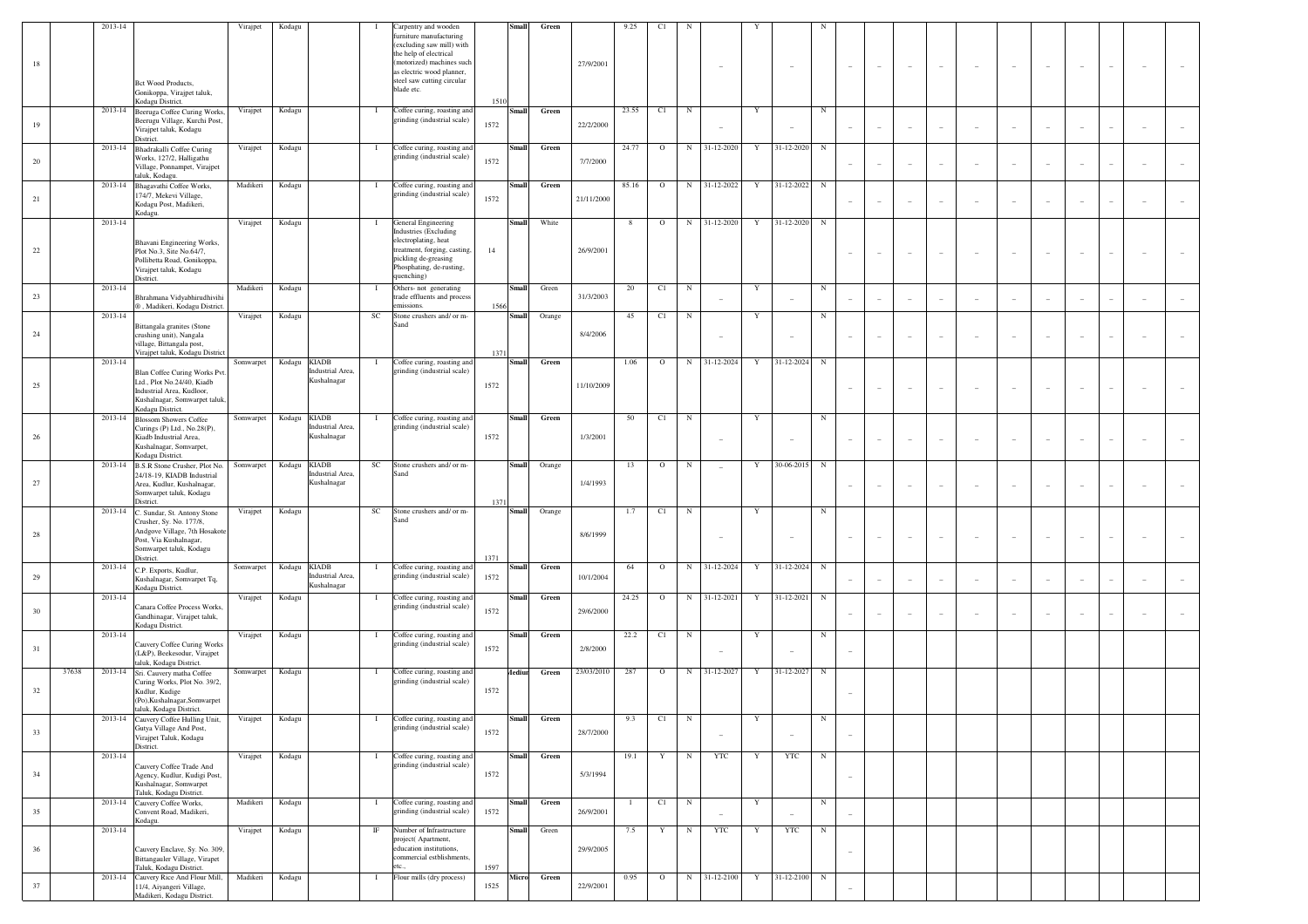|    |       | 2013-14 |                                                                                                                                                          | Virajpet  | Kodagu       |                                                | Carpentry and wooden                                                                                                                                                                 |              | Small        | Green         |            | 9.25         | C1      |            |                          |              |            |            |                          |                          |                          |                          |                          |                          |                          |                          |  |
|----|-------|---------|----------------------------------------------------------------------------------------------------------------------------------------------------------|-----------|--------------|------------------------------------------------|--------------------------------------------------------------------------------------------------------------------------------------------------------------------------------------|--------------|--------------|---------------|------------|--------------|---------|------------|--------------------------|--------------|------------|------------|--------------------------|--------------------------|--------------------------|--------------------------|--------------------------|--------------------------|--------------------------|--------------------------|--|
| 18 |       |         | Bct Wood Products,<br>Gonikoppa, Virajpet taluk,                                                                                                         |           |              |                                                | furniture manufacturing<br>(excluding saw mill) with<br>the help of electrical<br>(motorized) machines such<br>as electric wood planner,<br>steel saw cutting circular<br>blade etc. |              |              |               | 27/9/2001  |              |         |            |                          |              |            |            |                          | $\overline{\phantom{a}}$ | $\overline{\phantom{a}}$ | $\overline{\phantom{a}}$ |                          |                          |                          |                          |  |
| 19 |       | 2013-14 | Kodagu District.<br>Beeruga Coffee Curing Works,<br>Beerugu Village, Kurchi Post,<br>Virajpet taluk, Kodagu<br>District.                                 | Virajpet  | Kodagu       | $\mathbf{I}$                                   | Coffee curing, roasting and<br>grinding (industrial scale)                                                                                                                           | 1510<br>1572 | <b>Small</b> | Green         | 22/2/2000  | 23.55        | C1      | ${\bf N}$  | $\sim$                   | Y            |            | $_{\rm N}$ |                          | $\sim$                   | $\sim$                   | $\sim$                   |                          |                          | ٠                        |                          |  |
| 20 |       | 2013-14 | Bhadrakalli Coffee Curing<br>Works, 127/2, Halligathu<br>Village, Ponnampet, Virajpet<br>taluk, Kodagu.                                                  | Virajpet  | Kodagu       | $\mathbf{I}$                                   | Coffee curing, roasting and<br>grinding (industrial scale)                                                                                                                           | 1572         | Small        | Green         | 7/7/2000   | 24.77        | $\circ$ |            | N 31-12-2020             | Y            | 31-12-2020 | $_{\rm N}$ |                          | $\sim$                   | $\sim$                   | $\sim$                   |                          |                          | ٠                        |                          |  |
| 21 |       | 2013-14 | Bhagavathi Coffee Works,<br>174/7, Mekevi Village,<br>Kodagu Post, Madikeri,<br>Kodagu.                                                                  | Madikeri  | Kodagu       | $\mathbf{I}$                                   | Coffee curing, roasting and<br>grinding (industrial scale)                                                                                                                           | 1572         | Small        | Green         | 21/11/2000 | 85.16        | $\circ$ |            | N 31-12-2022             | Y            | 31-12-2022 | $_{\rm N}$ |                          | $\sim$                   | $\sim$                   | $\sim$                   |                          |                          | ٠                        |                          |  |
| 22 |       | 2013-14 | Bhavani Engineering Works,<br>Plot No.3, Site No.64/7,<br>Pollibetta Road, Gonikoppa,<br>Virajpet taluk, Kodagu<br>District.                             | Virajpet  | Kodagu       | $\mathbf{I}$                                   | General Engineering<br>Industries (Excluding<br>electroplating, heat<br>treatment, forging, casting,<br>pickling de-greasing<br>Phosphating, de-rusting,<br>quenching)               | 14           | <b>Small</b> | White         | 26/9/2001  | 8            | $\circ$ |            | N 31-12-2020             | Y            | 31-12-2020 | $_{\rm N}$ |                          | $\overline{\phantom{a}}$ |                          | $\overline{\phantom{a}}$ |                          |                          |                          |                          |  |
| 23 |       | 2013-14 | Bhrahmana Vidyabhirudhivihi<br>®, Madikeri, Kodagu District.                                                                                             | Madikeri  | Kodagu       | $\bf{I}$                                       | Others- not generating<br>trade effluents and process<br>emissions.                                                                                                                  | 1566         | Small        | Green         | 31/3/2003  | 20           | C1      | $_{\rm N}$ |                          | Y            |            | $_{\rm N}$ |                          | $\overline{\phantom{a}}$ | $\overline{\phantom{a}}$ | $\overline{\phantom{a}}$ |                          |                          | ۰                        |                          |  |
|    |       | 2013-14 | Bittangala granites (Stone                                                                                                                               | Virajpet  | Kodagu       | SC                                             | Stone crushers and/ or m-<br>Sand                                                                                                                                                    |              | <b>Small</b> | Orange        |            | 45           | C1      | $_{\rm N}$ |                          | Y            |            | N          |                          |                          |                          |                          |                          |                          |                          |                          |  |
| 24 |       |         | crushing unit), Nangala<br>village, Bittangala post,<br>Virajpet taluk, Kodagu District                                                                  |           |              |                                                |                                                                                                                                                                                      | 1371         |              |               | 8/4/2006   |              |         |            | $\sim$                   |              |            |            |                          | $\overline{\phantom{a}}$ | $\sim$                   | $\overline{\phantom{a}}$ |                          |                          | $\overline{\phantom{a}}$ |                          |  |
| 25 |       | 2013-14 | Blan Coffee Curing Works Pvt.<br>Ltd., Plot No.24/40, Kiadb<br>Industrial Area, Kudloor,<br>Kushalnagar, Somwarpet taluk,<br>Kodagu District.            | Somwarpet | Kodagu KIADB | -1<br>Industrial Area,<br>Kushalnagar          | Coffee curing, roasting and<br>grinding (industrial scale)                                                                                                                           | 1572         | Small        | Green         | 11/10/2009 | 1.06         | $\circ$ |            | N 31-12-2024             | Y            | 31-12-2024 | $_{\rm N}$ | $\overline{\phantom{a}}$ | $\sim$                   | $\overline{\phantom{a}}$ | $\overline{\phantom{a}}$ | $\overline{\phantom{a}}$ | $\overline{\phantom{a}}$ | ۰                        |                          |  |
| 26 |       |         | 2013-14 Blossom Showers Coffee<br>Curings (P) Ltd., No.28(P),<br>Kiadb Industrial Area,<br>Kushalnagar, Somvarpet,<br>Kodagu District.                   | Somwarpet | Kodagu KIADB | -1<br>Industrial Area,<br>Kushalnagar          | Coffee curing, roasting and<br>grinding (industrial scale)                                                                                                                           | 1572         | <b>Small</b> | Green         | 1/3/2001   | 50           | C1      | ${\bf N}$  | $\overline{\phantom{a}}$ | Y            |            | $_{\rm N}$ |                          | $\overline{\phantom{a}}$ | $\sim$                   | $\overline{\phantom{a}}$ |                          |                          | ۰                        |                          |  |
| 27 |       | 2013-14 | B.S.R Stone Crusher, Plot No.<br>24/18-19, KIADB Industrial<br>Area, Kudlur, Kushalnagar,<br>Somwarpet taluk, Kodagu<br>District.                        | Somwarpet | Kodagu KIADB | $_{\rm SC}$<br>Industrial Area,<br>Kushalnagar | Stone crushers and/ or m-<br>Sand                                                                                                                                                    | 1371         | <b>Small</b> | Orange        | 1/4/1993   | 13           | $\circ$ | $_{\rm N}$ | $\overline{\phantom{a}}$ | Y            | 30-06-2015 | $_{\rm N}$ |                          | $\sim$                   | $\overline{\phantom{a}}$ | $\overline{\phantom{a}}$ |                          |                          | ۰                        |                          |  |
| 28 |       | 2013-14 | . Sundar, St. Antony Stone<br>Crusher, Sy. No. 177/8,<br>Andgove Village, 7th Hosakote<br>Post, Via Kushalnagar,<br>Somwarpet taluk, Kodagu<br>District. | Virajpet  | Kodagu       | SC                                             | Stone crushers and/ or m-<br>Sand                                                                                                                                                    | 1371         | Small        | Orange        | 8/6/1999   | 1.7          | C1      | ${\bf N}$  | $\overline{\phantom{a}}$ | Y            |            | $_{\rm N}$ | $\overline{\phantom{a}}$ | $\sim$                   | $\overline{\phantom{a}}$ | $\sim$                   | $\overline{\phantom{a}}$ | $\overline{\phantom{a}}$ | ۰                        |                          |  |
| 29 |       | 2013-14 | C.P. Exports, Kudlur,<br>Kushalnagar, Somvarpet Tq,                                                                                                      | Somwarpet | Kodagu KIADB | - 1<br>Industrial Area,<br>Kushalnagar         | Coffee curing, roasting and<br>grinding (industrial scale)                                                                                                                           | 1572         | Small        | Green         | 10/1/2004  | 64           | $\circ$ |            | N 31-12-2024             | Y            | 31-12-2024 | $_{\rm N}$ |                          | $\overline{\phantom{a}}$ |                          | $\sim$                   |                          |                          | $\overline{\phantom{a}}$ |                          |  |
| 30 |       | 2013-14 | Kodagu District.<br>Canara Coffee Process Works,                                                                                                         | Virajpet  | Kodagu       | л.                                             | Coffee curing, roasting and<br>grinding (industrial scale)                                                                                                                           | 1572         | Small        | ${\bf Green}$ |            | 24.25        | $\circ$ | N          | 31-12-2021               | Y            | 31-12-2021 | N          |                          |                          |                          |                          |                          |                          |                          |                          |  |
|    |       | 2013-14 | Gandhinagar, Virajpet taluk,<br>Kodagu District.                                                                                                         | Virajpet  | Kodagu       |                                                | Coffee curing, roasting and                                                                                                                                                          |              | Small        | ${\bf Green}$ | 29/6/2000  | 22.2         | C1      | N          |                          | Y            |            | N          |                          | $\sim$                   | $\sim$                   | $\sim$                   | $\sim$                   |                          | ٠                        | $\overline{\phantom{a}}$ |  |
| 31 |       |         | Cauvery Coffee Curing Works<br>(L&P), Beekesodur, Virajpet<br>taluk, Kodagu District.                                                                    |           |              |                                                | grinding (industrial scale)                                                                                                                                                          | 1572         |              |               | 2/8/2000   |              |         |            | $\sim$                   |              |            |            |                          |                          |                          |                          |                          |                          |                          |                          |  |
| 32 | 37638 |         | 2013-14 Sri. Cauvery matha Coffee<br>Curing Works, Plot No. 39/2,<br>Kudlur, Kudige<br>(Po), Kushalnagar, Somwarpet                                      | Somwarpet | Kodagu       | -1                                             | Coffee curing, roasting and<br>grinding (industrial scale)                                                                                                                           | 1572         | Aediur       | Green         | 23/03/2010 | 287          | $\circ$ | $_{\rm N}$ | 31-12-2027               | Y            | 31-12-2027 | $_{\rm N}$ |                          |                          |                          |                          |                          |                          |                          |                          |  |
| 33 |       |         | taluk, Kodagu District.<br>2013-14 Cauvery Coffee Hulling Unit,<br>Gutya Village And Post,<br>Virajpet Taluk, Kodagu<br>District.                        | Virajpet  | Kodagu       |                                                | Coffee curing, roasting and<br>grinding (industrial scale)                                                                                                                           | 1572         | Small        | Green         | 28/7/2000  | 9.3          | C1      | - N        | $\sim$                   |              | $\sim$     |            | $\overline{\phantom{a}}$ |                          |                          |                          |                          |                          |                          |                          |  |
| 34 |       | 2013-14 | Cauvery Coffee Trade And<br>Agency, Kudlur, Kudigi Post,<br>Kushalnagar, Somwarpet<br>Taluk, Kodagu District.                                            | Virajpet  | Kodagu       | -1                                             | Coffee curing, roasting and<br>grinding (industrial scale)                                                                                                                           | 1572         | Small        | Green         | 5/3/1994   | 19.1         | Y       | N          | YTC                      | $\mathbf{Y}$ | <b>YTC</b> | $_{\rm N}$ | $\overline{\phantom{a}}$ |                          |                          |                          |                          |                          |                          |                          |  |
| 35 |       |         | 2013-14 Cauvery Coffee Works,<br>Convent Road, Madikeri,                                                                                                 | Madikeri  | Kodagu       | $\mathbf{I}$                                   | Coffee curing, roasting and<br>grinding (industrial scale)                                                                                                                           | 1572         | Small        | Green         | 26/9/2001  | $\mathbf{1}$ | C1      | ${\bf N}$  | $\overline{\phantom{a}}$ | Y            | $\sim$     | $_{\rm N}$ | $\overline{\phantom{a}}$ |                          |                          |                          |                          |                          |                          |                          |  |
| 36 |       | 2013-14 | Kodagu.<br>Cauvery Enclave, Sy. No. 309,<br>Bittangauler Village, Virapet                                                                                | Virajpet  | Kodagu       | $_{\rm IF}$                                    | Number of Infrastructure<br>project(Apartment,<br>education institutions,<br>commercial estblishments,                                                                               |              | Small        | Green         | 29/9/2005  | 7.5          | Y       | $_{\rm N}$ | <b>YTC</b>               | Y            | <b>YTC</b> | $_{\rm N}$ | $\overline{\phantom{a}}$ |                          |                          |                          |                          |                          |                          |                          |  |
| 37 |       |         | Taluk, Kodagu District.<br>2013-14 Cauvery Rice And Flour Mill,<br>11/4, Aiyangeri Village,                                                              | Madikeri  | Kodagu       |                                                | etc.,<br>Flour mills (dry process)                                                                                                                                                   | 1597<br>1525 | Micro        | Green         | 22/9/2001  | 0.95         | $\circ$ |            | N 31-12-2100             | Y            | 31-12-2100 | $_{\rm N}$ |                          |                          |                          |                          |                          |                          |                          |                          |  |
|    |       |         | Madikeri, Kodagu District.                                                                                                                               |           |              |                                                |                                                                                                                                                                                      |              |              |               |            |              |         |            |                          |              |            |            |                          |                          |                          |                          |                          |                          |                          |                          |  |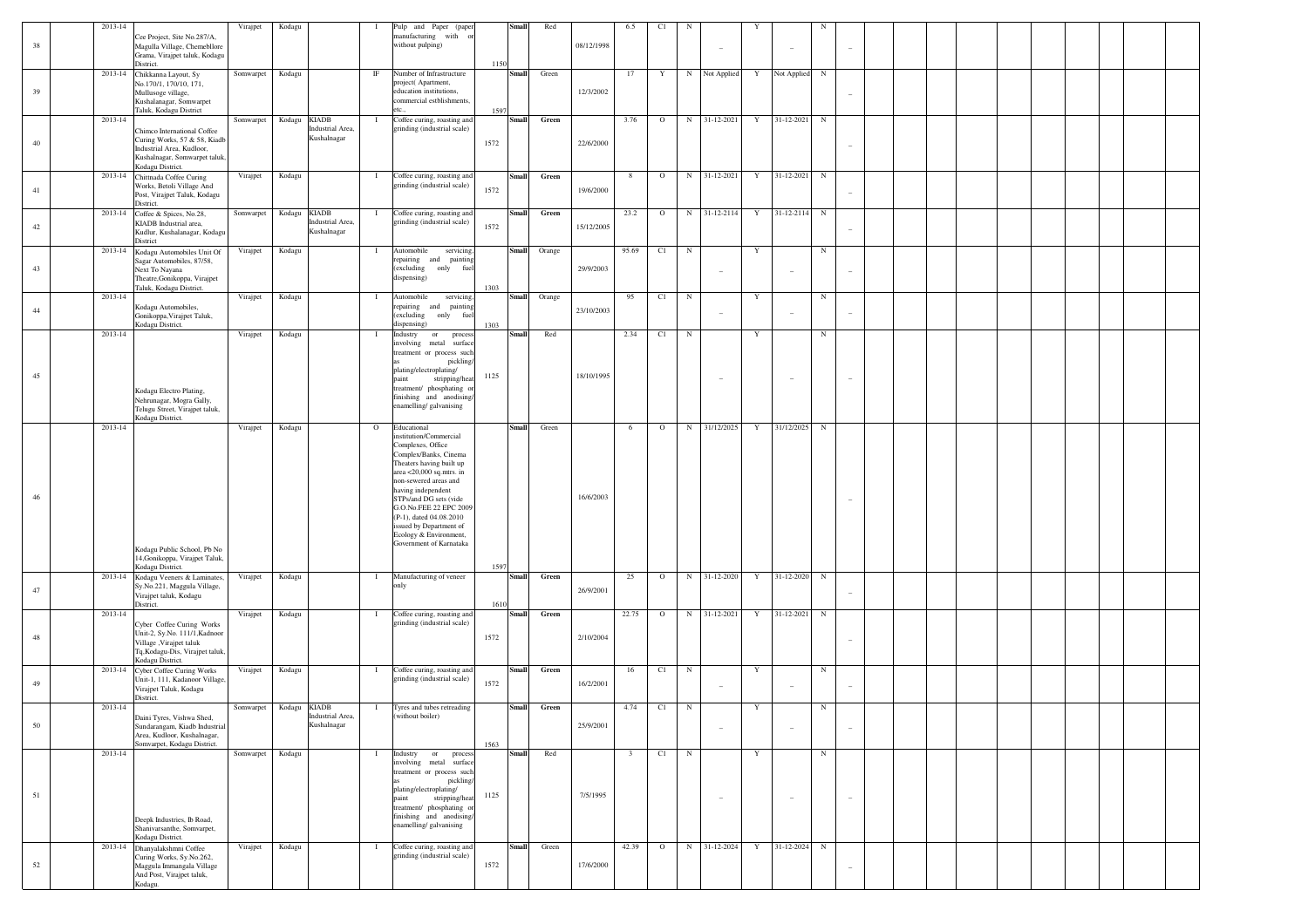|    | 2013-14     |                                                                                                                                               | Virajpet               | Kodagu       |                                                 | -1           | Pulp and Paper (paper                                                                                                                                                                                                                                                                                                                                       |      | Small        | Red    |            | 6.5                     | C1           |             |                                 |             |             |             |                          |  |  |  |  |
|----|-------------|-----------------------------------------------------------------------------------------------------------------------------------------------|------------------------|--------------|-------------------------------------------------|--------------|-------------------------------------------------------------------------------------------------------------------------------------------------------------------------------------------------------------------------------------------------------------------------------------------------------------------------------------------------------------|------|--------------|--------|------------|-------------------------|--------------|-------------|---------------------------------|-------------|-------------|-------------|--------------------------|--|--|--|--|
| 38 |             | Cee Project, Site No.287/A,<br>Magulla Village, Chemebllore<br>Grama, Virajpet taluk, Kodagu<br>District.                                     |                        |              |                                                 |              | manufacturing with or<br>without pulping)                                                                                                                                                                                                                                                                                                                   | 1150 |              |        | 08/12/1998 |                         |              |             | $\overline{\phantom{a}}$        |             |             |             |                          |  |  |  |  |
| 39 | 2013-14     | Chikkanna Layout, Sy<br>No.170/1, 170/10, 171,<br>Mullusoge village,<br>Kushalanagar, Somwarpet                                               | Somwarpet              | Kodagu       |                                                 | $_{\rm IF}$  | Number of Infrastructure<br>project(Apartment,<br>education institutions,<br>commercial estblishments,                                                                                                                                                                                                                                                      |      | Small        | Green  | 12/3/2002  | 17                      | Y            |             | N Not Applied                   | Y           | Not Applied | N           |                          |  |  |  |  |
|    | 2013-14     | Taluk, Kodagu District                                                                                                                        | Somwarpet              | Kodagu KIADB |                                                 | $\mathbf{I}$ | etc<br>Coffee curing, roasting and                                                                                                                                                                                                                                                                                                                          | 1597 | Small        | Green  |            | 3.76                    |              | $_{\rm N}$  | 31-12-2021                      | Y           | 31-12-2021  | ${\bf N}$   |                          |  |  |  |  |
| 40 |             | Chimco International Coffee<br>Curing Works, 57 & 58, Kiadb<br>Industrial Area, Kudloor,<br>Kushalnagar, Somwarpet taluk,<br>Kodagu District. |                        |              | Industrial Area,<br>Kushalnagar                 |              | grinding (industrial scale)                                                                                                                                                                                                                                                                                                                                 | 1572 |              |        | 22/6/2000  |                         | $\mathbf{o}$ |             |                                 |             |             |             |                          |  |  |  |  |
| 41 | 2013-14     | Chittnada Coffee Curing<br>Works, Betoli Village And<br>Post, Virajpet Taluk, Kodagu<br>District.                                             | Virajpet               | Kodagu       |                                                 | $\mathbf{I}$ | Coffee curing, roasting and<br>grinding (industrial scale)                                                                                                                                                                                                                                                                                                  | 1572 | Small        | Green  | 19/6/2000  | 8                       | $\circ$      | $_{\rm N}$  | 31-12-2021                      | Y           | 31-12-2021  | ${\bf N}$   |                          |  |  |  |  |
| 42 | 2013-14     | Coffee & Spices, No.28,<br>KIADB Industrial area,<br>Kudlur, Kushalanagar, Kodagu<br>District                                                 | Somwarpet              |              | Kodagu KIADB<br>industrial Area,<br>Kushalnagar | $\mathbf{I}$ | Coffee curing, roasting and<br>grinding (industrial scale)                                                                                                                                                                                                                                                                                                  | 1572 | <b>Small</b> | Green  | 15/12/2005 | 23.2                    | $\circ$      | $_{\rm N}$  | 31-12-2114                      | Y           | 31-12-2114  | $\mathbf N$ |                          |  |  |  |  |
| 43 | $2013 - 14$ | Kodagu Automobiles Unit Of<br>Sagar Automobiles, 87/58,<br>Next To Nayana<br>Theatre, Gonikoppa, Virajpet<br>Taluk, Kodagu District.          | Virajpet               | Kodagu       |                                                 | $\mathbf{I}$ | Automobile<br>servicing,<br>repairing and painting<br>(excluding only fuel<br>dispensing)                                                                                                                                                                                                                                                                   | 1303 | <b>Small</b> | Orange | 29/9/2003  | 95.69                   | C1           | $\mathbf N$ | $\hspace{0.1mm}-\hspace{0.1mm}$ | Y           |             | $_{\rm N}$  |                          |  |  |  |  |
| 44 | 2013-14     | Kodagu Automobiles,<br>Gonikoppa, Virajpet Taluk,<br>Kodagu District.                                                                         | Virajpet               | Kodagu       |                                                 | $\mathbf{I}$ | Automobile<br>servicing,<br>repairing and<br>painting<br>(excluding<br>only<br>fue<br>dispensing)                                                                                                                                                                                                                                                           | 1303 | Small        | Orange | 23/10/2003 | 95                      | C1           | $\mathbf N$ | $\overline{\phantom{a}}$        | Y           |             | $_{\rm N}$  |                          |  |  |  |  |
|    | 2013-14     |                                                                                                                                               | Virajpet               | Kodagu       |                                                 | $\mathbf{I}$ | Industry<br>process<br>or<br>metal surface<br>involving<br>treatment or process such<br>pickling/<br>plating/electroplating/                                                                                                                                                                                                                                |      | <b>Small</b> | Red    |            | 2.34                    | C1           | $\mathbf N$ |                                 | Y           |             | $_{\rm N}$  |                          |  |  |  |  |
| 45 |             | Kodagu Electro Plating,<br>Nehrunagar, Mogra Gally,<br>Telugu Street, Virajpet taluk,<br>Kodagu District.                                     |                        |              |                                                 |              | paint<br>stripping/heat<br>treatment/ phosphating or<br>finishing and anodising<br>enamelling/galvanising                                                                                                                                                                                                                                                   | 1125 |              |        | 18/10/1995 |                         |              |             | $\overline{\phantom{a}}$        |             |             |             |                          |  |  |  |  |
| 46 | 2013-14     | Kodagu Public School, Pb No<br>14, Gonikoppa, Virajpet Taluk,                                                                                 | Virajpet               | Kodagu       |                                                 | $\circ$      | Educational<br>nstitution/Commercial<br>Complexes, Office<br>Complex/Banks, Cinema<br>Theaters having built up<br>area $<$ 20,000 sq.mtrs. in<br>non-sewered areas and<br>having independent<br>STPs/and DG sets (vide<br>G.O.No.FEE 22 EPC 2009<br>(P-1), dated 04.08.2010<br>issued by Department of<br>Ecology & Environment,<br>Government of Karnataka |      | <b>Small</b> | Green  | 16/6/2003  | 6                       | $\circ$      | N           | 31/12/2025                      | Y           | 31/12/2025  | $_{\rm N}$  |                          |  |  |  |  |
| 47 | 2013-14     | Kodagu District.<br>Kodagu Veeners & Laminates,<br>Sy.No.221, Maggula Village,<br>Virajpet taluk, Kodagu                                      | Virajpet               | Kodagu       |                                                 | $\mathbf{I}$ | Manufacturing of veneer<br>only                                                                                                                                                                                                                                                                                                                             | 1597 | Small        | Green  | 26/9/2001  | 25                      | $\circ$      |             | N 31-12-2020                    | Y           | 31-12-2020  | $_{\rm N}$  |                          |  |  |  |  |
|    |             | District.                                                                                                                                     |                        |              |                                                 |              |                                                                                                                                                                                                                                                                                                                                                             | 1610 |              |        |            |                         |              |             |                                 |             |             |             |                          |  |  |  |  |
| 48 | 2013-14     | Cyber Coffee Curing Works<br>Unit-2, Sy.No. 111/1, Kadnoor<br>Village, Virajpet taluk<br>Tq, Kodagu-Dis, Virajpet taluk,<br>Kodagu District.  | Virajpet               | Kodagu       |                                                 | $\mathbf{I}$ | Coffee curing, roasting and<br>grinding (industrial scale)                                                                                                                                                                                                                                                                                                  | 1572 | Small        | Green  | 2/10/2004  | 22.75                   | $\mathbf{o}$ |             | N 31-12-2021                    | Y           | 31-12-2021  | $_{\rm N}$  |                          |  |  |  |  |
| 49 | 2013-14     | Cyber Coffee Curing Works<br>Unit-1, 111, Kadanoor Village,<br>Virajpet Taluk, Kodagu<br>District.                                            | Virajpet               | Kodagu       |                                                 | $\mathbf{I}$ | Coffee curing, roasting and<br>grinding (industrial scale)                                                                                                                                                                                                                                                                                                  | 1572 | <b>Small</b> | Green  | 16/2/2001  | 16                      | C1           | $\mathbf N$ | $\overline{\phantom{a}}$        | Y           |             | $_{\rm N}$  |                          |  |  |  |  |
| 50 | 2013-14     | Daini Tyres, Vishwa Shed,<br>Sundarangam, Kiadb Industrial<br>Area, Kudloor, Kushalnagar,                                                     | Somwarpet Kodagu KIADB |              | ustrial 7<br>Kushalnagar                        | $\mathbf{I}$ | Tyres and tubes retreading<br>vithout boiler)                                                                                                                                                                                                                                                                                                               |      | <b>Small</b> | Green  | 25/9/2001  | 4.74                    | C1           | $\mathbb N$ |                                 | Y           |             | $_{\rm N}$  | $\overline{\phantom{a}}$ |  |  |  |  |
|    | 2013-14     | Somvarpet, Kodagu District.                                                                                                                   | Somwarpet Kodagu       |              |                                                 | $\mathbf{I}$ | Industry or<br>process<br>involving metal surface<br>treatment or process such<br>pickling/                                                                                                                                                                                                                                                                 | 1563 | Small        | Red    |            | $\overline{\mathbf{3}}$ | $C1$ N       |             |                                 | $\mathbf Y$ |             | $_{\rm N}$  |                          |  |  |  |  |
| 51 |             | Deepk Industries, Ib Road,<br>Shanivarsanthe, Somvarpet,<br>Kodagu District.                                                                  |                        |              |                                                 |              | plating/electroplating/<br>paint<br>stripping/heat<br>treatment/ phosphating or<br>finishing and anodising/<br>enamelling/galvanising                                                                                                                                                                                                                       | 1125 |              |        | 7/5/1995   |                         |              |             | $\sim$                          |             |             |             | $\overline{\phantom{a}}$ |  |  |  |  |
|    | 2013-14     | Dhanyalakshmni Coffee                                                                                                                         | Virajpet               | Kodagu       |                                                 | $\mathbf{I}$ | Coffee curing, roasting and                                                                                                                                                                                                                                                                                                                                 |      | <b>Small</b> | Green  |            | 42.39                   | $\circ$      |             | N 31-12-2024                    | Y           | 31-12-2024  | N           |                          |  |  |  |  |
| 52 |             | Curing Works, Sy.No.262,<br>Maggula Immangala Village<br>And Post, Virajpet taluk,<br>Kodagu.                                                 |                        |              |                                                 |              | grinding (industrial scale)                                                                                                                                                                                                                                                                                                                                 | 1572 |              |        | 17/6/2000  |                         |              |             |                                 |             |             |             | $\overline{\phantom{a}}$ |  |  |  |  |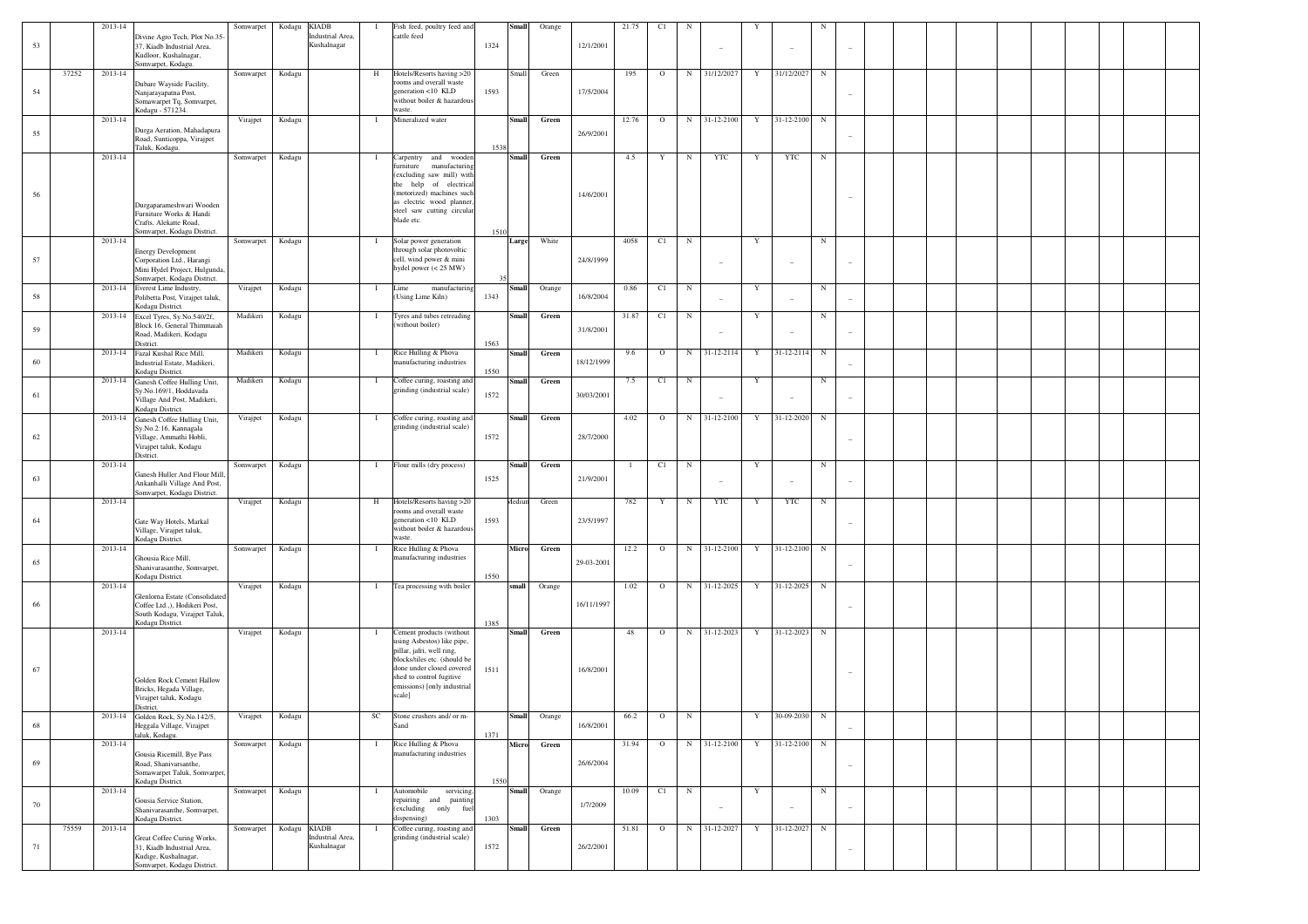|    |       | 2013-14 |                                                                                                                        | Somwarpet        | Kodagu       | <b>KIADB</b>                    |              | Fish feed, poultry feed and                                                                                                                                                                                 | Small                | Orange       |            | 21.75 | C1       |            |                          |             |                |            |                          |  |  |  |  |  |
|----|-------|---------|------------------------------------------------------------------------------------------------------------------------|------------------|--------------|---------------------------------|--------------|-------------------------------------------------------------------------------------------------------------------------------------------------------------------------------------------------------------|----------------------|--------------|------------|-------|----------|------------|--------------------------|-------------|----------------|------------|--------------------------|--|--|--|--|--|
| 53 |       |         | Divine Agro Tech, Plot No.35-<br>37, Kiadb Industrial Area,<br>Kudloor, Kushalnagar,<br>Somvarpet, Kodagu.             |                  |              | Industrial Area,<br>Kushalnagar |              | cattle feed                                                                                                                                                                                                 | 1324                 |              | 12/1/2001  |       |          |            | $\overline{\phantom{a}}$ |             |                |            |                          |  |  |  |  |  |
| 54 | 37252 | 2013-14 | Dubare Wayside Facility,<br>Nanjarayapatna Post,<br>Somawarpet Tq, Somvarpet,                                          | Somwarpet        | Kodagu       |                                 | H            | Hotels/Resorts having >20<br>rooms and overall waste<br>generation <10 KLD<br>without boiler & hazardous                                                                                                    | Small<br>1593        | Green        | 17/5/2004  | 195   | $\circ$  | $_{\rm N}$ | 31/12/2027               | $\mathbf Y$ | 31/12/2027     | $_{\rm N}$ |                          |  |  |  |  |  |
|    |       | 2013-14 | Kodagu - 571234.                                                                                                       | Virajpet         | Kodagu       |                                 | - 1          | waste.<br>Mineralized water                                                                                                                                                                                 | Small                | Green        |            | 12.76 | $\circ$  | ${\bf N}$  | 31-12-2100               | Y           | 31-12-2100     | $_{\rm N}$ |                          |  |  |  |  |  |
| 55 |       |         | Durga Aeration, Mahadapura<br>Road, Sunticoppa, Virajpet                                                               |                  |              |                                 |              |                                                                                                                                                                                                             |                      |              | 26/9/2001  |       |          |            |                          |             |                |            |                          |  |  |  |  |  |
|    |       |         | Taluk, Kodagu.                                                                                                         |                  |              |                                 |              |                                                                                                                                                                                                             | 1538                 |              |            |       |          |            |                          |             |                |            |                          |  |  |  |  |  |
| 56 |       | 2013-14 | Durgaparameshwari Wooden<br>Furniture Works & Handi<br>Crafts, Alekatte Road,                                          | Somwarpet        | Kodagu       |                                 | $\mathbf{I}$ | Carpentry and wooden<br>furniture manufacturing<br>(excluding saw mill) with<br>the help of electrical<br>(motorized) machines such<br>as electric wood planner<br>steel saw cutting circular<br>blade etc. | <b>Small</b>         | Green        | 14/6/2001  | 4.5   | Y        | $_{\rm N}$ | YTC                      | Y           | <b>YTC</b>     | $_{\rm N}$ |                          |  |  |  |  |  |
|    |       | 2013-14 | Somvarpet, Kodagu District.                                                                                            | Somwarpet        | Kodagu       |                                 | $\mathbf{I}$ | Solar power generation                                                                                                                                                                                      | 1510<br>Large        | White        |            | 4058  | C1       | $_{\rm N}$ |                          | $\mathbf Y$ |                | $_{\rm N}$ |                          |  |  |  |  |  |
| 57 |       |         | <b>Energy Development</b><br>Corporation Ltd., Harangi<br>Mini Hydel Project, Hulgunda,<br>Somvarpet, Kodagu District. |                  |              |                                 |              | through solar photovoltic<br>cell, wind power & mini<br>hydel power $(< 25$ MW)                                                                                                                             |                      |              | 24/8/1999  |       |          |            | $\overline{\phantom{a}}$ |             |                |            |                          |  |  |  |  |  |
| 58 |       |         | 2013-14 Everest Lime Industry,<br>Polibetta Post, Virajpet taluk,<br>Kodagu District.                                  | Virajpet         | Kodagu       |                                 | $\mathbf{I}$ | manufacturing<br>Lime<br>(Using Lime Kiln)                                                                                                                                                                  | Small<br>1343        | Orange       | 16/8/2004  | 0.86  | C1       | ${\bf N}$  |                          | $\mathbf Y$ |                | $_{\rm N}$ |                          |  |  |  |  |  |
| 59 |       | 2013-14 | Excel Tyres, Sy.No.540/2f,<br>Block 16, General Thimmaiah                                                              | Madikeri         | Kodagu       |                                 | - 1          | Tyres and tubes retreading<br>without boiler)                                                                                                                                                               | Small                | Green        | 31/8/2001  | 31.87 | C1       | $_{\rm N}$ |                          | Y           |                | N          |                          |  |  |  |  |  |
|    |       |         | Road, Madikeri, Kodagu<br>District.                                                                                    |                  |              |                                 |              |                                                                                                                                                                                                             | 1563                 |              |            |       |          |            | $\overline{\phantom{a}}$ |             |                |            |                          |  |  |  |  |  |
| 60 |       |         | 2013-14 Fazal Kushal Rice Mill,<br>Industrial Estate, Madikeri,<br>Kodagu District.                                    | Madikeri         | Kodagu       |                                 | $\mathbf{I}$ | Rice Hulling & Phova<br>nanufacturing industries                                                                                                                                                            | Small<br>1550        | Green        | 18/12/1999 | 9.6   | $\circ$  | ${\bf N}$  | 31-12-2114               | Y           | 31-12-2114     | $_{\rm N}$ |                          |  |  |  |  |  |
| 61 |       | 2013-14 | Ganesh Coffee Hulling Unit,<br>Sy.No.169/1, Hoddavada<br>Village And Post, Madikeri,                                   | Madikeri         | Kodagu       |                                 | $\mathbf{I}$ | Coffee curing, roasting and<br>grinding (industrial scale)                                                                                                                                                  | Small<br>1572        | Green        | 30/03/2001 | 7.5   | C1       | ${\bf N}$  | $\overline{\phantom{a}}$ | Y           |                | $_{\rm N}$ |                          |  |  |  |  |  |
|    |       | 2013-14 | Kodagu District.<br>Ganesh Coffee Hulling Unit,                                                                        | Virajpet         | Kodagu       |                                 | $\mathbf{I}$ | Coffee curing, roasting and                                                                                                                                                                                 | <b>Small</b>         | Green        |            | 4.02  | $\circ$  | N          | 31-12-2100               | Y           | 31-12-2020     | $_{\rm N}$ |                          |  |  |  |  |  |
| 62 |       |         | Sy.No.2:16, Kannagala<br>Village, Ammathi Hobli,<br>Virajpet taluk, Kodagu<br>District.                                |                  |              |                                 |              | grinding (industrial scale)                                                                                                                                                                                 | 1572                 |              | 28/7/2000  |       |          |            |                          |             |                |            |                          |  |  |  |  |  |
| 63 |       | 2013-14 | Ganesh Huller And Flour Mill,<br>Ankanhalli Village And Post,<br>Somvarpet, Kodagu District.                           | Somwarpet        | Kodagu       |                                 | $\mathbf{I}$ | Flour mills (dry process)                                                                                                                                                                                   | <b>Small</b><br>1525 | Green        | 21/9/2001  |       | C1       | ${\bf N}$  | $\overline{\phantom{a}}$ | Y           |                | $_{\rm N}$ |                          |  |  |  |  |  |
| 64 |       | 2013-14 | Gate Way Hotels, Markal<br>Village, Virajpet taluk,<br>Kodagu District.                                                | Virajpet         | Kodagu       |                                 | H            | Hotels/Resorts having >20<br>rooms and overall waste<br>generation <10 KLD<br>without boiler & hazardous<br>waste.                                                                                          | Mediun<br>1593       | Green        | 23/5/1997  | 782   | Y        | $_{\rm N}$ | YTC                      | Y           | <b>YTC</b>     | $_{\rm N}$ |                          |  |  |  |  |  |
|    |       | 2013-14 | Ghousia Rice Mill,                                                                                                     | Somwarpet        | Kodagu       |                                 | $\mathbf{I}$ | Rice Hulling & Phova<br>manufacturing industries                                                                                                                                                            | Micro                | Green        |            | 12.2  | $\circ$  | N          | 31-12-2100               | Y           | 31-12-2100     | $_{\rm N}$ |                          |  |  |  |  |  |
| 65 |       |         | Shanivarasanthe, Somvarpet,<br>Kodagu District.                                                                        |                  |              |                                 |              |                                                                                                                                                                                                             | 1550                 |              | 29-03-2001 |       |          |            |                          |             |                |            |                          |  |  |  |  |  |
| 66 |       | 2013-14 | Glenlorna Estate (Consolidated<br>Coffee Ltd.,), Hodikeri Post,<br>South Kodagu, Virajpet Taluk,                       | Virajpet         | Kodagu       |                                 | - 1          | Tea processing with boiler                                                                                                                                                                                  | small                | Orange       | 16/11/1997 | 1.02  | $\circ$  | N          | 31-12-2025               | Y           | 31-12-2025     | $_{\rm N}$ |                          |  |  |  |  |  |
|    |       | 2013-14 | Kodagu District.                                                                                                       | Virajpet         | Kodagu       |                                 | $\mathbf{I}$ | Cement products (without                                                                                                                                                                                    | 1385<br>Small        | Green        |            | 48    | $\circ$  | $_{\rm N}$ | 31-12-2023               | $\mathbf Y$ | 31-12-2023     | $_{\rm N}$ |                          |  |  |  |  |  |
| 67 |       |         | Golden Rock Cement Hallow<br>Bricks, Hegada Village,<br>Virajpet taluk, Kodagu<br>District.                            |                  |              |                                 |              | using Asbestos) like pipe,<br>pillar, jafri, well ring,<br>blocks/tiles etc. (should be<br>done under closed covered<br>shed to control fugitive<br>emissions) [only industrial<br>scale]                   | 1511                 |              | 16/8/2001  |       |          |            |                          |             |                |            |                          |  |  |  |  |  |
| 68 |       | 2013-14 | Golden Rock, Sy.No.142/5, Virajpet Kodagu<br>Heggala Village, Virajpet<br>taluk, Kodagu.                               |                  |              |                                 | SC           | Stone crushers and/ or m-<br>Sand                                                                                                                                                                           | 1371                 | Small Orange | 16/8/2001  |       | 66.2 0 N |            |                          |             | Y 30-09-2030 N |            |                          |  |  |  |  |  |
|    |       | 2013-14 | Gousia Ricemill, Bye Pass                                                                                              | Somwarpet Kodagu |              |                                 | $\mathbf{I}$ | Rice Hulling & Phova<br>manufacturing industries                                                                                                                                                            |                      | Micro Green  |            | 31.94 | $\circ$  |            | N 31-12-2100             | $\mathbf Y$ | 31-12-2100     | $_{\rm N}$ |                          |  |  |  |  |  |
| 69 |       |         | Road, Shanivarsanthe,<br>Somawarpet Taluk, Somvarpet,<br>Kodagu District.                                              |                  |              |                                 |              |                                                                                                                                                                                                             | 1550                 |              | 26/6/2004  |       |          |            |                          |             |                |            | $\sim$                   |  |  |  |  |  |
| 70 |       | 2013-14 | Gousia Service Station,                                                                                                | Somwarpet Kodagu |              |                                 | $\mathbf{I}$ | Automobile<br>servicing.<br>repairing and painting                                                                                                                                                          | <b>Small</b>         | Orange       | 1/7/2009   | 10.09 | C1       | N          | $\overline{\phantom{a}}$ | $\mathbf Y$ |                | $_{\rm N}$ | $\overline{\phantom{a}}$ |  |  |  |  |  |
|    | 75559 | 2013-14 | Shanivarasanthe, Somvarpet,<br>Kodagu District.                                                                        | Somwarpet        | Kodagu KIADB |                                 | $\mathbf{I}$ | (excluding only fuel<br>dispensing)<br>Coffee curing, roasting and                                                                                                                                          | 1303<br><b>Small</b> | Green        |            | 51.81 | $\circ$  | N          | 31-12-2027               | $\mathbf Y$ | 31-12-2027     | $_{\rm N}$ |                          |  |  |  |  |  |
| 71 |       |         | Great Coffee Curing Works,<br>31, Kiadb Industrial Area,<br>Kudige, Kushalnagar,<br>Somvarpet, Kodagu District.        |                  |              | Industrial Area,<br>Kushalnagar |              | grinding (industrial scale)                                                                                                                                                                                 | 1572                 |              | 26/2/2001  |       |          |            |                          |             |                |            | $\sim$                   |  |  |  |  |  |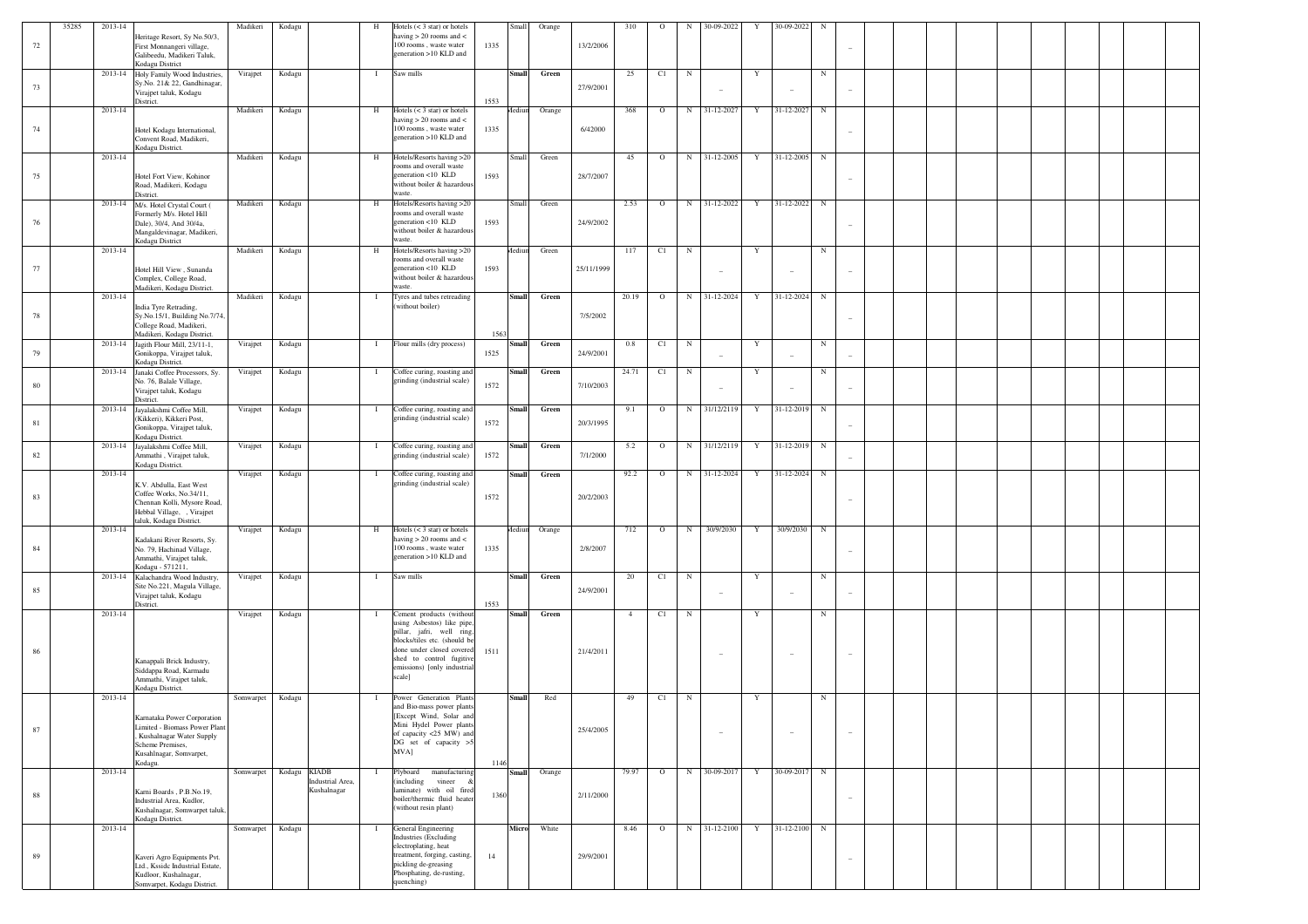|        | 35285 | 2013-14 |                                                                                                                        | Madikeri  | Kodagu       | H                                | Hotels $(< 3 \text{ star})$ or hotels                                                                                  | Small                | Orange |            | 310            | $\circ$ | N          | 30-09-2022                             | Y           | 30-09-2022 |            |                          |  |  |  |  |
|--------|-------|---------|------------------------------------------------------------------------------------------------------------------------|-----------|--------------|----------------------------------|------------------------------------------------------------------------------------------------------------------------|----------------------|--------|------------|----------------|---------|------------|----------------------------------------|-------------|------------|------------|--------------------------|--|--|--|--|
| 72     |       |         | Heritage Resort, Sy No.50/3,<br>First Monnangeri village,<br>Galibeedu, Madikeri Taluk,<br>Kodagu District             |           |              |                                  | having $> 20$ rooms and $<$<br>100 rooms, waste water<br>generation >10 KLD and                                        | 1335                 |        | 13/2/2006  |                |         |            |                                        |             |            |            |                          |  |  |  |  |
| 73     |       | 2013-14 | Holy Family Wood Industries,<br>Sy.No. 21& 22, Gandhinagar,<br>Virajpet taluk, Kodagu                                  | Virajpet  | Kodagu       | $\mathbf{I}$                     | Saw mills                                                                                                              | <b>Small</b>         | Green  | 27/9/2001  | 25             | C1      | $_{\rm N}$ | $\overline{\phantom{a}}$               | Y           |            | $_{\rm N}$ |                          |  |  |  |  |
|        |       | 2013-14 | District.                                                                                                              | Madikeri  | Kodagu       | H                                | Hotels $(< 3 \text{ star})$ or hotels<br>having $> 20$ rooms and $<$                                                   | 1553<br>Mediun       | Orange |            | 368            | $\circ$ | N          | 31-12-2027                             | $\mathbf Y$ | 31-12-2027 | $_{\rm N}$ |                          |  |  |  |  |
| 74     |       |         | Hotel Kodagu International,<br>Convent Road, Madikeri,<br>Kodagu District.                                             |           |              |                                  | 100 rooms, waste water<br>generation >10 KLD and                                                                       | 1335                 |        | 6/42000    |                |         |            |                                        |             |            |            |                          |  |  |  |  |
| 75     |       | 2013-14 | Hotel Fort View, Kohinor                                                                                               | Madikeri  | Kodagu       | H                                | Hotels/Resorts having >20<br>rooms and overall waste<br>generation <10 KLD                                             | Small<br>1593        | Green  | 28/7/2007  | 45             | $\circ$ | $_{\rm N}$ | 31-12-2005                             | $\mathbf Y$ | 31-12-2005 | $_{\rm N}$ |                          |  |  |  |  |
|        |       |         | Road, Madikeri, Kodagu<br>District.<br>2013-14 M/s. Hotel Crystal Court (                                              | Madikeri  | Kodagu       | H                                | without boiler & hazardous<br>waste.<br>Hotels/Resorts having >20                                                      | Small                | Green  |            | 2.53           | $\circ$ |            | N 31-12-2022                           | $\mathbf Y$ | 31-12-2022 | $_{\rm N}$ |                          |  |  |  |  |
| 76     |       |         | Formerly M/s. Hotel Hill<br>Dale), 30/4, And 30/4a,<br>Mangaldevinagar, Madikeri,<br>Kodagu District                   |           |              |                                  | rooms and overall waste<br>generation <10 KLD<br>without boiler & hazardous<br>waste.                                  | 1593                 |        | 24/9/2002  |                |         |            |                                        |             |            |            |                          |  |  |  |  |
| 77     |       | 2013-14 | Hotel Hill View, Sunanda                                                                                               | Madikeri  | Kodagu       | H                                | Hotels/Resorts having >20<br>rooms and overall waste<br>generation <10 KLD                                             | Mediun<br>1593       | Green  | 25/11/1999 | 117            | C1      | $_{\rm N}$ |                                        | $\mathbf Y$ |            | $_{\rm N}$ |                          |  |  |  |  |
|        |       | 2013-14 | Complex, College Road,<br>Madikeri, Kodagu District.                                                                   | Madikeri  |              | -1                               | without boiler & hazardous<br>waste.                                                                                   | <b>Small</b>         | Green  |            | 20.19          | $\circ$ | N          | $\overline{\phantom{a}}$<br>31-12-2024 | $\mathbf Y$ | 31-12-2024 | $_{\rm N}$ |                          |  |  |  |  |
| 78     |       |         | India Tyre Retrading,<br>Sy.No.15/1, Building No.7/74,                                                                 |           | Kodagu       |                                  | Tyres and tubes retreading<br>(without boiler)                                                                         |                      |        | 7/5/2002   |                |         |            |                                        |             |            |            |                          |  |  |  |  |
|        |       | 2013-14 | College Road, Madikeri,<br>Madikeri, Kodagu District.<br>Jagith Flour Mill, 23/11-1,                                   | Virajpet  | Kodagu       | $\bf{I}$                         | Flour mills (dry process)                                                                                              | 1563<br><b>Small</b> | Green  |            | 0.8            | C1      | $_{\rm N}$ |                                        | $\mathbf Y$ |            | $_{\rm N}$ |                          |  |  |  |  |
| 79     |       | 2013-14 | Gonikoppa, Virajpet taluk,<br>Kodagu District.<br>Janaki Coffee Processors, Sy.                                        | Virajpet  | Kodagu       | $\bf{I}$                         | Coffee curing, roasting and                                                                                            | 1525<br><b>Small</b> | Green  | 24/9/2001  | 24.71          | C1      | $_{\rm N}$ |                                        | Y           |            | $_{\rm N}$ |                          |  |  |  |  |
| 80     |       |         | No. 76, Balale Village,<br>Virajpet taluk, Kodagu<br>District.                                                         |           |              |                                  | grinding (industrial scale)                                                                                            | 1572                 |        | 7/10/2003  |                |         |            | $\overline{\phantom{a}}$               |             |            |            |                          |  |  |  |  |
| 81     |       | 2013-14 | Jayalakshmi Coffee Mill,<br>(Kikkeri), Kikkeri Post,<br>Gonikoppa, Virajpet taluk,<br>Kodagu District.                 | Virajpet  | Kodagu       | $\mathbf{I}$                     | Coffee curing, roasting and<br>grinding (industrial scale)                                                             | <b>Small</b><br>1572 | Green  | 20/3/1995  | 9.1            | $\circ$ | N          | 31/12/2119                             | $\mathbf Y$ | 31-12-2019 | $_{\rm N}$ |                          |  |  |  |  |
| 82     |       | 2013-14 | Jayalakshmi Coffee Mill,<br>Ammathi, Virajpet taluk,<br>Kodagu District.                                               | Virajpet  | Kodagu       | $\mathbf{I}$                     | Coffee curing, roasting and<br>grinding (industrial scale)                                                             | <b>Small</b><br>1572 | Green  | 7/1/2000   | 5.2            | $\circ$ | N          | 31/12/2119                             | $\mathbf Y$ | 31-12-2019 | $_{\rm N}$ |                          |  |  |  |  |
|        |       | 2013-14 | K.V. Abdulla, East West                                                                                                | Virajpet  | Kodagu       | $\mathbf{I}$                     | Coffee curing, roasting and<br>grinding (industrial scale)                                                             | <b>Small</b>         | Green  |            | 92.2           | $\circ$ | N          | 31-12-2024                             | Y           | 31-12-2024 | $_{\rm N}$ |                          |  |  |  |  |
| 83     |       |         | Coffee Works, No.34/11,<br>Chennan Kolli, Mysore Road,<br>Hebbal Village, , Virajpet<br>taluk, Kodagu District.        |           |              |                                  |                                                                                                                        | 1572                 |        | 20/2/2003  |                |         |            |                                        |             |            |            |                          |  |  |  |  |
| 84     |       | 2013-14 | Kadakani River Resorts, Sy.<br>No. 79, Hachinad Village,                                                               | Virajpet  | Kodagu       | H                                | Hotels $(< 3 \text{ star})$ or hotels<br>having $> 20$ rooms and $<$<br>100 rooms, waste water                         | Mediun<br>1335       | Orange | 2/8/2007   | 712            | $\circ$ | $_{\rm N}$ | 30/9/2030                              | $\mathbf Y$ | 30/9/2030  | $_{\rm N}$ |                          |  |  |  |  |
|        |       | 2013-14 | Ammathi, Virajpet taluk,<br>Kodagu - 571211,<br>Kalachandra Wood Industry,                                             | Virajpet  | Kodagu       | $\mathbf{I}$                     | generation >10 KLD and<br>Saw mills                                                                                    | <b>Small</b>         | Green  |            | 20             | C1      | $_{\rm N}$ |                                        | Y           |            | $_{\rm N}$ |                          |  |  |  |  |
| 85     |       |         | Site No.221, Magula Village,<br>Virajpet taluk, Kodagu<br>District.                                                    |           |              |                                  |                                                                                                                        | 1553                 |        | 24/9/2001  |                |         |            | $\overline{\phantom{a}}$               |             |            |            |                          |  |  |  |  |
|        |       | 2013-14 |                                                                                                                        | Virajpet  | Kodagu       | $\mathbf{I}$                     | Cement products (without<br>using Asbestos) like pipe<br>pillar, jafri, well ring,                                     | <b>Small</b>         | Green  |            | $\overline{4}$ | C1      | $_{\rm N}$ |                                        | Y           |            | $_{\rm N}$ |                          |  |  |  |  |
| 86     |       |         | Kanappali Brick Industry,                                                                                              |           |              |                                  | blocks/tiles etc. (should be<br>done under closed covered<br>shed to control fugitiv                                   | 1511                 |        | 21/4/2011  |                |         |            |                                        |             |            |            |                          |  |  |  |  |
|        |       |         | Siddappa Road, Karmadu<br>Ammathi, Virajpet taluk,<br>Kodagu District.                                                 |           |              |                                  | emissions) [only industrial<br>scale]                                                                                  |                      |        |            |                |         |            |                                        |             |            |            |                          |  |  |  |  |
|        |       | 2013-14 | Karnataka Power Corporation                                                                                            | Somwarpet | Kodagu       | $\mathbf{I}$                     | Power Generation Plants<br>and Bio-mass power plants<br>Except Wind, Solar and                                         | <b>Small</b>         | Red    |            | 49             | C1      | $_{\rm N}$ |                                        | $\mathbf Y$ |            | $_{\rm N}$ |                          |  |  |  |  |
| 87     |       |         | Limited - Biomass Power Plant<br>Kushalnagar Water Supply<br>Scheme Premises,<br>Kusahlnagar, Somvarpet,               |           |              |                                  | Mini Hydel Power plants<br>of capacity <25 MW) and<br>DG set of capacity >5<br>MVA]                                    |                      |        | 25/4/2005  |                |         |            |                                        |             |            |            | $\overline{\phantom{a}}$ |  |  |  |  |
|        |       | 2013-14 | Kodagu.                                                                                                                | Somwarpet | Kodagu KIADB | $\mathbf{I}$<br>Industrial Area, | Plyboard<br>manufacturing<br>(including vineer &                                                                       | 1146<br><b>Small</b> | Orange |            | 79.97          | $\circ$ | N          | 30-09-2017                             | Y           | 30-09-2017 | $_{\rm N}$ |                          |  |  |  |  |
| $8\,8$ |       |         | Karni Boards, P.B.No.19,<br>Industrial Area, Kudlor,<br>Kushalnagar, Somwarpet taluk,<br>Kodagu District.              |           |              | Kushalnagar                      | laminate) with oil fired<br>boiler/thermic fluid heater<br>(without resin plant)                                       | 1360                 |        | 2/11/2000  |                |         |            |                                        |             |            |            | $\sim$                   |  |  |  |  |
|        |       | 2013-14 |                                                                                                                        | Somwarpet | Kodagu       | $\bf{I}$                         | General Engineering<br><b>Industries</b> (Excluding                                                                    | Micro                | White  |            | 8.46           | $\circ$ |            | N 31-12-2100                           | Y           | 31-12-2100 | $_{\rm N}$ |                          |  |  |  |  |
| 89     |       |         | Kaveri Agro Equipments Pvt.<br>Ltd., Kssidc Industrial Estate,<br>Kudloor, Kushalnagar,<br>Somvarpet, Kodagu District. |           |              |                                  | electroplating, heat<br>treatment, forging, casting,<br>pickling de-greasing<br>Phosphating, de-rusting,<br>quenching) | 14                   |        | 29/9/2001  |                |         |            |                                        |             |            |            |                          |  |  |  |  |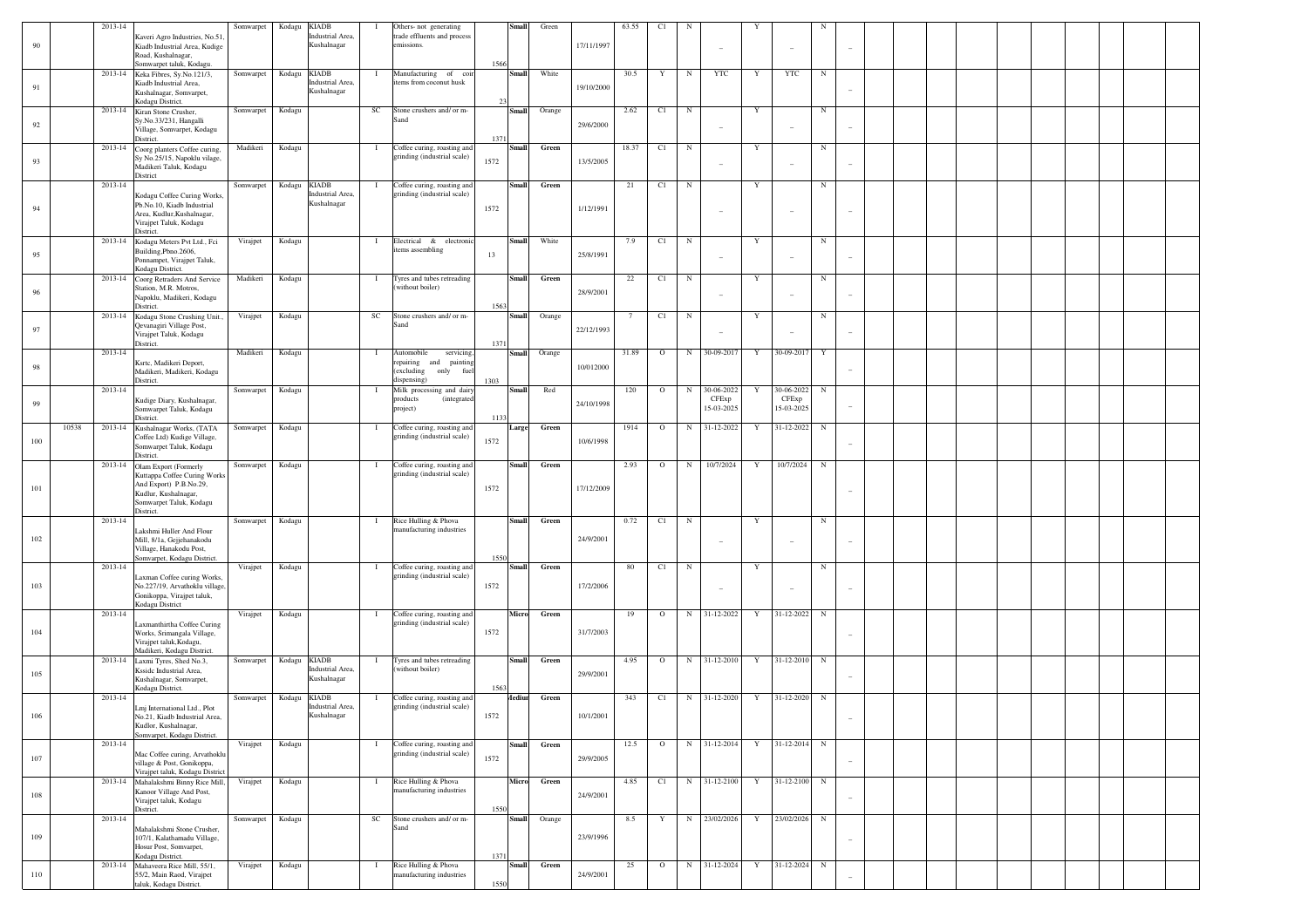| 90  |       | 2013-14 | Kaveri Agro Industries, No.51<br>Kiadb Industrial Area, Kudige<br>Road, Kushalnagar,                                                            | Somwarpet | Kodagu       | <b>KIADB</b><br>Industrial Area,<br>Kushalnagar | - 1          | Others- not generating<br>trade effluents and process<br>missions.                                 | <b>Small</b>                 | Green  | 17/11/1997 | 63.55 | C1      |             |                                   |   |                                   |            |                          |  |  |  |  |
|-----|-------|---------|-------------------------------------------------------------------------------------------------------------------------------------------------|-----------|--------------|-------------------------------------------------|--------------|----------------------------------------------------------------------------------------------------|------------------------------|--------|------------|-------|---------|-------------|-----------------------------------|---|-----------------------------------|------------|--------------------------|--|--|--|--|
| 91  |       |         | Somwarpet taluk, Kodagu<br>2013-14 Keka Fibres, Sy.No.121/3,<br>Kiadb Industrial Area,<br>Kushalnagar, Somvarpet,                               | Somwarpet | Kodagu       | <b>KIADB</b><br>Industrial Area,<br>Kushalnagar | $\mathbf{I}$ | Manufacturing of coil<br>items from coconut husk                                                   | 1566<br>Small                | White  | 19/10/2000 | 30.5  | Y       | $_{\rm N}$  | YTC                               | Y | <b>YTC</b>                        | $_{\rm N}$ |                          |  |  |  |  |
| 92  |       |         | Kodagu District.<br>2013-14 Kiran Stone Crusher,<br>Sy.No.33/231, Hangalli<br>Village, Somvarpet, Kodagu                                        | Somwarpet | Kodagu       |                                                 | SC           | Stone crushers and/ or m-<br>Sand                                                                  | <b>Small</b>                 | Orange | 29/6/2000  | 2.62  | C1      | $_{\rm N}$  |                                   | Y |                                   | $_{\rm N}$ |                          |  |  |  |  |
| 93  |       | 2013-14 | District.<br>Coorg planters Coffee curing,<br>Sv No.25/15, Napoklu vilage,<br>Madikeri Taluk, Kodagu<br>District                                | Madikeri  | Kodagu       |                                                 | $\mathbf{I}$ | Coffee curing, roasting and<br>grinding (industrial scale)                                         | 137<br>Small<br>1572         | Green  | 13/5/2005  | 18.37 | C1      | $_{\rm N}$  |                                   | Y |                                   | $_{\rm N}$ |                          |  |  |  |  |
| 94  |       | 2013-14 | Kodagu Coffee Curing Works,<br>Pb.No.10, Kiadb Industrial<br>Area, Kudlur, Kushalnagar,                                                         | Somwarpet | Kodagu KIADB | Industrial Area,<br>Kushalnagar                 | $\mathbf{I}$ | Coffee curing, roasting and<br>grinding (industrial scale)                                         | <b>Small</b><br>1572         | Green  | 1/12/1991  | 21    | C1      | $_{\rm N}$  |                                   | Y |                                   | $_{\rm N}$ |                          |  |  |  |  |
| 95  |       |         | Virajpet Taluk, Kodagu<br>District.<br>2013-14 Kodagu Meters Pvt Ltd., Fci<br>Building, Pbno. 2606,                                             | Virajpet  | Kodagu       |                                                 | $\mathbf{I}$ | Electrical & electronic<br>items assembling                                                        | Small<br>13                  | White  | 25/8/1991  | 7.9   | C1      | $_{\rm N}$  |                                   | Y |                                   | $_{\rm N}$ |                          |  |  |  |  |
|     |       |         | Ponnampet, Virajpet Taluk,<br>Kodagu District.<br>2013-14 Coorg Retraders And Service                                                           | Madikeri  | Kodagu       |                                                 | $\mathbf{I}$ | Tyres and tubes retreading<br>without boiler)                                                      | Small                        | Green  |            | 22    | C1      | $_{\rm N}$  |                                   | Y |                                   | $_{\rm N}$ |                          |  |  |  |  |
| 96  |       |         | Station, M.R. Motros,<br>Napoklu, Madikeri, Kodagu<br>District.<br>2013-14 Kodagu Stone Crushing Unit.,                                         | Virajpet  | Kodagu       |                                                 | SC           | Stone crushers and/ or m-                                                                          | 1563<br><b>Small</b>         | Orange | 28/9/2001  |       | C1      | $_{\rm N}$  |                                   | Y |                                   | $_{\rm N}$ |                          |  |  |  |  |
| 97  |       |         | Qevanagiri Village Post,<br>Virajpet Taluk, Kodagu<br>District.                                                                                 |           |              |                                                 |              | Sand                                                                                               | 1371                         |        | 22/12/1993 |       |         |             |                                   |   |                                   |            |                          |  |  |  |  |
| 98  |       | 2013-14 | Ksrtc, Madikeri Deport,<br>Madikeri, Madikeri, Kodagu<br>District.                                                                              | Madikeri  | Kodagu       |                                                 | $\mathbf{I}$ | Automobile<br>servicing.<br>epairing<br>and<br>painting<br>(excluding<br>only<br>fu<br>dispensing) | <b>Small</b><br>1303         | Orange | 10/012000  | 31.89 | $\circ$ | $\mathbf N$ | 30-09-2017                        | Y | 30-09-2017                        | Y          |                          |  |  |  |  |
| 99  |       | 2013-14 | Kudige Diary, Kushalnagar,<br>Somwarpet Taluk, Kodagu                                                                                           | Somwarpet | Kodagu       |                                                 | - 1          | Milk processing and dairy<br>products<br>(integrated<br>project)                                   | Small                        | Red    | 24/10/1998 | 120   | $\circ$ | $_{\rm N}$  | 30-06-2022<br>CFExp<br>15-03-2025 |   | 30-06-2022<br>CFExp<br>15-03-2025 | N          |                          |  |  |  |  |
| 100 | 10538 |         | District.<br>2013-14 Kushalnagar Works, (TATA<br>Coffee Ltd) Kudige Village,<br>Somwarpet Taluk, Kodagu                                         | Somwarpet | Kodagu       |                                                 | $\mathbf{I}$ | Coffee curing, roasting and<br>grinding (industrial scale)                                         | 1133<br>Large<br>1572        | Green  | 10/6/1998  | 1914  | $\circ$ | $_{\rm N}$  | 31-12-2022                        |   | 31-12-2022                        | N          |                          |  |  |  |  |
| 101 |       | 2013-14 | District.<br>Olam Export (Formerly<br>Kuttappa Coffee Curing Works<br>And Export) P.B.No.29,<br>Kudlur, Kushalnagar,<br>Somwarpet Taluk, Kodagu | Somwarpet | Kodagu       |                                                 | $\mathbf{I}$ | Coffee curing, roasting and<br>grinding (industrial scale)                                         | Small<br>1572                | Green  | 17/12/2009 | 2.93  | $\circ$ | $_{\rm N}$  | 10/7/2024                         | Y | 10/7/2024                         | N          |                          |  |  |  |  |
|     |       |         | District.                                                                                                                                       |           |              |                                                 |              |                                                                                                    |                              |        |            |       |         |             |                                   |   |                                   |            |                          |  |  |  |  |
| 102 |       | 2013-14 | Lakshmi Huller And Flour<br>Mill, 8/1a, Gejjehanakodu<br>Village, Hanakodu Post,<br>Somvarpet, Kodagu District.                                 | Somwarpet | Kodagu       |                                                 | $\mathbf{I}$ | Rice Hulling & Phova<br>nanufacturing industries                                                   | Small<br>1550                | Green  | 24/9/2001  | 0.72  | C1      | $_{\rm N}$  | $\overline{\phantom{a}}$          | Y |                                   | $_{\rm N}$ |                          |  |  |  |  |
| 103 |       | 2013-14 | Laxman Coffee curing Works,<br>No.227/19, Arvathoklu village,                                                                                   | Virajpet  | Kodagu       |                                                 | $\mathbf{I}$ | Coffee curing, roasting and<br>grinding (industrial scale)                                         | Small<br>1572                | Green  | 17/2/2006  | 80    | C1      | $_{\rm N}$  |                                   | Y |                                   | $_{\rm N}$ |                          |  |  |  |  |
|     |       | 2013-14 | Gonikoppa, Virajpet taluk,<br>Kodagu District                                                                                                   | Virajpet  | Kodagu       |                                                 | $\mathbf{I}$ | Coffee curing, roasting and                                                                        | Micro                        | Green  |            | 19    | $\circ$ | $\mathbf N$ | 31-12-2022                        | Y | 31-12-2022                        | $_{\rm N}$ |                          |  |  |  |  |
| 104 |       |         | Laxmanthirtha Coffee Curing<br>Works, Srimangala Village,<br>Virajpet taluk, Kodagu,<br>Madikeri, Kodagu District                               |           |              |                                                 |              | grinding (industrial scale)                                                                        | 1572                         |        | 31/7/2003  |       |         |             |                                   |   |                                   |            |                          |  |  |  |  |
| 105 |       | 2013-14 | Laxmi Tyres, Shed No.3,<br>Ksside Industrial Area,<br>Kushalnagar, Somvarpet,<br>Kodagu District.                                               | Somwarpet | Kodagu       | <b>KIADB</b><br>Industrial Area,<br>Kushalnagar | $\mathbf{I}$ | Tyres and tubes retreading<br>without boiler)                                                      | Small<br>1563                | Green  | 29/9/2001  | 4.95  | $\circ$ | $\mathbf N$ | 31-12-2010                        | Y | 31-12-2010                        | N          |                          |  |  |  |  |
| 106 |       | 2013-14 | Lmj International Ltd., Plot<br>Vo.21, Kiadb Industrial Area.<br>Kudlor, Kushalnagar,<br>Somvarpet, Kodagu District.                            | Somwarpet | Kodagu       | <b>KIADB</b><br>Industrial Area,<br>ushalnagar  | $\mathbf{I}$ | Coffee curing, roasting and<br>grinding (industrial scale)                                         | Aediur<br>1572               | Green  | 10/1/2001  | 343   | C1      | N           | 31-12-2020                        | Y | 31-12-2020                        | N          |                          |  |  |  |  |
| 107 |       | 2013-14 | Mac Coffee curing, Arvathoklu<br>village & Post, Gonikoppa,<br>Virajpet taluk, Kodagu District                                                  | Virajpet  | Kodagu       |                                                 | $\mathbf{I}$ | Coffee curing, roasting and<br>grinding (industrial scale)                                         | <b>Small</b><br>1572         | Green  | 29/9/2005  | 12.5  | $\circ$ |             | N 31-12-2014                      | Y | 31-12-2014                        | $_{\rm N}$ |                          |  |  |  |  |
| 108 |       |         | 2013-14 Mahalakshmi Binny Rice Mill,<br>Kanoor Village And Post,<br>Virajpet taluk, Kodagu<br>District.                                         | Virajpet  | Kodagu       |                                                 | $\mathbf{I}$ | Rice Hulling & Phova<br>nanufacturing industries                                                   | Micro<br>1550                | Green  | 24/9/2001  | 4.85  | C1      |             | N 31-12-2100                      | Y | 31-12-2100                        | $_{\rm N}$ |                          |  |  |  |  |
| 109 |       | 2013-14 | Mahalakshmi Stone Crusher,<br>107/1, Kalathamadu Village,<br>Hosur Post, Somvarpet,                                                             | Somwarpet | Kodagu       |                                                 | SC           | Stone crushers and/ or m-<br>Sand                                                                  | <b>Small</b>                 | Orange | 23/9/1996  | 8.5   |         | N           | 23/02/2026                        | Y | 23/02/2026                        | $_{\rm N}$ | $\overline{\phantom{a}}$ |  |  |  |  |
| 110 |       |         | Kodagu District.<br>2013-14 Mahaveera Rice Mill, 55/1,<br>55/2, Main Raod, Virajpet<br>taluk, Kodagu District.                                  | Virajpet  | Kodagu       |                                                 | $\mathbf{I}$ | Rice Hulling & Phova<br>nanufacturing industries                                                   | 1371<br><b>Small</b><br>1550 | Green  | 24/9/2001  | 25    | $\circ$ |             | N 31-12-2024                      | Y | 31-12-2024                        | $_{\rm N}$ |                          |  |  |  |  |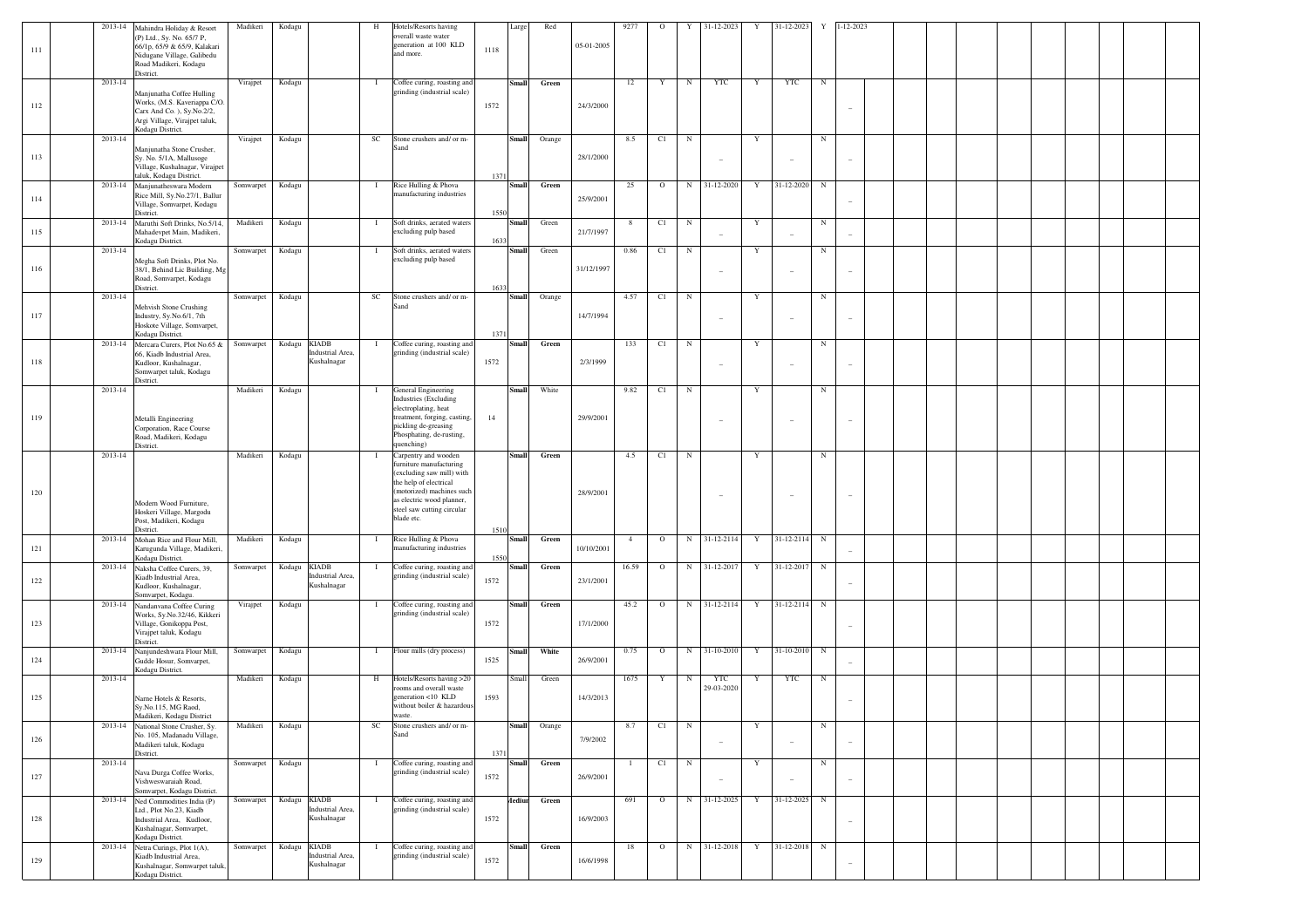| 111     |             | 2013-14 Mahindra Holiday & Resort<br>(P) Ltd., Sy. No. 65/7 P,<br>66/1p, 65/9 & 65/9, Kalakari<br>Nidugane Village, Galibedu<br>Road Madikeri, Kodagu | Madikeri  | Kodagu       |                                                 | H            | Hotels/Resorts having<br>overall waste water<br>generation at 100 KLD<br>and more.                                 | Large<br>1118  | Red    | 05-01-2005 | 9277           | $\circ$     | Y          | 31-12-2023               | Y           | $31-12-2023$ | $\mathbf Y$ | $1 - 12 - 2023$ |  |  |  |
|---------|-------------|-------------------------------------------------------------------------------------------------------------------------------------------------------|-----------|--------------|-------------------------------------------------|--------------|--------------------------------------------------------------------------------------------------------------------|----------------|--------|------------|----------------|-------------|------------|--------------------------|-------------|--------------|-------------|-----------------|--|--|--|
|         |             | District.                                                                                                                                             |           |              |                                                 |              |                                                                                                                    |                |        |            |                |             |            |                          |             |              |             |                 |  |  |  |
| 112     | 2013-14     | Manjunatha Coffee Hulling<br>Works, (M.S. Kaveriappa C/O.<br>Carx And Co. ), Sy.No.2/2,<br>Argi Village, Virajpet taluk,<br>Kodagu District.          | Virajpet  | Kodagu       |                                                 | $\bf{I}$     | Coffee curing, roasting and<br>grinding (industrial scale)                                                         | Small<br>1572  | Green  | 24/3/2000  | 12             | Y           | $_{\rm N}$ | YTC                      | Y           | YTC          | $_{\rm N}$  |                 |  |  |  |
|         | 2013-14     |                                                                                                                                                       | Virajpet  | Kodagu       |                                                 | SC           | Stone crushers and/ or m-<br>Sand                                                                                  | Small          | Orange |            | 8.5            | C1          | $_{\rm N}$ |                          | $\mathbf Y$ |              | $_{\rm N}$  |                 |  |  |  |
| 113     |             | Manjunatha Stone Crusher,<br>Sy. No. 5/1A, Mallusoge<br>Village, Kushalnagar, Virajpet<br>taluk, Kodagu District.                                     |           |              |                                                 |              |                                                                                                                    | 1371           |        | 28/1/2000  |                |             |            | $\overline{\phantom{a}}$ |             |              |             |                 |  |  |  |
| 114     |             | 2013-14 Manjunatheswara Modern<br>Rice Mill, Sy.No.27/1, Ballur<br>Village, Somvarpet, Kodagu<br>District.                                            | Somwarpet | Kodagu       |                                                 | $\mathbf{I}$ | Rice Hulling & Phova<br>manufacturing industries                                                                   | Small<br>1550  | Green  | 25/9/2001  | 25             | $\circ$     | N          | 31-12-2020               | Y           | 31-12-2020   | ${\bf N}$   |                 |  |  |  |
| 115     |             | 2013-14 Maruthi Soft Drinks, No.5/14,<br>Mahadevpet Main, Madikeri,                                                                                   | Madikeri  | Kodagu       |                                                 | $\mathbf{I}$ | Soft drinks, aerated waters<br>excluding pulp based                                                                | Small          | Green  | 21/7/1997  | 8              | C1          | $_{\rm N}$ |                          | Y           |              | $_{\rm N}$  |                 |  |  |  |
|         | 2013-14     | Kodagu District.                                                                                                                                      | Somwarpet | Kodagu       |                                                 | $\mathbf{I}$ | Soft drinks, aerated waters                                                                                        | 1633<br>Small  | Green  |            | 0.86           | C1          | $_{\rm N}$ |                          | Y           |              | $_{\rm N}$  |                 |  |  |  |
| 116     |             | Megha Soft Drinks, Plot No.<br>38/1, Behind Lic Building, Mg<br>Road, Somvarpet, Kodagu<br>District.                                                  |           |              |                                                 |              | excluding pulp based                                                                                               | 1633           |        | 31/12/1997 |                |             |            | $\overline{\phantom{a}}$ |             |              |             |                 |  |  |  |
|         | 2013-14     | Mehvish Stone Crushing                                                                                                                                | Somwarpet | Kodagu       |                                                 | SC           | Stone crushers and/ or m-<br>Sand                                                                                  | Small          | Orange |            | 4.57           | C1          | ${\bf N}$  |                          | Y           |              | $_{\rm N}$  |                 |  |  |  |
| 117     |             | Industry, Sy.No.6/1, 7th<br>Hoskote Village, Somvarpet,<br>Kodagu District.                                                                           |           |              |                                                 |              |                                                                                                                    | 1371           |        | 14/7/1994  |                |             |            | $\overline{\phantom{a}}$ |             |              |             |                 |  |  |  |
|         |             | 2013-14 Mercara Curers, Plot No.65 &<br>66, Kiadb Industrial Area,                                                                                    | Somwarpet | Kodagu       | <b>KIADB</b><br>Industrial Area,                | -1           | Coffee curing, roasting and<br>grinding (industrial scale)                                                         | Small          | Green  |            | 133            | C1          | ${\bf N}$  |                          | Y           |              | $_{\rm N}$  |                 |  |  |  |
| 118     |             | Kudloor, Kushalnagar,<br>Somwarpet taluk, Kodagu<br>District.                                                                                         |           |              | Kushalnagar                                     |              |                                                                                                                    | 1572           |        | 2/3/1999   |                |             |            | $\overline{\phantom{a}}$ |             |              |             |                 |  |  |  |
|         | 2013-14     |                                                                                                                                                       | Madikeri  | Kodagu       |                                                 | -1           | General Engineering<br>Industries (Excluding<br>electroplating, heat                                               | Small          | White  |            | 9.82           | C1          | $_{\rm N}$ |                          | Y           |              | $_{\rm N}$  |                 |  |  |  |
| 119     |             | Metalli Engineering<br>Corporation, Race Course<br>Road, Madikeri, Kodagu<br>District.                                                                |           |              |                                                 |              | treatment, forging, casting,<br>pickling de-greasing<br>Phosphating, de-rusting,<br>quenching)                     | 14             |        | 29/9/2001  |                |             |            |                          |             |              |             |                 |  |  |  |
|         | 2013-14     |                                                                                                                                                       | Madikeri  | Kodagu       |                                                 | $\mathbf{I}$ | Carpentry and wooden<br>furniture manufacturing                                                                    | Small          | Green  |            | 4.5            | C1          | $_{\rm N}$ |                          | $\mathbf Y$ |              | $_{\rm N}$  |                 |  |  |  |
| 120     |             | Modern Wood Furniture,                                                                                                                                |           |              |                                                 |              | (excluding saw mill) with<br>the help of electrical<br>(motorized) machines such<br>as electric wood planner,      |                |        | 28/9/2001  |                |             |            |                          |             |              |             |                 |  |  |  |
|         |             | Hoskeri Village, Margodu<br>Post, Madikeri, Kodagu<br>District.                                                                                       |           |              |                                                 |              | steel saw cutting circular<br>blade etc.                                                                           | 1510           |        |            |                |             |            |                          |             |              |             |                 |  |  |  |
| $121\,$ |             | 2013-14 Mohan Rice and Flour Mill,<br>Karugunda Village, Madikeri,<br>Kodagu District.                                                                | Madikeri  | Kodagu       |                                                 | $\mathbf{I}$ | Rice Hulling & Phova<br>manufacturing industries                                                                   | Small<br>1550  | Green  | 10/10/2001 | $\overline{4}$ | $\circ$     | N          | 31-12-2114               | $\mathbf Y$ | 31-12-2114 N |             |                 |  |  |  |
| 122     |             | 2013-14 Naksha Coffee Curers, 39,<br>Kiadb Industrial Area,<br>Kudloor, Kushalnagar,                                                                  | Somwarpet | Kodagu       | <b>KIADB</b><br>Industrial Area,<br>Kushalnagar | -1           | Coffee curing, roasting and<br>grinding (industrial scale)                                                         | Small<br>1572  | Green  | 23/1/2001  | 16.59          | $\mathbf O$ | N          | 31-12-2017               | $\mathbf Y$ | 31-12-2017   | N           |                 |  |  |  |
|         |             | Somvarpet, Kodagu.<br>2013-14 Nandanvana Coffee Curing                                                                                                | Virajpet  | Kodagu       |                                                 | $\mathbf{I}$ | Coffee curing, roasting and                                                                                        | Small          | Green  |            | 45.2           | $\circ$     | N          | 31-12-2114               | $\mathbf Y$ | 31-12-2114 N |             |                 |  |  |  |
| 123     |             | Works, Sy.No.32/46, Kikkeri<br>Village, Gonikoppa Post,<br>Virajpet taluk, Kodagu<br>District.                                                        |           |              |                                                 |              | grinding (industrial scale)                                                                                        | 1572           |        | 17/1/2000  |                |             |            |                          |             |              |             |                 |  |  |  |
| $124\,$ | 2013-14     | Nanjundeshwara Flour Mill<br>Gudde Hosur, Somvarpet,<br>Kodagu District.                                                                              | Somwarpet | Kodagu       |                                                 | -1           | Flour mills (dry process)                                                                                          | Small<br>1525  | White  | 26/9/2001  | 0.75           | $\circ$     | N          | 31-10-2010               | $\mathbf Y$ | 31-10-2010   | ${\bf N}$   |                 |  |  |  |
| 125     | 2013-14     | Narne Hotels & Resorts,<br>Sy.No.115, MG Raod,<br>Madikeri Kodagu District                                                                            | Madikeri  | Kodagu       |                                                 | H            | Hotels/Resorts having >20<br>rooms and overall waste<br>generation <10 KLD<br>without boiler & hazardous<br>waste. | Small<br>1593  | Green  | 14/3/2013  | 1675           | $\mathbf Y$ | $_{\rm N}$ | <b>YTC</b><br>29-03-2020 | Y           | YTC          | $_{\rm N}$  |                 |  |  |  |
| $126\,$ | $2013 - 14$ | National Stone Crusher, Sy.<br>No. 105, Madanadu Village,<br>Madikeri taluk, Kodagu<br>District.                                                      | Madikeri  | Kodagu       |                                                 | SC           | Stone crushers and/ or m-<br>Sand                                                                                  | Small<br>1371  | Orange | 7/9/2002   | 8.7            | C1          | $_{\rm N}$ | $\overline{\phantom{a}}$ | Y           |              | $_{\rm N}$  |                 |  |  |  |
| $127\,$ | 2013-14     | Nava Durga Coffee Works,<br>Vishweswaraiah Road,<br>Somvarpet, Kodagu District.                                                                       | Somwarpet | Kodagu       |                                                 | $\bf{I}$     | Coffee curing, roasting and<br>grinding (industrial scale)                                                         | Small<br>1572  | Green  | 26/9/2001  | $\mathbf{1}$   | C1          | ${\bf N}$  | $\overline{\phantom{a}}$ | $\mathbf Y$ |              | $_{\rm N}$  | $\sim$          |  |  |  |
| $128\,$ |             | 2013-14 Ned Commodities India (P)<br>Ltd., Plot No.23, Kiadb<br>Industrial Area, Kudloor,<br>Kushalnagar, Somvarpet,<br>Kodagu District.              | Somwarpet | Kodagu KIADB | Industrial Area,<br>Kushalnagar                 | -1           | Coffee curing, roasting and<br>grinding (industrial scale)                                                         | Aediur<br>1572 | Green  | 16/9/2003  | 691            | $\circ$     | N          | 31-12-2025               | Y           | 31-12-2025 N |             |                 |  |  |  |
| 129     | 2013-14     | Netra Curings, Plot 1(A),<br>Kiadb Industrial Area,<br>Kushalnagar, Somwarpet taluk<br>Kodagu District.                                               | Somwarpet | Kodagu KIADB | Industrial Area,<br>Kushalnagar                 |              | Coffee curing, roasting and<br>grinding (industrial scale)                                                         | Small<br>1572  | Green  | 16/6/1998  | 18             | $\circ$     | N          | 31-12-2018               | $\mathbf Y$ | 31-12-2018   | ${\bf N}$   |                 |  |  |  |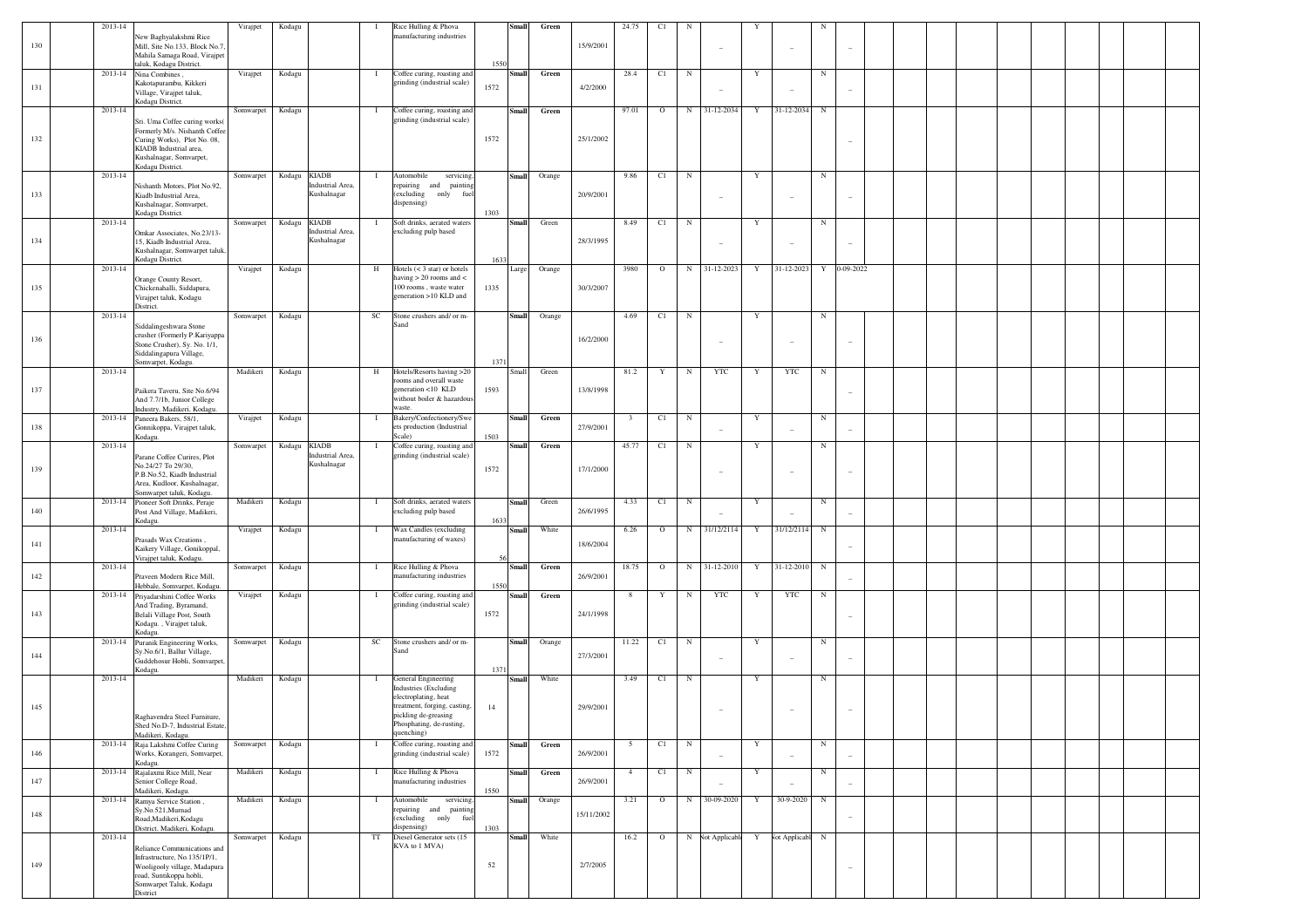|     | 2013-14 | New Baghyalakshmi Rice                                                                                                                | Virajpet  | Kodagu |                                                 | -1           | Rice Hulling & Phova<br>manufacturing industries                                                     |      | <b>Small</b> | Green  |            | 24.75          | C1      |            |                          |   |                          |            |                          |  |  |  |  |  |
|-----|---------|---------------------------------------------------------------------------------------------------------------------------------------|-----------|--------|-------------------------------------------------|--------------|------------------------------------------------------------------------------------------------------|------|--------------|--------|------------|----------------|---------|------------|--------------------------|---|--------------------------|------------|--------------------------|--|--|--|--|--|
| 130 |         | Mill, Site No.133, Block No.7,<br>Mahila Samaga Road, Virajpet<br>taluk, Kodagu District.                                             |           |        |                                                 |              |                                                                                                      | 1550 |              |        | 15/9/2001  |                |         |            | $\overline{\phantom{a}}$ |   | $\sim$                   |            | $\overline{\phantom{a}}$ |  |  |  |  |  |
| 131 | 2013-14 | Nina Combines,<br>Kakotapurambu, Kikkeri<br>Village, Virajpet taluk,<br>Kodagu District.                                              | Virajpet  | Kodagu |                                                 | - 1          | Coffee curing, roasting and<br>grinding (industrial scale)                                           | 1572 | Small        | Green  | 4/2/2000   | 28.4           | C1      | N          |                          | Y |                          | N          | $\sim$                   |  |  |  |  |  |
|     | 2013-14 | Sri. Uma Coffee curing works(                                                                                                         | Somwarpet | Kodagu |                                                 | - 1          | Coffee curing, roasting and<br>grinding (industrial scale)                                           |      | Small        | Green  |            | 97.01          | $\circ$ | N          | 31-12-2034               | Y | 31-12-2034               | N          |                          |  |  |  |  |  |
| 132 |         | Formerly M/s. Nishanth Coffee<br>Curing Works), Plot No. 08,<br>KIADB Industrial area,<br>Kushalnagar, Somvarpet,<br>Kodagu District. |           |        |                                                 |              |                                                                                                      | 1572 |              |        | 25/1/2002  |                |         |            |                          |   |                          |            |                          |  |  |  |  |  |
|     | 2013-14 | Nishanth Motors, Plot No.92,                                                                                                          | Somwarpet | Kodagu | <b>KIADB</b><br>Industrial Area,                |              | Automobile<br>servicing,<br>repairing and<br>painting                                                |      | <b>Small</b> | Orange |            | 9.86           | C1      | $_{\rm N}$ |                          | Y |                          | N          |                          |  |  |  |  |  |
| 133 |         | Kiadb Industrial Area.<br>Kushalnagar, Somvarpet,<br>Kodagu District.                                                                 |           |        | Kushalnagar                                     |              | (excluding<br>only fuel<br>dispensing)                                                               | 1303 |              |        | 20/9/2001  |                |         |            | $\overline{\phantom{a}}$ |   | $\overline{\phantom{a}}$ |            | $\overline{\phantom{a}}$ |  |  |  |  |  |
| 134 | 2013-14 | Omkar Associates, No.23/13-<br>15, Kiadb Industrial Area,<br>Kushalnagar, Somwarpet taluk                                             | Somwarpet | Kodagu | <b>KIADB</b><br>Industrial Area,<br>Kushalnagar |              | Soft drinks, aerated waters<br>excluding pulp based                                                  |      | <b>Small</b> | Green  | 28/3/1995  | 8.49           | C1      | $_{\rm N}$ | $\sim$                   | Y | $\sim$                   | N          | $\sim$                   |  |  |  |  |  |
|     | 2013-14 | Kodagu District.                                                                                                                      | Virajpet  | Kodagu |                                                 | H            | Hotels $(< 3 \text{ star})$ or hotels                                                                | 1633 | Large        | Orange |            | 3980           | $\circ$ | $_{\rm N}$ | 31-12-2023               | Y | 31-12-2023               | Y          | 0-09-2022                |  |  |  |  |  |
| 135 |         | Orange County Resort,<br>Chickenahalli, Siddapura,<br>Virajpet taluk, Kodagu<br>District.                                             |           |        |                                                 |              | having $> 20$ rooms and $<$<br>100 rooms, waste water<br>generation >10 KLD and                      | 1335 |              |        | 30/3/2007  |                |         |            |                          |   |                          |            |                          |  |  |  |  |  |
|     | 2013-14 | Siddalingeshwara Stone                                                                                                                | Somwarpet | Kodagu |                                                 | SC           | Stone crushers and/ or m-<br>Sanc                                                                    |      | Small        | Orange |            | 4.69           | C1      | N          |                          | Y |                          | N          |                          |  |  |  |  |  |
| 136 |         | crusher (Formerly P.Kariyappa<br>Stone Crusher), Sy. No. 1/1,<br>Siddalingapura Village,<br>Somvarpet, Kodagu.                        |           |        |                                                 |              |                                                                                                      | 1371 |              |        | 16/2/2000  |                |         |            | $\sim$                   |   | $\overline{\phantom{a}}$ |            | $\overline{\phantom{a}}$ |  |  |  |  |  |
|     | 2013-14 |                                                                                                                                       | Madikeri  | Kodagu |                                                 | H            | Hotels/Resorts having >20<br>coms and overall waste<br>generation <10 KLD                            |      | Small        | Green  |            | 81.2           | Y       | N          | <b>YTC</b>               | Y | <b>YTC</b>               | N          |                          |  |  |  |  |  |
| 137 |         | Paikera Taveru, Site No.6/94<br>And 7.7/1b, Junior College<br>Industry, Madikeri, Kodagu.                                             |           |        |                                                 |              | without boiler & hazardous<br>waste                                                                  | 1593 |              |        | 13/8/1998  |                |         |            |                          |   |                          |            | $\overline{a}$           |  |  |  |  |  |
| 138 |         | 2013-14 Paneera Bakers, 58/1,<br>Gonnikoppa, Virajpet taluk,<br>Kodagu.                                                               | Virajpet  | Kodagu |                                                 | -1           | Bakery/Confectionery/Swe<br>ets production (Industrial<br>Scale)                                     | 1503 | Small        | Green  | 27/9/2001  | 3              | C1      | N          |                          | Y | $\overline{\phantom{a}}$ | N          | $\sim$                   |  |  |  |  |  |
|     | 2013-14 | Parane Coffee Curires, Plot                                                                                                           | Somwarpet | Kodagu | <b>KIADB</b><br>Industrial Area,                |              | Coffee curing, roasting and<br>grinding (industrial scale)                                           |      | <b>Small</b> | Green  |            | 45.77          | C1      | N          |                          | Y |                          | N          |                          |  |  |  |  |  |
| 139 |         | No.24/27 To 29/30,<br>P.B.No.52, Kiadb Industrial<br>Area, Kudloor, Kushalnagar,<br>Somwarpet taluk, Kodagu.                          |           |        | Kushalnagar                                     |              |                                                                                                      | 1572 |              |        | 17/1/2000  |                |         |            | $\sim$                   |   | $\sim$                   |            | $\overline{\phantom{a}}$ |  |  |  |  |  |
| 140 |         | 2013-14 Pioneer Soft Drinks, Peraje<br>Post And Village, Madikeri,<br>Kodagu.                                                         | Madikeri  | Kodagu |                                                 | -1           | Soft drinks, aerated waters<br>excluding pulp based                                                  | 1633 | Small        | Green  | 26/6/1995  | 4.33           | C1      | N          |                          | Y |                          | N          | Ĭ.                       |  |  |  |  |  |
| 141 | 2013-14 | Prasads Wax Creations,                                                                                                                | Virajpet  | Kodagu |                                                 | $\mathbf{I}$ | Wax Candles (excluding<br>manufacturing of waxes)                                                    |      | <b>Small</b> | White  | 18/6/2004  | 6.26           | $\circ$ | $_{\rm N}$ | 31/12/2114               | Y | 31/12/2114               | $_{\rm N}$ |                          |  |  |  |  |  |
|     | 2013-14 | Kaikery Village, Gonikoppal,<br>Virajpet taluk, Kodagu.                                                                               | Somwarpet |        |                                                 | $\mathbf{I}$ | Rice Hulling & Phova                                                                                 |      | <b>Small</b> | Green  |            | 18.75          | $\circ$ | $_{\rm N}$ | 31-12-2010               | Y | 31-12-2010               | $_{\rm N}$ | ÷                        |  |  |  |  |  |
| 142 |         | Praveen Modern Rice Mill,<br>Hebbale, Somvarpet, Kodagu                                                                               |           | Kodagu |                                                 |              | manufacturing industries                                                                             | 1550 |              |        | 26/9/2001  |                |         |            |                          |   |                          |            | $\overline{a}$           |  |  |  |  |  |
|     |         | 2013-14 Priyadarshini Coffee Works<br>And Trading, Byramand,                                                                          | Virajpet  | Kodagu |                                                 | - 1          | Coffee curing, roasting and<br>grinding (industrial scale)                                           |      | Small        | Green  |            | 8              | Y       | N          | <b>YTC</b>               | Y | <b>YTC</b>               | N          |                          |  |  |  |  |  |
| 143 |         | Belali Village Post, South<br>Kodagu., Virajpet taluk,<br>Kodagu.                                                                     |           |        |                                                 |              |                                                                                                      | 1572 |              |        | 24/1/1998  |                |         |            |                          |   |                          |            | $\overline{\phantom{a}}$ |  |  |  |  |  |
| 144 | 2013-14 | Puranik Engineering Works,<br>Sy.No.6/1, Ballur Village,                                                                              | Somwarpet | Kodagu |                                                 | SC           | Stone crushers and/ or m-<br>Sanc                                                                    |      | Small        | Orange | 27/3/2001  | 11.22          | C1      | $_{\rm N}$ | $\sim$                   | Y | $\overline{\phantom{a}}$ | N          | $\sim$                   |  |  |  |  |  |
|     | 2013-14 | .<br>Guddehosur Hobli, Somvarpet,<br>Kodagu.                                                                                          | Madikeri  | Kodagu |                                                 | -1           | General Engineering                                                                                  | 1371 | Small        | White  |            | 3.49           | C1      | $_{\rm N}$ |                          | Y |                          | N          |                          |  |  |  |  |  |
|     |         |                                                                                                                                       |           |        |                                                 |              | <b>Industries</b> (Excluding<br>electroplating, heat                                                 |      |              |        |            |                |         |            |                          |   |                          |            |                          |  |  |  |  |  |
| 145 |         | Raghavendra Steel Furniture,<br>Shed No.D-7, Industrial Estate,<br>Madikeri, Kodagu.                                                  |           |        |                                                 |              | treatment, forging, casting,<br><i>ickling</i> de-greasing<br>Phosphating, de-rusting,<br>quenching) | 14   |              |        | 29/9/2001  |                |         |            |                          |   |                          |            |                          |  |  |  |  |  |
| 146 |         | 2013-14 Raja Lakshmi Coffee Curing<br>Works, Korangeri, Somvarpet,<br>Kodagu.                                                         | Somwarpet | Kodagu |                                                 | -1           | Coffee curing, roasting and<br>grinding (industrial scale)                                           | 1572 | Small        | Green  | 26/9/2001  | 5              | C1      | $_{\rm N}$ | $\sim$                   | Y | $\overline{\phantom{a}}$ | N          | $\sim$                   |  |  |  |  |  |
| 147 |         | 2013-14 Rajalaxmi Rice Mill, Near<br>Senior College Road,<br>Madikeri, Kodagu.                                                        | Madikeri  | Kodagu |                                                 | $\mathbf{I}$ | Rice Hulling & Phova<br>manufacturing industries                                                     | 1550 | <b>Small</b> | Green  | 26/9/2001  | $\overline{4}$ | C1      | $_{\rm N}$ | $\overline{\phantom{a}}$ | Y | $\overline{\phantom{a}}$ | N          | $\overline{\phantom{a}}$ |  |  |  |  |  |
| 148 |         | 2013-14 Ramya Service Station,<br>Sy.No.521, Murnad<br>Road, Madikeri, Kodagu<br>District, Madikeri, Kodagu.                          | Madikeri  | Kodagu |                                                 | $\mathbf{I}$ | Automobile<br>servicing,<br>repairing and painting<br>(excluding only fuel<br>dispensing)            | 1303 | <b>Small</b> | Orange | 15/11/2002 | 3.21           | $\circ$ | $_{\rm N}$ | 30-09-2020               | Y | 30-9-2020                | $_{\rm N}$ | $\sim$                   |  |  |  |  |  |
|     | 2013-14 | Reliance Communications and                                                                                                           | Somwarpet | Kodagu |                                                 | TT           | Diesel Generator sets (15<br>KVA to 1 MVA)                                                           |      | <b>Small</b> | White  |            | 16.2           | $\circ$ |            | N Not Applicabl Y        |   | Not Applicabl N          |            |                          |  |  |  |  |  |
| 149 |         | Infrastructure, No.135/1P/1,<br>Wooligooly village, Madapura<br>road, Suntikoppa hobli,<br>Somwarpet Taluk, Kodagu<br>District        |           |        |                                                 |              |                                                                                                      | 52   |              |        | 2/7/2005   |                |         |            |                          |   |                          |            | $\overline{\phantom{a}}$ |  |  |  |  |  |
|     |         |                                                                                                                                       |           |        |                                                 |              |                                                                                                      |      |              |        |            |                |         |            |                          |   |                          |            |                          |  |  |  |  |  |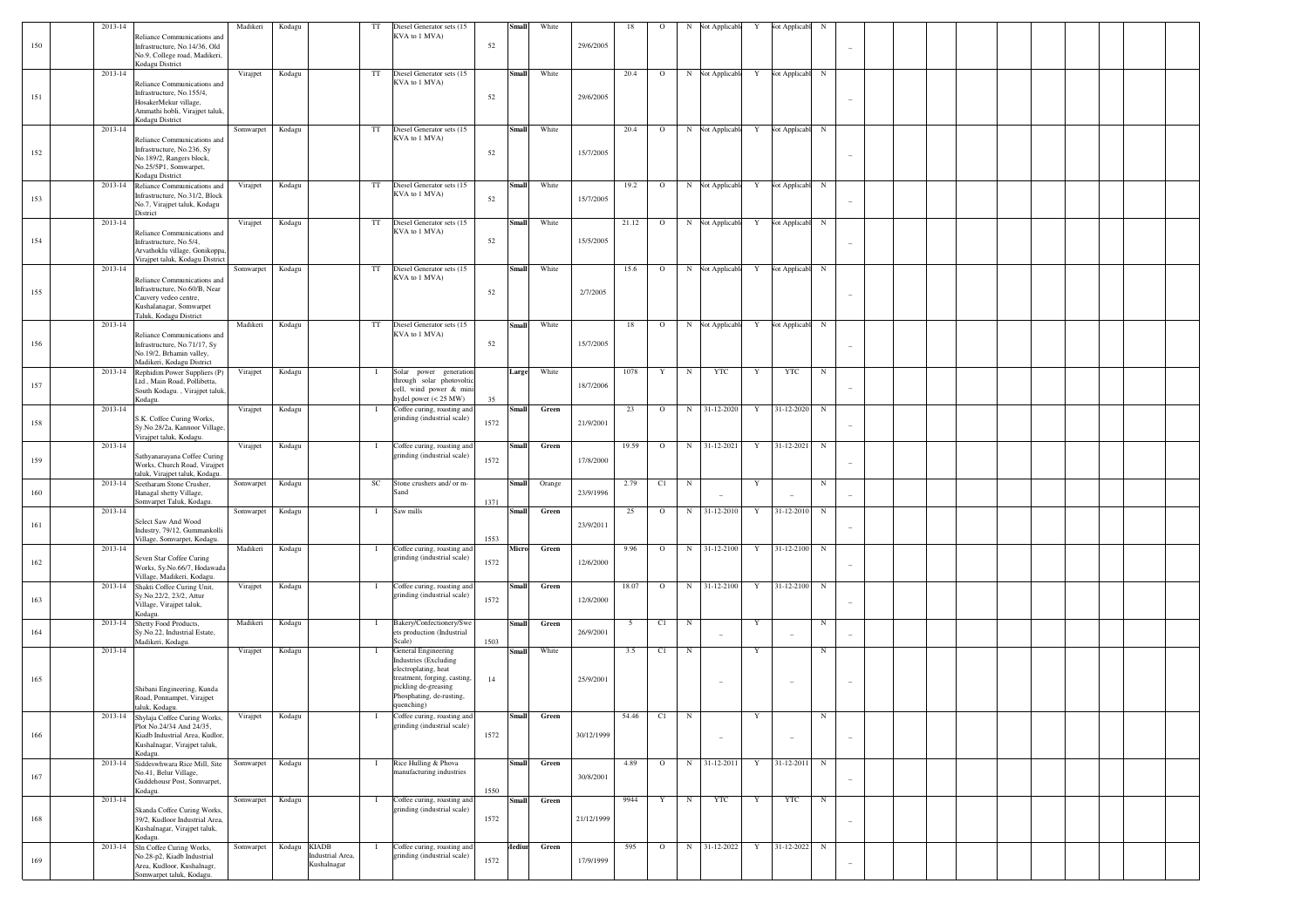| 150<br>52<br>29/6/2005<br>Infrastructure, No.14/36, Old<br>No.9, College road, Madikeri,<br>Kodagu District<br>2013-14<br>$_{\rm TT}$<br>White<br>20.4<br>${\bf N}$<br>Virajpet<br>Kodagu<br>Diesel Generator sets (15<br><b>Small</b><br>$\circ$<br>$\mathbf N$<br>Not Applicabl<br>Not Applicabl<br>Y<br>KVA to 1 MVA)<br>Reliance Communications and<br>Infrastructure, No.155/4,<br>151<br>52<br>29/6/2005<br>HosakerMekur village,<br>Ammathi hobli, Virajpet taluk<br>Kodagu District<br>2013-14<br>TT<br>White<br>20.4<br><b>Not Applicable</b><br>N<br>Somwarpet<br>Kodagu<br>Diesel Generator sets (15<br><b>Small</b><br>$\circ$<br>N<br>Not Applicabl<br>Y<br>KVA to 1 MVA)<br>Reliance Communications and<br>Infrastructure, No.236, Sy<br>152<br>52<br>15/7/2005<br>No.189/2, Rangers block,<br>No.25/5P1, Somwarpet,<br>Kodagu District<br>2013-14<br>$_{\rm TT}$<br>White<br>19.2<br>$\circ$<br>Not Applicable<br>${\bf N}$<br>Virajpet<br>Kodagu<br>Diesel Generator sets (15<br>Small<br>$\mathbf N$<br>Y<br>Not Applicabl<br>Reliance Communications and<br>KVA to 1 MVA)<br>Infrastructure, No.31/2, Block<br>153<br>52<br>15/7/2005<br>No.7, Virajpet taluk, Kodagu<br>District<br>2013-14<br>$_{\rm TT}$<br>White<br>21.12<br>$\circ$<br>Not Applicable<br>${\bf N}$<br>Virajpet<br>Kodagu<br>Diesel Generator sets (15<br>Small<br>$\mathbf N$<br>Y<br><b>Not Applicabl</b><br>KVA to 1 MVA)<br>Reliance Communications and<br>154<br>52<br>15/5/2005<br>Infrastructure, No.5/4,<br>Arvathoklu village, Gonikoppa,<br>Virajpet taluk, Kodagu District<br>2013-14<br>$_{\rm TT}$<br>Diesel Generator sets (15<br>Small<br>White<br>15.6<br>$\circ$<br>Not Applicable<br>${\bf N}$<br>Somwarpet<br>Kodagu<br>$_{\rm N}$<br>Y<br>Vot Applicabl<br>KVA to 1 MVA)<br>Reliance Communications and<br>Infrastructure, No.60/B, Near<br>155<br>52<br>2/7/2005<br>Cauvery vedeo centre,<br>Kushalanagar, Somwarpet<br>Taluk, Kodagu District<br>2013-14<br>Madikeri<br>Kodagu<br>TT<br>White<br>18<br>Not Applicable<br>N<br>Diesel Generator sets (15<br><b>Small</b><br>$\circ$<br>N<br><b>Not Applicabl</b><br>Y<br>KVA to 1 MVA)<br>Reliance Communications and<br>15/7/2005<br>156<br>52<br>Infrastructure, No.71/17, Sy<br>No.19/2, Brhamin valley,<br>Madikeri, Kodagu District<br>2013-14<br>White<br>1078<br>$\mathbf Y$<br>${\bf N}$<br>YTC<br><b>YTC</b><br>$_{\rm N}$<br>Virajpet<br>Kodagu<br>Solar power generation<br>Large<br>Y<br>Rephidim Power Suppliers (P)<br>-1<br>through solar photovoltic<br>Ltd., Main Road, Pollibetta,<br>157<br>18/7/2006<br>cell, wind power & mini<br>South Kodagu., Virajpet taluk<br>hydel power (< 25 MW)<br>35<br>Kodagu.<br>2013-14<br>Coffee curing, roasting and<br>23<br>$\circ$<br>N<br>31-12-2020<br>31-12-2020<br>$_{\rm N}$<br>Virajpet<br>Kodagu<br><b>Small</b><br>Green<br>Y<br>- 1<br>grinding (industrial scale)<br>S.K. Coffee Curing Works,<br>158<br>1572<br>21/9/2001<br>Sy.No.28/2a, Kannoor Village,<br>Virajpet taluk, Kodagu.<br>2013-14<br>19.59<br>$\circ$<br>N<br>31-12-2021<br>31-12-2021<br>$_{\rm N}$<br>Virajpet<br>Kodagu<br>Coffee curing, roasting and<br><b>Small</b><br>Green<br>Y<br>-1<br>grinding (industrial scale)<br>Sathyanarayana Coffee Curing<br>159<br>1572<br>17/8/2000<br>Works, Church Road, Virajpet<br>taluk, Virajpet taluk, Kodagu.<br>2013-14<br>$_{\rm SC}$<br>2.79<br>C1<br>${\bf N}$<br>$\mathbf Y$<br>$_{\rm N}$<br>Somwarpet<br>Kodagu<br>Stone crushers and/ or m-<br><b>Small</b><br>Orange<br>Seetharam Stone Crusher,<br>160<br>23/9/1996<br>Hanagal shetty Village,<br>Sand<br>Somvarpet Taluk, Kodagu.<br>1371<br>2013-14<br>25<br>$31-12-2010$<br>31-12-2010<br>$_{\rm N}$<br>Somwarpet<br>Kodagu<br>Saw mills<br><b>Small</b><br>Green<br>$\circ$<br>N<br>Y<br>л.<br>Select Saw And Wood<br>161<br>23/9/2011<br>Industry, 79/12, Gummankolli<br>Village, Somvarpet, Kodagu.<br>1553<br>2013-14<br>Madikeri<br>Micro<br>9.96<br>N<br>$31-12-2100$<br>31-12-2100<br>$_{\rm N}$<br>Kodagu<br>Coffee curing, roasting and<br>Green<br>$\circ$<br>Y<br>-1<br>grinding (industrial scale)<br>Seven Star Coffee Curing<br>162<br>1572<br>12/6/2000<br>Works, Sy.No.66/7, Hodawada<br>Village, Madikeri, Kodagu.<br>2013-14<br>Green<br>18.07<br>$\circ$<br>N<br>31-12-2100<br>$\mathbf Y$<br>31-12-2100<br>$_{\rm N}$<br>Virajpet<br>Kodagu<br>Coffee curing, roasting and<br><b>Small</b><br>Shakti Coffee Curing Unit,<br>-1<br>grinding (industrial scale)<br>Sy.No.22/2, 23/2, Attur<br>1572<br>163<br>12/8/2000<br>Village, Virajpet taluk,<br>Kodagu.<br>2013-14<br>Madikeri<br>Green<br>$5\overline{ }$<br>C1<br>${\bf N}$<br>$\mathbf Y$<br>$_{\rm N}$<br>Shetty Food Products,<br>Kodagu<br>Bakery/Confectionery/Swe<br><b>Small</b><br>- 1<br>164<br>Sy.No.22, Industrial Estate,<br>ets production (Industrial<br>26/9/2001<br>1503<br>Madikeri, Kodagu.<br>Scale)<br>2013-14<br>White<br>3.5<br>C1<br>$_{\rm N}$<br>$_{\rm N}$<br>Virajpet<br>Kodagu<br>General Engineering<br><b>Small</b><br>$\mathbf Y$<br><b>Industries</b> (Excluding<br>electroplating, heat<br>treatment, forging, casting,<br>165<br>14<br>25/9/2001<br>$\overline{\phantom{a}}$<br>pickling de-greasing<br>Shibani Engineering, Kunda<br>Phosphating, de-rusting,<br>Road, Ponnampet, Virajpet<br>quenching)<br>taluk, Kodagu.<br>2013-14<br>Small Green<br>54.46 C1 N<br>Shylaja Coffee Curing Works, Virajpet Kodagu<br>Coffee curing, roasting and<br>$\mathbf{Y}$<br>$_{\rm N}$<br>grinding (industrial scale)<br>Plot No.24/34 And 24/35,<br>166<br>1572<br>30/12/1999<br>Kiadb Industrial Area, Kudlor<br>$\overline{\phantom{a}}$<br>$\sim$<br>$\overline{\phantom{a}}$<br>Kushalnagar, Virajpet taluk,<br>Kodagu.<br>2013-14 Siddeswhwara Rice Mill, Site<br>Rice Hulling & Phova<br>31-12-2011<br>Kodagu<br>Small<br>Green<br>4.89<br>$\circ$<br>N<br>31-12-2011<br>$\mathbf Y$<br>$_{\rm N}$<br>Somwarpet<br>$\bf{I}$<br>manufacturing industries<br>No.41, Belur Village,<br>167<br>30/8/2001<br>Guddehousr Post, Somvarpet,<br>$\sim$<br>1550<br>Kodagu.<br>2013-14<br>Kodagu<br>Coffee curing, roasting and<br>Small<br>Green<br>9944<br>$\mathbf Y$<br>${\bf N}$<br><b>YTC</b><br>$\mathbf Y$<br><b>YTC</b><br>$\,$ N<br>Somwarpet<br>$\mathbf{I}$<br>grinding (industrial scale)<br>Skanda Coffee Curing Works,<br>168<br>21/12/1999<br>39/2, Kudloor Industrial Area,<br>1572<br>۰<br>Kushalnagar, Virajpet taluk,<br>Kodagu.<br>Kodagu KIADB<br>31-12-2022<br>2013-14<br>Coffee curing, roasting and<br>Aediun Green<br>595<br>$\circ$<br>N<br>31-12-2022<br>$\mathbf Y$<br>$_{\rm N}$<br>Sln Coffee Curing Works,<br>Somwarpet<br>-1<br>Industrial Area,<br>grinding (industrial scale)<br>No.28-p2, Kiadb Industrial<br>169<br>1572<br>17/9/1999<br>Kushalnagar<br>Area, Kudloor, Kushalnagr,<br>۰ | 2013-14 |                             | Madikeri | Kodagu | $\operatorname{TT}$ | Diesel Generator sets (15 | <b>Small</b> | White | 18 | $\circ$ | N | <b>Not Applicable</b> | Y | <b>Not Applicabl</b> | $_{\rm N}$ |  |  |  |  |
|--------------------------------------------------------------------------------------------------------------------------------------------------------------------------------------------------------------------------------------------------------------------------------------------------------------------------------------------------------------------------------------------------------------------------------------------------------------------------------------------------------------------------------------------------------------------------------------------------------------------------------------------------------------------------------------------------------------------------------------------------------------------------------------------------------------------------------------------------------------------------------------------------------------------------------------------------------------------------------------------------------------------------------------------------------------------------------------------------------------------------------------------------------------------------------------------------------------------------------------------------------------------------------------------------------------------------------------------------------------------------------------------------------------------------------------------------------------------------------------------------------------------------------------------------------------------------------------------------------------------------------------------------------------------------------------------------------------------------------------------------------------------------------------------------------------------------------------------------------------------------------------------------------------------------------------------------------------------------------------------------------------------------------------------------------------------------------------------------------------------------------------------------------------------------------------------------------------------------------------------------------------------------------------------------------------------------------------------------------------------------------------------------------------------------------------------------------------------------------------------------------------------------------------------------------------------------------------------------------------------------------------------------------------------------------------------------------------------------------------------------------------------------------------------------------------------------------------------------------------------------------------------------------------------------------------------------------------------------------------------------------------------------------------------------------------------------------------------------------------------------------------------------------------------------------------------------------------------------------------------------------------------------------------------------------------------------------------------------------------------------------------------------------------------------------------------------------------------------------------------------------------------------------------------------------------------------------------------------------------------------------------------------------------------------------------------------------------------------------------------------------------------------------------------------------------------------------------------------------------------------------------------------------------------------------------------------------------------------------------------------------------------------------------------------------------------------------------------------------------------------------------------------------------------------------------------------------------------------------------------------------------------------------------------------------------------------------------------------------------------------------------------------------------------------------------------------------------------------------------------------------------------------------------------------------------------------------------------------------------------------------------------------------------------------------------------------------------------------------------------------------------------------------------------------------------------------------------------------------------------------------------------------------------------------------------------------------------------------------------------------------------------------------------------------------------------------------------------------------------------------------------------------------------------------------------------------------------------------------------------------------------------------------------------------------------------------------------------------------------------------------------------------------------------------------------------------------------------------------------------------------------------------------------------------------------------------------------------------------------------------------------------------------------------------------------------------------------------------------------------------------------------------------------------------------------------------------------------------------------------------------------------------------------------------------------------------------------------------------------------------------------------------------------------------------------------------------------------------------------------------------------------------------------------------------------------------------------------------------------------------------------------------------------------------------------------------------------------------------------------------------------------------------------------------------------------------------------------------------------------------------------------------------------------------------------------------------------------------------------------------------------------------------------------------------------------------------------------------------------------------------------------------------------------------------------------------------------|---------|-----------------------------|----------|--------|---------------------|---------------------------|--------------|-------|----|---------|---|-----------------------|---|----------------------|------------|--|--|--|--|
|                                                                                                                                                                                                                                                                                                                                                                                                                                                                                                                                                                                                                                                                                                                                                                                                                                                                                                                                                                                                                                                                                                                                                                                                                                                                                                                                                                                                                                                                                                                                                                                                                                                                                                                                                                                                                                                                                                                                                                                                                                                                                                                                                                                                                                                                                                                                                                                                                                                                                                                                                                                                                                                                                                                                                                                                                                                                                                                                                                                                                                                                                                                                                                                                                                                                                                                                                                                                                                                                                                                                                                                                                                                                                                                                                                                                                                                                                                                                                                                                                                                                                                                                                                                                                                                                                                                                                                                                                                                                                                                                                                                                                                                                                                                                                                                                                                                                                                                                                                                                                                                                                                                                                                                                                                                                                                                                                                                                                                                                                                                                                                                                                                                                                                                                                                                                                                                                                                                                                                                                                                                                                                                                                                                                                                                                                                                                                                                                                                                                                                                                                                                                                                                                                                                                                                                                                                      |         | Reliance Communications and |          |        |                     | KVA to 1 MVA)             |              |       |    |         |   |                       |   |                      |            |  |  |  |  |
|                                                                                                                                                                                                                                                                                                                                                                                                                                                                                                                                                                                                                                                                                                                                                                                                                                                                                                                                                                                                                                                                                                                                                                                                                                                                                                                                                                                                                                                                                                                                                                                                                                                                                                                                                                                                                                                                                                                                                                                                                                                                                                                                                                                                                                                                                                                                                                                                                                                                                                                                                                                                                                                                                                                                                                                                                                                                                                                                                                                                                                                                                                                                                                                                                                                                                                                                                                                                                                                                                                                                                                                                                                                                                                                                                                                                                                                                                                                                                                                                                                                                                                                                                                                                                                                                                                                                                                                                                                                                                                                                                                                                                                                                                                                                                                                                                                                                                                                                                                                                                                                                                                                                                                                                                                                                                                                                                                                                                                                                                                                                                                                                                                                                                                                                                                                                                                                                                                                                                                                                                                                                                                                                                                                                                                                                                                                                                                                                                                                                                                                                                                                                                                                                                                                                                                                                                                      |         |                             |          |        |                     |                           |              |       |    |         |   |                       |   |                      |            |  |  |  |  |
|                                                                                                                                                                                                                                                                                                                                                                                                                                                                                                                                                                                                                                                                                                                                                                                                                                                                                                                                                                                                                                                                                                                                                                                                                                                                                                                                                                                                                                                                                                                                                                                                                                                                                                                                                                                                                                                                                                                                                                                                                                                                                                                                                                                                                                                                                                                                                                                                                                                                                                                                                                                                                                                                                                                                                                                                                                                                                                                                                                                                                                                                                                                                                                                                                                                                                                                                                                                                                                                                                                                                                                                                                                                                                                                                                                                                                                                                                                                                                                                                                                                                                                                                                                                                                                                                                                                                                                                                                                                                                                                                                                                                                                                                                                                                                                                                                                                                                                                                                                                                                                                                                                                                                                                                                                                                                                                                                                                                                                                                                                                                                                                                                                                                                                                                                                                                                                                                                                                                                                                                                                                                                                                                                                                                                                                                                                                                                                                                                                                                                                                                                                                                                                                                                                                                                                                                                                      |         |                             |          |        |                     |                           |              |       |    |         |   |                       |   |                      |            |  |  |  |  |
|                                                                                                                                                                                                                                                                                                                                                                                                                                                                                                                                                                                                                                                                                                                                                                                                                                                                                                                                                                                                                                                                                                                                                                                                                                                                                                                                                                                                                                                                                                                                                                                                                                                                                                                                                                                                                                                                                                                                                                                                                                                                                                                                                                                                                                                                                                                                                                                                                                                                                                                                                                                                                                                                                                                                                                                                                                                                                                                                                                                                                                                                                                                                                                                                                                                                                                                                                                                                                                                                                                                                                                                                                                                                                                                                                                                                                                                                                                                                                                                                                                                                                                                                                                                                                                                                                                                                                                                                                                                                                                                                                                                                                                                                                                                                                                                                                                                                                                                                                                                                                                                                                                                                                                                                                                                                                                                                                                                                                                                                                                                                                                                                                                                                                                                                                                                                                                                                                                                                                                                                                                                                                                                                                                                                                                                                                                                                                                                                                                                                                                                                                                                                                                                                                                                                                                                                                                      |         |                             |          |        |                     |                           |              |       |    |         |   |                       |   |                      |            |  |  |  |  |
|                                                                                                                                                                                                                                                                                                                                                                                                                                                                                                                                                                                                                                                                                                                                                                                                                                                                                                                                                                                                                                                                                                                                                                                                                                                                                                                                                                                                                                                                                                                                                                                                                                                                                                                                                                                                                                                                                                                                                                                                                                                                                                                                                                                                                                                                                                                                                                                                                                                                                                                                                                                                                                                                                                                                                                                                                                                                                                                                                                                                                                                                                                                                                                                                                                                                                                                                                                                                                                                                                                                                                                                                                                                                                                                                                                                                                                                                                                                                                                                                                                                                                                                                                                                                                                                                                                                                                                                                                                                                                                                                                                                                                                                                                                                                                                                                                                                                                                                                                                                                                                                                                                                                                                                                                                                                                                                                                                                                                                                                                                                                                                                                                                                                                                                                                                                                                                                                                                                                                                                                                                                                                                                                                                                                                                                                                                                                                                                                                                                                                                                                                                                                                                                                                                                                                                                                                                      |         |                             |          |        |                     |                           |              |       |    |         |   |                       |   |                      |            |  |  |  |  |
|                                                                                                                                                                                                                                                                                                                                                                                                                                                                                                                                                                                                                                                                                                                                                                                                                                                                                                                                                                                                                                                                                                                                                                                                                                                                                                                                                                                                                                                                                                                                                                                                                                                                                                                                                                                                                                                                                                                                                                                                                                                                                                                                                                                                                                                                                                                                                                                                                                                                                                                                                                                                                                                                                                                                                                                                                                                                                                                                                                                                                                                                                                                                                                                                                                                                                                                                                                                                                                                                                                                                                                                                                                                                                                                                                                                                                                                                                                                                                                                                                                                                                                                                                                                                                                                                                                                                                                                                                                                                                                                                                                                                                                                                                                                                                                                                                                                                                                                                                                                                                                                                                                                                                                                                                                                                                                                                                                                                                                                                                                                                                                                                                                                                                                                                                                                                                                                                                                                                                                                                                                                                                                                                                                                                                                                                                                                                                                                                                                                                                                                                                                                                                                                                                                                                                                                                                                      |         |                             |          |        |                     |                           |              |       |    |         |   |                       |   |                      |            |  |  |  |  |
|                                                                                                                                                                                                                                                                                                                                                                                                                                                                                                                                                                                                                                                                                                                                                                                                                                                                                                                                                                                                                                                                                                                                                                                                                                                                                                                                                                                                                                                                                                                                                                                                                                                                                                                                                                                                                                                                                                                                                                                                                                                                                                                                                                                                                                                                                                                                                                                                                                                                                                                                                                                                                                                                                                                                                                                                                                                                                                                                                                                                                                                                                                                                                                                                                                                                                                                                                                                                                                                                                                                                                                                                                                                                                                                                                                                                                                                                                                                                                                                                                                                                                                                                                                                                                                                                                                                                                                                                                                                                                                                                                                                                                                                                                                                                                                                                                                                                                                                                                                                                                                                                                                                                                                                                                                                                                                                                                                                                                                                                                                                                                                                                                                                                                                                                                                                                                                                                                                                                                                                                                                                                                                                                                                                                                                                                                                                                                                                                                                                                                                                                                                                                                                                                                                                                                                                                                                      |         |                             |          |        |                     |                           |              |       |    |         |   |                       |   |                      |            |  |  |  |  |
|                                                                                                                                                                                                                                                                                                                                                                                                                                                                                                                                                                                                                                                                                                                                                                                                                                                                                                                                                                                                                                                                                                                                                                                                                                                                                                                                                                                                                                                                                                                                                                                                                                                                                                                                                                                                                                                                                                                                                                                                                                                                                                                                                                                                                                                                                                                                                                                                                                                                                                                                                                                                                                                                                                                                                                                                                                                                                                                                                                                                                                                                                                                                                                                                                                                                                                                                                                                                                                                                                                                                                                                                                                                                                                                                                                                                                                                                                                                                                                                                                                                                                                                                                                                                                                                                                                                                                                                                                                                                                                                                                                                                                                                                                                                                                                                                                                                                                                                                                                                                                                                                                                                                                                                                                                                                                                                                                                                                                                                                                                                                                                                                                                                                                                                                                                                                                                                                                                                                                                                                                                                                                                                                                                                                                                                                                                                                                                                                                                                                                                                                                                                                                                                                                                                                                                                                                                      |         |                             |          |        |                     |                           |              |       |    |         |   |                       |   |                      |            |  |  |  |  |
|                                                                                                                                                                                                                                                                                                                                                                                                                                                                                                                                                                                                                                                                                                                                                                                                                                                                                                                                                                                                                                                                                                                                                                                                                                                                                                                                                                                                                                                                                                                                                                                                                                                                                                                                                                                                                                                                                                                                                                                                                                                                                                                                                                                                                                                                                                                                                                                                                                                                                                                                                                                                                                                                                                                                                                                                                                                                                                                                                                                                                                                                                                                                                                                                                                                                                                                                                                                                                                                                                                                                                                                                                                                                                                                                                                                                                                                                                                                                                                                                                                                                                                                                                                                                                                                                                                                                                                                                                                                                                                                                                                                                                                                                                                                                                                                                                                                                                                                                                                                                                                                                                                                                                                                                                                                                                                                                                                                                                                                                                                                                                                                                                                                                                                                                                                                                                                                                                                                                                                                                                                                                                                                                                                                                                                                                                                                                                                                                                                                                                                                                                                                                                                                                                                                                                                                                                                      |         |                             |          |        |                     |                           |              |       |    |         |   |                       |   |                      |            |  |  |  |  |
|                                                                                                                                                                                                                                                                                                                                                                                                                                                                                                                                                                                                                                                                                                                                                                                                                                                                                                                                                                                                                                                                                                                                                                                                                                                                                                                                                                                                                                                                                                                                                                                                                                                                                                                                                                                                                                                                                                                                                                                                                                                                                                                                                                                                                                                                                                                                                                                                                                                                                                                                                                                                                                                                                                                                                                                                                                                                                                                                                                                                                                                                                                                                                                                                                                                                                                                                                                                                                                                                                                                                                                                                                                                                                                                                                                                                                                                                                                                                                                                                                                                                                                                                                                                                                                                                                                                                                                                                                                                                                                                                                                                                                                                                                                                                                                                                                                                                                                                                                                                                                                                                                                                                                                                                                                                                                                                                                                                                                                                                                                                                                                                                                                                                                                                                                                                                                                                                                                                                                                                                                                                                                                                                                                                                                                                                                                                                                                                                                                                                                                                                                                                                                                                                                                                                                                                                                                      |         |                             |          |        |                     |                           |              |       |    |         |   |                       |   |                      |            |  |  |  |  |
|                                                                                                                                                                                                                                                                                                                                                                                                                                                                                                                                                                                                                                                                                                                                                                                                                                                                                                                                                                                                                                                                                                                                                                                                                                                                                                                                                                                                                                                                                                                                                                                                                                                                                                                                                                                                                                                                                                                                                                                                                                                                                                                                                                                                                                                                                                                                                                                                                                                                                                                                                                                                                                                                                                                                                                                                                                                                                                                                                                                                                                                                                                                                                                                                                                                                                                                                                                                                                                                                                                                                                                                                                                                                                                                                                                                                                                                                                                                                                                                                                                                                                                                                                                                                                                                                                                                                                                                                                                                                                                                                                                                                                                                                                                                                                                                                                                                                                                                                                                                                                                                                                                                                                                                                                                                                                                                                                                                                                                                                                                                                                                                                                                                                                                                                                                                                                                                                                                                                                                                                                                                                                                                                                                                                                                                                                                                                                                                                                                                                                                                                                                                                                                                                                                                                                                                                                                      |         |                             |          |        |                     |                           |              |       |    |         |   |                       |   |                      |            |  |  |  |  |
|                                                                                                                                                                                                                                                                                                                                                                                                                                                                                                                                                                                                                                                                                                                                                                                                                                                                                                                                                                                                                                                                                                                                                                                                                                                                                                                                                                                                                                                                                                                                                                                                                                                                                                                                                                                                                                                                                                                                                                                                                                                                                                                                                                                                                                                                                                                                                                                                                                                                                                                                                                                                                                                                                                                                                                                                                                                                                                                                                                                                                                                                                                                                                                                                                                                                                                                                                                                                                                                                                                                                                                                                                                                                                                                                                                                                                                                                                                                                                                                                                                                                                                                                                                                                                                                                                                                                                                                                                                                                                                                                                                                                                                                                                                                                                                                                                                                                                                                                                                                                                                                                                                                                                                                                                                                                                                                                                                                                                                                                                                                                                                                                                                                                                                                                                                                                                                                                                                                                                                                                                                                                                                                                                                                                                                                                                                                                                                                                                                                                                                                                                                                                                                                                                                                                                                                                                                      |         |                             |          |        |                     |                           |              |       |    |         |   |                       |   |                      |            |  |  |  |  |
|                                                                                                                                                                                                                                                                                                                                                                                                                                                                                                                                                                                                                                                                                                                                                                                                                                                                                                                                                                                                                                                                                                                                                                                                                                                                                                                                                                                                                                                                                                                                                                                                                                                                                                                                                                                                                                                                                                                                                                                                                                                                                                                                                                                                                                                                                                                                                                                                                                                                                                                                                                                                                                                                                                                                                                                                                                                                                                                                                                                                                                                                                                                                                                                                                                                                                                                                                                                                                                                                                                                                                                                                                                                                                                                                                                                                                                                                                                                                                                                                                                                                                                                                                                                                                                                                                                                                                                                                                                                                                                                                                                                                                                                                                                                                                                                                                                                                                                                                                                                                                                                                                                                                                                                                                                                                                                                                                                                                                                                                                                                                                                                                                                                                                                                                                                                                                                                                                                                                                                                                                                                                                                                                                                                                                                                                                                                                                                                                                                                                                                                                                                                                                                                                                                                                                                                                                                      |         |                             |          |        |                     |                           |              |       |    |         |   |                       |   |                      |            |  |  |  |  |
|                                                                                                                                                                                                                                                                                                                                                                                                                                                                                                                                                                                                                                                                                                                                                                                                                                                                                                                                                                                                                                                                                                                                                                                                                                                                                                                                                                                                                                                                                                                                                                                                                                                                                                                                                                                                                                                                                                                                                                                                                                                                                                                                                                                                                                                                                                                                                                                                                                                                                                                                                                                                                                                                                                                                                                                                                                                                                                                                                                                                                                                                                                                                                                                                                                                                                                                                                                                                                                                                                                                                                                                                                                                                                                                                                                                                                                                                                                                                                                                                                                                                                                                                                                                                                                                                                                                                                                                                                                                                                                                                                                                                                                                                                                                                                                                                                                                                                                                                                                                                                                                                                                                                                                                                                                                                                                                                                                                                                                                                                                                                                                                                                                                                                                                                                                                                                                                                                                                                                                                                                                                                                                                                                                                                                                                                                                                                                                                                                                                                                                                                                                                                                                                                                                                                                                                                                                      |         |                             |          |        |                     |                           |              |       |    |         |   |                       |   |                      |            |  |  |  |  |
|                                                                                                                                                                                                                                                                                                                                                                                                                                                                                                                                                                                                                                                                                                                                                                                                                                                                                                                                                                                                                                                                                                                                                                                                                                                                                                                                                                                                                                                                                                                                                                                                                                                                                                                                                                                                                                                                                                                                                                                                                                                                                                                                                                                                                                                                                                                                                                                                                                                                                                                                                                                                                                                                                                                                                                                                                                                                                                                                                                                                                                                                                                                                                                                                                                                                                                                                                                                                                                                                                                                                                                                                                                                                                                                                                                                                                                                                                                                                                                                                                                                                                                                                                                                                                                                                                                                                                                                                                                                                                                                                                                                                                                                                                                                                                                                                                                                                                                                                                                                                                                                                                                                                                                                                                                                                                                                                                                                                                                                                                                                                                                                                                                                                                                                                                                                                                                                                                                                                                                                                                                                                                                                                                                                                                                                                                                                                                                                                                                                                                                                                                                                                                                                                                                                                                                                                                                      |         |                             |          |        |                     |                           |              |       |    |         |   |                       |   |                      |            |  |  |  |  |
|                                                                                                                                                                                                                                                                                                                                                                                                                                                                                                                                                                                                                                                                                                                                                                                                                                                                                                                                                                                                                                                                                                                                                                                                                                                                                                                                                                                                                                                                                                                                                                                                                                                                                                                                                                                                                                                                                                                                                                                                                                                                                                                                                                                                                                                                                                                                                                                                                                                                                                                                                                                                                                                                                                                                                                                                                                                                                                                                                                                                                                                                                                                                                                                                                                                                                                                                                                                                                                                                                                                                                                                                                                                                                                                                                                                                                                                                                                                                                                                                                                                                                                                                                                                                                                                                                                                                                                                                                                                                                                                                                                                                                                                                                                                                                                                                                                                                                                                                                                                                                                                                                                                                                                                                                                                                                                                                                                                                                                                                                                                                                                                                                                                                                                                                                                                                                                                                                                                                                                                                                                                                                                                                                                                                                                                                                                                                                                                                                                                                                                                                                                                                                                                                                                                                                                                                                                      |         |                             |          |        |                     |                           |              |       |    |         |   |                       |   |                      |            |  |  |  |  |
|                                                                                                                                                                                                                                                                                                                                                                                                                                                                                                                                                                                                                                                                                                                                                                                                                                                                                                                                                                                                                                                                                                                                                                                                                                                                                                                                                                                                                                                                                                                                                                                                                                                                                                                                                                                                                                                                                                                                                                                                                                                                                                                                                                                                                                                                                                                                                                                                                                                                                                                                                                                                                                                                                                                                                                                                                                                                                                                                                                                                                                                                                                                                                                                                                                                                                                                                                                                                                                                                                                                                                                                                                                                                                                                                                                                                                                                                                                                                                                                                                                                                                                                                                                                                                                                                                                                                                                                                                                                                                                                                                                                                                                                                                                                                                                                                                                                                                                                                                                                                                                                                                                                                                                                                                                                                                                                                                                                                                                                                                                                                                                                                                                                                                                                                                                                                                                                                                                                                                                                                                                                                                                                                                                                                                                                                                                                                                                                                                                                                                                                                                                                                                                                                                                                                                                                                                                      |         |                             |          |        |                     |                           |              |       |    |         |   |                       |   |                      |            |  |  |  |  |
|                                                                                                                                                                                                                                                                                                                                                                                                                                                                                                                                                                                                                                                                                                                                                                                                                                                                                                                                                                                                                                                                                                                                                                                                                                                                                                                                                                                                                                                                                                                                                                                                                                                                                                                                                                                                                                                                                                                                                                                                                                                                                                                                                                                                                                                                                                                                                                                                                                                                                                                                                                                                                                                                                                                                                                                                                                                                                                                                                                                                                                                                                                                                                                                                                                                                                                                                                                                                                                                                                                                                                                                                                                                                                                                                                                                                                                                                                                                                                                                                                                                                                                                                                                                                                                                                                                                                                                                                                                                                                                                                                                                                                                                                                                                                                                                                                                                                                                                                                                                                                                                                                                                                                                                                                                                                                                                                                                                                                                                                                                                                                                                                                                                                                                                                                                                                                                                                                                                                                                                                                                                                                                                                                                                                                                                                                                                                                                                                                                                                                                                                                                                                                                                                                                                                                                                                                                      |         |                             |          |        |                     |                           |              |       |    |         |   |                       |   |                      |            |  |  |  |  |
|                                                                                                                                                                                                                                                                                                                                                                                                                                                                                                                                                                                                                                                                                                                                                                                                                                                                                                                                                                                                                                                                                                                                                                                                                                                                                                                                                                                                                                                                                                                                                                                                                                                                                                                                                                                                                                                                                                                                                                                                                                                                                                                                                                                                                                                                                                                                                                                                                                                                                                                                                                                                                                                                                                                                                                                                                                                                                                                                                                                                                                                                                                                                                                                                                                                                                                                                                                                                                                                                                                                                                                                                                                                                                                                                                                                                                                                                                                                                                                                                                                                                                                                                                                                                                                                                                                                                                                                                                                                                                                                                                                                                                                                                                                                                                                                                                                                                                                                                                                                                                                                                                                                                                                                                                                                                                                                                                                                                                                                                                                                                                                                                                                                                                                                                                                                                                                                                                                                                                                                                                                                                                                                                                                                                                                                                                                                                                                                                                                                                                                                                                                                                                                                                                                                                                                                                                                      |         |                             |          |        |                     |                           |              |       |    |         |   |                       |   |                      |            |  |  |  |  |
|                                                                                                                                                                                                                                                                                                                                                                                                                                                                                                                                                                                                                                                                                                                                                                                                                                                                                                                                                                                                                                                                                                                                                                                                                                                                                                                                                                                                                                                                                                                                                                                                                                                                                                                                                                                                                                                                                                                                                                                                                                                                                                                                                                                                                                                                                                                                                                                                                                                                                                                                                                                                                                                                                                                                                                                                                                                                                                                                                                                                                                                                                                                                                                                                                                                                                                                                                                                                                                                                                                                                                                                                                                                                                                                                                                                                                                                                                                                                                                                                                                                                                                                                                                                                                                                                                                                                                                                                                                                                                                                                                                                                                                                                                                                                                                                                                                                                                                                                                                                                                                                                                                                                                                                                                                                                                                                                                                                                                                                                                                                                                                                                                                                                                                                                                                                                                                                                                                                                                                                                                                                                                                                                                                                                                                                                                                                                                                                                                                                                                                                                                                                                                                                                                                                                                                                                                                      |         |                             |          |        |                     |                           |              |       |    |         |   |                       |   |                      |            |  |  |  |  |
|                                                                                                                                                                                                                                                                                                                                                                                                                                                                                                                                                                                                                                                                                                                                                                                                                                                                                                                                                                                                                                                                                                                                                                                                                                                                                                                                                                                                                                                                                                                                                                                                                                                                                                                                                                                                                                                                                                                                                                                                                                                                                                                                                                                                                                                                                                                                                                                                                                                                                                                                                                                                                                                                                                                                                                                                                                                                                                                                                                                                                                                                                                                                                                                                                                                                                                                                                                                                                                                                                                                                                                                                                                                                                                                                                                                                                                                                                                                                                                                                                                                                                                                                                                                                                                                                                                                                                                                                                                                                                                                                                                                                                                                                                                                                                                                                                                                                                                                                                                                                                                                                                                                                                                                                                                                                                                                                                                                                                                                                                                                                                                                                                                                                                                                                                                                                                                                                                                                                                                                                                                                                                                                                                                                                                                                                                                                                                                                                                                                                                                                                                                                                                                                                                                                                                                                                                                      |         |                             |          |        |                     |                           |              |       |    |         |   |                       |   |                      |            |  |  |  |  |
|                                                                                                                                                                                                                                                                                                                                                                                                                                                                                                                                                                                                                                                                                                                                                                                                                                                                                                                                                                                                                                                                                                                                                                                                                                                                                                                                                                                                                                                                                                                                                                                                                                                                                                                                                                                                                                                                                                                                                                                                                                                                                                                                                                                                                                                                                                                                                                                                                                                                                                                                                                                                                                                                                                                                                                                                                                                                                                                                                                                                                                                                                                                                                                                                                                                                                                                                                                                                                                                                                                                                                                                                                                                                                                                                                                                                                                                                                                                                                                                                                                                                                                                                                                                                                                                                                                                                                                                                                                                                                                                                                                                                                                                                                                                                                                                                                                                                                                                                                                                                                                                                                                                                                                                                                                                                                                                                                                                                                                                                                                                                                                                                                                                                                                                                                                                                                                                                                                                                                                                                                                                                                                                                                                                                                                                                                                                                                                                                                                                                                                                                                                                                                                                                                                                                                                                                                                      |         |                             |          |        |                     |                           |              |       |    |         |   |                       |   |                      |            |  |  |  |  |
|                                                                                                                                                                                                                                                                                                                                                                                                                                                                                                                                                                                                                                                                                                                                                                                                                                                                                                                                                                                                                                                                                                                                                                                                                                                                                                                                                                                                                                                                                                                                                                                                                                                                                                                                                                                                                                                                                                                                                                                                                                                                                                                                                                                                                                                                                                                                                                                                                                                                                                                                                                                                                                                                                                                                                                                                                                                                                                                                                                                                                                                                                                                                                                                                                                                                                                                                                                                                                                                                                                                                                                                                                                                                                                                                                                                                                                                                                                                                                                                                                                                                                                                                                                                                                                                                                                                                                                                                                                                                                                                                                                                                                                                                                                                                                                                                                                                                                                                                                                                                                                                                                                                                                                                                                                                                                                                                                                                                                                                                                                                                                                                                                                                                                                                                                                                                                                                                                                                                                                                                                                                                                                                                                                                                                                                                                                                                                                                                                                                                                                                                                                                                                                                                                                                                                                                                                                      |         |                             |          |        |                     |                           |              |       |    |         |   |                       |   |                      |            |  |  |  |  |
|                                                                                                                                                                                                                                                                                                                                                                                                                                                                                                                                                                                                                                                                                                                                                                                                                                                                                                                                                                                                                                                                                                                                                                                                                                                                                                                                                                                                                                                                                                                                                                                                                                                                                                                                                                                                                                                                                                                                                                                                                                                                                                                                                                                                                                                                                                                                                                                                                                                                                                                                                                                                                                                                                                                                                                                                                                                                                                                                                                                                                                                                                                                                                                                                                                                                                                                                                                                                                                                                                                                                                                                                                                                                                                                                                                                                                                                                                                                                                                                                                                                                                                                                                                                                                                                                                                                                                                                                                                                                                                                                                                                                                                                                                                                                                                                                                                                                                                                                                                                                                                                                                                                                                                                                                                                                                                                                                                                                                                                                                                                                                                                                                                                                                                                                                                                                                                                                                                                                                                                                                                                                                                                                                                                                                                                                                                                                                                                                                                                                                                                                                                                                                                                                                                                                                                                                                                      |         |                             |          |        |                     |                           |              |       |    |         |   |                       |   |                      |            |  |  |  |  |
|                                                                                                                                                                                                                                                                                                                                                                                                                                                                                                                                                                                                                                                                                                                                                                                                                                                                                                                                                                                                                                                                                                                                                                                                                                                                                                                                                                                                                                                                                                                                                                                                                                                                                                                                                                                                                                                                                                                                                                                                                                                                                                                                                                                                                                                                                                                                                                                                                                                                                                                                                                                                                                                                                                                                                                                                                                                                                                                                                                                                                                                                                                                                                                                                                                                                                                                                                                                                                                                                                                                                                                                                                                                                                                                                                                                                                                                                                                                                                                                                                                                                                                                                                                                                                                                                                                                                                                                                                                                                                                                                                                                                                                                                                                                                                                                                                                                                                                                                                                                                                                                                                                                                                                                                                                                                                                                                                                                                                                                                                                                                                                                                                                                                                                                                                                                                                                                                                                                                                                                                                                                                                                                                                                                                                                                                                                                                                                                                                                                                                                                                                                                                                                                                                                                                                                                                                                      |         |                             |          |        |                     |                           |              |       |    |         |   |                       |   |                      |            |  |  |  |  |
|                                                                                                                                                                                                                                                                                                                                                                                                                                                                                                                                                                                                                                                                                                                                                                                                                                                                                                                                                                                                                                                                                                                                                                                                                                                                                                                                                                                                                                                                                                                                                                                                                                                                                                                                                                                                                                                                                                                                                                                                                                                                                                                                                                                                                                                                                                                                                                                                                                                                                                                                                                                                                                                                                                                                                                                                                                                                                                                                                                                                                                                                                                                                                                                                                                                                                                                                                                                                                                                                                                                                                                                                                                                                                                                                                                                                                                                                                                                                                                                                                                                                                                                                                                                                                                                                                                                                                                                                                                                                                                                                                                                                                                                                                                                                                                                                                                                                                                                                                                                                                                                                                                                                                                                                                                                                                                                                                                                                                                                                                                                                                                                                                                                                                                                                                                                                                                                                                                                                                                                                                                                                                                                                                                                                                                                                                                                                                                                                                                                                                                                                                                                                                                                                                                                                                                                                                                      |         |                             |          |        |                     |                           |              |       |    |         |   |                       |   |                      |            |  |  |  |  |
|                                                                                                                                                                                                                                                                                                                                                                                                                                                                                                                                                                                                                                                                                                                                                                                                                                                                                                                                                                                                                                                                                                                                                                                                                                                                                                                                                                                                                                                                                                                                                                                                                                                                                                                                                                                                                                                                                                                                                                                                                                                                                                                                                                                                                                                                                                                                                                                                                                                                                                                                                                                                                                                                                                                                                                                                                                                                                                                                                                                                                                                                                                                                                                                                                                                                                                                                                                                                                                                                                                                                                                                                                                                                                                                                                                                                                                                                                                                                                                                                                                                                                                                                                                                                                                                                                                                                                                                                                                                                                                                                                                                                                                                                                                                                                                                                                                                                                                                                                                                                                                                                                                                                                                                                                                                                                                                                                                                                                                                                                                                                                                                                                                                                                                                                                                                                                                                                                                                                                                                                                                                                                                                                                                                                                                                                                                                                                                                                                                                                                                                                                                                                                                                                                                                                                                                                                                      |         |                             |          |        |                     |                           |              |       |    |         |   |                       |   |                      |            |  |  |  |  |
|                                                                                                                                                                                                                                                                                                                                                                                                                                                                                                                                                                                                                                                                                                                                                                                                                                                                                                                                                                                                                                                                                                                                                                                                                                                                                                                                                                                                                                                                                                                                                                                                                                                                                                                                                                                                                                                                                                                                                                                                                                                                                                                                                                                                                                                                                                                                                                                                                                                                                                                                                                                                                                                                                                                                                                                                                                                                                                                                                                                                                                                                                                                                                                                                                                                                                                                                                                                                                                                                                                                                                                                                                                                                                                                                                                                                                                                                                                                                                                                                                                                                                                                                                                                                                                                                                                                                                                                                                                                                                                                                                                                                                                                                                                                                                                                                                                                                                                                                                                                                                                                                                                                                                                                                                                                                                                                                                                                                                                                                                                                                                                                                                                                                                                                                                                                                                                                                                                                                                                                                                                                                                                                                                                                                                                                                                                                                                                                                                                                                                                                                                                                                                                                                                                                                                                                                                                      |         |                             |          |        |                     |                           |              |       |    |         |   |                       |   |                      |            |  |  |  |  |
|                                                                                                                                                                                                                                                                                                                                                                                                                                                                                                                                                                                                                                                                                                                                                                                                                                                                                                                                                                                                                                                                                                                                                                                                                                                                                                                                                                                                                                                                                                                                                                                                                                                                                                                                                                                                                                                                                                                                                                                                                                                                                                                                                                                                                                                                                                                                                                                                                                                                                                                                                                                                                                                                                                                                                                                                                                                                                                                                                                                                                                                                                                                                                                                                                                                                                                                                                                                                                                                                                                                                                                                                                                                                                                                                                                                                                                                                                                                                                                                                                                                                                                                                                                                                                                                                                                                                                                                                                                                                                                                                                                                                                                                                                                                                                                                                                                                                                                                                                                                                                                                                                                                                                                                                                                                                                                                                                                                                                                                                                                                                                                                                                                                                                                                                                                                                                                                                                                                                                                                                                                                                                                                                                                                                                                                                                                                                                                                                                                                                                                                                                                                                                                                                                                                                                                                                                                      |         |                             |          |        |                     |                           |              |       |    |         |   |                       |   |                      |            |  |  |  |  |
|                                                                                                                                                                                                                                                                                                                                                                                                                                                                                                                                                                                                                                                                                                                                                                                                                                                                                                                                                                                                                                                                                                                                                                                                                                                                                                                                                                                                                                                                                                                                                                                                                                                                                                                                                                                                                                                                                                                                                                                                                                                                                                                                                                                                                                                                                                                                                                                                                                                                                                                                                                                                                                                                                                                                                                                                                                                                                                                                                                                                                                                                                                                                                                                                                                                                                                                                                                                                                                                                                                                                                                                                                                                                                                                                                                                                                                                                                                                                                                                                                                                                                                                                                                                                                                                                                                                                                                                                                                                                                                                                                                                                                                                                                                                                                                                                                                                                                                                                                                                                                                                                                                                                                                                                                                                                                                                                                                                                                                                                                                                                                                                                                                                                                                                                                                                                                                                                                                                                                                                                                                                                                                                                                                                                                                                                                                                                                                                                                                                                                                                                                                                                                                                                                                                                                                                                                                      |         |                             |          |        |                     |                           |              |       |    |         |   |                       |   |                      |            |  |  |  |  |
|                                                                                                                                                                                                                                                                                                                                                                                                                                                                                                                                                                                                                                                                                                                                                                                                                                                                                                                                                                                                                                                                                                                                                                                                                                                                                                                                                                                                                                                                                                                                                                                                                                                                                                                                                                                                                                                                                                                                                                                                                                                                                                                                                                                                                                                                                                                                                                                                                                                                                                                                                                                                                                                                                                                                                                                                                                                                                                                                                                                                                                                                                                                                                                                                                                                                                                                                                                                                                                                                                                                                                                                                                                                                                                                                                                                                                                                                                                                                                                                                                                                                                                                                                                                                                                                                                                                                                                                                                                                                                                                                                                                                                                                                                                                                                                                                                                                                                                                                                                                                                                                                                                                                                                                                                                                                                                                                                                                                                                                                                                                                                                                                                                                                                                                                                                                                                                                                                                                                                                                                                                                                                                                                                                                                                                                                                                                                                                                                                                                                                                                                                                                                                                                                                                                                                                                                                                      |         |                             |          |        |                     |                           |              |       |    |         |   |                       |   |                      |            |  |  |  |  |
|                                                                                                                                                                                                                                                                                                                                                                                                                                                                                                                                                                                                                                                                                                                                                                                                                                                                                                                                                                                                                                                                                                                                                                                                                                                                                                                                                                                                                                                                                                                                                                                                                                                                                                                                                                                                                                                                                                                                                                                                                                                                                                                                                                                                                                                                                                                                                                                                                                                                                                                                                                                                                                                                                                                                                                                                                                                                                                                                                                                                                                                                                                                                                                                                                                                                                                                                                                                                                                                                                                                                                                                                                                                                                                                                                                                                                                                                                                                                                                                                                                                                                                                                                                                                                                                                                                                                                                                                                                                                                                                                                                                                                                                                                                                                                                                                                                                                                                                                                                                                                                                                                                                                                                                                                                                                                                                                                                                                                                                                                                                                                                                                                                                                                                                                                                                                                                                                                                                                                                                                                                                                                                                                                                                                                                                                                                                                                                                                                                                                                                                                                                                                                                                                                                                                                                                                                                      |         |                             |          |        |                     |                           |              |       |    |         |   |                       |   |                      |            |  |  |  |  |
|                                                                                                                                                                                                                                                                                                                                                                                                                                                                                                                                                                                                                                                                                                                                                                                                                                                                                                                                                                                                                                                                                                                                                                                                                                                                                                                                                                                                                                                                                                                                                                                                                                                                                                                                                                                                                                                                                                                                                                                                                                                                                                                                                                                                                                                                                                                                                                                                                                                                                                                                                                                                                                                                                                                                                                                                                                                                                                                                                                                                                                                                                                                                                                                                                                                                                                                                                                                                                                                                                                                                                                                                                                                                                                                                                                                                                                                                                                                                                                                                                                                                                                                                                                                                                                                                                                                                                                                                                                                                                                                                                                                                                                                                                                                                                                                                                                                                                                                                                                                                                                                                                                                                                                                                                                                                                                                                                                                                                                                                                                                                                                                                                                                                                                                                                                                                                                                                                                                                                                                                                                                                                                                                                                                                                                                                                                                                                                                                                                                                                                                                                                                                                                                                                                                                                                                                                                      |         |                             |          |        |                     |                           |              |       |    |         |   |                       |   |                      |            |  |  |  |  |
|                                                                                                                                                                                                                                                                                                                                                                                                                                                                                                                                                                                                                                                                                                                                                                                                                                                                                                                                                                                                                                                                                                                                                                                                                                                                                                                                                                                                                                                                                                                                                                                                                                                                                                                                                                                                                                                                                                                                                                                                                                                                                                                                                                                                                                                                                                                                                                                                                                                                                                                                                                                                                                                                                                                                                                                                                                                                                                                                                                                                                                                                                                                                                                                                                                                                                                                                                                                                                                                                                                                                                                                                                                                                                                                                                                                                                                                                                                                                                                                                                                                                                                                                                                                                                                                                                                                                                                                                                                                                                                                                                                                                                                                                                                                                                                                                                                                                                                                                                                                                                                                                                                                                                                                                                                                                                                                                                                                                                                                                                                                                                                                                                                                                                                                                                                                                                                                                                                                                                                                                                                                                                                                                                                                                                                                                                                                                                                                                                                                                                                                                                                                                                                                                                                                                                                                                                                      |         |                             |          |        |                     |                           |              |       |    |         |   |                       |   |                      |            |  |  |  |  |
|                                                                                                                                                                                                                                                                                                                                                                                                                                                                                                                                                                                                                                                                                                                                                                                                                                                                                                                                                                                                                                                                                                                                                                                                                                                                                                                                                                                                                                                                                                                                                                                                                                                                                                                                                                                                                                                                                                                                                                                                                                                                                                                                                                                                                                                                                                                                                                                                                                                                                                                                                                                                                                                                                                                                                                                                                                                                                                                                                                                                                                                                                                                                                                                                                                                                                                                                                                                                                                                                                                                                                                                                                                                                                                                                                                                                                                                                                                                                                                                                                                                                                                                                                                                                                                                                                                                                                                                                                                                                                                                                                                                                                                                                                                                                                                                                                                                                                                                                                                                                                                                                                                                                                                                                                                                                                                                                                                                                                                                                                                                                                                                                                                                                                                                                                                                                                                                                                                                                                                                                                                                                                                                                                                                                                                                                                                                                                                                                                                                                                                                                                                                                                                                                                                                                                                                                                                      |         |                             |          |        |                     |                           |              |       |    |         |   |                       |   |                      |            |  |  |  |  |
|                                                                                                                                                                                                                                                                                                                                                                                                                                                                                                                                                                                                                                                                                                                                                                                                                                                                                                                                                                                                                                                                                                                                                                                                                                                                                                                                                                                                                                                                                                                                                                                                                                                                                                                                                                                                                                                                                                                                                                                                                                                                                                                                                                                                                                                                                                                                                                                                                                                                                                                                                                                                                                                                                                                                                                                                                                                                                                                                                                                                                                                                                                                                                                                                                                                                                                                                                                                                                                                                                                                                                                                                                                                                                                                                                                                                                                                                                                                                                                                                                                                                                                                                                                                                                                                                                                                                                                                                                                                                                                                                                                                                                                                                                                                                                                                                                                                                                                                                                                                                                                                                                                                                                                                                                                                                                                                                                                                                                                                                                                                                                                                                                                                                                                                                                                                                                                                                                                                                                                                                                                                                                                                                                                                                                                                                                                                                                                                                                                                                                                                                                                                                                                                                                                                                                                                                                                      |         |                             |          |        |                     |                           |              |       |    |         |   |                       |   |                      |            |  |  |  |  |
|                                                                                                                                                                                                                                                                                                                                                                                                                                                                                                                                                                                                                                                                                                                                                                                                                                                                                                                                                                                                                                                                                                                                                                                                                                                                                                                                                                                                                                                                                                                                                                                                                                                                                                                                                                                                                                                                                                                                                                                                                                                                                                                                                                                                                                                                                                                                                                                                                                                                                                                                                                                                                                                                                                                                                                                                                                                                                                                                                                                                                                                                                                                                                                                                                                                                                                                                                                                                                                                                                                                                                                                                                                                                                                                                                                                                                                                                                                                                                                                                                                                                                                                                                                                                                                                                                                                                                                                                                                                                                                                                                                                                                                                                                                                                                                                                                                                                                                                                                                                                                                                                                                                                                                                                                                                                                                                                                                                                                                                                                                                                                                                                                                                                                                                                                                                                                                                                                                                                                                                                                                                                                                                                                                                                                                                                                                                                                                                                                                                                                                                                                                                                                                                                                                                                                                                                                                      |         |                             |          |        |                     |                           |              |       |    |         |   |                       |   |                      |            |  |  |  |  |
|                                                                                                                                                                                                                                                                                                                                                                                                                                                                                                                                                                                                                                                                                                                                                                                                                                                                                                                                                                                                                                                                                                                                                                                                                                                                                                                                                                                                                                                                                                                                                                                                                                                                                                                                                                                                                                                                                                                                                                                                                                                                                                                                                                                                                                                                                                                                                                                                                                                                                                                                                                                                                                                                                                                                                                                                                                                                                                                                                                                                                                                                                                                                                                                                                                                                                                                                                                                                                                                                                                                                                                                                                                                                                                                                                                                                                                                                                                                                                                                                                                                                                                                                                                                                                                                                                                                                                                                                                                                                                                                                                                                                                                                                                                                                                                                                                                                                                                                                                                                                                                                                                                                                                                                                                                                                                                                                                                                                                                                                                                                                                                                                                                                                                                                                                                                                                                                                                                                                                                                                                                                                                                                                                                                                                                                                                                                                                                                                                                                                                                                                                                                                                                                                                                                                                                                                                                      |         |                             |          |        |                     |                           |              |       |    |         |   |                       |   |                      |            |  |  |  |  |
|                                                                                                                                                                                                                                                                                                                                                                                                                                                                                                                                                                                                                                                                                                                                                                                                                                                                                                                                                                                                                                                                                                                                                                                                                                                                                                                                                                                                                                                                                                                                                                                                                                                                                                                                                                                                                                                                                                                                                                                                                                                                                                                                                                                                                                                                                                                                                                                                                                                                                                                                                                                                                                                                                                                                                                                                                                                                                                                                                                                                                                                                                                                                                                                                                                                                                                                                                                                                                                                                                                                                                                                                                                                                                                                                                                                                                                                                                                                                                                                                                                                                                                                                                                                                                                                                                                                                                                                                                                                                                                                                                                                                                                                                                                                                                                                                                                                                                                                                                                                                                                                                                                                                                                                                                                                                                                                                                                                                                                                                                                                                                                                                                                                                                                                                                                                                                                                                                                                                                                                                                                                                                                                                                                                                                                                                                                                                                                                                                                                                                                                                                                                                                                                                                                                                                                                                                                      |         |                             |          |        |                     |                           |              |       |    |         |   |                       |   |                      |            |  |  |  |  |
|                                                                                                                                                                                                                                                                                                                                                                                                                                                                                                                                                                                                                                                                                                                                                                                                                                                                                                                                                                                                                                                                                                                                                                                                                                                                                                                                                                                                                                                                                                                                                                                                                                                                                                                                                                                                                                                                                                                                                                                                                                                                                                                                                                                                                                                                                                                                                                                                                                                                                                                                                                                                                                                                                                                                                                                                                                                                                                                                                                                                                                                                                                                                                                                                                                                                                                                                                                                                                                                                                                                                                                                                                                                                                                                                                                                                                                                                                                                                                                                                                                                                                                                                                                                                                                                                                                                                                                                                                                                                                                                                                                                                                                                                                                                                                                                                                                                                                                                                                                                                                                                                                                                                                                                                                                                                                                                                                                                                                                                                                                                                                                                                                                                                                                                                                                                                                                                                                                                                                                                                                                                                                                                                                                                                                                                                                                                                                                                                                                                                                                                                                                                                                                                                                                                                                                                                                                      |         |                             |          |        |                     |                           |              |       |    |         |   |                       |   |                      |            |  |  |  |  |
|                                                                                                                                                                                                                                                                                                                                                                                                                                                                                                                                                                                                                                                                                                                                                                                                                                                                                                                                                                                                                                                                                                                                                                                                                                                                                                                                                                                                                                                                                                                                                                                                                                                                                                                                                                                                                                                                                                                                                                                                                                                                                                                                                                                                                                                                                                                                                                                                                                                                                                                                                                                                                                                                                                                                                                                                                                                                                                                                                                                                                                                                                                                                                                                                                                                                                                                                                                                                                                                                                                                                                                                                                                                                                                                                                                                                                                                                                                                                                                                                                                                                                                                                                                                                                                                                                                                                                                                                                                                                                                                                                                                                                                                                                                                                                                                                                                                                                                                                                                                                                                                                                                                                                                                                                                                                                                                                                                                                                                                                                                                                                                                                                                                                                                                                                                                                                                                                                                                                                                                                                                                                                                                                                                                                                                                                                                                                                                                                                                                                                                                                                                                                                                                                                                                                                                                                                                      |         |                             |          |        |                     |                           |              |       |    |         |   |                       |   |                      |            |  |  |  |  |
|                                                                                                                                                                                                                                                                                                                                                                                                                                                                                                                                                                                                                                                                                                                                                                                                                                                                                                                                                                                                                                                                                                                                                                                                                                                                                                                                                                                                                                                                                                                                                                                                                                                                                                                                                                                                                                                                                                                                                                                                                                                                                                                                                                                                                                                                                                                                                                                                                                                                                                                                                                                                                                                                                                                                                                                                                                                                                                                                                                                                                                                                                                                                                                                                                                                                                                                                                                                                                                                                                                                                                                                                                                                                                                                                                                                                                                                                                                                                                                                                                                                                                                                                                                                                                                                                                                                                                                                                                                                                                                                                                                                                                                                                                                                                                                                                                                                                                                                                                                                                                                                                                                                                                                                                                                                                                                                                                                                                                                                                                                                                                                                                                                                                                                                                                                                                                                                                                                                                                                                                                                                                                                                                                                                                                                                                                                                                                                                                                                                                                                                                                                                                                                                                                                                                                                                                                                      |         |                             |          |        |                     |                           |              |       |    |         |   |                       |   |                      |            |  |  |  |  |
|                                                                                                                                                                                                                                                                                                                                                                                                                                                                                                                                                                                                                                                                                                                                                                                                                                                                                                                                                                                                                                                                                                                                                                                                                                                                                                                                                                                                                                                                                                                                                                                                                                                                                                                                                                                                                                                                                                                                                                                                                                                                                                                                                                                                                                                                                                                                                                                                                                                                                                                                                                                                                                                                                                                                                                                                                                                                                                                                                                                                                                                                                                                                                                                                                                                                                                                                                                                                                                                                                                                                                                                                                                                                                                                                                                                                                                                                                                                                                                                                                                                                                                                                                                                                                                                                                                                                                                                                                                                                                                                                                                                                                                                                                                                                                                                                                                                                                                                                                                                                                                                                                                                                                                                                                                                                                                                                                                                                                                                                                                                                                                                                                                                                                                                                                                                                                                                                                                                                                                                                                                                                                                                                                                                                                                                                                                                                                                                                                                                                                                                                                                                                                                                                                                                                                                                                                                      |         |                             |          |        |                     |                           |              |       |    |         |   |                       |   |                      |            |  |  |  |  |
|                                                                                                                                                                                                                                                                                                                                                                                                                                                                                                                                                                                                                                                                                                                                                                                                                                                                                                                                                                                                                                                                                                                                                                                                                                                                                                                                                                                                                                                                                                                                                                                                                                                                                                                                                                                                                                                                                                                                                                                                                                                                                                                                                                                                                                                                                                                                                                                                                                                                                                                                                                                                                                                                                                                                                                                                                                                                                                                                                                                                                                                                                                                                                                                                                                                                                                                                                                                                                                                                                                                                                                                                                                                                                                                                                                                                                                                                                                                                                                                                                                                                                                                                                                                                                                                                                                                                                                                                                                                                                                                                                                                                                                                                                                                                                                                                                                                                                                                                                                                                                                                                                                                                                                                                                                                                                                                                                                                                                                                                                                                                                                                                                                                                                                                                                                                                                                                                                                                                                                                                                                                                                                                                                                                                                                                                                                                                                                                                                                                                                                                                                                                                                                                                                                                                                                                                                                      |         |                             |          |        |                     |                           |              |       |    |         |   |                       |   |                      |            |  |  |  |  |
|                                                                                                                                                                                                                                                                                                                                                                                                                                                                                                                                                                                                                                                                                                                                                                                                                                                                                                                                                                                                                                                                                                                                                                                                                                                                                                                                                                                                                                                                                                                                                                                                                                                                                                                                                                                                                                                                                                                                                                                                                                                                                                                                                                                                                                                                                                                                                                                                                                                                                                                                                                                                                                                                                                                                                                                                                                                                                                                                                                                                                                                                                                                                                                                                                                                                                                                                                                                                                                                                                                                                                                                                                                                                                                                                                                                                                                                                                                                                                                                                                                                                                                                                                                                                                                                                                                                                                                                                                                                                                                                                                                                                                                                                                                                                                                                                                                                                                                                                                                                                                                                                                                                                                                                                                                                                                                                                                                                                                                                                                                                                                                                                                                                                                                                                                                                                                                                                                                                                                                                                                                                                                                                                                                                                                                                                                                                                                                                                                                                                                                                                                                                                                                                                                                                                                                                                                                      |         |                             |          |        |                     |                           |              |       |    |         |   |                       |   |                      |            |  |  |  |  |
|                                                                                                                                                                                                                                                                                                                                                                                                                                                                                                                                                                                                                                                                                                                                                                                                                                                                                                                                                                                                                                                                                                                                                                                                                                                                                                                                                                                                                                                                                                                                                                                                                                                                                                                                                                                                                                                                                                                                                                                                                                                                                                                                                                                                                                                                                                                                                                                                                                                                                                                                                                                                                                                                                                                                                                                                                                                                                                                                                                                                                                                                                                                                                                                                                                                                                                                                                                                                                                                                                                                                                                                                                                                                                                                                                                                                                                                                                                                                                                                                                                                                                                                                                                                                                                                                                                                                                                                                                                                                                                                                                                                                                                                                                                                                                                                                                                                                                                                                                                                                                                                                                                                                                                                                                                                                                                                                                                                                                                                                                                                                                                                                                                                                                                                                                                                                                                                                                                                                                                                                                                                                                                                                                                                                                                                                                                                                                                                                                                                                                                                                                                                                                                                                                                                                                                                                                                      |         | Somwarpet taluk, Kodagu.    |          |        |                     |                           |              |       |    |         |   |                       |   |                      |            |  |  |  |  |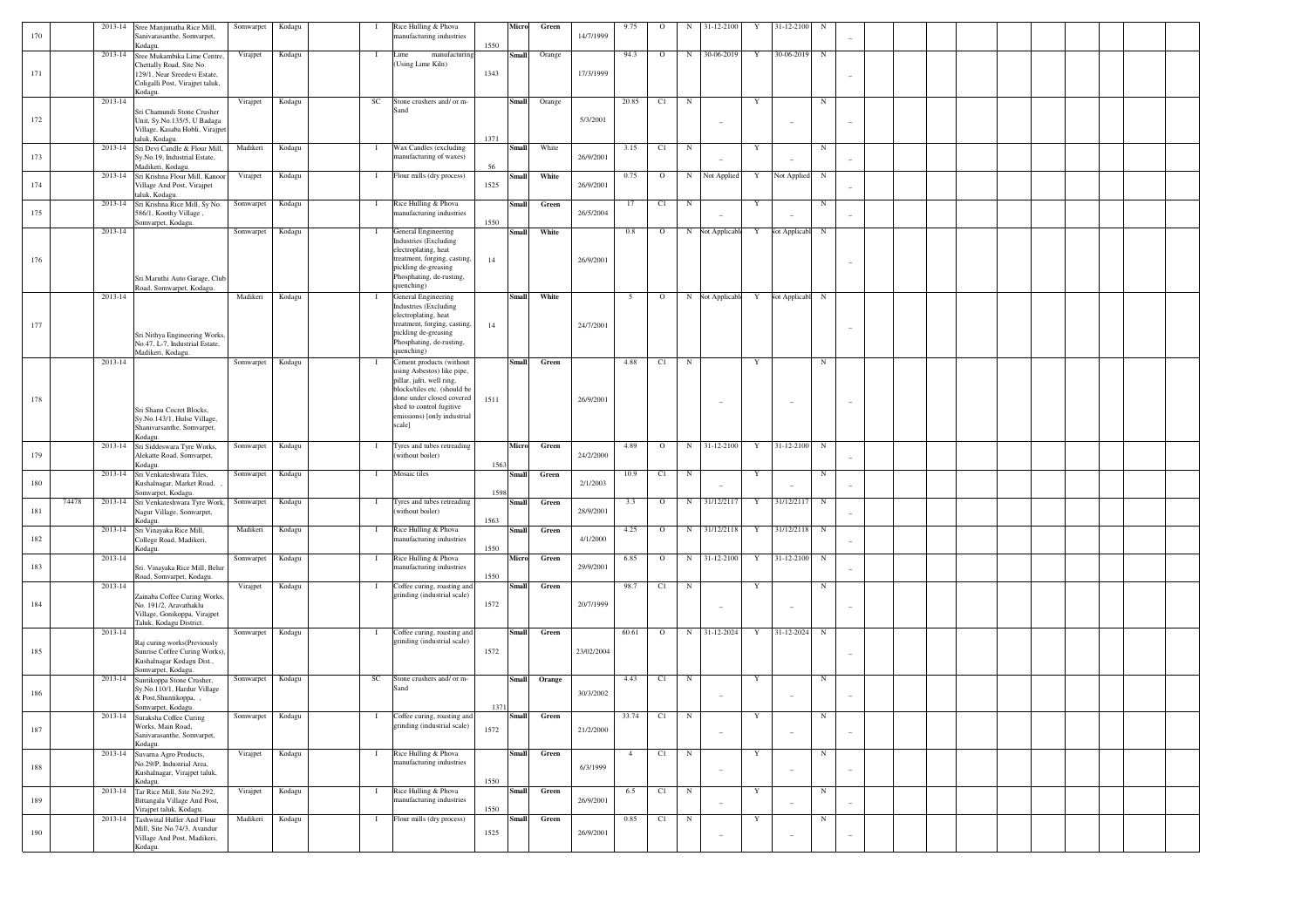| 170 | 2013-14          | Sree Manjunatha Rice Mill,<br>Sanivarasanthe, Somvarpet,                                                                              | Somwarpet        | Kodagu | $\bf{I}$     | Rice Hulling & Phova<br>manufacturing industries                                                                                                                                                                      | Micro                 | Green       | 14/7/1999  | 9.75           | $\circ$    | N           | 31-12-2100               | Y | 31-12-2100               | N          |                          |  |  |  |  |
|-----|------------------|---------------------------------------------------------------------------------------------------------------------------------------|------------------|--------|--------------|-----------------------------------------------------------------------------------------------------------------------------------------------------------------------------------------------------------------------|-----------------------|-------------|------------|----------------|------------|-------------|--------------------------|---|--------------------------|------------|--------------------------|--|--|--|--|
| 171 | 2013-14          | Kodagu.<br>Sree Mukambika Lime Centre,<br>Chettally Road, Site No.<br>129/1, Near Sreedevi Estate,<br>Coligalli Post, Virajpet taluk, | Virajpet         | Kodagu | $\mathbf{I}$ | manufacturing<br>Lime<br>(Using Lime Kiln)                                                                                                                                                                            | 1550<br>Small<br>1343 | Orange      | 17/3/1999  | 94.3           | $\circ$    | $_{\rm N}$  | 30-06-2019               | Y | 30-06-2019               | $_{\rm N}$ |                          |  |  |  |  |
| 172 | 2013-14          | Kodagu.<br>Sri Chamundi Stone Crusher<br>Unit, Sy.No.135/5, U Badaga<br>Village, Kasaba Hobli, Virajpet<br>taluk, Kodagu.             | Virajpet         | Kodagu | SC           | Stone crushers and/ or m-<br>Sand                                                                                                                                                                                     | Small<br>1371         | Orange      | 5/3/2001   | 20.85          | C1         | $_{\rm N}$  | $\overline{\phantom{a}}$ | Y |                          | $_{\rm N}$ |                          |  |  |  |  |
| 173 | 2013-14          | Sri Devi Candle & Flour Mill,<br>Sy.No.19, Industrial Estate,<br>Madikeri, Kodagu.                                                    | Madikeri         | Kodagu | $\bf{I}$     | Wax Candles (excluding<br>manufacturing of waxes)                                                                                                                                                                     | Small<br>56           | White       | 26/9/2001  | 3.15           | C1         | $_{\rm N}$  |                          | Y |                          | $_{\rm N}$ |                          |  |  |  |  |
| 174 | 2013-14          | Sri Krishna Flour Mill, Kanoor<br>Village And Post, Virajpet<br>taluk, Kodagu.                                                        | Virajpet         | Kodagu | $\bf{I}$     | Flour mills (dry process)                                                                                                                                                                                             | Small<br>1525         | White       | 26/9/2001  | 0.75           | $\circ$    | $_{\rm N}$  | Not Applied              | Y | Not Applied              | $_{\rm N}$ |                          |  |  |  |  |
| 175 | 2013-14          | Sri Krishna Rice Mill, Sy No.<br>586/1, Koothy Village,<br>Somvarpet, Kodagu.                                                         | Somwarpet        | Kodagu | $\bf{I}$     | Rice Hulling & Phova<br>nanufacturing industries                                                                                                                                                                      | Small<br>1550         | Green       | 26/5/2004  | 17             | C1         | $_{\rm N}$  |                          | Y |                          | $_{\rm N}$ |                          |  |  |  |  |
| 176 | 2013-14          | Sri Maruthi Auto Garage, Club<br>Road, Somwarpet, Kodagu.                                                                             | Somwarpet        | Kodagu | $\bf{I}$     | General Engineering<br><b>Industries</b> (Excluding<br>electroplating, heat<br>treatment, forging, casting,<br>pickling de-greasing<br>Phosphating, de-rusting,<br>quenching)                                         | Small<br>14           | White       | 26/9/2001  | 0.8            | $\circ$    | $_{\rm N}$  | Not Applicable           | Y | Not Applicabl            | $_{\rm N}$ |                          |  |  |  |  |
| 177 | 2013-14          | Sri Nithya Engineering Works.<br>No.47, L-7, Industrial Estate.<br>Madikeri, Kodagu.                                                  | Madikeri         | Kodagu | $\bf{I}$     | General Engineering<br><b>Industries</b> (Excluding<br>electroplating, heat<br>treatment, forging, casting,<br>pickling de-greasing<br>Phosphating, de-rusting,<br>quenching)                                         | Small<br>14           | White       | 24/7/2001  | - 5            | $\circ$    |             | N Not Applicable         | Y | Not Applicabl            | $_{\rm N}$ |                          |  |  |  |  |
| 178 | 2013-14          | Sri Shanu Cocret Blocks,<br>Sy.No.143/1, Hulse Village,<br>Shanivarsanthe, Somvarpet,<br>Kodagu.                                      | Somwarpet        | Kodagu | $\bf{I}$     | Cement products (without<br>using Asbestos) like pipe,<br>pillar, jafri, well ring,<br>blocks/tiles etc. (should be<br>done under closed covered<br>shed to control fugitive<br>emissions) [only industrial<br>scale] | <b>Small</b><br>1511  | Green       | 26/9/2001  | 4.88           | C1         | $_{\rm N}$  |                          | Y |                          | $_{\rm N}$ |                          |  |  |  |  |
| 179 | 2013-14          | Sri Siddeswara Tyre Works,<br>Alekatte Road, Somvarpet,<br>Kodagu.                                                                    | Somwarpet        | Kodagu | $\bf{I}$     | Tyres and tubes retreading<br>(without boiler)                                                                                                                                                                        | Micro<br>1563         | Green       | 24/2/2000  | 4.89           | $\circ$    | N           | 31-12-2100               | Y | 31-12-2100               | $_{\rm N}$ |                          |  |  |  |  |
| 180 | 2013-14          | Sri Venkateshwara Tiles,<br>Kushalnagar, Market Road,<br>Somvarpet, Kodagu.                                                           | Somwarpet        | Kodagu | $\bf{I}$     | Mosaic tiles                                                                                                                                                                                                          | Small<br>1598         | Green       | 2/1/2003   | 10.9           | C1         | $_{\rm N}$  |                          | Y |                          | $_{\rm N}$ |                          |  |  |  |  |
| 181 | 74478<br>2013-14 | Sri Venkateshwara Tyre Work,<br>Nagur Village, Somvarpet,<br>Kodagu.                                                                  | Somwarpet        | Kodagu | $\bf{I}$     | Tyres and tubes retreading<br>(without boiler)                                                                                                                                                                        | Small<br>1563         | Green       | 28/9/2001  | 3.3            | $\circ$    | $_{\rm N}$  | 31/12/2117               | Y | 31/12/2117               | $_{\rm N}$ |                          |  |  |  |  |
| 182 | 2013-14          | Sri Vinayaka Rice Mill,<br>College Road, Madikeri,<br>Kodagu.                                                                         | Madikeri         | Kodagu | $\mathbf{I}$ | Rice Hulling & Phova<br>manufacturing industries                                                                                                                                                                      | Small<br>1550         | Green       | 4/1/2000   | 4.25           | $\circ$    | $_{\rm N}$  | 31/12/2118               | Y | 31/12/2118               | $_{\rm N}$ |                          |  |  |  |  |
| 183 | 2013-14          | Sri. Vinayaka Rice Mill, Belur<br>Road, Somvarpet, Kodagu.                                                                            | Somwarpet        | Kodagu | $\bf{I}$     | Rice Hulling & Phova<br>nanufacturing industries                                                                                                                                                                      | Micro<br>1550         | Green       | 29/9/2001  | 6.85           | $\circ$    | $_{\rm N}$  | 31-12-2100               | Y | 31-12-2100               | $_{\rm N}$ |                          |  |  |  |  |
| 184 | 2013-14          | Zainaba Coffee Curing Works,<br>No. 191/2, Aravathaklu<br>Village, Gonikoppa, Virajpet<br>Taluk, Kodagu District.                     | Virajpet         | Kodagu | $\bf{I}$     | Coffee curing, roasting and<br>grinding (industrial scale)                                                                                                                                                            | Small<br>1572         | Green       | 20/7/1999  | 98.7           | C1         | $_{\rm N}$  | $\overline{\phantom{a}}$ | Y |                          | $_{\rm N}$ |                          |  |  |  |  |
| 185 | 2013-14          | Raj curing works(Previously<br>Sunrise Coffee Curing Works).<br>Kushalnagar Kodagu Dist.,<br>Somvarpet, Kodagu.                       | Somwarpet        | Kodagu | $\bf{I}$     | Coffee curing, roasting and<br>grinding (industrial scale)                                                                                                                                                            | Small<br>1572         | Green       | 23/02/2004 | 60.61          | $\circ$    | $_{\rm N}$  | 31-12-2024               | Y | 31-12-2024               | $_{\rm N}$ |                          |  |  |  |  |
| 186 | 2013-14          | Suntikoppa Stone Crusher,<br>Sy.No.110/1, Hardur Village<br>& Post, Shuntikoppa, ,                                                    | Somwarpet        | Kodagu | SC           | Stone crushers and/ or m-<br>Sand                                                                                                                                                                                     | <b>Small</b>          | Orange      | 30/3/2002  | 4.43           | C1         | $\mathbf N$ | $\overline{\phantom{a}}$ | Y |                          | $_{\rm N}$ |                          |  |  |  |  |
| 187 |                  | Somvarpet, Kodagu.<br>2013-14 Suraksha Coffee Curing<br>Works, Main Road,<br>Sanivarasanthe, Somvarpet,<br>Kodagu.                    | Somwarpet Kodagu |        | $\mathbf{I}$ | Coffee curing, roasting and<br>grinding (industrial scale)                                                                                                                                                            | 1371<br>1572          | Small Green | 21/2/2000  |                | 33.74 C1 N |             | $\sim$                   | Y | $\overline{\phantom{a}}$ | N          | $\overline{\phantom{a}}$ |  |  |  |  |
| 188 |                  | 2013-14 Suvarna Agro Products,<br>No.29/P, Industrial Area,<br>Kushalnagar, Virajpet taluk,                                           | Virajpet         | Kodagu | $\mathbf{I}$ | Rice Hulling & Phova<br>manufacturing industries                                                                                                                                                                      | Small                 | Green       | 6/3/1999   | $\overline{4}$ | C1         | N           | $\sim$                   | Y |                          | $_{\rm N}$ | $\overline{\phantom{a}}$ |  |  |  |  |
| 189 | 2013-14          | Kodagu.<br>Tar Rice Mill, Site No.292,<br>Bittangala Village And Post,<br>Virajpet taluk, Kodagu.                                     | Virajpet         | Kodagu | $\mathbf{I}$ | Rice Hulling & Phova<br>manufacturing industries                                                                                                                                                                      | 1550<br>Small<br>1550 | Green       | 26/9/2001  | 6.5            | C1         | N           | $\sim$                   | Y |                          | $_{\rm N}$ |                          |  |  |  |  |
| 190 | 2013-14          | Tashwital Huller And Flour<br>Mill, Site No.74/3, Avandur<br>Village And Post, Madikeri,<br>Kodagu.                                   | Madikeri         | Kodagu | $\bf{I}$     | Flour mills (dry process)                                                                                                                                                                                             | Small<br>1525         | Green       | 26/9/2001  | 0.85           | C1         | $_{\rm N}$  | $\overline{\phantom{a}}$ | Y |                          | $_{\rm N}$ | $\overline{\phantom{a}}$ |  |  |  |  |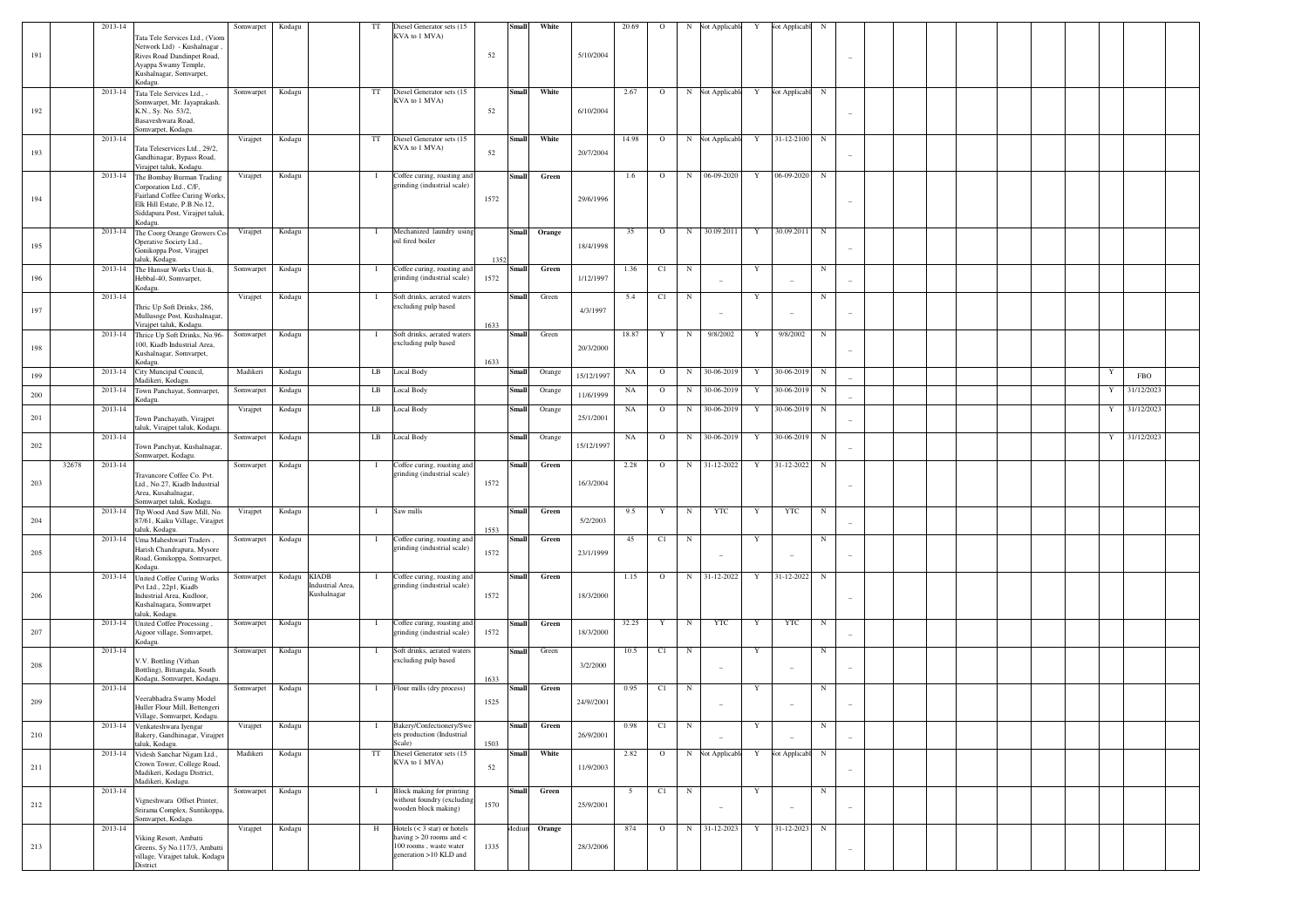| 191 |       | 2013-14 | Tata Tele Services Ltd., (Viom<br>Network Ltd) - Kushalnagar<br>Rives Road Dandinpet Road,<br>Ayappa Swamy Temple,<br>Kushalnagar, Somvarpet,<br>Kodagu.                 | Somwarpet | Kodagu       |                                 | TT           | Diesel Generator sets (15<br>KVA to 1 MVA)                                                                               | 52         | <b>Small</b> | White  | 5/10/2004  | 20.69 | $\circ$      | N          | <b>Not Applicable</b>                    | Y | <b>Not Applicabl</b> | $_{\rm N}$  |  |  |   |            |  |
|-----|-------|---------|--------------------------------------------------------------------------------------------------------------------------------------------------------------------------|-----------|--------------|---------------------------------|--------------|--------------------------------------------------------------------------------------------------------------------------|------------|--------------|--------|------------|-------|--------------|------------|------------------------------------------|---|----------------------|-------------|--|--|---|------------|--|
| 192 |       |         | 2013-14 Tata Tele Services Ltd., -<br>Somwarpet, Mr. Javaprakash.<br>K.N., Sy. No. 53/2,<br>Basaveshwara Road,<br>Somvarpet, Kodagu.                                     | Somwarpet | Kodagu       |                                 | TT           | Diesel Generator sets (15<br>KVA to 1 MVA)                                                                               | 52         | <b>Small</b> | White  | 6/10/2004  | 2.67  | $\circ$      |            | N Not Applicabl Y Not Applicabl N        |   |                      |             |  |  |   |            |  |
| 193 |       | 2013-14 | Tata Teleservices Ltd., 29/2,<br>Gandhinagar, Bypass Road,<br>Virajpet taluk, Kodagu.                                                                                    | Virajpet  | Kodagu       |                                 | TT           | Diesel Generator sets (15<br>KVA to 1 MVA)                                                                               | 52         | <b>Small</b> | White  | 20/7/2004  | 14.98 | $\mathbf{O}$ |            | N Not Applicabl                          | Y | 31-12-2100 N         |             |  |  |   |            |  |
| 194 |       |         | 2013-14 The Bombay Burman Trading<br>Corporation Ltd., C/F,<br>Fairland Coffee Curing Works,<br>Elk Hill Estate, P.B.No.12,<br>Siddapura Post, Virajpet taluk<br>Kodagu. | Virajpet  | Kodagu       |                                 | $\mathbf{I}$ | Coffee curing, roasting and<br>grinding (industrial scale)                                                               | 1572       | <b>Small</b> | Green  | 29/6/1996  | 1.6   | $\circ$      | N          | 06-09-2020                               | Y | 06-09-2020           | N           |  |  |   |            |  |
| 195 |       |         | 2013-14 The Coorg Orange Growers Co-<br>Operative Society Ltd.,<br>Gonikoppa Post, Virajpet<br>taluk, Kodagu.                                                            | Virajpet  | Kodagu       |                                 | $\bf{I}$     | Mechanized laundry using<br>oil fired boiler                                                                             | 1352       | <b>Small</b> | Orange | 18/4/1998  | 35    | $\circ$      | N          | 30.09.2011                               | Y | 30.09.2011           | N           |  |  |   |            |  |
| 196 |       |         | 2013-14 The Hunsur Works Unit-Ii,<br>Hebbal-40, Somvarpet,<br>Kodagu.                                                                                                    | Somwarpet | Kodagu       |                                 | $\bf{I}$     | Coffee curing, roasting and<br>grinding (industrial scale)                                                               | 1572       | Small        | Green  | 1/12/1997  | 1.36  | C1           | N          |                                          | Y |                      | N           |  |  |   |            |  |
| 197 |       | 2013-14 | Thric Up Soft Drinks, 286,<br>Mullusoge Post, Kushalnagar,<br>Virajpet taluk, Kodagu.                                                                                    | Virajpet  | Kodagu       |                                 | $\mathbf{I}$ | Soft drinks, aerated waters<br>excluding pulp based                                                                      | 1633       | <b>Small</b> | Green  | 4/3/1997   | 5.4   | C1           | N          | $\overline{\phantom{a}}$                 | Y |                      | N           |  |  |   |            |  |
| 198 |       |         | 2013-14 Thrice Up Soft Drinks, No.96-<br>100, Kiadb Industrial Area,<br>Kushalnagar, Somvarpet,<br>Kodagu.                                                               | Somwarpet | Kodagu       |                                 | $\mathbf{I}$ | Soft drinks, aerated waters<br>excluding pulp based                                                                      | 1633       | <b>Small</b> | Green  | 20/3/2000  | 18.87 | Y            | N          | 9/8/2002                                 | Y | 9/8/2002             | $\mathbf N$ |  |  |   |            |  |
| 199 |       |         | 2013-14 City Muncipal Council,<br>Madikeri, Kodagu.                                                                                                                      | Madikeri  | Kodagu       |                                 | LB           | Local Body                                                                                                               |            | Small        | Orange | 15/12/1997 | NA    | $\circ$      |            | N 30-06-2019                             | Y | 30-06-2019           | $_{\rm N}$  |  |  | Y | <b>FBO</b> |  |
| 200 |       |         | 2013-14 Town Panchayat, Somvarpet,<br>Kodagu.                                                                                                                            | Somwarpet | Kodagu       |                                 | LB           | Local Body                                                                                                               |            | Small        | Orange | 11/6/1999  | NA    | $\circ$      | N          | 30-06-2019                               | Y | 30-06-2019           | N           |  |  | Y | 31/12/2023 |  |
| 201 |       | 2013-14 | Town Panchayath, Virajpet<br>taluk, Virajpet taluk, Kodagu.                                                                                                              | Virajpet  | Kodagu       |                                 | LB           | <b>Local Body</b>                                                                                                        |            | <b>Small</b> | Orange | 25/1/2001  | NA    | $\circ$      | N          | 30-06-2019                               | Y | 30-06-2019           | N           |  |  | Y | 31/12/2023 |  |
| 202 |       | 2013-14 | Town Panchyat, Kushalnagar,<br>Somwarpet, Kodagu.                                                                                                                        | Somwarpet | Kodagu       |                                 | LB           | Local Body                                                                                                               |            | <b>Small</b> | Orange | 15/12/1997 | NA    | $\circ$      | N          | 30-06-2019                               | Y | 30-06-2019           | $_{\rm N}$  |  |  | Y | 31/12/2023 |  |
| 203 | 32678 | 2013-14 | Travancore Coffee Co. Pvt.<br>Ltd., No.27, Kiadb Industrial<br>Area, Kusahalnagar,                                                                                       | Somwarpet | Kodagu       |                                 | $\bf{I}$     | Coffee curing, roasting and<br>grinding (industrial scale)                                                               | 1572       | <b>Small</b> | Green  | 16/3/2004  | 2.28  | $\Omega$     |            | N 31-12-2022                             | Y | 31-12-2022           | $\mathbf N$ |  |  |   |            |  |
|     |       |         | Somwarpet taluk, Kodagu<br>2013-14 Ttp Wood And Saw Mill, No.                                                                                                            | Virajpet  | Kodagu       |                                 | $\mathbf{I}$ | Saw mills                                                                                                                |            | Small        | Green  |            | 9.5   | Y            | $_{\rm N}$ | <b>YTC</b>                               | Y | <b>YTC</b>           | N           |  |  |   |            |  |
| 204 |       |         | 87/61, Kaiku Village, Virajpet<br>taluk, Kodagu.<br>2013-14 Uma Maheshwari Traders,                                                                                      | Somwarpet | Kodagu       |                                 | $\bf{I}$     | Coffee curing, roasting and<br>grinding (industrial scale)                                                               | 1553       | Small        | Green  | 5/2/2003   | 45    | C1           | $_{\rm N}$ |                                          | Y |                      | N           |  |  |   |            |  |
| 205 |       |         | Harish Chandrapura, Mysore<br>Road, Gonikoppa, Somvarpet,<br>Kodagu.<br>2013-14 United Coffee Curing Works                                                               | Somwarpet | Kodagu KIADB |                                 | $\mathbf{I}$ | Coffee curing, roasting and                                                                                              | 1572       | Small        | Green  | 23/1/1999  | 1.15  | $\circ$      |            | $\overline{\phantom{a}}$<br>N 31-12-2022 | Y | 31-12-2022           | N           |  |  |   |            |  |
| 206 |       |         | Pvt Ltd., 22p1, Kiadb<br>Industrial Area, Kudloor,<br>Kushalnagara, Somwarpet<br>taluk, Kodagu.                                                                          |           |              | Industrial Area,<br>Kushalnagar |              | grinding (industrial scale)                                                                                              | 1572       |              |        | 18/3/2000  |       |              |            |                                          |   |                      |             |  |  |   |            |  |
| 207 |       |         | 2013-14 United Coffee Processing,<br>Aigoor village, Somvarpet,<br>Kodagu.                                                                                               | Somwarpet | Kodagu       |                                 | $\mathbf{I}$ | Coffee curing, roasting and<br>grinding (industrial scale)                                                               | 1572       | <b>Small</b> | Green  | 18/3/2000  | 32.25 | Y            | $_{\rm N}$ | YTC                                      | Y | <b>YTC</b>           | N           |  |  |   |            |  |
| 208 |       | 2013-14 | V.V. Bottling (Vithan<br>Bottling), Bittangala, South<br>Kodagu, Somvarpet, Kodagu.                                                                                      | Somwarpet | Kodagu       |                                 | $\mathbf{I}$ | Soft drinks, aerated waters<br>excluding pulp based                                                                      | 1633       | Small        | Green  | 3/2/2000   | 10.5  | C1           | $_{\rm N}$ | $\overline{\phantom{a}}$                 | Y |                      | N           |  |  |   |            |  |
| 209 |       | 2013-14 | Veerabhadra Swamy Model<br>Huller Flour Mill, Bettengeri<br>Village, Somvarpet, Kodagu.                                                                                  | Somwarpet | Kodagu       |                                 | $\mathbf{I}$ | Flour mills (dry process)                                                                                                | 1525       | Small        | Green  | 24/9//2001 | 0.95  | C1           | $_{\rm N}$ |                                          | Y |                      | N           |  |  |   |            |  |
| 210 |       |         | 2013-14 Venkateshwara Iyengar<br>Bakery, Gandhinagar, Virajpet                                                                                                           | Virajpet  | Kodagu       |                                 | $\bf{I}$     | Bakery/Confectionery/Swe<br>ets production (Industrial                                                                   |            | Small        | Green  | 26/9/2001  | 0.98  | C1           | N          |                                          | Y |                      | N           |  |  |   |            |  |
| 211 |       |         | taluk, Kodagu.<br>2013-14 Videsh Sanchar Nigam Ltd.,<br>Crown Tower, College Road,<br>Madikeri, Kodagu District,<br>Madikeri, Kodagu.                                    | Madikeri  | Kodagu       |                                 | TT           | Scale)<br>Diesel Generator sets (15<br>KVA to 1 MVA)                                                                     | 1503<br>52 | Small        | White  | 11/9/2003  | 2.82  | $\mathbf{o}$ |            | N Not Applicable                         | Y | Vot Applicabl        | N           |  |  |   |            |  |
| 212 |       | 2013-14 | Vigneshwara Offset Printer,<br>Srirama Complex, Suntikoppa,<br>Somvarpet, Kodagu.                                                                                        | Somwarpet | Kodagu       |                                 | $\bf{I}$     | Block making for printing<br>without foundry (excluding<br>wooden block making)                                          | 1570       | <b>Small</b> | Green  | 25/9/2001  | 5     | C1           | $_{\rm N}$ | $\overline{\phantom{a}}$                 | Y |                      | N           |  |  |   |            |  |
| 213 |       | 2013-14 | Viking Resort, Ambatti<br>Greens, Sy No.117/3, Ambatti<br>village, Virajpet taluk, Kodagu<br>District                                                                    | Virajpet  | Kodagu       |                                 | H            | Hotels $(< 3 \text{ star})$ or hotels<br>having $> 20$ rooms and $<$<br>100 rooms, waste water<br>generation >10 KLD and | 1335       | Mediun       | Orange | 28/3/2006  | 874   | $\mathbf{O}$ |            | N 31-12-2023                             | Y | 31-12-2023           | N           |  |  |   |            |  |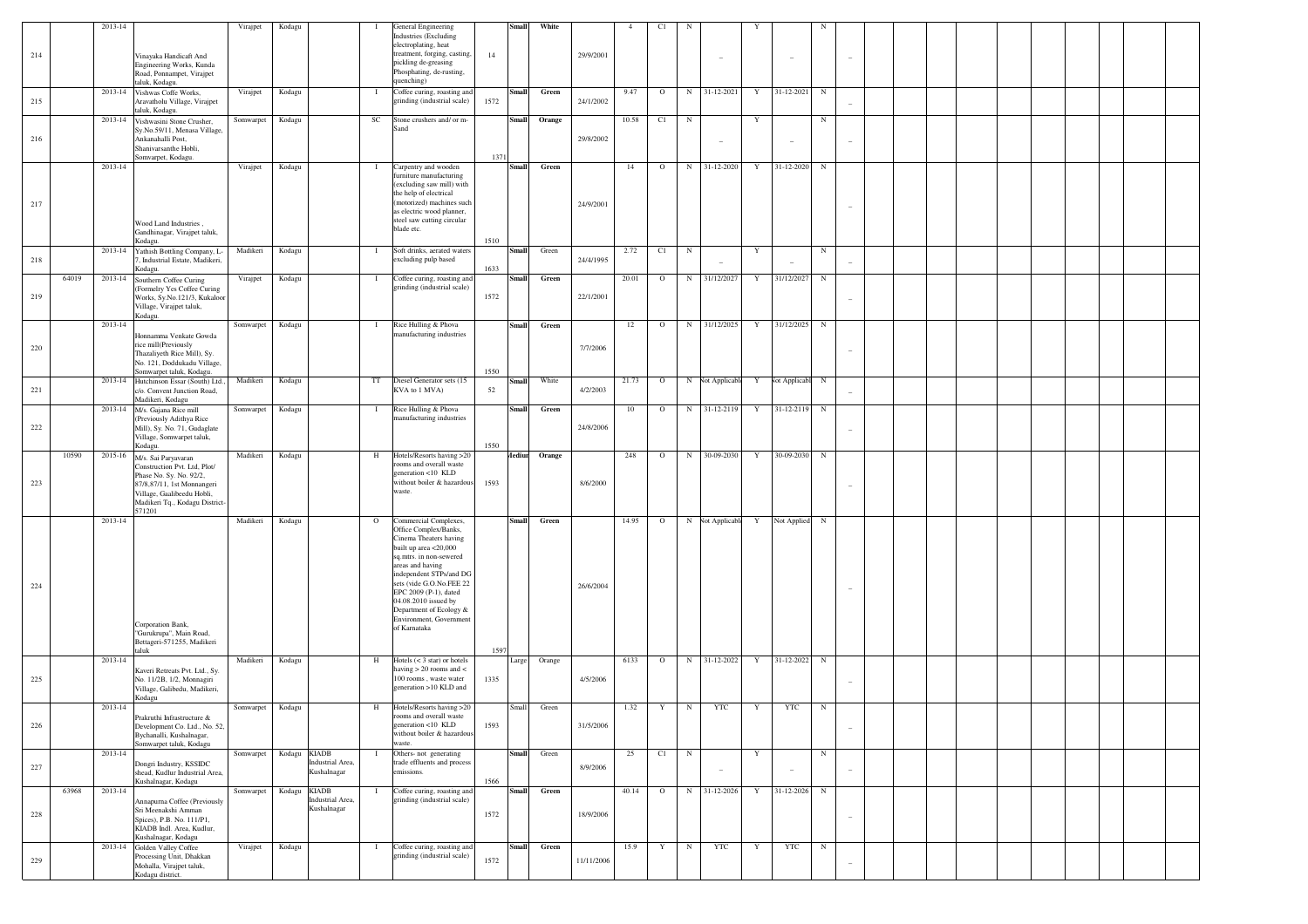|     |       | 2013-14 |                                                                                                                                                                                         | Virajpet               | Kodagu       |                                 | - 1          | General Engineering<br>Industries (Excluding<br>electroplating, heat                                                                                                                                                                                                                                                           |            | <b>Small</b>  | White  |            |        | C1          |            |                          |             |                 |            |                          |  |  |  |
|-----|-------|---------|-----------------------------------------------------------------------------------------------------------------------------------------------------------------------------------------|------------------------|--------------|---------------------------------|--------------|--------------------------------------------------------------------------------------------------------------------------------------------------------------------------------------------------------------------------------------------------------------------------------------------------------------------------------|------------|---------------|--------|------------|--------|-------------|------------|--------------------------|-------------|-----------------|------------|--------------------------|--|--|--|
| 214 |       |         | Vinayaka Handicaft And<br>Engineering Works, Kunda<br>Road, Ponnampet, Virajpet<br>taluk, Kodagu.                                                                                       |                        |              |                                 |              | treatment, forging, casting,<br>pickling de-greasing<br>Phosphating, de-rusting,<br>quenching)                                                                                                                                                                                                                                 | 14         |               |        | 29/9/2001  |        |             |            |                          |             |                 |            |                          |  |  |  |
| 215 |       |         | 2013-14 Vishwas Coffe Works,<br>Aravatholu Village, Virajpet<br>taluk, Kodagu.                                                                                                          | Virajpet               | Kodagu       |                                 | $\mathbf{I}$ | Coffee curing, roasting and<br>grinding (industrial scale)                                                                                                                                                                                                                                                                     | 1572       | <b>Small</b>  | Green  | 24/1/2002  | 9.47   | $\circ$     |            | N 31-12-2021             | $\mathbf Y$ | 31-12-2021      | $_{\rm N}$ |                          |  |  |  |
| 216 |       | 2013-14 | Vishwasini Stone Crusher,<br>Sy.No.59/11, Menasa Village,<br>Ankanahalli Post,<br>Shanivarsanthe Hobli,                                                                                 | Somwarpet              | Kodagu       |                                 | $_{\rm SC}$  | Stone crushers and/ or m-<br>Sand                                                                                                                                                                                                                                                                                              |            | <b>Small</b>  | Orange | 29/8/2002  | 10.58  | C1          | $_{\rm N}$ | $\overline{\phantom{a}}$ | Y           |                 | $_{\rm N}$ |                          |  |  |  |
| 217 |       | 2013-14 | Somvarpet, Kodagu.                                                                                                                                                                      | Virajpet               | Kodagu       |                                 | $\mathbf{I}$ | Carpentry and wooden<br>furniture manufacturing<br>(excluding saw mill) with<br>the help of electrical<br>(motorized) machines such                                                                                                                                                                                            | 1371       | Small         | Green  | 24/9/2001  | 14     | $\circ$     |            | N 31-12-2020             | $\mathbf Y$ | 31-12-2020      | $_{\rm N}$ |                          |  |  |  |
|     |       |         | Wood Land Industries,<br>Gandhinagar, Virajpet taluk,<br>Kodagu.                                                                                                                        |                        |              |                                 |              | as electric wood planner,<br>steel saw cutting circular<br>blade etc.                                                                                                                                                                                                                                                          | 1510       |               |        |            |        |             |            |                          |             |                 |            |                          |  |  |  |
| 218 |       |         | 2013-14 Yathish Bottling Company, L-<br>, Industrial Estate, Madikeri,<br>Kodagu.                                                                                                       | Madikeri               | Kodagu       |                                 | $\mathbf{I}$ | Soft drinks, aerated waters<br>excluding pulp based                                                                                                                                                                                                                                                                            | 1633       | Small         | Green  | 24/4/1995  | 2.72   | C1          | $_{\rm N}$ |                          | $\mathbf Y$ |                 | $_{\rm N}$ |                          |  |  |  |
| 219 | 64019 | 2013-14 | Southern Coffee Curing<br>Formelry Yes Coffee Curing<br>Works, Sy.No.121/3, Kukaloor<br>Village, Virajpet taluk,<br>Kodagu.                                                             | Virajpet               | Kodagu       |                                 | $\mathbf{I}$ | Coffee curing, roasting and<br>grinding (industrial scale)                                                                                                                                                                                                                                                                     | 1572       | Small         | Green  | 22/1/2001  | 20.01  | $\circ$     |            | N 31/12/2027             | $\mathbf Y$ | 31/12/2027      | $_{\rm N}$ |                          |  |  |  |
| 220 |       | 2013-14 | Ionnamma Venkate Gowda<br>rice mill(Previously<br>Thazaliyeth Rice Mill), Sy.<br>No. 121, Doddukadu Village,                                                                            | Somwarpet              | Kodagu       |                                 | $\mathbf{I}$ | Rice Hulling & Phova<br>manufacturing industries                                                                                                                                                                                                                                                                               |            | <b>Small</b>  | Green  | 7/7/2006   | 12     | $\circ$     |            | N 31/12/2025             | Y           | 31/12/2025      | $_{\rm N}$ |                          |  |  |  |
| 221 |       |         | Somwarpet taluk, Kodagu.<br>2013-14 Hutchinson Essar (South) Ltd.,<br>c/o. Convent Junction Road,<br>Madikeri, Kodagu                                                                   | Madikeri               | Kodagu       |                                 | TT           | Diesel Generator sets (15<br>KVA to 1 MVA)                                                                                                                                                                                                                                                                                     | 1550<br>52 | Small         | White  | 4/2/2003   | 21.73  | $\circ$     |            | N Not Applicable         | Y           | Not Applicabl N |            |                          |  |  |  |
| 222 |       |         | 2013-14 M/s. Gajana Rice mill<br>(Previously Adithya Rice<br>Mill), Sy. No. 71, Gudaglate<br>Village, Somwarpet taluk,<br>Kodagu.                                                       | Somwarpet              | Kodagu       |                                 | $\mathbf{I}$ | Rice Hulling & Phova<br>manufacturing industries                                                                                                                                                                                                                                                                               | 1550       | <b>Small</b>  | Green  | 24/8/2006  | $10\,$ | $\circ$     |            | N 31-12-2119             | Y           | 31-12-2119      | $_{\rm N}$ |                          |  |  |  |
| 223 | 10590 |         | 2015-16 $M/s$ . Sai Paryavaran<br>Construction Pvt. Ltd, Plot/<br>Phase No. Sy. No. 92/2,<br>87/8,87/11, 1st Monnangeri<br>Village, Gaalibeedu Hobli,<br>Madikeri Tq., Kodagu District- | Madikeri               | Kodagu       |                                 | H            | Hotels/Resorts having >20<br>rooms and overall waste<br>generation <10 KLD<br>without boiler & hazardous<br>waste.                                                                                                                                                                                                             | 1593       | <b>Aediur</b> | Orange | 8/6/2000   | 248    | $\circ$     |            | N 30-09-2030             | Y           | 30-09-2030      | $_{\rm N}$ |                          |  |  |  |
| 224 |       | 2013-14 | 571201<br>Corporation Bank,                                                                                                                                                             | Madikeri               | Kodagu       |                                 | $\circ$      | Commercial Complexes,<br>Office Complex/Banks,<br>Cinema Theaters having<br>built up area <20,000<br>sq.mtrs. in non-sewered<br>areas and having<br>independent STPs/and DG<br>sets (vide G.O.No.FEE 22<br>EPC 2009 (P-1), dated<br>04.08.2010 issued by<br>Department of Ecology &<br>Environment, Government<br>of Karnataka |            | <b>Small</b>  | Green  | 26/6/2004  | 14.95  | $\circ$     |            | N Vot Applicable         | Y           | Not Applied     | N          |                          |  |  |  |
|     |       |         | "Gurukrupa", Main Road,<br>Bettageri-571255, Madikeri<br>taluk                                                                                                                          | Madikeri               |              |                                 |              | Hotels $(< 3 \text{ star})$ or hotels                                                                                                                                                                                                                                                                                          | 1597       |               |        |            |        |             |            |                          |             |                 |            |                          |  |  |  |
| 225 |       | 2013-14 | Kaveri Retreats Pvt. Ltd., Sy.<br>No. 11/2B, 1/2, Monnagiri<br>Village, Galibedu, Madikeri,<br>Kodagu                                                                                   |                        | Kodagu       |                                 | $\,$ H       | having $> 20$ rooms and $<$<br>100 rooms, waste water<br>generation >10 KLD and                                                                                                                                                                                                                                                | 1335       | Large         | Orange | 4/5/2006   | 6133   | $\circ$     |            | N 31-12-2022             | $\mathbf Y$ | 31-12-2022      | $_{\rm N}$ |                          |  |  |  |
| 226 |       | 2013-14 | rakruthi Infrastructure &<br>Development Co. Ltd., No. 52,<br>Bychanalli, Kushalnagar,<br>Somwarpet taluk, Kodagu                                                                       | Somwarpet              | Kodagu       |                                 | H            | Hotels/Resorts having >20<br>ooms and overall waste<br>generation <10 KLD<br>without boiler & hazardous<br>waste.                                                                                                                                                                                                              | 1593       | Small         | Green  | 31/5/2006  | 1.32   | Y           | $_{\rm N}$ | YTC                      | Y           | YTC             | N          |                          |  |  |  |
| 227 |       | 2013-14 | Dongri Industry, KSSIDC<br>shead, Kudlur Industrial Area,<br>Kushalnagar, Kodagu                                                                                                        | Somwarpet Kodagu KIADB |              | Industrial Area,<br>Kushalnagar | $\mathbf{I}$ | Others- not generating<br>trade effluents and process<br>emissions.                                                                                                                                                                                                                                                            | 1566       | <b>Small</b>  | Green  | 8/9/2006   | 25     | C1          | ${\bf N}$  | $\overline{\phantom{a}}$ | $\mathbf Y$ |                 | $_{\rm N}$ | $\overline{\phantom{a}}$ |  |  |  |
| 228 | 63968 | 2013-14 | Annapurna Coffee (Previously<br>Sri Meenakshi Amman<br>Spices), P.B. No. 111/P1,<br>KIADB Indl. Area, Kudlur,<br>Kushalnagar, Kodagu                                                    | Somwarpet              | Kodagu KIADB | Industrial Area,<br>Kushalnagar | - 1          | Coffee curing, roasting and<br>grinding (industrial scale)                                                                                                                                                                                                                                                                     | 1572       | <b>Small</b>  | Green  | 18/9/2006  | 40.14  | $\circ$     |            | N 31-12-2026             | Y           | 31-12-2026      | $_{\rm N}$ | $\sim$                   |  |  |  |
| 229 |       |         | 2013-14 Golden Valley Coffee<br>Processing Unit, Dhakkan<br>Mohalla, Virajpet taluk,<br>Kodagu district.                                                                                | Virajpet               | Kodagu       |                                 | $\mathbf{I}$ | Coffee curing, roasting and<br>grinding (industrial scale)                                                                                                                                                                                                                                                                     | 1572       | <b>Small</b>  | Green  | 11/11/2006 | 15.9   | $\mathbf Y$ | ${\bf N}$  | YTC                      | $\mathbf Y$ | <b>YTC</b>      | ${\bf N}$  |                          |  |  |  |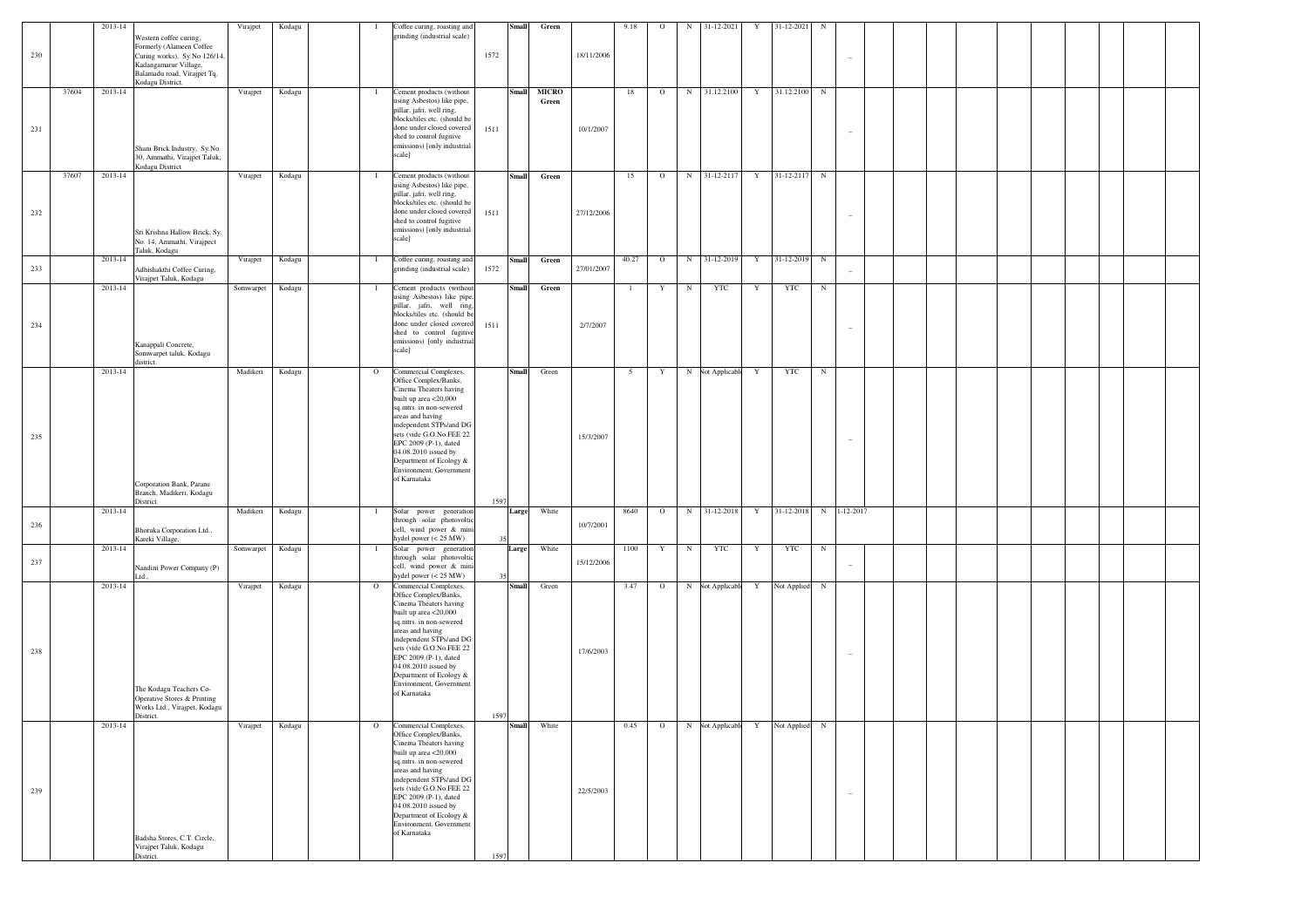|     |       | 2013-14 |                                                                                                                                                                | Virajpet  | Kodagu | -1           | Coffee curing, roasting and                                                                                                                                                                                                                                                                                                    |          | Small | Green                 |            | 9.18            | $\circ$ | N          | 31-12-2021       | Y           | 31-12-2021  | $_{\rm N}$ |                          |  |  |  |  |  |
|-----|-------|---------|----------------------------------------------------------------------------------------------------------------------------------------------------------------|-----------|--------|--------------|--------------------------------------------------------------------------------------------------------------------------------------------------------------------------------------------------------------------------------------------------------------------------------------------------------------------------------|----------|-------|-----------------------|------------|-----------------|---------|------------|------------------|-------------|-------------|------------|--------------------------|--|--|--|--|--|
| 230 |       |         | Western coffee curing,<br>Formerly (Alameen Coffee<br>Curing works), Sy.No 126/14,<br>Kadangamarur Village,<br>Balamadu road, Virajpet Tq,<br>Kodagu District. |           |        |              | grinding (industrial scale)                                                                                                                                                                                                                                                                                                    | 1572     |       |                       | 18/11/2006 |                 |         |            |                  |             |             |            |                          |  |  |  |  |  |
| 231 | 37604 | 2013-14 | Shani Brick Industry, Sy.No.<br>30, Ammathi, Virajpet Taluk,                                                                                                   | Virajpet  | Kodagu | $\bf{I}$     | Cement products (without<br>using Asbestos) like pipe,<br>pillar, jafri, well ring,<br>blocks/tiles etc. (should be<br>done under closed covered<br>shed to control fugitive<br>emissions) [only industrial<br>scale]                                                                                                          | 1511     | Small | <b>MICRO</b><br>Green | 10/1/2007  | 18              | $\circ$ | N          | 31.12.2100       | $\mathbf Y$ | 31.12.2100  | N          |                          |  |  |  |  |  |
| 232 | 37607 | 2013-14 | Kodagu District<br>Sri Krishna Hallow Brick, Sy.<br>No. 14, Ammathi, Virajpect<br>Taluk, Kodagu                                                                | Virajpet  | Kodagu | $\mathbf{I}$ | Cement products (without<br>using Asbestos) like pipe,<br>pillar, jafri, well ring,<br>blocks/tiles etc. (should be<br>done under closed covered<br>shed to control fugitive<br>emissions) [only industrial<br>scale]                                                                                                          | 1511     | Small | Green                 | 27/12/2006 | 15              | $\circ$ | N          | 31-12-2117       | $\mathbf Y$ | 31-12-2117  | N          |                          |  |  |  |  |  |
| 233 |       | 2013-14 | Adhishakthi Coffee Curing,<br>Virajpet Taluk, Kodagu                                                                                                           | Virajpet  | Kodagu | $\mathbf{I}$ | Coffee curing, roasting and<br>grinding (industrial scale)                                                                                                                                                                                                                                                                     | 1572     | Small | Green                 | 27/01/2007 | 40.27           | $\circ$ |            | N 31-12-2019     | Y           | 31-12-2019  | N          |                          |  |  |  |  |  |
| 234 |       | 2013-14 | Kanappali Concrete,<br>Somwarpet taluk, Kodagu<br>district.                                                                                                    | Somwarpet | Kodagu | $\mathbf{I}$ | Cement products (without<br>using Asbestos) like pipe,<br>pillar, jafri, well ring,<br>blocks/tiles etc. (should be<br>done under closed covered<br>shed to control fugitive<br>emissions) [only industrial<br>scale]                                                                                                          | 1511     | Small | Green                 | 2/7/2007   |                 | Y       | $_{\rm N}$ | <b>YTC</b>       | Y           | <b>YTC</b>  | $_{\rm N}$ |                          |  |  |  |  |  |
| 235 |       | 2013-14 | Corporation Bank, Parane<br>Branch, Madikeri, Kodagu                                                                                                           | Madikeri  | Kodagu | $\mathbf{O}$ | Commercial Complexes,<br>Office Complex/Banks,<br>Cinema Theaters having<br>built up area <20,000<br>sq.mtrs. in non-sewered<br>areas and having<br>independent STPs/and DG<br>sets (vide G.O.No.FEE 22<br>EPC 2009 (P-1), dated<br>04.08.2010 issued by<br>Department of Ecology &<br>Environment, Government<br>of Karnataka |          | Small | Green                 | 15/3/2007  | $5\overline{5}$ | Y       |            | N Not Applicable | Y           | <b>YTC</b>  | $_{\rm N}$ |                          |  |  |  |  |  |
| 236 |       | 2013-14 | District.<br>Bhoruka Corporation Ltd.,                                                                                                                         | Madikeri  | Kodagu | $\mathbf I$  | Solar power generation<br>through solar photovoltic<br>cell, wind power & mini                                                                                                                                                                                                                                                 | 1597     | Large | White                 | 10/7/2001  | 8640            | $\circ$ | N          | 31-12-2018       | Y           | 31-12-2018  |            | N 1-12-2017              |  |  |  |  |  |
| 237 |       | 2013-14 | Kareki Village,<br>Nandini Power Company (P)<br>Ltd.                                                                                                           | Somwarpet | Kodagu | $\bf{I}$     | hydel power $(< 25$ MW)<br>Solar power generation<br>through solar photovoltic<br>cell, wind power & mini<br>hydel power (< 25 MW)                                                                                                                                                                                             | 35<br>35 | Large | White                 | 15/12/2006 | 1100            | Y       | $_{\rm N}$ | YTC              | Y           | <b>YTC</b>  | $_{\rm N}$ | $\overline{\phantom{a}}$ |  |  |  |  |  |
| 238 |       | 2013-14 | The Kodagu Teachers Co-<br>Operative Stores & Printing<br>Works Ltd., Virajpet, Kodagu<br>District.                                                            | Virajpet  | Kodagu | $\circ$      | Commercial Complexes,<br>Office Complex/Banks,<br>Cinema Theaters having<br>built up area <20,000<br>sq.mtrs. in non-sewered<br>areas and having<br>independent STPs/and DG<br>sets (vide G.O.No.FEE 22<br>EPC 2009 (P-1), dated<br>04.08.2010 issued by<br>Department of Ecology &<br>Environment, Government<br>of Karnataka | 1597     | Small | Green                 | 17/6/2003  | 3.47            | $\circ$ |            | N Not Applicable | Y           | Not Applied | $_{\rm N}$ |                          |  |  |  |  |  |
| 239 |       | 2013-14 | Badsha Stores, C.T. Circle,<br>Virajpet Taluk, Kodagu                                                                                                          | Virajpet  | Kodagu | $\circ$      | Commercial Complexes,<br>Office Complex/Banks,<br>Cinema Theaters having<br>built up area <20,000<br>sq.mtrs. in non-sewered<br>areas and having<br>independent STPs/and DG<br>sets (vide G.O.No.FEE 22<br>EPC 2009 (P-1), dated<br>04.08.2010 issued by<br>Department of Ecology &<br>Environment, Government<br>of Karnataka |          | Small | White                 | 22/5/2003  | 0.45            | $\circ$ | N          | Not Applicabl    | Y           | Not Applied | $_{\rm N}$ | $\qquad \qquad -$        |  |  |  |  |  |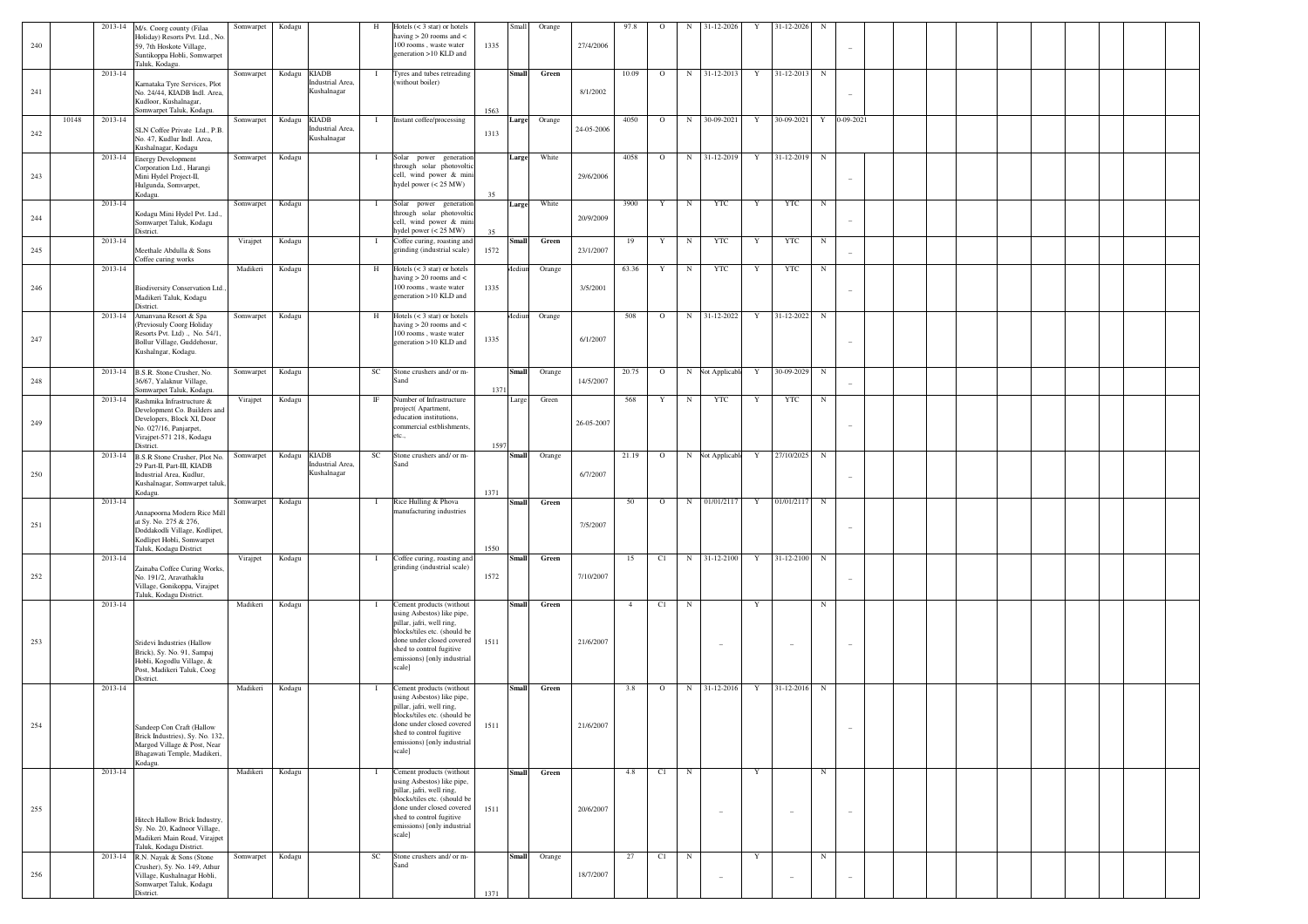|     |       |         | 2013-14 M/s. Coorg county (Filaa                                                                                                                      | Somwarpet | Kodagu       |                                                 | H            | Hotels $(< 3 \text{ star})$ or hotels                                                                                                                                                                                 |              | Small        | Orange       |            | 97.8           | $\circ$ | $_{\rm N}$ | 31-12-2026       | Y | 31-12-2026 | N           |                 |  |  |  |  |
|-----|-------|---------|-------------------------------------------------------------------------------------------------------------------------------------------------------|-----------|--------------|-------------------------------------------------|--------------|-----------------------------------------------------------------------------------------------------------------------------------------------------------------------------------------------------------------------|--------------|--------------|--------------|------------|----------------|---------|------------|------------------|---|------------|-------------|-----------------|--|--|--|--|
| 240 |       |         | Holiday) Resorts Pvt. Ltd., No.<br>59, 7th Hoskote Village,<br>Suntikoppa Hobli, Somwarpet<br>Taluk, Kodagu.                                          |           |              |                                                 |              | having $> 20$ rooms and $<$<br>100 rooms, waste water<br>generation >10 KLD and                                                                                                                                       | 1335         |              |              | 27/4/2006  |                |         |            |                  |   |            |             |                 |  |  |  |  |
| 241 |       | 2013-14 | Karnataka Tyre Services, Plot<br>No. 24/44, KIADB Indl. Area,<br>Kudloor, Kushalnagar,                                                                | Somwarpet |              | Kodagu KIADB<br>Industrial Area,<br>Kushalnagar | -1           | Tyres and tubes retreading<br>(without boiler)                                                                                                                                                                        |              | <b>Small</b> | Green        | 8/1/2002   | 10.09          | $\circ$ | N          | 31-12-2013       | Y | 31-12-2013 | $_{\rm N}$  |                 |  |  |  |  |
| 242 | 10148 | 2013-14 | Somwarpet Taluk, Kodagu<br>SLN Coffee Private Ltd., P.B.<br>No. 47, Kudlur Indl. Area,<br>Kushalnagar, Kodagu                                         | Somwarpet | Kodagu KIADB | Industrial Area,<br>Kushalnagar                 | $\bf{I}$     | Instant coffee/processing                                                                                                                                                                                             | 1563<br>1313 |              | Large Orange | 24-05-2006 | 4050           | $\circ$ | N          | 30-09-2021       | Y | 30-09-2021 | Y           | $0 - 09 - 2021$ |  |  |  |  |
|     |       |         | 2013-14 Energy Development                                                                                                                            | Somwarpet | Kodagu       |                                                 | $\bf{I}$     | Solar power generation                                                                                                                                                                                                |              | Large        | White        |            | 4058           | $\circ$ | N          | 31-12-2019       | Y | 31-12-2019 | $_{\rm N}$  |                 |  |  |  |  |
| 243 |       |         | Corporation Ltd., Harangi<br>Mini Hydel Project-II.<br>Hulgunda, Somvarpet,<br>Kodagu.                                                                |           |              |                                                 |              | through solar photovoltic<br>cell, wind power & mini<br>hydel power $(< 25$ MW)                                                                                                                                       | 35           |              |              | 29/6/2006  |                |         |            |                  |   |            |             |                 |  |  |  |  |
| 244 |       | 2013-14 | Kodagu Mini Hydel Pvt. Ltd.,<br>Somwarpet Taluk, Kodagu<br>District.                                                                                  | Somwarpet | Kodagu       |                                                 | $\mathbf{I}$ | Solar power generation<br>through solar photovoltic<br>cell, wind power & mini<br>hydel power $(< 25$ MW)                                                                                                             | 35           | Large        | White        | 20/9/2009  | 3900           | Y       | $_{\rm N}$ | YTC              | Y | YTC        | $_{\rm N}$  |                 |  |  |  |  |
| 245 |       | 2013-14 | Meethale Abdulla & Sons<br>Coffee curing works                                                                                                        | Virajpet  | Kodagu       |                                                 | $\mathbf{I}$ | Coffee curing, roasting and<br>grinding (industrial scale)                                                                                                                                                            | 1572         | <b>Small</b> | Green        | 23/1/2007  | 19             | Y       | $_{\rm N}$ | YTC              | Y | YTC        | $_{\rm N}$  |                 |  |  |  |  |
| 246 |       | 2013-14 | Biodiversity Conservation Ltd.,<br>Madikeri Taluk, Kodagu<br>District.                                                                                | Madikeri  | Kodagu       |                                                 | H            | Hotels $(< 3 \text{ star})$ or hotels<br>having $> 20$ rooms and $<$<br>100 rooms, waste water<br>generation >10 KLD and                                                                                              | 1335         | Mediur       | Orange       | 3/5/2001   | 63.36          | Y       | $_{\rm N}$ | YTC              | Y | YTC        | $_{\rm N}$  |                 |  |  |  |  |
| 247 |       |         | 2013-14 Amanvana Resort & Spa<br>(Previosuly Coorg Holiday<br>Resorts Pvt. Ltd)., No. 54/1,<br>Bollur Village, Guddehosur,<br>Kushalngar, Kodagu.     | Somwarpet | Kodagu       |                                                 | H            | Hotels $(< 3 \text{ star})$ or hotels<br>having $> 20$ rooms and $<$<br>100 rooms, waste water<br>generation >10 KLD and                                                                                              | 1335         | Aediun       | Orange       | 6/1/2007   | 508            | $\circ$ |            | N 31-12-2022     | Y | 31-12-2022 | $_{\rm N}$  |                 |  |  |  |  |
| 248 |       |         | 2013-14 B.S.R. Stone Crusher, No.<br>6/67, Yalaknur Village,<br>Somwarpet Taluk, Kodagu                                                               | Somwarpet | Kodagu       |                                                 | SC           | Stone crushers and/ or m-<br>Sano                                                                                                                                                                                     | 1371         | <b>Small</b> | Orange       | 14/5/2007  | 20.75          | $\circ$ |            | N Not Applicable | Y | 30-09-2029 | $_{\rm N}$  |                 |  |  |  |  |
| 249 |       |         | 2013-14 Rashmika Infrastructure &<br>Development Co. Builders and<br>Developers, Block XI, Door<br>No. 027/16, Panjarpet,<br>Virajpet-571 218, Kodagu | Virajpet  | Kodagu       |                                                 | IF           | Number of Infrastructure<br>project(Apartment,<br>education institutions,<br>commercial estblishments.<br>etc.,                                                                                                       |              | Large        | Green        | 26-05-2007 | 568            | Y       | $_{\rm N}$ | <b>YTC</b>       | Y | YTC        | $_{\rm N}$  |                 |  |  |  |  |
|     |       |         | District.                                                                                                                                             |           |              |                                                 |              |                                                                                                                                                                                                                       | 1597         |              |              |            |                |         |            |                  |   |            |             |                 |  |  |  |  |
| 250 |       |         | 2013-14 B.S.R Stone Crusher, Plot No.<br>29 Part-II, Part-III, KIADB<br>Industrial Area, Kudlur,<br>Kushalnagar, Somwarpet taluk<br>Kodagu.           | Somwarpet | Kodagu KIADB | Industrial Area,<br>Kushalnagar                 | SC           | Stone crushers and/ or m-<br>Sand                                                                                                                                                                                     | 1371         | <b>Small</b> | Orange       | 6/7/2007   | 21.19          | $\circ$ |            | N Not Applicable | Y | 27/10/2025 | $_{\rm N}$  |                 |  |  |  |  |
| 251 |       | 2013-14 | Annapoorna Modern Rice Mill<br>at Sy. No. 275 & 276,<br>Doddakodli Village, Kodlipet,<br>Kodlipet Hobli, Somwarpet<br>Taluk, Kodagu District          | Somwarpet | Kodagu       |                                                 | $\mathbf{I}$ | Rice Hulling & Phova<br>manufacturing industries                                                                                                                                                                      | 1550         | <b>Small</b> | Green        | 7/5/2007   | 50             | $\circ$ | N          | 01/01/2117       | Y | 01/01/2117 | $_{\rm N}$  |                 |  |  |  |  |
| 252 |       | 2013-14 | Zainaba Coffee Curing Works,<br>No. 191/2, Aravathaklu<br>Village, Gonikoppa, Virajpet<br>Taluk, Kodagu District.                                     | Virajpet  | Kodagu       |                                                 | $\mathbf{I}$ | Coffee curing, roasting and<br>grinding (industrial scale)                                                                                                                                                            | 1572         | <b>Small</b> | Green        | 7/10/2007  | 15             | C1      | N          | 31-12-2100       | Y | 31-12-2100 | $_{\rm N}$  |                 |  |  |  |  |
| 253 |       | 2013-14 | Sridevi Industries (Hallow<br>Brick), Sy. No. 91, Sampaj<br>Hobli, Kogodlu Village, &<br>Post, Madikeri Taluk, Coog                                   | Madikeri  | Kodagu       |                                                 | $\mathbf{I}$ | Cement products (without<br>using Asbestos) like pipe,<br>pillar, jafri, well ring,<br>blocks/tiles etc. (should be<br>done under closed covered<br>shed to control fugitive<br>emissions) [only industrial<br>scale] | 1511         | <b>Small</b> | Green        | 21/6/2007  | $\overline{4}$ | C1      | $_{\rm N}$ |                  | Y |            | $_{\rm N}$  |                 |  |  |  |  |
|     |       | 2013-14 | District.                                                                                                                                             | Madikeri  | Kodagu       |                                                 | -1           | Cement products (without                                                                                                                                                                                              |              | <b>Small</b> | Green        |            | 3.8            | $\circ$ | N          | 31-12-2016       | Y | 31-12-2016 | $_{\rm N}$  |                 |  |  |  |  |
| 254 |       |         | Sandeep Con Craft (Hallow<br>Brick Industries), Sy. No. 132.<br>Margod Village & Post, Near<br>Bhagawati Temple, Madikeri,                            |           |              |                                                 |              | using Asbestos) like pipe,<br>pillar, jafri, well ring,<br>blocks/tiles.etc. (should)<br>done under closed covered<br>shed to control fugitive<br>emissions) [only industrial<br>scale]                               | 1511         |              |              | 21/6/2007  |                |         |            |                  |   |            |             |                 |  |  |  |  |
|     |       | 2013-14 | Kodagu.                                                                                                                                               | Madikeri  | Kodagu       |                                                 | $\mathbf{I}$ | Cement products (without<br>using Asbestos) like pipe,                                                                                                                                                                |              | <b>Small</b> | Green        |            | 4.8            | C1      | N          |                  | Y |            | $\mathbb N$ |                 |  |  |  |  |
| 255 |       |         | Hitech Hallow Brick Industry,<br>Sy. No. 20, Kadnoor Village,<br>Madikeri Main Road, Virajpet<br>Taluk, Kodagu District.                              |           |              |                                                 |              | pillar, jafri, well ring,<br>blocks/tiles etc. (should be<br>done under closed covered<br>shed to control fugitive<br>emissions) [only industrial<br>scale]                                                           | 1511         |              |              | 20/6/2007  |                |         |            |                  |   |            |             |                 |  |  |  |  |
|     |       |         | 2013-14 R.N. Nayak & Sons (Stone                                                                                                                      | Somwarpet | Kodagu       |                                                 | SC           | Stone crushers and/ or m-                                                                                                                                                                                             |              | <b>Small</b> | Orange       |            | 27             | C1      | $_{\rm N}$ |                  | Y |            | $\mathbb N$ |                 |  |  |  |  |
| 256 |       |         | Crusher), Sy. No. 149, Athur<br>Village, Kushalnagar Hobli,<br>Somwarpet Taluk, Kodagu<br>District.                                                   |           |              |                                                 |              | Sand                                                                                                                                                                                                                  | 1371         |              |              | 18/7/2007  |                |         |            |                  |   |            |             |                 |  |  |  |  |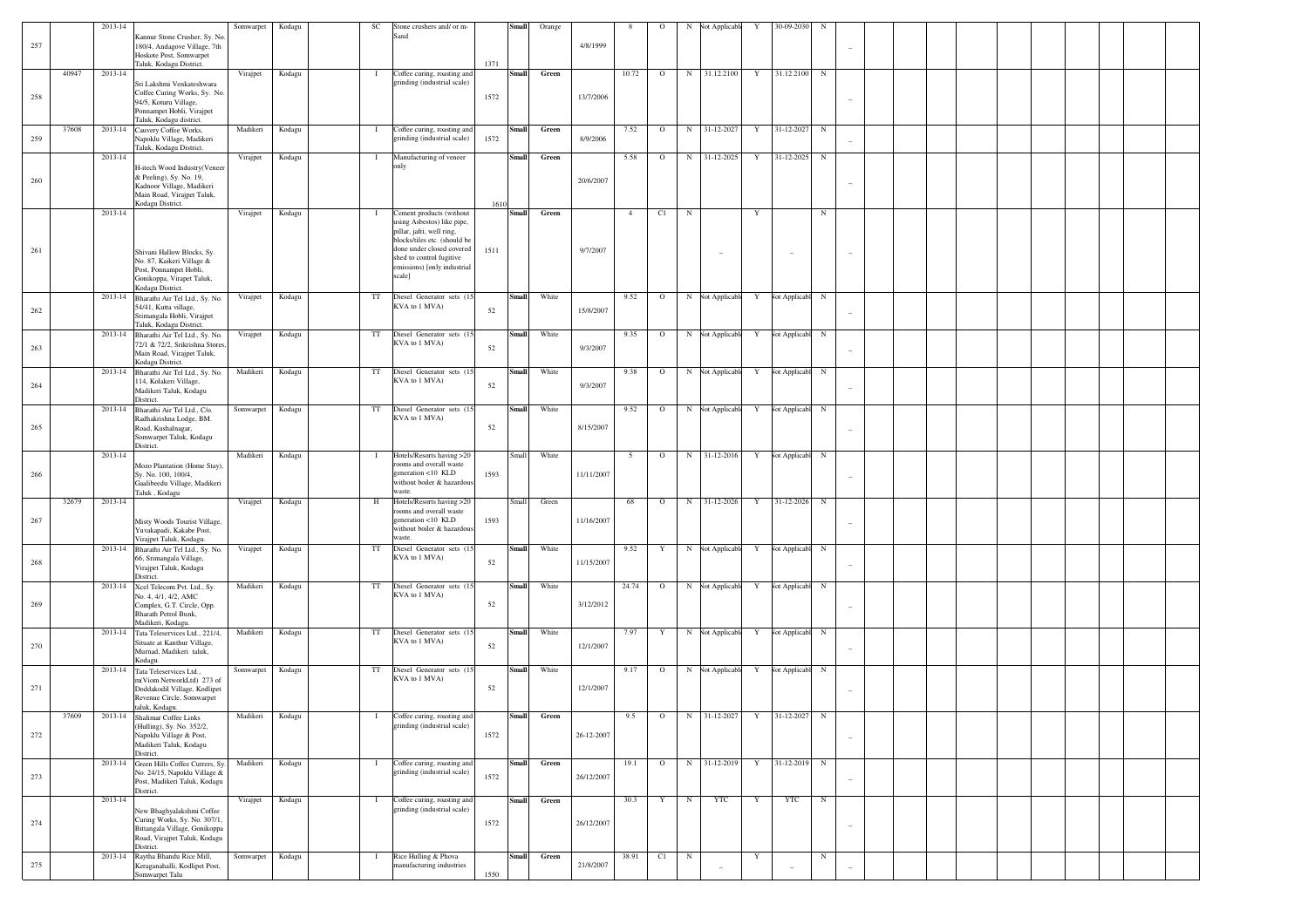|     |       | 2013-14 |                                                                                                                                   | Somwarpet       | Kodagu | SC                  | Stone crushers and/ or m-                                                                                                      |      | Small        | Orange      |            |                |         |            | Not Applicabl                     | Y           | 30-09-2030    |            |                                   |  |  |  |  |  |
|-----|-------|---------|-----------------------------------------------------------------------------------------------------------------------------------|-----------------|--------|---------------------|--------------------------------------------------------------------------------------------------------------------------------|------|--------------|-------------|------------|----------------|---------|------------|-----------------------------------|-------------|---------------|------------|-----------------------------------|--|--|--|--|--|
| 257 |       |         | Kannur Stone Crusher, Sy. No<br>180/4, Andagove Village, 7th<br>Hoskote Post, Somwarpet                                           |                 |        |                     | Sand                                                                                                                           |      |              |             | 4/8/1999   |                |         |            |                                   |             |               |            |                                   |  |  |  |  |  |
|     | 40947 | 2013-14 | Taluk, Kodagu District.<br>Sri Lakshmi Venkateshwara                                                                              | Virajpet        | Kodagu | $\mathbf{I}$        | Coffee curing, roasting and<br>grinding (industrial scale)                                                                     | 1371 | Small        | Green       |            | 10.72          | $\circ$ |            | N 31.12.2100                      | Y           | 31.12.2100    | $_{\rm N}$ |                                   |  |  |  |  |  |
| 258 |       |         | Coffee Curing Works, Sy. No.<br>94/5, Koturu Village,<br>Ponnampet Hobli, Virajpet<br>Taluk, Kodagu district.                     |                 |        |                     |                                                                                                                                | 1572 |              |             | 13/7/2006  |                |         |            |                                   |             |               |            |                                   |  |  |  |  |  |
| 259 | 37608 |         | 2013-14 Cauvery Coffee Works,<br>Napoklu Village, Madikeri                                                                        | Madikeri        | Kodagu | $\mathbf{I}$        | Coffee curing, roasting and<br>grinding (industrial scale)                                                                     | 1572 | <b>Small</b> | Green       | 8/9/2006   | 7.52           | $\circ$ | N          | 31-12-2027                        | Y           | 31-12-2027    | $_{\rm N}$ |                                   |  |  |  |  |  |
|     |       | 2013-14 | Taluk, Kodagu District.<br>H-itech Wood Industry(Veneer                                                                           | Virajpet        | Kodagu | $\mathbf{I}$        | Manufacturing of veneer<br>only                                                                                                |      | Small        | Green       |            | 5.58           | $\circ$ | N          | 31-12-2025                        | Y           | 31-12-2025    | $_{\rm N}$ |                                   |  |  |  |  |  |
| 260 |       |         | & Peeling), Sy. No. 19,<br>Kadnoor Village, Madikeri<br>Main Road, Virajpet Taluk,<br>Kodagu District.                            |                 |        |                     |                                                                                                                                | 1610 |              |             | 20/6/2007  |                |         |            |                                   |             |               |            | $\overline{\phantom{a}}$          |  |  |  |  |  |
|     |       | 2013-14 |                                                                                                                                   | Virajpet        | Kodagu | $\mathbf{I}$        | Cement products (without<br>using Asbestos) like pipe,<br>pillar, jafri, well ring,                                            |      | Small        | Green       |            | $\overline{4}$ | C1      | $_{\rm N}$ |                                   | Y           |               | $_{\rm N}$ |                                   |  |  |  |  |  |
| 261 |       |         | Shivani Hallow Blocks, Sy.<br>No. 87, Kaikeri Village &<br>Post, Ponnampet Hobli,<br>Gonikoppa, Virapet Taluk,                    |                 |        |                     | blocks/tiles etc. (should be<br>done under closed covered<br>shed to control fugitive<br>emissions) [only industrial<br>scale] | 1511 |              |             | 9/7/2007   |                |         |            |                                   |             |               |            |                                   |  |  |  |  |  |
|     |       |         | Kodagu District.<br>2013-14 Bharathi Air Tel Ltd., Sy. No.<br>54/41, Kutta village,                                               | Virajpet        | Kodagu | $_{\rm TT}$         | Diesel Generator sets (15<br>KVA to 1 MVA)                                                                                     |      | Small        | White       |            | 9.52           | $\circ$ |            | N Not Applicable                  | Y           | Not Applicabl | $_{\rm N}$ |                                   |  |  |  |  |  |
| 262 |       |         | Srimangala Hobli, Virajpet<br>Taluk, Kodagu District.                                                                             |                 |        |                     |                                                                                                                                | 52   |              |             | 15/8/2007  |                |         |            |                                   |             |               |            |                                   |  |  |  |  |  |
| 263 |       |         | 2013-14 Bharathi Air Tel Ltd., Sy. No.<br>72/1 & 72/2, Srikrishna Stores,<br>Main Road, Virajpet Taluk,                           | Virajpet        | Kodagu | $_{\rm TT}$         | Diesel Generator sets (15<br>KVA to 1 MVA)                                                                                     | 52   | Small        | White       | 9/3/2007   | 9.35           | $\circ$ |            | N Not Applicable                  | Y           | Not Applicabl | $_{\rm N}$ |                                   |  |  |  |  |  |
|     |       |         | Kodagu District.<br>2013-14 Bharathi Air Tel Ltd., Sy. No.                                                                        | Madikeri        | Kodagu | $_{\rm TT}$         | Diesel Generator sets (15                                                                                                      |      | Small        | White       |            | 9.38           | $\circ$ |            | N Not Applicable                  | Y           | Vot Applicabl | $_{\rm N}$ |                                   |  |  |  |  |  |
| 264 |       |         | 114, Kolakeri Village,<br>Madikeri Taluk, Kodagu<br>District.                                                                     |                 |        |                     | KVA to 1 MVA)                                                                                                                  | 52   |              |             | 9/3/2007   |                |         |            |                                   |             |               |            |                                   |  |  |  |  |  |
|     |       |         | 2013-14 Bharathi Air Tel Ltd., C/o.<br>Radhakrishna Lodge, BM.                                                                    | Somwarpet       | Kodagu | $_{\rm TT}$         | Diesel Generator sets (15<br>KVA to 1 MVA)                                                                                     |      | <b>Small</b> | White       |            | 9.52           | $\circ$ |            | N Not Applicable                  | Y           | Not Applicabl | $_{\rm N}$ |                                   |  |  |  |  |  |
| 265 |       |         | Road, Kushalnagar,<br>Somwarpet Taluk, Kodagu<br>District.                                                                        |                 |        |                     |                                                                                                                                | 52   |              |             | 8/15/2007  |                |         |            |                                   |             |               |            | $\hspace{0.1in} - \hspace{0.1in}$ |  |  |  |  |  |
|     |       | 2013-14 |                                                                                                                                   | Madikeri        | Kodagu | $\mathbf{I}$        | Hotels/Resorts having >20                                                                                                      |      | Small        | White       |            | -5             | $\circ$ | N          | 31-12-2016                        | Y           | Not Applicabl | $_{\rm N}$ |                                   |  |  |  |  |  |
|     |       |         |                                                                                                                                   |                 |        |                     |                                                                                                                                |      |              |             |            |                |         |            |                                   |             |               |            |                                   |  |  |  |  |  |
| 266 |       |         | Mozo Plantation (Home Stay),<br>Sy. No. 100, 100/4,<br>Gaalibeedu Village, Madikeri<br>Taluk, Kodagu                              |                 |        |                     | rooms and overall waste<br>generation <10 KLD<br>without boiler & hazardous<br>waste.                                          | 1593 |              |             | 11/11/2007 |                |         |            |                                   |             |               |            |                                   |  |  |  |  |  |
|     | 32679 | 2013-14 |                                                                                                                                   | Virajpet        | Kodagu | H                   | Hotels/Resorts having >20<br>rooms and overall waste                                                                           |      | Small        | Green       |            | 68             | $\circ$ |            | N 31-12-2026                      | Y           | 31-12-2026    | $_{\rm N}$ |                                   |  |  |  |  |  |
| 267 |       |         | Misty Woods Tourist Village,<br>Yuvakapadi, Kakabe Post,<br>Virajpet Taluk, Kodagu.                                               |                 |        |                     | generation <10 KLD<br>without boiler & hazardous<br>waste.                                                                     | 1593 |              |             | 11/16/2007 |                |         |            |                                   |             |               |            | $\hspace{0.1in} - \hspace{0.1in}$ |  |  |  |  |  |
|     |       |         | 2013-14 Bharathi Air Tel Ltd., Sy. No.                                                                                            | Virajpet        | Kodagu | $_{\rm TT}$         | Diesel Generator sets (15                                                                                                      |      | Small        | White       |            | 9.52           | Y       |            | N Not Applicable                  | Y           | Not Applicabl | $_{\rm N}$ |                                   |  |  |  |  |  |
| 268 |       |         | 66, Srimangala Village,<br>Virajpet Taluk, Kodagu<br>District.                                                                    |                 |        |                     | KVA to 1 MVA)                                                                                                                  | 52   |              |             | 11/15/2007 |                |         |            |                                   |             |               |            | $\overline{\phantom{a}}$          |  |  |  |  |  |
| 269 |       |         | 2013-14 Xcel Telecom Pvt. Ltd., Sy.<br>No. 4, 4/1, 4/2, AMC<br>Complex, G.T. Circle, Opp.                                         | Madikeri        | Kodagu | $_{\rm TT}$         | Diesel Generator sets (15<br>KVA to 1 MVA)                                                                                     | 52   | Small        | White       | 3/12/2012  | 24.74          | $\circ$ |            | N Not Applicable                  | Y           | Not Applicabl | $_{\rm N}$ |                                   |  |  |  |  |  |
|     |       |         | Bharath Petrol Bunk,<br>Madikeri, Kodagu.                                                                                         |                 |        |                     |                                                                                                                                |      |              |             |            |                |         |            |                                   |             |               |            |                                   |  |  |  |  |  |
| 270 |       | 2013-14 | Tata Teleservices Ltd., 221/4,<br>Situate at Kanthur Village,<br>Murnad, Madikeri taluk,                                          | Madikeri        | Kodagu | $\operatorname{TT}$ | Diesel Generator sets (15<br>KVA to 1 MVA)                                                                                     | 52   | Small        | White       | 12/1/2007  | 7.97           | Y       |            | N Not Applicable                  | Y           | Not Applicabl | $_{\rm N}$ | $\overline{\phantom{a}}$          |  |  |  |  |  |
|     |       |         | Kodagu.<br>2013-14 Tata Teleservices Ltd.,                                                                                        | Somwarpet       | Kodagu | TT                  | Diesel Generator sets (15                                                                                                      |      | Small        | White       |            | 9.17           | $\circ$ |            | N Not Applicable                  | Y           | Not Applicabl | $_{\rm N}$ |                                   |  |  |  |  |  |
| 271 |       |         | m(Viom NetworkLtd) 273 of<br>Doddakodil Village, Kodlipet<br>Revenue Circle, Somwarpet<br>taluk, Kodagu.                          |                 |        |                     | KVA to 1 MVA)                                                                                                                  | 52   |              |             | 12/1/2007  |                |         |            |                                   |             |               |            |                                   |  |  |  |  |  |
| 272 |       |         | 37609 2013-14 Shalimar Coffee Links<br>(Hulling), Sy. No. 352/2,<br>Napoklu Village & Post,<br>Madikeri Taluk, Kodagu             | Madikeri Kodagu |        | $\blacksquare$      | Coffee curing, roasting and<br>grinding (industrial scale)                                                                     | 1572 |              | Small Green | 26-12-2007 |                |         |            | 9.5 0 N 31-12-2027 Y 31-12-2027 N |             |               |            | $\overline{\phantom{a}}$          |  |  |  |  |  |
| 273 |       |         | District.<br>2013-14 Green Hills Coffee Currers, Sy.<br>No. 24/15, Napoklu Village &<br>Post, Madikeri Taluk, Kodagu<br>District. | Madikeri        | Kodagu | $\mathbf{I}$        | Coffee curing, roasting and<br>grinding (industrial scale)                                                                     | 1572 | <b>Small</b> | Green       | 26/12/2007 | 19.1           | $\circ$ |            | N 31-12-2019                      | $\mathbf Y$ | 31-12-2019    | $_{\rm N}$ | $\overline{\phantom{a}}$          |  |  |  |  |  |
|     |       | 2013-14 |                                                                                                                                   | Virajpet        | Kodagu | $\mathbf{I}$        | Coffee curing, roasting and                                                                                                    |      | <b>Small</b> | Green       |            | 30.3           | Y       | $_{\rm N}$ | <b>YTC</b>                        | Y           | <b>YTC</b>    | $_{\rm N}$ |                                   |  |  |  |  |  |
| 274 |       |         | New Bhaghyalakshmi Coffee<br>Curing Works, Sy. No. 307/1,<br>Bittangala Village, Gonikoppa<br>Road, Virajpet Taluk, Kodagu        |                 |        |                     | grinding (industrial scale)                                                                                                    | 1572 |              |             | 26/12/2007 |                |         |            |                                   |             |               |            | $\overline{\phantom{a}}$          |  |  |  |  |  |
| 275 |       |         | District.<br>2013-14 Raytha Bhandu Rice Mill,<br>Keraganahalli, Kodlipet Post,                                                    | Somwarpet       | Kodagu | $\mathbf{I}$        | Rice Hulling & Phova<br>manufacturing industries                                                                               |      | Small        | Green       | 21/8/2007  | 38.91          | C1      | $_{\rm N}$ |                                   | Y           |               | $_{\rm N}$ |                                   |  |  |  |  |  |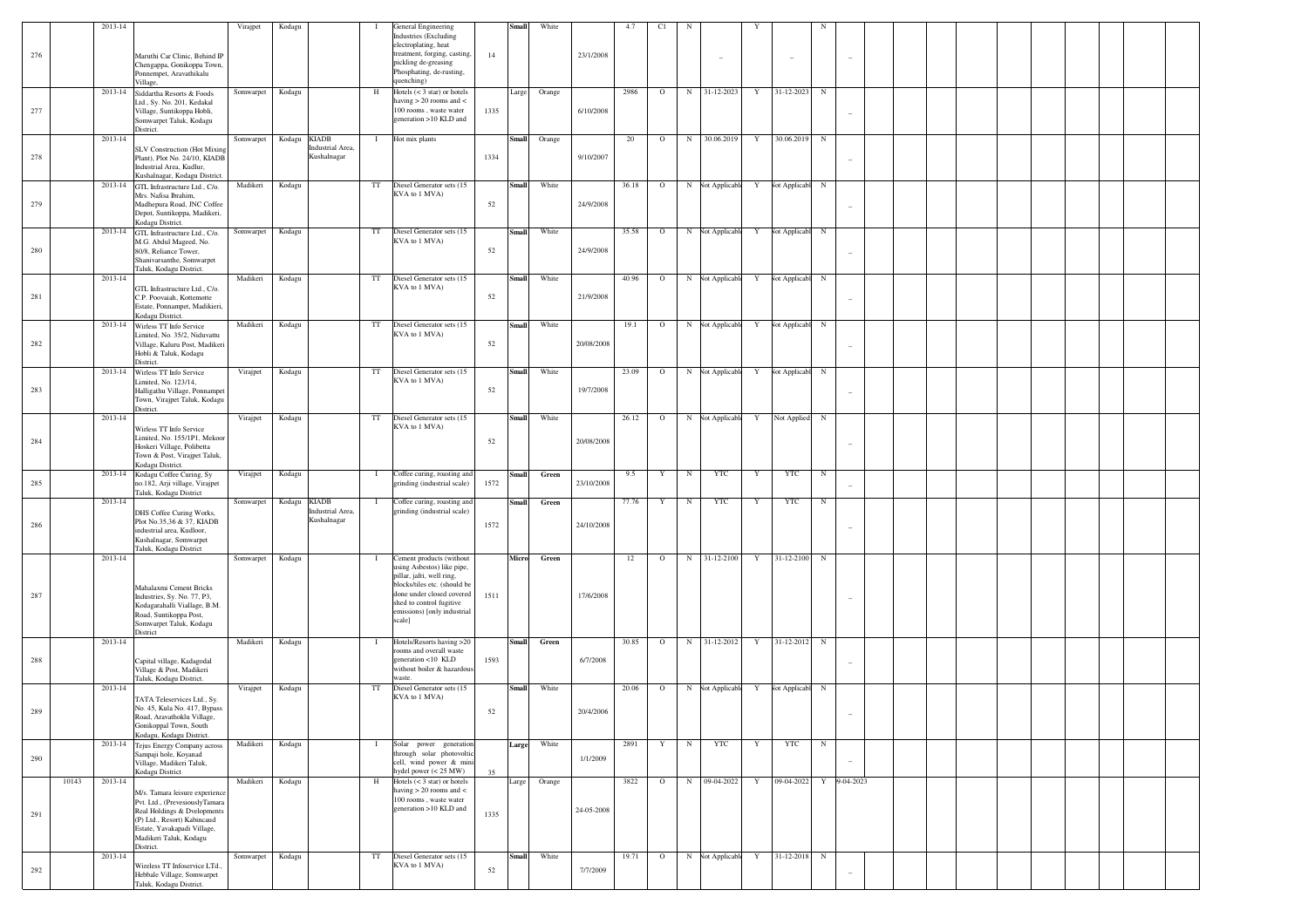| 276 |       | 2013-14     | Maruthi Car Clinic, Behind IP<br>Chengappa, Gonikoppa Town,<br>Ponnempet, Aravathikalu                                                                                                               | Virajpet  | Kodagu | -1                                                              | <b>General Engineering</b><br><b>Industries</b> (Excluding<br>electroplating, heat<br>treatment, forging, casting,<br>pickling de-greasing<br>Phosphating, de-rusting,<br>quenching)                                  | 14   | <b>Small</b> | White  | 23/1/2008  | 4.7   | C1      | N          |                  |   | $\sim$                  |            |                          |  |  |  |  |  |
|-----|-------|-------------|------------------------------------------------------------------------------------------------------------------------------------------------------------------------------------------------------|-----------|--------|-----------------------------------------------------------------|-----------------------------------------------------------------------------------------------------------------------------------------------------------------------------------------------------------------------|------|--------------|--------|------------|-------|---------|------------|------------------|---|-------------------------|------------|--------------------------|--|--|--|--|--|
| 277 |       | 2013-14     | Village.<br>Siddartha Resorts & Foods<br>Ltd., Sy. No. 201, Kedakal<br>Village, Suntikoppa Hobli,<br>Somwarpet Taluk, Kodagu<br>District.                                                            | Somwarpet | Kodagu | H                                                               | Hotels $(< 3 \text{ star})$ or hotels<br>having $> 20$ rooms and $<$<br>$100$ rooms, waste water<br>generation >10 KLD and                                                                                            | 1335 | Large        | Orange | 6/10/2008  | 2986  | $\circ$ | N          | 31-12-2023       | Y | 31-12-2023              | N          | $\qquad \qquad -$        |  |  |  |  |  |
| 278 |       | 2013-14     | <b>SLV Construction (Hot Mixing</b><br>Plant), Plot No. 24/10, KIADB<br>Industrial Area, Kudlur,<br>Kushalnagar, Kodagu District.                                                                    | Somwarpet | Kodagu | <b>KIADB</b><br>$\mathbf{I}$<br>Industrial Area,<br>Kushalnagar | Hot mix plants                                                                                                                                                                                                        | 1334 | <b>Small</b> | Orange | 9/10/2007  | 20    | $\circ$ | $_{\rm N}$ | 30.06.2019       | Y | 30.06.2019 N            |            |                          |  |  |  |  |  |
| 279 |       | 2013-14     | GTL Infrastructure Ltd., C/o.<br>Mrs. Nafisa Ibrahim,<br>Madhepura Road, JNC Coffee<br>Depot, Suntikoppa, Madikeri,<br>Kodagu District.                                                              | Madikeri  | Kodagu | TT                                                              | Diesel Generator sets (15<br>KVA to 1 MVA)                                                                                                                                                                            | 52   | <b>Small</b> | White  | 24/9/2008  | 36.18 | $\circ$ |            | N Not Applicable | Y | Not Applicabl N         |            | $\qquad \qquad -$        |  |  |  |  |  |
| 280 |       | 2013-14     | GTL Infrastructure Ltd., C/o.<br>M.G. Abdul Mageed, No.<br>80/8, Reliance Tower,<br>Shanivarsanthe, Somwarpet<br>Taluk, Kodagu District.                                                             | Somwarpet | Kodagu | TT                                                              | Diesel Generator sets (15<br>KVA to 1 MVA)                                                                                                                                                                            | 52   | <b>Small</b> | White  | 24/9/2008  | 35.58 | $\circ$ |            | N Not Applicable | Y | Not Applicabl N         |            |                          |  |  |  |  |  |
| 281 |       | 2013-14     | GTL Infrastructure Ltd., C/o.<br>C.P. Poovaiah, Kottemotte<br>Estate, Ponnampet, Madikieri,<br>Kodagu District.                                                                                      | Madikeri  | Kodagu | TT                                                              | Diesel Generator sets (15<br>KVA to 1 MVA)                                                                                                                                                                            | 52   | Small        | White  | 21/9/2008  | 40.96 | $\circ$ |            | N Not Applicable | Y | Not Applicabl N         |            | $\overline{\phantom{a}}$ |  |  |  |  |  |
| 282 |       | 2013-14     | Wirless TT Info Service<br>Limited, No. 35/2, Niduvattu<br>Village, Kaluru Post, Madikeri<br>Hobli & Taluk, Kodagu<br>District.                                                                      | Madikeri  | Kodagu | TT                                                              | Diesel Generator sets (15<br>KVA to 1 MVA)                                                                                                                                                                            | 52   | <b>Small</b> | White  | 20/08/2008 | 19.1  | $\circ$ |            | N Not Applicable | Y | Not Applicabl N         |            |                          |  |  |  |  |  |
| 283 |       | 2013-14     | Wirless TT Info Service<br>Limited, No. 123/14,<br>Halligathu Village, Ponnampet<br>Town, Virajpet Taluk, Kodagu<br>District.                                                                        | Virajpet  | Kodagu | TT                                                              | Diesel Generator sets (15<br>KVA to 1 MVA)                                                                                                                                                                            | 52   | Small        | White  | 19/7/2008  | 23.09 | $\circ$ |            | N Not Applicable | Y | Not Applicabl N         |            | $\overline{\phantom{a}}$ |  |  |  |  |  |
| 284 |       | 2013-14     | Wirless TT Info Service<br>Limited, No. 155/1P1, Mekoor<br>Hoskeri Village, Polibetta<br>Town & Post, Virajpet Taluk,<br>Kodagu District.                                                            | Virajpet  | Kodagu | TT                                                              | Diesel Generator sets (15<br>KVA to 1 MVA)                                                                                                                                                                            | 52   | <b>Small</b> | White  | 20/08/2008 | 26.12 | $\circ$ |            | N Not Applicable | Y | Not Applied N           |            | $\overline{\phantom{0}}$ |  |  |  |  |  |
| 285 |       | 2013-14     | Kodagu Coffee Curing, Sy<br>no.182, Arji village, Virajpet<br>Taluk, Kodagu District                                                                                                                 | Virajpet  | Kodagu | $\mathbf{I}$                                                    | Coffee curing, roasting and<br>grinding (industrial scale)                                                                                                                                                            | 1572 | <b>Small</b> | Green  | 23/10/2008 | 9.5   | Y       | $_{\rm N}$ | <b>YTC</b>       | Y | <b>YTC</b>              | $_{\rm N}$ |                          |  |  |  |  |  |
| 286 |       | 2013-14     | DHS Coffee Curing Works,<br>Plot No.35,36 & 37, KIADB<br>industrial area, Kudloor,<br>Kushalnagar, Somwarpet<br>Taluk, Kodagu District                                                               | Somwarpet | Kodagu | <b>KIADB</b><br>$\mathbf{I}$<br>Industrial Area,<br>Kushalnagar | Coffee curing, roasting and<br>grinding (industrial scale)                                                                                                                                                            | 1572 | <b>Small</b> | Green  | 24/10/2008 | 77.76 | Y       | $_{\rm N}$ | YTC              | Y | YTC                     | N          | $\overline{\phantom{0}}$ |  |  |  |  |  |
| 287 |       | 2013-14     | Mahalaxmi Cement Bricks<br>Industries, Sy. No. 77, P3,<br>Kodagarahalli Viallage, B.M.<br>Road, Suntikoppa Post,<br>Somwarpet Taluk, Kodagu                                                          | Somwarpet | Kodagu | $\mathbf{I}$                                                    | Cement products (without<br>using Asbestos) like pipe,<br>pillar, jafri, well ring,<br>blocks/tiles etc. (should be<br>done under closed covered<br>shed to control fugitive<br>emissions) [only industrial<br>scale] | 1511 | Micro        | Green  | 17/6/2008  | 12    | $\circ$ | N          | 31-12-2100       | Y | 31-12-2100 N            |            |                          |  |  |  |  |  |
| 288 |       | 2013-14     | District<br>Capital village, Kadagodal<br>Village & Post, Madikeri<br>Taluk, Kodagu District.                                                                                                        | Madikeri  | Kodagu | $\mathbf{I}$                                                    | Hotels/Resorts having >20<br>rooms and overall waste<br>generation <10 KLD<br>without boiler & hazardous<br>waste.                                                                                                    | 1593 | <b>Small</b> | Green  | 6/7/2008   | 30.85 | $\circ$ | $_{\rm N}$ | 31-12-2012       | Y | 31-12-2012 N            |            |                          |  |  |  |  |  |
| 289 |       | 2013-14     | TATA Teleservices Ltd., Sy.<br>No. 45, Kula No. 417, Bypass<br>Road. Aravathoklu Village<br>Gonikoppal Town, South<br>Kodagu, Kodagu District.                                                       | Virajpet  | Kodagu | $_{\rm TT}$                                                     | Diesel Generator sets (15<br>KVA to 1 MVA)                                                                                                                                                                            | 52   | <b>Small</b> | White  | 20/4/2006  | 20.06 | $\circ$ |            | N Not Applicabl  | Y | Not Applicabl N         |            |                          |  |  |  |  |  |
| 290 |       | $2013 - 14$ | Tejus Energy Company across<br>Sampaji hole, Koyanad<br>Village, Madikeri Taluk,<br>Kodagu District                                                                                                  | Madikeri  | Kodagu | $\mathbf{I}$                                                    | Solar power generation<br>through solar photovoltic<br>cell, wind power & mini<br>hydel power $(< 25$ MW)                                                                                                             | 35   | Large        | White  | 1/1/2009   | 2891  | Y       | $_{\rm N}$ | <b>YTC</b>       | Y | <b>YTC</b>              | $_{\rm N}$ | $\sim$                   |  |  |  |  |  |
| 291 | 10143 | 2013-14     | M/s. Tamara leisure experience<br>Pvt. Ltd., (PrevesiouslyTamara<br>Real Holdings & Dvelopments<br>(P) Ltd., Resort) Kabincaud<br>Estate, Yavakapadi Village,<br>Madikeri Taluk, Kodagu<br>District. | Madikeri  | Kodagu | H                                                               | Hotels $(< 3 \text{ star})$ or hotels<br>having $> 20$ rooms and $<$<br>100 rooms, waste water<br>generation >10 KLD and                                                                                              | 1335 | Large        | Orange | 24-05-2008 | 3822  | $\circ$ |            | N 09-04-2022     | Y | 09-04-2022 Y 09-04-2023 |            |                          |  |  |  |  |  |
| 292 |       | 2013-14     | Wireless TT Infoservice LTd.,<br>Hebbale Village, Somwarpet<br>Taluk, Kodagu District.                                                                                                               | Somwarpet | Kodagu | TT                                                              | Diesel Generator sets (15<br>KVA to 1 MVA)                                                                                                                                                                            | 52   | Small        | White  | 7/7/2009   | 19.71 | $\circ$ |            | N Not Applicable | Y | 31-12-2018 N            |            | $\overline{\phantom{a}}$ |  |  |  |  |  |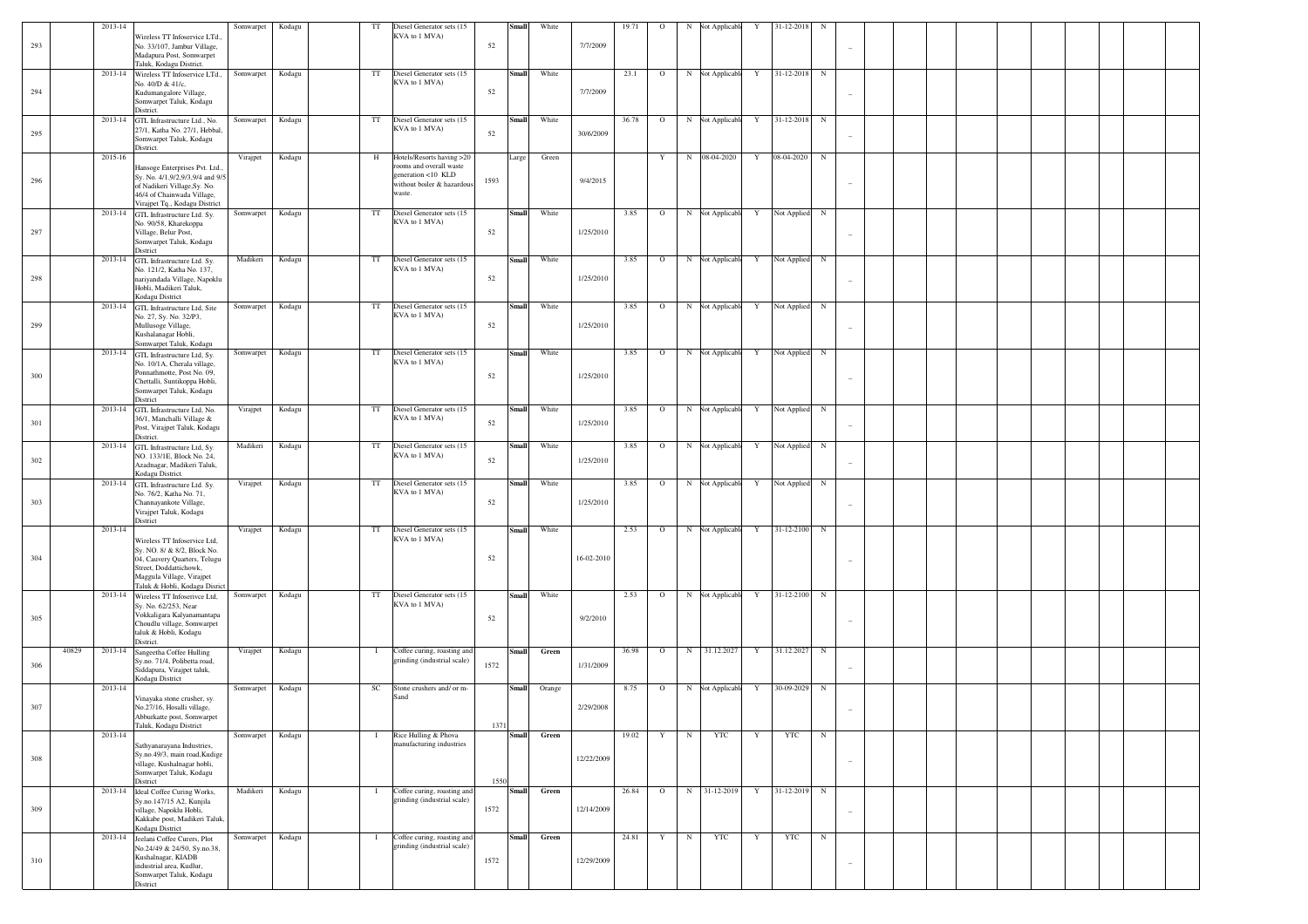| 293     | 2013-14          | Wireless TT Infoservice LTd.                                                                                                                                                        | Somwarpet | Kodagu | $_{\rm TT}$  | Diesel Generator sets (15<br>KVA to 1 MVA)                                                                         | <b>Small</b><br>52   | White  | 7/7/2009   | 19.71 | $\circ$ | N          | <b>Not Applicable</b> | Y           | 31-12-2018    | N          |                          |  |  |  |  |
|---------|------------------|-------------------------------------------------------------------------------------------------------------------------------------------------------------------------------------|-----------|--------|--------------|--------------------------------------------------------------------------------------------------------------------|----------------------|--------|------------|-------|---------|------------|-----------------------|-------------|---------------|------------|--------------------------|--|--|--|--|
|         |                  | No. 33/107, Jambur Village,<br>Madapura Post, Somwarpet<br>Taluk, Kodagu District.                                                                                                  |           |        |              |                                                                                                                    |                      |        |            |       |         |            |                       |             |               |            |                          |  |  |  |  |
| 294     | 2013-14          | Wireless TT Infoservice LTd.,<br>No. 40/D & 41/c,<br>Kudumangalore Village,<br>Somwarpet Taluk, Kodagu                                                                              | Somwarpet | Kodagu | TT           | Diesel Generator sets (15<br>KVA to 1 MVA)                                                                         | Small<br>52          | White  | 7/7/2009   | 23.1  | $\circ$ |            | N Not Applicable      | $\mathbf Y$ | 31-12-2018    | $\,$ N     |                          |  |  |  |  |
| 295     | 2013-14          | District.<br>GTL Infrastructure Ltd., No.<br>27/1, Katha No. 27/1, Hebbal<br>Somwarpet Taluk, Kodagu<br>District.                                                                   | Somwarpet | Kodagu | TT           | Diesel Generator sets (15<br>KVA to 1 MVA)                                                                         | <b>Small</b><br>52   | White  | 30/6/2009  | 36.78 | $\circ$ |            | N Not Applicable      | $\mathbf Y$ | 31-12-2018    | $\,$ N     |                          |  |  |  |  |
| 296     | 2015-16          | Hansoge Enterprises Pvt. Ltd.,<br>Sy. No. 4/1,9/2,9/3,9/4 and 9/5<br>of Nadikeri Village, Sy. No.<br>46/4 of Chainwada Village,                                                     | Virajpet  | Kodagu | H            | Hotels/Resorts having >20<br>rooms and overall waste<br>generation <10 KLD<br>without boiler & hazardous<br>waste. | Large<br>1593        | Green  | 9/4/2015   |       | Y       |            | N 08-04-2020          | $\mathbf Y$ | 08-04-2020    | $\,$ N     |                          |  |  |  |  |
| 297     | 2013-14          | Virajpet Tq., Kodagu District<br>GTL Infrastructure Ltd. Sy.<br>No. 90/58, Kharekoppa<br>Village, Belur Post,<br>Somwarpet Taluk, Kodagu<br>District                                | Somwarpet | Kodagu | TT           | Diesel Generator sets (15<br>KVA to 1 MVA)                                                                         | Small<br>52          | White  | 1/25/2010  | 3.85  | $\circ$ |            | N Not Applicable      | Y           | Not Applied N |            |                          |  |  |  |  |
| 298     | 2013-14          | GTL Infrastructure Ltd. Sy.<br>No. 121/2, Katha No. 137,<br>nariyandada Village, Napoklu<br>Hobli, Madikeri Taluk,<br>Kodagu District                                               | Madikeri  | Kodagu | TT           | Diesel Generator sets (15<br>KVA to 1 MVA)                                                                         | Small<br>52          | White  | 1/25/2010  | 3.85  | $\circ$ |            | N Not Applicable      | Y           | Not Applied   | $_{\rm N}$ |                          |  |  |  |  |
| 299     | 2013-14          | GTL Infrastructure Ltd, Site<br>No. 27, Sy. No. 32/P3,<br>Mullusoge Village,<br>Kushalanagar Hobli,<br>Somwarpet Taluk, Kodagu                                                      | Somwarpet | Kodagu | TT           | Diesel Generator sets (15<br>KVA to 1 MVA)                                                                         | Small<br>52          | White  | 1/25/2010  | 3.85  | $\circ$ |            | N Not Applicable      | Y           | Not Applied N |            |                          |  |  |  |  |
| 300     | 2013-14          | GTL Infrastructure Ltd, Sy.<br>No. 10/1A, Cherala village,<br>Ponnathmotte, Post No. 09,<br>Chettalli, Suntikoppa Hobli,<br>Somwarpet Taluk, Kodagu<br>District                     | Somwarpet | Kodagu | TT           | Diesel Generator sets (15<br>KVA to 1 MVA)                                                                         | Small<br>52          | White  | 1/25/2010  | 3.85  | $\circ$ |            | N Not Applicable      | Y           | Not Applied   | $_{\rm N}$ |                          |  |  |  |  |
| 301     | 2013-14          | GTL Infrastructure Ltd, No.<br>36/1, Manchalli Village &<br>Post, Virajpet Taluk, Kodagu<br>District.                                                                               | Virajpet  | Kodagu | TT           | Diesel Generator sets (15<br>KVA to 1 MVA)                                                                         | Small<br>52          | White  | 1/25/2010  | 3.85  | $\circ$ |            | N Not Applicable      | Y           | Not Applied   | $_{\rm N}$ |                          |  |  |  |  |
| 302     | 2013-14          | GTL Infrastructure Ltd, Sy.<br>NO. 133/1E, Block No. 24,<br>Azadnagar, Madikeri Taluk,<br>Kodagu District.                                                                          | Madikeri  | Kodagu | TT           | Diesel Generator sets (15<br>KVA to 1 MVA)                                                                         | <b>Small</b><br>52   | White  | 1/25/2010  | 3.85  | $\circ$ |            | N Not Applicable      | Y           | Not Applied   | $_{\rm N}$ |                          |  |  |  |  |
| 303     | 2013-14          | GTL Infrastructure Ltd. Sy.<br>No. 76/2, Katha No. 71,<br>Channayankote Village,<br>Virajpet Taluk, Kodagu<br>District                                                              | Virajpet  | Kodagu | TT           | Diesel Generator sets (15<br>KVA to 1 MVA)                                                                         | Small<br>52          | White  | 1/25/2010  | 3.85  | $\circ$ |            | N Not Applicable      | Y           | Not Applied   | $_{\rm N}$ |                          |  |  |  |  |
| 304     | 2013-14          | Wireless TT Infoservice Ltd,<br>Sy. NO. 8/ & 8/2, Block No.<br>04, Cauvery Quarters, Telugu<br>Street, Doddattichowk,<br>Maggula Village, Virajpet<br>Taluk & Hobli, Kodagu Disrict | Virajpet  | Kodagu | TT           | Diesel Generator sets (15<br>KVA to 1 MVA)                                                                         | Small<br>52          | White  | 16-02-2010 | 2.53  | $\circ$ |            | N Not Applicable      | $\mathbf Y$ | 31-12-2100    | $\,$ N     |                          |  |  |  |  |
| 305     | 2013-14          | Wireless TT Infoserivce Ltd,<br>Sy. No. 62/253, Near<br>Vokkaligara Kalyanamantapa<br>Choudlu village, Somwarpet<br>taluk & Hobli, Kodagu<br>District.                              | Somwarpet | Kodagu | TT           | Diesel Generator sets (15<br>KVA to 1 MVA)                                                                         | Small<br>52          | White  | 9/2/2010   | 2.53  | $\circ$ |            | N Not Applicable      | Y           | 31-12-2100    | $_{\rm N}$ |                          |  |  |  |  |
| 306     | 40829<br>2013-14 | Sangeetha Coffee Hulling<br>Sy.no. 71/4, Polibetta road,<br>Siddapura, Virajpet taluk,<br>Kodagu District                                                                           | Virajpet  | Kodagu | $\mathbf{I}$ | Coffee curing, roasting and<br>grinding (industrial scale)                                                         | Small<br>1572        | Green  | 1/31/2009  | 36.98 | $\circ$ |            | N 31.12.2027          | $\mathbf Y$ | 31.12.2027    | $_{\rm N}$ |                          |  |  |  |  |
| 307     | 2013-14          | Vinayaka stone crusher, sy.<br>No.27/16, Hosalli village,<br>Abburkatte post, Somwarpet<br>Taluk, Kodagu District                                                                   | Somwarpet | Kodagu | SC           | Stone crushers and/ or m-<br>Sand                                                                                  | <b>Small</b><br>1371 | Orange | 2/29/2008  | 8.75  | $\circ$ |            | N Not Applicable      | Y           | 30-09-2029    | $_{\rm N}$ |                          |  |  |  |  |
| 308     | 2013-14          | Sathyanarayana Industries,<br>Sy.no.49/3, main road, Kudige<br>village, Kushalnagar hobli,<br>Somwarpet Taluk, Kodagu<br>District                                                   | Somwarpet | Kodagu | $\mathbf{I}$ | Rice Hulling & Phova<br>manufacturing industries                                                                   | <b>Small</b><br>1550 | Green  | 12/22/2009 | 19.02 | Y       | $_{\rm N}$ | <b>YTC</b>            | Y           | <b>YTC</b>    | $_{\rm N}$ | $\overline{\phantom{a}}$ |  |  |  |  |
| 309     | 2013-14          | Ideal Coffee Curing Works,<br>Sy.no.147/15 A2, Kunjila<br>village, Napoklu Hobli,<br>Kakkabe post, Madikeri Taluk,<br>Kodagu District                                               | Madikeri  | Kodagu | $\mathbf{I}$ | Coffee curing, roasting and<br>grinding (industrial scale)                                                         | <b>Small</b><br>1572 | Green  | 12/14/2009 | 26.84 | $\circ$ |            | N 31-12-2019          | Y           | 31-12-2019    | $_{\rm N}$ | $\sim$                   |  |  |  |  |
| $310\,$ | 2013-14          | Jeelani Coffee Curers, Plot<br>No.24/49 & 24/50, Sy.no.38,<br>Kushalnagar, KIADB<br>industrial area, Kudlur,<br>Somwarpet Taluk, Kodagu<br>District                                 | Somwarpet | Kodagu | $\bf{I}$     | Coffee curing, roasting and<br>grinding (industrial scale)                                                         | <b>Small</b><br>1572 | Green  | 12/29/2009 | 24.81 | Y       | $_{\rm N}$ | <b>YTC</b>            | Y           | YTC           | ${\bf N}$  |                          |  |  |  |  |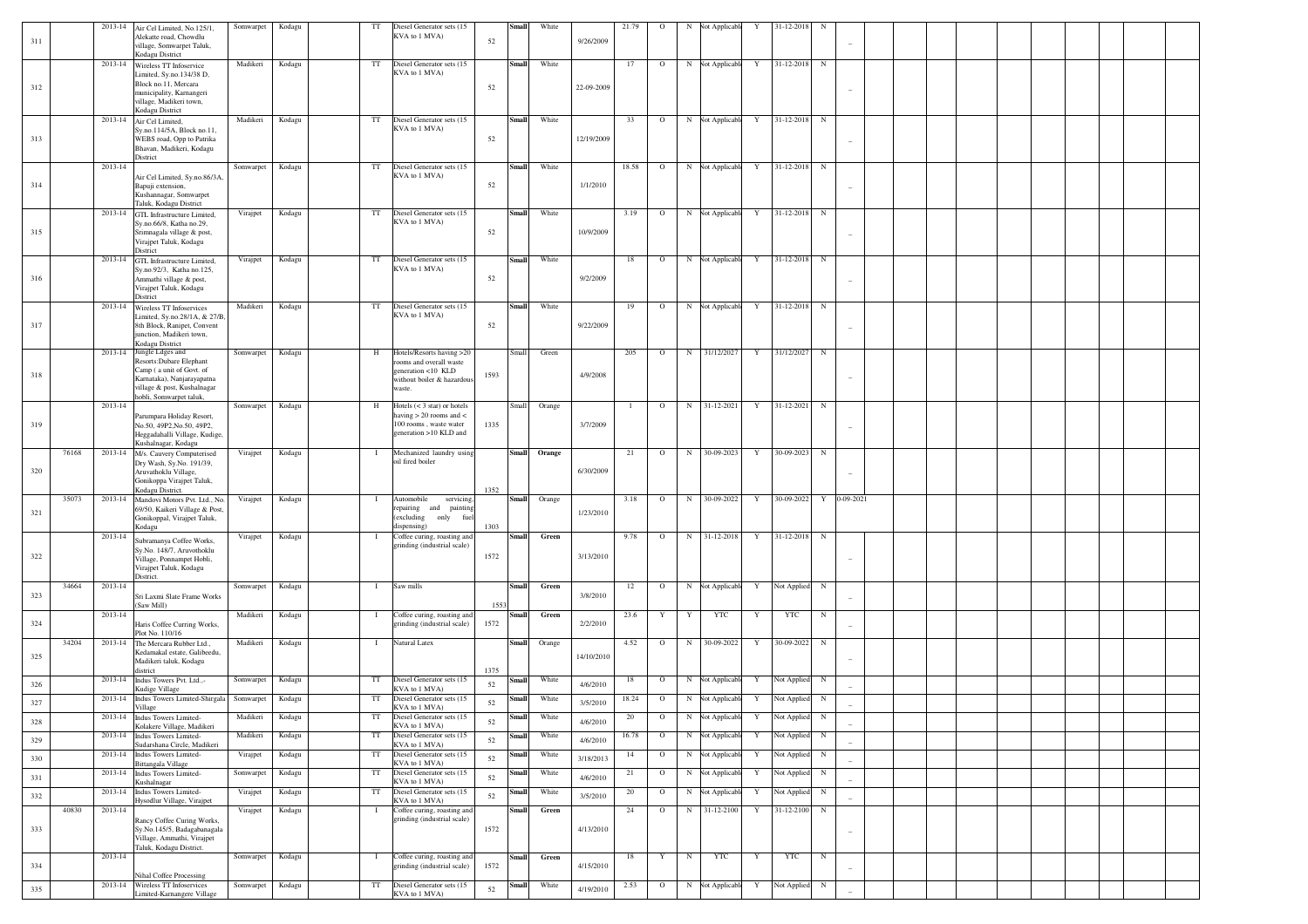| 311 |       |         | 2013-14 Air Cel Limited, No.125/1.<br>Alekatte road, Chowdlu<br>village, Somwarpet Taluk,    | Somwarpet | Kodagu | TT           | Diesel Generator sets (15<br>KVA to 1 MVA)                           | 52   | <b>Small</b> | White  | 9/26/2009  | 21.79        | $\circ$ | Not Applicabl<br>N       | Y           | 31-12-2018   | N                        |  |  |  |  |
|-----|-------|---------|----------------------------------------------------------------------------------------------|-----------|--------|--------------|----------------------------------------------------------------------|------|--------------|--------|------------|--------------|---------|--------------------------|-------------|--------------|--------------------------|--|--|--|--|
|     |       |         | Kodagu District                                                                              |           |        |              |                                                                      |      |              |        |            |              |         |                          |             |              |                          |  |  |  |  |
| 312 |       |         | 2013-14 Wireless TT Infoservice<br>Limited, Sy.no.134/38 D,<br>Block no.11, Mercara          | Madikeri  | Kodagu | TT           | Diesel Generator sets (15<br>KVA to 1 MVA)                           | 52   | <b>Small</b> | White  | 22-09-2009 | 17           | $\circ$ | N Not Applicable         | Y           | 31-12-2018   | N                        |  |  |  |  |
|     |       |         | municipality, Karnangeri<br>village, Madikeri town,<br>Kodagu District                       |           |        |              |                                                                      |      |              |        |            |              |         |                          |             |              |                          |  |  |  |  |
|     |       |         | 2013-14 Air Cel Limited.                                                                     | Madikeri  | Kodagu | TT           | Diesel Generator sets (15                                            |      | <b>Small</b> | White  |            | 33           | $\circ$ | N Not Applicable         | Y           | 31-12-2018   | $\mathbf N$              |  |  |  |  |
| 313 |       |         | Sy.no.114/5A, Block no.11,<br>WEBS road, Opp to Patrika                                      |           |        |              | KVA to 1 MVA)                                                        | 52   |              |        | 12/19/2009 |              |         |                          |             |              |                          |  |  |  |  |
|     |       |         | Bhavan, Madikeri, Kodagu<br>District                                                         |           |        |              |                                                                      |      |              |        |            |              |         |                          |             |              |                          |  |  |  |  |
|     |       | 2013-14 | Air Cel Limited, Sy.no.86/3A,                                                                | Somwarpet | Kodagu | TT           | Diesel Generator sets (15<br>KVA to 1 MVA)                           |      | <b>Small</b> | White  |            | 18.58        | $\circ$ | N Not Applicable         | Y           | 31-12-2018   | N                        |  |  |  |  |
| 314 |       |         | Bapuji extension,<br>Kushannagar, Somwarpet<br>Taluk, Kodagu District                        |           |        |              |                                                                      | 52   |              |        | 1/1/2010   |              |         |                          |             |              |                          |  |  |  |  |
|     |       |         | 2013-14 GTL Infrastructure Limited,                                                          | Virajpet  | Kodagu | TT           | Diesel Generator sets (15                                            |      | <b>Small</b> | White  |            | 3.19         | $\circ$ | N Not Applicable         | Y           | 31-12-2018   | $\mathbf N$              |  |  |  |  |
| 315 |       |         | Sy.no.66/8, Katha no.29,<br>Srimnagala village & post,<br>Virajpet Taluk, Kodagu<br>District |           |        |              | KVA to 1 MVA)                                                        | 52   |              |        | 10/9/2009  |              |         |                          |             |              |                          |  |  |  |  |
|     |       | 2013-14 | GTL Infrastructure Limited,                                                                  | Virajpet  | Kodagu | TT           | Diesel Generator sets (15<br>KVA to 1 MVA)                           |      | <b>Small</b> | White  |            | 18           | $\circ$ | N Not Applicable         | Y           | 31-12-2018   | N                        |  |  |  |  |
| 316 |       |         | Sy.no.92/3, Katha no.125,<br>.<br>Ammathi village & post,                                    |           |        |              |                                                                      | 52   |              |        | 9/2/2009   |              |         |                          |             |              |                          |  |  |  |  |
|     |       |         | Virajpet Taluk, Kodagu                                                                       |           |        |              |                                                                      |      |              |        |            |              |         |                          |             |              |                          |  |  |  |  |
|     |       |         | District<br>2013-14 Wireless TT Infoservices                                                 | Madikeri  | Kodagu | TT           | Diesel Generator sets (15                                            |      | <b>Small</b> | White  |            | 19           | $\circ$ | N Not Applicable         | Y           | 31-12-2018   | N                        |  |  |  |  |
|     |       |         | Limited, Sy.no.28/1A, & 27/B,                                                                |           |        |              | KVA to 1 MVA)                                                        |      |              |        |            |              |         |                          |             |              |                          |  |  |  |  |
| 317 |       |         | 8th Block, Ranipet, Convent<br>junction, Madikeri town,<br>Kodagu District                   |           |        |              |                                                                      | 52   |              |        | 9/22/2009  |              |         |                          |             |              |                          |  |  |  |  |
|     |       |         | 2013-14 Jungle Ldges and<br>Resorts: Dubare Elephant                                         | Somwarpet | Kodagu | H            | Hotels/Resorts having >20<br>ooms and overall waste                  |      | Small        | Green  |            | 205          | $\circ$ | N<br>31/12/2027          | Y           | 31/12/2027   | N                        |  |  |  |  |
| 318 |       |         | Camp (a unit of Govt. of                                                                     |           |        |              | generation <10 KLD                                                   | 1593 |              |        | 4/9/2008   |              |         |                          |             |              |                          |  |  |  |  |
|     |       |         | Karnataka), Nanjarayapatna<br>village & post, Kushalnagar                                    |           |        |              | without boiler & hazardous<br>waste.                                 |      |              |        |            |              |         |                          |             |              |                          |  |  |  |  |
|     |       |         | hobli, Somwarpet taluk,                                                                      |           |        |              |                                                                      |      | Small        |        |            |              |         |                          |             | 31-12-2021 N |                          |  |  |  |  |
|     |       | 2013-14 | Parumpara Holiday Resort,                                                                    | Somwarpet | Kodagu | H            | Hotels $(< 3 \text{ star})$ or hotels<br>having $> 20$ rooms and $<$ |      |              | Orange |            | $\mathbf{1}$ | $\circ$ | N 31-12-2021             | Y           |              |                          |  |  |  |  |
| 319 |       |         | No.50, 49P2, No.50, 49P2,                                                                    |           |        |              | 100 rooms, waste water<br>generation >10 KLD and                     | 1335 |              |        | 3/7/2009   |              |         |                          |             |              |                          |  |  |  |  |
|     |       |         | Heggadahalli Village, Kudige,<br>Kushalnagar, Kodagu                                         |           |        |              |                                                                      |      |              |        |            |              |         |                          |             |              |                          |  |  |  |  |
|     | 76168 |         | 2013-14 M/s. Cauvery Computerised                                                            | Virajpet  | Kodagu | $\mathbf{I}$ | Mechanized laundry using<br>oil fired boiler                         |      | Small        | Orange |            | 21           | $\circ$ | 30-09-2023<br>N          | $\mathbf Y$ | 30-09-2023   | ${\bf N}$                |  |  |  |  |
| 320 |       |         | Dry Wash, Sy.No. 191/39,<br>Aruvathoklu Village,                                             |           |        |              |                                                                      |      |              |        | 6/30/2009  |              |         |                          |             |              |                          |  |  |  |  |
|     |       |         | Gonikoppa Virajpet Taluk,                                                                    |           |        |              |                                                                      | 1352 |              |        |            |              |         |                          |             |              |                          |  |  |  |  |
|     | 35073 |         | Kodagu District.<br>2013-14 Mandovi Motors Pvt. Ltd., No.                                    | Virajpet  | Kodagu | - 1          | Automobile<br>servicing,                                             |      | <b>Small</b> | Orange |            | 3.18         | $\circ$ | 30-09-2022<br>N          | Y           | 30-09-2022   | Y 0-09-2021              |  |  |  |  |
| 321 |       |         | 69/50, Kaikeri Village & Post,                                                               |           |        |              | repairing and painting<br>(excluding only fuel                       |      |              |        | 1/23/2010  |              |         |                          |             |              |                          |  |  |  |  |
|     |       |         | Gonikoppal, Virajpet Taluk,<br>Kodagu                                                        |           |        |              | lispensing)                                                          | 1303 |              |        |            |              |         |                          |             |              |                          |  |  |  |  |
|     |       | 2013-14 | Subramanya Coffee Works,                                                                     | Virajpet  | Kodagu | - 1          | Coffee curing, roasting and<br>grinding (industrial scale)           |      | <b>Small</b> | Green  |            | 9.78         | $\circ$ | N 31-12-2018             | Y           | 31-12-2018   | $\mathbf N$              |  |  |  |  |
| 322 |       |         | Sy.No. 148/7, Aruvothoklu<br>Village, Ponnampet Hobli,                                       |           |        |              |                                                                      | 1572 |              |        | 3/13/2010  |              |         |                          |             |              |                          |  |  |  |  |
|     |       |         | Virajpet Taluk, Kodagu                                                                       |           |        |              |                                                                      |      |              |        |            |              |         |                          |             |              |                          |  |  |  |  |
|     | 34664 | 2013-14 | District.                                                                                    | Somwarpet | Kodagu | $\mathbf I$  | Saw mills                                                            |      | <b>Small</b> | Green  |            | 12           | $\circ$ | N Not Applicable         |             | Not Applied  | $_{\rm N}$               |  |  |  |  |
| 323 |       |         | Sri Laxmi Slate Frame Works                                                                  |           |        |              |                                                                      |      |              |        | 3/8/2010   |              |         |                          |             |              |                          |  |  |  |  |
|     |       | 2013-14 | (Saw Mill)                                                                                   | Madikeri  | Kodagu | - 1          | Coffee curing, roasting and                                          | 1553 | šmall        | Green  |            | 23.6         | Y       | YTC                      |             | YTC          | $_{\rm N}$               |  |  |  |  |
| 324 |       |         | Haris Coffee Curring Works,                                                                  |           |        |              | grinding (industrial scale)                                          | 1572 |              |        | 2/2/2010   |              |         |                          |             |              |                          |  |  |  |  |
|     | 34204 |         | Plot No. 110/16<br>2013-14 The Mercara Rubber Ltd.,                                          | Madikeri  | Kodagu | - 1          | Natural Latex                                                        |      | Small        | Orange |            | 4.52         | $\circ$ | 30-09-2022<br>N          | Y           | 30-09-2022   | $_{\rm N}$               |  |  |  |  |
| 325 |       |         | Kedamakal estate, Galibeedu,                                                                 |           |        |              |                                                                      |      |              |        | 14/10/2010 |              |         |                          |             |              |                          |  |  |  |  |
|     |       |         | Madikeri taluk, Kodagu<br>listrict                                                           |           |        |              |                                                                      | 1375 |              |        |            |              |         |                          |             |              |                          |  |  |  |  |
| 326 |       | 2013-14 | Indus Towers Pvt. Ltd.,-                                                                     | Somwarpet | Kodagu | TT           | Diesel Generator sets (15                                            | 52   | Small        | White  | 4/6/2010   | 18           | $\circ$ | Not Applicabl<br>N       | Y           | Not Applied  | N                        |  |  |  |  |
|     |       | 2013-14 | Gudige Village<br>Indus Towers Limited-Shirgala                                              | Somwarpet | Kodagu | TT           | KVA to 1 MVA)<br>Diesel Generator sets (15                           |      | Small        | White  |            | 18.24        | $\circ$ | N Not Applicable         | Y           | Not Applied  | N                        |  |  |  |  |
| 327 |       |         | Village                                                                                      |           |        |              | KVA to 1 MVA)                                                        | 52   |              |        | 3/5/2010   |              |         |                          |             |              |                          |  |  |  |  |
| 328 |       | 2013-14 | Indus Towers Limited<br>Kolakere Village, Madikeri                                           | Madikeri  | Kodagu | тг           | Diesel Generator sets (15<br>KVA to 1 MVA)                           | 52   | mall         | White  | 4/6/2010   | 20           |         | Not Applicabl            |             | Not Applie   |                          |  |  |  |  |
| 329 |       | 2013-14 | <b>Indus Towers Limited-</b><br>Sudarshana Circle, Madikeri                                  | Madikeri  | Kodagu | TT           | Diesel Generator sets (15<br>KVA to 1 MVA)                           | 52   | <b>Small</b> | White  | 4/6/2010   | 16.78        | $\circ$ | N Not Applicable         | Y           | Not Applied  | $_{\rm N}$               |  |  |  |  |
| 330 |       | 2013-14 | <b>Indus Towers Limited-</b>                                                                 | Virajpet  | Kodagu | TT           | Diesel Generator sets (15                                            | 52   | <b>Small</b> | White  | 3/18/2013  | 14           | $\circ$ | Not Applicable<br>N      | Y           | Not Applied  | $_{\rm N}$               |  |  |  |  |
|     |       |         | <b>Bittangala Village</b><br>2013-14 Indus Towers Limited-                                   | Somwarpet | Kodagu | TT           | KVA to 1 MVA)<br>Diesel Generator sets (15                           |      | <b>Small</b> | White  |            | 21           | $\circ$ | N<br>Not Applicable      | Y           | Not Applied  | $_{\rm N}$               |  |  |  |  |
| 331 |       |         | Kushalnagar                                                                                  |           |        |              | KVA to 1 MVA)                                                        | 52   |              |        | 4/6/2010   |              |         |                          |             |              |                          |  |  |  |  |
| 332 |       | 2013-14 | Indus Towers Limited-<br>Hysodlur Village, Virajpet                                          | Virajpet  | Kodagu | TT           | Diesel Generator sets (15<br>KVA to 1 MVA)                           | 52   | <b>Small</b> | White  | 3/5/2010   | 20           | $\circ$ | N<br>Not Applicable      | Y           | Not Applied  | $_{\rm N}$               |  |  |  |  |
|     | 40830 | 2013-14 |                                                                                              | Virajpet  | Kodagu | - 1          | Coffee curing, roasting and                                          |      | <b>Small</b> | Green  |            | 24           | $\circ$ | 31-12-2100<br>N          | $\mathbf Y$ | 31-12-2100   | N                        |  |  |  |  |
| 333 |       |         | Rancy Coffee Curing Works,<br>Sy.No.145/5, Badagabanagala                                    |           |        |              | grinding (industrial scale)                                          | 1572 |              |        | 4/13/2010  |              |         |                          |             |              | $\overline{\phantom{a}}$ |  |  |  |  |
|     |       |         | Village, Ammathi, Virajpet                                                                   |           |        |              |                                                                      |      |              |        |            |              |         |                          |             |              |                          |  |  |  |  |
|     |       | 2013-14 | Taluk, Kodagu District.                                                                      | Somwarpet | Kodagu | - 1          | Coffee curing, roasting and                                          |      | Small        | Green  |            | 18           | Y       | <b>YTC</b><br>$_{\rm N}$ | Y           | <b>YTC</b>   | $_{\rm N}$               |  |  |  |  |
| 334 |       |         | Nihal Coffee Processing                                                                      |           |        |              | grinding (industrial scale)                                          | 1572 |              |        | 4/15/2010  |              |         |                          |             |              |                          |  |  |  |  |
| 335 |       |         | 2013-14 Wireless TT Infoservices                                                             | Somwarpet | Kodagu | TT           | Diesel Generator sets (15                                            | 52   | <b>Small</b> | White  | 4/19/2010  | 2.53         | $\circ$ | N Vot Applicabl          | Y           | Not Applied  | $_{\rm N}$               |  |  |  |  |
|     |       |         | Limited-Karnangere Village                                                                   |           |        |              | KVA to 1 MVA)                                                        |      |              |        |            |              |         |                          |             |              |                          |  |  |  |  |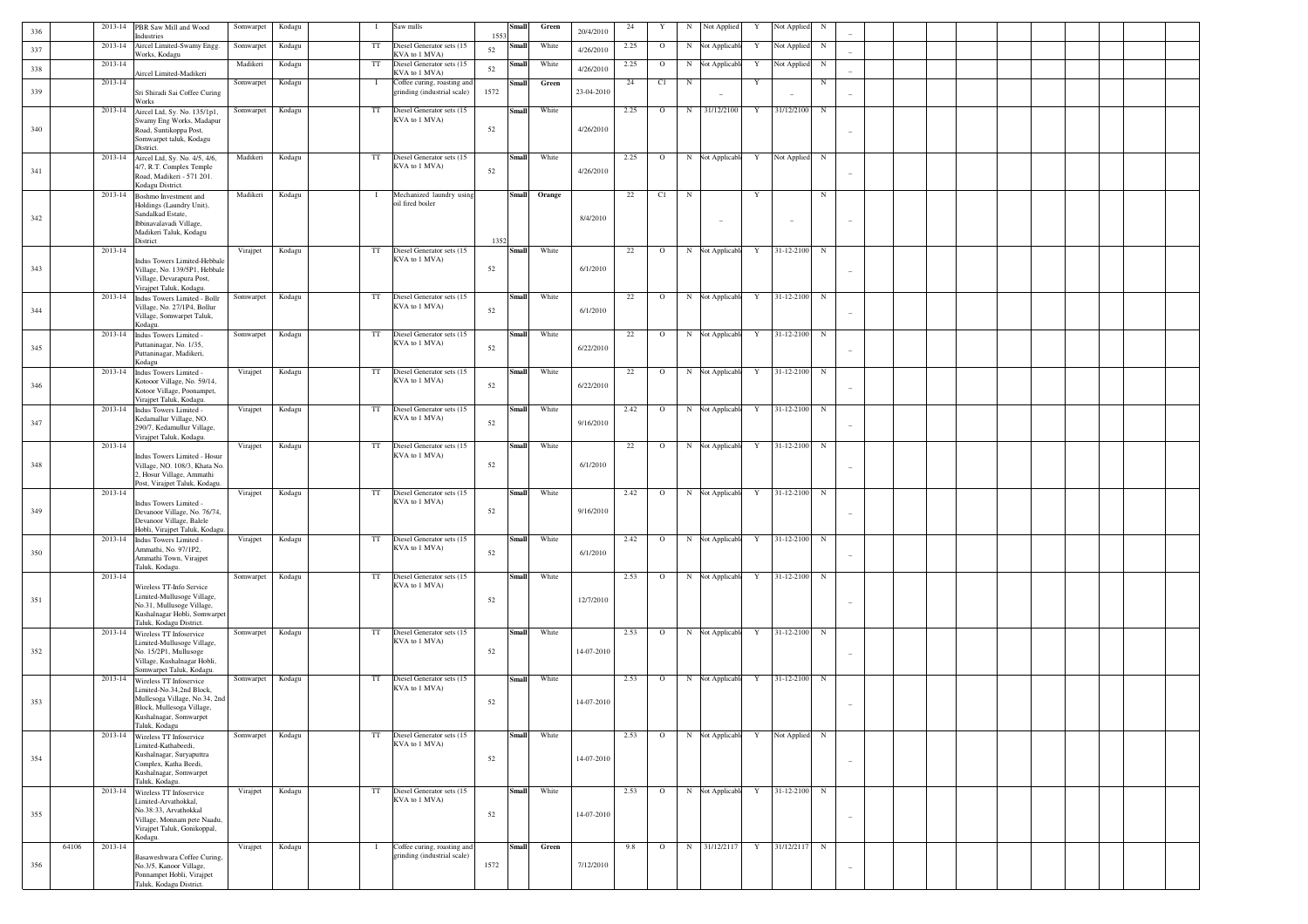| 336 | 2013-14          | PBR Saw Mill and Wood                                                                                                             | Somwarpet | Kodagu | $\mathbf{I}$ | Saw mills                                                  | Small         | Green  | 20/4/2010  | $\sqrt{24}$ | Y       | N          | Not Applied              | Y | Not Applied | N           |                          |  |  |  |  |
|-----|------------------|-----------------------------------------------------------------------------------------------------------------------------------|-----------|--------|--------------|------------------------------------------------------------|---------------|--------|------------|-------------|---------|------------|--------------------------|---|-------------|-------------|--------------------------|--|--|--|--|
|     | 2013-14          | Industries<br>Aircel Limited-Swamy Engg.                                                                                          | Somwarpet | Kodagu | $_{\rm TT}$  | Diesel Generator sets (15                                  | 1553<br>Small | White  |            | 2.25        | $\circ$ | $_{\rm N}$ | <b>Not Applicabl</b>     | Y | Not Applied | $_{\rm N}$  |                          |  |  |  |  |
| 337 | 2013-14          | Works, Kodagu                                                                                                                     | Madikeri  | Kodagu | $_{\rm TT}$  | KVA to 1 MVA)<br>Diesel Generator sets (15                 | 52<br>Small   | White  | 4/26/2010  | 2.25        | $\circ$ | $_{\rm N}$ | <b>Not Applicable</b>    | Y | Not Applied | $_{\rm N}$  |                          |  |  |  |  |
| 338 |                  | Aircel Limited-Madikeri                                                                                                           |           |        |              | KVA to 1 MVA)                                              | 52            |        | 4/26/2010  |             |         |            |                          |   |             |             |                          |  |  |  |  |
| 339 | 2013-14          | Sri Shiradi Sai Coffee Curing<br>Works                                                                                            | Somwarpet | Kodagu | $\bf{I}$     | Coffee curing, roasting and<br>grinding (industrial scale) | Small<br>1572 | Green  | 23-04-2010 | 24          | C1      | $_{\rm N}$ |                          | Y |             | $_{\rm N}$  |                          |  |  |  |  |
| 340 |                  | 2013-14 Aircel Ltd, Sy. No. 135/1p1,<br>Swamy Eng Works, Madapur<br>Road, Suntikoppa Post,                                        | Somwarpet | Kodagu | TT           | Diesel Generator sets (15<br>KVA to 1 MVA)                 | Small<br>52   | White  | 4/26/2010  | 2.25        | $\circ$ | N          | 31/12/2100               | Y | 31/12/2100  | $_{\rm N}$  |                          |  |  |  |  |
|     |                  | Somwarpet taluk, Kodagu<br>District.                                                                                              |           |        |              |                                                            |               |        |            |             |         |            |                          |   |             |             |                          |  |  |  |  |
|     | 2013-14          | Aircel Ltd, Sy. No. 4/5, 4/6,                                                                                                     | Madikeri  | Kodagu | $_{\rm TT}$  | Diesel Generator sets (15                                  | Small         | White  |            | 2.25        | $\circ$ |            | N Not Applicable         | Y | Not Applied | $_{\rm N}$  |                          |  |  |  |  |
| 341 |                  | 4/7, R.T. Complex Temple<br>Road, Madikeri - 571 201.<br>Kodagu District.                                                         |           |        |              | KVA to 1 MVA)                                              | 52            |        | 4/26/2010  |             |         |            |                          |   |             |             | $\sim$                   |  |  |  |  |
|     | 2013-14          | Boshmo Investment and<br>Holdings (Laundry Unit),                                                                                 | Madikeri  | Kodagu | $\bf{I}$     | Mechanized laundry using<br>oil fired boiler               | <b>Small</b>  | Orange |            | 22          | C1      | $_{\rm N}$ |                          | Y |             | $_{\rm N}$  |                          |  |  |  |  |
| 342 |                  | Sandalkad Estate,<br>Ibbinavalavadi Village.<br>Madikeri Taluk, Kodagu<br>District                                                |           |        |              |                                                            | 1352          |        | 8/4/2010   |             |         |            | $\overline{\phantom{a}}$ |   |             |             | $\overline{\phantom{a}}$ |  |  |  |  |
|     | 2013-14          |                                                                                                                                   | Virajpet  | Kodagu | TT           | Diesel Generator sets (15                                  | Small         | White  |            | $22\,$      | $\circ$ |            | N Not Applicable         | Y | 31-12-2100  | $_{\rm N}$  |                          |  |  |  |  |
| 343 |                  | Indus Towers Limited-Hebbale<br>Village, No. 139/5P1, Hebbale<br>Village, Devarapura Post,<br>Virajpet Taluk, Kodagu.             |           |        |              | KVA to 1 MVA)                                              | 52            |        | 6/1/2010   |             |         |            |                          |   |             |             |                          |  |  |  |  |
| 344 | 2013-14          | Indus Towers Limited - Bollr<br>Village, No. 27/1P4, Bollur<br>Village, Somwarpet Taluk,                                          | Somwarpet | Kodagu | TT           | Diesel Generator sets (15<br>KVA to 1 MVA)                 | Small<br>52   | White  | 6/1/2010   | 22          | $\circ$ |            | N Not Applicable         | Y | 31-12-2100  | $_{\rm N}$  | $\sim$                   |  |  |  |  |
|     | 2013-14          | Kodagu.<br>Indus Towers Limited -                                                                                                 | Somwarpet | Kodagu | TT           | Diesel Generator sets (15                                  | Small         | White  |            | 22          | $\circ$ |            | N Not Applicable         | Y | 31-12-2100  | $_{\rm N}$  |                          |  |  |  |  |
| 345 |                  | Puttaninagar, No. 1/35,<br>Puttaninagar, Madikeri,<br>Kodagu                                                                      |           |        |              | KVA to 1 MVA)                                              | 52            |        | 6/22/2010  |             |         |            |                          |   |             |             | $\sim$                   |  |  |  |  |
| 346 | 2013-14          | Indus Towers Limited -<br>Kotooor Village, No. 59/14,<br>Kotoor Village, Poonampet,                                               | Virajpet  | Kodagu | TT           | Diesel Generator sets (15<br>KVA to 1 MVA)                 | Small<br>52   | White  | 6/22/2010  | 22          | $\circ$ |            | N Not Applicable         | Y | 31-12-2100  | $_{\rm N}$  | $\sim$                   |  |  |  |  |
|     | 2013-14          | Viraipet Taluk, Kodagu.<br>Indus Towers Limited -<br>Kedamallur Village, NO.                                                      | Virajpet  | Kodagu | $_{\rm TT}$  | Diesel Generator sets (15<br>KVA to 1 MVA)                 | Small         | White  |            | 2.42        | $\circ$ |            | N Not Applicable         | Y | 31-12-2100  | $_{\rm N}$  |                          |  |  |  |  |
| 347 | 2013-14          | 290/7, Kedamullur Village,<br>Viraipet Taluk, Kodagu.                                                                             | Virajpet  | Kodagu | TT           | Diesel Generator sets (15                                  | 52<br>Small   | White  | 9/16/2010  | 22          | $\circ$ |            | N Not Applicable         | Y | 31-12-2100  | $_{\rm N}$  | $\sim$                   |  |  |  |  |
| 348 |                  | Indus Towers Limited - Hosur<br>Village, NO. 108/3, Khata No.<br>2, Hosur Village, Ammathi<br>Post, Virajpet Taluk, Kodagu.       |           |        |              | KVA to 1 MVA)                                              | 52            |        | 6/1/2010   |             |         |            |                          |   |             |             |                          |  |  |  |  |
|     | 2013-14          | Indus Towers Limited -                                                                                                            | Virajpet  | Kodagu | $_{\rm TT}$  | Diesel Generator sets (15<br>KVA to 1 MVA)                 | <b>Small</b>  | White  |            | 2.42        | $\circ$ |            | N Not Applicable         | Y | 31-12-2100  | $_{\rm N}$  |                          |  |  |  |  |
| 349 |                  | Devanoor Village, No. 76/74,<br>Devanoor Village, Balele<br>Hobli, Virajpet Taluk, Kodagu.                                        |           |        |              |                                                            | 52            |        | 9/16/2010  |             |         |            |                          |   |             |             |                          |  |  |  |  |
| 350 | 2013-14          | Indus Towers Limited -<br>Ammathi, No. 97/1P2,<br>Ammathi Town, Virajpet<br>Taluk, Kodagu.                                        | Virajpet  | Kodagu | TT           | Diesel Generator sets (15<br>KVA to 1 MVA)                 | Small<br>52   | White  | 6/1/2010   | 2.42        | $\circ$ |            | N Not Applicable         | Y | 31-12-2100  | $_{\rm N}$  | $\sim$                   |  |  |  |  |
|     | 2013-14          |                                                                                                                                   | Somwarpet | Kodagu | TT           | Diesel Generator sets (15<br>KVA to 1 MVA)                 | Small         | White  |            | 2.53        | $\circ$ |            | N Not Applicable         | Y | 31-12-2100  | $_{\rm N}$  |                          |  |  |  |  |
| 351 |                  | Wireless TT-Info Service<br>Limited-Mullusoge Village,<br>No.31, Mullusoge Village,<br>Kushalnagar Hobli, Somwarpet               |           |        |              |                                                            | 52            |        | 12/7/2010  |             |         |            |                          |   |             |             |                          |  |  |  |  |
|     | 2013-14          | Taluk, Kodagu District.<br>Wireless TT Infoservice                                                                                | Somwarpet | Kodagu | TT           | Diesel Generator sets (15                                  | <b>Small</b>  | White  |            | 2.53        | $\circ$ |            | N Not Applicable         | Y | 31-12-2100  | $_{\rm N}$  |                          |  |  |  |  |
| 352 |                  | Limited-Mullusoge Village,<br>No. 15/2P1, Mullusoge<br>Village, Kushalnagar Hobli,<br>Somwarpet Taluk, Kodagu.                    |           |        |              | KVA to 1 MVA)                                              | 52            |        | 14-07-2010 |             |         |            |                          |   |             |             |                          |  |  |  |  |
|     | 2013-14          | Wireless TT Infoservice                                                                                                           | Somwarpet | Kodagu | TT           | Diesel Generator sets (15<br>KVA to 1 MVA)                 | <b>Small</b>  | White  |            | 2.53        | $\circ$ |            | N Not Applicable         | Y | 31-12-2100  | $_{\rm N}$  |                          |  |  |  |  |
| 353 |                  | .imited-No.34,2nd Block,<br>Mullesoga Village, No.34, 2nd<br>Block, Mullesoga Village,<br>Kushalnagar, Somwarpet<br>Taluk, Kodagu |           |        |              |                                                            | 52            |        | 14-07-2010 |             |         |            |                          |   |             |             |                          |  |  |  |  |
|     | 2013-14          | Wireless TT Infoservice                                                                                                           | Somwarpet | Kodagu | TT           | Diesel Generator sets (15<br>KVA to 1 MVA)                 | <b>Small</b>  | White  |            | 2.53        | $\circ$ |            | N Not Applicable         | Y | Not Applied | $_{\rm N}$  |                          |  |  |  |  |
| 354 |                  | Limited-Kathabeedi,<br>Kushalnagar, Suryaputtra<br>Complex, Katha Beedi,<br>Kushalnagar, Somwarpet<br>Taluk, Kodagu.              |           |        |              |                                                            | 52            |        | 14-07-2010 |             |         |            |                          |   |             |             | $\overline{\phantom{a}}$ |  |  |  |  |
|     | 2013-14          | Wireless TT Infoservice                                                                                                           | Virajpet  | Kodagu | TT           | Diesel Generator sets (15<br>KVA to 1 MVA)                 | <b>Small</b>  | White  |            | 2.53        | $\circ$ |            | N Not Applicable         | Y | 31-12-2100  | $_{\rm N}$  |                          |  |  |  |  |
| 355 |                  | Limited-Arvathokkal,<br>No.38:33, Arvathokkal<br>Village, Monnam pete Naadu,<br>Virajpet Taluk, Gonikoppal,<br>Kodagu.            |           |        |              |                                                            | 52            |        | 14-07-2010 |             |         |            |                          |   |             |             | $\overline{\phantom{a}}$ |  |  |  |  |
|     | 64106<br>2013-14 | Basaweshwara Coffee Curing,                                                                                                       | Virajpet  | Kodagu | $\bf{I}$     | Coffee curing, roasting and<br>grinding (industrial scale) | <b>Small</b>  | Green  |            | 9.8         | $\circ$ |            | N 31/12/2117             | Y | 31/12/2117  | $\mathbf N$ |                          |  |  |  |  |
| 356 |                  | No.3/5, Kanoor Village,<br>Ponnampet Hobli, Virajpet<br>Taluk, Kodagu District.                                                   |           |        |              |                                                            | 1572          |        | 7/12/2010  |             |         |            |                          |   |             |             |                          |  |  |  |  |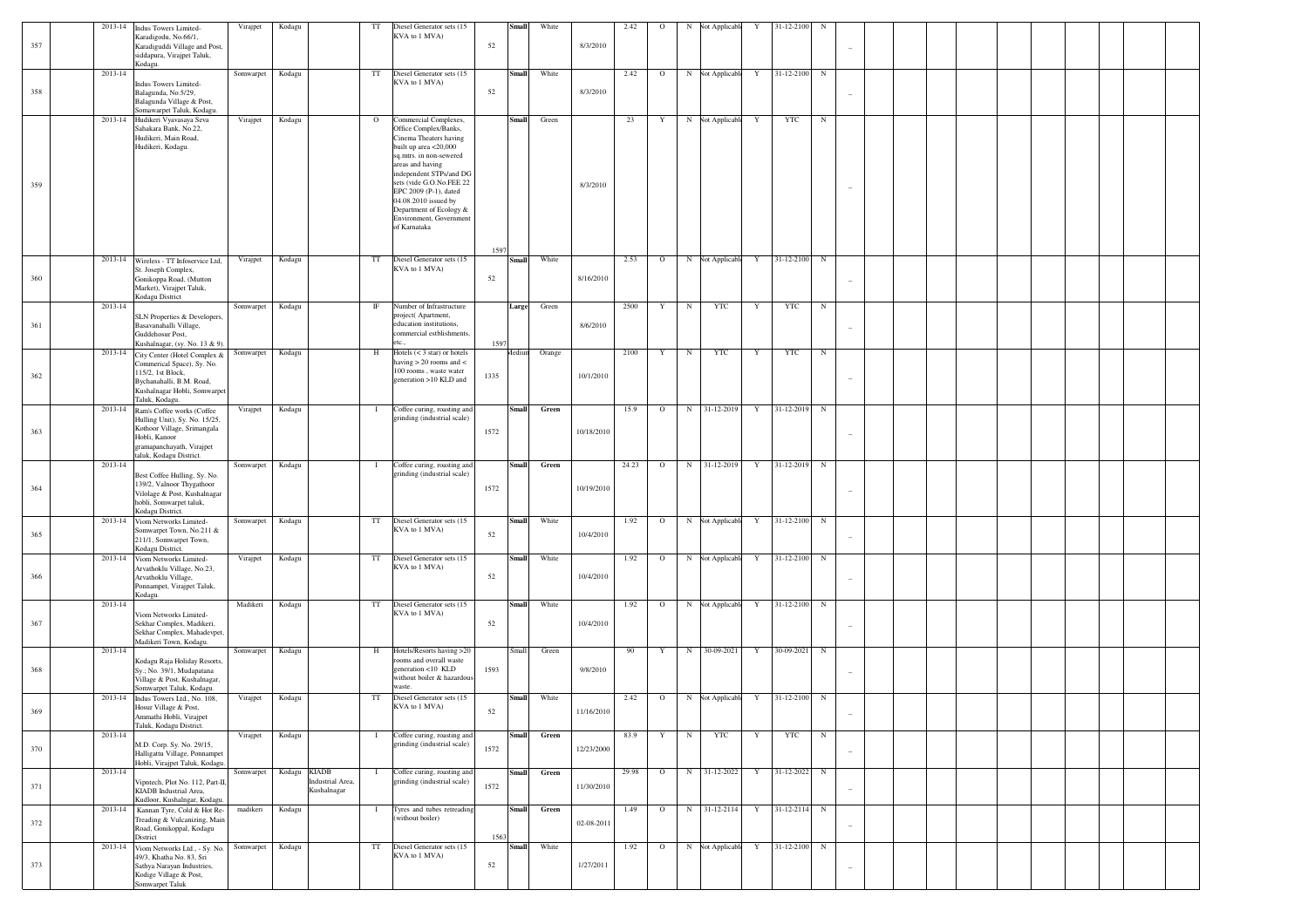|     |         | 2013-14 Indus Towers Limited-                                                                                                                                               | Virajpet  | Kodagu                                          | TT           | Diesel Generator sets (15                                                                                                                                                                                                                                                                                                      |      | <b>Small</b> | White  |            | 2.42  | $\circ$      | N Not Applicable  | Y | 31-12-2100   | $_{\rm N}$  |  |  |  |  |
|-----|---------|-----------------------------------------------------------------------------------------------------------------------------------------------------------------------------|-----------|-------------------------------------------------|--------------|--------------------------------------------------------------------------------------------------------------------------------------------------------------------------------------------------------------------------------------------------------------------------------------------------------------------------------|------|--------------|--------|------------|-------|--------------|-------------------|---|--------------|-------------|--|--|--|--|
| 357 |         | Karadigodu, No.66/1,<br>Karadiguddi Village and Post,<br>siddapura, Virajpet Taluk,<br>Kodagu.                                                                              |           |                                                 |              | KVA to 1 MVA)                                                                                                                                                                                                                                                                                                                  | 52   |              |        | 8/3/2010   |       |              |                   |   |              |             |  |  |  |  |
| 358 | 2013-14 | Indus Towers Limited-<br>Balagunda, No.5/29,<br>Balagunda Village & Post,<br>Somawarpet Taluk, Kodagu.                                                                      | Somwarpet | Kodagu                                          | TT           | Diesel Generator sets (15<br>KVA to 1 MVA)                                                                                                                                                                                                                                                                                     | 52   | <b>Small</b> | White  | 8/3/2010   | 2.42  | $\circ$      | N Not Applicable  | Y | 31-12-2100   | $\mathbf N$ |  |  |  |  |
| 359 |         | 2013-14 Hudikeri Vyavasaya Seva<br>Sahakara Bank, No.22,<br>Hudikeri, Main Road,<br>Hudikeri, Kodagu.                                                                       | Virajpet  | Kodagu                                          | $\mathbf{O}$ | Commercial Complexes,<br>Office Complex/Banks,<br>Cinema Theaters having<br>built up area <20,000<br>sq.mtrs. in non-sewered<br>areas and having<br>independent STPs/and DG<br>sets (vide G.O.No.FEE 22<br>EPC 2009 (P-1), dated<br>04.08.2010 issued by<br>Department of Ecology &<br>Environment, Government<br>of Karnataka | 1597 | <b>Small</b> | Green  | 8/3/2010   | 23    | Y            | N Not Applicable  | Y | YTC          | N           |  |  |  |  |
| 360 |         | 2013-14 Wireless - TT Infoservice Ltd,<br>St. Joseph Complex,<br>Gonikoppa Road, (Mutton<br>Market), Virajpet Taluk,<br>Kodagu District                                     | Virajpet  | Kodagu                                          | TT           | Diesel Generator sets (15<br>KVA to 1 MVA)                                                                                                                                                                                                                                                                                     | 52   | <b>Small</b> | White  | 8/16/2010  | 2.53  | $\mathbf{o}$ | N Not Applicable  | Y | 31-12-2100 N |             |  |  |  |  |
| 361 | 2013-14 | SLN Properties & Developers,<br>Basavanahalli Village,<br>Guddehosur Post,<br>Kushalnagar, (sy. No. 13 & 9).                                                                | Somwarpet | Kodagu                                          | $_{\rm IF}$  | Number of Infrastructure<br>project(Apartment,<br>education institutions,<br>commercial estblishments.<br>etc.                                                                                                                                                                                                                 | 1597 | Large        | Green  | 8/6/2010   | 2500  | Y            | $_{\rm N}$<br>YTC | Y | YTC          | $\mathbb N$ |  |  |  |  |
| 362 |         | 2013-14 City Center (Hotel Complex &<br>Commerical Space), Sy. No.<br>115/2, 1st Block,<br>Bychanahalli, B.M. Road,<br>Kushalnagar Hobli, Somwarpet<br>Taluk, Kodagu.       | Somwarpet | Kodagu                                          | H            | Hotels $(< 3 \text{ star})$ or hotels<br>having $> 20$ rooms and $<$<br>100 rooms, waste water<br>generation >10 KLD and                                                                                                                                                                                                       | 1335 | Mediun       | Orange | 10/1/2010  | 2100  | Y            | $_{\rm N}$<br>YTC | Y | YTC          | $_{\rm N}$  |  |  |  |  |
| 363 |         | 2013-14 Ram's Coffee works (Coffee<br>Hulling Unit), Sy. No. 15/25,<br>Kothoor Village, Srimangala<br>Hobli, Kanoor<br>gramapanchayath, Virajpet<br>taluk, Kodagu District. | Virajpet  | Kodagu                                          | $\mathbf{I}$ | Coffee curing, roasting and<br>grinding (industrial scale)                                                                                                                                                                                                                                                                     | 1572 | <b>Small</b> | Green  | 10/18/2010 | 15.9  | $\circ$      | N 31-12-2019      | Y | 31-12-2019   | $\mathbf N$ |  |  |  |  |
| 364 | 2013-14 | Best Coffee Hulling, Sy. No.<br>139/2, Valnoor Thygathoor<br>Vilolage & Post, Kushalnagar<br>hobli, Somwarpet taluk,<br>Kodagu District.                                    | Somwarpet | Kodagu                                          | $\mathbf{I}$ | Coffee curing, roasting and<br>grinding (industrial scale)                                                                                                                                                                                                                                                                     | 1572 | <b>Small</b> | Green  | 10/19/2010 | 24.23 | $\mathbf{o}$ | N 31-12-2019      | Y | 31-12-2019   | $\mathbf N$ |  |  |  |  |
| 365 |         | 2013-14 Viom Networks Limited-<br>Somwarpet Town, No.211 &<br>211/1, Somwarpet Town,<br>Kodagu District.                                                                    | Somwarpet | Kodagu                                          | TT           | Diesel Generator sets (15<br>KVA to 1 MVA)                                                                                                                                                                                                                                                                                     | 52   | <b>Small</b> | White  | 10/4/2010  | 1.92  | $\circ$      | N Not Applicable  | Y | 31-12-2100 N |             |  |  |  |  |
| 366 |         | 2013-14 Viom Networks Limited-<br>Arvathoklu Village, No.23,<br>Arvathoklu Village,<br>Ponnampet, Virajpet Taluk,<br>Kodagu.                                                | Virajpet  | Kodagu                                          | TT           | Diesel Generator sets (15<br>KVA to 1 MVA)                                                                                                                                                                                                                                                                                     | 52   | <b>Small</b> | White  | 10/4/2010  | 1.92  | $\circ$      | N Not Applicable  | Y | 31-12-2100   | $_{\rm N}$  |  |  |  |  |
| 367 | 2013-14 | Viom Networks Limited-<br>Sekhar Complex, Madikeri,<br>Sekhar Complex, Mahadevpet,<br>Madikeri Town, Kodagu.                                                                | Madikeri  | Kodagu                                          | TT           | Diesel Generator sets (15<br>KVA to 1 MVA)                                                                                                                                                                                                                                                                                     | 52   | <b>Small</b> | White  | 10/4/2010  | 1.92  | $\circ$      | N Not Applicable  | Y | 31-12-2100 N |             |  |  |  |  |
| 368 | 2013-14 | Kodagu Raja Holiday Resorts,<br>Sy.; No. 39/1, Mudapatana<br>Village & Post, Kushalnagar,<br>Somwarpet Taluk, Kodagu.                                                       | Somwarpet | Kodagu                                          | H            | Hotels/Resorts having >20<br>rooms and overall waste<br>generation <10 KLD<br>without boiler & hazardous<br>waste.                                                                                                                                                                                                             | 1593 | Small        | Green  | 9/8/2010   | 90    | Y            | N<br>30-09-2021   | Y | 30-09-2021   | $_{\rm N}$  |  |  |  |  |
| 369 |         | 2013-14 Indus Towers Ltd., No. 108.<br>Hosur Village & Post,<br>mmathi Hobli, Virajpet<br>Taluk, Kodagu District.                                                           | Virajpet  | Kodagu                                          | TT           | Diesel Generator sets (15<br>KVA to 1 MVA)                                                                                                                                                                                                                                                                                     | 52   | <b>Small</b> | White  | 11/16/2010 | 2.42  | $\circ$      | N Not Applicable  | Y | 31-12-2100 N |             |  |  |  |  |
| 370 | 2013-14 | M.D. Corp. Sy. No. 29/15,<br>Halligattu Village, Ponnampet<br>Hobli, Virajpet Taluk, Kodagu.                                                                                | Virajpet  | Kodagu                                          | $\bf{I}$     | Coffee curing, roasting and<br>grinding (industrial scale)                                                                                                                                                                                                                                                                     | 1572 | <b>Small</b> | Green  | 12/23/2000 | 83.9  | Y            | $_{\rm N}$<br>YTC | Y | YTC          | $_{\rm N}$  |  |  |  |  |
| 371 | 2013-14 | Vipntech, Plot No. 112, Part-II,<br>KIADB Industrial Area,<br>Kudloor, Kushalngar, Kodagu                                                                                   | Somwarpet | Kodagu KIADB<br>Industrial Area,<br>Kushalnagar | $\mathbf{I}$ | Coffee curing, roasting and<br>grinding (industrial scale)                                                                                                                                                                                                                                                                     | 1572 | <b>Small</b> | Green  | 11/30/2010 | 29.98 | $\circ$      | N 31-12-2022      | Y | 31-12-2022   | $_{\rm N}$  |  |  |  |  |
| 372 |         | 2013-14 Kannan Tyre, Cold & Hot Re-<br>Treading & Vulcanizing, Main<br>Road, Gonikoppal, Kodagu<br>District                                                                 | madikeri  | Kodagu                                          | $\mathbf{I}$ | Tyres and tubes retreading<br>(without boiler)                                                                                                                                                                                                                                                                                 | 1563 | <b>Small</b> | Green  | 02-08-2011 | 1.49  | $\circ$      | N 31-12-2114      | Y | $31-12-2114$ | $_{\rm N}$  |  |  |  |  |
| 373 |         | 2013-14 Viom Networks Ltd., - Sy. No.<br>49/3, Khatha No. 83, Sri<br>Sathya Narayan Industries,<br>Kodige Village & Post,<br>Somwarpet Taluk                                | Somwarpet | Kodagu                                          | TT           | Diesel Generator sets (15<br>KVA to 1 MVA)                                                                                                                                                                                                                                                                                     | 52   | <b>Small</b> | White  | 1/27/2011  | 1.92  | $\circ$      | N Not Applicable  | Y | 31-12-2100   | $_{\rm N}$  |  |  |  |  |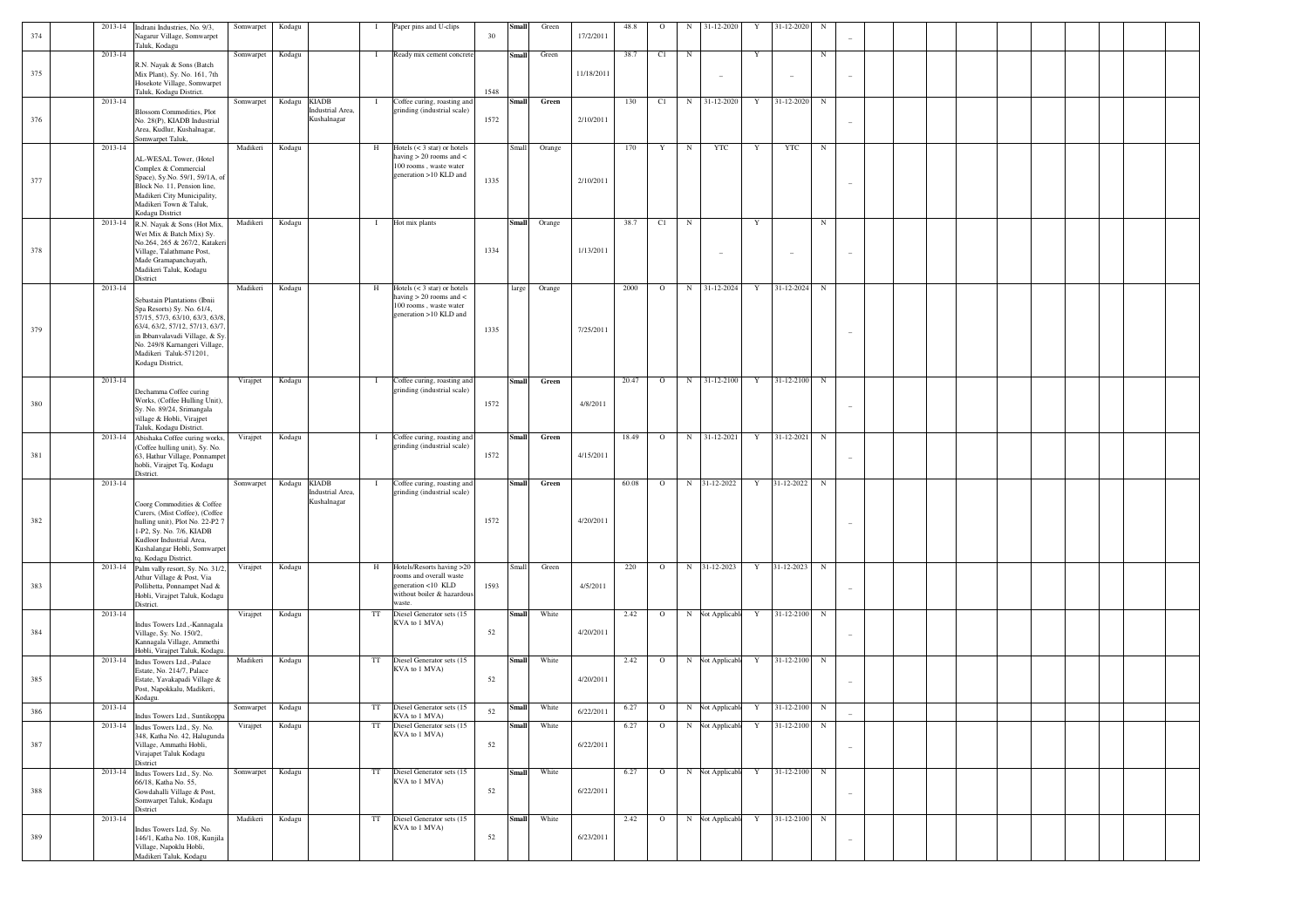|     | 2013-14 | Indrani Industries, No. 9/3,                                      | Somwarpet | Kodagu                                     | - 1          | Paper pins and U-clips                                     |      | Small        | Green  |            | 48.8  | $\Omega$     | 31-12-2020<br>N          | Y           | 31-12-2020   | N                        |  |  |  |  |
|-----|---------|-------------------------------------------------------------------|-----------|--------------------------------------------|--------------|------------------------------------------------------------|------|--------------|--------|------------|-------|--------------|--------------------------|-------------|--------------|--------------------------|--|--|--|--|
| 374 |         | Nagarur Village, Somwarpet                                        |           |                                            |              |                                                            | 30   |              |        | 17/2/2011  |       |              |                          |             |              |                          |  |  |  |  |
|     |         | Taluk, Kodagu                                                     |           |                                            |              |                                                            |      |              |        |            |       |              |                          |             |              |                          |  |  |  |  |
|     | 2013-14 |                                                                   | Somwarpet | Kodagu                                     | $\mathbf{I}$ | Ready mix cement concrete                                  |      | <b>Small</b> | Green  |            | 38.7  | C1           | $_{\rm N}$               | Y           |              | $_{\rm N}$               |  |  |  |  |
|     |         | R.N. Nayak & Sons (Batch                                          |           |                                            |              |                                                            |      |              |        |            |       |              |                          |             |              |                          |  |  |  |  |
| 375 |         | Mix Plant), Sy. No. 161, 7th                                      |           |                                            |              |                                                            |      |              |        | 11/18/2011 |       |              | $\overline{\phantom{a}}$ |             |              |                          |  |  |  |  |
|     |         | Hosekote Village, Somwarpet                                       |           |                                            |              |                                                            |      |              |        |            |       |              |                          |             |              |                          |  |  |  |  |
|     |         | Taluk, Kodagu District.                                           |           |                                            |              |                                                            | 1548 |              |        |            |       |              |                          |             |              |                          |  |  |  |  |
|     | 2013-14 |                                                                   | Somwarpet | <b>KIADB</b><br>Kodagu<br>Industrial Area, | $\mathbf{I}$ | Coffee curing, roasting and<br>grinding (industrial scale) |      | <b>Small</b> | Green  |            | 130   | C1           | 31-12-2020<br>N          | Y           | 31-12-2020   | $_{\rm N}$               |  |  |  |  |
| 376 |         | <b>Blossom Commodities</b> , Plot                                 |           | Kushalnagar                                |              |                                                            | 1572 |              |        | 2/10/2011  |       |              |                          |             |              |                          |  |  |  |  |
|     |         | No. 28(P), KIADB Industrial<br>Area, Kudlur, Kushalnagar,         |           |                                            |              |                                                            |      |              |        |            |       |              |                          |             |              |                          |  |  |  |  |
|     |         | Somwarpet Taluk,                                                  |           |                                            |              |                                                            |      |              |        |            |       |              |                          |             |              |                          |  |  |  |  |
|     | 2013-14 |                                                                   | Madikeri  | Kodagu                                     | H            | Hotels $(< 3 \text{ star})$ or hotels                      |      | Small        | Orange |            | 170   | Y            | $_{\rm N}$<br>YTC        | Y           | YTC          | $_{\rm N}$               |  |  |  |  |
|     |         | AL-WESAL Tower, (Hotel                                            |           |                                            |              | having $> 20$ rooms and $<$                                |      |              |        |            |       |              |                          |             |              |                          |  |  |  |  |
|     |         | Complex & Commercial                                              |           |                                            |              | 100 rooms, waste water                                     |      |              |        |            |       |              |                          |             |              |                          |  |  |  |  |
| 377 |         | Space), Sy.No. 59/1, 59/1A, of                                    |           |                                            |              | generation >10 KLD and                                     | 1335 |              |        | 2/10/2011  |       |              |                          |             |              |                          |  |  |  |  |
|     |         | Block No. 11, Pension line,                                       |           |                                            |              |                                                            |      |              |        |            |       |              |                          |             |              |                          |  |  |  |  |
|     |         | Madikeri City Municipality,                                       |           |                                            |              |                                                            |      |              |        |            |       |              |                          |             |              |                          |  |  |  |  |
|     |         | Madikeri Town & Taluk,                                            |           |                                            |              |                                                            |      |              |        |            |       |              |                          |             |              |                          |  |  |  |  |
|     |         | Kodagu District                                                   |           |                                            |              | Hot mix plants                                             |      | <b>Small</b> |        |            | 38.7  | C1           |                          | Y           |              |                          |  |  |  |  |
|     |         | 2013-14 R.N. Nayak & Sons (Hot Mix,                               | Madikeri  | Kodagu                                     | $\mathbf{I}$ |                                                            |      |              | Orange |            |       |              | $_{\rm N}$               |             |              | $_{\rm N}$               |  |  |  |  |
|     |         | Wet Mix & Batch Mix) Sy.<br>No.264, 265 & 267/2, Katakeri         |           |                                            |              |                                                            |      |              |        |            |       |              |                          |             |              |                          |  |  |  |  |
| 378 |         | Village, Talathmane Post,                                         |           |                                            |              |                                                            | 1334 |              |        | 1/13/2011  |       |              | $\overline{\phantom{a}}$ |             |              |                          |  |  |  |  |
|     |         | Made Gramapanchayath,                                             |           |                                            |              |                                                            |      |              |        |            |       |              |                          |             |              |                          |  |  |  |  |
|     |         | Madikeri Taluk, Kodagu                                            |           |                                            |              |                                                            |      |              |        |            |       |              |                          |             |              |                          |  |  |  |  |
|     |         | District                                                          |           |                                            |              |                                                            |      |              |        |            |       |              |                          |             |              |                          |  |  |  |  |
|     | 2013-14 |                                                                   | Madikeri  | Kodagu                                     | H            | Hotels $(< 3 \text{ star})$ or hotels                      |      | large        | Orange |            | 2000  | $\circ$      | 31-12-2024<br>N          | Y           | 31-12-2024   | $_{\rm N}$               |  |  |  |  |
|     |         | Sebastain Plantations (Ibnii                                      |           |                                            |              | having $> 20$ rooms and $<$                                |      |              |        |            |       |              |                          |             |              |                          |  |  |  |  |
|     |         | Spa Resorts) Sy. No. 61/4,                                        |           |                                            |              | 100 rooms, waste water<br>generation >10 KLD and           |      |              |        |            |       |              |                          |             |              |                          |  |  |  |  |
|     |         | 57/15, 57/3, 63/10, 63/3, 63/8,                                   |           |                                            |              |                                                            |      |              |        |            |       |              |                          |             |              |                          |  |  |  |  |
| 379 |         | 63/4, 63/2, 57/12, 57/13, 63/7<br>in Ibbanvalavadi Village, & Sy. |           |                                            |              |                                                            | 1335 |              |        | 7/25/2011  |       |              |                          |             |              |                          |  |  |  |  |
|     |         | No. 249/8 Karnangeri Village,                                     |           |                                            |              |                                                            |      |              |        |            |       |              |                          |             |              |                          |  |  |  |  |
|     |         | Madikeri Taluk-571201,                                            |           |                                            |              |                                                            |      |              |        |            |       |              |                          |             |              |                          |  |  |  |  |
|     |         | Kodagu District,                                                  |           |                                            |              |                                                            |      |              |        |            |       |              |                          |             |              |                          |  |  |  |  |
|     |         |                                                                   |           |                                            |              |                                                            |      |              |        |            |       |              |                          |             |              |                          |  |  |  |  |
|     | 2013-14 |                                                                   | Virajpet  | Kodagu                                     | $\mathbf{I}$ | Coffee curing, roasting and                                |      | <b>Small</b> | Green  |            | 20.47 | $\circ$      | 31-12-2100<br>N          | Y           | 31-12-2100   | $_{\rm N}$               |  |  |  |  |
|     |         | Dechamma Coffee curing                                            |           |                                            |              | grinding (industrial scale)                                |      |              |        |            |       |              |                          |             |              |                          |  |  |  |  |
| 380 |         | Works, (Coffee Hulling Unit),                                     |           |                                            |              |                                                            | 1572 |              |        | 4/8/2011   |       |              |                          |             |              |                          |  |  |  |  |
|     |         | Sy. No. 89/24, Srimangala                                         |           |                                            |              |                                                            |      |              |        |            |       |              |                          |             |              |                          |  |  |  |  |
|     |         | village & Hobli, Virajpet<br>Taluk, Kodagu District.              |           |                                            |              |                                                            |      |              |        |            |       |              |                          |             |              |                          |  |  |  |  |
|     |         | 2013-14 Abishaka Coffee curing works,                             | Virajpet  | Kodagu                                     | $\mathbf{I}$ | Coffee curing, roasting and                                |      | <b>Small</b> | Green  |            | 18.49 | $\circ$      | 31-12-2021<br>N          | Y           | 31-12-2021   | $_{\rm N}$               |  |  |  |  |
|     |         | (Coffee hulling unit), Sy. No.                                    |           |                                            |              | grinding (industrial scale)                                |      |              |        |            |       |              |                          |             |              |                          |  |  |  |  |
| 381 |         | 63, Hathur Village, Ponnampet                                     |           |                                            |              |                                                            | 1572 |              |        | 4/15/2011  |       |              |                          |             |              |                          |  |  |  |  |
|     |         | hobli, Virajpet Tq, Kodagu                                        |           |                                            |              |                                                            |      |              |        |            |       |              |                          |             |              |                          |  |  |  |  |
|     |         | District.                                                         |           |                                            |              |                                                            |      |              |        |            |       |              |                          |             |              |                          |  |  |  |  |
|     | 2013-14 |                                                                   | Somwarpet | Kodagu KIADB                               | - 1          | Coffee curing, roasting and                                |      | <b>Small</b> | Green  |            | 60.08 | $\circ$      | N 31-12-2022             | Y           | 31-12-2022   | $_{\rm N}$               |  |  |  |  |
|     |         |                                                                   |           | Industrial Area,                           |              | grinding (industrial scale)                                |      |              |        |            |       |              |                          |             |              |                          |  |  |  |  |
|     |         | Coorg Commodities & Coffee                                        |           | Kushalnagar                                |              |                                                            |      |              |        |            |       |              |                          |             |              |                          |  |  |  |  |
| 382 |         | Curers, (Mist Coffee), (Coffee                                    |           |                                            |              |                                                            | 1572 |              |        | 4/20/2011  |       |              |                          |             |              |                          |  |  |  |  |
|     |         | hulling unit), Plot No. 22-P2 7<br>1-P2, Sy. No. 7/6, KIADB       |           |                                            |              |                                                            |      |              |        |            |       |              |                          |             |              |                          |  |  |  |  |
|     |         | Kudloor Industrial Area,                                          |           |                                            |              |                                                            |      |              |        |            |       |              |                          |             |              |                          |  |  |  |  |
|     |         | Kushalangar Hobli, Somwarpet                                      |           |                                            |              |                                                            |      |              |        |            |       |              |                          |             |              |                          |  |  |  |  |
|     |         | q. Kodagu District.                                               |           |                                            |              |                                                            |      |              |        |            |       |              |                          |             |              |                          |  |  |  |  |
|     |         | 2013-14 Palm vally resort, Sy. No. 31/2,                          | Virajpet  | Kodagu                                     | H            | Hotels/Resorts having >20                                  |      | Small        | Green  |            | 220   | $\circ$      | N 31-12-2023             | $\mathbf Y$ | 31-12-2023   | $_{\rm N}$               |  |  |  |  |
|     |         | Athur Village & Post, Via                                         |           |                                            |              | rooms and overall waste                                    |      |              |        |            |       |              |                          |             |              |                          |  |  |  |  |
| 383 |         | Pollibetta, Ponnampet Nad &                                       |           |                                            |              | generation <10 KLD                                         | 1593 |              |        | 4/5/2011   |       |              |                          |             |              |                          |  |  |  |  |
|     |         | Hobli, Virajpet Taluk, Kodagu                                     |           |                                            |              | without boiler & hazardous<br>waste.                       |      |              |        |            |       |              |                          |             |              |                          |  |  |  |  |
|     | 2013-14 | District.                                                         | Virajpet  | Kodagu                                     | TT           | Diesel Generator sets (15                                  |      | <b>Small</b> | White  |            | 2.42  | $\circ$      | N Not Applicable         | Y           | 31-12-2100   | $_{\rm N}$               |  |  |  |  |
|     |         | Indus Towers Ltd.,-Kannagala                                      |           |                                            |              | KVA to 1 MVA)                                              |      |              |        |            |       |              |                          |             |              |                          |  |  |  |  |
| 384 |         | Village, Sy. No. 150/2,                                           |           |                                            |              |                                                            | 52   |              |        | 4/20/2011  |       |              |                          |             |              |                          |  |  |  |  |
|     |         | Kannagala Village, Ammethi                                        |           |                                            |              |                                                            |      |              |        |            |       |              |                          |             |              |                          |  |  |  |  |
|     |         | Hobli, Virajpet Taluk, Kodagu.                                    |           |                                            |              |                                                            |      |              |        |            |       |              |                          |             |              |                          |  |  |  |  |
|     |         | 2013-14 Indus Towers Ltd.,-Palace                                 | Madikeri  | Kodagu                                     | TT           | Diesel Generator sets (15                                  |      | <b>Small</b> | White  |            | 2.42  | $\circ$      | N Not Applicable         | Y           | 31-12-2100   | $_{\rm N}$               |  |  |  |  |
|     |         | Estate, No. 214/7, Palace                                         |           |                                            |              | KVA to 1 MVA)                                              |      |              |        |            |       |              |                          |             |              |                          |  |  |  |  |
| 385 |         | Estate, Yavakapadi Village &                                      |           |                                            |              |                                                            | 52   |              |        | 4/20/2011  |       |              |                          |             |              |                          |  |  |  |  |
|     |         | Post, Napokkalu, Madikeri,<br>Kodagu.                             |           |                                            |              |                                                            |      |              |        |            |       |              |                          |             |              |                          |  |  |  |  |
|     | 2013-14 |                                                                   | Somwarpet | Kodagu                                     | TT           | Diesel Generator sets (15                                  |      | <b>Small</b> | White  |            | 6.27  | $\circ$      | N Not Applicable         | Y           | 31-12-2100   | $_{\rm N}$               |  |  |  |  |
| 386 |         | adus Towers Ltd., Suntikoppa                                      |           |                                            |              | KVA to 1 MVA)                                              | 52   |              |        | 6/22/2011  |       |              |                          |             |              |                          |  |  |  |  |
|     |         | 2013-14 Indus Towers Ltd., Sy. No.                                | Virajpet  | Kodagu                                     | TT           | Diesel Generator sets (15                                  |      | <b>Small</b> | White  |            | 6.27  | $\circ$      | N Not Applicable         | Y           | 31-12-2100   | $_{\rm N}$               |  |  |  |  |
|     |         | 348, Katha No. 42, Halugunda                                      |           |                                            |              | KVA to 1 MVA)                                              |      |              |        |            |       |              |                          |             |              |                          |  |  |  |  |
| 387 |         | Village, Ammathi Hobli,                                           |           |                                            |              |                                                            | 52   |              |        | 6/22/2011  |       |              |                          |             |              | $\qquad \qquad -$        |  |  |  |  |
|     |         | Virajapet Taluk Kodagu                                            |           |                                            |              |                                                            |      |              |        |            |       |              |                          |             |              |                          |  |  |  |  |
|     |         | District                                                          |           |                                            |              |                                                            |      |              |        |            |       |              |                          |             |              |                          |  |  |  |  |
|     |         | 2013-14 Indus Towers Ltd., Sy. No.                                | Somwarpet | Kodagu                                     | TT           | Diesel Generator sets (15<br>KVA to 1 MVA)                 |      | <b>Small</b> | White  |            | 6.27  | $\mathbf{o}$ | N Not Applicable Y       |             | 31-12-2100   | N                        |  |  |  |  |
| 388 |         | 66/18, Katha No. 55,<br>Gowdahalli Village & Post,                |           |                                            |              |                                                            | 52   |              |        | 6/22/2011  |       |              |                          |             |              |                          |  |  |  |  |
|     |         | Somwarpet Taluk, Kodagu                                           |           |                                            |              |                                                            |      |              |        |            |       |              |                          |             |              | $\overline{\phantom{a}}$ |  |  |  |  |
|     |         | District                                                          |           |                                            |              |                                                            |      |              |        |            |       |              |                          |             |              |                          |  |  |  |  |
|     | 2013-14 |                                                                   | Madikeri  | Kodagu                                     | TT           | Diesel Generator sets (15                                  |      | <b>Small</b> | White  |            | 2.42  | $\circ$      | N Not Applicable         | $\mathbf Y$ | 31-12-2100 N |                          |  |  |  |  |
|     |         | Indus Towers Ltd, Sy. No.                                         |           |                                            |              | KVA to 1 MVA)                                              |      |              |        |            |       |              |                          |             |              |                          |  |  |  |  |
| 389 |         | 146/1, Katha No. 108, Kunjila                                     |           |                                            |              |                                                            | 52   |              |        | 6/23/2011  |       |              |                          |             |              |                          |  |  |  |  |
|     |         | Village, Napoklu Hobli,                                           |           |                                            |              |                                                            |      |              |        |            |       |              |                          |             |              |                          |  |  |  |  |
|     |         | Madikeri Taluk, Kodagu                                            |           |                                            |              |                                                            |      |              |        |            |       |              |                          |             |              |                          |  |  |  |  |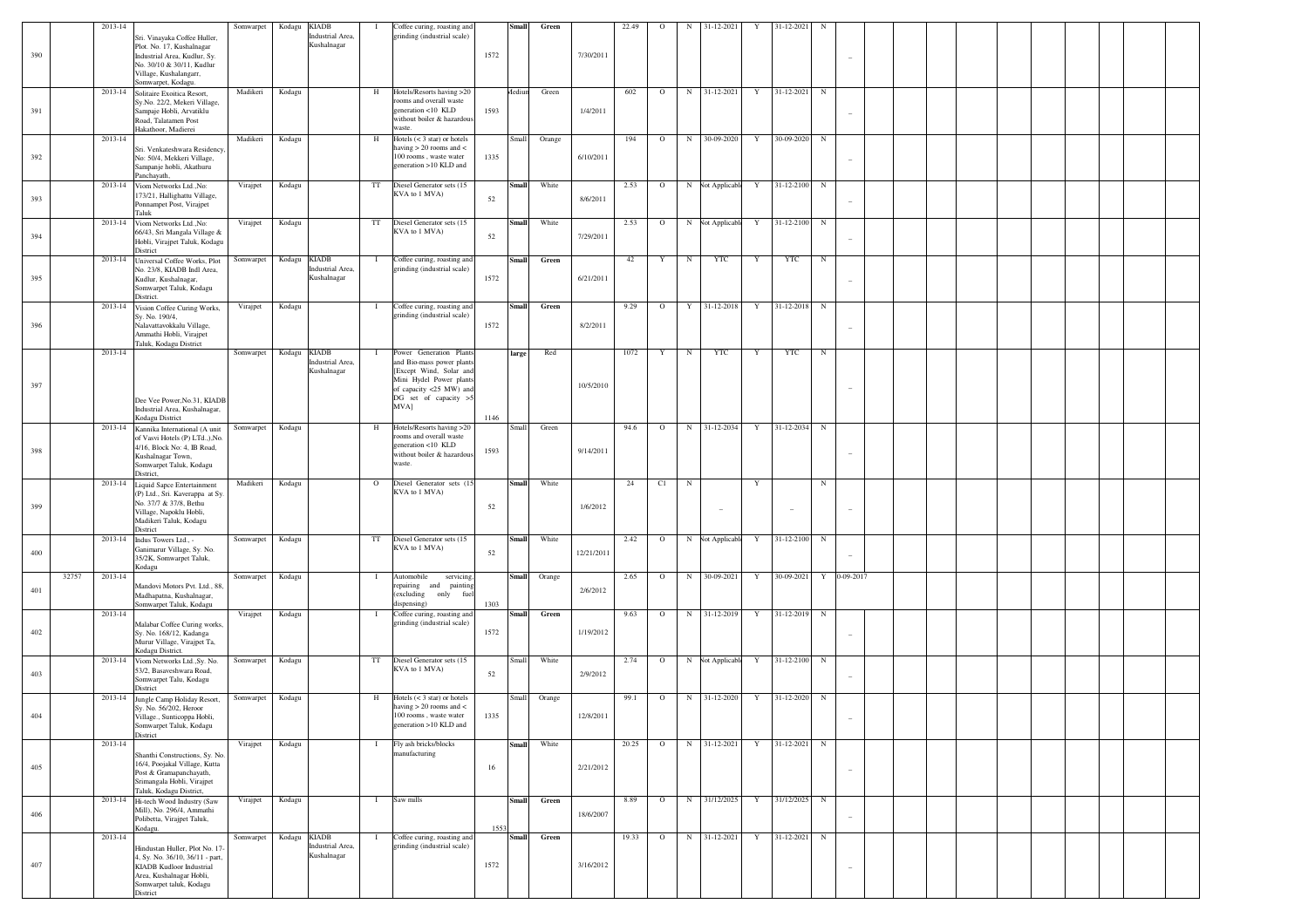|     |       | 2013-14 |                                                                                                                                                      | Somwarpet | Kodagu KIADB |                                 |              | Coffee curing, roasting and                                                                                             |      | <b>Small</b> | Green  |            | 22.49 | $\mathbf{O}$ | $_{\rm N}$  | 31-12-2021       | Y           | 31-12-2021               | N           |                                 |  |  |  |
|-----|-------|---------|------------------------------------------------------------------------------------------------------------------------------------------------------|-----------|--------------|---------------------------------|--------------|-------------------------------------------------------------------------------------------------------------------------|------|--------------|--------|------------|-------|--------------|-------------|------------------|-------------|--------------------------|-------------|---------------------------------|--|--|--|
| 390 |       |         | Sri. Vinayaka Coffee Huller,<br>Plot. No. 17, Kushalnagar<br>Industrial Area, Kudlur, Sy.<br>No. 30/10 & 30/11, Kudlur                               |           |              | Industrial Area,<br>Kushalnagar |              | grinding (industrial scale)                                                                                             | 1572 |              |        | 7/30/2011  |       |              |             |                  |             |                          |             | $\overline{\phantom{a}}$        |  |  |  |
|     |       |         | Village, Kushalangarr,<br>Somwarpet, Kodagu.                                                                                                         |           |              |                                 |              |                                                                                                                         |      |              |        |            |       |              |             |                  |             |                          |             |                                 |  |  |  |
| 391 |       |         | 2013-14 Solitaire Exoitica Resort,<br>Sy.No. 22/2, Mekeri Village,<br>Sampaje Hobli, Arvatiklu<br>Road, Talatamen Post<br>Hakathoor, Madierei        | Madikeri  | Kodagu       |                                 | H            | Hotels/Resorts having >20<br>rooms and overall waste<br>generation <10 KLD<br>without boiler & hazardous<br>waste.      | 1593 | dediun       | Green  | 1/4/2011   | 602   | $\circ$      |             | N 31-12-2021     | Y           | 31-12-2021 N             |             | $\overline{\phantom{a}}$        |  |  |  |
|     |       | 2013-14 |                                                                                                                                                      | Madikeri  | Kodagu       |                                 | H            | Hotels $(< 3 \text{ star})$ or hotels                                                                                   |      | Small        | Orange |            | 194   | $\circ$      | N           | 30-09-2020       | Y           | 30-09-2020               | N           |                                 |  |  |  |
| 392 |       |         | Sri. Venkateshwara Residency,<br>No: 50/4, Mekkeri Village,<br>Sampanje hobli, Akathuru<br>Panchayath,                                               |           |              |                                 |              | having $> 20$ rooms and $<$<br>100 rooms, waste water<br>generation >10 KLD and                                         | 1335 |              |        | 6/10/2011  |       |              |             |                  |             |                          |             | $\overline{\phantom{a}}$        |  |  |  |
| 393 |       |         | 2013-14 Viom Networks Ltd., No:<br>173/21, Hallighattu Village<br>Ponnampet Post, Virajpet<br>Taluk                                                  | Virajpet  | Kodagu       |                                 | TT           | Diesel Generator sets (15<br>KVA to 1 MVA)                                                                              | 52   | Small        | White  | 8/6/2011   | 2.53  | $\circ$      |             | N Not Applicable | Y           | 31-12-2100 N             |             | $\overline{\phantom{a}}$        |  |  |  |
| 394 |       |         | 2013-14 Viom Networks Ltd., No:<br>66/43, Sri Mangala Village &<br>Hobli, Virajpet Taluk, Kodagu<br>District                                         | Virajpet  | Kodagu       |                                 | TT           | Diesel Generator sets (15<br>KVA to 1 MVA)                                                                              | 52   | Small        | White  | 7/29/2011  | 2.53  | $\circ$      |             | N Not Applicable | Y           | 31-12-2100               | $\mathbf N$ | $\sim$                          |  |  |  |
| 395 |       |         | 2013-14 Universal Coffee Works, Plot<br>No. 23/8, KIADB Indl Area,<br>Kudlur, Kushalnagar,<br>Somwarpet Taluk, Kodagu<br>District.                   | Somwarpet | Kodagu KIADB | Industrial Area,<br>Kushalnagar | $\mathbf{I}$ | Coffee curing, roasting and<br>grinding (industrial scale)                                                              | 1572 | <b>Small</b> | Green  | 6/21/2011  | 42    | Y            | $\mathbf N$ | YTC              | Y           | YTC                      | N           | $\overline{\phantom{a}}$        |  |  |  |
|     |       |         | 2013-14 Vision Coffee Curing Works,                                                                                                                  | Virajpet  | Kodagu       |                                 | $\mathbf{I}$ | Coffee curing, roasting and                                                                                             |      | <b>Small</b> | Green  |            | 9.29  | $\circ$      | Y           | 31-12-2018       | Y           | 31-12-2018 N             |             |                                 |  |  |  |
| 396 |       |         | Sy. No. 190/4,<br>Nalavattavokkalu Village,<br>Ammathi Hobli, Virajpet<br>Taluk, Kodagu District                                                     |           |              |                                 |              | grinding (industrial scale)                                                                                             | 1572 |              |        | 8/2/2011   |       |              |             |                  |             |                          |             | $\overline{\phantom{a}}$        |  |  |  |
|     |       | 2013-14 |                                                                                                                                                      | Somwarpet | Kodagu KIADB | Industrial Area,<br>Kushalnagar | Τ.           | Power Generation Plants<br>and Bio-mass power plants<br>[Except Wind, Solar and<br>Mini Hydel Power plants              |      | large        | Red    |            | 1072  | Y            | N           | YTC              | Y           | YTC                      | N           |                                 |  |  |  |
| 397 |       |         | Dee Vee Power, No.31, KIADB<br>Industrial Area, Kushalnagar,                                                                                         |           |              |                                 |              | of capacity <25 MW) and<br>DG set of capacity >5<br>MVA]                                                                | 1146 |              |        | 10/5/2010  |       |              |             |                  |             |                          |             | $\overline{\phantom{a}}$        |  |  |  |
|     |       |         | Kodagu District<br>2013-14 Kannika International (A unit                                                                                             | Somwarpet | Kodagu       |                                 | H            | Hotels/Resorts having >20                                                                                               |      | Small        | Green  |            | 94.6  | $\circ$      |             | N 31-12-2034     | Y           | 31-12-2034 N             |             |                                 |  |  |  |
| 398 |       |         | of Vasvi Hotels (P) LTd.,), No.<br>4/16, Block No: 4, IB Road,<br>Kushalnagar Town,<br>Somwarpet Taluk, Kodagu<br>District,                          |           |              |                                 |              | rooms and overall waste<br>generation <10 KLD<br>without boiler & hazardous<br>waste.                                   | 1593 |              |        | 9/14/2011  |       |              |             |                  |             |                          |             | $\overline{\phantom{a}}$        |  |  |  |
|     |       | 2013-14 | Liquid Sapce Entertainment<br>(P) Ltd., Sri. Kaverappa at Sy.                                                                                        | Madikeri  | Kodagu       |                                 | $\circ$      | Diesel Generator sets (15<br>KVA to 1 MVA)                                                                              |      | <b>Small</b> | White  |            | 24    | C1           | $\mathbf N$ |                  | Y           |                          | $_{\rm N}$  |                                 |  |  |  |
| 399 |       |         | No. 37/7 & 37/8, Bethu<br>Village, Napoklu Hobli,<br>Madikeri Taluk, Kodagu<br>District                                                              |           |              |                                 |              |                                                                                                                         | 52   |              |        | 1/6/2012   |       |              |             | $\sim$           |             | $\overline{\phantom{a}}$ |             | $\overline{\phantom{a}}$        |  |  |  |
| 400 |       |         | 2013-14 Indus Towers Ltd., -<br>Ganimarur Village, Sy. No.<br>35/2K, Somwarpet Taluk,<br>Kodagu                                                      | Somwarpet | Kodagu       |                                 | TT           | Diesel Generator sets (15<br>KVA to 1 MVA)                                                                              | 52   | <b>Small</b> | White  | 12/21/2011 | 2.42  | $\circ$      |             | N Not Applicable | Y           | 31-12-2100               | $\mathbf N$ |                                 |  |  |  |
| 401 | 32757 | 2013-14 | Mandovi Motors Pvt. Ltd., 88,<br>Madhapatna, Kushalnagar,                                                                                            | Somwarpet | Kodagu       |                                 | $\mathbf{I}$ | Automobile<br>servicing,<br>repairing and painting<br>(excluding<br>only fuel<br>dispensing)                            |      | Small        | Orange | 2/6/2012   | 2.65  | $\circ$      | N           | 30-09-2021       | $\mathbf Y$ | 30-09-2021 Y 0-09-2017   |             |                                 |  |  |  |
|     |       | 2013-14 | Somwarpet Taluk, Kodagu<br>Malabar Coffee Curing works,                                                                                              | Virajpet  | Kodagu       |                                 | $\mathbf{I}$ | Coffee curing, roasting and<br>grinding (industrial scale)                                                              | 1303 | Small        | Green  |            | 9.63  | $\circ$      |             | N 31-12-2019     | Y           | 31-12-2019               | $\mathbf N$ |                                 |  |  |  |
| 402 |       |         | Sy. No. 168/12, Kadanga<br>Murur Village, Virajpet Ta,<br>Kodagu District.                                                                           |           |              |                                 |              |                                                                                                                         | 1572 |              |        | 1/19/2012  |       |              |             |                  |             |                          |             | $\overline{\phantom{a}}$        |  |  |  |
| 403 |       |         | 2013-14 Viom Networks Ltd., Sy. No.<br>53/2, Basaveshwara Road,<br>Somwarpet Talu, Kodagu<br>District                                                | Somwarpet | Kodagu       |                                 | TT           | Diesel Generator sets (15<br>KVA to 1 MVA)                                                                              | 52   | <b>Small</b> | White  | 2/9/2012   | 2.74  | $\circ$      |             | N Vot Applicable | Y           | 31-12-2100 N             |             | $\sim$                          |  |  |  |
| 404 |       | 2013-14 | Jungle Camp Holiday Resort,<br>Sy. No. 56/202, Heroor<br>'illage., Sunticoppa Hobli,<br>Somwarpet Taluk, Kodagu<br>District                          | Somwarpet | Kodagu       |                                 | H            | Hotels $(< 3 \text{ star})$ or hotels<br>having $> 20$ rooms and $<$<br>100 rooms waste water<br>generation >10 KLD and | 1335 | Small        | Orange | 12/8/2011  | 99.1  | $\circ$      |             | N 31-12-2020     | Y           | 31-12-2020 N             |             |                                 |  |  |  |
|     |       | 2013-14 | Shanthi Constructions, Sy. No.                                                                                                                       | Virajpet  | Kodagu       |                                 | $\mathbf{I}$ | Fly ash bricks/blocks<br>manufacturing                                                                                  |      | <b>Small</b> | White  |            | 20.25 | $\circ$      |             | N 31-12-2021     | Y           | 31-12-2021 N             |             |                                 |  |  |  |
| 405 |       |         | 16/4, Poojakal Village, Kutta<br>Post & Gramapanchayath,<br>Srimangala Hobli, Virajpet<br>Taluk, Kodagu District,                                    |           |              |                                 |              |                                                                                                                         | 16   |              |        | 2/21/2012  |       |              |             |                  |             |                          |             | $\hspace{0.1mm}-\hspace{0.1mm}$ |  |  |  |
| 406 |       |         | 2013-14 Hi-tech Wood Industry (Saw<br>Mill), No. 296/4, Ammathi<br>Polibetta, Virajpet Taluk,<br>Kodagu.                                             | Virajpet  | Kodagu       |                                 | $\mathbf{I}$ | Saw mills                                                                                                               | 1553 | <b>Small</b> | Green  | 18/6/2007  | 8.89  | $\circ$      |             | N 31/12/2025     | $\mathbf Y$ | 31/12/2025 N             |             | $\overline{\phantom{a}}$        |  |  |  |
|     |       | 2013-14 |                                                                                                                                                      | Somwarpet | Kodagu KIADB |                                 | $\mathbf{I}$ | Coffee curing, roasting and                                                                                             |      | <b>Small</b> | Green  |            | 19.33 | $\circ$      |             | N 31-12-2021     | Y           | 31-12-2021 N             |             |                                 |  |  |  |
| 407 |       |         | Hindustan Huller, Plot No. 17-<br>4, Sy. No. 36/10, 36/11 - part,<br>KIADB Kudloor Industrial<br>Area, Kushalnagar Hobli,<br>Somwarpet taluk, Kodagu |           |              | Industrial Area,<br>Kushalnagar |              | grinding (industrial scale)                                                                                             | 1572 |              |        | 3/16/2012  |       |              |             |                  |             |                          |             | $\overline{\phantom{a}}$        |  |  |  |
|     |       |         | District                                                                                                                                             |           |              |                                 |              |                                                                                                                         |      |              |        |            |       |              |             |                  |             |                          |             |                                 |  |  |  |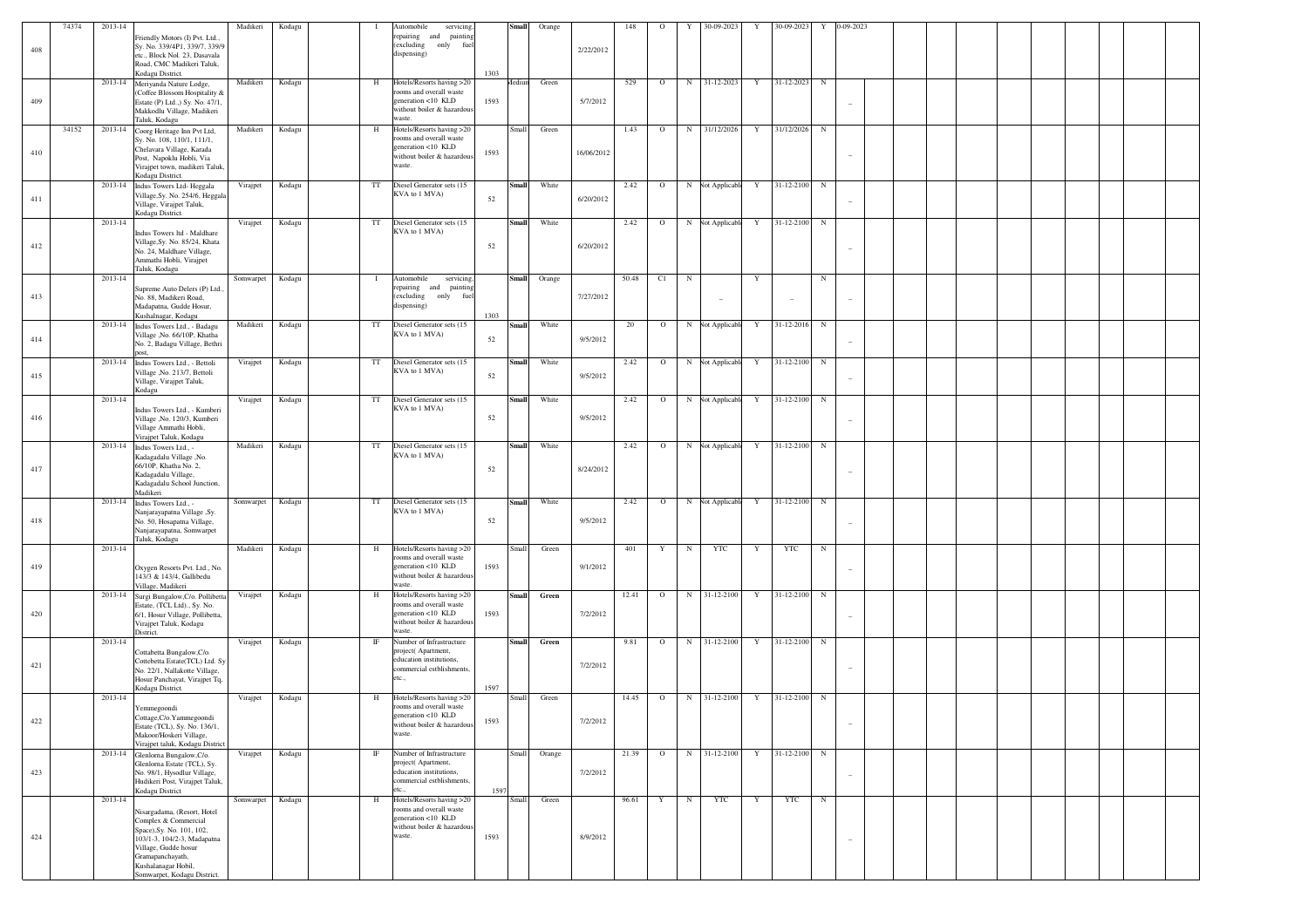|     | 74374 | 2013-14 |                                                                                                                                                                                    | Madikeri  | Kodagu |             | Automobile<br>servicing                                                                |      | <b>Small</b> | Orange |            | 148   | $\circ$      | 30-09-2023<br>Y          | Y | 30-09-2023   | Y           | 0-09-2023                       |  |  |  |  |
|-----|-------|---------|------------------------------------------------------------------------------------------------------------------------------------------------------------------------------------|-----------|--------|-------------|----------------------------------------------------------------------------------------|------|--------------|--------|------------|-------|--------------|--------------------------|---|--------------|-------------|---------------------------------|--|--|--|--|
| 408 |       |         | Friendly Motors (I) Pvt. Ltd.,<br>Sy. No. 339/4P1, 339/7, 339/9<br>etc., Block Nol. 23, Dasavala<br>Road, CMC Madikeri Taluk,<br>Kodagu District.                                  |           |        |             | repairing and painting<br>(excluding only<br>fuel<br>dispensing)                       | 1303 |              |        | 2/22/2012  |       |              |                          |   |              |             |                                 |  |  |  |  |
|     |       |         | 2013-14 Meriyanda Nature Lodge,                                                                                                                                                    | Madikeri  | Kodagu | H           | Hotels/Resorts having >20                                                              |      | Aediun       | Green  |            | 529   | $\circ$      | 31-12-2023<br>N          | Y | 31-12-2023   | $_{\rm N}$  |                                 |  |  |  |  |
| 409 |       |         | (Coffee Blossom Hospitality &<br>Estate (P) Ltd.,) Sy. No. 47/1,<br>Makkodlu Village, Madikeri<br>Taluk, Kodagu                                                                    |           |        |             | rooms and overall waste<br>generation <10 KLD<br>without boiler & hazardous<br>waste.  | 1593 |              |        | 5/7/2012   |       |              |                          |   |              |             |                                 |  |  |  |  |
|     | 34152 |         | 2013-14 Coorg Heritage Inn Pvt Ltd,                                                                                                                                                | Madikeri  | Kodagu | H           | Hotels/Resorts having >20                                                              |      | Small        | Green  |            | 1.43  | $\circ$      | N<br>31/12/2026          | Y | 31/12/2026   | $_{\rm N}$  |                                 |  |  |  |  |
| 410 |       |         | Sy. No. 108, 110/1, 111/1,<br>Chelavara Village, Karada<br>Post, Napoklu Hobli, Via<br>Virajpet town, madikeri Taluk,<br>Kodagu District.                                          |           |        |             | rooms and overall waste<br>generation <10 KLD<br>without boiler & hazardous<br>waste.  | 1593 |              |        | 16/06/2012 |       |              |                          |   |              |             |                                 |  |  |  |  |
| 411 |       |         | 2013-14 Indus Towers Ltd-Heggala<br>Village, Sy. No. 254/6, Heggala<br>Village, Virajpet Taluk,<br>Kodagu District.                                                                | Virajpet  | Kodagu | $_{\rm TT}$ | Diesel Generator sets (15<br>KVA to 1 MVA)                                             | 52   | <b>Small</b> | White  | 6/20/2012  | 2.42  | $\circ$      | N Not Applicable         | Y | 31-12-2100 N |             |                                 |  |  |  |  |
|     |       | 2013-14 |                                                                                                                                                                                    | Virajpet  | Kodagu | $_{\rm TT}$ | Diesel Generator sets (15                                                              |      | <b>Small</b> | White  |            | 2.42  | $\circ$      | N Not Applicable         | Y | 31-12-2100 N |             |                                 |  |  |  |  |
| 412 |       |         | Indus Towers ltd - Maldhare<br>Village, Sy. No. 85/24, Khata<br>No. 24, Maldhare Village,<br>Ammathi Hobli, Virajpet<br>Taluk, Kodagu                                              |           |        |             | KVA to 1 MVA)                                                                          | 52   |              |        | 6/20/2012  |       |              |                          |   |              |             |                                 |  |  |  |  |
|     |       | 2013-14 |                                                                                                                                                                                    | Somwarpet | Kodagu | $\bf{I}$    | Automobile<br>servicing.                                                               |      | <b>Small</b> | Orange |            | 50.48 | C1           | $_{\rm N}$               | Y |              | $_{\rm N}$  |                                 |  |  |  |  |
| 413 |       |         | Supreme Auto Delers (P) Ltd.,<br>No. 88, Madikeri Road,<br>Madapatna, Gudde Hosur,<br>Kushalnagar, Kodagu                                                                          |           |        |             | repairing and painting<br>(excluding only<br>fuel<br>dispensing)                       | 1303 |              |        | 7/27/2012  |       |              |                          |   |              |             |                                 |  |  |  |  |
| 414 |       |         | 2013-14 Indus Towers Ltd., - Badagu<br>Village , No. 66/10P, Khatha<br>No. 2, Badagu Village, Bethri<br>nost                                                                       | Madikeri  | Kodagu | $_{\rm TT}$ | Diesel Generator sets (15<br>KVA to 1 MVA)                                             | 52   | <b>Small</b> | White  | 9/5/2012   | 20    | $\mathbf{O}$ | N Not Applicable         | Y | 31-12-2016   | $\mathbf N$ |                                 |  |  |  |  |
| 415 |       |         | 2013-14 Indus Towers Ltd., - Bettoli<br>Village , No. 213/7, Bettoli<br>Village, Virajpet Taluk,<br>Kodagu                                                                         | Virajpet  | Kodagu | $_{\rm TT}$ | Diesel Generator sets (15<br>KVA to 1 MVA)                                             | 52   | <b>Small</b> | White  | 9/5/2012   | 2.42  | $\mathbf{O}$ | N Not Applicable         | Y | 31-12-2100 N |             | $\hspace{0.1mm}-\hspace{0.1mm}$ |  |  |  |  |
|     |       | 2013-14 |                                                                                                                                                                                    | Virajpet  | Kodagu | $_{\rm TT}$ | Diesel Generator sets (15                                                              |      | <b>Small</b> | White  |            | 2.42  | $\circ$      | N Not Applicable         | Y | 31-12-2100 N |             |                                 |  |  |  |  |
| 416 |       |         | Indus Towers Ltd., - Kumberi<br>Village , No. 120/3, Kumberi<br>Village Ammathi Hobli,<br>Virajpet Taluk, Kodagu                                                                   |           |        |             | KVA to 1 MVA)                                                                          | 52   |              |        | 9/5/2012   |       |              |                          |   |              |             |                                 |  |  |  |  |
|     |       | 2013-14 | Indus Towers Ltd., -                                                                                                                                                               | Madikeri  | Kodagu | TT          | Diesel Generator sets (15                                                              |      | <b>Small</b> | White  |            | 2.42  | $\circ$      | N Not Applicable         | Y | 31-12-2100 N |             |                                 |  |  |  |  |
| 417 |       |         | Kadagadalu Village ,No.<br>66/10P, Khatha No. 2,<br>Kadagadalu Village,<br>Kadagadalu School Junction,<br>Madikeri                                                                 |           |        |             | KVA to 1 MVA)                                                                          | 52   |              |        | 8/24/2012  |       |              |                          |   |              |             |                                 |  |  |  |  |
| 418 |       |         | 2013-14 Indus Towers Ltd., -<br>Nanjarayapatna Village ,Sy<br>No. 50, Hosapatna Village,<br>Nanjarayapatna, Somwarpet<br>Taluk, Kodagu                                             | Somwarpet | Kodagu | TT          | Diesel Generator sets (15<br>KVA to 1 MVA)                                             | 52   | <b>Small</b> | White  | 9/5/2012   | 2.42  | $\circ$      | N Not Applicable         | Y | 31-12-2100 N |             |                                 |  |  |  |  |
|     |       | 2013-14 |                                                                                                                                                                                    | Madikeri  | Kodagu | H           | Hotels/Resorts having >20                                                              |      | Small        | Green  |            | 401   | Y            | <b>YTC</b><br>$_{\rm N}$ | Y | <b>YTC</b>   | $\mathbb N$ |                                 |  |  |  |  |
| 419 |       |         | Oxygen Resorts Pvt. Ltd., No.<br>143/3 & 143/4, Gallibedu<br>Village, Madikeri                                                                                                     |           |        |             | rooms and overall waste<br>generation <10 KLD<br>without boiler & hazardous<br>waste.  | 1593 |              |        | 9/1/2012   |       |              |                          |   |              |             |                                 |  |  |  |  |
|     |       |         | 2013-14 Surgi Bungalow, C/o. Pollibetta                                                                                                                                            | Virajpet  | Kodagu | H           | Hotels/Resorts having >20<br>rooms and overall waste                                   |      | <b>Small</b> | Green  |            | 12.41 | $\circ$      | 31-12-2100<br>N          | Y | 31-12-2100 N |             |                                 |  |  |  |  |
| 420 |       | 2013-14 | Estate, (TCL Ltd)., Sy. No.<br>6/1, Hosur Village, Pollibetta,<br>Virajpet Taluk, Kodagu<br>District.                                                                              | Virajpet  | Kodagu | $_{\rm IF}$ | generation <10 KLD<br>without boiler & hazardous<br>waste.<br>Number of Infrastructure | 1593 | <b>Small</b> | Green  | 7/2/2012   | 9.81  | $\circ$      | N 31-12-2100             | Y | 31-12-2100 N |             |                                 |  |  |  |  |
|     |       |         | Cottabetta Bungalow, C/o.                                                                                                                                                          |           |        |             | project(Apartment,                                                                     |      |              |        |            |       |              |                          |   |              |             |                                 |  |  |  |  |
| 421 |       |         | Cottebetta Estate(TCL) Ltd. Sy<br>No. 22/1, Nallakotte Village,<br>Hosur Panchayat, Virajpet Tq,<br>Kodagu District.                                                               |           |        |             | education institutions,<br>commercial estblishments,<br>etc.,                          | 1597 |              |        | 7/2/2012   |       |              |                          |   |              |             |                                 |  |  |  |  |
|     |       | 2013-14 |                                                                                                                                                                                    | Virajpet  | Kodagu | H           | Hotels/Resorts having >20                                                              |      | Small        | Green  |            | 14.45 | $\circ$      | N 31-12-2100             | Y | 31-12-2100 N |             |                                 |  |  |  |  |
| 422 |       |         | Yemmegoondi<br>ottage, C/o. Yammegoondi<br>Estate (TCL), Sy. No. 136/1,<br>Makoor/Hoskeri Village,<br>Virajpet taluk, Kodagu District                                              |           |        |             | rooms and overall waste<br>generation <10 KLD<br>without boiler & hazardous<br>waste.  | 1593 |              |        | 7/2/2012   |       |              |                          |   |              |             | $\overline{\phantom{a}}$        |  |  |  |  |
|     |       |         | 2013-14 Glenloma Bungalow, C/o.                                                                                                                                                    | Virajpet  | Kodagu | $_{\rm IF}$ | Number of Infrastructure                                                               |      | Small        | Orange |            | 21.39 | $\mathbf{o}$ | N 31-12-2100             | Y | 31-12-2100 N |             |                                 |  |  |  |  |
| 423 |       |         | Glenlorna Estate (TCL), Sy.<br>No. 98/1, Hysodlur Village,<br>Hudikeri Post, Virajpet Taluk,<br>Kodagu District                                                                    |           |        |             | project(Apartment,<br>education institutions,<br>commercial estblishments,<br>etc.,    | 1597 |              |        | 7/2/2012   |       |              |                          |   |              |             | $\overline{\phantom{a}}$        |  |  |  |  |
|     |       | 2013-14 |                                                                                                                                                                                    | Somwarpet | Kodagu | H           | Hotels/Resorts having >20                                                              |      | Small        | Green  |            | 96.61 | Y            | YTC<br>$_{\rm N}$        | Y | <b>YTC</b>   | N           |                                 |  |  |  |  |
| 424 |       |         | Nisargadama, (Resort, Hotel<br>Complex & Commercial<br>Space), Sy. No. 101, 102,<br>103/1-3, 104/2-3, Madapatna<br>Village, Gudde hosur<br>Gramapanchayath,<br>Kushalanagar Hobil, |           |        |             | rooms and overall waste<br>generation <10 KLD<br>without boiler & hazardous<br>waste.  | 1593 |              |        | 8/9/2012   |       |              |                          |   |              |             |                                 |  |  |  |  |
|     |       |         | Somwarpet, Kodagu District.                                                                                                                                                        |           |        |             |                                                                                        |      |              |        |            |       |              |                          |   |              |             |                                 |  |  |  |  |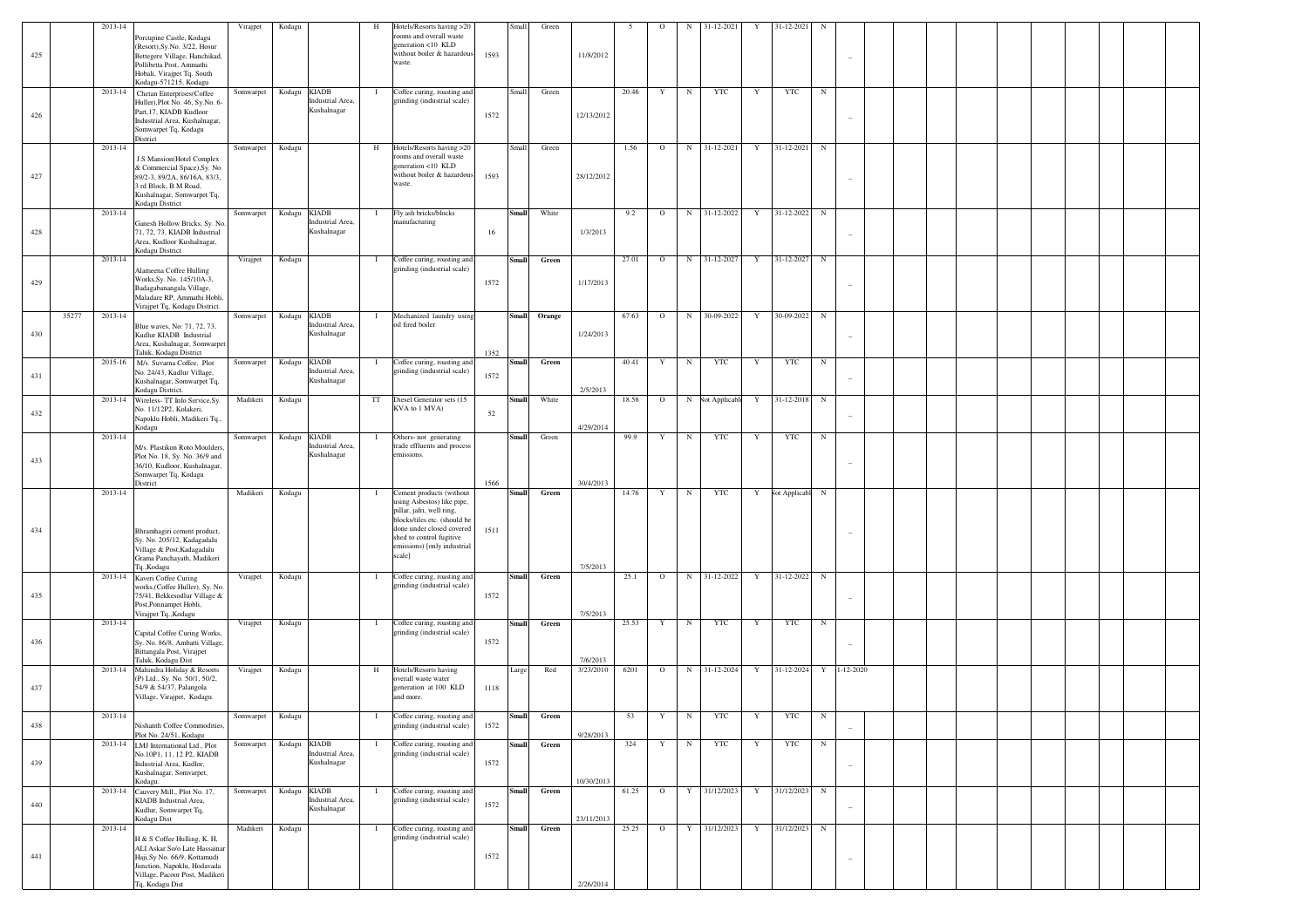|         | 2013-14          |                                                                                                                                                                                  | Virajpet         | Kodagu                                                    | H            | Hotels/Resorts having >20                                                                                                                                                                                             |              | Small        | Green  |                       |       | $\circ$ | N           | 31-12-2021         | Y           | 31-12-2021    | N          |                 |  |  |  |  |  |
|---------|------------------|----------------------------------------------------------------------------------------------------------------------------------------------------------------------------------|------------------|-----------------------------------------------------------|--------------|-----------------------------------------------------------------------------------------------------------------------------------------------------------------------------------------------------------------------|--------------|--------------|--------|-----------------------|-------|---------|-------------|--------------------|-------------|---------------|------------|-----------------|--|--|--|--|--|
| 425     |                  | Porcupine Castle, Kodagu<br>(Resort), Sy.No. 3/22, Hosur<br>Bettegere Village, Hanchikad,<br>Pollibetta Post, Ammathi<br>Hobali, Virajpet Tq. South<br>Kodagu-571215, Kodagu     |                  |                                                           |              | rooms and overall waste<br>generation <10 KLD<br>without boiler & hazardous<br>waste.                                                                                                                                 | 1593         |              |        | 11/8/2012             |       |         |             |                    |             |               |            |                 |  |  |  |  |  |
| $426\,$ | 2013-14          | Chetan Enterprises(Coffee<br>Huller), Plot No. 46, Sy. No. 6-<br>Part, 17, KIADB Kudloor<br>Industrial Area, Kushalnagar,<br>Somwarpet Tq, Kodagu<br>District                    |                  | Somwarpet Kodagu KIADB<br>Industrial Area.<br>Kushalnagar | - 1          | Coffee curing, roasting and<br>grinding (industrial scale)                                                                                                                                                            | 1572         | Small        | Green  | 12/13/2012            | 20.46 | Y       | $_{\rm N}$  | <b>YTC</b>         | Y           | <b>YTC</b>    | $_{\rm N}$ |                 |  |  |  |  |  |
| 427     | 2013-14          | J.S Mansion(Hotel Complex<br>& Commercial Space), Sy. No.<br>89/2-3, 89/2A, 86/16A, 83/3,<br>3 rd Block, B.M Road,<br>Kushalnagar, Somwarpet Tq,<br>Kodagu District              | Somwarpet        | Kodagu                                                    | H            | Hotels/Resorts having >20<br>rooms and overall waste<br>generation <10 KLD<br>without boiler & hazardous<br>waste.                                                                                                    | 1593         | Small        | Green  | 28/12/2012            | 1.56  | $\circ$ |             | N 31-12-2021       | Y           | 31-12-2021    | $_{\rm N}$ |                 |  |  |  |  |  |
| 428     | 2013-14          | Ganesh Hollow Bricks, Sy. No.<br>71, 72, 73, KIADB Industrial<br>Area, Kudloor Kushalnagar,<br>Kodagu District                                                                   | Somwarpet        | Kodagu KIADB<br>Industrial Area,<br>Kushalnagar           | $\mathbf{I}$ | Fly ash bricks/blocks<br>manufacturing                                                                                                                                                                                | 16           | <b>Small</b> | White  | 1/3/2013              | 9.2   | $\circ$ | N           | 31-12-2022         | Y           | 31-12-2022    | $_{\rm N}$ |                 |  |  |  |  |  |
| 429     | 2013-14          | Alameena Coffee Hulling<br>Works, Sy. No. 145/10A-3,<br>Badagabanangala Village,<br>Maladare RP, Ammathi Hobli,<br>Virajpet Tq, Kodagu District.                                 | Virajpet         | Kodagu                                                    | - 1          | Coffee curing, roasting and<br>grinding (industrial scale)                                                                                                                                                            | 1572         | <b>Small</b> | Green  | 1/17/2013             | 27.01 | $\circ$ | $\mathbb N$ | 31-12-2027         | Y           | 31-12-2027    | $_{\rm N}$ |                 |  |  |  |  |  |
| 430     | 35277<br>2013-14 | Blue waves, No: 71, 72, 73,<br>Kudlur KIADB Industrial<br>Area, Kushalnagar, Somwarpet<br>Taluk, Kodagu District                                                                 | Somwarpet        | Kodagu KIADB<br>Industrial Area,<br>Kushalnagar           | - 1          | Mechanized laundry using<br>oil fired boiler                                                                                                                                                                          | 1352         | <b>Small</b> | Orange | 1/24/2013             | 67.63 | $\circ$ | N           | 30-09-2022         | Y           | 30-09-2022    | $_{\rm N}$ |                 |  |  |  |  |  |
| 431     |                  | 2015-16 M/s. Suvarna Coffee, Plot<br>No. 24/43, Kudlur Village,<br>Kushalnagar, Somwarpet Tq,                                                                                    | Somwarpet        | Kodagu<br><b>KIADB</b><br>Industrial Area,<br>Kushalnagar | - 1          | Coffee curing, roasting and<br>grinding (industrial scale)                                                                                                                                                            | 1572         | <b>Small</b> | Green  | 2/5/2013              | 40.41 | Y       | $_{\rm N}$  | <b>YTC</b>         | Y           | YTC           | $_{\rm N}$ |                 |  |  |  |  |  |
| 432     |                  | Kodagu District.<br>2013-14 Wireless-TT Info Service, Sy.<br>No. 11/12P2, Kolakeri,<br>Napoklu Hobli, Madikeri Tq.,                                                              | Madikeri         | Kodagu                                                    | $_{\rm TT}$  | Diesel Generator sets (15<br>KVA to 1 MVA)                                                                                                                                                                            | 52           | <b>Small</b> | White  |                       | 18.58 | $\circ$ |             | N Not Applicable   | Y           | 31-12-2018    | $_{\rm N}$ |                 |  |  |  |  |  |
| 433     | 2013-14          | Kodagu<br>M/s. Plastikon Roto Moulders,<br>Plot No. 18, Sy. No. 36/9 and<br>36/10, Kudloor, Kushalnagar,<br>Somwarpet Tq, Kodagu                                                 | Somwarpet        | Kodagu KIADB<br>Industrial Area.<br>Kushalnagar           | -1           | Others- not generating<br>trade effluents and process<br>emissions.                                                                                                                                                   |              | <b>Small</b> | Green  | 4/29/2014             | 99.9  | Y       | $_{\rm N}$  | <b>YTC</b>         | Y           | <b>YTC</b>    | $_{\rm N}$ |                 |  |  |  |  |  |
| 434     | 2013-14          | District<br>Bhramhagiri cement product,<br>Sy. No. 205/12, Kadagadalu<br>Village & Post, Kadagadalu<br>Grama Panchayath, Madikeri<br>Tq., Kodagu                                 | Madikeri         | Kodagu                                                    | $\mathbf{I}$ | Cement products (without<br>using Asbestos) like pipe,<br>pillar, jafri, well ring,<br>blocks/tiles etc. (should be<br>done under closed covered<br>shed to control fugitive<br>emissions) [only industrial<br>scale] | 1566<br>1511 | <b>Small</b> | Green  | 30/4/2013<br>7/5/2013 | 14.76 | Y       | $_{\rm N}$  | <b>YTC</b>         | Y           | Vot Applicabl | $_{\rm N}$ |                 |  |  |  |  |  |
| 435     |                  | 2013-14 Kaveri Coffee Curing<br>works, (Coffee Huller), Sy. No<br>75/41, Bekkesodlur Village &<br>Post, Ponnampet Hobli,<br>Virajpet Tq., Kodagu                                 | Virajpet         | Kodagu                                                    | - 1          | Coffee curing, roasting and<br>grinding (industrial scale)                                                                                                                                                            | 1572         | <b>Small</b> | Green  | 7/5/2013              | 25.1  | $\circ$ | N           | 31-12-2022         | Y           | 31-12-2022    | $_{\rm N}$ |                 |  |  |  |  |  |
| 436     | 2013-14          | Capital Coffee Curing Works,<br>Sy. No. 86/8, Ambatti Village,<br>Bittangala Post, Virajpet<br>Taluk, Kodagu Dist                                                                | Virajpet         | Kodagu                                                    | $\mathbf{I}$ | Coffee curing, roasting and<br>grinding (industrial scale)                                                                                                                                                            | 1572         | <b>Small</b> | Green  | 7/6/2013              | 25.53 | Y       | $\mathbf N$ | <b>YTC</b>         | Y           | YTC           | $_{\rm N}$ |                 |  |  |  |  |  |
| 437     |                  | 2013-14 Mahindra Holiday & Resorts<br>(P) Ltd., Sy. No. 50/1, 50/2,<br>54/9 & 54/37, Palangola<br>Village, Virajpet, Kodagu.                                                     | Virajpet         | Kodagu                                                    | H            | Hotels/Resorts having<br>overall waste water<br>generation at 100 KLD<br>and more.                                                                                                                                    | 1118         | Large        | Red    | 3/23/2010             | 6201  | $\circ$ |             | N 31-12-2024       | Y           | 31-12-2024    | Y          | $1 - 12 - 2020$ |  |  |  |  |  |
| 438     | 2013-14          | Nishanth Coffee Commodities,<br>Plot No. 24/51, Kodagu                                                                                                                           | Somwarpet Kodagu |                                                           |              | Coffee curing, roasting and<br>grinding (industrial scale)                                                                                                                                                            | 1572         | Small        | Green  | 9/28/2013             |       |         |             | 53 Y N YTC Y YTC N |             |               |            |                 |  |  |  |  |  |
| 439     |                  | 2013-14 LMJ International Ltd., Plot<br>No.10P1, 11, 12 P2, KIADB<br>Industrial Area, Kudlor,<br>Kushalnagar, Somvarpet,<br>Kodagu.                                              |                  | Somwarpet Kodagu KIADB<br>Industrial Area,<br>Kushalnagar | $\bf{I}$     | Coffee curing, roasting and<br>grinding (industrial scale)                                                                                                                                                            | 1572         | <b>Small</b> | Green  | 10/30/2013            | 324   | Y       | $_{\rm N}$  | <b>YTC</b>         | Y           | <b>YTC</b>    | $_{\rm N}$ |                 |  |  |  |  |  |
| 440     |                  | 2013-14 Cauvery Mill,, Plot No. 17,<br>KIADB Industrial Area,<br>Kudlur, Somwarpet Tq,<br>Kodagu Dist                                                                            | Somwarpet        | Kodagu KIADB<br>Industrial Area,<br>Kushalnagar           | $\bf{I}$     | Coffee curing, roasting and<br>grinding (industrial scale)                                                                                                                                                            | 1572         | <b>Small</b> | Green  | 23/11/2013            | 61.25 | $\circ$ |             | Y 31/12/2023       | $\mathbf Y$ | 31/12/2023    | $_{\rm N}$ |                 |  |  |  |  |  |
| 441     | 2013-14          | H & S Coffee Hulling, K. H.<br>ALI Askar So/o Late Hassainar<br>Haji, Sy No. 66/9, Kottamudi<br>Junction, Napoklu, Hodavada<br>Village, Pacoor Post, Madikeri<br>Tq, Kodagu Dist | Madikeri         | Kodagu                                                    | $\mathbf{I}$ | Coffee curing, roasting and<br>grinding (industrial scale)                                                                                                                                                            | 1572         | <b>Small</b> | Green  | 2/26/2014             | 25.25 | $\circ$ |             | Y 31/12/2023       | $\mathbf Y$ | 31/12/2023    | $_{\rm N}$ |                 |  |  |  |  |  |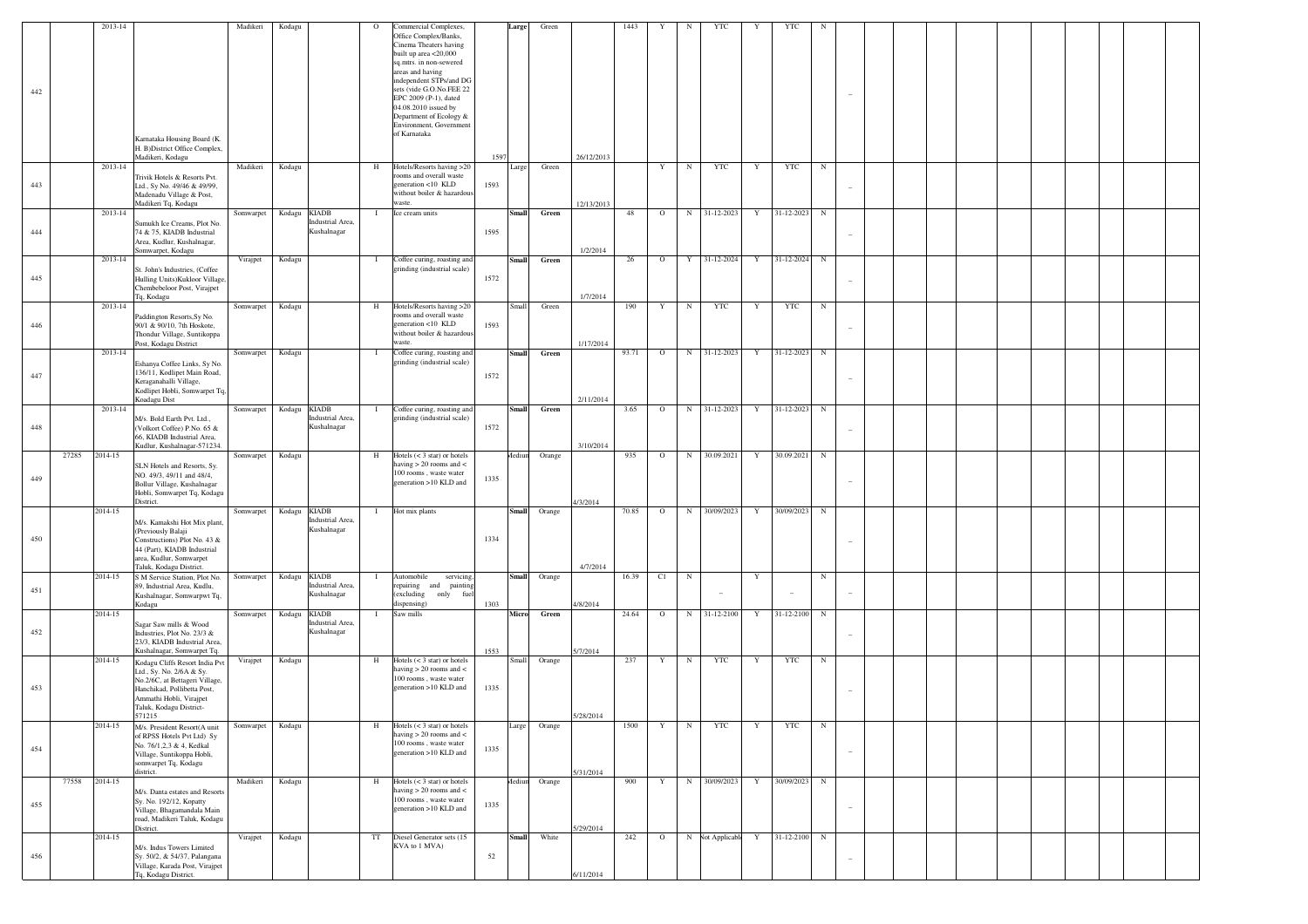|     |       | 2013-14 |                                                                | Madikeri  | Kodagu                          | $\circ$ | Commercial Complexes,                                                | Large  | Green         |            | 1443  | Y       | N           | YTC                      | Y           | YTC          | N          |                          |  |  |  |
|-----|-------|---------|----------------------------------------------------------------|-----------|---------------------------------|---------|----------------------------------------------------------------------|--------|---------------|------------|-------|---------|-------------|--------------------------|-------------|--------------|------------|--------------------------|--|--|--|
|     |       |         |                                                                |           |                                 |         | Office Complex/Banks,<br>Cinema Theaters having                      |        |               |            |       |         |             |                          |             |              |            |                          |  |  |  |
|     |       |         |                                                                |           |                                 |         | built up area <20,000                                                |        |               |            |       |         |             |                          |             |              |            |                          |  |  |  |
|     |       |         |                                                                |           |                                 |         | sq.mtrs. in non-sewered                                              |        |               |            |       |         |             |                          |             |              |            |                          |  |  |  |
|     |       |         |                                                                |           |                                 |         | areas and having<br>independent STPs/and DG                          |        |               |            |       |         |             |                          |             |              |            |                          |  |  |  |
| 442 |       |         |                                                                |           |                                 |         | sets (vide G.O.No.FEE 22                                             |        |               |            |       |         |             |                          |             |              |            |                          |  |  |  |
|     |       |         |                                                                |           |                                 |         | EPC 2009 (P-1), dated                                                |        |               |            |       |         |             |                          |             |              |            |                          |  |  |  |
|     |       |         |                                                                |           |                                 |         | 04.08.2010 issued by<br>Department of Ecology &                      |        |               |            |       |         |             |                          |             |              |            |                          |  |  |  |
|     |       |         |                                                                |           |                                 |         | Environment, Government                                              |        |               |            |       |         |             |                          |             |              |            |                          |  |  |  |
|     |       |         | Karnataka Housing Board (K.                                    |           |                                 |         | of Karnataka                                                         |        |               |            |       |         |             |                          |             |              |            |                          |  |  |  |
|     |       |         | H. B)District Office Complex,                                  |           |                                 |         |                                                                      |        |               |            |       |         |             |                          |             |              |            |                          |  |  |  |
|     |       | 2013-14 | Madikeri, Kodagu                                               |           |                                 |         |                                                                      | 1597   |               | 26/12/2013 |       |         |             |                          |             |              |            |                          |  |  |  |
|     |       |         | Trivik Hotels & Resorts Pvt.                                   | Madikeri  | Kodagu                          | H       | Hotels/Resorts having >20<br>rooms and overall waste                 | Large  | Green         |            |       | Y       | N           | YTC                      | Y           | YTC          | N          |                          |  |  |  |
| 443 |       |         | Ltd., Sy No. 49/46 & 49/99,                                    |           |                                 |         | generation <10 KLD                                                   | 1593   |               |            |       |         |             |                          |             |              |            |                          |  |  |  |
|     |       |         | Madenadu Village & Post,<br>Madikeri Tq, Kodagu                |           |                                 |         | without boiler & hazardous<br>waste.                                 |        |               |            |       |         |             |                          |             |              |            |                          |  |  |  |
|     |       | 2013-14 |                                                                | Somwarpet | <b>KIADB</b><br>Kodagu          |         | Ice cream units                                                      | Small  | Green         | 12/13/2013 | 48    | $\circ$ | $\mathbf N$ | 31-12-2023               | Y           | 31-12-2023 N |            |                          |  |  |  |
|     |       |         | Sumukh Ice Creams, Plot No.                                    |           | Industrial Area,                |         |                                                                      |        |               |            |       |         |             |                          |             |              |            |                          |  |  |  |
| 444 |       |         | 74 & 75, KIADB Industrial                                      |           | Kushalnagar                     |         |                                                                      | 1595   |               |            |       |         |             |                          |             |              |            |                          |  |  |  |
|     |       |         | Area, Kudlur, Kushalnagar,<br>Somwarpet, Kodagu                |           |                                 |         |                                                                      |        |               | 1/2/2014   |       |         |             |                          |             |              |            |                          |  |  |  |
|     |       | 2013-14 |                                                                | Virajpet  | Kodagu                          | -1      | Coffee curing, roasting and                                          | Small  | Green         |            | 26    | $\circ$ |             | Y 31-12-2024             | Y           | 31-12-2024 N |            |                          |  |  |  |
|     |       |         | St. John's Industries, (Coffee                                 |           |                                 |         | grinding (industrial scale)                                          |        |               |            |       |         |             |                          |             |              |            |                          |  |  |  |
| 445 |       |         | Hulling Units) Kukloor Village,<br>Chembebeloor Post, Virajpet |           |                                 |         |                                                                      | 1572   |               |            |       |         |             |                          |             |              |            |                          |  |  |  |
|     |       |         | Tq, Kodagu                                                     |           |                                 |         |                                                                      |        |               | 1/7/2014   |       |         |             |                          |             |              |            |                          |  |  |  |
|     |       | 2013-14 |                                                                | Somwarpet | Kodagu                          | H       | Hotels/Resorts having >20                                            | Small  | Green         |            | 190   | Y       | N           | YTC                      | Y           | YTC          | N          |                          |  |  |  |
| 446 |       |         | Paddington Resorts, Sy No.<br>90/1 & 90/10, 7th Hoskote,       |           |                                 |         | rooms and overall waste<br>generation <10 KLD                        | 1593   |               |            |       |         |             |                          |             |              |            |                          |  |  |  |
|     |       |         | Thondur Village, Suntikoppa                                    |           |                                 |         | without boiler & hazardous                                           |        |               |            |       |         |             |                          |             |              |            |                          |  |  |  |
|     |       |         | Post, Kodagu District                                          |           |                                 |         | waste.                                                               |        |               | 1/17/2014  |       |         |             |                          |             |              |            |                          |  |  |  |
|     |       | 2013-14 | Eshanya Coffee Links, Sy No.                                   | Somwarpet | Kodagu                          | -1      | Coffee curing, roasting and<br>grinding (industrial scale)           | Small  | Green         |            | 93.71 | $\circ$ |             | N 31-12-2023             | Y           | 31-12-2023 N |            |                          |  |  |  |
| 447 |       |         | 136/11, Kodlipet Main Road,                                    |           |                                 |         |                                                                      | 1572   |               |            |       |         |             |                          |             |              |            |                          |  |  |  |
|     |       |         | Keraganahalli Village,                                         |           |                                 |         |                                                                      |        |               |            |       |         |             |                          |             |              |            |                          |  |  |  |
|     |       |         | Kodlipet Hobli, Somwarpet Tq,<br>Koadagu Dist                  |           |                                 |         |                                                                      |        |               | 2/11/2014  |       |         |             |                          |             |              |            |                          |  |  |  |
|     |       | 2013-14 |                                                                | Somwarpet | <b>KIADB</b><br>Kodagu          | -1      | Coffee curing, roasting and                                          | Small  | Green         |            | 3.65  | $\circ$ |             | N 31-12-2023             | Y           | 31-12-2023 N |            |                          |  |  |  |
| 448 |       |         | M/s. Bold Earth Pvt. Ltd.,                                     |           | Industrial Area,<br>Kushalnagar |         | grinding (industrial scale)                                          | 1572   |               |            |       |         |             |                          |             |              |            |                          |  |  |  |
|     |       |         | (Volkort Coffee) P.No. 65 &<br>66, KIADB Industrial Area,      |           |                                 |         |                                                                      |        |               |            |       |         |             |                          |             |              |            |                          |  |  |  |
|     |       |         | Kudlur, Kushalnagar-571234.                                    |           |                                 |         |                                                                      |        |               | 3/10/2014  |       |         |             |                          |             |              |            |                          |  |  |  |
|     | 27285 | 2014-15 |                                                                | Somwarpet | Kodagu                          | H       | Hotels $(< 3 \text{ star})$ or hotels<br>having $> 20$ rooms and $<$ | Aediun | Orange        |            | 935   | $\circ$ | $\mathbf N$ | 30.09.2021               | Y           | 30.09.2021 N |            |                          |  |  |  |
|     |       |         | SLN Hotels and Resorts, Sy.<br>NO. 49/3, 49/11 and 48/4,       |           |                                 |         | 100 rooms, waste water                                               |        |               |            |       |         |             |                          |             |              |            |                          |  |  |  |
| 449 |       |         | Bollur Village, Kushalnagar                                    |           |                                 |         | generation >10 KLD and                                               | 1335   |               |            |       |         |             |                          |             |              |            | $\overline{\phantom{0}}$ |  |  |  |
|     |       |         | Hobli, Somwarpet Tq, Kodagu<br>District.                       |           |                                 |         |                                                                      |        |               | 4/3/2014   |       |         |             |                          |             |              |            |                          |  |  |  |
|     |       | 2014-15 |                                                                | Somwarpet | <b>KIADB</b><br>Kodagu          | -1      | Hot mix plants                                                       | Small  | Orange        |            | 70.85 | $\circ$ | N           | 30/09/2023               | Y           | 30/09/2023 N |            |                          |  |  |  |
|     |       |         | M/s. Kamakshi Hot Mix plant,                                   |           | Industrial Area,                |         |                                                                      |        |               |            |       |         |             |                          |             |              |            |                          |  |  |  |
| 450 |       |         | (Previously Balaji                                             |           | Kushalnagar                     |         |                                                                      | 1334   |               |            |       |         |             |                          |             |              |            |                          |  |  |  |
|     |       |         | Constructions) Plot No. 43 &<br>44 (Part), KIADB Industrial    |           |                                 |         |                                                                      |        |               |            |       |         |             |                          |             |              |            |                          |  |  |  |
|     |       |         | area, Kudlur, Somwarpet                                        |           |                                 |         |                                                                      |        |               |            |       |         |             |                          |             |              |            |                          |  |  |  |
|     |       | 2014-15 | Taluk, Kodagu District.<br>S M Service Station, Plot No.       | Somwarpet | <b>KIADB</b><br>Kodagu          | -1      | Automobile<br>servicing,                                             |        | Small Orange  | 4/7/2014   | 16.39 | C1      | N           |                          | $\mathbf Y$ |              | $_{\rm N}$ |                          |  |  |  |
|     |       |         | 89, Industrial Area, Kudlu,                                    |           | Industrial Area,                |         | repairing and painting                                               |        |               |            |       |         |             |                          |             |              |            |                          |  |  |  |
| 451 |       |         | Kushalnagar, Somwarpwt Tq,                                     |           | Kushalnagar                     |         | (excluding only fuel                                                 |        |               |            |       |         |             | $\overline{\phantom{a}}$ |             |              |            | $\overline{a}$           |  |  |  |
|     |       | 2014-15 | Kodagu                                                         | Somwarpet | Kodagu<br><b>KIADB</b>          |         | dispensing)<br>Saw mills                                             | 1303   | Micro Green   | 4/8/2014   | 24.64 | $\circ$ | N           | 31-12-2100               | Y           | 31-12-2100 N |            |                          |  |  |  |
|     |       |         | Sagar Saw mills & Wood                                         |           | Industrial Area,                |         |                                                                      |        |               |            |       |         |             |                          |             |              |            |                          |  |  |  |
| 452 |       |         | Industries, Plot No. 23/3 &                                    |           | Kushalnagar                     |         |                                                                      |        |               |            |       |         |             |                          |             |              |            | -                        |  |  |  |
|     |       |         | 23/3, KIADB Industrial Area,<br>Kushalnagar, Somwarpet Tq.     |           |                                 |         |                                                                      | 1553   |               | 5/7/2014   |       |         |             |                          |             |              |            |                          |  |  |  |
|     |       | 2014-15 | Kodagu Cliffs Resort India Pvt                                 | Virajpet  | Kodagu                          | Н       | Hotels $(< 3 \text{ star})$ or hotels                                | Small  | Orange        |            | 237   | Y       | N           | YTC                      | Y           | YTC          | N          |                          |  |  |  |
|     |       |         | Ltd., Sy. No. 2/6A & Sy.                                       |           |                                 |         | having $> 20$ rooms and $<$                                          |        |               |            |       |         |             |                          |             |              |            |                          |  |  |  |
| 453 |       |         | No.2/6C, at Bettageri Village,<br>Hanchikad, Pollibetta Post,  |           |                                 |         | 100 rooms, waste water<br>generation >10 KLD and                     | 1335   |               |            |       |         |             |                          |             |              |            |                          |  |  |  |
|     |       |         | Ammathi Hobli, Virajpet                                        |           |                                 |         |                                                                      |        |               |            |       |         |             |                          |             |              |            |                          |  |  |  |
|     |       |         | Taluk, Kodagu District-                                        |           |                                 |         |                                                                      |        |               |            |       |         |             |                          |             |              |            |                          |  |  |  |
|     |       | 2014-15 | 571215<br>M/s. President Resort(A unit                         | Somwarpet | Kodagu                          | H       | Hotels $(< 3 \text{ star})$ or hotels                                | Large  | Orange        | 5/28/2014  | 1500  | Y       | $\mathbf N$ | YTC                      | Y           | YTC          | N          |                          |  |  |  |
|     |       |         | of RPSS Hotels Pvt Ltd) Sy                                     |           |                                 |         | having $>20$ rooms and $<\,$                                         |        |               |            |       |         |             |                          |             |              |            |                          |  |  |  |
| 454 |       |         | No. 76/1,2,3 & 4, Kedkal                                       |           |                                 |         | $100$ rooms , waste water<br>generation >10 KLD and                  | 1335   |               |            |       |         |             |                          |             |              |            | $\overline{\phantom{a}}$ |  |  |  |
|     |       |         | Village, Suntikoppa Hobli,<br>somwarpet Tq, Kodagu             |           |                                 |         |                                                                      |        |               |            |       |         |             |                          |             |              |            |                          |  |  |  |
|     |       |         | district.                                                      |           |                                 |         |                                                                      |        |               | 5/31/2014  |       |         |             |                          |             |              |            |                          |  |  |  |
|     | 77558 | 2014-15 |                                                                | Madikeri  | Kodagu                          | H       | Hotels $(< 3 \text{ star})$ or hotels<br>having $> 20$ rooms and $<$ |        | Mediun Orange |            | 900   | Y       | N           | 30/09/2023               | Y           | 30/09/2023 N |            |                          |  |  |  |
|     |       |         | M/s. Danta estates and Resorts<br>Sy. No. 192/12, Kopatty      |           |                                 |         | 100 rooms, waste water                                               |        |               |            |       |         |             |                          |             |              |            |                          |  |  |  |
| 455 |       |         | Village, Bhagamandala Main                                     |           |                                 |         | generation >10 KLD and                                               | 1335   |               |            |       |         |             |                          |             |              |            | $\overline{\phantom{a}}$ |  |  |  |
|     |       |         | road, Madikeri Taluk, Kodagu<br>District.                      |           |                                 |         |                                                                      |        |               | 5/29/2014  |       |         |             |                          |             |              |            |                          |  |  |  |
|     |       | 2014-15 |                                                                | Virajpet  | Kodagu                          | TT      | Diesel Generator sets (15                                            | Small  | White         |            | 242   | $\circ$ |             | N Not Applicable Y       |             | 31-12-2100 N |            |                          |  |  |  |
|     |       |         | M/s. Indus Towers Limited                                      |           |                                 |         | KVA to 1 MVA)                                                        |        |               |            |       |         |             |                          |             |              |            |                          |  |  |  |
| 456 |       |         | Sy. 50/2, & 54/37, Palangana<br>Village, Karada Post, Virajpet |           |                                 |         |                                                                      | 52     |               |            |       |         |             |                          |             |              |            |                          |  |  |  |
|     |       |         | Tq, Kodagu District.                                           |           |                                 |         |                                                                      |        |               | 6/11/2014  |       |         |             |                          |             |              |            |                          |  |  |  |
|     |       |         |                                                                |           |                                 |         |                                                                      |        |               |            |       |         |             |                          |             |              |            |                          |  |  |  |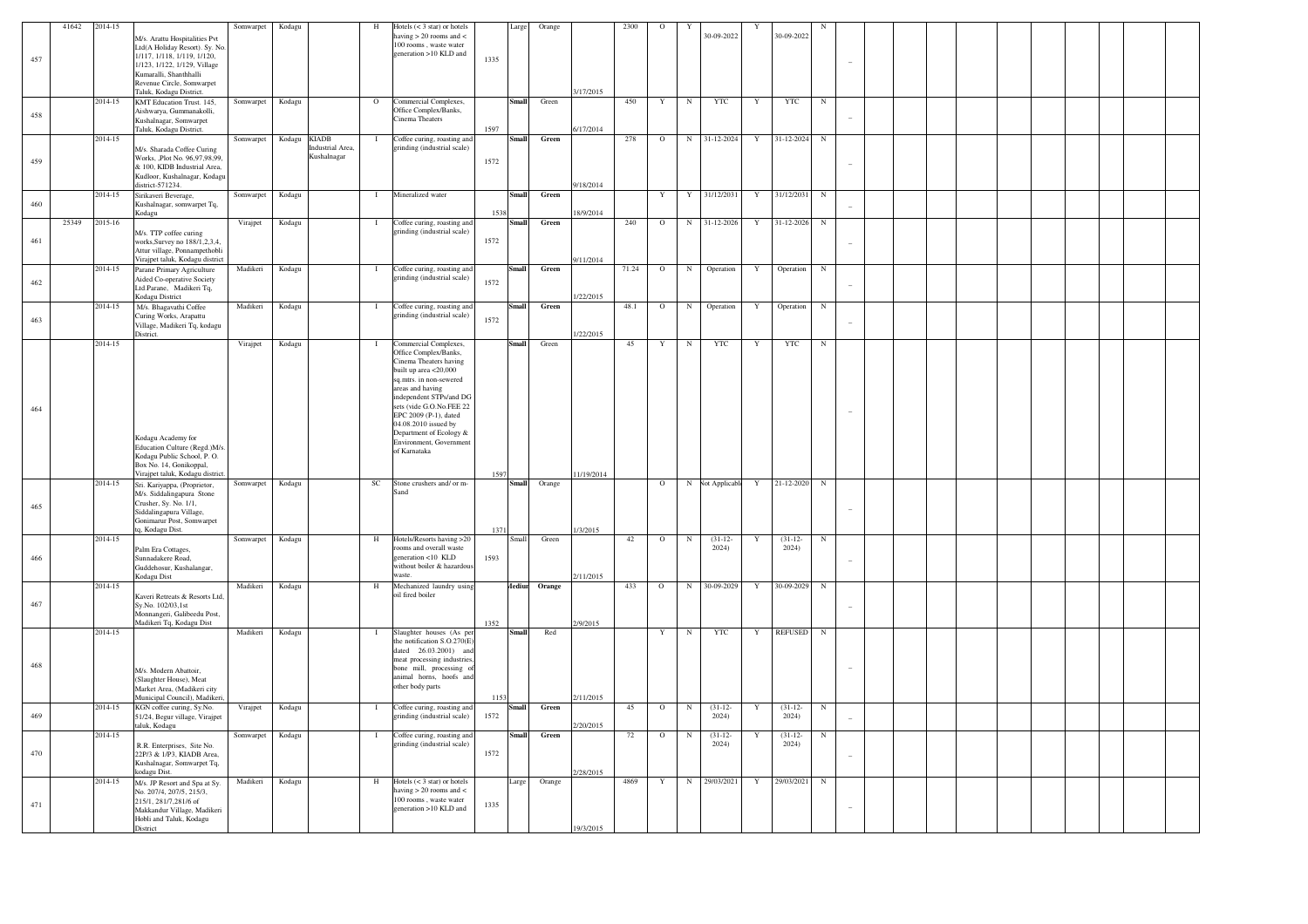| 457 | 41642 | 2014-15 | M/s. Arattu Hospitalities Pvt<br>Ltd(A Holiday Resort). Sy. No.<br>1/117, 1/118, 1/119, 1/120,<br>1/123, 1/122, 1/129, Village<br>Kumaralli, Shanthhalli<br>Revenue Circle, Somwarpet<br>Taluk, Kodagu District. | Somwarpet | Kodagu |                                                       | H              | Hotels $(< 3 \text{ star})$ or hotels<br>having $> 20$ rooms and $<$<br>100 rooms waste water<br>generation >10 KLD and                                                                                                                                                                                                        | 1335         | Large         | Orange | 3/17/2015             | 2300   | $\circ$        |                | 30-09-2022         |              | 30-09-2022         |            |  |  |  |  |  |
|-----|-------|---------|------------------------------------------------------------------------------------------------------------------------------------------------------------------------------------------------------------------|-----------|--------|-------------------------------------------------------|----------------|--------------------------------------------------------------------------------------------------------------------------------------------------------------------------------------------------------------------------------------------------------------------------------------------------------------------------------|--------------|---------------|--------|-----------------------|--------|----------------|----------------|--------------------|--------------|--------------------|------------|--|--|--|--|--|
| 458 |       | 2014-15 | KMT Education Trust. 145,<br>Aishwarya, Gummanakolli,<br>Kushalnagar, Somwarpet<br>Taluk, Kodagu District.                                                                                                       | Somwarpet | Kodagu |                                                       | $\circ$        | Commercial Complexes,<br>Office Complex/Banks,<br>Cinema Theaters                                                                                                                                                                                                                                                              | 1597         | Small         | Green  | 6/17/2014             | 450    | Y              | N              | <b>YTC</b>         | $\mathbf{Y}$ | <b>YTC</b>         | $_{\rm N}$ |  |  |  |  |  |
| 459 |       | 2014-15 | M/s. Sharada Coffee Curing<br>Works, Plot No. 96,97,98,99,<br>& 100, KIDB Industrial Area,<br>Kudloor, Kushalnagar, Kodagu                                                                                       | Somwarpet | Kodagu | <b>KIADB</b><br><b>Industrial Area</b><br>Kushalnagar | -1             | Coffee curing, roasting and<br>grinding (industrial scale)                                                                                                                                                                                                                                                                     | 1572         | Small         | Green  |                       | 278    | $\circ$        | N              | 31-12-2024         | Y            | 31-12-2024         | N          |  |  |  |  |  |
| 460 |       | 2014-15 | district-571234.<br>Sirikaveri Beverage,<br>Kushalnagar, somwarpet Tq,<br>Kodagu                                                                                                                                 | Somwarpet | Kodagu |                                                       |                | Mineralized water                                                                                                                                                                                                                                                                                                              | 1538         | Small         | Green  | 9/18/2014<br>8/9/2014 |        | Y              | Y              | 31/12/2031         | Y            | 31/12/2031         | N          |  |  |  |  |  |
| 461 | 25349 | 2015-16 | M/s. TTP coffee curing<br>works, Survey no 188/1, 2, 3, 4,<br>Attur village, Ponnampethobli<br>Virajpet taluk, Kodagu district                                                                                   | Virajpet  | Kodagu |                                                       | $\blacksquare$ | Coffee curing, roasting and<br>grinding (industrial scale)                                                                                                                                                                                                                                                                     | 1572         | Small         | Green  | 9/11/2014             | 240    | $\circ$        |                | N 31-12-2026       | Y            | 31-12-2026         | $_{\rm N}$ |  |  |  |  |  |
| 462 |       | 2014-15 | Parane Primary Agriculture<br><b>Aided Co-operative Society</b><br>Ltd.Parane, Madikeri Tq,<br>Kodagu District                                                                                                   | Madikeri  | Kodagu |                                                       | -1             | Coffee curing, roasting and<br>grinding (industrial scale)                                                                                                                                                                                                                                                                     | 1572         |               | Green  | /22/2015              | 71.24  | $\circ$        | $_{\rm N}$     | Operation          |              | Operation          | $_{\rm N}$ |  |  |  |  |  |
| 463 |       | 2014-15 | M/s. Bhagavathi Coffee<br>Curing Works, Arapattu<br>Village, Madikeri Tq, kodagu                                                                                                                                 | Madikeri  | Kodagu |                                                       | $\mathbf{I}$   | Coffee curing, roasting and<br>trinding (industrial scale)                                                                                                                                                                                                                                                                     | 1572         | Smal          | Green  | /22/2015              | 48.1   | $\mathbf O$    | $_{\rm N}$     | Operation          | Y            | Operation          | $_{\rm N}$ |  |  |  |  |  |
| 464 |       | 2014-15 | District.<br>Kodagu Academy for<br>Education Culture (Regd.)M/s<br>Kodagu Public School, P.O.<br>Box No. 14, Gonikoppal,                                                                                         | Virajpet  | Kodagu |                                                       | $\mathbf{I}$   | Commercial Complexes,<br>Office Complex/Banks,<br>Cinema Theaters having<br>built up area <20,000<br>sq.mtrs. in non-sewered<br>areas and having<br>independent STPs/and DG<br>sets (vide G.O.No.FEE 22<br>EPC 2009 (P-1), dated<br>04.08.2010 issued by<br>Department of Ecology &<br>Environment, Government<br>of Karnataka |              | Small         | Green  |                       | 45     | Y              | N              | <b>YTC</b>         | Y            | <b>YTC</b>         | N          |  |  |  |  |  |
| 465 |       | 2014-15 | Virajpet taluk, Kodagu district<br>Sri. Kariyappa, (Proprietor,<br>M/s. Siddalingapura Stone<br>Crusher, Sy. No. 1/1,<br>Siddalingapura Village,<br>Gonimarur Post, Somwarpet<br>q, Kodagu Dist.                 | Somwarpet | Kodagu |                                                       | $_{\rm SC}$    | Stone crushers and/ or m-<br>Sand                                                                                                                                                                                                                                                                                              | 1597<br>1371 | Small         | Orange | 11/19/2014<br>/3/2015 |        | $\circ$        |                | N Not Applicable   | Y            | 21-12-2020         | $_{\rm N}$ |  |  |  |  |  |
| 466 |       | 2014-15 | Palm Era Cottages,<br>Sunnadakere Road.<br>Guddehosur, Kushalangar,<br>Kodagu Dist                                                                                                                               | Somwarpet | Kodagu |                                                       | $\,$ H         | Hotels/Resorts having >20<br>rooms and overall waste<br>eneration <10 KLD<br>without boiler & hazardous<br>waste.                                                                                                                                                                                                              | 1593         | Small         | Green  | 2/11/2015             | 42     | $\circ$        | N              | $(31-12-$<br>2024) |              | $(31-12-$<br>2024) | N          |  |  |  |  |  |
| 467 |       | 2014-15 | Kaveri Retreats & Resorts Ltd,<br>Sy.No. 102/03,1st<br>Monnangeri, Galibeedu Post,<br>Madikeri Tq, Kodagu Dist                                                                                                   | Madikeri  | Kodagu |                                                       | H              | Mechanized laundry using<br>oil fired boiler                                                                                                                                                                                                                                                                                   | 1352         | <b>Aediur</b> | Orange | 2/9/2015              | 433    | $\Omega$       | $_{\rm N}$     | 30-09-2029         | Y            | 30-09-2029         | N          |  |  |  |  |  |
| 468 |       | 2014-15 | M/s. Modern Abattoir,<br>(Slaughter House), Meat<br>Market Area, (Madikeri city<br>Municipal Council), Madiker                                                                                                   | Madikeri  | Kodagu |                                                       | $\mathbf{I}$   | Slaughter houses (As per<br>the notification S.O.270(E)<br>dated 26.03.2001) and<br>meat processing industries,<br>bone mill, processing of<br>animal horns, hoofs and<br>other body parts                                                                                                                                     | 1153         | Small         | Red    | 2/11/2015             |        | Y              | $_{\rm N}$     | <b>YTC</b>         | Y            | <b>REFUSED</b>     | ${\bf N}$  |  |  |  |  |  |
| 469 |       | 2014-15 | KGN coffee curing, Sy.No.<br>51/24, Begur village, Virajpet<br>taluk, Kodagu                                                                                                                                     | Virajpet  | Kodagu |                                                       | $\mathbf{I}$   | Coffee curing, roasting and<br>grinding (industrial scale)                                                                                                                                                                                                                                                                     | 1572         | mal           | Green  | /20/2015              | 45     | $\overline{0}$ | $\overline{N}$ | $(31-12-$<br>2024  | Y            | $(31-12-$<br>2024  | $_{\rm N}$ |  |  |  |  |  |
| 470 |       | 2014-15 | R.R. Enterprises, Site No.<br>22P/3 & 1/P3, KIADB Area,<br>Kushalnagar, Somwarpet Tq,<br>kodagu Dist.                                                                                                            | Somwarpet | Kodagu |                                                       | -1             | Coffee curing, roasting and<br>grinding (industrial scale)                                                                                                                                                                                                                                                                     | 1572         | Smal          | Green  | 2/28/2015             | $72\,$ | $\circ$        | N              | $(31-12-$<br>2024) |              | $(31-12-$<br>2024) | N          |  |  |  |  |  |
| 471 |       | 2014-15 | M/s. JP Resort and Spa at Sy.<br>No. 207/4, 207/5, 215/3,<br>215/1, 281/7, 281/6 of<br>Makkandur Village, Madikeri<br>Hobli and Taluk, Kodagu<br>District                                                        | Madikeri  | Kodagu |                                                       | H              | Hotels $(< 3 \text{ star})$ or hotels<br>aving $> 20$ rooms and $<$<br>100 rooms, waste water<br>generation >10 KLD and                                                                                                                                                                                                        | 1335         | Large         | Orange | 19/3/2015             | 4869   | Y              | $_{\rm N}$     | 29/03/2021         | Y            | 29/03/2021         | N          |  |  |  |  |  |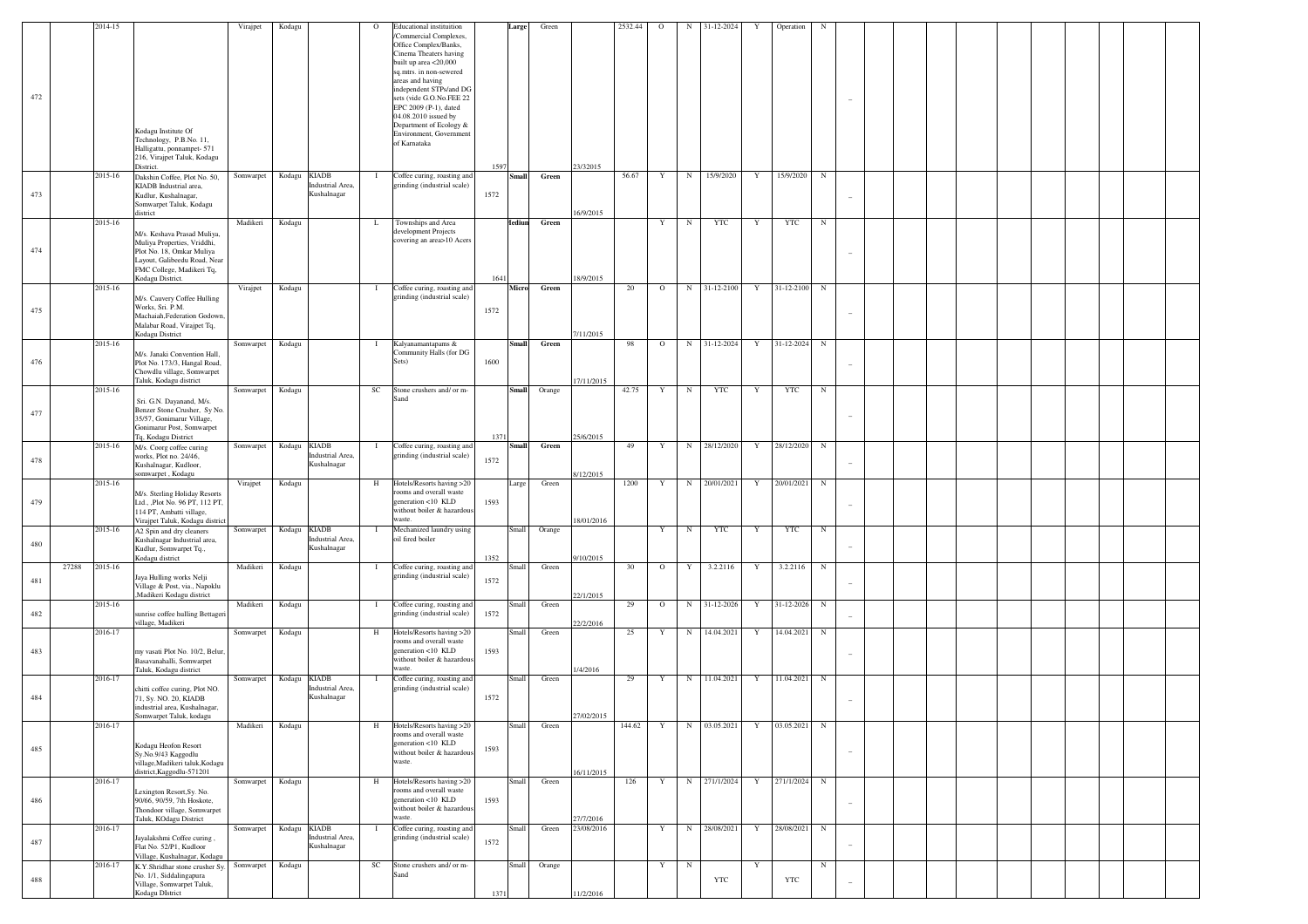|       | 2014-15 |                                                                                                                                                                          | Virajpet  | Kodagu       |                                                 | $\circ$      | <b>Educational</b> instituition                                                                                                                                              |      | Large         | Green  |            | 2532.44 | $\circ$     | $_{\rm N}$  | 31-12-2024 | Y           | Operation  | N                       |                          |  |  |  |  |
|-------|---------|--------------------------------------------------------------------------------------------------------------------------------------------------------------------------|-----------|--------------|-------------------------------------------------|--------------|------------------------------------------------------------------------------------------------------------------------------------------------------------------------------|------|---------------|--------|------------|---------|-------------|-------------|------------|-------------|------------|-------------------------|--------------------------|--|--|--|--|
| 472   |         |                                                                                                                                                                          |           |              |                                                 |              | /Commercial Complexes,<br>Office Complex/Banks,<br>Cinema Theaters having<br>built up area <20,000<br>sq.mtrs. in non-sewered<br>areas and having<br>independent STPs/and DG |      |               |        |            |         |             |             |            |             |            |                         |                          |  |  |  |  |
|       |         | Kodagu Institute Of<br>Technology, P.B.No. 11,<br>Halligattu, ponnampet- 571<br>216, Virajpet Taluk, Kodagu                                                              |           |              |                                                 |              | sets (vide G.O.No.FEE 22<br>EPC 2009 (P-1), dated<br>04.08.2010 issued by<br>Department of Ecology &<br>Environment, Government<br>of Karnataka                              |      |               |        |            |         |             |             |            |             |            |                         |                          |  |  |  |  |
|       |         | District.                                                                                                                                                                |           |              |                                                 |              |                                                                                                                                                                              | 1597 |               |        | 23/32015   |         |             |             |            |             |            |                         |                          |  |  |  |  |
| 473   | 2015-16 | Dakshin Coffee, Plot No. 50,<br>KIADB Industrial area,<br>Kudlur, Kushalnagar,<br>Somwarpet Taluk, Kodagu<br>district                                                    | Somwarpet | Kodagu       | <b>KIADB</b><br>Industrial Area,<br>Kushalnagar |              | Coffee curing, roasting and<br>grinding (industrial scale)                                                                                                                   | 1572 | <b>Small</b>  | Green  | 16/9/2015  | 56.67   | Y           | ${\bf N}$   | 15/9/2020  | Y           | 15/9/2020  | $_{\rm N}$              |                          |  |  |  |  |
| 474   | 2015-16 | M/s. Keshava Prasad Muliya,<br>Muliya Properties, Vriddhi,<br>Plot No. 18, Omkar Muliya<br>Layout, Galibeedu Road, Near<br>FMC College, Madikeri Tq,<br>Kodagu District. | Madikeri  | Kodagu       |                                                 | L            | Townships and Area<br>development Projects<br>covering an area>10 Acers                                                                                                      | 1641 | <b>fediun</b> | Green  | 18/9/2015  |         | Y           | N           | YTC        | Y           | YTC        | $_{\rm N}$              |                          |  |  |  |  |
| 475   | 2015-16 | M/s. Cauvery Coffee Hulling<br>Works, Sri. P.M.<br>Machaiah, Federation Godown,<br>Malabar Road, Virajpet Tq,<br>Kodagu District                                         | Virajpet  | Kodagu       |                                                 | $\mathbf{I}$ | Coffee curing, roasting and<br>grinding (industrial scale)                                                                                                                   | 1572 | Micro         | Green  | 7/11/2015  | 20      | $\circ$     | N           | 31-12-2100 | Y           | 31-12-2100 | N                       |                          |  |  |  |  |
|       | 2015-16 |                                                                                                                                                                          | Somwarpet | Kodagu       |                                                 | $\bf{I}$     | Kalyanamantapams &                                                                                                                                                           |      | <b>Small</b>  | Green  |            | 98      | $\circ$     | N           | 31-12-2024 | Y           | 31-12-2024 | N                       |                          |  |  |  |  |
| 476   |         | M/s. Janaki Convention Hall,<br>Plot No. 173/3, Hangal Road,<br>Chowdlu village, Somwarpet<br>Taluk, Kodagu district                                                     |           |              |                                                 |              | Community Halls (for DG<br>Sets)                                                                                                                                             | 1600 |               |        | 17/11/2015 |         |             |             |            |             |            |                         |                          |  |  |  |  |
|       | 2015-16 | Sri. G.N. Dayanand, M/s.                                                                                                                                                 | Somwarpet | Kodagu       |                                                 | SC           | Stone crushers and/ or m-<br>Sand                                                                                                                                            |      | Small Orange  |        |            | 42.75   | Y           | N           | YTC        | Y           | YTC        | $_{\rm N}$              |                          |  |  |  |  |
| 477   |         | Benzer Stone Crusher, Sy No.<br>35/57, Gonimarur Village,<br>Gonimarur Post, Somwarpet<br>Tq, Kodagu District                                                            |           |              |                                                 |              |                                                                                                                                                                              | 1371 |               |        | 25/6/2015  |         |             |             |            |             |            |                         |                          |  |  |  |  |
| 478   | 2015-16 | M/s. Coorg coffee curing<br>works, Plot no. 24/46,<br>Kushalnagar, Kudloor,<br>somwarpet, Kodagu                                                                         | Somwarpet | Kodagu KIADB | Industrial Area,<br>Kushalnagar                 |              | Coffee curing, roasting and<br>grinding (industrial scale)                                                                                                                   | 1572 | Small         | Green  | 8/12/2015  | 49      | Y           | N           | 28/12/2020 | $\mathbf Y$ | 28/12/2020 | ${\bf N}$               |                          |  |  |  |  |
| 479   | 2015-16 | M/s. Sterling Holiday Resorts<br>Ltd., ,Plot No. 96 PT, 112 PT,<br>114 PT, Ambatti village,<br>Virajpet Taluk, Kodagu distric                                            | Virajpet  | Kodagu       |                                                 | H            | Hotels/Resorts having >20<br>rooms and overall waste<br>generation <10 KLD<br>without boiler & hazardous<br>waste.                                                           | 1593 | Large         | Green  | 18/01/2016 | 1200    | Y           | $\mathbf N$ | 20/01/2021 | Y           | 20/01/2021 | N                       |                          |  |  |  |  |
| 480   | 2015-16 | A2 Spin and dry cleaners<br>Kushalnagar Industrial area,<br>Kudlur, Somwarpet Tq.,<br>Kodagu district                                                                    | Somwarpet | Kodagu KIADB | Industrial Area,<br>Kushalnagar                 | л.           | Mechanized laundry using<br>oil fired boiler                                                                                                                                 | 1352 | Small         | Orange | 9/10/2015  |         | Y           | N           | YTC        | Y           | <b>YTC</b> | $_{\rm N}$              |                          |  |  |  |  |
| 27288 | 2015-16 |                                                                                                                                                                          | Madikeri  | Kodagu       |                                                 | $\mathbf{I}$ | Coffee curing, roasting and                                                                                                                                                  |      | Small         | Green  |            | 30      | $\circ$     | Y           | 3.2.2116   | Y           | 3.2.2116   | $_{\rm N}$              |                          |  |  |  |  |
| 481   |         | Jaya Hulling works Nelji<br>Village & Post, via., Napoklu                                                                                                                |           |              |                                                 |              | grinding (industrial scale)                                                                                                                                                  | 1572 |               |        |            |         |             |             |            |             |            |                         |                          |  |  |  |  |
|       | 2015-16 | ,Madikeri Kodagu district                                                                                                                                                |           |              |                                                 |              |                                                                                                                                                                              |      |               |        | 22/1/2015  |         |             |             |            |             | 31-12-2026 |                         |                          |  |  |  |  |
| 482   |         | sunrise coffee hulling Bettager                                                                                                                                          | Madikeri  | Kodagu       |                                                 | $\bf{I}$     | Coffee curing, roasting and<br>grinding (industrial scale)                                                                                                                   | 1572 | Small         | Green  |            | 29      | $\circ$     | N           | 31-12-2026 | Y           |            | $_{\rm N}$              |                          |  |  |  |  |
|       | 2016-17 | village, Madikeri                                                                                                                                                        | Somwarpet | Kodagu       |                                                 | H            | Hotels/Resorts having >20                                                                                                                                                    |      | Small         | Green  | 22/2/2016  | 25      | Y           | $_{\rm N}$  | 14.04.2021 | Y           | 14.04.2021 | $_{\rm N}$              |                          |  |  |  |  |
| 483   |         | my vasati Plot No. 10/2, Belur,<br>Basavanahalli, Somwarpet<br>Taluk, Kodagu district                                                                                    |           |              |                                                 |              | rooms and overall waste<br>generation <10 KLD<br>without boiler & hazardous<br>waste.                                                                                        | 1593 |               |        | 1/4/2016   |         |             |             |            |             |            |                         |                          |  |  |  |  |
|       | 2016-17 |                                                                                                                                                                          | Somwarpet | Kodagu KIADB |                                                 | -1           | Coffee curing, roasting and                                                                                                                                                  |      | Small         | Green  |            | 29      | Y           | N           | 11.04.2021 | Y           | 11.04.2021 | N                       |                          |  |  |  |  |
| 484   |         | chitti coffee curing, Plot NO.<br>71, Sy. NO. 20, KIADB<br>industrial area, Kushalnagar,<br>Somwarpet Taluk, kodagu                                                      |           |              | Industrial Area,<br>Kushalnagar                 |              | grinding (industrial scale)                                                                                                                                                  | 1572 |               |        | 27/02/2015 |         |             |             |            |             |            |                         |                          |  |  |  |  |
| 485   | 2016-17 | Kodagu Heofon Resort<br>Sy.No.9/43 Kaggodlu<br>village, Madikeri taluk, Kodagu<br>district, Kaggodlu-571201                                                              | Madikeri  | Kodagu       |                                                 | H            | Hotels/Resorts having >20<br>rooms and overall waste<br>generation <10 KLD<br>without boiler & hazardous<br>waste.                                                           | 1593 | Small         | Green  | 16/11/2015 | 144.62  | Y           | $_{\rm N}$  | 03.05.2021 | $\mathbf Y$ | 03.05.2021 | $_{\rm N}$              | $\overline{\phantom{a}}$ |  |  |  |  |
| 486   | 2016-17 | Lexington Resort, Sy. No.<br>90/66, 90/59, 7th Hoskote,<br>Thondoor village, Somwarpet<br>Taluk, KOdagu District                                                         | Somwarpet | Kodagu       |                                                 | H            | Hotels/Resorts having >20<br>rooms and overall waste<br>generation <10 KLD<br>without boiler & hazardous<br>waste.                                                           | 1593 | Small         | Green  | 27/7/2016  | 126     | $\mathbf Y$ | N           | 271/1/2024 | $\mathbf Y$ | 271/1/2024 | N                       | $\overline{\phantom{0}}$ |  |  |  |  |
| 487   | 2016-17 | Jayalakshmi Coffee curing,<br>Flat No. 52/P1, Kudloor<br>Village, Kushalnagar, Kodagu                                                                                    | Somwarpet | Kodagu KIADB | Industrial Area,<br>Kushalnagar                 | $\bf{I}$     | Coffee curing, roasting and<br>grinding (industrial scale)                                                                                                                   | 1572 | Small         | Green  | 23/08/2016 |         | $\mathbf Y$ | N           | 28/08/2021 | $\mathbf Y$ | 28/08/2021 | $\,$ N                  |                          |  |  |  |  |
| 488   | 2016-17 | K.Y.Shridhar stone crusher Sy.<br>No. 1/1, Siddalingapura<br>Village, Somwarpet Taluk,<br>Kodagu DIstrict                                                                | Somwarpet | Kodagu       |                                                 | SC           | Stone crushers and/ or m-<br>Sand                                                                                                                                            | 1371 | <b>Small</b>  | Orange | 11/2/2016  |         | $\mathbf Y$ | N           | YTC        | $\mathbf Y$ | <b>YTC</b> | $\overline{\mathbf{N}}$ |                          |  |  |  |  |
|       |         |                                                                                                                                                                          |           |              |                                                 |              |                                                                                                                                                                              |      |               |        |            |         |             |             |            |             |            |                         |                          |  |  |  |  |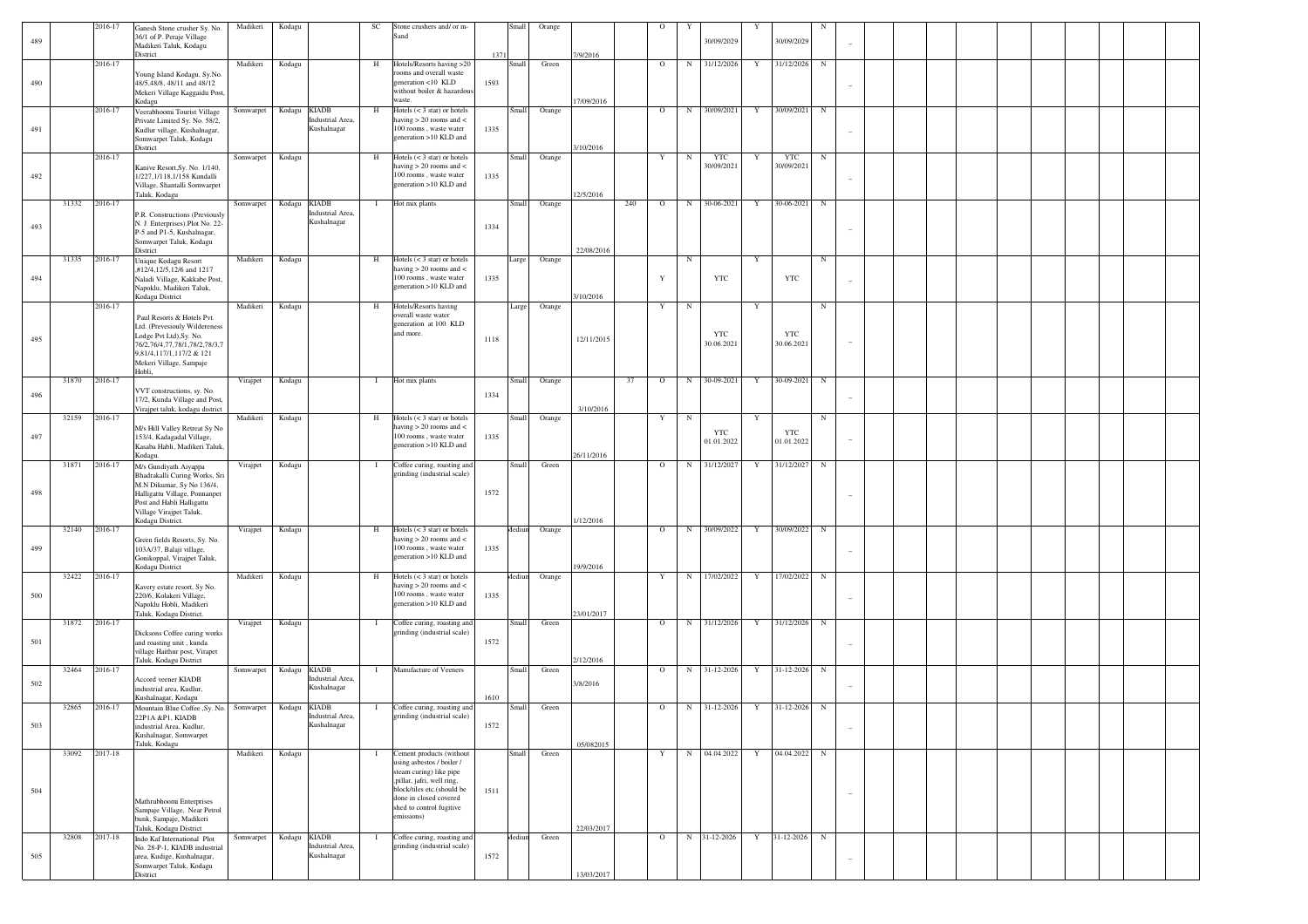| 489 |       | 2016-17 | Ganesh Stone crusher Sy. No.<br>36/1 of P. Peraje Village<br>Madikeri Taluk, Kodagu                                                                                                      | Madikeri        | Kodagu                                          | SC           | Stone crushers and/ or m-<br>Sand                                                                                                                                                    |              | Small  | Orange |            |     |             |            | 30/09/2029               |              | 30/09/2029               |            |  |  |  |  |  |
|-----|-------|---------|------------------------------------------------------------------------------------------------------------------------------------------------------------------------------------------|-----------------|-------------------------------------------------|--------------|--------------------------------------------------------------------------------------------------------------------------------------------------------------------------------------|--------------|--------|--------|------------|-----|-------------|------------|--------------------------|--------------|--------------------------|------------|--|--|--|--|--|
|     |       |         | District                                                                                                                                                                                 |                 |                                                 |              |                                                                                                                                                                                      | 1371         |        |        | 7/9/2016   |     |             |            |                          |              |                          |            |  |  |  |  |  |
| 490 |       | 2016-17 | Young Island Kodagu, Sy.No.<br>48/5,48/8, 48/11 and 48/12<br>Mekeri Village Kaggaidu Post,<br>Kodagu                                                                                     | Madikeri        | Kodagu                                          | H            | Hotels/Resorts having >20<br>rooms and overall waste<br>generation <10 KLD<br>without boiler & hazardous<br>waste.                                                                   | 1593         | Small  | Green  | 17/09/2016 |     | $\circ$     | N          | 31/12/2026               | Y            | 31/12/2026               | $_{\rm N}$ |  |  |  |  |  |
| 491 |       | 2016-17 | Veerabhoomi Tourist Village<br>Private Limited Sy. No. 58/2,<br>Kudlur village, Kushalnagar,<br>Somwarpet Taluk, Kodagu<br>District                                                      | Somwarpet       | Kodagu KIADB<br>Industrial Area,<br>Kushalnagar | H            | Hotels $(< 3 \text{ star})$ or hotels<br>having $> 20$ rooms and $<$<br>100 rooms, waste water<br>generation >10 KLD and                                                             | 1335         | Small  | Orange | 3/10/2016  |     | $\Omega$    | N          | 30/09/2021               | Y            | 30/09/2021               | N          |  |  |  |  |  |
|     |       | 2016-17 |                                                                                                                                                                                          | Somwarpet       | Kodagu                                          | H            | Hotels $(< 3 \text{ star})$ or hotels                                                                                                                                                |              | Small  | Orange |            |     | $\mathbf Y$ | $_{\rm N}$ | <b>YTC</b>               | Y            | <b>YTC</b>               | $_{\rm N}$ |  |  |  |  |  |
| 492 |       |         | Kanive Resort, Sy. No. 1/140,<br>1/227,1/118,1/158 Kundalli<br>Village, Shantalli Somwarpet<br>Taluk, Kodagu                                                                             |                 |                                                 |              | having $> 20$ rooms and $<$<br>100 rooms, waste water<br>generation >10 KLD and                                                                                                      | 1335         |        |        | 12/5/2016  |     |             |            | 30/09/2021               |              | 30/09/2021               |            |  |  |  |  |  |
| 493 | 31332 | 2016-17 | P.R. Constructions (Previously<br>N. J. Enterprises).Plot No. 22-<br>P-5 and P1-5, Kushalnagar,<br>Somwarpet Taluk, Kodagu<br>District                                                   | Somwarpet       | Kodagu KIADB<br>Industrial Area.<br>Kushalnagar |              | Hot mix plants                                                                                                                                                                       | 1334         | Small  | Orange | 22/08/2016 | 240 | $\circ$     | N          | 30-06-2021               | Y            | 30-06-2021               | $_{\rm N}$ |  |  |  |  |  |
|     | 31335 | 2016-17 | Unique Kodagu Resort                                                                                                                                                                     | Madikeri        | Kodagu                                          | H            | Hotels $(< 3 \text{ star})$ or hotels                                                                                                                                                |              | Large  | Orange |            |     |             | $_{\rm N}$ |                          | $\mathbf Y$  |                          | $_{\rm N}$ |  |  |  |  |  |
| 494 |       |         | #12/4,12/5,12/6 and 1217<br>Naladi Village, Kakkabe Post,<br>Napoklu, Madikeri Taluk,<br>Kodagu District                                                                                 |                 |                                                 |              | having $> 20$ rooms and $<$<br>100 rooms, waste water<br>generation >10 KLD and                                                                                                      | 1335         |        |        | 3/10/2016  |     | Y           |            | <b>YTC</b>               |              | <b>YTC</b>               |            |  |  |  |  |  |
|     |       | 2016-17 |                                                                                                                                                                                          | Madikeri        | Kodagu                                          | H            | Hotels/Resorts having                                                                                                                                                                |              | Large  | Orange |            |     | Y           | $_{\rm N}$ |                          | Y            |                          | $_{\rm N}$ |  |  |  |  |  |
| 495 |       |         | Paul Resorts & Hotels Pvt.<br>Ltd. (Prevesiouly Wildereness<br>Lodge Pvt Ltd), Sy. No.<br>76/2,76/4,77,78/1,78/2,78/3,7<br>9,81/4,117/1,117/2 & 121<br>Mekeri Village, Sampaje<br>Hobli, |                 |                                                 |              | overall waste water<br>generation at 100 KLD<br>and more.                                                                                                                            | 1118         |        |        | 12/11/2015 |     |             |            | <b>YTC</b><br>30.06.2021 |              | <b>YTC</b><br>30.06.2021 |            |  |  |  |  |  |
|     | 31870 | 2016-17 |                                                                                                                                                                                          | Virajpet        | Kodagu                                          | $\mathbf{I}$ | Hot mix plants                                                                                                                                                                       |              | Small  | Orange |            | 37  | $\circ$     | N          | 30-09-2021               | Y            | 30-09-2021               | N          |  |  |  |  |  |
| 496 |       |         | VVT constructions, sy. No.<br>17/2, Kunda Village and Post,<br>Virajpet taluk, kodagu district                                                                                           |                 |                                                 |              |                                                                                                                                                                                      | 1334         |        |        | 3/10/2016  |     |             |            |                          | Y            |                          |            |  |  |  |  |  |
| 497 | 32159 | 2016-17 | M/s Hill Valley Retreat Sy No<br>153/4, Kadagadal Village,<br>Kasaba Habli, Madikeri Taluk,<br>Kodagu.                                                                                   | Madikeri        | Kodagu                                          | H            | Hotels $(< 3 \text{ star})$ or hotels<br>having $> 20$ rooms and $<$<br>100 rooms, waste water<br>generation >10 KLD and                                                             | 1335         | Small  | Orange | 26/11/2016 |     | Y           | $_{\rm N}$ | <b>YTC</b><br>01.01.2022 |              | <b>YTC</b><br>01.01.2022 | $_{\rm N}$ |  |  |  |  |  |
|     | 31871 | 2016-17 | M/s Gundiyath Aiyappa                                                                                                                                                                    | Virajpet        | Kodagu                                          | $\mathbf{I}$ | Coffee curing, roasting and                                                                                                                                                          |              | Small  | Green  |            |     | $\Omega$    | N          | 31/12/2027               | $\mathbf{Y}$ | 31/12/2027               | N          |  |  |  |  |  |
| 498 |       |         | Bhadrakalli Curing Works, Sri<br>M.N Dikumar, Sy No 136/4,<br>Halligattu Village, Ponnanpet<br>Post and Habli Halligattu<br>Village Virajpet Taluk,                                      |                 |                                                 |              | grinding (industrial scale)                                                                                                                                                          | 1572         |        |        |            |     |             |            |                          |              |                          |            |  |  |  |  |  |
|     | 32140 | 2016-17 | Kodagu District.                                                                                                                                                                         | Virajpet        | Kodagu                                          | H            | Hotels $(< 3 \text{ star})$ or hotels                                                                                                                                                |              | Mediun | Orange | 1/12/2016  |     | $\circ$     | N          | 30/09/2022               | $\mathbf Y$  | 30/09/2022               | $_{\rm N}$ |  |  |  |  |  |
| 499 |       |         | Green fields Resorts, Sy. No.<br>103A/37, Balaji village,<br>Gonikoppal, Virajpet Taluk,<br>Kodagu District                                                                              |                 |                                                 |              | having $> 20$ rooms and $<$<br>100 rooms, waste water<br>generation >10 KLD and                                                                                                      | 1335         |        |        | 19/9/2016  |     |             |            |                          |              |                          |            |  |  |  |  |  |
| 500 | 32422 | 2016-17 | Kavery estate resort, Sy No.<br>220/6, Kolakeri Village,<br>Napoklu Hobli, Madikeri                                                                                                      | Madikeri        | Kodagu                                          | H            | Hotels $(< 3 \text{ star})$ or hotels<br>having $> 20$ rooms and $<$<br>100 rooms, waste water<br>generation >10 KLD and                                                             | 1335         | Mediun | Orange | 23/01/2017 |     | Y           |            | N 17/02/2022             | Y            | 17/02/2022               | $_{\rm N}$ |  |  |  |  |  |
|     | 31872 | 2016-17 | Taluk, Kodagu District.                                                                                                                                                                  | Virajpet        | Kodagu                                          | $\mathbf{I}$ | Coffee curing, roasting and                                                                                                                                                          |              | Small  | Green  |            |     | $\circ$     |            | N 31/12/2026             | Y            | 31/12/2026               | $_{\rm N}$ |  |  |  |  |  |
| 501 |       |         | Dicksons Coffee curing works<br>and roasting unit, kunda<br>village Haithur post, Virapet<br>Taluk, Kodagu District                                                                      |                 |                                                 |              | grinding (industrial scale)                                                                                                                                                          | 1572         |        |        | 2/12/2016  |     |             |            |                          |              |                          |            |  |  |  |  |  |
| 502 | 32464 | 2016-17 | Accord veener KIADB<br>industrial area, Kudlur,                                                                                                                                          | Somwarpet       | Kodagu KIADB<br>Industrial Area,<br>Kushalnagar | - 1          | Manufacture of Veeners                                                                                                                                                               |              | Small  | Green  | 3/8/2016   |     | $\circ$     | N          | 31-12-2026               | $\mathbf Y$  | 31-12-2026               | $_{\rm N}$ |  |  |  |  |  |
| 503 | 32865 | 2016-17 | Kushalnagar, Kodagu<br>Mountain Blue Coffee , Sy. No. Somwarpet<br>22P1A &P1, KIADB<br>industrial Area, Kudlur,<br>Kushalnagar, Somwarpet<br>Taluk, Kodagu                               |                 | Kodagu KIADB<br>dustrial<br>Kushalnagar         | -1           | Coffee curing, roasting and<br>inding (industrial scale)                                                                                                                             | 1610<br>1572 | Small  | Green  | 05/082015  |     | $\circ$     |            | N 31-12-2026             | Y            | 31-12-2026               | $_{\rm N}$ |  |  |  |  |  |
|     | 33092 | 2017-18 |                                                                                                                                                                                          | Madikeri Kodagu |                                                 | $\mathbf{I}$ | Cement products (without                                                                                                                                                             |              | Small  | Green  |            |     | Y           |            | N 04.04.2022             | Y            | 04.04.2022 N             |            |  |  |  |  |  |
| 504 |       |         | Mathrubhoomi Enterprises<br>Sampaje Village, Near Petrol<br>bunk, Sampaje, Madikeri<br>Taluk, Kodagu District                                                                            |                 |                                                 |              | using asbestos / boiler /<br>steam curing) like pipe<br>,pillar, jafri, well ring,<br>block/tiles etc.(should be<br>done in closed covered<br>shed to control fugitive<br>emissions) | 1511         |        |        | 22/03/2017 |     |             |            |                          |              |                          |            |  |  |  |  |  |
|     | 32808 | 2017-18 | Indo Kaf International Plot                                                                                                                                                              |                 | Somwarpet Kodagu KIADB                          | $\mathbf{I}$ | Coffee curing, roasting and                                                                                                                                                          |              | Aediun | Green  |            |     | $\circ$     |            | N 31-12-2026             | Y            | 31-12-2026               | N          |  |  |  |  |  |
| 505 |       |         | No. 28-P-1, KIADB industrial<br>area, Kudige, Kushalnagar,<br>Somwarpet Taluk, Kodagu<br>District                                                                                        |                 | Industrial Area,<br>Kushalnagar                 |              | grinding (industrial scale)                                                                                                                                                          | 1572         |        |        | 13/03/2017 |     |             |            |                          |              |                          |            |  |  |  |  |  |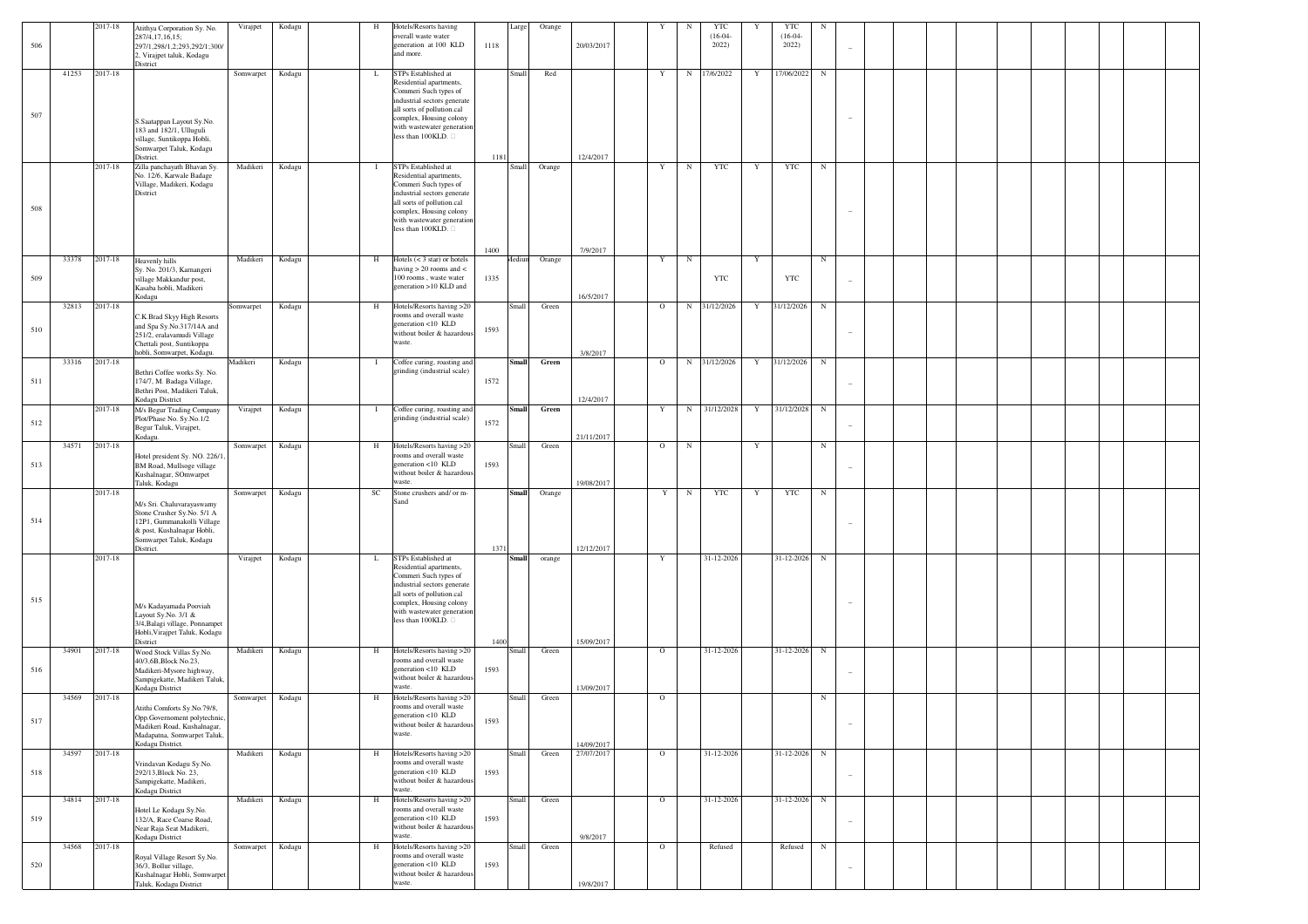|     |       | 2017-18     |                                                                                                                                                |           | Kodagu | H            | Hotels/Resorts having                                                                                              |      |              | Orange |                          |             |            | <b>YTC</b>         |             | $_{\rm YTC}$       |            |                          |  |  |  |  |
|-----|-------|-------------|------------------------------------------------------------------------------------------------------------------------------------------------|-----------|--------|--------------|--------------------------------------------------------------------------------------------------------------------|------|--------------|--------|--------------------------|-------------|------------|--------------------|-------------|--------------------|------------|--------------------------|--|--|--|--|
| 506 |       |             | Atithya Corporation Sy. No.<br>287/4,17,16,15;<br>297/1,298/1,2;293,292/1;300/<br>2, Virajpet taluk, Kodagu                                    | Virajpet  |        |              | overall waste water<br>generation at 100 KLD<br>and more.                                                          | 1118 | Large        |        | 20/03/2017               |             |            | $(16-04-$<br>2022) |             | $(16-04-$<br>2022) |            |                          |  |  |  |  |
|     | 41253 | 2017-18     | District                                                                                                                                       | Somwarpet | Kodagu | L            | STPs Established at<br>Residential apartments,                                                                     |      | Small        | Red    |                          | $\mathbf Y$ |            | N 17/6/2022        | Y           | 17/06/2022         | $_{\rm N}$ |                          |  |  |  |  |
| 507 |       |             |                                                                                                                                                |           |        |              | Commeri Such types of<br>industrial sectors generate<br>all sorts of pollution.cal<br>complex, Housing colony      |      |              |        |                          |             |            |                    |             |                    |            |                          |  |  |  |  |
|     |       |             | S.Saatappan Layout Sy.No.<br>183 and 182/1, Ulluguli<br>village, Suntikoppa Hobli,<br>Somwarpet Taluk, Kodagu                                  |           |        |              | with wastewater generation<br>less than 100KLD.                                                                    |      |              |        |                          |             |            |                    |             |                    |            |                          |  |  |  |  |
|     |       | 2017-18     | District.<br>Zilla panchayath Bhavan Sy.                                                                                                       | Madikeri  | Kodagu | $\mathbf{I}$ | STPs Established at                                                                                                | 1181 | Small        | Orange | 12/4/2017                | $\mathbf Y$ | $_{\rm N}$ | YTC                | $\mathbf Y$ | YTC                | ${\bf N}$  |                          |  |  |  |  |
|     |       |             | No. 12/6, Karwale Badage<br>Village, Madikeri, Kodagu<br>District                                                                              |           |        |              | Residential apartments,<br>Commeri Such types of<br>industrial sectors generate                                    |      |              |        |                          |             |            |                    |             |                    |            |                          |  |  |  |  |
| 508 |       |             |                                                                                                                                                |           |        |              | all sorts of pollution.cal<br>complex, Housing colony<br>with wastewater generation<br>less than 100KLD.           |      |              |        |                          |             |            |                    |             |                    |            |                          |  |  |  |  |
|     |       |             |                                                                                                                                                |           |        |              |                                                                                                                    | 1400 |              |        | 7/9/2017                 |             |            |                    |             |                    |            |                          |  |  |  |  |
|     | 33378 | 2017-18     | Heavenly hills                                                                                                                                 | Madikeri  | Kodagu | H            | Hotels $(< 3 \text{ star})$ or hotels<br>having $> 20$ rooms and $<$                                               |      | Aediun       | Orange |                          | $\mathbf Y$ | $_{\rm N}$ |                    | $\mathbf Y$ |                    | ${\bf N}$  |                          |  |  |  |  |
| 509 |       |             | Sy. No. 201/3, Karnangeri<br>village Makkandur post,<br>Kasaba hobli, Madikeri<br>Kodagu                                                       |           |        |              | 100 rooms, waste water<br>generation >10 KLD and                                                                   | 1335 |              |        | 16/5/2017                |             |            | <b>YTC</b>         |             | <b>YTC</b>         |            |                          |  |  |  |  |
|     | 32813 | $2017 - 18$ |                                                                                                                                                | Somwarpet | Kodagu | $\,$ H       | Hotels/Resorts having >20<br>rooms and overall waste                                                               |      | <b>Small</b> | Green  |                          | $\mathbf O$ |            | N 31/12/2026       | $\mathbf Y$ | 31/12/2026         | $_{\rm N}$ |                          |  |  |  |  |
| 510 |       |             | C.K.Brad Skyy High Resorts<br>and Spa Sy.No.317/14A and<br>251/2, eralavamudi Village<br>Chettali post, Suntikoppa                             |           |        |              | generation <10 KLD<br>without boiler & hazardous<br>waste.                                                         | 1593 |              |        |                          |             |            |                    |             |                    |            |                          |  |  |  |  |
|     | 33316 | 2017-18     | hobli, Somwarpet, Kodagu.                                                                                                                      | Madikeri  | Kodagu | $\mathbf{I}$ | Coffee curing, roasting and                                                                                        |      | <b>Small</b> | Green  | 3/8/2017                 | $\mathbf O$ |            | N 31/12/2026       | $\mathbf Y$ | 31/12/2026         | ${\bf N}$  |                          |  |  |  |  |
| 511 |       |             | Bethri Coffee works Sy. No.<br>174/7, M. Badaga Village,<br>Bethri Post, Madikeri Taluk,<br>Kodagu District                                    |           |        |              | grinding (industrial scale)                                                                                        | 1572 |              |        | 12/4/2017                |             |            |                    |             |                    |            |                          |  |  |  |  |
|     |       | 2017-18     | M/s Begur Trading Company                                                                                                                      | Virajpet  | Kodagu | $\mathbf{I}$ | Coffee curing, roasting and<br>grinding (industrial scale)                                                         |      | <b>Small</b> | Green  |                          | Y           |            | N 31/12/2028       | $\mathbf Y$ | 31/12/2028         | $_{\rm N}$ |                          |  |  |  |  |
| 512 |       |             | Plot/Phase No. Sy.No.1/2<br>Begur Taluk, Virajpet,<br>Kodagu.                                                                                  |           |        |              |                                                                                                                    | 1572 |              |        | 21/11/2017               |             |            |                    |             |                    |            |                          |  |  |  |  |
| 513 | 34571 | 2017-18     | Hotel president Sy. NO. 226/1,<br>BM Road, Mullsoge village<br>Kushalnagar, SOmwarpet                                                          | Somwarpet | Kodagu | H            | Hotels/Resorts having >20<br>rooms and overall waste<br>generation <10 KLD<br>without boiler & hazardous<br>waste. | 1593 | <b>Small</b> | Green  |                          | $\circ$     | $_{\rm N}$ |                    | Y           |                    | $_{\rm N}$ |                          |  |  |  |  |
|     |       | 2017-18     | Taluk, Kodagu                                                                                                                                  | Somwarpet | Kodagu | SC           | Stone crushers and/ or m-                                                                                          |      | <b>Small</b> | Orange | 19/08/2017               | Y           | $_{\rm N}$ | <b>YTC</b>         | Y           | YTC                | ${\bf N}$  |                          |  |  |  |  |
| 514 |       |             | M/s Sri. Chaluvarayaswamy<br>Stone Crusher Sy.No. 5/1 A<br>12P1, Gummanakolli Village<br>& post, Kushalnagar Hobli,<br>Somwarpet Taluk, Kodagu |           |        |              | Sand                                                                                                               |      |              |        |                          |             |            |                    |             |                    |            |                          |  |  |  |  |
|     |       | 2017-18     | District.                                                                                                                                      | Virajpet  | Kodagu | L            | STPs Established at                                                                                                | 1371 | <b>Small</b> | orange | 12/12/2017               | $\mathbf Y$ |            | 31-12-2026         |             | 31-12-2026         | ${\bf N}$  |                          |  |  |  |  |
| 515 |       |             |                                                                                                                                                |           |        |              | Residential apartments,<br>Commeri Such types of<br>industrial sectors generate<br>all sorts of pollution.cal      |      |              |        |                          |             |            |                    |             |                    |            |                          |  |  |  |  |
|     |       |             | M/s Kadayamada Pooviah<br>Layout Sy.No. 3/1 &<br>3/4, Balagi village, Ponnampet<br>Hobli, Virajpet Taluk, Kodagu                               |           |        |              | complex, Housing colony<br>with wastewater generation<br>less than 100KLD.                                         |      |              |        |                          |             |            |                    |             |                    |            |                          |  |  |  |  |
|     | 34901 | 2017-18     | District<br>Wood Stock Villas Sy.No.                                                                                                           | Madikeri  | Kodagu | H            | Hotels/Resorts having >20                                                                                          | 1400 | Small        | Green  | 15/09/2017               | $\mathbf O$ |            | 31-12-2026         |             | 31-12-2026         | ${\bf N}$  |                          |  |  |  |  |
| 516 |       |             | 40/3,6B,Block No.23,<br>Madikeri-Mysore highway,<br>Sampigekatte, Madikeri Taluk,                                                              |           |        |              | rooms and overall waste<br>generation <10 KLD<br>without boiler & hazardous                                        | 1593 |              |        |                          |             |            |                    |             |                    |            |                          |  |  |  |  |
|     | 34569 | 2017-18     | Kodagu District                                                                                                                                | Somwarpet | Kodagu | $\,$ H       | waste.<br>Hotels/Resorts having >20                                                                                |      | Small        | Green  | 13/09/2017               | $\circ$     |            |                    |             |                    | ${\bf N}$  |                          |  |  |  |  |
| 517 |       |             | Atithi Comforts Sy.No.79/8,<br>Opp.Governoment polytechnic,<br>Madikeri Road, Kushalnagar,<br>Madapatna, Somwarpet Taluk                       |           |        |              | rooms and overall waste<br>eneration <10 KLD<br>without boiler & hazardous<br>waste.                               | 1593 |              |        |                          |             |            |                    |             |                    |            | $\sim$                   |  |  |  |  |
|     | 34597 | 2017-18     | Kodagu District.                                                                                                                               | Madikeri  | Kodagu | $\,$ H       | Hotels/Resorts having >20                                                                                          |      | <b>Small</b> | Green  | 14/09/2017<br>27/07/2017 | $\circ$     |            | 31-12-2026         |             | 31-12-2026         | ${\bf N}$  |                          |  |  |  |  |
| 518 |       |             | Vrindavan Kodagu Sy.No.<br>292/13, Block No. 23,<br>Sampigekatte, Madikeri,<br>Kodagu District                                                 |           |        |              | rooms and overall waste<br>generation <10 KLD<br>without boiler & hazardous<br>waste.                              | 1593 |              |        |                          |             |            |                    |             |                    |            | $\overline{\phantom{a}}$ |  |  |  |  |
|     | 34814 | 2017-18     | Hotel Le Kodagu Sy.No.                                                                                                                         | Madikeri  | Kodagu | $\,$ H       | Hotels/Resorts having >20<br>rooms and overall waste                                                               |      | <b>Small</b> | Green  |                          | $\mathbf O$ |            | 31-12-2026         |             | 31-12-2026         | ${\bf N}$  |                          |  |  |  |  |
| 519 |       |             | 132/A, Race Coarse Road,<br>Near Raja Seat Madikeri,                                                                                           |           |        |              | generation <10 KLD<br>without boiler & hazardous<br>waste.                                                         | 1593 |              |        |                          |             |            |                    |             |                    |            | $\sim$                   |  |  |  |  |
|     | 34568 | 2017-18     | Kodagu District                                                                                                                                | Somwarpet | Kodagu | $\,$ H       | Hotels/Resorts having >20                                                                                          |      | Small        | Green  | 9/8/2017                 | $\mathbf O$ |            | Refused            |             | Refused            | ${\bf N}$  |                          |  |  |  |  |
| 520 |       |             | Royal Village Resort Sy.No.<br>36/3, Bollur village,<br>Kushalnagar Hobli, Somwarpet                                                           |           |        |              | rooms and overall waste<br>generation <10 KLD<br>without boiler & hazardous                                        | 1593 |              |        |                          |             |            |                    |             |                    |            |                          |  |  |  |  |
|     |       |             | Taluk, Kodagu District                                                                                                                         |           |        |              | waste.                                                                                                             |      |              |        | 19/8/2017                |             |            |                    |             |                    |            |                          |  |  |  |  |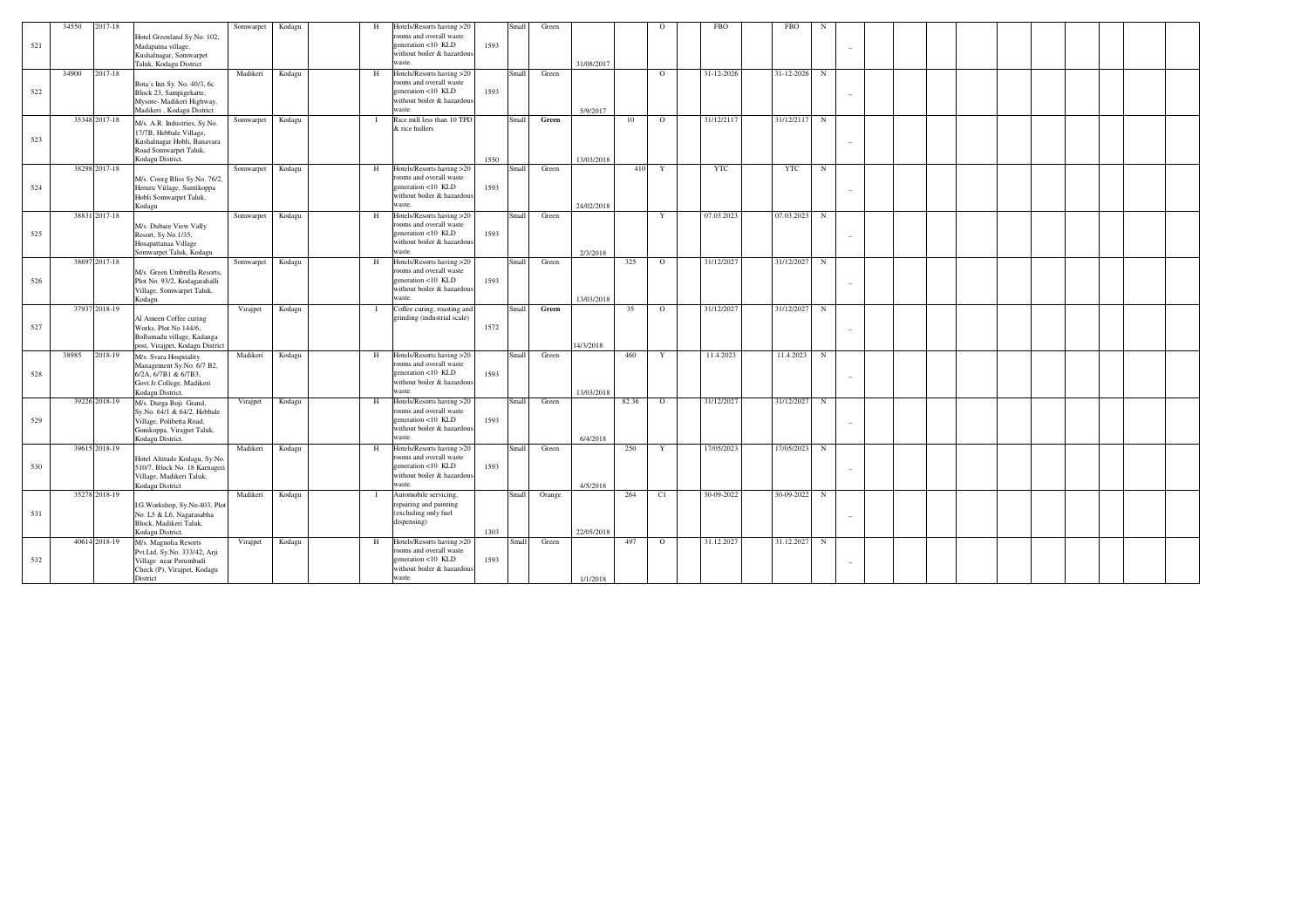| 521 | 34550 | 2017-18       | Hotel Greenland Sy.No. 102,<br>Madapatna village,<br>Kushalnagar, Somwarpet<br>Taluk, Kodagu District                               | Somwarpet | Kodagu | Н | Hotels/Resorts having >20<br>rooms and overall waste<br>eeneration <10 KLD<br>without boiler & hazardous<br>waste. | 1593 | Small | Green  | 31/08/2017 |                 | $\Omega$       | <b>FBO</b> | <b>FBO</b> | N          |  |  |  |  |
|-----|-------|---------------|-------------------------------------------------------------------------------------------------------------------------------------|-----------|--------|---|--------------------------------------------------------------------------------------------------------------------|------|-------|--------|------------|-----------------|----------------|------------|------------|------------|--|--|--|--|
|     |       |               |                                                                                                                                     |           |        |   |                                                                                                                    |      |       |        |            |                 |                |            |            |            |  |  |  |  |
| 522 | 34900 | 2017-18       | Bota's Inn Sy. No. 40/3, 6c<br>Block 23, Sampigekatte,<br>Mysore- Madikeri Highway,<br>Madikeri, Kodagu District                    | Madikeri  | Kodagu | H | Hotels/Resorts having >20<br>rooms and overall waste<br>generation <10 KLD<br>without boiler & hazardous<br>waste. | 1593 | Small | Green  | 5/9/2017   |                 | $\circ$        | 31-12-2026 | 31-12-2026 | $_{\rm N}$ |  |  |  |  |
| 523 |       | 35348 2017-18 | M/s. A.R. Industries, Sy.No.<br>17/7B, Hebbale Village,<br>Kushalnagar Hobli, Banavara<br>Road Somwarpet Taluk,<br>Kodagu District. | Somwarpet | Kodagu |   | Rice mill less than 10 TPD<br>& rice hullers                                                                       | 1550 | Small | Green  | 13/03/2018 | 10 <sup>°</sup> | $\Omega$       | 31/12/2117 | 31/12/2117 | N          |  |  |  |  |
|     |       | 38298 2017-18 |                                                                                                                                     | Somwarpet | Kodagu | Н | Hotels/Resorts having >20                                                                                          |      | Small | Green  |            | 410             |                | <b>YTC</b> | <b>YTC</b> | N          |  |  |  |  |
| 524 |       |               | M/s. Coorg Bliss Sy.No. 76/2,<br>Heruru Viilage, Suntikoppa<br>Hobli Somwarpet Taluk,<br>Kodagu                                     |           |        |   | rooms and overall waste<br>generation <10 KLD<br>without boiler & hazardous<br>waste.                              | 1593 |       |        | 24/02/2018 |                 |                |            |            |            |  |  |  |  |
|     |       | 38831 2017-18 |                                                                                                                                     | Somwarpet | Kodagu | Н | Hotels/Resorts having >20                                                                                          |      | Small | Green  |            |                 | Y              | 07.03.2023 | 07.03.2023 | N          |  |  |  |  |
| 525 |       |               | M/s. Dubare View Vally<br>Resort, Sy.No.1/35,<br>Hosapattanaa Village<br>Somwarpet Taluk, Kodagu                                    |           |        |   | rooms and overall waste<br>eeneration <10 KLD<br>without boiler & hazardous<br>waste.                              | 1593 |       |        | 2/3/2018   |                 |                |            |            |            |  |  |  |  |
|     |       | 38697 2017-18 |                                                                                                                                     | Somwarpet | Kodagu | H | Hotels/Resorts having >20                                                                                          |      | Small | Green  |            | 325             | $\overline{0}$ | 31/12/2027 | 31/12/2027 | N          |  |  |  |  |
| 526 |       |               | M/s. Green Umbrella Resorts.<br>Plot No. 93/2, Kodagarahalli<br>Village, Somwarpet Taluk,<br>Kodagu.                                |           |        |   | rooms and overall waste<br>generation <10 KLD<br>without boiler & hazardous<br>waste.                              | 1593 |       |        | 13/03/2018 |                 |                |            |            |            |  |  |  |  |
|     |       | 37937 2018-19 |                                                                                                                                     | Virajpet  | Kodagu |   | Coffee curing, roasting and                                                                                        |      | Small | Green  |            | 35              | $\circ$        | 31/12/2027 | 31/12/2027 | $_{\rm N}$ |  |  |  |  |
| 527 |       |               | Al Ameen Coffee curing<br>Works, Plot No 144/6,<br>Bollumadu village, Kadanga<br>post, Virajpet, Kodagu District                    |           |        |   | grinding (industrial scale)                                                                                        | 1572 |       |        | 4/3/2018   |                 |                |            |            |            |  |  |  |  |
|     | 38985 | 2018-19       |                                                                                                                                     | Madikeri  | Kodagu | H | Hotels/Resorts having >20                                                                                          |      | Small | Green  |            | 460             | Y              | 11.4.2023  | 11.4.2023  | $_{\rm N}$ |  |  |  |  |
| 528 |       |               | M/s. Svara Hospitality<br>Management Sy.No. 6/7 B2,<br>6/2A, 6/7B1 & 6/7B3.<br>Govt.Jr.College, Madikeri<br>Kodagu District.        |           |        |   | rooms and overall waste<br>generation <10 KLD<br>without boiler & hazardous<br>waste.                              | 1593 |       |        | 13/03/2018 |                 |                |            |            |            |  |  |  |  |
| 529 |       | 39226 2018-19 | M/s. Durga Boji Grand,<br>Sv.No. 64/1 & 64/2. Hebbale<br>Village, Polibetta Road,<br>Gonikoppa, Virajpet Taluk,<br>Kodagu District. | Virajpet  | Kodagu | H | Hotels/Resorts having >20<br>rooms and overall waste<br>generation <10 KLD<br>without boiler & hazardous<br>waste. | 1593 | Small | Green  | 6/4/2018   | 82.36           | $\circ$        | 31/12/2027 | 31/12/2027 | $_{\rm N}$ |  |  |  |  |
| 530 |       | 39615 2018-19 | Hotel Altitude Kodagu, Sy.No.<br>510/7, Block No. 18 Karnageri<br>Village, Madikeri Taluk,                                          | Madikeri  | Kodagu | H | Hotels/Resorts having >20<br>rooms and overall waste<br>eeneration <10 KLD<br>without boiler & hazardous           | 1593 | Small | Green  |            | 250             | Y              | 17/05/2023 | 17/05/2023 | $_{\rm N}$ |  |  |  |  |
|     |       |               | Kodagu District                                                                                                                     |           |        |   | waste.                                                                                                             |      |       |        | 4/5/2018   |                 |                |            |            |            |  |  |  |  |
| 531 |       | 35278 2018-19 | LG.Workshop, Sy.No.403, Plot<br>No. L5 & L6, Nagarasabha                                                                            | Madikeri  | Kodagu |   | Automobile servicing,<br>repairing and painting<br>(excluding only fuel                                            |      | Small | Orange |            | 264             | C1             | 30-09-2022 | 30-09-2022 | $_{\rm N}$ |  |  |  |  |
|     |       |               | Block, Madikeri Taluk,                                                                                                              |           |        |   | dispensing)                                                                                                        |      |       |        |            |                 |                |            |            |            |  |  |  |  |
|     |       |               | Kodagu District.                                                                                                                    |           |        |   |                                                                                                                    | 1303 |       |        | 22/05/2018 |                 |                |            |            |            |  |  |  |  |
| 532 |       | 40614 2018-19 | M/s. Magnolia Resorts<br>Pvt.Ltd, Sy.No. 333/42, Arji<br>Village near Perumbadi                                                     | Virajpet  | Kodagu | H | Hotels/Resorts having >20<br>rooms and overall waste<br>generation <10 KLD                                         | 1593 | Small | Green  |            | 497             | $\circ$        | 31.12.2027 | 31.12.2027 | $_{\rm N}$ |  |  |  |  |
|     |       |               | Check (P), Virajpet, Kodagu<br>District                                                                                             |           |        |   | without boiler & hazardous<br>waste.                                                                               |      |       |        | 1/1/2018   |                 |                |            |            |            |  |  |  |  |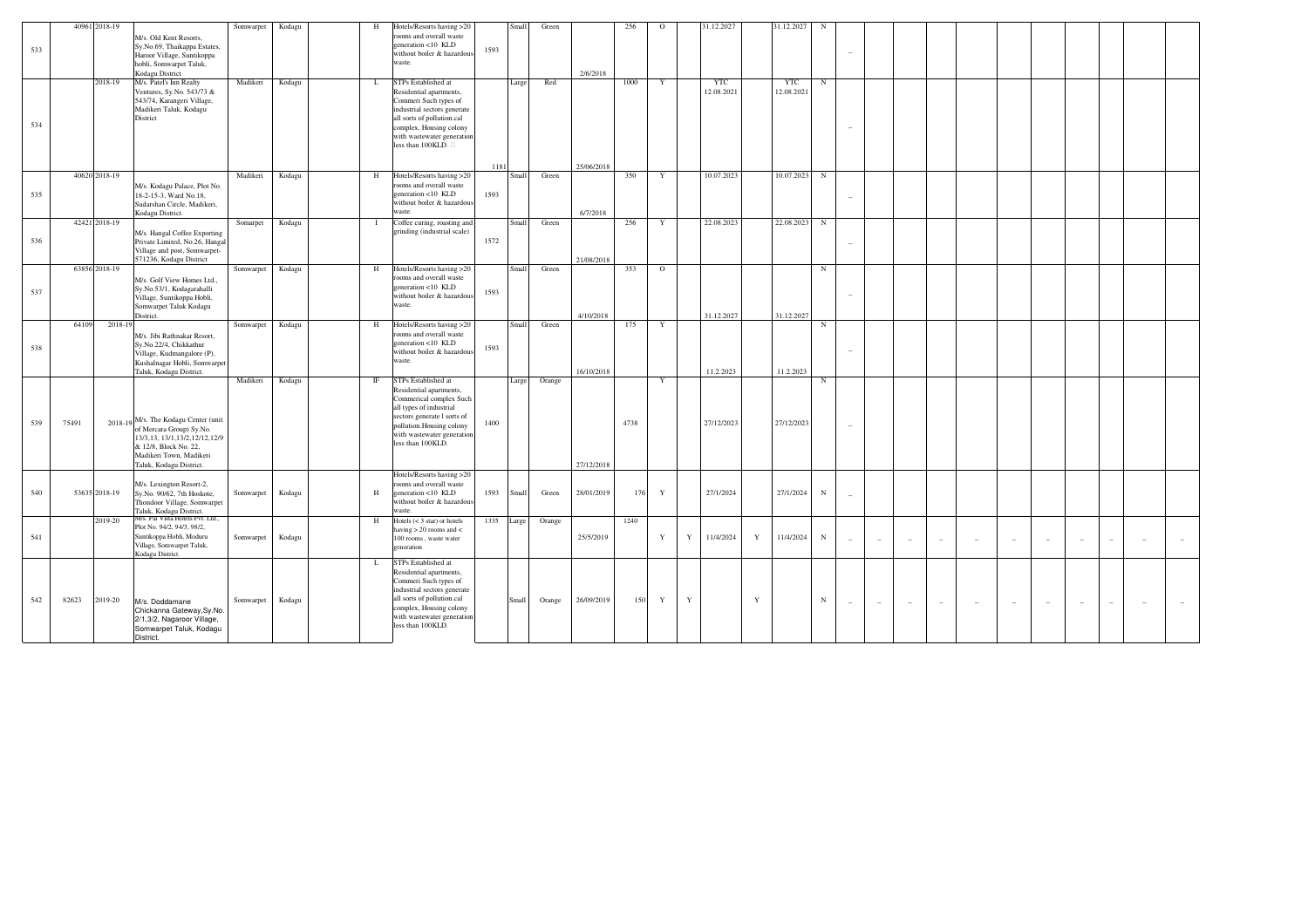|     |       | 40961 2018-19                                                                                                                                                                        |           |        |                | Hotels/Resorts having >20                                                                                                                                                                                           |      | Small | Green  |            | 256  | $\circ$      |             | 31.12.2027               |             | 31.12.2027               |            |                          |                          |                          |                          |                          |                          |        |                          |                          |        |
|-----|-------|--------------------------------------------------------------------------------------------------------------------------------------------------------------------------------------|-----------|--------|----------------|---------------------------------------------------------------------------------------------------------------------------------------------------------------------------------------------------------------------|------|-------|--------|------------|------|--------------|-------------|--------------------------|-------------|--------------------------|------------|--------------------------|--------------------------|--------------------------|--------------------------|--------------------------|--------------------------|--------|--------------------------|--------------------------|--------|
| 533 |       | M/s. Old Kent Resorts,<br>Sy.No.69, Thaikappa Estates,<br>Haroor Village, Suntikoppa<br>hobli, Somwarpet Taluk,<br>Kodagu District                                                   | Somwarpet | Kodagu | H              | ooms and overall waste<br>generation <10 KLD<br>without boiler & hazardous<br>waste.                                                                                                                                | 1593 |       |        | 2/6/2018   |      |              |             |                          |             |                          | N          |                          |                          |                          |                          |                          |                          |        |                          |                          |        |
| 534 |       | 2018-19<br>M/s. Patel's Inn Realty<br>Ventures, Sy.No. 543/73 &<br>543/74, Karangeri Village,<br>Madikeri Taluk, Kodagu<br>District                                                  | Madikeri  | Kodagu | L              | STPs Established at<br>Residential apartments.<br>Commeri Such types of<br>industrial sectors generate<br>all sorts of pollution.cal<br>complex, Housing colony<br>with wastewater generation<br>less than 100KLD.  | 1181 | Large | Red    | 25/06/2018 | 1000 | Y            |             | <b>YTC</b><br>12.08.2021 |             | <b>YTC</b><br>12.08.2021 | $_{\rm N}$ |                          |                          |                          |                          |                          |                          |        |                          |                          |        |
| 535 |       | 40620 2018-19<br>M/s. Kodagu Palace, Plot No.<br>18-2-15-3, Ward No.18,<br>Sudarshan Circle, Madikeri,<br>Kodagu District.                                                           | Madikeri  | Kodagu | H              | Hotels/Resorts having >20<br>ooms and overall waste<br>generation <10 KLD<br>without boiler & hazardous<br>waste.                                                                                                   | 1593 | Small | Green  | 6/7/2018   | 350  | Y            |             | 10.07.2023               |             | 10.07.2023               | $_{\rm N}$ |                          |                          |                          |                          |                          |                          |        |                          |                          |        |
| 536 |       | 42421 2018-19<br>M/s. Hangal Coffee Exporting<br>Private Limited, No.26, Hangal<br>Village and post, Somwarpet-<br>571236, Kodagu District                                           | Somarpet  | Kodagu | $\blacksquare$ | Coffee curing, roasting and<br>grinding (industrial scale)                                                                                                                                                          | 1572 | Small | Green  | 21/08/2018 | 256  | Y            |             | 22.08.2023               |             | 22.08.2023               | $_{\rm N}$ |                          |                          |                          |                          |                          |                          |        |                          |                          |        |
| 537 |       | 63856 2018-19<br>M/s. Golf View Homes Ltd.,<br>Sy.No.53/1, Kodagarahalli<br>Village, Suntikoppa Hobli,<br>Somwarpet Taluk Kodagu<br>District.                                        | Somwarpet | Kodagu | H              | Hotels/Resorts having >20<br>ooms and overall waste<br>generation <10 KLD<br>without boiler & hazardous<br>waste.                                                                                                   | 1593 | Small | Green  | 4/10/2018  | 353  | $\circ$      |             | 31.12.2027               |             | 31.12.2027               | $_{\rm N}$ |                          |                          |                          |                          |                          |                          |        |                          |                          |        |
| 538 | 64109 | 2018-19<br>M/s. Jibi Rathnakar Resort.<br>Sy.No.22/4, Chikkathur<br>Village, Kudmangalore (P),<br>Kushalnagar Hobli, Somwarpet<br>Taluk, Kodagu District.                            | Somwarpet | Kodagu | H              | Hotels/Resorts having >20<br>ooms and overall waste<br>generation <10 KLD<br>without boiler & hazardous<br>waste.                                                                                                   | 1593 | Small | Green  | 16/10/2018 | 175  | Y            |             | 11.2.2023                |             | 11.2.2023                | N          |                          |                          |                          |                          |                          |                          |        |                          |                          |        |
| 539 | 75491 | 2018-19 M/s. The Kodagu Center (unit<br>of Mercara Group) Sy.No.<br>13/3, 13, 13/1, 13/2, 12/12, 12/9<br>& 12/8. Block No. 22.<br>Madikeri Town, Madikeri<br>Taluk, Kodagu District. | Madikeri  | Kodagu | $_{\rm IF}$    | STPs Established at<br>Residential apartments,<br>Commerical complex Such<br>all types of industrial<br>sectors generate l sorts of<br>pollution. Housing colony<br>with wastewater generation<br>less than 100KLD. | 1400 | Large | Orange | 27/12/2018 | 4738 | $\mathbf{v}$ |             | 27/12/2023               |             | 27/12/2023               | N          |                          |                          |                          |                          |                          |                          |        |                          |                          |        |
| 540 |       | M/s. Lexington Resort-2,<br>53635 2018-19<br>Sy.No. 90/62, 7th Hoskote,<br>Thondoor Village, Somwarpet<br>Taluk, Kodagu District.<br>M/s. Pai Vista Hotels Pvt. Ltd.,                | Somwarpet | Kodagu | $_{\rm H}$     | Hotels/Resorts having >20<br>rooms and overall waste<br>generation <10 KLD<br>without boiler & hazardous<br>vaste.                                                                                                  | 1593 | Small | Green  | 28/01/2019 | 176  | $\mathbf{Y}$ |             | 27/1/2024                |             | 27/1/2024                | $_{\rm N}$ |                          |                          |                          |                          |                          |                          |        |                          |                          |        |
| 541 |       | 2019-20<br>Plot No. 94/2, 94/3, 98/2,<br>Suntikoppa Hobli, Moduru<br>Village, Somwarpet Taluk,<br>Kodagu District.                                                                   | Somwarpet | Kodagu | H              | Hotels $(< 3 \text{ star})$ or hotels<br>having $> 20$ rooms and $<$<br>100 rooms, waste water<br>generation                                                                                                        | 1335 | Large | Orange | 25/5/2019  | 1240 | Y            | Y           | 11/4/2024                | Y           | 11/4/2024                | $_{\rm N}$ | $\overline{\phantom{a}}$ | $\overline{\phantom{a}}$ | $\sim$                   | $\overline{\phantom{a}}$ | $\overline{\phantom{a}}$ | $\sim$                   | $\sim$ | $\sim$                   | $\sim$                   | $\sim$ |
| 542 | 82623 | 2019-20<br>M/s. Doddamane<br>Chickanna Gateway, Sy.No.<br>2/1,3/2, Nagaroor Village,<br>Somwarpet Taluk, Kodagu<br>District.                                                         | Somwarpet | Kodagu | L              | STPs Established at<br>Residential apartments,<br>Commeri Such types of<br>industrial sectors generate<br>all sorts of pollution.cal<br>complex, Housing colony<br>with wastewater generation<br>less than 100KLD.  |      | Small | Orange | 26/09/2019 | 150  | Y            | $\mathbf Y$ |                          | $\mathbf Y$ |                          | $_{\rm N}$ | $\overline{\phantom{a}}$ | $\sim$                   | $\overline{\phantom{a}}$ | $\overline{\phantom{a}}$ | $\overline{\phantom{a}}$ | $\overline{\phantom{a}}$ | $\sim$ | $\overline{\phantom{a}}$ | $\overline{\phantom{a}}$ |        |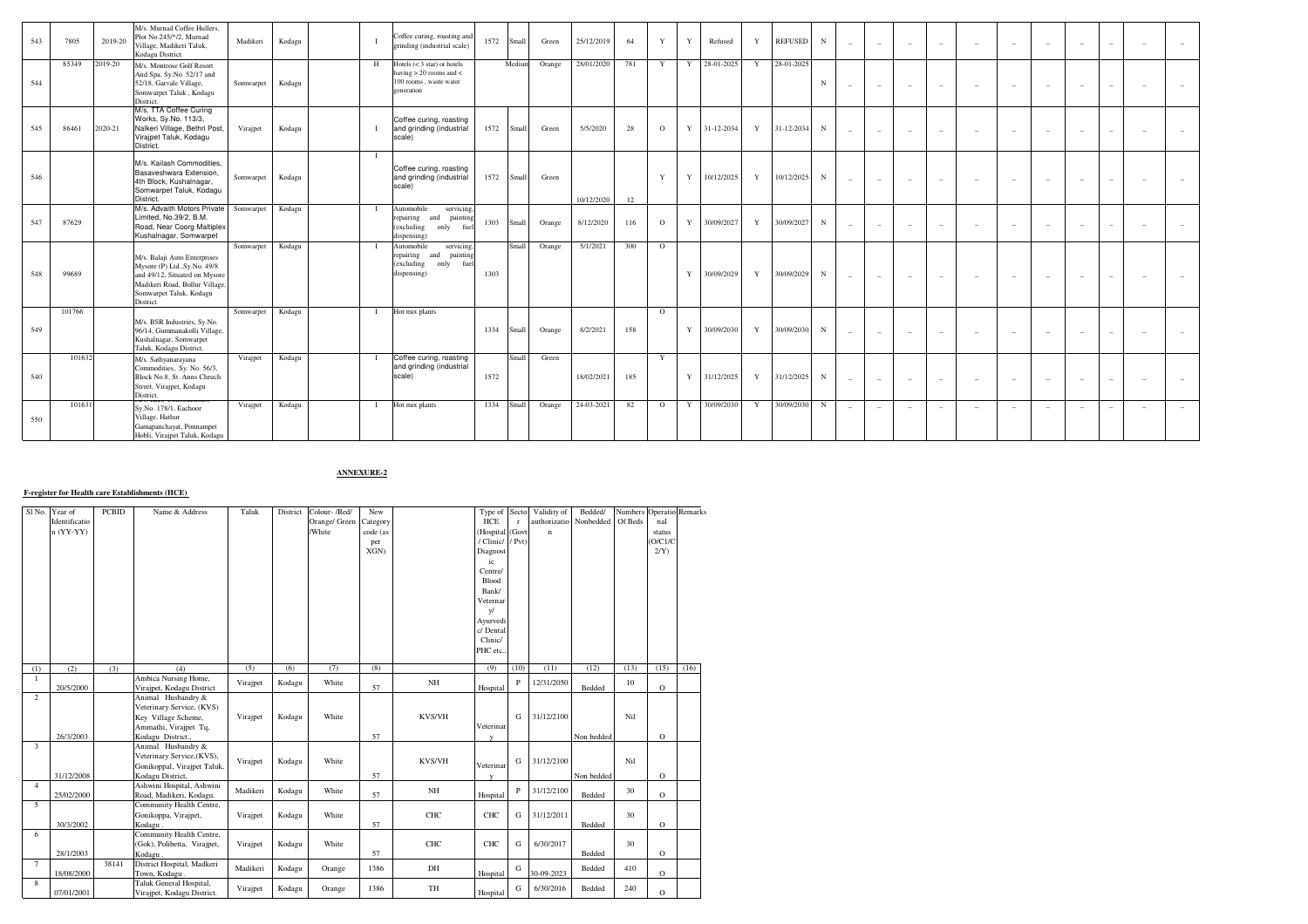| 543 | 7805   | 2019-20 | M/s. Murnad Coffee Hullers,<br>Plot No.245/*/2, Murnad<br>Village, Madikeri Taluk.<br>Kodagu District.                                                                  | Madikeri  | Kodagu |   | Coffee curing, roasting and<br>grinding (industrial scale)                                                   | 1572       | Small  | Green  | 25/12/2019 | 64  | Y            | Y | Refused      | Y            | <b>REFUSED</b> | N           |                          | $\sim$ | $\sim$                   | $\sim$                          | $\hspace{0.1mm}-\hspace{0.1mm}$ | $\overline{\phantom{a}}$ | $\overline{\phantom{a}}$ | $\overline{\phantom{a}}$ |                          |                          |  |
|-----|--------|---------|-------------------------------------------------------------------------------------------------------------------------------------------------------------------------|-----------|--------|---|--------------------------------------------------------------------------------------------------------------|------------|--------|--------|------------|-----|--------------|---|--------------|--------------|----------------|-------------|--------------------------|--------|--------------------------|---------------------------------|---------------------------------|--------------------------|--------------------------|--------------------------|--------------------------|--------------------------|--|
| 544 | 85349  | 2019-20 | M/s. Montrose Golf Resort<br>And Spa, Sy.No. 52/17 and<br>52/18, Garvale Village,<br>Somwarpet Taluk, Kodagu<br>District                                                | Somwarpet | Kodagu | H | Hotels $(< 3 \text{ star})$ or hotels<br>having $> 20$ rooms and $<$<br>100 rooms, waste water<br>generation |            | Mediun | Orange | 28/01/2020 | 781 | Y            |   | Y 28-01-2025 | Y            | 28-01-2025     | $\mathbf N$ |                          | $\sim$ | $\sim$                   | $\overline{a}$                  | $\hspace{0.1mm}-\hspace{0.1mm}$ | $\overline{\phantom{a}}$ | $\sim$                   | $\overline{\phantom{a}}$ |                          | ٠                        |  |
| 545 | 86461  | 2020-21 | M/s. TTA Coffee Curing<br>Works, Sy.No. 113/3,<br>Nalkeri Village, Bethri Post,<br>Virajpet Taluk, Kodagu<br>District.                                                  | Virajpet  | Kodagu |   | Coffee curing, roasting<br>and grinding (industrial<br>scale)                                                | 1572       | Small  | Green  | 5/5/2020   | 28  | $\circ$      |   | Y 31-12-2034 | Y            | 31-12-2034     | N           |                          | $\sim$ | $\overline{a}$           | $\sim$                          | $\overline{\phantom{a}}$        | $\overline{\phantom{a}}$ | $\overline{\phantom{a}}$ | $\overline{\phantom{a}}$ |                          | $\sim$                   |  |
| 546 |        |         | M/s. Kailash Commodities.<br>Basaveshwara Extension.<br>4th Block, Kushalnagar,<br>Somwarpet Taluk, Kodagu<br>District.                                                 | Somwarpet | Kodagu |   | Coffee curing, roasting<br>and grinding (industrial<br>scale)                                                | 1572       | Small  | Green  | 10/12/2020 | 12  | $\mathbf{v}$ | Y | 10/12/2025   | Y            | 10/12/2025     | $_{\rm N}$  |                          | $\sim$ | $\sim$                   | $\sim$                          | $\sim$                          | $\overline{\phantom{a}}$ | $\sim$                   | $\sim$                   | $\equiv$                 | $\sim$                   |  |
| 547 | 87629  |         | M/s. Advaith Motors Private Somwarpet<br>Limited, No.39/2, B.M.<br>Road, Near Coorg Maltiplex<br>Kushalnagar, Somwarpet                                                 |           | Kodagu |   | Automobile<br>servicing,<br>repairing<br>painting<br>and<br>(excluding<br>only<br>fuel<br>dispensing)        | 1303       | Small  | Orange | 8/12/2020  | 116 | $\Omega$     | Y | 30/09/2027   | $\mathbf{Y}$ | 30/09/2027     | N           |                          | $\sim$ | $\overline{\phantom{a}}$ | $\hspace{0.1mm}-\hspace{0.1mm}$ | $\overline{\phantom{a}}$        | $\overline{\phantom{a}}$ | $\overline{\phantom{a}}$ | $\overline{\phantom{a}}$ |                          |                          |  |
| 548 | 99689  |         | M/s. Balaji Auto Enterprises<br>Mysore (P) Ltd., Sy.No. 49/8<br>and 49/12, Situated on Mysore<br>Madikeri Road, Bollur Village,<br>Somwarpet Taluk, Kodagu<br>District. | Somwarpet | Kodagu |   | Automobile<br>servicing.<br>repairing<br>painting<br>and<br>(excluding<br>only<br>fuel<br>dispensing)        | 1303       | Small  | Orange | 5/1/2021   | 300 | $\circ$      | Y | 30/09/2029   | Y            | 30/09/2029     | N           |                          | $\sim$ | $\sim$                   | $\sim$                          | $\sim$                          | $\overline{\phantom{a}}$ | $\overline{\phantom{a}}$ | $\overline{\phantom{a}}$ |                          | $\overline{\phantom{a}}$ |  |
| 549 | 101766 |         | M/s. BSR Industries, Sy.No.<br>96/14, Gummanakolli Village,<br>Kushalnagar, Somwarpet<br>Taluk, Kodagu District.                                                        | Somwarpet | Kodagu |   | Hot mix plants                                                                                               | 1334       | Small  | Orange | 8/2/2021   | 158 | $\circ$      |   | Y 30/09/2030 | Y            | 30/09/2030     | N           | $\overline{\phantom{0}}$ | $\sim$ | $\sim$                   | $\sim$                          | $\overline{\phantom{a}}$        | $\overline{\phantom{a}}$ | $\sim$                   | $\sim$                   |                          | $\sim$                   |  |
| 540 | 101632 |         | M/s. Sathyanarayana<br>Commodities, Sy. No. 56/3,<br>Block No.8, St. Anns Chruch<br>Street, Virajpet, Kodagu<br>District.                                               | Virajpet  | Kodagu |   | Coffee curing, roasting<br>and grinding (industrial<br>scale)                                                | 1572       | Small  | Green  | 18/02/2021 | 185 | Y            |   | Y 31/12/2025 | Y            | 31/12/2025     | $_{\rm N}$  | $\sim$                   | $\sim$ | $\sim$                   | $\sim$                          | $\overline{\phantom{0}}$        | $\overline{\phantom{a}}$ | $\sim$                   | $\overline{\phantom{a}}$ | $\overline{\phantom{a}}$ | $\overline{\phantom{a}}$ |  |
| 550 | 101631 |         | Sy.No. 178/1, Eachoor<br>Village, Hathur<br>Gamapanchayat, Ponnampet<br>Hobli, Virajpet Taluk, Kodagu                                                                   | Virajpet  | Kodagu |   | Hot mix plants                                                                                               | 1334 Small |        | Orange | 24-03-2021 | 82  | $\Omega$     | Y | 30/09/2030   | Y            | 30/09/2030     | N           |                          | $\sim$ | $\sim$                   | $\sim$                          |                                 | $\overline{\phantom{a}}$ |                          | $\sim$                   | $\overline{\phantom{a}}$ | $\sim$                   |  |

**ANNEXURE-2**

## **F-register for Health care Establishments (HCE)**

| Sl No.         | Year of       | <b>PCBID</b> | Name & Address                        | Taluk    | District | Colour-/Red/  | New      |            | Type of Secto    |              | Validity of  | Bedded/                |         | Numbers Operatio Remarks |      |
|----------------|---------------|--------------|---------------------------------------|----------|----------|---------------|----------|------------|------------------|--------------|--------------|------------------------|---------|--------------------------|------|
|                | Identificatio |              |                                       |          |          | Orange/ Green | Category |            | HCE              | $\mathbf{r}$ |              | authorizatio Nonbedded | Of Beds | nal                      |      |
|                | $n (YY-YY)$   |              |                                       |          |          | /White        | code (as |            | (Hospital (Govt  |              | $\mathbf{n}$ |                        |         | status                   |      |
|                |               |              |                                       |          |          |               | per      |            | / Clinic/ / Pvt) |              |              |                        |         | O/C1/C                   |      |
|                |               |              |                                       |          |          |               | XGN)     |            | Diagnost         |              |              |                        |         | 2/Y                      |      |
|                |               |              |                                       |          |          |               |          |            | ic               |              |              |                        |         |                          |      |
|                |               |              |                                       |          |          |               |          |            | Centre/          |              |              |                        |         |                          |      |
|                |               |              |                                       |          |          |               |          |            | Blood            |              |              |                        |         |                          |      |
|                |               |              |                                       |          |          |               |          |            | Bank/            |              |              |                        |         |                          |      |
|                |               |              |                                       |          |          |               |          |            | Veternar         |              |              |                        |         |                          |      |
|                |               |              |                                       |          |          |               |          |            | V                |              |              |                        |         |                          |      |
|                |               |              |                                       |          |          |               |          |            | Ayurvedi         |              |              |                        |         |                          |      |
|                |               |              |                                       |          |          |               |          |            | c/ Dental        |              |              |                        |         |                          |      |
|                |               |              |                                       |          |          |               |          |            | Clinic/          |              |              |                        |         |                          |      |
|                |               |              |                                       |          |          |               |          |            | PHC etc          |              |              |                        |         |                          |      |
|                |               |              |                                       |          |          |               |          |            |                  |              |              |                        |         |                          |      |
| (1)            | (2)           | (3)          | (4)                                   | (5)      | (6)      | (7)           | (8)      |            | (9)              | (10)         | (11)         | (12)                   | (13)    | (15)                     | (16) |
|                |               |              | Ambica Nursing Home,                  | Virajpet | Kodagu   | White         |          | NH         |                  | P            | 12/31/2050   |                        | 10      |                          |      |
|                | 20/5/2000     |              | Virajpet, Kodagu District             |          |          |               | 57       |            | Hospital         |              |              | Bedded                 |         | $\circ$                  |      |
| $\overline{2}$ |               |              | Animal Husbandry &                    |          |          |               |          |            |                  |              |              |                        |         |                          |      |
|                |               |              | Veterinary Service, (KVS)             |          |          |               |          |            |                  |              |              |                        |         |                          |      |
|                |               |              | Key Village Scheme,                   | Virajpet | Kodagu   | White         |          | KVS/VH     |                  | G            | 31/12/2100   |                        | Nil     |                          |      |
|                |               |              | Ammathi, Virajpet Tq,                 |          |          |               |          |            | Veterinar        |              |              |                        |         |                          |      |
|                | 26/3/2003     |              | Kodagu District.,                     |          |          |               | 57       |            | $\mathbf{v}$     |              |              | Non bedded             |         | $\circ$                  |      |
| 3              |               |              | Animal Husbandry &                    |          |          |               |          |            |                  |              |              |                        |         |                          |      |
|                |               |              | Veterinary Service, (KVS),            | Virajpet | Kodagu   | White         |          | KVS/VH     |                  | G            | 31/12/2100   |                        | Nil     |                          |      |
|                |               |              | Gonikoppal, Virajpet Taluk,           |          |          |               |          |            | Veterinar        |              |              |                        |         |                          |      |
|                | 31/12/2008    |              | Kodagu District,                      |          |          |               | 57       |            | $\mathbf{v}$     |              |              | Non bedded             |         | $\circ$                  |      |
| $\overline{4}$ |               |              | Ashwini Hospital, Ashwini             | Madikeri | Kodagu   | White         |          | NH         |                  | P            | 31/12/2100   |                        | 30      |                          |      |
| 5              | 25/02/2000    |              | Road, Madikeri, Kodagu.               |          |          |               | 57       |            | Hospital         |              |              | Bedded                 |         | $\circ$                  |      |
|                |               |              | Community Health Centre,              | Virajpet | Kodagu   | White         |          | <b>CHC</b> | CHC              | G            | 31/12/2011   |                        | 30      |                          |      |
|                | 30/3/2002     |              | Gonikoppa, Virajpet,                  |          |          |               |          |            |                  |              |              | Bedded                 |         | $\circ$                  |      |
| 6              |               |              | Kodagu.<br>Community Health Centre,   |          |          |               | 57       |            |                  |              |              |                        |         |                          |      |
|                |               |              |                                       |          |          | White         |          | CHC        | CHC              | G            | 6/30/2017    |                        | 30      |                          |      |
|                | 28/1/2003     |              | (Gok), Polibetta, Virajpet,           | Virajpet | Kodagu   |               | 57       |            |                  |              |              | Bedded                 |         | $\circ$                  |      |
| $\tau$         |               | 38141        | Kodagu.<br>District Hospital, Madkeri |          |          |               |          |            |                  |              |              |                        |         |                          |      |
|                | 18/08/2000    |              | Town, Kodagu.                         | Madikeri | Kodagu   | Orange        | 1386     | DH         | Hospital         | G            | 30-09-2023   | Bedded                 | 410     | $\circ$                  |      |
| 8              |               |              | Taluk General Hospital,               |          |          |               |          |            |                  |              |              |                        |         |                          |      |
|                | 07/01/2001    |              | Virajpet, Kodagu District.            | Virajpet | Kodagu   | Orange        | 1386     | TH         | Hospital         | G            | 6/30/2016    | Bedded                 | 240     | $\circ$                  |      |
|                |               |              |                                       |          |          |               |          |            |                  |              |              |                        |         |                          |      |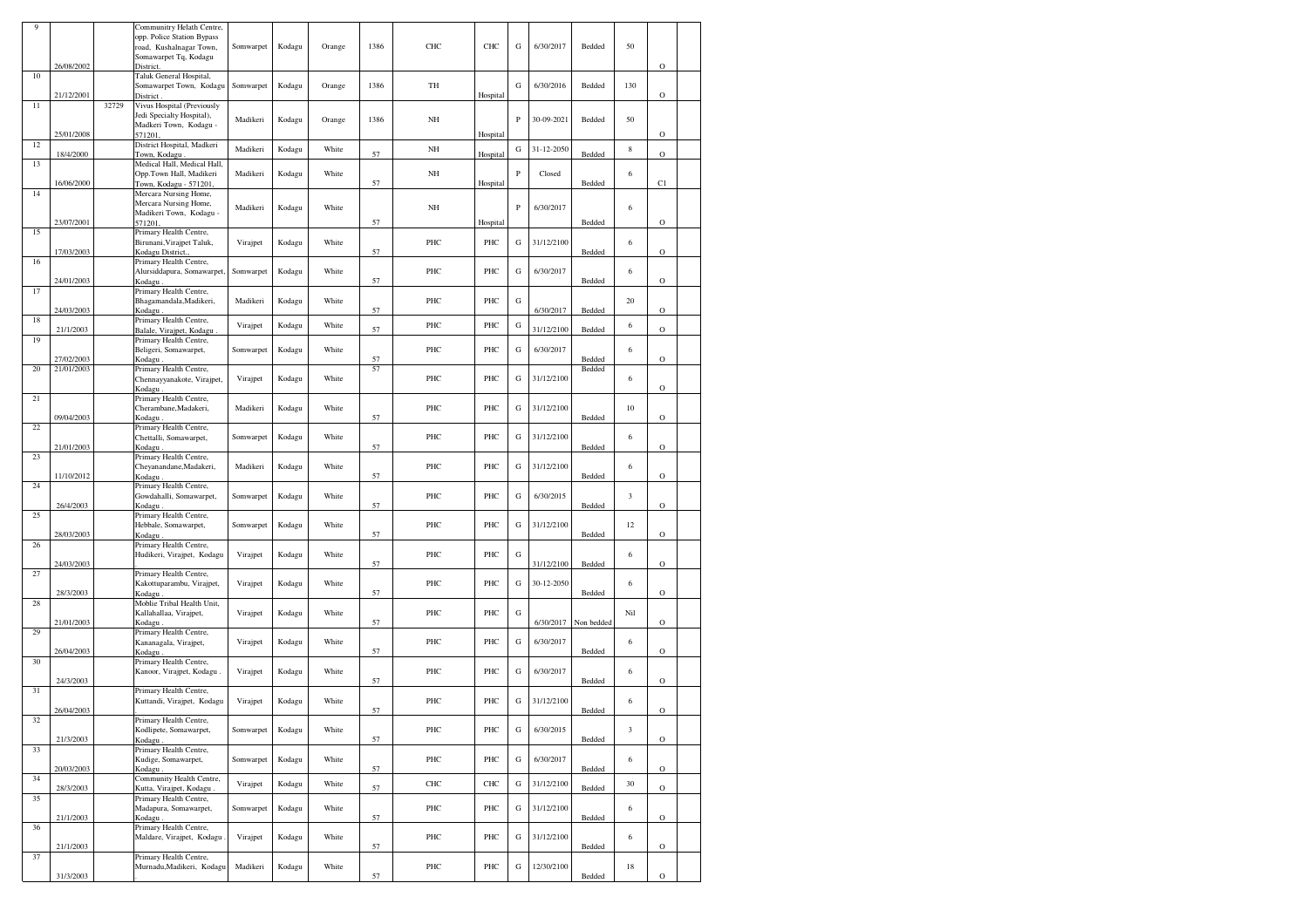| 9  |            |       | Communitry Helath Centre,                           |           |        |        |      |     |          |              |            |            |                             |             |  |
|----|------------|-------|-----------------------------------------------------|-----------|--------|--------|------|-----|----------|--------------|------------|------------|-----------------------------|-------------|--|
|    |            |       | opp. Police Station Bypass                          | Somwarpet | Kodagu | Orange | 1386 | CHC | CHC      | G            | 6/30/2017  | Bedded     | 50                          |             |  |
|    |            |       | road, Kushalnagar Town,<br>Somawarpet Tq, Kodagu    |           |        |        |      |     |          |              |            |            |                             |             |  |
|    | 26/08/2002 |       | District.                                           |           |        |        |      |     |          |              |            |            |                             | $\mathbf O$ |  |
| 10 |            |       | Taluk General Hospital,                             |           |        |        |      |     |          |              |            |            |                             |             |  |
|    |            |       | Somawarpet Town, Kodagu                             | Somwarpet | Kodagu | Orange | 1386 | TH  |          | ${\bf G}$    | 6/30/2016  | Bedded     | 130                         |             |  |
| 11 | 21/12/2001 | 32729 | District<br>Vivus Hospital (Previously              |           |        |        |      |     | Hospital |              |            |            |                             | $\mathbf O$ |  |
|    |            |       | Jedi Specialty Hospital),                           |           |        |        |      |     |          |              |            |            |                             |             |  |
|    |            |       | Madkeri Town, Kodagu -                              | Madikeri  | Kodagu | Orange | 1386 | NH  |          | $\mathbf P$  | 30-09-2021 | Bedded     | 50                          |             |  |
|    | 25/01/2008 |       | 571201                                              |           |        |        |      |     | Hospital |              |            |            |                             | $\circ$     |  |
| 12 |            |       | District Hospital, Madkeri                          | Madikeri  | Kodagu | White  |      | NH  |          | G            | 31-12-2050 |            | 8                           |             |  |
|    | 18/4/2000  |       | Town, Kodagu.                                       |           |        |        | 57   |     | Hospital |              |            | Bedded     |                             | $\circ$     |  |
| 13 |            |       | Medical Hall, Medical Hall,                         | Madikeri  | Kodagu | White  |      | NH  |          | $\, {\bf P}$ | Closed     |            | 6                           |             |  |
|    | 16/06/2000 |       | Opp.Town Hall, Madikeri<br>Town, Kodagu - 571201,   |           |        |        | 57   |     | Hospital |              |            | Bedded     |                             | C1          |  |
| 14 |            |       | Mercara Nursing Home,                               |           |        |        |      |     |          |              |            |            |                             |             |  |
|    |            |       | Mercara Nursing Home,                               | Madikeri  |        | White  |      | NH  |          | $\mathbf P$  | 6/30/2017  |            | 6                           |             |  |
|    |            |       | Madikeri Town, Kodagu -                             |           | Kodagu |        |      |     |          |              |            |            |                             |             |  |
|    | 23/07/2001 |       | 571201                                              |           |        |        | 57   |     | Hospital |              |            | Bedded     |                             | $\mathbf O$ |  |
| 15 |            |       | Primary Health Centre,                              |           |        |        |      |     |          |              |            |            |                             |             |  |
|    | 17/03/2003 |       | Birunani, Virajpet Taluk,<br>Kodagu District        | Virajpet  | Kodagu | White  | 57   | PHC | PHC      | G            | 31/12/2100 | Bedded     | 6                           | $\mathbf O$ |  |
| 16 |            |       | Primary Health Centre,                              |           |        |        |      |     |          |              |            |            |                             |             |  |
|    |            |       | Alursiddapura, Somawarpet.                          | Somwarpet | Kodagu | White  |      | PHC | PHC      | G            | 6/30/2017  |            | 6                           |             |  |
|    | 24/01/2003 |       | Kodagu                                              |           |        |        | 57   |     |          |              |            | Bedded     |                             | $\circ$     |  |
| 17 |            |       | Primary Health Centre,                              |           |        |        |      |     |          |              |            |            |                             |             |  |
|    |            |       | Bhagamandala, Madikeri,                             | Madikeri  | Kodagu | White  |      | PHC | PHC      | G            |            |            | 20                          |             |  |
| 18 | 24/03/2003 |       | Kodagu<br>Primary Health Centre,                    |           |        |        | 57   |     |          |              | 6/30/2017  | Bedded     |                             | $\circ$     |  |
|    | 21/1/2003  |       | Balale, Virajpet, Kodagu                            | Virajpet  | Kodagu | White  | 57   | PHC | PHC      | G            | 31/12/2100 | Bedded     | 6                           | $\circ$     |  |
| 19 |            |       | Primary Health Centre,                              |           |        |        |      |     |          |              |            |            |                             |             |  |
|    |            |       | Beligeri, Somawarpet,                               | Somwarpet | Kodagu | White  |      | PHC | PHC      | G            | 6/30/2017  |            | 6                           |             |  |
|    | 27/02/2003 |       | Kodagu                                              |           |        |        | 57   |     |          |              |            | Bedded     |                             | $\circ$     |  |
| 20 | 21/01/2003 |       | Primary Health Centre,                              |           |        |        | 57   |     |          |              |            | Bedded     |                             |             |  |
|    |            |       | Chennayyanakote, Virajpet,                          | Virajpet  | Kodagu | White  |      | PHC | PHC      | G            | 31/12/2100 |            | 6                           | $\mathbf O$ |  |
| 21 |            |       | Kodagu<br>Primary Health Centre,                    |           |        |        |      |     |          |              |            |            |                             |             |  |
|    |            |       | Cherambane.Madakeri.                                | Madikeri  | Kodagu | White  |      | PHC | PHC      | G            | 31/12/2100 |            | 10                          |             |  |
|    | 09/04/2003 |       | Kodagu                                              |           |        |        | 57   |     |          |              |            | Bedded     |                             | $\circ$     |  |
| 22 |            |       | Primary Health Centre,                              |           |        |        |      |     |          |              |            |            |                             |             |  |
|    |            |       | Chettalli, Somawarpet,                              | Somwarpet | Kodagu | White  |      | PHC | PHC      | G            | 31/12/2100 |            | 6                           |             |  |
|    | 21/01/2003 |       | Kodagu                                              |           |        |        | 57   |     |          |              |            | Bedded     |                             | O           |  |
| 23 |            |       | Primary Health Centre,                              | Madikeri  | Kodagu | White  |      | PHC | PHC      | G            | 31/12/2100 |            | 6                           |             |  |
|    | 11/10/2012 |       | Cheyanandane, Madakeri,<br>Kodagu                   |           |        |        | 57   |     |          |              |            | Bedded     |                             | $\mathbf O$ |  |
| 24 |            |       | Primary Health Centre,                              |           |        |        |      |     |          |              |            |            |                             |             |  |
|    |            |       | Gowdahalli, Somawarpet,                             | Somwarpet | Kodagu | White  |      | PHC | PHC      | G            | 6/30/2015  |            | $\boldsymbol{\mathfrak{z}}$ |             |  |
|    | 26/4/2003  |       | Kodagu                                              |           |        |        | 57   |     |          |              |            | Bedded     |                             | $\mathbf O$ |  |
| 25 |            |       | Primary Health Centre,                              |           |        |        |      |     |          |              |            |            |                             |             |  |
|    | 28/03/2003 |       | Hebbale, Somawarpet,                                | Somwarpet |        | White  |      | PHC | PHC      | G            | 31/12/2100 |            |                             |             |  |
| 26 |            |       |                                                     |           | Kodagu |        |      |     |          |              |            |            | 12                          |             |  |
|    |            |       | Kodagu                                              |           |        |        | 57   |     |          |              |            | Bedded     |                             | $\circ$     |  |
|    |            |       | Primary Health Centre,                              |           |        |        |      |     |          |              |            |            |                             |             |  |
|    | 24/03/2003 |       | Hudikeri, Virajpet, Kodagu                          | Virajpet  | Kodagu | White  | 57   | PHC | PHC      | G            | 31/12/2100 | Bedded     | 6                           | $\circ$     |  |
| 27 |            |       | Primary Health Centre,                              |           |        |        |      |     |          |              |            |            |                             |             |  |
|    |            |       | Kakottuparambu, Virajpet,                           | Virajpet  | Kodagu | White  |      | PHC | PHC      | G            | 30-12-2050 |            | 6                           |             |  |
|    | 28/3/2003  |       | Kodagu                                              |           |        |        | 57   |     |          |              |            | Bedded     |                             | $\circ$     |  |
| 28 |            |       | Moblie Tribal Health Unit,                          |           |        |        |      |     |          |              |            |            |                             |             |  |
|    | 21/01/2003 |       | Kallahallaa, Virajpet,<br>Kodagu                    | Virajpet  | Kodagu | White  | 57   | PHC | PHC      | G            | 6/30/2017  | Non bedded | Nil                         | $\circ$     |  |
| 29 |            |       | Primary Health Centre,                              |           |        |        |      |     |          |              |            |            |                             |             |  |
|    |            |       | Kananagala, Virajpet,                               | Virajpet  | Kodagu | White  |      | PHC | PHC      | G            | 6/30/2017  |            | 6                           |             |  |
|    | 26/04/2003 |       | Kodagu                                              |           |        |        | 57   |     |          |              |            | Bedded     |                             | $\mathbf O$ |  |
| 30 |            |       | Primary Health Centre,                              |           |        |        |      |     |          |              |            |            |                             |             |  |
|    |            |       | Kanoor, Virajpet, Kodagu.                           | Virajpet  | Kodagu | White  |      | PHC | PHC      | G            | 6/30/2017  |            | 6                           |             |  |
|    | 24/3/2003  |       | Primary Health Centre,                              |           |        |        | 57   |     |          |              |            | Bedded     |                             | $\mathbf O$ |  |
| 31 |            |       | Kuttandi, Virajpet, Kodagu                          | Virajpet  | Kodagu | White  |      | PHC | PHC      | G            | 31/12/2100 |            | 6                           |             |  |
|    | 26/04/2003 |       |                                                     |           |        |        | 57   |     |          |              |            | Bedded     |                             | $\mathbf O$ |  |
| 32 |            |       | Primary Health Centre,                              |           |        |        |      |     |          |              |            |            |                             |             |  |
|    |            |       | Kodlipete, Somawarpet,                              | Somwarpet | Kodagu | White  |      | PHC | PHC      | G            | 6/30/2015  |            | $\mathfrak z$               |             |  |
|    | 21/3/2003  |       | Kodagu.                                             |           |        |        | 57   |     |          |              |            | Bedded     |                             | $\rm{O}$    |  |
| 33 |            |       | Primary Health Centre,                              |           | Kodagu |        |      |     |          |              |            |            |                             |             |  |
|    | 20/03/2003 |       | Kudige, Somawarpet,<br>Kodagu.                      | Somwarpet |        | White  | 57   | PHC | PHC      | ${\bf G}$    | 6/30/2017  | Bedded     | 6                           | $\mathbf O$ |  |
| 34 |            |       | Community Health Centre,                            |           |        |        |      |     |          |              |            |            |                             |             |  |
|    | 28/3/2003  |       | Kutta, Virajpet, Kodagu.                            | Virajpet  | Kodagu | White  | 57   | CHC | CHC      | G            | 31/12/2100 | Bedded     | 30                          | $\mathbf O$ |  |
| 35 |            |       | Primary Health Centre,                              |           |        |        |      |     |          |              |            |            |                             |             |  |
|    |            |       | Madapura, Somawarpet,                               | Somwarpet | Kodagu | White  |      | PHC | PHC      | G            | 31/12/2100 |            | 6                           |             |  |
|    | 21/1/2003  |       | Kodagu.                                             |           |        |        | 57   |     |          |              |            | Bedded     |                             | $\mathbf O$ |  |
| 36 |            |       | Primary Health Centre,<br>Maldare, Virajpet, Kodagu | Virajpet  | Kodagu | White  |      | PHC | PHC      | G            | 31/12/2100 |            | 6                           |             |  |
|    | 21/1/2003  |       |                                                     |           |        |        | 57   |     |          |              |            | Bedded     |                             | $\rm{O}$    |  |
| 37 |            |       | Primary Health Centre,<br>Murnadu, Madikeri, Kodagu | Madikeri  | Kodagu | White  |      | PHC | PHC      | G            | 12/30/2100 |            | 18                          |             |  |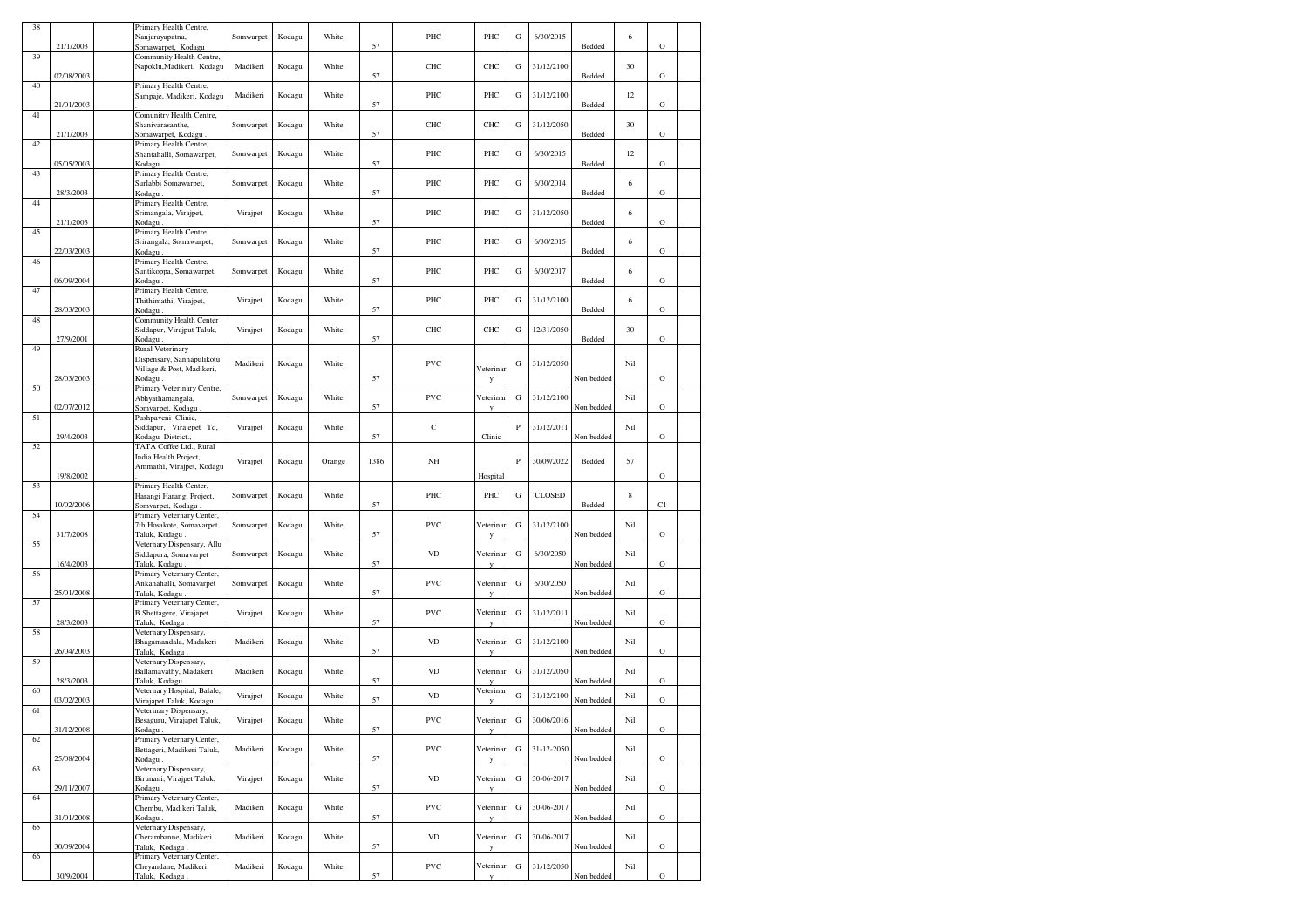| 38 |            | Primary Health Centre,                                       |           |        |        |      |              |                |           |               |            |     |             |  |
|----|------------|--------------------------------------------------------------|-----------|--------|--------|------|--------------|----------------|-----------|---------------|------------|-----|-------------|--|
|    | 21/1/2003  | Nanjarayapatna,<br>Somawarpet, Kodagu                        | Somwarpet | Kodagu | White  | 57   | PHC          | PHC            | G         | 6/30/2015     | Bedded     | 6   | O           |  |
| 39 |            | Community Health Centre,                                     |           |        |        |      |              |                |           |               |            |     |             |  |
|    |            | Napoklu, Madikeri, Kodagu                                    | Madikeri  | Kodagu | White  |      | CHC          | CHC            | G         | 31/12/2100    |            | 30  |             |  |
| 40 | 02/08/2003 | Primary Health Centre,                                       |           |        |        | 57   |              |                |           |               | Bedded     |     | $\circ$     |  |
|    |            | Sampaje, Madikeri, Kodagu                                    | Madikeri  | Kodagu | White  |      | PHC          | PHC            | G         | 31/12/2100    |            | 12  |             |  |
|    | 21/01/2003 |                                                              |           |        |        | 57   |              |                |           |               | Bedded     |     | $\circ$     |  |
| 41 |            | Comunitry Health Centre,<br>Shanivarasanthe,                 | Somwarpet | Kodagu | White  |      | CHC          | CHC            | G         | 31/12/2050    |            | 30  |             |  |
|    | 21/1/2003  | Somawarpet, Kodagu                                           |           |        |        | 57   |              |                |           |               | Bedded     |     | $\circ$     |  |
| 42 |            | Primary Health Centre,                                       |           |        |        |      |              |                |           |               |            |     |             |  |
|    | 05/05/2003 | Shantahalli, Somawarpet,<br>Kodagu                           | Somwarpet | Kodagu | White  | 57   | PHC          | PHC            | G         | 6/30/2015     | Bedded     | 12  | $\circ$     |  |
| 43 |            | Primary Health Centre,                                       |           |        |        |      |              |                |           |               |            |     |             |  |
|    |            | Surlabbi Somawarpet,                                         | Somwarpet | Kodagu | White  |      | PHC          | PHC            | G         | 6/30/2014     |            | 6   |             |  |
| 44 | 28/3/2003  | Kodagu<br>Primary Health Centre,                             |           |        |        | 57   |              |                |           |               | Bedded     |     | $\circ$     |  |
|    |            | Srimangala, Virajpet,                                        | Virajpet  | Kodagu | White  |      | PHC          | PHC            | G         | 31/12/2050    |            | 6   |             |  |
|    | 21/1/2003  | Kodagu                                                       |           |        |        | 57   |              |                |           |               | Bedded     |     | $\circ$     |  |
| 45 |            | Primary Health Centre,                                       |           |        | White  |      | PHC          | PHC            |           | 6/30/2015     |            | 6   |             |  |
|    | 22/03/2003 | Srirangala, Somawarpet,<br>Kodagu                            | Somwarpet | Kodagu |        | 57   |              |                | G         |               | Bedded     |     | $\mathbf O$ |  |
| 46 |            | Primary Health Centre,                                       |           |        |        |      |              |                |           |               |            |     |             |  |
|    |            | Suntikoppa, Somawarpet,                                      | Somwarpet | Kodagu | White  |      | PHC          | PHC            | G         | 6/30/2017     |            | 6   |             |  |
| 47 | 06/09/2004 | Kodagu<br>Primary Health Centre,                             |           |        |        | 57   |              |                |           |               | Bedded     |     | $\mathbf O$ |  |
|    |            | Thithimathi, Virajpet,                                       | Virajpet  | Kodagu | White  |      | PHC          | PHC            | G         | 31/12/2100    |            | 6   |             |  |
|    | 28/03/2003 | Kodagu.                                                      |           |        |        | 57   |              |                |           |               | Bedded     |     | O           |  |
| 48 |            | Community Health Center<br>Siddapur, Virajput Taluk,         | Virajpet  | Kodagu | White  |      | CHC          | CHC            | G         | 12/31/2050    |            | 30  |             |  |
|    | 27/9/2001  | Kodagu.                                                      |           |        |        | 57   |              |                |           |               | Bedded     |     | $\circ$     |  |
| 49 |            | Rural Veterinary                                             |           |        |        |      |              |                |           |               |            |     |             |  |
|    |            | Dispensary, Sannapulikotu                                    | Madikeri  | Kodagu | White  |      | <b>PVC</b>   | Veterinar      | G         | 31/12/2050    |            | Nil |             |  |
|    | 28/03/2003 | Village & Post, Madikeri,<br>Kodagu                          |           |        |        | 57   |              | V              |           |               | Non bedded |     | $\circ$     |  |
| 50 |            | Primary Veterinary Centre,                                   |           |        |        |      |              |                |           |               |            |     |             |  |
|    |            | Abhyathamangala,                                             | Somwarpet | Kodagu | White  |      | PVC          | Veterinai      | ${\bf G}$ | 31/12/2100    |            | Nil |             |  |
| 51 | 02/07/2012 | Somvarpet, Kodagu<br>Pushpaveni Clinic,                      |           |        |        | 57   |              |                |           |               | Non bedded |     | $\circ$     |  |
|    |            | Siddapur, Virajepet Tq,                                      | Virajpet  | Kodagu | White  |      | $\mathbf C$  |                | P         | 31/12/2011    |            | Nil |             |  |
|    | 29/4/2003  | Kodagu District.,                                            |           |        |        | 57   |              | Clinic         |           |               | Non bedded |     | $\circ$     |  |
| 52 |            | TATA Coffee Ltd., Rural<br>India Health Project,             |           |        |        |      |              |                |           |               |            |     |             |  |
|    |            | Ammathi, Virajpet, Kodagu                                    | Virajpet  | Kodagu | Orange | 1386 | NH           |                | P         | 30/09/2022    | Bedded     | 57  |             |  |
|    | 19/8/2002  |                                                              |           |        |        |      |              | Hospital       |           |               |            |     | $\circ$     |  |
| 53 |            | Primary Health Center,<br>Harangi Harangi Project,           | Somwarpet | Kodagu | White  |      | PHC          | PHC            | G         | <b>CLOSED</b> |            | 8   |             |  |
|    | 10/02/2006 | Somvarpet, Kodagu                                            |           |        |        | 57   |              |                |           |               | Bedded     |     | C1          |  |
| 54 |            | Primary Veternary Center,                                    |           |        |        |      |              |                |           |               |            |     |             |  |
|    | 31/7/2008  | 7th Hosakote, Somavarpet<br>Taluk, Kodagu                    | Somwarpet | Kodagu | White  | 57   | <b>PVC</b>   | Veterinar<br>y | G         | 31/12/2100    | Non bedded | Nil | $\mathbf O$ |  |
| 55 |            | Veternary Dispensary, Allu                                   |           |        |        |      |              |                |           |               |            |     |             |  |
|    |            | Siddapura, Somavarpet                                        | Somwarpet | Kodagu | White  |      | <b>VD</b>    | Veterinar      | G         | 6/30/2050     |            | Nil |             |  |
| 56 | 16/4/2003  | Taluk, Kodagu.<br>Primary Veternary Center,                  |           |        |        | 57   |              | v              |           |               | Non bedded |     | $\circ$     |  |
|    |            | Ankanahalli, Somavarpet                                      | Somwarpet | Kodagu | White  |      | <b>PVC</b>   | Veterinar      | G         | 6/30/2050     |            | Nil |             |  |
|    | 25/01/2008 | Taluk, Kodagu                                                |           |        |        | 57   |              |                |           |               | Non bedded |     | $\circ$     |  |
| 57 |            | Primary Veternary Center,<br><b>B.Shettagere</b> , Virajapet | Virajpet  | Kodagu | White  |      | <b>PVC</b>   | Veterinai      | G         | 31/12/2011    |            | Nil |             |  |
|    | 28/3/2003  | Taluk, Kodagu.                                               |           |        |        | 57   |              |                |           |               | Non bedded |     | $\circ$     |  |
| 58 |            | Veternary Dispensary,                                        |           |        |        |      |              |                |           |               |            |     |             |  |
|    | 26/04/2003 | Bhagamandala, Madakeri<br>Taluk, Kodagu                      | Madikeri  | Kodagu | White  | 57   | <b>VD</b>    | Veterinar      | G         | 31/12/2100    | Non bedded | Nil | $\circ$     |  |
| 59 |            | Veternary Dispensary,                                        |           |        |        |      |              |                |           |               |            |     |             |  |
|    |            | Ballamavathy, Madakeri                                       | Madikeri  | Kodagu | White  |      | <b>VD</b>    | Veterinar      | G         | 31/12/2050    |            | Nil |             |  |
| 60 | 28/3/2003  | Taluk, Kodagu<br>Veternary Hospital, Balale,                 |           |        |        | 57   |              | Veterinar      |           |               | Non bedded |     | $\mathbf O$ |  |
|    | 03/02/2003 | Virajapet Taluk, Kodagu.                                     | Virajpet  | Kodagu | White  | 57   | <b>VD</b>    |                | G         | 31/12/2100    | Non bedded | Nil | $\circ$     |  |
| 61 |            | Veterinary Dispensary,                                       |           |        |        |      |              |                |           |               |            |     |             |  |
|    | 31/12/2008 | Besaguru, Virajapet Taluk,                                   | Virajpet  | Kodagu | White  | 57   | PVC          | √eterinar      | G         | 30/06/2016    | Non bedded | Nil | $\mathbf O$ |  |
| 62 |            | Kodagu.<br>Primary Veternary Center,                         |           |        |        |      |              | y              |           |               |            |     |             |  |
|    |            | Bettageri, Madikeri Taluk,                                   | Madikeri  | Kodagu | White  |      | PVC          | Veterinar      | G         | 31-12-2050    |            | Nil |             |  |
|    | 25/08/2004 | Kodagu.                                                      |           |        |        | 57   |              | у              |           |               | Non bedded |     | $\mathbf O$ |  |
| 63 |            | Veternary Dispensary,<br>Birunani, Virajpet Taluk,           | Virajpet  | Kodagu | White  |      | $_{\rm V D}$ | Veterinar      | ${\bf G}$ | 30-06-2017    |            | Nil |             |  |
|    | 29/11/2007 | Kodagu.                                                      |           |        |        | 57   |              | y              |           |               | Non bedded |     | $\mathbf O$ |  |
| 64 |            | Primary Veternary Center,                                    |           |        |        |      |              |                |           |               |            |     |             |  |
|    | 31/01/2008 | Chembu, Madikeri Taluk,<br>Kodagu.                           | Madikeri  | Kodagu | White  | 57   | PVC          | Veterinar<br>y | ${\bf G}$ | 30-06-2017    | Non bedded | Nil | $\mathbf O$ |  |
| 65 |            | Veternary Dispensary,                                        |           |        |        |      |              |                |           |               |            |     |             |  |
|    |            | Cherambanne, Madikeri                                        | Madikeri  | Kodagu | White  |      | $_{\rm V D}$ | Veterinar      | G         | 30-06-2017    |            | Nil |             |  |
| 66 | 30/09/2004 | Taluk, Kodagu<br>Primary Veternary Center,                   |           |        |        | 57   |              | у              |           |               | Non bedded |     | $\mathbf O$ |  |
|    |            | Cheyandane, Madikeri                                         | Madikeri  | Kodagu | White  |      | PVC          | Veterinar      | G         | 31/12/2050    |            | Nil |             |  |
|    | 30/9/2004  | Taluk, Kodagu.                                               |           |        |        | 57   |              | y              |           |               | Non bedded |     | $\mathbf O$ |  |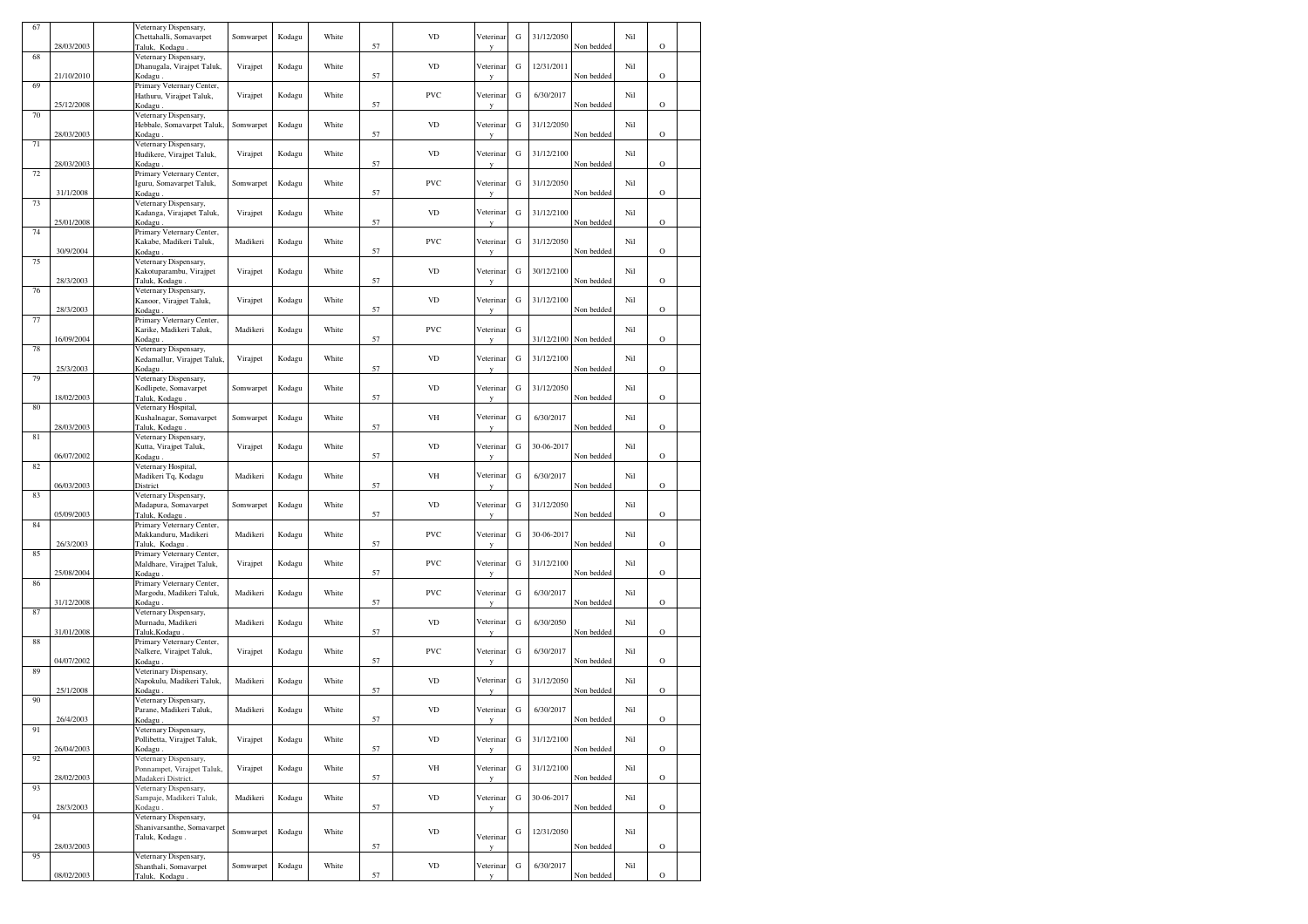| 67 | 28/03/2003 | Veternary Dispensary,<br>Chettahalli, Somavarpet<br>Taluk, Kodagu          | Somwarpet | Kodagu | White | 57 | <b>VD</b>  | Veterinar<br>V            | G         | 31/12/2050 | Non bedded | Nil | $\mathbf O$    |  |
|----|------------|----------------------------------------------------------------------------|-----------|--------|-------|----|------------|---------------------------|-----------|------------|------------|-----|----------------|--|
| 68 |            | Veternary Dispensary,<br>Dhanugala, Virajpet Taluk,                        | Virajpet  | Kodagu | White |    | <b>VD</b>  | Veterinar                 | G         | 12/31/2011 |            | Nil |                |  |
| 69 | 21/10/2010 | Kodagu.<br>Primary Veternary Center,<br>Hathuru, Virajpet Taluk,           | Virajpet  | Kodagu | White | 57 | PVC        | Veterinar                 | G         | 6/30/2017  | Non bedded | Nil | $\circ$        |  |
| 70 | 25/12/2008 | Kodagu.<br>Veternary Dispensary,                                           |           |        |       | 57 | <b>VD</b>  |                           |           |            | Non bedded |     | $\mathbf O$    |  |
| 71 | 28/03/2003 | Hebbale, Somavarpet Taluk,<br>Kodagu<br>Veternary Dispensary,              | Somwarpet | Kodagu | White | 57 |            | Veterinar                 | G         | 31/12/2050 | Non bedded | Nil | $\circ$        |  |
| 72 | 28/03/2003 | Hudikere, Virajpet Taluk,<br>Kodagu<br>Primary Veternary Center,           | Virajpet  | Kodagu | White | 57 | <b>VD</b>  | Veterinar                 | G         | 31/12/2100 | Non bedded | Nil | $\circ$        |  |
|    | 31/1/2008  | Iguru, Somavarpet Taluk,<br>Kodagu.                                        | Somwarpet | Kodagu | White | 57 | PVC        | Veterinar                 | G         | 31/12/2050 | Non bedded | Nil | $\circ$        |  |
| 73 | 25/01/2008 | Veternary Dispensary,<br>Kadanga, Virajapet Taluk,<br>Kodagu               | Virajpet  | Kodagu | White | 57 | <b>VD</b>  | Veterinar<br>y            | G         | 31/12/2100 | Non bedded | Nil | $\mathbf O$    |  |
| 74 | 30/9/2004  | Primary Veternary Center,<br>Kakabe, Madikeri Taluk,<br>Kodagu             | Madikeri  | Kodagu | White | 57 | PVC        | Veterinar<br>V            | G         | 31/12/2050 | Non bedded | Nil | $\mathbf O$    |  |
| 75 | 28/3/2003  | Veternary Dispensary,<br>Kakotuparambu, Virajpet<br>Taluk, Kodagu.         | Virajpet  | Kodagu | White | 57 | <b>VD</b>  | Veterinar                 | ${\bf G}$ | 30/12/2100 | Non bedded | Nil | $\mathbf O$    |  |
| 76 | 28/3/2003  | Veternary Dispensary,<br>Kanoor, Virajpet Taluk,<br>Kodagu.                | Virajpet  | Kodagu | White | 57 | <b>VD</b>  | Veterinar                 | G         | 31/12/2100 | Non bedded | Nil | $\mathbf O$    |  |
| 77 | 16/09/2004 | Primary Veternary Center,<br>Karike, Madikeri Taluk,<br>Kodagu.            | Madikeri  | Kodagu | White | 57 | PVC        | Veterinar                 | G         | 31/12/2100 | Non bedded | Nil | $\circ$        |  |
| 78 | 25/3/2003  | Veternary Dispensary,<br>Kedamallur, Virajpet Taluk,<br>Kodagu             | Virajpet  | Kodagu | White | 57 | <b>VD</b>  | Veterinar                 | G         | 31/12/2100 | Non bedded | Nil | $\circ$        |  |
| 79 | 18/02/2003 | Veternary Dispensary,<br>Kodlipete, Somavarpet<br>Taluk, Kodagu.           | Somwarpet | Kodagu | White | 57 | <b>VD</b>  | Veterinar                 | G         | 31/12/2050 | Non bedded | Nil | $\overline{O}$ |  |
| 80 | 28/03/2003 | Veternary Hospital,<br>Kushalnagar, Somavarpet<br>Taluk, Kodagu            | Somwarpet | Kodagu | White | 57 | VH         | Veterinar<br>y            | G         | 6/30/2017  | Non bedded | Nil | $\mathbf O$    |  |
| 81 | 06/07/2002 | Veternary Dispensary,<br>Kutta, Virajpet Taluk,<br>Kodagu.                 | Virajpet  | Kodagu | White | 57 | <b>VD</b>  | Veterinar<br>$\mathbf{v}$ | G         | 30-06-2017 | Non bedded | Nil | $\mathbf O$    |  |
| 82 | 06/03/2003 | Veternary Hospital,<br>Madikeri Tq, Kodagu                                 | Madikeri  | Kodagu | White | 57 | VH         | Veterinar                 | ${\bf G}$ | 6/30/2017  | Non bedded | Nil | $\mathbf O$    |  |
| 83 | 05/09/2003 | District<br>Veternary Dispensary,<br>Madapura, Somavarpet<br>Taluk, Kodagu | Somwarpet | Kodagu | White | 57 | <b>VD</b>  | Veterinar                 | G         | 31/12/2050 | Non bedded | Nil | $\rm{O}$       |  |
| 84 | 26/3/2003  | Primary Veternary Center,<br>Makkanduru, Madikeri<br>Taluk, Kodagu         | Madikeri  | Kodagu | White | 57 | PVC        | Veterinar<br>N            | G         | 30-06-2017 | Non bedded | Nil | $\circ$        |  |
| 85 | 25/08/2004 | Primary Veternary Center,<br>Maldhare, Virajpet Taluk,                     | Virajpet  | Kodagu | White | 57 | <b>PVC</b> | Veterinar                 | G         | 31/12/2100 |            | Nil | $\circ$        |  |
| 86 |            | Kodagu.<br>Primary Veternary Center,<br>Margodu, Madikeri Taluk,           | Madikeri  | Kodagu | White |    | PVC        | Veterinar                 | ${\bf G}$ | 6/30/2017  | Non bedded | Nil |                |  |
| 87 | 31/12/2008 | Kodagu<br>Veternary Dispensary,<br>Murnadu, Madikeri                       | Madikeri  | Kodagu | White | 57 | VD         | Veterinar                 | G         | 6/30/2050  | Non bedded | Nil | $\circ$        |  |
| 88 | 31/01/2008 | Taluk, Kodagu<br>Primary Veternary Center,<br>Nalkere, Virajpet Taluk,     | Virajpet  | Kodagu | White | 57 | PVC        | Veterinar                 | G         | 6/30/2017  | Non bedded | Nil | $\circ$        |  |
| 89 | 04/07/2002 | Kodagu<br>Veterinary Dispensary,<br>Napokulu, Madikeri Taluk,              | Madikeri  | Kodagu | White | 57 | <b>VD</b>  | y<br>Veterinar            | G         | 31/12/2050 | Non bedded | Nil | $\mathbf O$    |  |
| 90 | 25/1/2008  | Kodagu<br>Veternary Dispensary,<br>Parane, Madikeri Taluk,                 | Madikeri  | Kodagu | White | 57 | VD         | Veterinar                 | G         | 6/30/2017  | Non bedded | Nil | $\rm{O}$       |  |
| 91 | 26/4/2003  | Kodagu<br>Veternary Dispensary,<br>Pollibetta, Virajpet Taluk,             | Virajpet  | Kodagu | White | 57 | <b>VD</b>  | Veterinar                 | ${\bf G}$ | 31/12/2100 | Non bedded | Nil | ∩              |  |
| 92 | 26/04/2003 | Kodagu.<br>Veternary Dispensary,<br>Ponnampet, Virajpet Taluk,             | Virajpet  | Kodagu | White | 57 | VH         | v<br>Veterinar            | G         | 31/12/2100 | Non bedded | Nil | $\mathbf O$    |  |
| 93 | 28/02/2003 | Madakeri District.<br>Veternary Dispensary,<br>Sampaje, Madikeri Taluk,    | Madikeri  | Kodagu | White | 57 | <b>VD</b>  | V<br>Veterinar            | ${\bf G}$ | 30-06-2017 | Non bedded | Nil | $\mathbf O$    |  |
| 94 | 28/3/2003  | Kodagu.<br>Veternary Dispensary,                                           |           |        |       | 57 |            |                           |           |            | Non bedded |     | $\circ$        |  |
|    | 28/03/2003 | Shanivarsanthe, Somavarpet<br>Taluk, Kodagu.                               | Somwarpet | Kodagu | White | 57 | VD         | Veterinar<br>y            | G         | 12/31/2050 | Non bedded | Nil | $\mathbf O$    |  |
| 95 | 08/02/2003 | Veternary Dispensary,<br>Shanthali, Somavarpet<br>Taluk, Kodagu.           | Somwarpet | Kodagu | White | 57 | VD         | Veterinar<br>y            | ${\bf G}$ | 6/30/2017  | Non bedded | Nil | $\mathbf O$    |  |
|    |            |                                                                            |           |        |       |    |            |                           |           |            |            |     |                |  |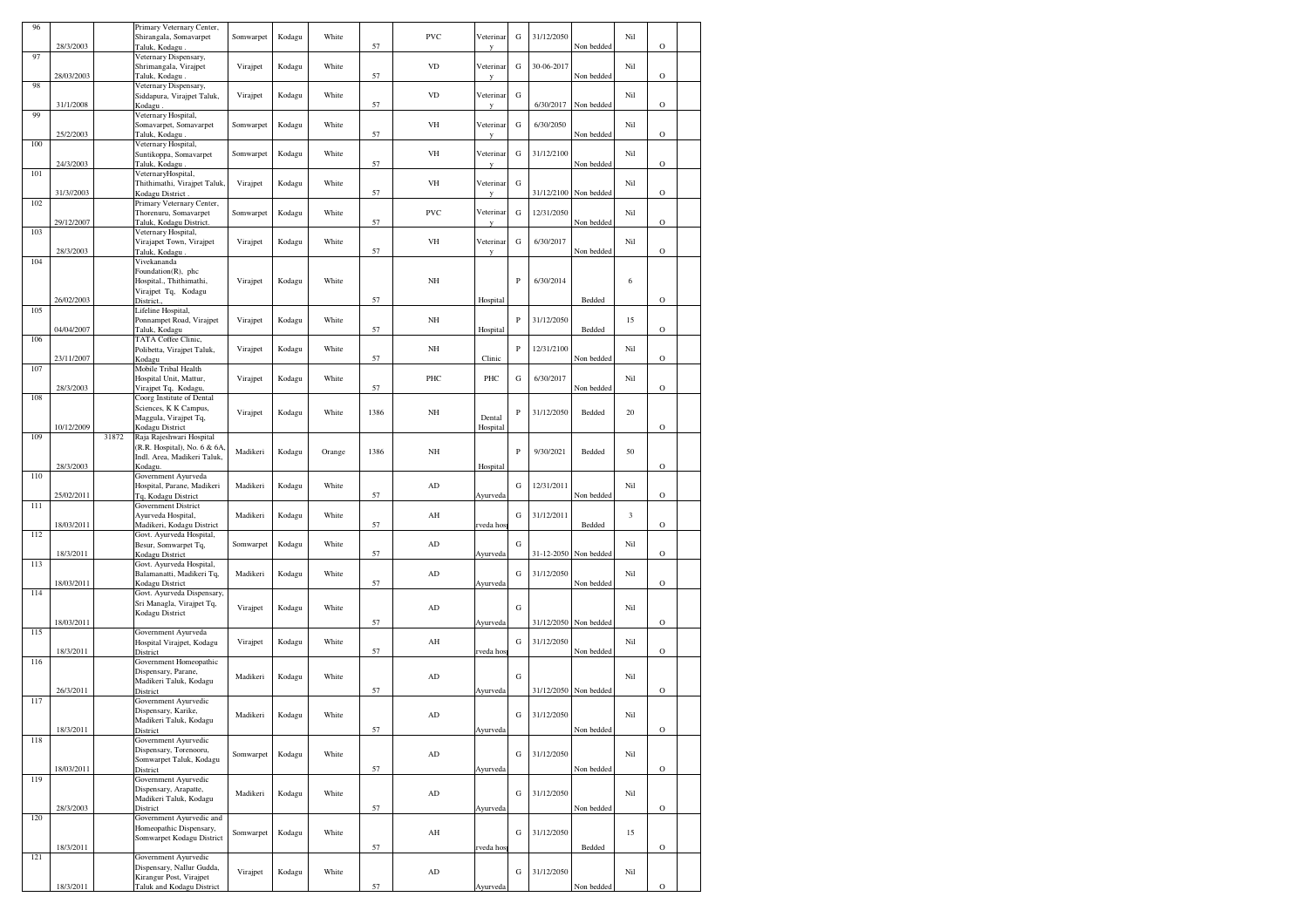|     |            |       | Primary Veternary Center,                            |           |        |        |      |                        |            |              |            |            |            |             |  |
|-----|------------|-------|------------------------------------------------------|-----------|--------|--------|------|------------------------|------------|--------------|------------|------------|------------|-------------|--|
| 96  |            |       | Shirangala, Somavarpet                               | Somwarpet | Kodagu | White  |      | <b>PVC</b>             | Veterinar  | G            | 31/12/2050 |            | Nil        |             |  |
|     | 28/3/2003  |       | Taluk, Kodagu                                        |           |        |        | 57   |                        |            |              |            | Non bedded |            | $\circ$     |  |
| 97  |            |       | Veternary Dispensary,                                |           |        |        |      |                        |            |              |            |            |            |             |  |
|     |            |       | Shrimangala, Virajpet                                | Virajpet  | Kodagu | White  |      | <b>VD</b>              | Veterinar  | G            | 30-06-2017 |            | Nil        |             |  |
|     | 28/03/2003 |       | Taluk, Kodagu.                                       |           |        |        | 57   |                        |            |              |            | Non bedded |            | $\mathbf O$ |  |
| 98  |            |       | Veternary Dispensary,                                |           |        |        |      |                        |            |              |            |            |            |             |  |
|     |            |       | Siddapura, Virajpet Taluk,                           | Virajpet  | Kodagu | White  |      | <b>VD</b>              | Veterinar  | G            |            |            | Nil        |             |  |
|     | 31/1/2008  |       | Kodagu.                                              |           |        |        | 57   |                        |            |              | 6/30/2017  | Non bedded |            | $\mathbf O$ |  |
| 99  |            |       | Veternary Hospital,                                  |           |        |        |      |                        |            |              |            |            |            |             |  |
|     |            |       | Somavarpet, Somavarpet                               | Somwarpet | Kodagu | White  |      | VH                     | Veterinar  | G            | 6/30/2050  |            | Nil        |             |  |
| 100 | 25/2/2003  |       | Taluk, Kodagu.<br>Veternary Hospital,                |           |        |        | 57   |                        | V          |              |            | Non bedded |            | $\circ$     |  |
|     |            |       | Suntikoppa, Somavarpet                               | Somwarpet | Kodagu | White  |      | VH                     | Veterinar  | G            | 31/12/2100 |            | Nil        |             |  |
|     | 24/3/2003  |       | Taluk, Kodagu                                        |           |        |        | 57   |                        |            |              |            | Non bedded |            | $\circ$     |  |
| 101 |            |       | VeternaryHospital,                                   |           |        |        |      |                        |            |              |            |            |            |             |  |
|     |            |       | Thithimathi, Virajpet Taluk                          | Virajpet  | Kodagu | White  |      | VH                     | Veterinar  | G            |            |            | Nil        |             |  |
|     | 31/3//2003 |       | Kodagu District                                      |           |        |        | 57   |                        |            |              | 31/12/2100 | Non bedded |            | $\circ$     |  |
| 102 |            |       | Primary Veternary Center,                            |           |        |        |      |                        |            |              |            |            |            |             |  |
|     |            |       | Thorenuru, Somavarpet                                | Somwarpet | Kodagu | White  |      | <b>PVC</b>             | Veterinar  | ${\bf G}$    | 12/31/2050 |            | Nil        |             |  |
|     | 29/12/2007 |       | Taluk, Kodagu District.                              |           |        |        | 57   |                        |            |              |            | Non bedded |            | $\circ$     |  |
| 103 |            |       | Veternary Hospital,                                  |           |        |        |      |                        |            |              |            |            |            |             |  |
|     |            |       | Virajapet Town, Virajpet                             | Virajpet  | Kodagu | White  |      | VH                     | Veterinar  | G            | 6/30/2017  |            | Nil        |             |  |
| 104 | 28/3/2003  |       | Taluk, Kodagu                                        |           |        |        | 57   |                        |            |              |            | Non bedded |            | $\circ$     |  |
|     |            |       | Vivekananda<br>Foundation(R), phc                    |           |        |        |      |                        |            |              |            |            |            |             |  |
|     |            |       | Hospital., Thithimathi,                              | Virajpet  | Kodagu | White  |      | NH                     |            | P            | 6/30/2014  |            | 6          |             |  |
|     |            |       | Virajpet Tq, Kodagu                                  |           |        |        |      |                        |            |              |            |            |            |             |  |
|     | 26/02/2003 |       | District.                                            |           |        |        | 57   |                        | Hospital   |              |            | Bedded     |            | $\circ$     |  |
| 105 |            |       | Lifeline Hospital,                                   |           |        |        |      |                        |            |              |            |            |            |             |  |
|     |            |       | Ponnampet Road, Virajpet                             | Virajpet  | Kodagu | White  |      | NH                     |            | $\, {\bf P}$ | 31/12/2050 |            | 15         |             |  |
|     | 04/04/2007 |       | Taluk, Kodagu                                        |           |        |        | 57   |                        | Hospital   |              |            | Bedded     |            | $\circ$     |  |
| 106 |            |       | TATA Coffee Clinic,                                  |           |        |        |      |                        |            |              |            |            |            |             |  |
|     |            |       | Polibetta, Virajpet Taluk,                           | Virajpet  | Kodagu | White  |      | NH                     |            | $\, {\bf P}$ | 12/31/2100 |            | Nil        |             |  |
|     | 23/11/2007 |       | Kodagu                                               |           |        |        | 57   |                        | Clinic     |              |            | Non bedded |            | $\circ$     |  |
| 107 |            |       | Mobile Tribal Health<br>Hospital Unit, Mattur,       |           |        |        |      | PHC                    |            |              |            |            | Nil        |             |  |
|     | 28/3/2003  |       |                                                      | Virajpet  | Kodagu | White  | 57   |                        | PHC        | G            | 6/30/2017  | Non bedded |            | $\circ$     |  |
| 108 |            |       | Virajpet Tq, Kodagu,<br>Coorg Institute of Dental    |           |        |        |      |                        |            |              |            |            |            |             |  |
|     |            |       | Sciences, K K Campus,                                |           |        |        |      |                        |            |              |            |            |            |             |  |
|     |            |       | Maggula, Virajpet Tq,                                | Virajpet  | Kodagu | White  | 1386 | NH                     | Dental     | P            | 31/12/2050 | Bedded     | 20         |             |  |
|     | 10/12/2009 |       | Kodagu District                                      |           |        |        |      |                        | Hospital   |              |            |            |            | $\circ$     |  |
| 109 |            | 31872 | Raja Rajeshwari Hospital                             |           |        |        |      |                        |            |              |            |            |            |             |  |
|     |            |       | (R.R. Hospital), No. 6 & 6A                          | Madikeri  | Kodagu | Orange | 1386 | $_{\rm NH}$            |            | $\, {\bf P}$ | 9/30/2021  | Bedded     | 50         |             |  |
|     |            |       | Indl. Area, Madikeri Taluk,                          |           |        |        |      |                        |            |              |            |            |            |             |  |
|     | 28/3/2003  |       | Kodagu.                                              |           |        |        |      |                        | Hospital   |              |            |            |            | $\circ$     |  |
| 110 |            |       | Government Ayurveda                                  |           |        |        |      |                        |            |              |            |            |            |             |  |
|     | 25/02/2011 |       | Hospital, Parane, Madikeri<br>Tq, Kodagu District    | Madikeri  | Kodagu | White  | 57   | AD                     | Ayurveda   | G            | 12/31/2011 | Non bedded | Nil        | $\mathbf O$ |  |
| 111 |            |       | Government District                                  |           |        |        |      |                        |            |              |            |            |            |             |  |
|     |            |       |                                                      |           |        |        |      |                        |            | G            | 31/12/2011 |            |            |             |  |
|     |            |       |                                                      |           |        |        |      |                        |            |              |            |            |            | $\circ$     |  |
| 112 | 18/03/2011 |       | Ayurveda Hospital,                                   | Madikeri  | Kodagu | White  |      | AH                     |            |              |            | Bedded     | $\sqrt{3}$ |             |  |
|     |            |       | Madikeri, Kodagu District                            |           |        |        | 57   |                        | rveda hos  |              |            |            |            |             |  |
|     |            |       | Govt. Ayurveda Hospital,<br>Besur, Somwarpet Tq,     | Somwarpet | Kodagu | White  |      | AD                     |            | G            |            |            | Nil        |             |  |
|     | 18/3/2011  |       | Kodagu District                                      |           |        |        | 57   |                        | Ayurveda   |              | 31-12-2050 | Non bedded |            | $\circ$     |  |
| 113 |            |       | Govt. Ayurveda Hospital,                             |           |        |        |      |                        |            |              |            |            |            |             |  |
|     |            |       | Balamanatti, Madikeri Tq,                            | Madikeri  | Kodagu | White  |      | AD                     |            | G            | 31/12/2050 |            | Nil        |             |  |
|     | 18/03/2011 |       | Kodagu District                                      |           |        |        | 57   |                        | Ayurveda   |              |            | Non bedded |            | $\circ$     |  |
| 114 |            |       | Govt. Ayurveda Dispensary,                           |           |        |        |      |                        |            |              |            |            |            |             |  |
|     |            |       | Sri Managla, Virajpet Tq,                            | Virajpet  | Kodagu | White  |      | ${\rm AD}$             |            | ${\bf G}$    |            |            | Nil        |             |  |
|     | 18/03/2011 |       | Kodagu District                                      |           |        |        | 57   |                        |            |              | 31/12/2050 | Non bedded |            | $\circ$     |  |
| 115 |            |       | Government Ayurveda                                  |           |        |        |      |                        | Ayurveda   |              |            |            |            |             |  |
|     |            |       | Hospital Virajpet, Kodagu                            | Virajpet  | Kodagu | White  |      | AH                     |            | G            | 31/12/2050 |            | Nil        |             |  |
|     | 18/3/2011  |       | District                                             |           |        |        | 57   |                        | rveda hosp |              |            | Non bedded |            | $\circ$     |  |
| 116 |            |       | Government Homeopathic                               |           |        |        |      |                        |            |              |            |            |            |             |  |
|     |            |       | Dispensary, Parane,                                  | Madikeri  | Kodagu | White  |      | AD                     |            | G            |            |            | Nil        |             |  |
|     |            |       | Madikeri Taluk, Kodagu                               |           |        |        |      |                        |            |              |            |            |            |             |  |
|     | 26/3/2011  |       | Distric                                              |           |        |        | 57   |                        | Ayurveda   |              | 31/12/2050 | Non bedded |            | $\circ$     |  |
| 117 |            |       | Government Ayurvedic                                 |           |        |        |      |                        |            |              |            |            |            |             |  |
|     |            |       | Dispensary, Karike,                                  | Madikeri  | Kodagu | White  |      | ${\rm AD}$             |            | G            | 31/12/2050 |            | Nil        |             |  |
|     | 18/3/2011  |       | Madikeri Taluk, Kodagu<br>District                   |           |        |        | 57   |                        | Ayurveda   |              |            | Non bedded |            | $\circ$     |  |
| 118 |            |       | Government Ayurvedic                                 |           |        |        |      |                        |            |              |            |            |            |             |  |
|     |            |       | Dispensary, Torenooru,                               |           |        |        |      |                        |            |              |            |            |            |             |  |
|     |            |       | Somwarpet Taluk, Kodagu                              | Somwarpet | Kodagu | White  |      | AD                     |            | G            | 31/12/2050 |            | Nil        |             |  |
|     | 18/03/2011 |       | District                                             |           |        |        | 57   |                        | Ayurveda   |              |            | Non bedded |            | $\rm{O}$    |  |
| 119 |            |       | Government Ayurvedic                                 |           |        |        |      |                        |            |              |            |            |            |             |  |
|     |            |       | Dispensary, Arapatte,                                | Madikeri  | Kodagu | White  |      | AD                     |            | G            | 31/12/2050 |            | Nil        |             |  |
|     |            |       | Madikeri Taluk, Kodagu                               |           |        |        |      |                        |            |              |            |            |            |             |  |
|     | 28/3/2003  |       | District                                             |           |        |        | 57   |                        | Ayurveda   |              |            | Non bedded |            | $\circ$     |  |
| 120 |            |       | Government Ayurvedic and                             |           |        |        |      |                        |            |              |            |            |            |             |  |
|     |            |       | Homeopathic Dispensary,<br>Somwarpet Kodagu District | Somwarpet | Kodagu | White  |      | AH                     |            | G            | 31/12/2050 |            | 15         |             |  |
|     | 18/3/2011  |       |                                                      |           |        |        | 57   |                        | rveda hosp |              |            | Bedded     |            | $\mathbf O$ |  |
| 121 |            |       | Government Ayurvedic                                 |           |        |        |      |                        |            |              |            |            |            |             |  |
|     |            |       | Dispensary, Nallur Gudda,                            |           | Kodagu | White  |      | $\mathbf{A}\mathbf{D}$ |            | G            | 31/12/2050 |            | Nil        |             |  |
|     | 18/3/2011  |       | Kirangur Post, Virajpet<br>Taluk and Kodagu District | Virajpet  |        |        | 57   |                        | Ayurveda   |              |            | Non bedded |            | $\mathbf O$ |  |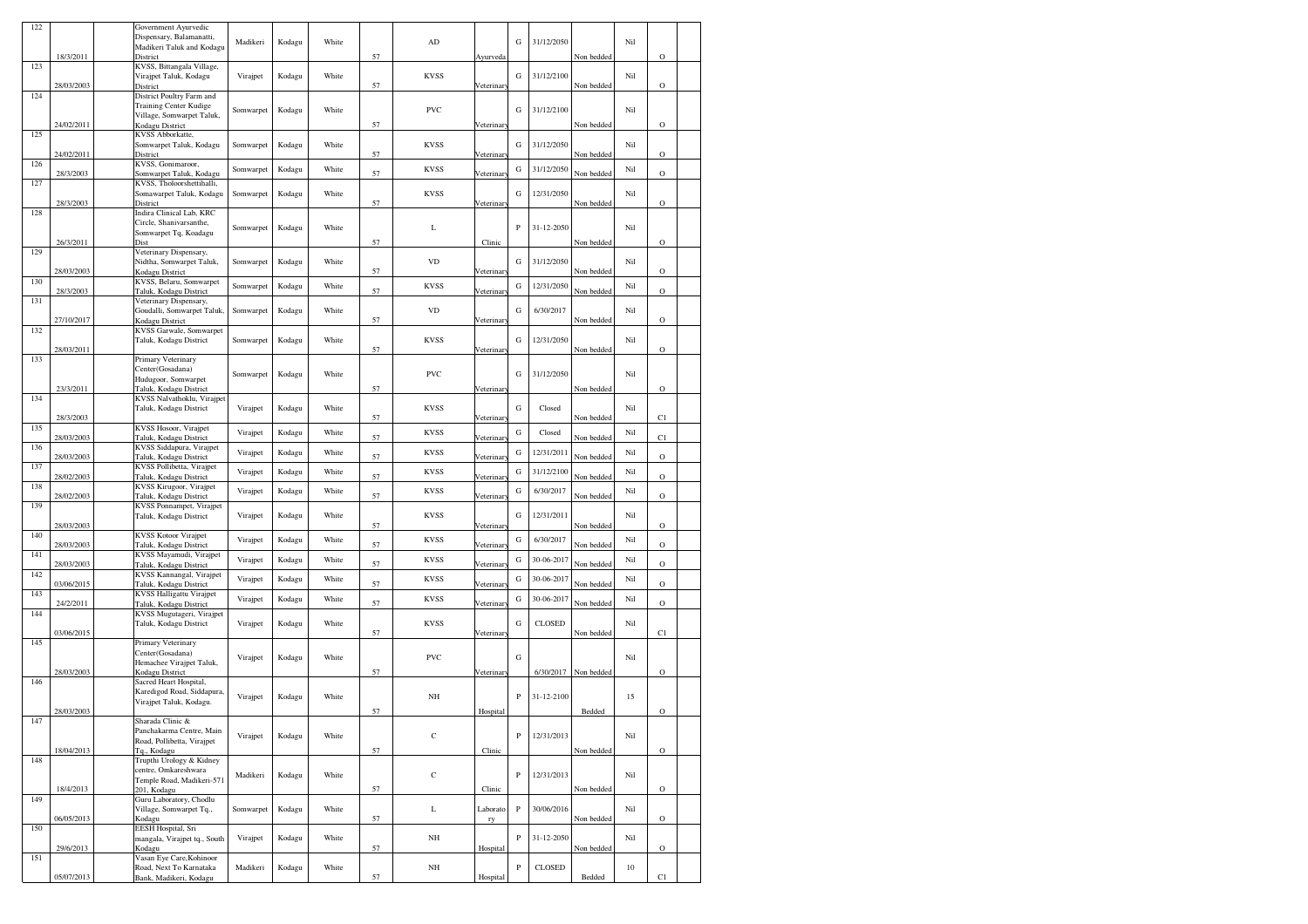| 122 |            | Government Ayurvedic                                  |           |        |       |    |             |            |              |               |            |     |             |  |
|-----|------------|-------------------------------------------------------|-----------|--------|-------|----|-------------|------------|--------------|---------------|------------|-----|-------------|--|
|     |            | Dispensary, Balamanatti,<br>Madikeri Taluk and Kodagu | Madikeri  | Kodagu | White |    | AD          |            | G            | 31/12/2050    |            | Nil |             |  |
|     | 18/3/2011  | District                                              |           |        |       | 57 |             | Ayurveda   |              |               | Non bedded |     | $\circ$     |  |
| 123 |            | KVSS, Bittangala Village,                             |           |        |       |    |             |            |              |               |            |     |             |  |
|     | 28/03/2003 | Virajpet Taluk, Kodagu<br>District                    | Virajpet  | Kodagu | White | 57 | <b>KVSS</b> | Veterinar  | G            | 31/12/2100    | Non bedded | Nil | О           |  |
| 124 |            | District Poultry Farm and                             |           |        |       |    |             |            |              |               |            |     |             |  |
|     |            | Training Center Kudige                                | Somwarpet | Kodagu | White |    | <b>PVC</b>  |            | G            | 31/12/2100    |            | Nil |             |  |
|     | 24/02/2011 | Village, Somwarpet Taluk,<br>Kodagu District          |           |        |       | 57 |             | Veterinar  |              |               | Non bedded |     | $\circ$     |  |
| 125 |            | KVSS Abborkatte,                                      |           |        |       |    |             |            |              |               |            |     |             |  |
|     | 24/02/2011 | Somwarpet Taluk, Kodagu<br>District                   | Somwarpet | Kodagu | White | 57 | <b>KVSS</b> |            | G            | 31/12/2050    | Non bedded | Nil | $\circ$     |  |
| 126 |            | KVSS, Gonimaroor,                                     |           |        |       |    |             | /eterinar  |              |               |            |     |             |  |
|     | 28/3/2003  | Somwarpet Taluk, Kodagu                               | Somwarpet | Kodagu | White | 57 | <b>KVSS</b> | Veterinar  | G            | 31/12/2050    | Non bedded | Nil | $\circ$     |  |
| 127 |            | KVSS, Tholoorshettihalli,<br>Somawarpet Taluk, Kodagu | Somwarpet | Kodagu | White |    | <b>KVSS</b> |            | G            | 12/31/2050    |            | Nil |             |  |
|     | 28/3/2003  | District                                              |           |        |       | 57 |             | Veterinar  |              |               | Non bedded |     | $\circ$     |  |
| 128 |            | Indira Clinical Lab, KRC                              |           |        |       |    |             |            |              |               |            |     |             |  |
|     |            | Circle, Shanivarsanthe,<br>Somwarpet Tq, Koadagu      | Somwarpet | Kodagu | White |    | L           |            | P            | 31-12-2050    |            | Nil |             |  |
|     | 26/3/2011  | Dist                                                  |           |        |       | 57 |             | Clinic     |              |               | Non bedded |     | $\circ$     |  |
| 129 |            | Veterinary Dispensary,                                |           |        | White |    | <b>VD</b>   |            | G            | 31/12/2050    |            | Nil |             |  |
|     | 28/03/2003 | Nidtha, Somwarpet Taluk,<br>Kodagu District           | Somwarpet | Kodagu |       | 57 |             | /eterinar  |              |               | Non bedded |     | $\circ$     |  |
| 130 |            | KVSS, Belaru, Somwarpet                               | Somwarpet | Kodagu | White |    | <b>KVSS</b> |            | G            | 12/31/2050    |            | Nil |             |  |
| 131 | 28/3/2003  | Taluk, Kodagu District<br>Veterinary Dispensary,      |           |        |       | 57 |             | Veterinar  |              |               | Non bedded |     | $\circ$     |  |
|     |            | Goudalli, Somwarpet Taluk,                            | Somwarpet | Kodagu | White |    | <b>VD</b>   |            | G            | 6/30/2017     |            | Nil |             |  |
|     | 27/10/2017 | Kodagu District                                       |           |        |       | 57 |             | Veterinar  |              |               | Non bedded |     | $\circ$     |  |
| 132 |            | KVSS Garwale, Somwarpet<br>Taluk, Kodagu District     | Somwarpet | Kodagu | White |    | <b>KVSS</b> |            | G            | 12/31/2050    |            | Nil |             |  |
|     | 28/03/2011 |                                                       |           |        |       | 57 |             | Veterinar  |              |               | Non bedded |     | $\circ$     |  |
| 133 |            | Primary Veterinary<br>Center(Gosadana)                |           |        |       |    |             |            |              |               |            |     |             |  |
|     |            | Hudugoor, Somwarpet                                   | Somwarpet | Kodagu | White |    | <b>PVC</b>  |            | G            | 31/12/2050    |            | Nil |             |  |
|     | 23/3/2011  | Taluk, Kodagu District                                |           |        |       | 57 |             | Veterinar  |              |               | Non bedded |     | $\circ$     |  |
| 134 |            | KVSS Nalvathoklu, Virajpet<br>Taluk, Kodagu District  | Virajpet  | Kodagu | White |    | <b>KVSS</b> |            | G            | Closed        |            | Nil |             |  |
|     | 28/3/2003  |                                                       |           |        |       | 57 |             | /eterinar  |              |               | Non bedded |     | C1          |  |
| 135 | 28/03/2003 | KVSS Hosoor, Virajpet<br>Taluk, Kodagu District       | Virajpet  | Kodagu | White | 57 | <b>KVSS</b> | Veterinar  | G            | Closed        | Non bedded | Nil | C1          |  |
| 136 |            | KVSS Siddapura, Virajpet                              |           |        |       |    |             |            |              |               |            |     |             |  |
|     | 28/03/2003 | Taluk, Kodagu District                                | Virajpet  | Kodagu | White | 57 | <b>KVSS</b> | Veterinar  | G            | 12/31/2011    | Non bedded | Nil | $\circ$     |  |
| 137 | 28/02/2003 | KVSS Pollibetta, Virajpet<br>Taluk, Kodagu District   | Virajpet  | Kodagu | White | 57 | <b>KVSS</b> | Veterinar  | G            | 31/12/2100    | Non bedded | Nil | $\circ$     |  |
| 138 |            | KVSS Kirugoor, Virajpet                               | Virajpet  | Kodagu | White |    | <b>KVSS</b> |            | G            | 6/30/2017     |            | Nil |             |  |
|     | 28/02/2003 | Taluk, Kodagu District                                |           |        |       | 57 |             | Veterinar  |              |               | Non bedded |     | $\circ$     |  |
| 139 |            | KVSS Ponnampet, Virajpet<br>Taluk, Kodagu District    | Virajpet  | Kodagu | White |    | <b>KVSS</b> |            | G            | 12/31/2011    |            | Nil |             |  |
|     | 28/03/2003 |                                                       |           |        |       | 57 |             | Veterinar  |              |               | Non bedded |     | $\circ$     |  |
| 140 | 28/03/2003 | <b>KVSS Kotoor Virajpet</b><br>Taluk, Kodagu District | Virajpet  | Kodagu | White | 57 | <b>KVSS</b> | Veterinary | G            | 6/30/2017     | Non bedded | Nil | $\circ$     |  |
| 141 |            | KVSS Mayamudi, Virajpet                               | Virajpet  | Kodagu | White |    | <b>KVSS</b> |            | G            | 30-06-2017    |            | Nil |             |  |
|     | 28/03/2003 | Taluk, Kodagu District                                |           |        |       | 57 |             | /eterinar  |              |               | Non bedded |     | $\circ$     |  |
| 142 | 03/06/2015 | KVSS Kannangal, Virajpet<br>Taluk, Kodagu District    | Virajpet  | Kodagu | White | 57 | <b>KVSS</b> | /eterinar  | G            | 30-06-2017    | Non bedded | Nil | O           |  |
| 143 |            | <b>KVSS Halligattu Virajpet</b>                       | Virajpet  | Kodagu | White |    | <b>KVSS</b> |            | G            | 30-06-2017    |            | Nil |             |  |
| 144 | 24/2/2011  | Taluk, Kodagu District<br>KVSS Mugutageri, Virajpet   |           |        |       | 57 |             | Veterinar  |              |               | Non bedded |     | $\circ$     |  |
|     |            | Taluk, Kodagu District                                | Virajpet  | Kodagu | White |    | <b>KVSS</b> |            | G            | <b>CLOSED</b> |            | Nil |             |  |
| 145 | 03/06/2015 | Primary Veterinary                                    |           |        |       | 57 |             | Veterinary |              |               | Non bedded |     | C1          |  |
|     |            | Center(Gosadana)                                      |           |        |       |    |             |            |              |               |            | Nil |             |  |
|     |            | Hemachee Virajpet Taluk,                              | Virajpet  | Kodagu | White |    | <b>PVC</b>  |            | G            |               |            |     |             |  |
| 146 | 28/03/2003 | Kodagu District<br>Sacred Heart Hospital,             |           |        |       | 57 |             | Veterinar  |              | 6/30/2017     | Non bedded |     | $\circ$     |  |
|     |            | Karedigod Road, Siddapura,                            | Virajpet  | Kodagu | White |    | $_{\rm NH}$ |            | $\, {\bf p}$ | 31-12-2100    |            | 15  |             |  |
|     | 28/03/2003 | Virajpet Taluk, Kodagu.                               |           |        |       | 57 |             |            |              |               | Bedded     |     | $\circ$     |  |
| 147 |            | Sharada Clinic &                                      |           |        |       |    |             | Hospital   |              |               |            |     |             |  |
|     |            | Panchakarma Centre, Main                              | Virajpet  | Kodagu | White |    | $\mathbf C$ |            | P            | 12/31/2013    |            | Nil |             |  |
|     | 18/04/2013 | Road, Pollibetta, Virajpet<br>Tq., Kodagu             |           |        |       | 57 |             | Clinic     |              |               | Non bedded |     | $\circ$     |  |
| 148 |            | Trupthi Urology & Kidney                              |           |        |       |    |             |            |              |               |            |     |             |  |
|     |            | centre, Omkareshwara                                  | Madikeri  | Kodagu | White |    | $\mathbf C$ |            | P            | 12/31/2013    |            | Nil |             |  |
|     | 18/4/2013  | Temple Road, Madikeri-571<br>201, Kodagu              |           |        |       | 57 |             | Clinic     |              |               | Non bedded |     | $\mathbf O$ |  |
| 149 |            | Guru Laboratory, Chodlu                               |           |        |       |    |             |            |              |               |            |     |             |  |
|     | 06/05/2013 | Village, Somwarpet Tq.,<br>Kodagu                     | Somwarpet | Kodagu | White | 57 | L           | Laborato   | ${\bf P}$    | 30/06/2016    | Non bedded | Nil | $\circ$     |  |
| 150 |            | EESH Hospital, Sri                                    |           |        |       |    |             | ry         |              |               |            |     |             |  |
|     |            | mangala, Virajpet tq., South                          | Virajpet  | Kodagu | White |    | $_{\rm NH}$ |            | P            | 31-12-2050    |            | Nil |             |  |
| 151 | 29/6/2013  | Kodagu<br>Vasan Eye Care, Kohinoor                    |           |        |       | 57 |             | Hospital   |              |               | Non bedded |     | $\mathbf O$ |  |
|     |            | Road, Next To Karnataka                               | Madikeri  | Kodagu | White |    | NH          |            | $\, {\bf P}$ | CLOSED        |            | 10  |             |  |
|     | 05/07/2013 | Bank, Madikeri, Kodagu                                |           |        |       | 57 |             | Hospital   |              |               | Bedded     |     | C1          |  |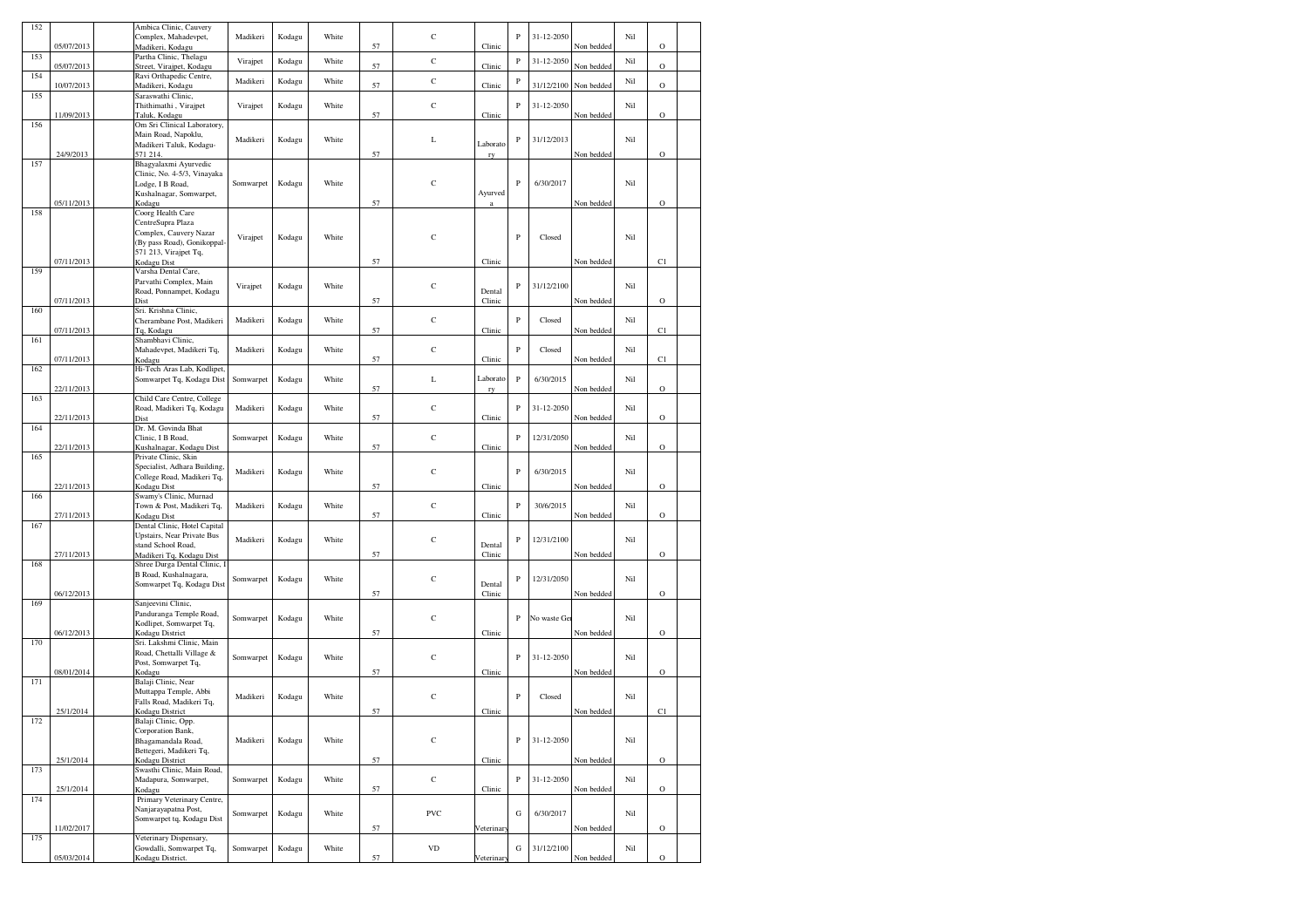| 152 |            | Ambica Clinic, Cauvery                                 |           |        |       |    | $\mathbf C$  |                  | $\mathbf{P}$ | 31-12-2050  |            | Nil |             |  |
|-----|------------|--------------------------------------------------------|-----------|--------|-------|----|--------------|------------------|--------------|-------------|------------|-----|-------------|--|
|     | 05/07/2013 | Complex, Mahadevpet,<br>Madikeri, Kodagu               | Madikeri  | Kodagu | White | 57 |              | Clinic           |              |             | Non bedded |     | $\mathbf O$ |  |
| 153 |            | Partha Clinic, Thelagu                                 | Virajpet  | Kodagu | White |    | $\mathbf C$  |                  | $\, {\bf P}$ | 31-12-2050  |            | Nil |             |  |
|     | 05/07/2013 | Street, Virajpet, Kodagu                               |           |        |       | 57 |              | Clinic           |              |             | Non bedded |     | $\mathbf O$ |  |
| 154 | 10/07/2013 | Ravi Orthapedic Centre,<br>Madikeri, Kodagu            | Madikeri  | Kodagu | White | 57 | $\mathbf C$  | Clinic           | $\, {\bf P}$ | 31/12/2100  | Non bedded | Nil | $\mathbf O$ |  |
| 155 |            | Saraswathi Clinic,                                     |           |        |       |    |              |                  |              |             |            |     |             |  |
|     |            | Thithimathi, Virajpet                                  | Virajpet  | Kodagu | White |    | $\mathbf C$  |                  | $\, {\bf P}$ | 31-12-2050  |            | Nil |             |  |
|     | 11/09/2013 | Taluk, Kodagu                                          |           |        |       | 57 |              | Clinic           |              |             | Non bedded |     | $\mathbf O$ |  |
| 156 |            | Om Sri Clinical Laboratory,                            |           |        |       |    |              |                  |              |             |            |     |             |  |
|     |            | Main Road, Napoklu,<br>Madikeri Taluk, Kodagu-         | Madikeri  | Kodagu | White |    | L            | Laborato         | P            | 31/12/2013  |            | Nil |             |  |
|     | 24/9/2013  | 571 214.                                               |           |        |       | 57 |              | ry               |              |             | Non bedded |     | $\mathbf O$ |  |
| 157 |            | Bhagyalaxmi Ayurvedic                                  |           |        |       |    |              |                  |              |             |            |     |             |  |
|     |            | Clinic, No. 4-5/3, Vinayaka                            |           |        |       |    |              |                  |              |             |            |     |             |  |
|     |            | Lodge, I B Road,                                       | Somwarpet | Kodagu | White |    | $\mathbf C$  |                  | $\mathbf{P}$ | 6/30/2017   |            | Nil |             |  |
|     | 05/11/2013 | Kushalnagar, Somwarpet,<br>Kodagu                      |           |        |       | 57 |              | Ayurved<br>a     |              |             | Non bedded |     | $\circ$     |  |
| 158 |            | Coorg Health Care                                      |           |        |       |    |              |                  |              |             |            |     |             |  |
|     |            | CentreSupra Plaza                                      |           |        |       |    |              |                  |              |             |            |     |             |  |
|     |            | Complex, Cauvery Nazar                                 | Virajpet  | Kodagu | White |    | $\mathsf{C}$ |                  | $\mathbf{P}$ | Closed      |            | Nil |             |  |
|     |            | (By pass Road), Gonikoppal                             |           |        |       |    |              |                  |              |             |            |     |             |  |
|     | 07/11/2013 | 571 213, Virajpet Tq,<br>Kodagu Dist                   |           |        |       | 57 |              | Clinic           |              |             | Non bedded |     | C1          |  |
| 159 |            | Varsha Dental Care,                                    |           |        |       |    |              |                  |              |             |            |     |             |  |
|     |            | Parvathi Complex, Main                                 | Virajpet  | Kodagu | White |    | $\mathbf C$  |                  | $\, {\bf P}$ | 31/12/2100  |            | Nil |             |  |
|     |            | Road, Ponnampet, Kodagu                                |           |        |       |    |              | Dental           |              |             |            |     |             |  |
|     | 07/11/2013 | Dist                                                   |           |        |       | 57 |              | Clinic           |              |             | Non bedded |     | $\circ$     |  |
| 160 |            | Sri. Krishna Clinic,<br>Cherambane Post, Madikeri      | Madikeri  | Kodagu | White |    | $\mathbf C$  |                  | $\mathbf{P}$ | Closed      |            | Nil |             |  |
|     | 07/11/2013 | Tq, Kodagu                                             |           |        |       | 57 |              | Clinic           |              |             | Non bedded |     | C1          |  |
| 161 |            | Shambhavi Clinic,                                      |           |        |       |    |              |                  |              |             |            |     |             |  |
|     |            | Mahadevpet, Madikeri Tq,                               | Madikeri  | Kodagu | White |    | $\mathbf C$  |                  | $\, {\bf P}$ | Closed      |            | Nil |             |  |
| 162 | 07/11/2013 | Kodagu<br>Hi-Tech Aras Lab, Kodlipet,                  |           |        |       | 57 |              | Clinic           |              |             | Non bedded |     | C1          |  |
|     |            | Somwarpet Tq, Kodagu Dist                              | Somwarpet | Kodagu | White |    | L            | Laborato         | $\, {\bf P}$ | 6/30/2015   |            | Nil |             |  |
|     | 22/11/2013 |                                                        |           |        |       | 57 |              | ry               |              |             | Non bedded |     | $\rm{O}$    |  |
| 163 |            | Child Care Centre, College                             |           |        |       |    |              |                  |              |             |            |     |             |  |
|     |            | Road, Madikeri Tq, Kodagu                              | Madikeri  | Kodagu | White |    | $\mathbf C$  |                  | $\mathbf{P}$ | 31-12-2050  |            | Nil |             |  |
| 164 | 22/11/2013 | Dist<br>Dr. M. Govinda Bhat                            |           |        |       | 57 |              | Clinic           |              |             | Non bedded |     | $\mathbf O$ |  |
|     |            | Clinic, I B Road,                                      | Somwarpet | Kodagu | White |    | $\mathbf C$  |                  | $\mathbf{P}$ | 12/31/2050  |            | Nil |             |  |
|     | 22/11/2013 | Kushalnagar, Kodagu Dist                               |           |        |       | 57 |              | Clinic           |              |             | Non bedded |     | $\mathbf O$ |  |
| 165 |            | Private Clinic, Skin                                   |           |        |       |    |              |                  |              |             |            |     |             |  |
|     |            | Specialist, Adhara Building,                           | Madikeri  | Kodagu | White |    | $\mathbf C$  |                  | $\, {\bf P}$ | 6/30/2015   |            | Nil |             |  |
|     | 22/11/2013 | College Road, Madikeri Tq,<br>Kodagu Dist              |           |        |       | 57 |              | Clinic           |              |             | Non bedded |     | $\circ$     |  |
| 166 |            | Swamy's Clinic, Murnad                                 |           |        |       |    |              |                  |              |             |            |     |             |  |
|     |            | Town & Post, Madikeri Tq,                              | Madikeri  | Kodagu | White |    | $\mathbf C$  |                  | $\mathbf{P}$ | 30/6/2015   |            | Nil |             |  |
|     | 27/11/2013 | Kodagu Dist                                            |           |        |       | 57 |              | Clinic           |              |             | Non bedded |     | $\mathbf O$ |  |
| 167 |            | Dental Clinic, Hotel Capital                           |           |        |       |    |              |                  |              |             |            |     |             |  |
|     |            | Upstairs, Near Private Bus<br>stand School Road,       | Madikeri  | Kodagu | White |    | $\mathbf C$  | Dental           | $\, {\bf P}$ | 12/31/2100  |            | Nil |             |  |
|     | 27/11/2013 | Madikeri Tq, Kodagu Dist                               |           |        |       | 57 |              | Clinic           |              |             | Non bedded |     | $\mathbf O$ |  |
| 168 |            | Shree Durga Dental Clinic, l                           |           |        |       |    |              |                  |              |             |            |     |             |  |
|     |            | B Road, Kushalnagara,                                  | Somwarpet | Kodagu | White |    | $\mathbf C$  |                  | $\, {\bf P}$ | 12/31/2050  |            | Nil |             |  |
|     | 06/12/2013 | Somwarpet Tq, Kodagu Dist                              |           |        |       | 57 |              | Dental<br>Clinic |              |             | Non bedded |     | $\mathbf O$ |  |
| 169 |            | Sanjeevini Clinic,                                     |           |        |       |    |              |                  |              |             |            |     |             |  |
|     |            | Panduranga Temple Road,                                | Somwarpet | Kodagu | White |    | $\mathbf C$  |                  | $\mathbf{P}$ | No waste Ge |            | Nil |             |  |
|     |            | Kodlipet, Somwarpet Tq,                                |           |        |       |    |              |                  |              |             |            |     |             |  |
|     | 06/12/2013 | Kodagu District                                        |           |        |       | 57 |              | Clinic           |              |             | Non bedded |     | $\circ$     |  |
| 170 |            | Sri. Lakshmi Clinic, Main<br>Road, Chettalli Village & |           |        |       |    |              |                  |              |             |            |     |             |  |
|     |            | Post, Somwarpet Tq,                                    | Somwarpet | Kodagu | White |    | $\mathbf C$  |                  | $\, {\bf P}$ | 31-12-2050  |            | Nil |             |  |
|     | 08/01/2014 | Kodagu                                                 |           |        |       | 57 |              | Clinic           |              |             | Non bedded |     | $\mathbf O$ |  |
| 171 |            | Balaji Clinic, Near                                    |           |        |       |    |              |                  |              |             |            |     |             |  |
|     |            | Muttappa Temple, Abbi                                  | Madikeri  | Kodagu | White |    | $\mathbf C$  |                  | $\, {\bf P}$ | Closed      |            | Nil |             |  |
|     | 25/1/2014  | Falls Road, Madikeri Tq,<br>Kodagu District            |           |        |       | 57 |              | Clinic           |              |             | Non bedded |     | C1          |  |
| 172 |            | Balaji Clinic, Opp                                     |           |        |       |    |              |                  |              |             |            |     |             |  |
|     |            | Corporation Bank,                                      |           |        |       |    |              |                  |              |             |            |     |             |  |
|     |            | Bhagamandala Road,                                     | Madikeri  | Kodagu | White |    | $\mathbf C$  |                  | $\, {\bf P}$ | 31-12-2050  |            | Nil |             |  |
|     | 25/1/2014  | Bettegeri, Madikeri Tq,<br>Kodagu District             |           |        |       | 57 |              | Clinic           |              |             | Non bedded |     | $\mathbf O$ |  |
| 173 |            | Swasthi Clinic, Main Road,                             |           |        |       |    |              |                  |              |             |            |     |             |  |
|     |            | Madapura, Somwarpet,                                   | Somwarpet | Kodagu | White |    | $\mathbf C$  |                  | $\, {\bf P}$ | 31-12-2050  |            | Nil |             |  |
|     | 25/1/2014  | Kodagu                                                 |           |        |       | 57 |              | Clinic           |              |             | Non bedded |     | $\rm{O}$    |  |
| 174 |            | Primary Veterinary Centre,<br>Nanjarayapatna Post,     |           |        |       |    |              |                  |              |             |            |     |             |  |
|     |            | Somwarpet tq, Kodagu Dist                              | Somwarpet | Kodagu | White |    | PVC          |                  | ${\bf G}$    | 6/30/2017   |            | Nil |             |  |
|     | 11/02/2017 |                                                        |           |        |       | 57 |              | Veterinar        |              |             | Non bedded |     | $\mathbf O$ |  |
| 175 |            | Veterinary Dispensary,                                 |           |        |       |    |              |                  |              |             |            |     |             |  |
|     | 05/03/2014 | Gowdalli, Somwarpet Tq,<br>Kodagu District.            | Somwarpet | Kodagu | White | 57 | <b>VD</b>    | /eterinar        | G            | 31/12/2100  | Non bedded | Nil | $\circ$     |  |
|     |            |                                                        |           |        |       |    |              |                  |              |             |            |     |             |  |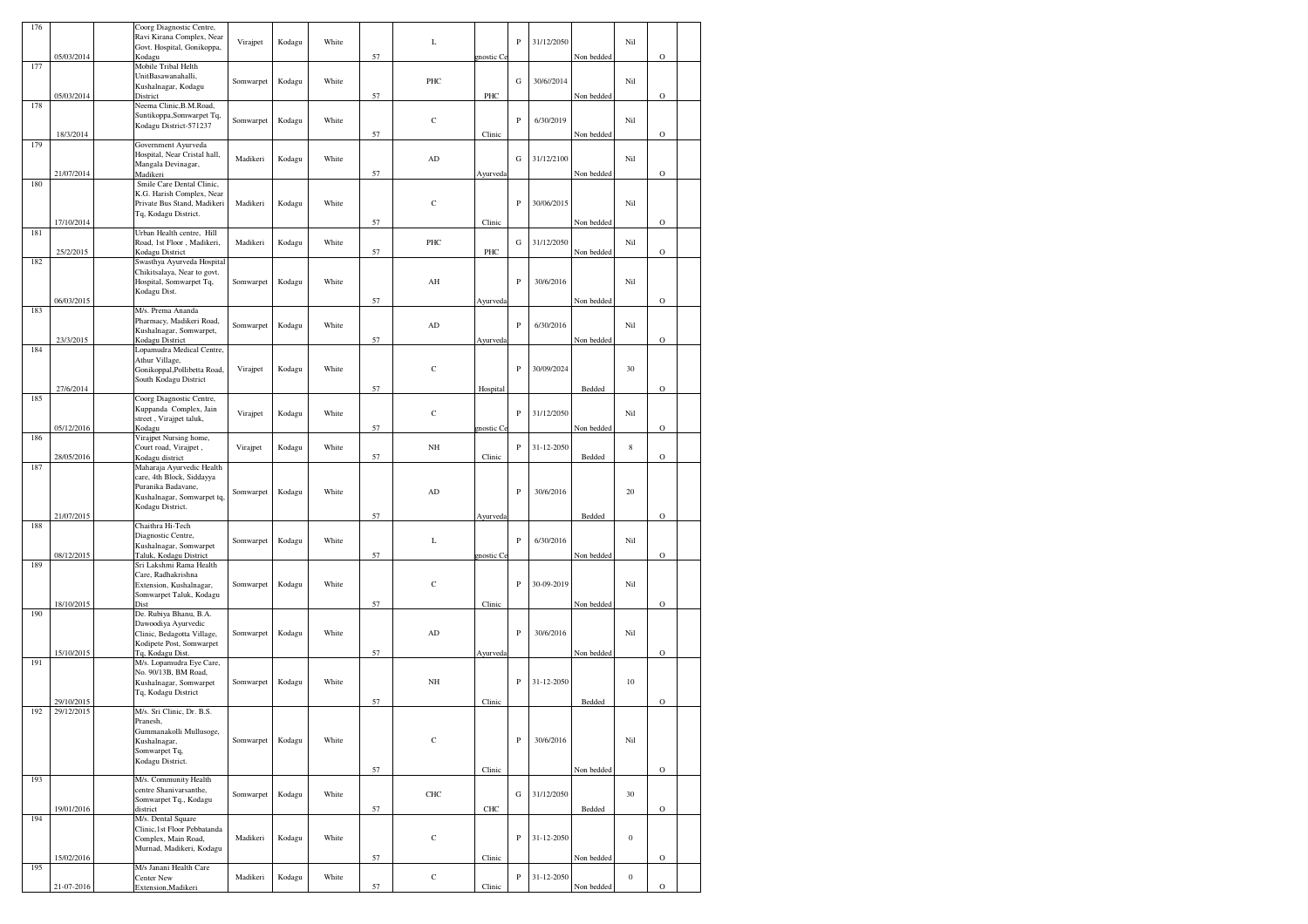| 176 |            | Coorg Diagnostic Centre,                                 |           |        |       |    |             |                   |              |            |            |                  |             |  |
|-----|------------|----------------------------------------------------------|-----------|--------|-------|----|-------------|-------------------|--------------|------------|------------|------------------|-------------|--|
|     |            | Ravi Kirana Complex, Near                                | Virajpet  | Kodagu | White |    | L           |                   | $\, {\bf P}$ | 31/12/2050 |            | Nil              |             |  |
|     |            | Govt. Hospital, Gonikoppa,                               |           |        |       |    |             |                   |              |            |            |                  |             |  |
|     | 05/03/2014 | Kodagu<br>Mobile Tribal Helth                            |           |        |       | 57 |             | nostic Co         |              |            | Non bedded |                  | $\circ$     |  |
| 177 |            | UnitBasawanahalli,                                       |           |        |       |    |             |                   |              |            |            |                  |             |  |
|     |            | Kushalnagar, Kodagu                                      | Somwarpet | Kodagu | White |    | PHC         |                   | G            | 30/6//2014 |            | Nil              |             |  |
|     | 05/03/2014 | District                                                 |           |        |       | 57 |             | PHC               |              |            | Non bedded |                  | $\mathbf O$ |  |
| 178 |            | Neema Clinic, B.M. Road,                                 |           |        |       |    |             |                   |              |            |            |                  |             |  |
|     |            | Suntikoppa, Somwarpet Tq,                                | Somwarpet | Kodagu | White |    | $\mathbf C$ |                   | P            | 6/30/2019  |            | Nil              |             |  |
|     |            | Kodagu District-571237                                   |           |        |       |    |             |                   |              |            |            |                  |             |  |
| 179 | 18/3/2014  | Government Ayurveda                                      |           |        |       | 57 |             | Clinic            |              |            | Non bedded |                  | $\circ$     |  |
|     |            | Hospital, Near Cristal hall,                             |           |        |       |    |             |                   |              |            |            |                  |             |  |
|     |            | Mangala Devinagar,                                       | Madikeri  | Kodagu | White |    | ${\rm AD}$  |                   | G            | 31/12/2100 |            | Nil              |             |  |
|     | 21/07/2014 | Madikeri                                                 |           |        |       | 57 |             | Ayurveda          |              |            | Non bedded |                  | $\circ$     |  |
| 180 |            | Smile Care Dental Clinic,                                |           |        |       |    |             |                   |              |            |            |                  |             |  |
|     |            | K.G. Harish Complex, Near                                |           |        |       |    | $\mathbf C$ |                   | ${\bf P}$    | 30/06/2015 |            | Nil              |             |  |
|     |            | Private Bus Stand, Madikeri<br>Tq, Kodagu District.      | Madikeri  | Kodagu | White |    |             |                   |              |            |            |                  |             |  |
|     | 17/10/2014 |                                                          |           |        |       | 57 |             | Clinic            |              |            | Non bedded |                  | $\circ$     |  |
| 181 |            | Urban Health centre, Hill                                |           |        |       |    |             |                   |              |            |            |                  |             |  |
|     |            | Road, 1st Floor, Madikeri,                               | Madikeri  | Kodagu | White |    | PHC         |                   | G            | 31/12/2050 |            | Nil              |             |  |
|     | 25/2/2015  | Kodagu District                                          |           |        |       | 57 |             | PHC               |              |            | Non bedded |                  | $\circ$     |  |
| 182 |            | Swasthya Ayurveda Hospita<br>Chikitsalaya, Near to govt. |           |        |       |    |             |                   |              |            |            |                  |             |  |
|     |            | Hospital, Somwarpet Tq,                                  | Somwarpet | Kodagu | White |    | AH          |                   | $\, {\bf P}$ | 30/6/2016  |            | Nil              |             |  |
|     |            | Kodagu Dist.                                             |           |        |       |    |             |                   |              |            |            |                  |             |  |
|     | 06/03/2015 |                                                          |           |        |       | 57 |             | Ayurveda          |              |            | Non bedded |                  | $\circ$     |  |
| 183 |            | M/s. Prema Ananda                                        |           |        |       |    |             |                   |              |            |            |                  |             |  |
|     |            | Pharmacy, Madikeri Road,                                 | Somwarpet | Kodagu | White |    | AD          |                   | $\, {\bf P}$ | 6/30/2016  |            | Nil              |             |  |
|     | 23/3/2015  | Kushalnagar, Somwarpet,<br>Kodagu District               |           |        |       | 57 |             | Ayurveda          |              |            | Non bedded |                  | $\circ$     |  |
| 184 |            | Lopamudra Medical Centre,                                |           |        |       |    |             |                   |              |            |            |                  |             |  |
|     |            | Athur Village,                                           |           |        |       |    |             |                   |              |            |            |                  |             |  |
|     |            | Gonikoppal, Pollibetta Road,                             | Virajpet  | Kodagu | White |    | $\mathbf C$ |                   | $\, {\bf P}$ | 30/09/2024 |            | 30               |             |  |
|     |            | South Kodagu District                                    |           |        |       |    |             |                   |              |            |            |                  |             |  |
| 185 | 27/6/2014  | Coorg Diagnostic Centre,                                 |           |        |       | 57 |             | Hospital          |              |            | Bedded     |                  | $\circ$     |  |
|     |            | Kuppanda Complex, Jain                                   |           |        |       |    |             |                   |              |            |            |                  |             |  |
|     |            | street, Virajpet taluk,                                  | Virajpet  | Kodagu | White |    | $\mathbf C$ |                   | P            | 31/12/2050 |            | Nil              |             |  |
|     | 05/12/2016 | Kodagu                                                   |           |        |       | 57 |             | gnostic Co        |              |            | Non bedded |                  | $\circ$     |  |
| 186 |            | Virajpet Nursing home,                                   |           |        |       |    |             |                   |              |            |            |                  |             |  |
|     | 28/05/2016 | Court road, Virajpet,                                    | Virajpet  | Kodagu | White | 57 | NH          | Clinic            | $\, {\bf P}$ | 31-12-2050 | Bedded     | 8                | $\circ$     |  |
| 187 |            | Kodagu district<br>Maharaja Ayurvedic Health             |           |        |       |    |             |                   |              |            |            |                  |             |  |
|     |            | care, 4th Block, Siddayya                                |           |        |       |    |             |                   |              |            |            |                  |             |  |
|     |            | Puranika Badavane,                                       | Somwarpet | Kodagu | White |    | AD          |                   | ${\bf P}$    | 30/6/2016  |            | 20               |             |  |
|     |            | Kushalnagar, Somwarpet tq.                               |           |        |       |    |             |                   |              |            |            |                  |             |  |
|     |            | Kodagu District.                                         |           |        |       |    |             |                   |              |            |            |                  |             |  |
| 188 | 21/07/2015 | Chaithra Hi-Tech                                         |           |        |       | 57 |             | Ayurveda          |              |            | Bedded     |                  | О           |  |
|     |            | Diagnostic Centre,                                       |           |        |       |    |             |                   |              |            |            |                  |             |  |
|     |            | Kushalnagar, Somwarpet                                   | Somwarpet | Kodagu | White |    | L           |                   | $\, {\bf P}$ | 6/30/2016  |            | Nil              |             |  |
|     | 08/12/2015 | Taluk, Kodagu District                                   |           |        |       | 57 |             | nostic Co         |              |            | Non bedded |                  | $\circ$     |  |
| 189 |            | Sri Lakshmi Rama Health                                  |           |        |       |    |             |                   |              |            |            |                  |             |  |
|     |            | Care, Radhakrishna<br>Extension, Kushalnagar,            | Somwarpet | Kodagu | White |    | $\mathbf C$ |                   | $\, {\bf P}$ | 30-09-2019 |            | Nil              |             |  |
|     |            | Somwarpet Taluk, Kodagu                                  |           |        |       |    |             |                   |              |            |            |                  |             |  |
|     | 18/10/2015 | Dist                                                     |           |        |       | 57 |             | Clinic            |              |            | Non bedded |                  | $\circ$     |  |
| 190 |            | De. Rubiya Bhanu, B.A.                                   |           |        |       |    |             |                   |              |            |            |                  |             |  |
|     |            | Dawoodiya Ayurvedic                                      |           |        |       |    |             |                   |              | 30/6/2016  |            |                  |             |  |
|     |            | Clinic, Bedagotta Village,                               | Somwarpet | Kodagu | White |    | AD          |                   | $\, {\bf P}$ |            |            | Nil              |             |  |
|     | 15/10/2015 | Kodipete Post, Somwarpet<br>Tq, Kodagu Dist.             |           |        |       | 57 |             | Ayurveda          |              |            | Non bedded |                  | $\circ$     |  |
| 191 |            | M/s. Lopamudra Eye Care,                                 |           |        |       |    |             |                   |              |            |            |                  |             |  |
|     |            | No. 90/13B, BM Road,                                     |           |        |       |    |             |                   |              |            |            |                  |             |  |
|     |            | Kushalnagar, Somwarpet                                   | Somwarpet | Kodagu | White |    | NH          |                   | $\, {\bf p}$ | 31-12-2050 |            | 10               |             |  |
|     | 29/10/2015 | Tq, Kodagu District                                      |           |        |       |    |             |                   |              |            |            |                  |             |  |
| 192 | 29/12/2015 | M/s. Sri Clinic, Dr. B.S.                                |           |        |       | 57 |             | Clinic            |              |            | Bedded     |                  | $\circ$     |  |
|     |            | Pranesh,                                                 |           |        |       |    |             |                   |              |            |            |                  |             |  |
|     |            | Gummanakolli Mullusoge,                                  |           |        |       |    |             |                   |              |            |            |                  |             |  |
|     |            | Kushalnagar,                                             | Somwarpet | Kodagu | White |    | $\mathbf C$ |                   | $\, {\bf P}$ | 30/6/2016  |            | Nil              |             |  |
|     |            | Somwarpet Tq,                                            |           |        |       |    |             |                   |              |            |            |                  |             |  |
|     |            | Kodagu District.                                         |           |        |       | 57 |             | Clinic            |              |            | Non bedded |                  | $\mathbf O$ |  |
| 193 |            | M/s. Community Health                                    |           |        |       |    |             |                   |              |            |            |                  |             |  |
|     |            | centre Shanivarsanthe,                                   |           |        |       |    |             |                   |              |            |            |                  |             |  |
|     |            | Somwarpet Tq., Kodagu                                    | Somwarpet | Kodagu | White |    | CHC         |                   | G            | 31/12/2050 |            | 30               |             |  |
|     | 19/01/2016 | district                                                 |           |        |       | 57 |             | $_{\mathrm{CHC}}$ |              |            | Bedded     |                  | $\circ$     |  |
| 194 |            | M/s. Dental Square<br>Clinic, 1st Floor Pebbatanda       |           |        |       |    |             |                   |              |            |            |                  |             |  |
|     |            | Complex, Main Road,                                      | Madikeri  | Kodagu | White |    | $\mathbf C$ |                   | P            | 31-12-2050 |            | $\boldsymbol{0}$ |             |  |
|     |            |                                                          |           |        |       |    |             |                   |              |            |            |                  |             |  |
|     |            |                                                          |           |        |       |    |             |                   |              |            |            |                  |             |  |
|     | 15/02/2016 | Murnad, Madikeri, Kodagu                                 |           |        |       | 57 |             | Clinic            |              |            | Non bedded |                  | $\mathbf O$ |  |
| 195 |            | M/s Janani Health Care                                   |           |        |       |    |             |                   |              |            |            |                  |             |  |
|     | 21-07-2016 | Center New<br>Extension, Madikeri                        | Madikeri  | Kodagu | White | 57 | $\mathbf C$ | Clinic            | P            | 31-12-2050 | Non bedded | $\boldsymbol{0}$ | $\circ$     |  |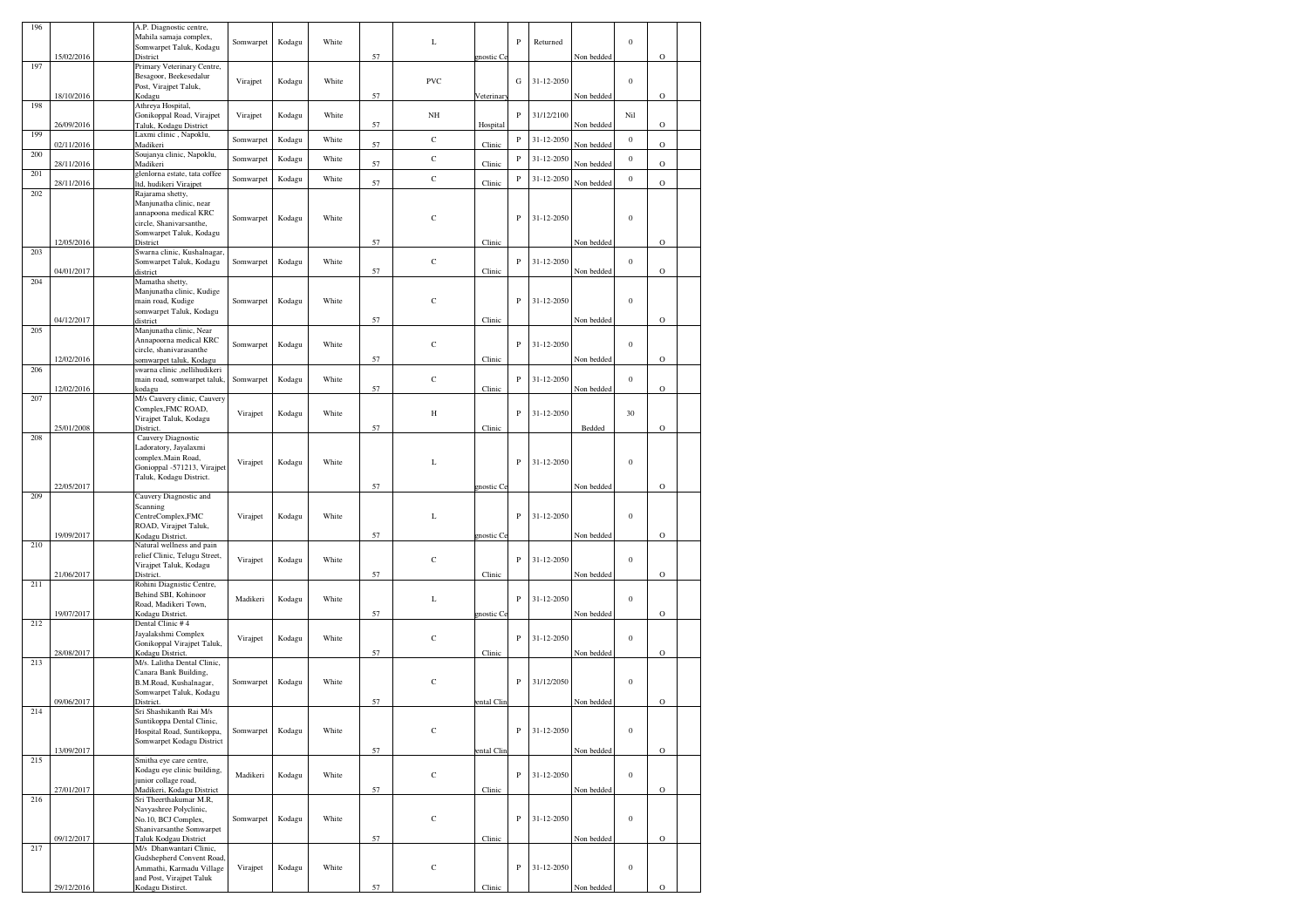| 196 |            | A.P. Diagnostic centre,                                    |           |        |       |    |             |                 |              |            |            |                  |             |  |
|-----|------------|------------------------------------------------------------|-----------|--------|-------|----|-------------|-----------------|--------------|------------|------------|------------------|-------------|--|
|     |            | Mahila samaja complex,                                     | Somwarpet | Kodagu | White |    | L           |                 | $\, {\bf P}$ | Returned   |            | $\boldsymbol{0}$ |             |  |
|     | 15/02/2016 | Somwarpet Taluk, Kodagu<br>District                        |           |        |       | 57 |             | gnostic Co      |              |            | Non bedded |                  | $\mathbf O$ |  |
| 197 |            | Primary Veterinary Centre,                                 |           |        |       |    |             |                 |              |            |            |                  |             |  |
|     |            | Besagoor, Beekesedalur<br>Post, Virajpet Taluk,            | Virajpet  | Kodagu | White |    | PVC         |                 | G            | 31-12-2050 |            | $\boldsymbol{0}$ |             |  |
|     | 18/10/2016 | Kodagu                                                     |           |        |       | 57 |             | Veterinar       |              |            | Non bedded |                  | $\mathbf O$ |  |
| 198 |            | Athreya Hospital,                                          |           |        |       |    |             |                 |              |            |            |                  |             |  |
|     | 26/09/2016 | Gonikoppal Road, Virajpet<br>Taluk, Kodagu District        | Virajpet  | Kodagu | White | 57 | $_{\rm NH}$ | Hospital        | $\, {\bf p}$ | 31/12/2100 | Non bedded | Nil              | $\mathbf O$ |  |
| 199 |            | Laxmi clinic, Napoklu,                                     | Somwarpet | Kodagu | White |    | $\mathbf C$ |                 | ${\bf P}$    | 31-12-2050 |            | $\boldsymbol{0}$ |             |  |
| 200 | 02/11/2016 | Madikeri<br>Soujanya clinic, Napoklu,                      |           |        |       | 57 |             | Clinic          |              |            | Non bedded |                  | $\circ$     |  |
|     | 28/11/2016 | Madikeri                                                   | Somwarpet | Kodagu | White | 57 | $\mathbf C$ | Clinic          | $\, {\bf p}$ | 31-12-2050 | Non bedded | $\boldsymbol{0}$ | $\mathbf O$ |  |
| 201 | 28/11/2016 | glenlorna estate, tata coffee<br>ltd, hudikeri Virajpet    | Somwarpet | Kodagu | White | 57 | $\mathbf C$ | Clinic          | $\, {\bf P}$ | 31-12-2050 | Non bedded | $\boldsymbol{0}$ | $\circ$     |  |
| 202 |            | Rajarama shetty,                                           |           |        |       |    |             |                 |              |            |            |                  |             |  |
|     |            | Manjunatha clinic, near                                    |           |        |       |    |             |                 |              |            |            |                  |             |  |
|     |            | annapoona medical KRC<br>circle, Shanivarsanthe,           | Somwarpet | Kodagu | White |    | $\mathbf C$ |                 | $\, {\bf P}$ | 31-12-2050 |            | $\boldsymbol{0}$ |             |  |
|     |            | Somwarpet Taluk, Kodagu                                    |           |        |       |    |             |                 |              |            |            |                  |             |  |
| 203 | 12/05/2016 | District<br>Swarna clinic, Kushalnagar,                    |           |        |       | 57 |             | Clinic          |              |            | Non bedded |                  | $\circ$     |  |
|     |            | Somwarpet Taluk, Kodagu                                    | Somwarpet | Kodagu | White |    | $\mathbf C$ |                 | $\, {\bf p}$ | 31-12-2050 |            | $\boldsymbol{0}$ |             |  |
|     | 04/01/2017 | district                                                   |           |        |       | 57 |             | Clinic          |              |            | Non bedded |                  | $\mathbf O$ |  |
| 204 |            | Mamatha shetty,<br>Manjunatha clinic, Kudige               |           |        |       |    |             |                 |              |            |            |                  |             |  |
|     |            | main road, Kudige                                          | Somwarpet | Kodagu | White |    | $\mathbf C$ |                 | P            | 31-12-2050 |            | $\boldsymbol{0}$ |             |  |
|     | 04/12/2017 | somwarpet Taluk, Kodagu<br>district                        |           |        |       | 57 |             | Clinic          |              |            | Non bedded |                  | $\mathbf O$ |  |
| 205 |            | Manjunatha clinic, Near                                    |           |        |       |    |             |                 |              |            |            |                  |             |  |
|     |            | Annapoorna medical KRC                                     | Somwarpet | Kodagu | White |    | $\mathbf C$ |                 | $\, {\bf P}$ | 31-12-2050 |            | $\boldsymbol{0}$ |             |  |
|     | 12/02/2016 | circle, shanivarasanthe<br>somwarpet taluk, Kodagu         |           |        |       | 57 |             | Clinic          |              |            | Non bedded |                  | $\mathbf O$ |  |
| 206 |            | swarna clinic ,nellihudikeri                               |           |        |       |    |             |                 |              |            |            |                  |             |  |
|     | 12/02/2016 | main road, somwarpet taluk,<br>kodagu                      | Somwarpet | Kodagu | White | 57 | $\mathbf C$ | $_{\rm Clinic}$ | P            | 31-12-2050 | Non bedded | $\boldsymbol{0}$ | $\circ$     |  |
| 207 |            | M/s Cauvery clinic, Cauvery                                |           |        |       |    |             |                 |              |            |            |                  |             |  |
|     |            | Complex, FMC ROAD,                                         | Virajpet  | Kodagu | White |    | Н           |                 | $\, {\bf p}$ | 31-12-2050 |            | 30               |             |  |
|     | 25/01/2008 | Virajpet Taluk, Kodagu<br>District.                        |           |        |       | 57 |             | Clinic          |              |            | Bedded     |                  | $\circ$     |  |
| 208 |            | Cauvery Diagnostic                                         |           |        |       |    |             |                 |              |            |            |                  |             |  |
|     |            | Ladoratory, Jayalaxmi<br>complex.Main Road,                |           |        |       |    |             |                 |              |            |            |                  |             |  |
|     |            | Gonioppal -571213, Virajpet                                | Virajpet  | Kodagu | White |    | L           |                 | ${\bf P}$    | 31-12-2050 |            | $\boldsymbol{0}$ |             |  |
|     | 22/05/2017 | Taluk, Kodagu District.                                    |           |        |       | 57 |             | mostic Co       |              |            | Non bedded |                  | $\mathbf O$ |  |
| 209 |            | Cauvery Diagnostic and                                     |           |        |       |    |             |                 |              |            |            |                  |             |  |
|     |            | Scanning                                                   | Virajpet  | Kodagu | White |    | L           |                 | $\, {\bf p}$ | 31-12-2050 |            | $\boldsymbol{0}$ |             |  |
|     |            | CentreComplex,FMC<br>ROAD, Virajpet Taluk,                 |           |        |       |    |             |                 |              |            |            |                  |             |  |
|     | 19/09/2017 | Kodagu District.                                           |           |        |       | 57 |             | nostic C        |              |            | Non bedded |                  | $\mathbf O$ |  |
| 210 |            | Natural wellness and pain<br>relief Clinic, Telugu Street, |           |        |       |    |             |                 |              |            |            |                  |             |  |
|     |            | Virajpet Taluk, Kodagu                                     | Virajpet  | Kodagu | White |    | $\mathbf C$ |                 | $\, {\bf p}$ | 31-12-2050 |            | $\boldsymbol{0}$ |             |  |
| 211 | 21/06/2017 | District.<br>Rohini Diagnistic Centre,                     |           |        |       | 57 |             | Clinic          |              |            | Non bedded |                  | $\mathbf O$ |  |
|     |            | Behind SBI, Kohinoor                                       | Madikeri  | Kodagu | White |    | L           |                 | P            | 31-12-2050 |            | $\boldsymbol{0}$ |             |  |
|     | 19/07/2017 | Road, Madikeri Town,                                       |           |        |       | 57 |             |                 |              |            | Non bedded |                  | $\mathbf O$ |  |
| 212 |            | Kodagu District.<br>Dental Clinic #4                       |           |        |       |    |             | gnostic Ce      |              |            |            |                  |             |  |
|     |            | Jayalakshmi Complex                                        | Virajpet  | Kodagu | White |    | $\mathbf C$ |                 | $\, {\bf P}$ | 31-12-2050 |            | $\boldsymbol{0}$ |             |  |
|     | 28/08/2017 | Gonikoppal Virajpet Taluk,<br>Kodagu District.             |           |        |       | 57 |             | Clinic          |              |            | Non bedded |                  | $\mathbf O$ |  |
| 213 |            | M/s. Lalitha Dental Clinic,                                |           |        |       |    |             |                 |              |            |            |                  |             |  |
|     |            | Canara Bank Building,<br>B.M.Road, Kushalnagar,            | Somwarpet | Kodagu | White |    | $\mathbf C$ |                 | $\, {\bf p}$ | 31/12/2050 |            | $\boldsymbol{0}$ |             |  |
|     |            | Somwarpet Taluk, Kodagu                                    |           |        |       |    |             |                 |              |            |            |                  |             |  |
| 214 | 09/06/2017 | District.<br>Sri Shashikanth Rai M/s                       |           |        |       | 57 |             | ental Clin      |              |            | Non bedded |                  | O           |  |
|     |            | Suntikoppa Dental Clinic,                                  |           |        |       |    |             |                 |              |            |            |                  |             |  |
|     |            | Hospital Road, Suntikoppa,<br>Somwarpet Kodagu District    | Somwarpet | Kodagu | White |    | $\mathbf C$ |                 | $\, {\bf P}$ | 31-12-2050 |            | $\boldsymbol{0}$ |             |  |
|     | 13/09/2017 |                                                            |           |        |       | 57 |             | ental Clin      |              |            | Non bedded |                  | $\mathbf O$ |  |
| 215 |            | Smitha eye care centre,                                    |           |        |       |    |             |                 |              |            |            |                  |             |  |
|     |            | Kodagu eye clinic building,<br>junior collage road,        | Madikeri  | Kodagu | White |    | $\mathbf C$ |                 | $\, {\bf P}$ | 31-12-2050 |            | $\boldsymbol{0}$ |             |  |
|     | 27/01/2017 | Madikeri, Kodagu District                                  |           |        |       | 57 |             | Clinic          |              |            | Non bedded |                  | $\mathbf O$ |  |
| 216 |            | Sri Theerthakumar M.R,<br>Navyashree Polyclinic,           |           |        |       |    |             |                 |              |            |            |                  |             |  |
|     |            | No.10, BCJ Complex,                                        | Somwarpet | Kodagu | White |    | $\mathbf C$ |                 | $\, {\bf P}$ | 31-12-2050 |            | $\boldsymbol{0}$ |             |  |
|     | 09/12/2017 | Shanivarsanthe Somwarpet<br>Taluk Kodgau District          |           |        |       | 57 |             | Clinic          |              |            | Non bedded |                  | $\mathbf O$ |  |
| 217 |            | M/s Dhanwantari Clinic,                                    |           |        |       |    |             |                 |              |            |            |                  |             |  |
|     |            | Gudshepherd Convent Road,                                  |           |        |       |    |             |                 |              |            |            |                  |             |  |
|     |            | Ammathi, Karmadu Village<br>and Post, Virajpet Taluk       | Virajpet  | Kodagu | White |    | С           |                 | $\, {\bf p}$ | 31-12-2050 |            | $\boldsymbol{0}$ |             |  |
|     | 29/12/2016 | Kodagu Distirct.                                           |           |        |       | 57 |             | Clinic          |              |            | Non bedded |                  | $\circ$     |  |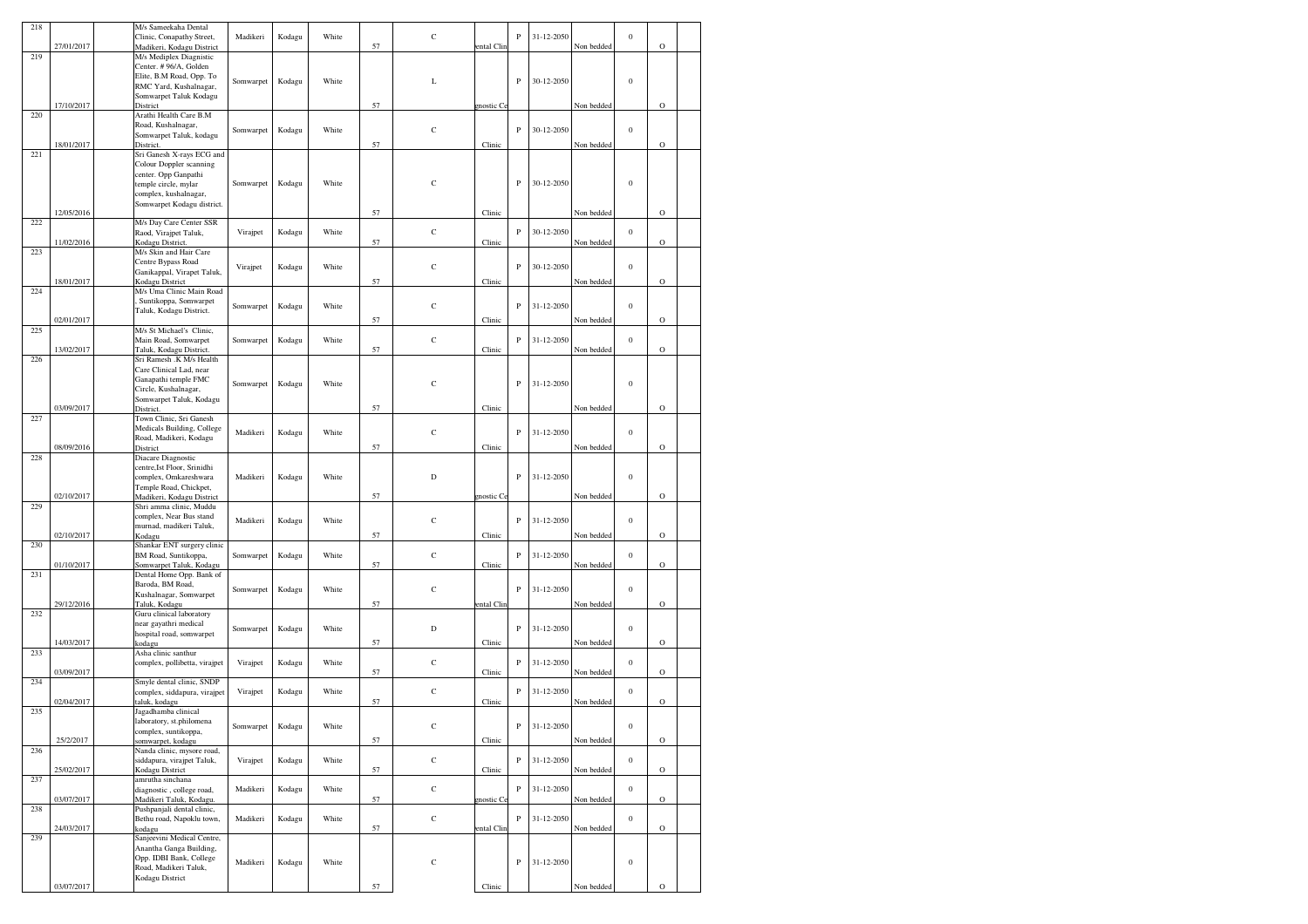| 218 |            | M/s Sameekaha Dental                                  |           |        |       |    |             |            |              |            |            |                  |             |  |
|-----|------------|-------------------------------------------------------|-----------|--------|-------|----|-------------|------------|--------------|------------|------------|------------------|-------------|--|
|     |            | Clinic, Conapathy Street,                             | Madikeri  | Kodagu | White |    | $\mathbf C$ |            | P            | 31-12-2050 |            | $\bf{0}$         |             |  |
|     | 27/01/2017 | Madikeri, Kodagu District                             |           |        |       | 57 |             | ental Clin |              |            | Non bedded |                  | $\circ$     |  |
| 219 |            | M/s Mediplex Diagnistic                               |           |        |       |    |             |            |              |            |            |                  |             |  |
|     |            | Center. #96/A, Golden<br>Elite, B.M Road, Opp. To     |           |        |       |    |             |            |              |            |            |                  |             |  |
|     |            | RMC Yard, Kushalnagar,                                | Somwarpet | Kodagu | White |    | L           |            | ${\bf P}$    | 30-12-2050 |            | $\boldsymbol{0}$ |             |  |
|     |            | Somwarpet Taluk Kodagu                                |           |        |       |    |             |            |              |            |            |                  |             |  |
|     | 17/10/2017 | District                                              |           |        |       | 57 |             | gnostic Ce |              |            | Non bedded |                  | $\circ$     |  |
| 220 |            | Arathi Health Care B.M                                |           |        |       |    |             |            |              |            |            |                  |             |  |
|     |            | Road, Kushalnagar,                                    | Somwarpet | Kodagu | White |    | $\mathbf C$ |            | ${\bf P}$    | 30-12-2050 |            | $\mathbf{0}$     |             |  |
|     |            | Somwarpet Taluk, kodagu                               |           |        |       |    |             |            |              |            |            |                  |             |  |
|     | 18/01/2017 | District.                                             |           |        |       | 57 |             | Clinic     |              |            | Non bedded |                  | $\circ$     |  |
| 221 |            | Sri Ganesh X-rays ECG and                             |           |        |       |    |             |            |              |            |            |                  |             |  |
|     |            | Colour Doppler scanning<br>center. Opp Ganpathi       |           |        |       |    |             |            |              |            |            |                  |             |  |
|     |            | temple circle, mylar                                  | Somwarpet | Kodagu | White |    | $\mathbf C$ |            | $\, {\bf P}$ | 30-12-2050 |            | $\boldsymbol{0}$ |             |  |
|     |            | complex, kushalnagar,                                 |           |        |       |    |             |            |              |            |            |                  |             |  |
|     |            | Somwarpet Kodagu district.                            |           |        |       |    |             |            |              |            |            |                  |             |  |
|     | 12/05/2016 |                                                       |           |        |       | 57 |             | Clinic     |              |            | Non bedded |                  | $\circ$     |  |
| 222 |            | M/s Day Care Center SSR                               |           |        |       |    |             |            |              |            |            |                  |             |  |
|     |            | Raod, Virajpet Taluk,                                 | Virajpet  | Kodagu | White |    | $\mathbf C$ |            | $\, {\bf p}$ | 30-12-2050 |            | $\boldsymbol{0}$ |             |  |
|     | 11/02/2016 | Kodagu District.                                      |           |        |       | 57 |             | Clinic     |              |            | Non bedded |                  | $\circ$     |  |
| 223 |            | M/s Skin and Hair Care<br>Centre Bypass Road          |           |        |       |    |             |            |              |            |            |                  |             |  |
|     |            | Ganikappal, Virapet Taluk,                            | Virajpet  | Kodagu | White |    | $\mathbf C$ |            | $\, {\bf P}$ | 30-12-2050 |            | $\boldsymbol{0}$ |             |  |
|     | 18/01/2017 | Kodagu District                                       |           |        |       | 57 |             | Clinic     |              |            | Non bedded |                  | $\circ$     |  |
| 224 |            | M/s Uma Clinic Main Road                              |           |        |       |    |             |            |              |            |            |                  |             |  |
|     |            | Suntikoppa, Somwarpet                                 | Somwarpet | Kodagu | White |    | $\mathbf C$ |            | ${\bf P}$    | 31-12-2050 |            | $\boldsymbol{0}$ |             |  |
|     |            | Taluk, Kodagu District.                               |           |        |       |    |             |            |              |            |            |                  |             |  |
|     | 02/01/2017 |                                                       |           |        |       | 57 |             | Clinic     |              |            | Non bedded |                  | $\circ$     |  |
| 225 |            | M/s St Michael's Clinic,<br>Main Road, Somwarpet      | Somwarpet | Kodagu | White |    | $\mathbf C$ |            | $\, {\bf p}$ | 31-12-2050 |            | $\boldsymbol{0}$ |             |  |
|     | 13/02/2017 | Taluk, Kodagu District.                               |           |        |       | 57 |             | Clinic     |              |            | Non bedded |                  | $\circ$     |  |
| 226 |            | Sri Ramesh .K M/s Health                              |           |        |       |    |             |            |              |            |            |                  |             |  |
|     |            | Care Clinical Lad, near                               |           |        |       |    |             |            |              |            |            |                  |             |  |
|     |            | Ganapathi temple FMC                                  | Somwarpet | Kodagu | White |    | $\mathbf C$ |            | P            | 31-12-2050 |            | $\boldsymbol{0}$ |             |  |
|     |            | Circle, Kushalnagar,                                  |           |        |       |    |             |            |              |            |            |                  |             |  |
|     |            | Somwarpet Taluk, Kodagu                               |           |        |       |    |             |            |              |            |            |                  |             |  |
|     | 03/09/2017 | District.                                             |           |        |       | 57 |             | Clinic     |              |            | Non bedded |                  | $\circ$     |  |
| 227 |            | Town Clinic, Sri Ganesh<br>Medicals Building, College |           |        |       |    |             |            |              |            |            |                  |             |  |
|     |            | Road, Madikeri, Kodagu                                | Madikeri  | Kodagu | White |    | $\mathbf C$ |            | $\, {\bf p}$ | 31-12-2050 |            | $\boldsymbol{0}$ |             |  |
|     | 08/09/2016 | District                                              |           |        |       | 57 |             | Clinic     |              |            | Non bedded |                  | $\circ$     |  |
| 228 |            | Diacare Diagnostic                                    |           |        |       |    |             |            |              |            |            |                  |             |  |
|     |            | centre, Ist Floor, Srinidhi                           |           |        |       |    |             |            |              |            |            |                  |             |  |
|     |            | complex, Omkareshwara                                 | Madikeri  | Kodagu | White |    | D           |            | ${\bf P}$    | 31-12-2050 |            | $\boldsymbol{0}$ |             |  |
|     |            | Temple Road, Chickpet,                                |           |        |       |    |             |            |              |            |            |                  |             |  |
|     | 02/10/2017 | Madikeri, Kodagu District                             |           |        |       | 57 |             | gnostic Ce |              |            | Non bedded |                  | $\circ$     |  |
| 229 |            | Shri amma clinic, Muddu<br>complex, Near Bus stand    |           |        |       |    |             |            |              |            |            |                  |             |  |
|     |            | murnad, madikeri Taluk,                               | Madikeri  | Kodagu | White |    | $\mathbf C$ |            | ${\bf P}$    | 31-12-2050 |            | $\boldsymbol{0}$ |             |  |
|     | 02/10/2017 | Kodagu                                                |           |        |       | 57 |             | Clinic     |              |            | Non bedded |                  | $\circ$     |  |
| 230 |            | Shankar ENT surgery clinic                            |           |        |       |    |             |            |              |            |            |                  |             |  |
|     |            | BM Road, Suntikoppa,                                  | Somwarpet | Kodagu | White |    | $\mathbf C$ |            | ${\bf P}$    | 31-12-2050 |            | $\mathbf{0}$     |             |  |
|     | 01/10/2017 | Somwarpet Taluk, Kodagu                               |           |        |       | 57 |             | Clinic     |              |            | Non bedded |                  | $\circ$     |  |
| 231 |            | Dental Home Opp. Bank of                              |           |        |       |    |             |            |              |            |            |                  |             |  |
|     |            | Baroda, BM Road,                                      | Somwarpet | Kodagu | White |    | $\mathbf C$ |            | ${\bf P}$    | 31-12-2050 |            | $\boldsymbol{0}$ |             |  |
|     | 29/12/2016 | Kushalnagar, Somwarpet<br>Taluk, Kodagu               |           |        |       | 57 |             | ental Clin |              |            | Non bedded |                  | $\circ$     |  |
| 232 |            | Guru clinical laboratory                              |           |        |       |    |             |            |              |            |            |                  |             |  |
|     |            | near gayathri medical                                 |           |        |       |    |             |            |              |            |            |                  |             |  |
|     |            | hospital road, somwarpet                              | Somwarpet | Kodagu | White |    | D           |            | $\, {\bf p}$ | 31-12-2050 |            | $\boldsymbol{0}$ |             |  |
|     | 14/03/2017 | kodagu                                                |           |        |       | 57 |             | Clinic     |              |            | Non bedded |                  | $\circ$     |  |
| 233 |            | Asha clinic santhur                                   |           |        |       |    |             |            |              |            |            |                  |             |  |
|     |            | complex, pollibetta, virajpet                         | Virajpet  | Kodagu | White |    | $\mathbf C$ |            | P            | 31-12-2050 |            | $\mathbf{0}$     |             |  |
|     | 03/09/2017 | Smyle dental clinic, SNDP                             |           |        |       | 57 |             | Clinic     |              |            | Non bedded |                  | $\circ$     |  |
| 234 |            | complex, siddapura, virajpet                          | Virajpet  | Kodagu | White |    | $\mathbf C$ |            | $\, {\bf p}$ | 31-12-2050 |            | $\boldsymbol{0}$ |             |  |
|     | 02/04/2017 | taluk, kodagu                                         |           |        |       | 57 |             | Clinic     |              |            | Non bedded |                  | $\circ$     |  |
| 235 |            | Jagadhamba clinical                                   |           |        |       |    |             |            |              |            |            |                  |             |  |
|     |            | laboratory, st.philomena                              | Somwarpet | Kodagu | White |    | $\mathbf C$ |            | $\, {\bf P}$ | 31-12-2050 |            | $\boldsymbol{0}$ |             |  |
|     |            | complex, suntikoppa,                                  |           |        |       |    |             |            |              |            |            |                  |             |  |
|     | 25/2/2017  | somwarpet, kodagu                                     |           |        |       | 57 |             | Clinic     |              |            | Non bedded |                  | $\circ$     |  |
| 236 |            | Nanda clinic, mysore road,                            |           |        |       |    |             |            |              |            |            |                  |             |  |
|     | 25/02/2017 | siddapura, virajpet Taluk,                            | Virajpet  | Kodagu | White | 57 | $\mathbf C$ | Clinic     | $\, {\bf P}$ | 31-12-2050 | Non bedded | $\boldsymbol{0}$ | $\rm{O}$    |  |
| 237 |            | Kodagu District<br>amrutha sinchana                   |           |        |       |    |             |            |              |            |            |                  |             |  |
|     |            | diagnostic, college road,                             | Madikeri  | Kodagu | White |    | $\mathbf C$ |            | $_{\rm P}$   | 31-12-2050 |            | $\boldsymbol{0}$ |             |  |
|     | 03/07/2017 | Madikeri Taluk, Kodagu.                               |           |        |       | 57 |             | gnostic Ce |              |            | Non bedded |                  | $\mathbf O$ |  |
| 238 |            | Pushpanjali dental clinic,                            |           |        |       |    |             |            |              |            |            |                  |             |  |
|     |            | Bethu road, Napoklu town,                             | Madikeri  | Kodagu | White |    | $\mathbf C$ |            | $\, {\bf P}$ | 31-12-2050 |            | $\boldsymbol{0}$ |             |  |
|     | 24/03/2017 | kodagu                                                |           |        |       | 57 |             | ental Clin |              |            | Non bedded |                  | $\circ$     |  |
| 239 |            | Sanjeevini Medical Centre,                            |           |        |       |    |             |            |              |            |            |                  |             |  |
|     |            | Anantha Ganga Building,<br>Opp. IDBI Bank, College    |           |        |       |    |             |            |              |            |            |                  |             |  |
|     |            | Road, Madikeri Taluk,                                 | Madikeri  | Kodagu | White |    | $\mathbf C$ |            | $\, {\bf P}$ | 31-12-2050 |            | $\boldsymbol{0}$ |             |  |
|     |            | Kodagu District                                       |           |        |       |    |             |            |              |            |            |                  |             |  |
|     | 03/07/2017 |                                                       |           |        |       | 57 |             | Clinic     |              |            | Non bedded |                  | $\circ$     |  |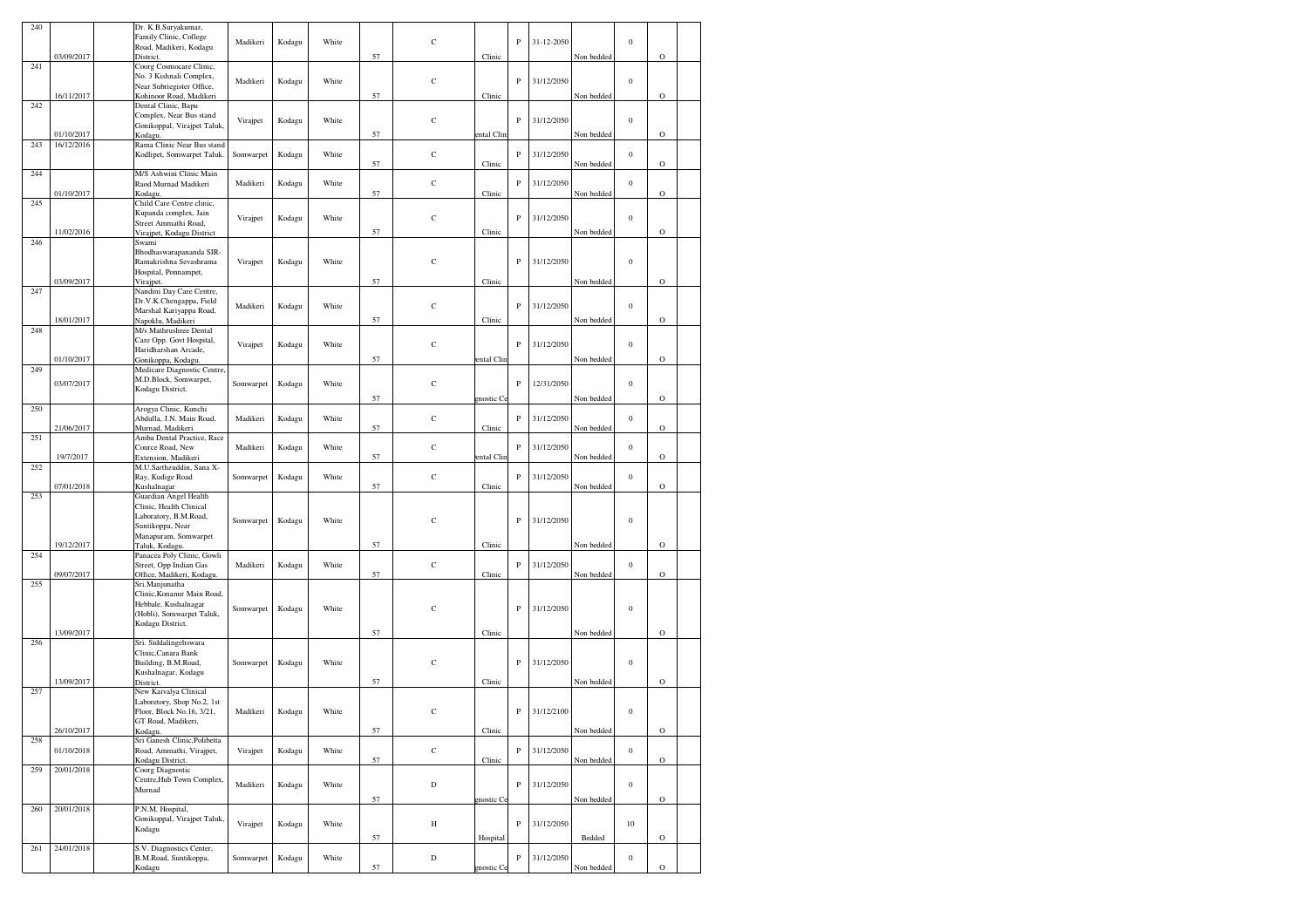| 240 |                          | Dr. K.B.Suryakumar,                                  |           |        |       |    |             |            |              |            |            |                  |             |  |
|-----|--------------------------|------------------------------------------------------|-----------|--------|-------|----|-------------|------------|--------------|------------|------------|------------------|-------------|--|
|     |                          | Family Clinic, College<br>Road, Madikeri, Kodagu     | Madikeri  | Kodagu | White |    | $\mathbf C$ |            | P            | 31-12-2050 |            | $\boldsymbol{0}$ |             |  |
|     | 03/09/2017               | District.                                            |           |        |       | 57 |             | Clinic     |              |            | Non bedded |                  | $\mathbf O$ |  |
| 241 |                          | Coorg Cosmocare Clinic,                              |           |        |       |    |             |            |              |            |            |                  |             |  |
|     |                          | No. 3 Kishnali Complex,                              | Madikeri  | Kodagu | White |    | $\mathbf C$ |            | ${\bf P}$    | 31/12/2050 |            | $\boldsymbol{0}$ |             |  |
|     | 16/11/2017               | Near Subriegister Office,<br>Kohinoor Road, Madikeri |           |        |       | 57 |             | Clinic     |              |            | Non bedded |                  | $\rm{O}$    |  |
| 242 |                          | Dental Clinic, Bapu                                  |           |        |       |    |             |            |              |            |            |                  |             |  |
|     |                          | Complex, Near Bus stand                              | Virajpet  | Kodagu | White |    | $\mathbf C$ |            | $\mathbf P$  | 31/12/2050 |            | $\boldsymbol{0}$ |             |  |
|     |                          | Gonikoppal, Virajpet Taluk,                          |           |        |       |    |             |            |              |            |            |                  |             |  |
| 243 | 01/10/2017<br>16/12/2016 | Kodagu.<br>Rama Clinic Near Bus stand                |           |        |       | 57 |             | ental Clin |              |            | Non bedded |                  | $\mathbf O$ |  |
|     |                          | Kodlipet, Somwarpet Taluk.                           | Somwarpet | Kodagu | White |    | С           |            | P            | 31/12/2050 |            | $\boldsymbol{0}$ |             |  |
|     |                          |                                                      |           |        |       | 57 |             | Clinic     |              |            | Non bedded |                  | $\mathbf O$ |  |
| 244 |                          | M/S Ashwini Clinic Main                              | Madikeri  | Kodagu | White |    | $\mathbf C$ |            | ${\bf P}$    | 31/12/2050 |            | $\boldsymbol{0}$ |             |  |
|     | 01/10/2017               | Raod Murnad Madikeri<br>Kodagu                       |           |        |       | 57 |             | Clinic     |              |            | Non bedded |                  | $\circ$     |  |
| 245 |                          | Child Care Centre clinic,                            |           |        |       |    |             |            |              |            |            |                  |             |  |
|     |                          | Kupanda complex, Jain                                | Virajpet  | Kodagu | White |    | $\mathbf C$ |            | ${\bf P}$    | 31/12/2050 |            | $\boldsymbol{0}$ |             |  |
|     | 11/02/2016               | Street Ammathi Road,<br>Virajpet, Kodagu District    |           |        |       | 57 |             | Clinic     |              |            | Non bedded |                  | $\circ$     |  |
| 246 |                          | Swami                                                |           |        |       |    |             |            |              |            |            |                  |             |  |
|     |                          | Bhodhaswarapananda SIR-                              |           |        |       |    |             |            |              |            |            |                  |             |  |
|     |                          | Ramakrishna Sevashrama                               | Virajpet  | Kodagu | White |    | $\mathbf C$ |            | P            | 31/12/2050 |            | $\boldsymbol{0}$ |             |  |
|     | 03/09/2017               | Hospital, Ponnampet,<br>Virajpet.                    |           |        |       | 57 |             | Clinic     |              |            | Non bedded |                  | $\mathbf O$ |  |
| 247 |                          | Nandini Day Care Centre,                             |           |        |       |    |             |            |              |            |            |                  |             |  |
|     |                          | Dr.V.K.Chengappa, Field                              | Madikeri  | Kodagu | White |    | $\mathbf C$ |            | $\, {\bf P}$ | 31/12/2050 |            | $\boldsymbol{0}$ |             |  |
|     |                          | Marshal Kariyappa Road,                              |           |        |       | 57 |             |            |              |            |            |                  | $\mathbf O$ |  |
| 248 | 18/01/2017               | Napoklu, Madikeri<br>M/s Mathrushree Dental          |           |        |       |    |             | Clinic     |              |            | Non bedded |                  |             |  |
|     |                          | Care Opp. Govt Hospital,                             | Virajpet  | Kodagu | White |    | $\mathbf C$ |            | $\, {\bf P}$ | 31/12/2050 |            | $\boldsymbol{0}$ |             |  |
|     |                          | Haridharshan Arcade,                                 |           |        |       |    |             |            |              |            |            |                  |             |  |
| 249 | 01/10/2017               | Gonikoppa, Kodagu.<br>Medicare Diagnostic Centre,    |           |        |       | 57 |             | ental Clin |              |            | Non bedded |                  | $\mathbf O$ |  |
|     | 03/07/2017               | M.D.Block, Somwarpet,                                | Somwarpet | Kodagu | White |    | $\mathbf C$ |            | $\, {\bf P}$ | 12/31/2050 |            | $\boldsymbol{0}$ |             |  |
|     |                          | Kodagu District.                                     |           |        |       |    |             |            |              |            |            |                  |             |  |
| 250 |                          | Arogya Clinic, Kunchi                                |           |        |       | 57 |             | nostic C   |              |            | Non bedded |                  | $\circ$     |  |
|     |                          | Abdulla, J.N. Main Road,                             | Madikeri  | Kodagu | White |    | С           |            | ${\bf P}$    | 31/12/2050 |            | $\boldsymbol{0}$ |             |  |
|     | 21/06/2017               | Murnad, Madikeri                                     |           |        |       | 57 |             | Clinic     |              |            | Non bedded |                  | $\mathbf O$ |  |
| 251 |                          | Amba Dental Practice, Race<br>Cource Road, New       | Madikeri  | Kodagu | White |    | С           |            | P            | 31/12/2050 |            | $\boldsymbol{0}$ |             |  |
|     | 19/7/2017                | Extension, Madikeri                                  |           |        |       | 57 |             | ental Clin |              |            | Non bedded |                  | $\mathbf O$ |  |
| 252 |                          | M.U.Sarthzuddin, Sana X-                             |           |        |       |    |             |            |              |            |            |                  |             |  |
|     | 07/01/2018               | Ray, Kudige Road<br>Kushalnagar                      | Somwarpet | Kodagu | White | 57 | $\mathsf C$ | Clinic     | $\, {\bf p}$ | 31/12/2050 | Non bedded | $\boldsymbol{0}$ | $\circ$     |  |
| 253 |                          | Guardian Angel Health                                |           |        |       |    |             |            |              |            |            |                  |             |  |
|     |                          | Clinic, Health Clinical                              |           |        |       |    |             |            |              |            |            |                  |             |  |
|     |                          | Laboratory, B.M.Road,                                | Somwarpet | Kodagu | White |    | $\mathbf C$ |            | $\mathbf P$  | 31/12/2050 |            | $\boldsymbol{0}$ |             |  |
|     |                          | Suntikoppa, Near<br>Manapuram, Somwarpet             |           |        |       |    |             |            |              |            |            |                  |             |  |
|     | 19/12/2017               | Taluk, Kodagu.                                       |           |        |       | 57 |             | Clinic     |              |            | Non bedded |                  | $\mathbf O$ |  |
| 254 |                          | Panacea Poly Clinic, Gowli                           |           |        |       |    |             |            |              |            |            |                  |             |  |
|     | 09/07/2017               | Street, Opp Indian Gas<br>Office, Madikeri, Kodagu.  | Madikeri  | Kodagu | White | 57 | С           | Clinic     | ${\bf P}$    | 31/12/2050 | Non bedded | $\boldsymbol{0}$ | $\circ$     |  |
| 255 |                          | Sri.Manjunatha                                       |           |        |       |    |             |            |              |            |            |                  |             |  |
|     |                          | Clinic, Konanur Main Road,                           |           |        |       |    |             |            |              |            |            |                  |             |  |
|     |                          | Hebbale, Kushalnagar<br>(Hobli), Somwarpet Taluk,    | Somwarpet | Kodagu | White |    | $\mathbf C$ |            | P            | 31/12/2050 |            | $\boldsymbol{0}$ |             |  |
|     |                          | Kodagu District.                                     |           |        |       |    |             |            |              |            |            |                  |             |  |
|     | 13/09/2017               |                                                      |           |        |       | 57 |             | Clinic     |              |            | Non bedded |                  | $\mathbf O$ |  |
| 256 |                          | Sri. Siddalingehswara<br>Clinic, Canara Bank         |           |        |       |    |             |            |              |            |            |                  |             |  |
|     |                          | Building, B.M.Road,                                  | Somwarpet | Kodagu | White |    | $\mathbf C$ |            | P            | 31/12/2050 |            | $\boldsymbol{0}$ |             |  |
|     |                          | Kushalnagar, Kodagu                                  |           |        |       |    |             |            |              |            |            |                  |             |  |
| 257 | 13/09/2017               | District.<br>New Kaivalya Clinical                   |           |        |       | 57 |             | Clinic     |              |            | Non bedded |                  | $\mathbf O$ |  |
|     |                          | Laboretory, Shop No.2, 1st                           |           |        |       |    |             |            |              |            |            |                  |             |  |
|     |                          | Floor, Block No.16, 3/21,                            | Madikeri  | Kodagu | White |    | $\mathbf C$ |            | P            | 31/12/2100 |            | $\boldsymbol{0}$ |             |  |
|     | 26/10/2017               | GT Road, Madikeri,                                   |           |        |       | 57 |             | Clinic     |              |            |            |                  | $\mathbf O$ |  |
| 258 |                          | Kodagu.<br>Sri Ganesh Clinic, Polibetta              |           |        |       |    |             |            |              |            | Non bedded |                  |             |  |
|     | 01/10/2018               | Road, Ammathi, Virajpet,                             | Virajpet  | Kodagu | White |    | $\mathbf C$ |            | $\, {\bf P}$ | 31/12/2050 |            | $\boldsymbol{0}$ |             |  |
|     |                          | Kodagu District.                                     |           |        |       | 57 |             | Clinic     |              |            | Non bedded |                  | $\mathbf O$ |  |
| 259 | 20/01/2018               | Coorg Diagnostic<br>Centre, Hub Town Complex,        |           |        |       |    |             |            |              |            |            |                  |             |  |
|     |                          | Murnad                                               | Madikeri  | Kodagu | White |    | $\mathbf D$ |            | $\, {\bf P}$ | 31/12/2050 |            | $\boldsymbol{0}$ |             |  |
|     |                          |                                                      |           |        |       | 57 |             | mostic Co  |              |            | Non bedded |                  | $\mathbf O$ |  |
| 260 | 20/01/2018               | P.N.M. Hospital,<br>Gonikoppal, Virajpet Taluk,      |           |        |       |    |             |            |              |            |            |                  |             |  |
|     |                          | Kodagu                                               | Virajpet  | Kodagu | White |    | Н           |            | P            | 31/12/2050 |            | 10               |             |  |
|     |                          |                                                      |           |        |       | 57 |             | Hospital   |              |            | Bedded     |                  | $\mathbf O$ |  |
| 261 | 24/01/2018               | S.V. Diagnostics Center,<br>B.M.Road, Suntikoppa,    | Somwarpet | Kodagu | White |    | D           |            | P            | 31/12/2050 |            | $\boldsymbol{0}$ |             |  |
|     |                          | Kodagu                                               |           |        |       | 57 |             | mostic Co  |              |            | Non bedded |                  | $\mathbf O$ |  |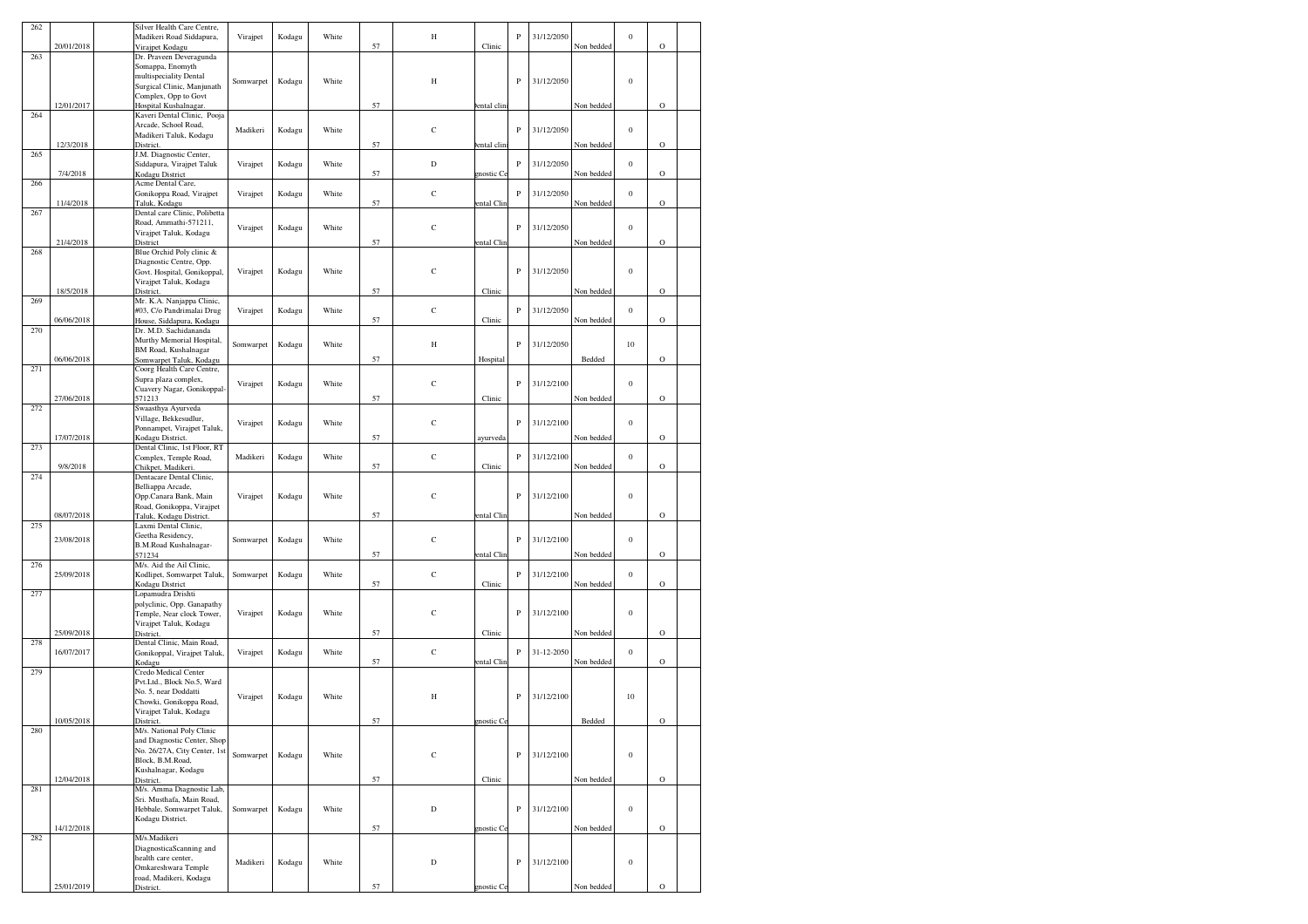| 262 |            | Silver Health Care Centre.                               |           |        |       |    |             |             |              |            |            |                  |             |  |
|-----|------------|----------------------------------------------------------|-----------|--------|-------|----|-------------|-------------|--------------|------------|------------|------------------|-------------|--|
|     |            | Madikeri Road Siddapura,                                 | Virajpet  | Kodagu | White |    | Н           |             | P            | 31/12/2050 |            | $\boldsymbol{0}$ |             |  |
| 263 | 20/01/2018 | Virajpet Kodagu                                          |           |        |       | 57 |             | Clinic      |              |            | Non bedded |                  | $\mathbf O$ |  |
|     |            | Dr. Praveen Deveragunda<br>Somappa, Enomyth              |           |        |       |    |             |             |              |            |            |                  |             |  |
|     |            | multispeciality Dental                                   |           |        |       |    |             |             |              |            |            |                  |             |  |
|     |            | Surgical Clinic, Manjunath                               | Somwarpet | Kodagu | White |    | Н           |             | $\, {\bf P}$ | 31/12/2050 |            | $\boldsymbol{0}$ |             |  |
|     |            | Complex, Opp to Govt                                     |           |        |       |    |             |             |              |            |            |                  |             |  |
|     | 12/01/2017 | Hospital Kushalnagar.                                    |           |        |       | 57 |             | ental clini |              |            | Non bedded |                  | $\circ$     |  |
| 264 |            | Kaveri Dental Clinic, Pooja                              |           |        |       |    |             |             |              |            |            |                  |             |  |
|     |            | Arcade, School Road,                                     | Madikeri  | Kodagu | White |    | $\mathbf C$ |             | $\mathbf P$  | 31/12/2050 |            | $\boldsymbol{0}$ |             |  |
|     | 12/3/2018  | Madikeri Taluk, Kodagu<br>District.                      |           |        |       | 57 |             | ental clin  |              |            | Non bedded |                  | $\circ$     |  |
| 265 |            | J.M. Diagnostic Center,                                  |           |        |       |    |             |             |              |            |            |                  |             |  |
|     |            | Siddapura, Virajpet Taluk                                | Virajpet  | Kodagu | White |    | $\mathbf D$ |             | $\, {\bf P}$ | 31/12/2050 |            | $\boldsymbol{0}$ |             |  |
|     | 7/4/2018   | Kodagu District                                          |           |        |       | 57 |             | nostic C    |              |            | Non bedded |                  | $\circ$     |  |
| 266 |            | Acme Dental Care,                                        |           |        |       |    |             |             |              |            |            |                  |             |  |
|     | 11/4/2018  | Gonikoppa Road, Virajpet<br>Taluk, Kodagu                | Virajpet  | Kodagu | White | 57 | $\mathbf C$ | ental Clin  | $\, {\bf P}$ | 31/12/2050 | Non bedded | $\boldsymbol{0}$ | $\mathbf O$ |  |
| 267 |            | Dental care Clinic, Polibetta                            |           |        |       |    |             |             |              |            |            |                  |             |  |
|     |            | Road, Ammathi-571211,                                    |           |        | White |    | $\mathbf C$ |             | $\mathbf P$  | 31/12/2050 |            | $\boldsymbol{0}$ |             |  |
|     |            | Virajpet Taluk, Kodagu                                   | Virajpet  | Kodagu |       |    |             |             |              |            |            |                  |             |  |
|     | 21/4/2018  | District                                                 |           |        |       | 57 |             | ental Clin  |              |            | Non bedded |                  | $\mathbf O$ |  |
| 268 |            | Blue Orchid Poly clinic &                                |           |        |       |    |             |             |              |            |            |                  |             |  |
|     |            | Diagnostic Centre, Opp.<br>Govt. Hospital, Gonikoppal,   | Virajpet  | Kodagu | White |    | $\mathbf C$ |             | ${\bf P}$    | 31/12/2050 |            | $\boldsymbol{0}$ |             |  |
|     |            | Virajpet Taluk, Kodagu                                   |           |        |       |    |             |             |              |            |            |                  |             |  |
|     | 18/5/2018  | District.                                                |           |        |       | 57 |             | Clinic      |              |            | Non bedded |                  | $\circ$     |  |
| 269 |            | Mr. K.A. Nanjappa Clinic,                                |           |        |       |    |             |             |              |            |            |                  |             |  |
|     |            | #03, C/o Pandrimalai Drug                                | Virajpet  | Kodagu | White |    | $\mathbf C$ |             | ${\bf P}$    | 31/12/2050 |            | $\boldsymbol{0}$ |             |  |
|     | 06/06/2018 | House, Siddapura, Kodagu<br>Dr. M.D. Sachidananda        |           |        |       | 57 |             | Clinic      |              |            | Non bedded |                  | $\circ$     |  |
| 270 |            | Murthy Memorial Hospital,                                |           |        |       |    |             |             |              |            |            |                  |             |  |
|     |            | BM Road, Kushalnagar                                     | Somwarpet | Kodagu | White |    | H           |             | P            | 31/12/2050 |            | 10               |             |  |
|     | 06/06/2018 | Somwarpet Taluk, Kodagu                                  |           |        |       | 57 |             | Hospital    |              |            | Bedded     |                  | $\circ$     |  |
| 271 |            | Coorg Health Care Centre,                                |           |        |       |    |             |             |              |            |            |                  |             |  |
|     |            | Supra plaza complex,                                     | Virajpet  | Kodagu | White |    | $\mathbf C$ |             | $\, {\bf P}$ | 31/12/2100 |            | $\boldsymbol{0}$ |             |  |
|     |            | Cuavery Nagar, Gonikoppal                                |           |        |       |    |             |             |              |            |            |                  |             |  |
| 272 | 27/06/2018 | 571213<br>Swaasthya Ayurveda                             |           |        |       | 57 |             | Clinic      |              |            | Non bedded |                  | $\circ$     |  |
|     |            | Village, Bekkesudlur,                                    |           |        |       |    |             |             |              |            |            |                  |             |  |
|     |            | Ponnampet, Virajpet Taluk,                               | Virajpet  | Kodagu | White |    | $\mathbf C$ |             | $\mathbf P$  | 31/12/2100 |            | $\boldsymbol{0}$ |             |  |
|     | 17/07/2018 | Kodagu District.                                         |           |        |       | 57 |             | ayurveda    |              |            | Non bedded |                  | $\mathbf O$ |  |
| 273 |            | Dental Clinic, 1st Floor, RT                             |           |        |       |    |             |             |              |            |            |                  |             |  |
|     |            | Complex, Temple Road,                                    | Madikeri  | Kodagu | White |    | C           |             | $\, {\bf P}$ | 31/12/2100 |            | $\boldsymbol{0}$ |             |  |
| 274 | 9/8/2018   | Chikpet, Madikeri.<br>Dentacare Dental Clinic,           |           |        |       | 57 |             | Clinic      |              |            | Non bedded |                  | $\mathbf O$ |  |
|     |            | Belliappa Arcade,                                        |           |        |       |    |             |             |              |            |            |                  |             |  |
|     |            | Opp.Canara Bank, Main                                    | Virajpet  | Kodagu | White |    | $\mathbf C$ |             | P            | 31/12/2100 |            | $\boldsymbol{0}$ |             |  |
|     |            | Road, Gonikoppa, Virajpet                                |           |        |       |    |             |             |              |            |            |                  |             |  |
|     | 08/07/2018 | Taluk, Kodagu District.                                  |           |        |       | 57 |             | ental Clin  |              |            | Non bedded |                  | $\circ$     |  |
| 275 |            | Laxmi Dental Clinic,                                     |           |        |       |    |             |             |              |            |            |                  |             |  |
|     | 23/08/2018 | Geetha Residency,<br>B.M.Road Kushalnagar-               | Somwarpet | Kodagu | White |    | $\mathsf C$ |             | ${\bf P}$    | 31/12/2100 |            | $\boldsymbol{0}$ |             |  |
|     |            | 571234                                                   |           |        |       | 57 |             | ental Clin  |              |            | Non bedded |                  | $\circ$     |  |
| 276 |            | M/s. Aid the Ail Clinic,                                 |           |        |       |    |             |             |              |            |            |                  |             |  |
|     | 25/09/2018 | Kodlipet, Somwarpet Taluk,                               | Somwarpet | Kodagu | White |    | $\mathbf C$ |             | $\, {\bf P}$ | 31/12/2100 |            | $\boldsymbol{0}$ |             |  |
|     |            | Kodagu District                                          |           |        |       | 57 |             | Clinic      |              |            | Non bedded |                  | $\circ$     |  |
| 277 |            | Lopamudra Drishti                                        |           |        |       |    |             |             |              |            |            |                  |             |  |
|     |            | polyclinic, Opp. Ganapathy<br>Temple, Near clock Tower,  | Virajpet  | Kodagu | White |    | $\mathbf C$ |             | $\mathbf P$  | 31/12/2100 |            | $\boldsymbol{0}$ |             |  |
|     |            | Virajpet Taluk, Kodagu                                   |           |        |       |    |             |             |              |            |            |                  |             |  |
|     | 25/09/2018 | District                                                 |           |        |       | 57 |             | Clinic      |              |            | Non bedded |                  | $\circ$     |  |
| 278 |            | Dental Clinic, Main Road,                                |           |        |       |    |             |             |              |            |            |                  |             |  |
|     | 16/07/2017 | Gonikoppal, Virajpet Taluk,                              | Virajpet  | Kodagu | White |    | C           |             | $\, {\bf p}$ | 31-12-2050 |            | $\boldsymbol{0}$ |             |  |
| 279 |            | Kodagu<br>Credo Medical Center                           |           |        |       | 57 |             | ental Clin  |              |            | Non bedded |                  | $\mathbf O$ |  |
|     |            | Pvt.Ltd., Block No.5, Ward                               |           |        |       |    |             |             |              |            |            |                  |             |  |
|     |            | No. 5, near Doddatti                                     |           |        |       |    |             |             |              |            |            |                  |             |  |
|     |            | Chowki, Gonikoppa Road,                                  | Virajpet  | Kodagu | White |    | Н           |             | P            | 31/12/2100 |            | 10               |             |  |
|     |            | Virajpet Taluk, Kodagu                                   |           |        |       |    |             |             |              |            |            |                  |             |  |
|     | 10/05/2018 | District.                                                |           |        |       | 57 |             | gnostic Ce  |              |            | Bedded     |                  | O           |  |
| 280 |            | M/s. National Poly Clinic<br>and Diagnostic Center, Shop |           |        |       |    |             |             |              |            |            |                  |             |  |
|     |            | No. 26/27A, City Center, 1st                             |           |        |       |    |             |             |              |            |            |                  |             |  |
|     |            | Block, B.M.Road,                                         | Somwarpet | Kodagu | White |    | $\mathbf C$ |             | P            | 31/12/2100 |            | $\boldsymbol{0}$ |             |  |
|     |            | Kushalnagar, Kodagu                                      |           |        |       |    |             |             |              |            |            |                  |             |  |
|     | 12/04/2018 | District.                                                |           |        |       | 57 |             | Clinic      |              |            | Non bedded |                  | $\mathbf O$ |  |
| 281 |            | M/s. Amma Diagnostic Lab,                                |           |        |       |    |             |             |              |            |            |                  |             |  |
|     |            | Sri. Musthafa, Main Road,<br>Hebbale, Somwarpet Taluk,   | Somwarpet | Kodagu | White |    | D           |             | ${\bf P}$    | 31/12/2100 |            | $\boldsymbol{0}$ |             |  |
|     |            | Kodagu District.                                         |           |        |       |    |             |             |              |            |            |                  |             |  |
|     | 14/12/2018 |                                                          |           |        |       | 57 |             | mostic Ce   |              |            | Non bedded |                  | $\mathbf O$ |  |
| 282 |            | M/s.Madikeri                                             |           |        |       |    |             |             |              |            |            |                  |             |  |
|     |            | DiagnosticaScanning and                                  |           |        |       |    |             |             |              |            |            |                  |             |  |
|     |            | health care center,                                      | Madikeri  | Kodagu | White |    | $\mathbf D$ |             | P            | 31/12/2100 |            | $\boldsymbol{0}$ |             |  |
|     |            | Omkareshwara Temple<br>road, Madikeri, Kodagu            |           |        |       |    |             |             |              |            |            |                  |             |  |
|     | 25/01/2019 | District.                                                |           |        |       | 57 |             | nostic C    |              |            | Non bedded |                  | $\circ$     |  |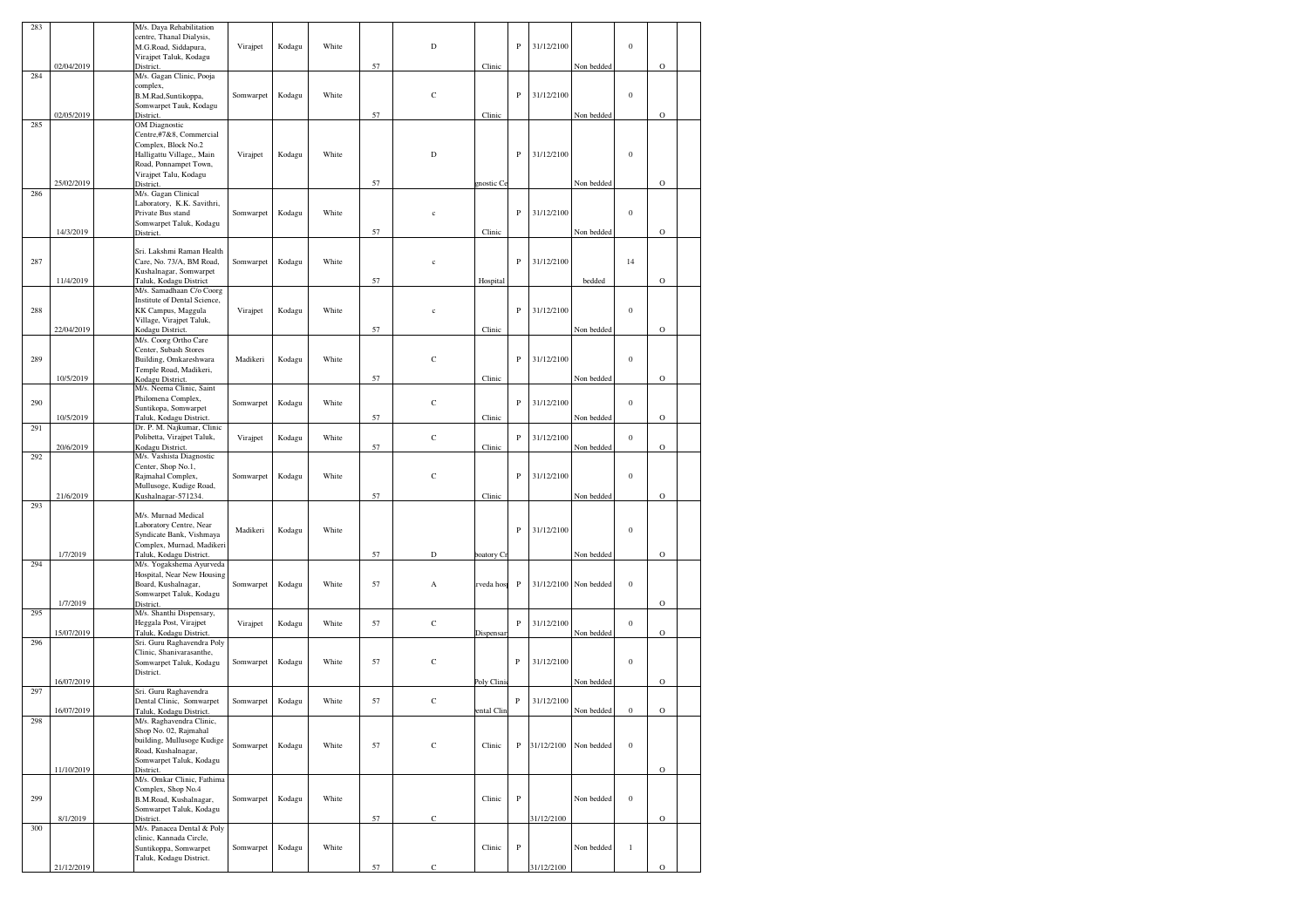| 283 |            | M/s. Daya Rehabilitation                              |           |        |       |    |              |                        |              |            |            |                  |             |  |
|-----|------------|-------------------------------------------------------|-----------|--------|-------|----|--------------|------------------------|--------------|------------|------------|------------------|-------------|--|
|     |            | centre, Thanal Dialysis,<br>M.G.Road, Siddapura,      | Virajpet  | Kodagu | White |    | $\mathbf D$  |                        | P            | 31/12/2100 |            | $\boldsymbol{0}$ |             |  |
|     |            | Virajpet Taluk, Kodagu                                |           |        |       |    |              |                        |              |            |            |                  |             |  |
|     | 02/04/2019 | District.                                             |           |        |       | 57 |              | Clinic                 |              |            | Non bedded |                  | $\circ$     |  |
| 284 |            | M/s. Gagan Clinic, Pooja<br>complex,                  |           |        |       |    |              |                        |              |            |            |                  |             |  |
|     |            | B.M.Rad, Suntikoppa,                                  | Somwarpet | Kodagu | White |    | $\mathbf C$  |                        | P            | 31/12/2100 |            | $\boldsymbol{0}$ |             |  |
|     |            | Somwarpet Tauk, Kodagu                                |           |        |       |    |              |                        |              |            |            |                  |             |  |
| 285 | 02/05/2019 | District.<br><b>OM</b> Diagnostic                     |           |        |       | 57 |              | Clinic                 |              |            | Non bedded |                  | $\circ$     |  |
|     |            | Centre,#7&8, Commercial                               |           |        |       |    |              |                        |              |            |            |                  |             |  |
|     |            | Complex, Block No.2                                   |           |        |       |    |              |                        |              |            |            |                  |             |  |
|     |            | Halligattu Village,, Main                             | Virajpet  | Kodagu | White |    | D            |                        | ${\bf P}$    | 31/12/2100 |            | $\boldsymbol{0}$ |             |  |
|     |            | Road, Ponnampet Town,<br>Virajpet Talu, Kodagu        |           |        |       |    |              |                        |              |            |            |                  |             |  |
|     | 25/02/2019 | District.                                             |           |        |       | 57 |              | mostic Ce              |              |            | Non bedded |                  | $\circ$     |  |
| 286 |            | M/s. Gagan Clinical                                   |           |        |       |    |              |                        |              |            |            |                  |             |  |
|     |            | Laboratory, K.K. Savithri,<br>Private Bus stand       | Somwarpet | Kodagu | White |    | $\mathbf c$  |                        | $\, {\bf p}$ | 31/12/2100 |            | $\boldsymbol{0}$ |             |  |
|     |            | Somwarpet Taluk, Kodagu                               |           |        |       |    |              |                        |              |            |            |                  |             |  |
|     | 14/3/2019  | District.                                             |           |        |       | 57 |              | Clinic                 |              |            | Non bedded |                  | $\circ$     |  |
|     |            | Sri. Lakshmi Raman Health                             |           |        |       |    |              |                        |              |            |            |                  |             |  |
| 287 |            | Care, No. 73/A, BM Road,                              | Somwarpet | Kodagu | White |    | $\mathbf c$  |                        | P            | 31/12/2100 |            | 14               |             |  |
|     |            | Kushalnagar, Somwarpet                                |           |        |       |    |              |                        |              |            |            |                  |             |  |
|     | 11/4/2019  | Taluk, Kodagu District<br>M/s. Samadhaan C/o Coorg    |           |        |       | 57 |              | Hospital               |              |            | bedded     |                  | $\circ$     |  |
|     |            | Institute of Dental Science,                          |           |        |       |    |              |                        |              |            |            |                  |             |  |
| 288 |            | KK Campus, Maggula                                    | Virajpet  | Kodagu | White |    | $\mathbf{c}$ |                        | $\, {\bf p}$ | 31/12/2100 |            | $\boldsymbol{0}$ |             |  |
|     |            | Village, Virajpet Taluk,                              |           |        |       |    |              |                        |              |            |            |                  |             |  |
|     | 22/04/2019 | Kodagu District.<br>M/s. Coorg Ortho Care             |           |        |       | 57 |              | Clinic                 |              |            | Non bedded |                  | $\circ$     |  |
|     |            | Center, Subash Stores                                 |           |        |       |    |              |                        |              |            |            |                  |             |  |
| 289 |            | Building, Omkareshwara                                | Madikeri  | Kodagu | White |    | $\mathbf C$  |                        | $\, {\bf p}$ | 31/12/2100 |            | $\boldsymbol{0}$ |             |  |
|     | 10/5/2019  | Temple Road, Madikeri,<br>Kodagu District.            |           |        |       | 57 |              | Clinic                 |              |            | Non bedded |                  | $\circ$     |  |
|     |            | M/s. Neema Clinic, Saint                              |           |        |       |    |              |                        |              |            |            |                  |             |  |
| 290 |            | Philomena Complex,                                    | Somwarpet | Kodagu | White |    | $\mathbf C$  |                        | P            | 31/12/2100 |            | $\boldsymbol{0}$ |             |  |
|     | 10/5/2019  | Suntikopa, Somwarpet<br>Taluk, Kodagu District.       |           |        |       | 57 |              | Clinic                 |              |            | Non bedded |                  | $\circ$     |  |
| 291 |            | Dr. P. M. Najkumar, Clinic                            |           |        |       |    |              |                        |              |            |            |                  |             |  |
|     |            | Polibetta, Virajpet Taluk,                            | Virajpet  | Kodagu | White |    | $\mathbf C$  |                        | $\, {\bf P}$ | 31/12/2100 |            | $\boldsymbol{0}$ |             |  |
| 292 | 20/6/2019  | Kodagu District.<br>M/s. Vashista Diagnostic          |           |        |       | 57 |              | Clinic                 |              |            | Non bedded |                  | $\circ$     |  |
|     |            | Center, Shop No.1,                                    |           |        |       |    |              |                        |              |            |            |                  |             |  |
|     |            | Rajmahal Complex,                                     | Somwarpet | Kodagu | White |    | $\mathbf C$  |                        | $\, {\bf P}$ | 31/12/2100 |            | $\boldsymbol{0}$ |             |  |
|     |            | Mullusoge, Kudige Road,                               |           |        |       |    |              |                        |              |            |            |                  |             |  |
| 293 | 21/6/2019  | Kushalnagar-571234.                                   |           |        |       | 57 |              | Clinic                 |              |            | Non bedded |                  | $\mathbf O$ |  |
|     |            | M/s. Murnad Medical                                   |           |        |       |    |              |                        |              |            |            |                  |             |  |
|     |            | Laboratory Centre, Near                               | Madikeri  | Kodagu | White |    |              |                        | ${\bf P}$    | 31/12/2100 |            | $\boldsymbol{0}$ |             |  |
|     |            | Syndicate Bank, Vishmaya<br>Complex, Murnad, Madikeri |           |        |       |    |              |                        |              |            |            |                  |             |  |
|     | 1/7/2019   | Taluk, Kodagu District.                               |           |        |       | 57 | D            | oatory Cr              |              |            | Non bedded |                  | $\circ$     |  |
| 294 |            | M/s. Yogakshema Ayurveda                              |           |        |       |    |              |                        |              |            |            |                  |             |  |
|     |            | Hospital, Near New Housing<br>Board, Kushalnagar,     | Somwarpet | Kodagu | White | 57 | А            | rveda hos <sub>l</sub> | $\, {\bf P}$ | 31/12/2100 | Non bedded | $\boldsymbol{0}$ |             |  |
|     |            | Somwarpet Taluk, Kodagu                               |           |        |       |    |              |                        |              |            |            |                  |             |  |
|     | 1/7/2019   | District.                                             |           |        |       |    |              |                        |              |            |            |                  | $\circ$     |  |
| 295 |            | M/s. Shanthi Dispensary,<br>Heggala Post, Virajpet    | Virajpet  | Kodagu | White | 57 | С            |                        | $\, {\bf P}$ | 31/12/2100 |            | $\boldsymbol{0}$ |             |  |
|     | 15/07/2019 | Taluk, Kodagu District.                               |           |        |       |    |              | Dispensar              |              |            | Non bedded |                  | $\circ$     |  |
| 296 |            | Sri. Guru Raghavendra Poly                            |           |        |       |    |              |                        |              |            |            |                  |             |  |
|     |            | Clinic, Shanivarasanthe,<br>Somwarpet Taluk, Kodagu   | Somwarpet | Kodagu | White | 57 | C            |                        | P            | 31/12/2100 |            | $\boldsymbol{0}$ |             |  |
|     |            | District.                                             |           |        |       |    |              |                        |              |            |            |                  |             |  |
|     | 16/07/2019 |                                                       |           |        |       |    |              | Poly Clini             |              |            | Non bedded |                  | $\circ$     |  |
| 297 |            | Sri. Guru Raghavendra<br>Dental Clinic, Somwarpet     | Somwarpet | Kodagu | White | 57 | $\mathbf C$  |                        | P            | 31/12/2100 |            |                  |             |  |
|     | 16/07/2019 | Taluk, Kodagu District.                               |           |        |       |    |              | ental Clin             |              |            | Non bedded | $\boldsymbol{0}$ | $\circ$     |  |
| 298 |            | M/s. Raghavendra Clinic,                              |           |        |       |    |              |                        |              |            |            |                  |             |  |
|     |            | Shop No. 02, Rajmahal<br>building, Mullusoge Kudige   |           |        |       |    |              |                        |              |            |            |                  |             |  |
|     |            | Road, Kushalnagar,                                    | Somwarpet | Kodagu | White | 57 | $\mathbf C$  | Clinic                 | P            | 31/12/2100 | Non bedded | $\boldsymbol{0}$ |             |  |
|     |            | Somwarpet Taluk, Kodagu                               |           |        |       |    |              |                        |              |            |            |                  |             |  |
|     | 11/10/2019 | District.<br>M/s. Omkar Clinic, Fathima               |           |        |       |    |              |                        |              |            |            |                  | $\rm{O}$    |  |
|     |            | Complex, Shop No.4                                    |           |        |       |    |              |                        |              |            |            |                  |             |  |
| 299 |            | B.M.Road, Kushalnagar,                                | Somwarpet | Kodagu | White |    |              | Clinic                 | $_{\rm P}$   |            | Non bedded | $\boldsymbol{0}$ |             |  |
|     | 8/1/2019   | Somwarpet Taluk, Kodagu<br>District.                  |           |        |       | 57 | $\mathbf C$  |                        |              | 31/12/2100 |            |                  | $\mathbf O$ |  |
| 300 |            | M/s. Panacea Dental & Poly                            |           |        |       |    |              |                        |              |            |            |                  |             |  |
|     |            | clinic, Kannada Circle,                               |           |        |       |    |              |                        |              |            |            |                  |             |  |
|     |            | Suntikoppa, Somwarpet<br>Taluk, Kodagu District.      | Somwarpet | Kodagu | White |    |              | Clinic                 | $_{\rm P}$   |            | Non bedded | $\mathbf{1}$     |             |  |
|     |            |                                                       |           |        |       | 57 | С            |                        |              | 31/12/2100 |            |                  | $\mathbf O$ |  |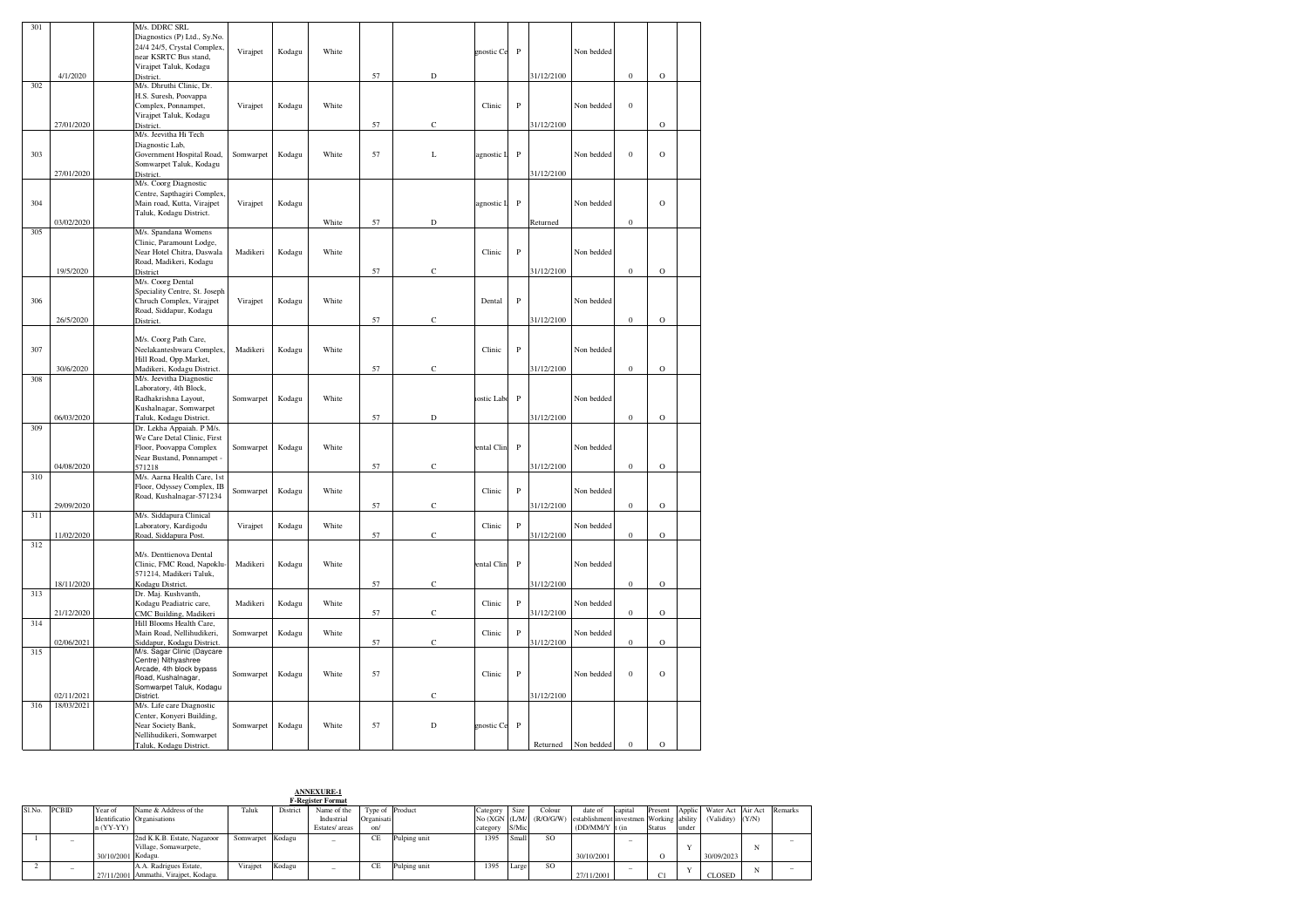| 301 |            | M/s. DDRC SRL                                             |           |        |       |    |             |            |              |            |            |                  |             |  |
|-----|------------|-----------------------------------------------------------|-----------|--------|-------|----|-------------|------------|--------------|------------|------------|------------------|-------------|--|
|     |            | Diagnostics (P) Ltd., Sy.No.                              |           |        |       |    |             |            |              |            |            |                  |             |  |
|     |            | 24/4 24/5, Crystal Complex,                               | Virajpet  | Kodagu | White |    |             | gnostic Ce | ${\bf P}$    |            | Non bedded |                  |             |  |
|     |            | near KSRTC Bus stand,<br>Virajpet Taluk, Kodagu           |           |        |       |    |             |            |              |            |            |                  |             |  |
|     | 4/1/2020   | District.                                                 |           |        |       | 57 | $\mathbf D$ |            |              | 31/12/2100 |            | $\boldsymbol{0}$ | $\rm{O}$    |  |
| 302 |            | M/s. Dhruthi Clinic, Dr.                                  |           |        |       |    |             |            |              |            |            |                  |             |  |
|     |            | H.S. Suresh, Poovappa                                     |           |        |       |    |             |            |              |            |            |                  |             |  |
|     |            | Complex, Ponnampet,                                       | Virajpet  | Kodagu | White |    |             | Clinic     | ${\bf P}$    |            | Non bedded | $\boldsymbol{0}$ |             |  |
|     | 27/01/2020 | Virajpet Taluk, Kodagu                                    |           |        |       |    | $\mathbf C$ |            |              | 31/12/2100 |            |                  | $\rm{O}$    |  |
|     |            | District.<br>M/s. Jeevitha Hi Tech                        |           |        |       | 57 |             |            |              |            |            |                  |             |  |
|     |            | Diagnostic Lab,                                           |           |        |       |    |             |            |              |            |            |                  |             |  |
| 303 |            | Government Hospital Road,                                 | Somwarpet | Kodagu | White | 57 | L           | agnostic L | $\, {\bf P}$ |            | Non bedded | $\bf{0}$         | $\mathbf O$ |  |
|     |            | Somwarpet Taluk, Kodagu                                   |           |        |       |    |             |            |              |            |            |                  |             |  |
|     | 27/01/2020 | District.                                                 |           |        |       |    |             |            |              | 31/12/2100 |            |                  |             |  |
|     |            | M/s. Coorg Diagnostic                                     |           |        |       |    |             |            |              |            |            |                  |             |  |
| 304 |            | Centre, Sapthagiri Complex,<br>Main road, Kutta, Virajpet | Virajpet  | Kodagu |       |    |             | agnostic L | $\, {\bf P}$ |            | Non bedded |                  | $\circ$     |  |
|     |            | Taluk, Kodagu District.                                   |           |        |       |    |             |            |              |            |            |                  |             |  |
|     | 03/02/2020 |                                                           |           |        | White | 57 | $\mathbf D$ |            |              | Returned   |            | $\boldsymbol{0}$ |             |  |
| 305 |            | M/s. Spandana Womens                                      |           |        |       |    |             |            |              |            |            |                  |             |  |
|     |            | Clinic, Paramount Lodge,                                  |           |        |       |    |             |            |              |            |            |                  |             |  |
|     |            | Near Hotel Chitra, Daswala                                | Madikeri  | Kodagu | White |    |             | Clinic     | $\, {\bf P}$ |            | Non bedded |                  |             |  |
|     | 19/5/2020  | Road, Madikeri, Kodagu<br>District                        |           |        |       | 57 | C           |            |              | 31/12/2100 |            | $\boldsymbol{0}$ | $\mathbf O$ |  |
|     |            | M/s. Coorg Dental                                         |           |        |       |    |             |            |              |            |            |                  |             |  |
|     |            | Speciality Centre, St. Joseph                             |           |        |       |    |             |            |              |            |            |                  |             |  |
| 306 |            | Chruch Complex, Virajpet                                  | Virajpet  | Kodagu | White |    |             | Dental     | $\, {\bf P}$ |            | Non bedded |                  |             |  |
|     |            | Road, Siddapur, Kodagu                                    |           |        |       |    |             |            |              |            |            |                  |             |  |
|     | 26/5/2020  | District.                                                 |           |        |       | 57 | C           |            |              | 31/12/2100 |            | $\boldsymbol{0}$ | $\mathbf O$ |  |
|     |            | M/s. Coorg Path Care,                                     |           |        |       |    |             |            |              |            |            |                  |             |  |
| 307 |            | Neelakanteshwara Complex,                                 | Madikeri  | Kodagu | White |    |             | Clinic     | $\, {\bf P}$ |            | Non bedded |                  |             |  |
|     |            | Hill Road, Opp.Market,                                    |           |        |       |    |             |            |              |            |            |                  |             |  |
|     | 30/6/2020  | Madikeri, Kodagu District                                 |           |        |       | 57 | C           |            |              | 31/12/2100 |            | $\bf{0}$         | $\circ$     |  |
| 308 |            | M/s. Jeevitha Diagnostic                                  |           |        |       |    |             |            |              |            |            |                  |             |  |
|     |            | Laboratory, 4th Block,                                    |           |        |       |    |             |            | P            |            |            |                  |             |  |
|     |            | Radhakrishna Layout,<br>Kushalnagar, Somwarpet            | Somwarpet | Kodagu | White |    |             | ostic Labo |              |            | Non bedded |                  |             |  |
|     | 06/03/2020 | Taluk, Kodagu District.                                   |           |        |       | 57 | D           |            |              | 31/12/2100 |            | $\mathbf{0}$     | $\circ$     |  |
| 309 |            | Dr. Lekha Appaiah. P M/s.                                 |           |        |       |    |             |            |              |            |            |                  |             |  |
|     |            | We Care Detal Clinic, First                               |           |        |       |    |             |            |              |            |            |                  |             |  |
|     |            | Floor, Poovappa Complex                                   | Somwarpet | Kodagu | White |    |             | ental Clin | $\, {\bf P}$ |            | Non bedded |                  |             |  |
|     | 04/08/2020 | Near Bustand, Ponnampet -                                 |           |        |       | 57 | $\mathbf C$ |            |              | 31/12/2100 |            | $\boldsymbol{0}$ | $\rm{O}$    |  |
| 310 |            | 571218<br>M/s. Aarna Health Care, 1st                     |           |        |       |    |             |            |              |            |            |                  |             |  |
|     |            | Floor, Odyssey Complex, IB                                |           |        |       |    |             |            |              |            |            |                  |             |  |
|     |            | Road, Kushalnagar-571234                                  | Somwarpet | Kodagu | White |    |             | Clinic     | $\, {\bf P}$ |            | Non bedded |                  |             |  |
|     | 29/09/2020 |                                                           |           |        |       | 57 | $\mathbf C$ |            |              | 31/12/2100 |            | $\boldsymbol{0}$ | $\rm{O}$    |  |
| 311 |            | M/s. Siddapura Clinical                                   |           |        |       |    |             | Clinic     | ${\bf P}$    |            |            |                  |             |  |
|     | 11/02/2020 | Laboratory, Kardigodu<br>Road, Siddapura Post.            | Virajpet  | Kodagu | White | 57 | $\mathbf C$ |            |              | 31/12/2100 | Non bedded | $\boldsymbol{0}$ | $\rm{O}$    |  |
| 312 |            |                                                           |           |        |       |    |             |            |              |            |            |                  |             |  |
|     |            | M/s. Denttienova Dental                                   |           |        |       |    |             |            |              |            |            |                  |             |  |
|     |            | Clinic, FMC Road, Napoklu-                                | Madikeri  | Kodagu | White |    |             | ental Clin | $\, {\bf P}$ |            | Non bedded |                  |             |  |
|     |            | 571214, Madikeri Taluk,                                   |           |        |       |    |             |            |              |            |            |                  |             |  |
| 313 | 18/11/2020 | Kodagu District.                                          |           |        |       | 57 | $\mathbf C$ |            |              | 31/12/2100 |            | $\boldsymbol{0}$ | $\mathbf O$ |  |
|     |            | Dr. Maj. Kushvanth,<br>Kodagu Peadiatric care,            | Madikeri  | Kodagu | White |    |             | Clinic     | $\, {\bf P}$ |            | Non bedded |                  |             |  |
|     | 21/12/2020 | CMC Building, Madikeri                                    |           |        |       | 57 | $\mathbf C$ |            |              | 31/12/2100 |            | $\boldsymbol{0}$ | $\mathbf O$ |  |
| 314 |            | Hill Blooms Health Care,                                  |           |        |       |    |             |            |              |            |            |                  |             |  |
|     |            | Main Road, Nellihudikeri,                                 | Somwarpet | Kodagu | White |    |             | Clinic     | $\, {\bf P}$ |            | Non bedded |                  |             |  |
|     | 02/06/2021 | Siddapur, Kodagu District.<br>M/s. Sagar Clinic (Daycare  |           |        |       | 57 | $\mathbf C$ |            |              | 31/12/2100 |            | $\boldsymbol{0}$ | $\mathbf O$ |  |
| 315 |            | Centre) Nithyashree                                       |           |        |       |    |             |            |              |            |            |                  |             |  |
|     |            | Arcade, 4th block bypass                                  | Somwarpet | Kodagu | White | 57 |             | Clinic     | $\, {\bf P}$ |            | Non bedded | $\boldsymbol{0}$ | $\mathbf O$ |  |
|     |            | Road, Kushalnagar,                                        |           |        |       |    |             |            |              |            |            |                  |             |  |
|     | 02/11/2021 | Somwarpet Taluk, Kodagu<br>District.                      |           |        |       |    | $\mathsf C$ |            |              | 31/12/2100 |            |                  |             |  |
| 316 | 18/03/2021 | M/s. Life care Diagnostic                                 |           |        |       |    |             |            |              |            |            |                  |             |  |
|     |            | Center, Konyeri Building,                                 |           |        |       |    |             |            |              |            |            |                  |             |  |
|     |            | Near Society Bank,                                        | Somwarpet | Kodagu | White | 57 | D           | gnostic Ce | P            |            |            |                  |             |  |
|     |            | Nellihudikeri, Somwarpet                                  |           |        |       |    |             |            |              |            |            |                  |             |  |
|     |            | Taluk, Kodagu District.                                   |           |        |       |    |             |            |              | Returned   | Non bedded | $\mathbf{0}$     | $\circ$     |  |

|  | <b>ANNEXURE-1</b> |  |
|--|-------------------|--|
|  | F-Register Format |  |
|  |                   |  |

|        |              |                    |                                       |                  | - --- <u>-</u> ----- - ------ |                | Applic   Water Act   Air Act   Remarks<br>Type of Product |              |          |       |               |                                                                 |         |               |       |                  |  |  |  |  |
|--------|--------------|--------------------|---------------------------------------|------------------|-------------------------------|----------------|-----------------------------------------------------------|--------------|----------|-------|---------------|-----------------------------------------------------------------|---------|---------------|-------|------------------|--|--|--|--|
| ISLNo. | <b>PCBID</b> | Year of            | Name & Address of the                 | Taluk            | District                      | Name of the    |                                                           |              | Category | Size  | Colour        | date of                                                         | capital | Present       |       |                  |  |  |  |  |
|        |              |                    | Identificatio Organisations           |                  |                               | Industrial     | Organisati                                                |              |          |       |               | No (XGN (L/M/ (R/O/G/W) establishment investmen Working ability |         |               |       | (Validity) (Y/N) |  |  |  |  |
|        |              | n (YY-YY)          |                                       |                  |                               | Estates/ areas | on/                                                       |              | category | S/Mic |               | (DD/MM/Y t (in                                                  |         | <b>Status</b> | under |                  |  |  |  |  |
|        |              |                    | 2nd K.K.B. Estate, Nagaroor           | Somwarpet Kodagu |                               | $\sim$         | CF                                                        | Pulping unit | 1395     | Small | <sub>SO</sub> |                                                                 |         |               |       |                  |  |  |  |  |
|        |              |                    | Village, Somawarpete,                 |                  |                               |                |                                                           |              |          |       |               |                                                                 |         |               |       |                  |  |  |  |  |
|        |              | 30/10/2001 Kodagu. |                                       |                  |                               |                |                                                           |              |          |       |               | 30/10/2001                                                      |         |               |       | 30/09/2023       |  |  |  |  |
|        |              |                    | A.A. Radrigues Estate.                | Viraipet         | Kodagu                        | $\sim$         | CF                                                        | Pulping unit | 1395     | Large | SO.           |                                                                 |         |               |       |                  |  |  |  |  |
|        |              |                    | 27/11/2001 Ammathi, Virajpet, Kodagu. |                  |                               |                |                                                           |              |          |       |               | 27/11/2001                                                      |         |               |       | <b>CLOSED</b>    |  |  |  |  |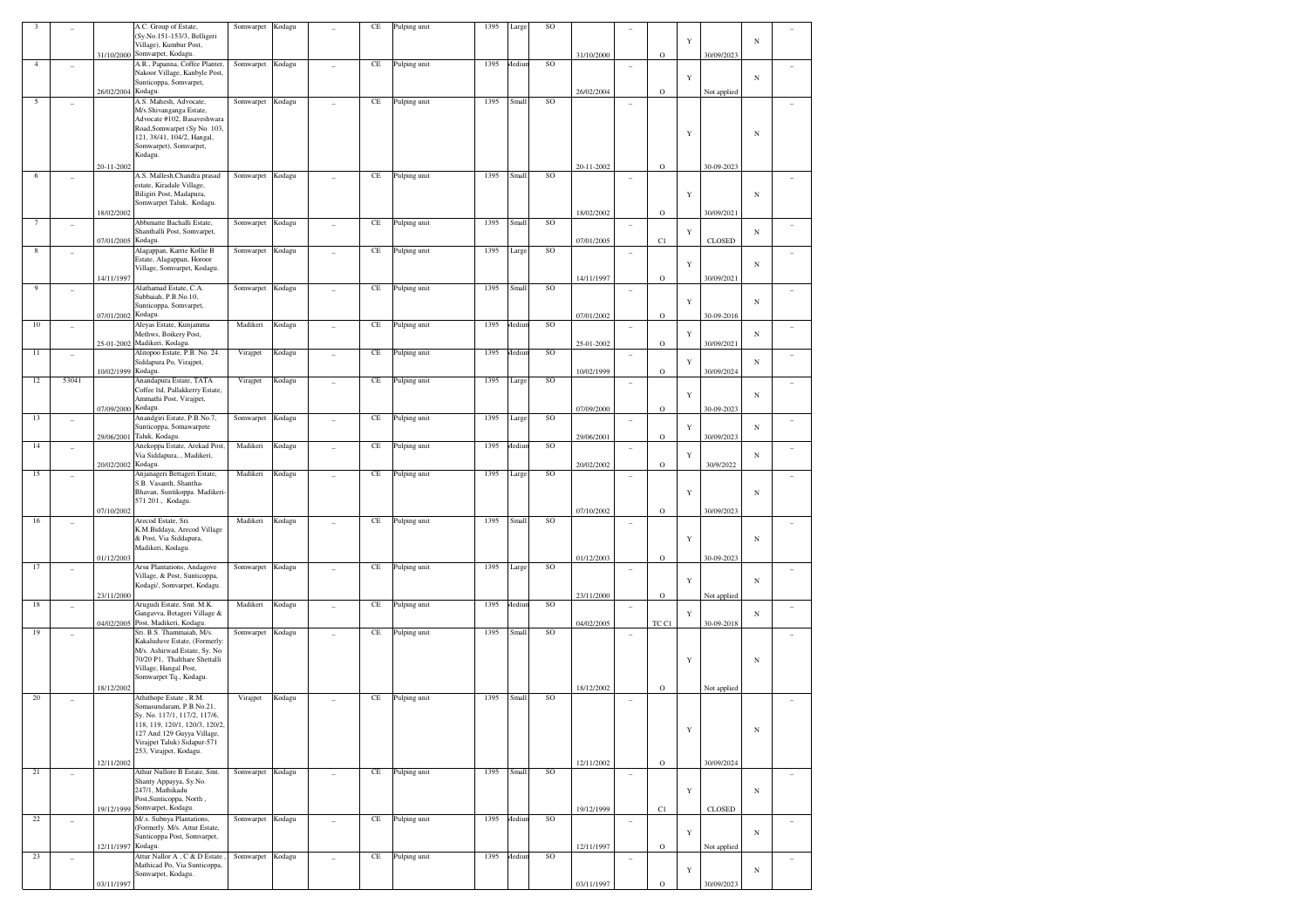| 3              |                          |                    | A.C. Group of Estate,                                              | Somwarpet        | Kodagu |                | CE       | Pulping unit | 1395 | Large  | SO            |            |                |             |             |               |            |        |
|----------------|--------------------------|--------------------|--------------------------------------------------------------------|------------------|--------|----------------|----------|--------------|------|--------|---------------|------------|----------------|-------------|-------------|---------------|------------|--------|
|                |                          |                    | (Sy.No.151-153/3, Belligeri<br>Village), Kumbur Post,              |                  |        |                |          |              |      |        |               |            |                |             | Y           |               | $_{\rm N}$ |        |
|                |                          |                    | 31/10/2000 Somvarpet, Kodagu.                                      |                  |        |                |          |              |      |        |               | 31/10/2000 |                | $\rm{O}$    |             | 30/09/2023    |            |        |
| $\overline{4}$ |                          |                    | A.R., Papanna, Coffee Planter,                                     | Somwarpet        | Kodagu |                | CE       | Pulping unit | 1395 | Aediur | SO            |            |                |             |             |               |            |        |
|                |                          |                    | Nakoor Village, Kanbyle Post,                                      |                  |        |                |          |              |      |        |               |            |                |             | Y           |               | $_{\rm N}$ |        |
|                |                          | 26/02/2004 Kodagu. | Sunticoppa, Somvarpet,                                             |                  |        |                |          |              |      |        |               |            |                |             |             |               |            |        |
| 5              |                          |                    | A.S. Mahesh, Advocate,                                             | Somwarpet Kodagu |        |                | CE       | Pulping unit | 1395 | Small  | SO            | 26/02/2004 |                | $\rm{O}$    |             | Not applied   |            |        |
|                |                          |                    | M/s.Shivanganga Estate,                                            |                  |        |                |          |              |      |        |               |            |                |             |             |               |            |        |
|                |                          |                    | Advocate #102, Basaveshwara                                        |                  |        |                |          |              |      |        |               |            |                |             |             |               |            |        |
|                |                          |                    | Road, Somwarpet (Sy No. 103,<br>121, 38/41, 104/2, Hangal,         |                  |        |                |          |              |      |        |               |            |                |             | Y           |               | $_{\rm N}$ |        |
|                |                          |                    | Somwarpet), Somvarpet,                                             |                  |        |                |          |              |      |        |               |            |                |             |             |               |            |        |
|                |                          |                    | Kodagu.                                                            |                  |        |                |          |              |      |        |               |            |                |             |             |               |            |        |
|                |                          | 20-11-2002         |                                                                    |                  |        |                |          |              |      |        |               | 20-11-2002 |                | $\rm{O}$    |             | 30-09-2023    |            |        |
| 6              |                          |                    | A.S. Mallesh, Chandra prasad<br>estate, Kiradale Village,          | Somwarpet Kodagu |        |                | CE       | Pulping unit | 1395 | Small  | SO            |            |                |             |             |               |            |        |
|                |                          |                    | Biligiri Post, Madapura,                                           |                  |        |                |          |              |      |        |               |            |                |             | Y           |               | $_{\rm N}$ |        |
|                |                          |                    | Somwarpet Taluk, Kodagu.                                           |                  |        |                |          |              |      |        |               |            |                |             |             |               |            |        |
|                |                          | 18/02/2002         | Abbimatte Bachalli Estate,                                         |                  |        |                |          |              |      |        |               | 18/02/2002 |                | $\rm{O}$    |             | 30/09/2021    |            |        |
| 7              |                          |                    | Shanthalli Post, Somvarpet,                                        | Somwarpet        | Kodagu |                | CE       | Pulping unit | 1395 | Small  | SO            |            |                |             | Y           |               | N          |        |
|                |                          | 07/01/2005 Kodagu. |                                                                    |                  |        |                |          |              |      |        |               | 07/01/2005 |                | C1          |             | CLOSED        |            |        |
| 8              |                          |                    | Alagappan, Karrie Kollie B                                         | Somwarpet        | Kodagu |                | CE       | Pulping unit | 1395 | Large  | SO            |            |                |             |             |               |            |        |
|                |                          |                    | Estate, Alagappan, Horoor<br>Village, Somvarpet, Kodagu.           |                  |        |                |          |              |      |        |               |            |                |             | Y           |               | $_{\rm N}$ |        |
|                |                          | 14/11/1997         |                                                                    |                  |        |                |          |              |      |        |               | 14/11/1997 |                | $\rm{O}$    |             | 30/09/2021    |            |        |
| 9              | $\overline{a}$           |                    | Alathamad Estate, C.A.                                             | Somwarpet        | Kodagu |                | CE       | Pulping unit | 1395 | Small  | SO            |            |                |             |             |               |            |        |
|                |                          |                    | Subbaiah, P.B.No.10,                                               |                  |        |                |          |              |      |        |               |            |                |             | Y           |               | $_{\rm N}$ |        |
|                |                          | 07/01/2002 Kodagu. | Sunticoppa, Somvarpet,                                             |                  |        |                |          |              |      |        |               | 07/01/2002 |                | $\rm{O}$    |             | 30-09-2016    |            |        |
| $10\,$         |                          |                    | Aleyas Estate, Kunjamma                                            | Madikeri         | Kodagu |                | CE       | Pulping unit | 1395 | Aediun | SO            |            |                |             |             |               |            |        |
|                |                          |                    | Methws, Boikery Post,                                              |                  |        |                |          |              |      |        |               |            |                |             | Y           |               | $_{\rm N}$ |        |
| 11             |                          |                    | 25-01-2002 Madikeri, Kodagu.<br>Alitopoo Estate, P.B. No. 24.      | Virajpet         | Kodagu |                | CE       | Pulping unit | 1395 | Aediur | SO            | 25-01-2002 |                | $\rm{O}$    |             | 30/09/2021    |            |        |
|                | ٠                        |                    | Siddapura Po, Virajpet,                                            |                  |        |                |          |              |      |        |               |            | ÷              |             | Y           |               | N          |        |
|                |                          | 10/02/1999 Kodagu. |                                                                    |                  |        |                |          |              |      |        |               | 10/02/1999 |                | $\rm{O}$    |             | 30/09/2024    |            |        |
| 12             | 53041                    |                    | Anandapura Estate, TATA<br>Coffee Itd, Pallakkerry Estate,         | Virajpet         | Kodagu |                | CE       | Pulping unit | 1395 | Large  | SO            |            |                |             |             |               |            |        |
|                |                          |                    | Ammathi Post, Virajpet,                                            |                  |        |                |          |              |      |        |               |            |                |             | Y           |               | N          |        |
|                |                          | 07/09/2000 Kodagu. |                                                                    |                  |        |                |          |              |      |        |               | 07/09/2000 |                | $\rm{O}$    |             | 30-09-2023    |            |        |
| 13             |                          |                    | Anandgiri Estate, P.B.No.7,<br>Sunticoppa, Somawarpete             | Somwarpet        | Kodagu |                | CE       | Pulping unit | 1395 | Large  | SO            |            |                |             |             |               | $_{\rm N}$ |        |
|                |                          |                    | 29/06/2001 Taluk, Kodagu.                                          |                  |        |                |          |              |      |        |               | 29/06/2001 |                | $\rm{O}$    | Y           | 30/09/2023    |            |        |
| 14             | $\overline{\phantom{a}}$ |                    | Anekoppa Estate, Arekad Post,                                      | Madikeri         | Kodagu | ÷              | CE       | Pulping unit | 1395 | Aediun | SO            |            | $\overline{a}$ |             |             |               |            |        |
|                |                          | 20/02/2002 Kodagu. | Via Siddapura,., Madikeri,                                         |                  |        |                |          |              |      |        |               | 20/02/2002 |                | $\rm{O}$    | Y           | 30/9/2022     | N          |        |
| 15             |                          |                    | Anjanageri Bettageri Estate,                                       | Madikeri         | Kodagu |                | CE       | Pulping unit | 1395 | Large  | <b>SO</b>     |            |                |             |             |               |            |        |
|                |                          |                    | S.B. Vasanth, Shantha-                                             |                  |        |                |          |              |      |        |               |            |                |             |             |               |            |        |
|                |                          |                    | Bhavan, Suntikoppa. Madikeri-<br>571 201., Kodagu.                 |                  |        |                |          |              |      |        |               |            |                |             | Y           |               | $_{\rm N}$ |        |
|                |                          | 07/10/2002         |                                                                    |                  |        |                |          |              |      |        |               | 07/10/2002 |                | $\rm{O}$    |             | 30/09/2023    |            |        |
| 16             |                          |                    | Arecod Estate, Sri.                                                | Madikeri         | Kodagu |                | CE       | Pulping unit | 1395 | Small  | SO            |            | $\overline{a}$ |             |             |               |            |        |
|                |                          |                    | K.M.Biddaya, Arecod Village<br>& Post, Via Siddapura,              |                  |        |                |          |              |      |        |               |            |                |             | Y           |               |            |        |
|                |                          |                    | Madikeri, Kodagu.                                                  |                  |        |                |          |              |      |        |               |            |                |             |             |               | $_{\rm N}$ |        |
|                |                          | 01/12/2003         |                                                                    |                  |        |                |          |              |      |        |               | 01/12/2003 |                | $\rm{O}$    |             | 30-09-2023    |            |        |
| 17             |                          |                    | Arsu Plantations, Andagove                                         | Somwarpet        | Kodagu |                | CE       | Pulping unit | 1395 | Large  | SO            |            |                |             |             |               |            |        |
|                |                          |                    | Village, & Post, Sunticoppa,<br>Kodagi/, Somvarpet, Kodagu.        |                  |        |                |          |              |      |        |               |            |                |             | Y           |               | $_{\rm N}$ |        |
|                |                          | 23/11/2000         |                                                                    |                  |        |                |          |              |      |        |               | 23/11/2000 |                | $\rm{O}$    |             | Not applied   |            |        |
| 18             | ٠                        |                    | Arugudi Estate, Smt. M.K.                                          | Madikeri         | Kodagu |                | CE       | Pulping unit | 1395 | Aediur | SO            |            | ÷              |             |             |               |            |        |
|                |                          |                    | Gangavva, Betageri Village &<br>04/02/2005 Post, Madikeri, Kodagu. |                  |        |                |          |              |      |        |               | 04/02/2005 |                | TC C1       | Y           | 30-09-2018    | $_{\rm N}$ |        |
| 19             |                          |                    | Sri. B.S. Thammaiah, M/s.                                          | Somwarpet        | Kodagu |                | CE       | Pulping unit | 1395 | Small  | <b>SO</b>     |            |                |             |             |               |            |        |
|                |                          |                    | Kakaluduve Estate, (Formerly:                                      |                  |        |                |          |              |      |        |               |            |                |             |             |               |            |        |
|                |                          |                    | M/s. Ashirwad Estate, Sy. No<br>70/20 P1, Thalthare Shettalli      |                  |        |                |          |              |      |        |               |            |                |             | Y           |               | $_{\rm N}$ |        |
|                |                          |                    | Village, Hangal Post,                                              |                  |        |                |          |              |      |        |               |            |                |             |             |               |            |        |
|                |                          |                    | Somwarpet Tq., Kodagu.                                             |                  |        |                |          |              |      |        |               |            |                |             |             |               |            |        |
| 20             |                          | 18/12/2002         | Athithope Estate, R.M.                                             | Virajpet         | Kodagu |                | CE       | Pulping unit | 1395 | Small  | SO            | 18/12/2002 |                | $\rm{O}$    |             | Not applied   |            |        |
|                |                          |                    | Somasundaram, P.B.No.21,                                           |                  |        |                |          |              |      |        |               |            |                |             |             |               |            |        |
|                |                          |                    | Sy. No. 117/1, 117/2, 117/6,                                       |                  |        |                |          |              |      |        |               |            |                |             |             |               |            |        |
|                |                          |                    | 118, 119, 120/1, 120/3, 120/2,<br>127 And 129 Guyya Village,       |                  |        |                |          |              |      |        |               |            |                |             | Y           |               | $_{\rm N}$ |        |
|                |                          |                    | Virajpet Taluk) Sidapur-571                                        |                  |        |                |          |              |      |        |               |            |                |             |             |               |            |        |
|                |                          |                    | 253, Virajpet, Kodagu.                                             |                  |        |                |          |              |      |        |               |            |                |             |             |               |            |        |
| 21             |                          | 12/11/2002         | Athur Nullore B Estate, Smt.                                       | Somwarpet Kodagu |        |                | $\rm CE$ | Pulping unit | 1395 | Small  | <sub>SO</sub> | 12/11/2002 |                | $\rm{O}$    |             | 30/09/2024    |            |        |
|                | ÷,                       |                    | Shanty Appayya, Sy.No.                                             |                  |        | $\overline{a}$ |          |              |      |        |               |            | $\overline{a}$ |             |             |               |            | $\sim$ |
|                |                          |                    | 247/1, Mathikadu                                                   |                  |        |                |          |              |      |        |               |            |                |             | $\mathbf Y$ |               | $_{\rm N}$ |        |
|                |                          |                    | Post, Sunticoppa, North,<br>19/12/1999 Somvarpet, Kodagu.          |                  |        |                |          |              |      |        |               | 19/12/1999 |                | C1          |             | <b>CLOSED</b> |            |        |
| $2\sqrt{2}$    | $\overline{a}$           |                    | M/.s. Subnya Plantations,                                          | Somwarpet Kodagu |        | $\overline{a}$ | CE       | Pulping unit | 1395 | Mediun | SO            |            | ٠              |             |             |               |            | ÷.     |
|                |                          |                    | (Formerly. M/s. Attur Estate,                                      |                  |        |                |          |              |      |        |               |            |                |             | Y           |               | $_{\rm N}$ |        |
|                |                          | 12/11/1997 Kodagu. | Sunticoppa Post, Somvarpet,                                        |                  |        |                |          |              |      |        |               | 12/11/1997 |                | $\rm{O}$    |             | Not applied   |            |        |
| 23             | ÷                        |                    | Attur Nallor A, C & D Estate,                                      | Somwarpet Kodagu |        |                | $\rm CE$ | Pulping unit | 1395 | Mediun | SO            |            |                |             |             |               |            |        |
|                |                          |                    | Mathicad Po, Via Sunticoppa,                                       |                  |        |                |          |              |      |        |               |            |                |             | Y           |               | $_{\rm N}$ |        |
|                |                          | 03/11/1997         | Somvarpet, Kodagu.                                                 |                  |        |                |          |              |      |        |               | 03/11/1997 |                | $\mathbf O$ |             | 30/09/2023    |            |        |
|                |                          |                    |                                                                    |                  |        |                |          |              |      |        |               |            |                |             |             |               |            |        |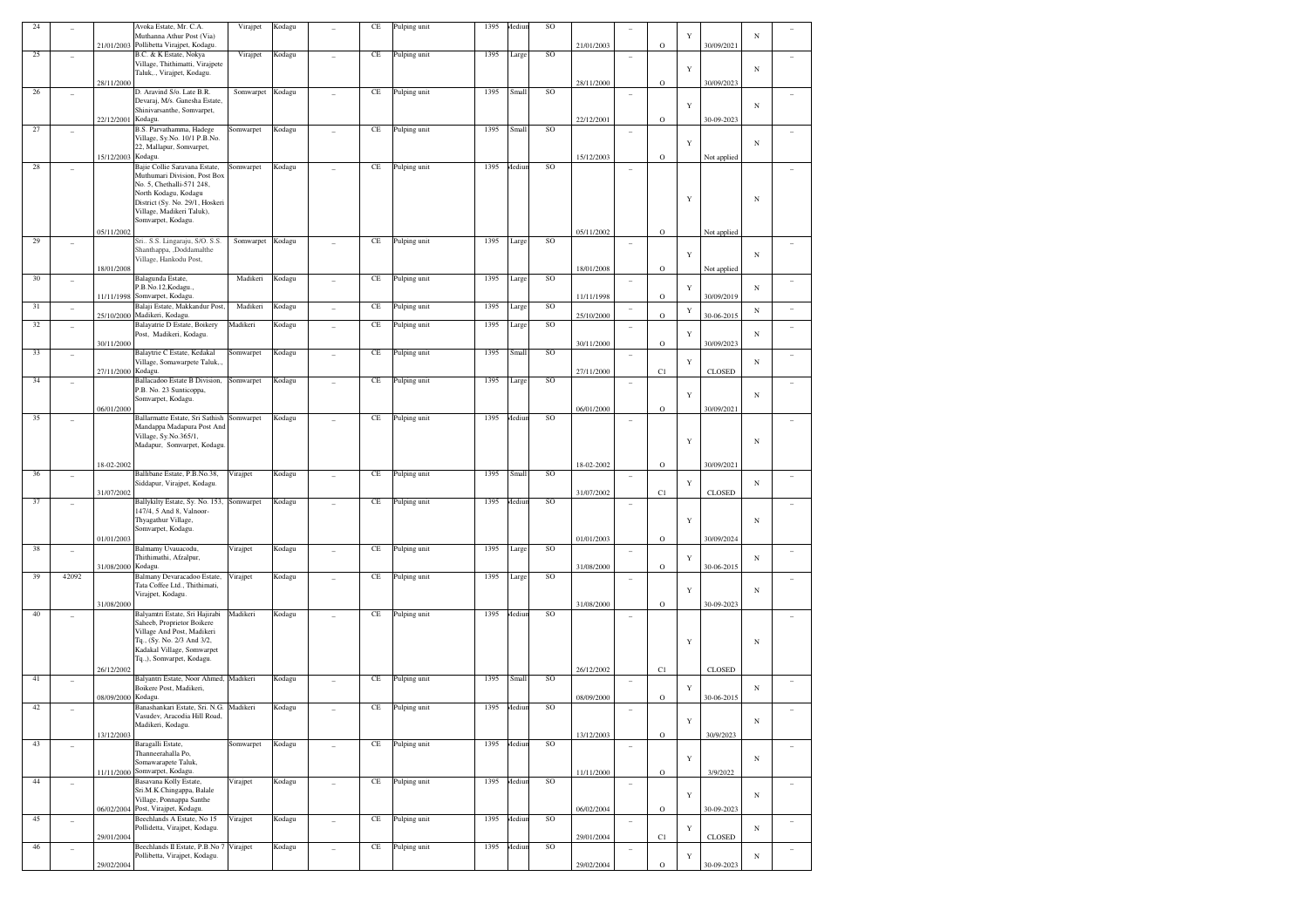| 24     |                          |            | Avoka Estate, Mr. C.A.<br>Muthanna Athur Post (Via)            | Virajpet  | Kodagu | CE       | Pulping unit | 1395 | Mediur | SO            |            |                          |             | Y |               | $_{\rm N}$ |                |
|--------|--------------------------|------------|----------------------------------------------------------------|-----------|--------|----------|--------------|------|--------|---------------|------------|--------------------------|-------------|---|---------------|------------|----------------|
| $25\,$ |                          | 21/01/2003 | Pollibetta Virajpet, Kodagu.<br>B.C. & K Estate, Nokya         | Virajpet  | Kodagu | $\rm CE$ | Pulping unit | 1395 | Large  | SO            | 21/01/2003 |                          | $\circ$     |   | 30/09/2021    |            |                |
|        |                          |            | Village, Thithimatti, Virajpete<br>Taluk,., Virajpet, Kodagu.  |           |        |          |              |      |        |               |            |                          |             | Y |               | $_{\rm N}$ |                |
|        |                          | 28/11/2000 |                                                                |           |        |          |              |      |        |               | 28/11/2000 |                          | O           |   | 30/09/2023    |            |                |
| 26     | $\overline{a}$           |            | D. Aravind S/o. Late B.R.<br>Devaraj, M/s. Ganesha Estate,     | Somwarpet | Kodagu | CE       | Pulping unit | 1395 | Small  | SO            |            | $\overline{a}$           |             | Y |               | $_{\rm N}$ |                |
|        |                          | 22/12/2001 | Shinivarsanthe, Somvarpet,<br>Kodagu.                          |           |        |          |              |      |        |               | 22/12/2001 |                          | O           |   | 30-09-2023    |            |                |
| 27     |                          |            | B.S. Parvathamma, Hadege<br>Village, Sy.No. 10/1 P.B.No.       | omwarpet  | Kodagu | $\rm CE$ | Pulping unit | 1395 | Small  | SO            |            | ٠                        |             |   |               |            |                |
|        |                          |            | 22, Mallapur, Somvarpet,                                       |           |        |          |              |      |        |               |            |                          |             | Y |               | $_{\rm N}$ |                |
| 28     | $\overline{a}$           | 15/12/2003 | Kodagu.<br>Bajie Collie Saravana Estate,                       | omwarpet  | Kodagu | CE       | Pulping unit | 1395 | Mediur | SO            | 15/12/2003 | $\overline{\phantom{0}}$ | O           |   | Not applied   |            |                |
|        |                          |            | Muthumari Division, Post Box<br>No. 5, Chethalli-571 248,      |           |        |          |              |      |        |               |            |                          |             |   |               |            |                |
|        |                          |            | North Kodagu, Kodagu<br>District (Sy. No. 29/1, Hoskeri        |           |        |          |              |      |        |               |            |                          |             | Y |               | $_{\rm N}$ |                |
|        |                          |            | Village, Madikeri Taluk),<br>Somvarpet, Kodagu.                |           |        |          |              |      |        |               |            |                          |             |   |               |            |                |
|        |                          | 05/11/2002 |                                                                |           |        |          |              |      |        |               | 05/11/2002 |                          | $\circ$     |   | Not applied   |            |                |
| 29     | $\overline{a}$           |            | Sri., S.S. Lingaraju, S/O. S.S.<br>Shanthappa, ,Doddamalthe    | Somwarpet | Kodagu | $\rm CE$ | Pulping unit | 1395 | Large  | SO            |            | $\overline{\phantom{0}}$ |             |   |               |            |                |
|        |                          | 18/01/2008 | Village, Hankodu Post,                                         |           |        |          |              |      |        |               | 18/01/2008 |                          | O           | Y | Not applied   | $_{\rm N}$ |                |
| 30     | $\overline{\phantom{0}}$ |            | Balagunda Estate,                                              | Madikeri  | Kodagu | $\rm CE$ | Pulping unit | 1395 | Large  | SO            |            | $\overline{\phantom{a}}$ |             |   |               |            |                |
|        |                          | 11/11/1998 | P.B.No.12, Kodagu.,<br>Somvarpet, Kodagu.                      |           |        |          |              |      |        |               | 11/11/1998 |                          | O           | Y | 30/09/2019    | $_{\rm N}$ |                |
| 31     | ÷,                       | 25/10/2000 | Balaji Estate, Makkandur Post,<br>Madikeri, Kodagu.            | Madikeri  | Kodagu | CE       | Pulping unit | 1395 | Large  | SO            | 25/10/2000 | $\overline{\phantom{0}}$ | $\circ$     | Y | 30-06-2015    | $_{\rm N}$ | $\overline{a}$ |
| 32     | $\overline{a}$           |            | Balayatrie D Estate, Boikery<br>Post, Madikeri, Kodagu.        | Madikeri  | Kodagu | $\rm CE$ | Pulping unit | 1395 | Large  | <b>SO</b>     |            | $\overline{\phantom{a}}$ |             | Y |               | $_{\rm N}$ |                |
|        |                          | 30/11/2000 |                                                                |           |        |          |              |      |        |               | 30/11/2000 |                          | O           |   | 30/09/2023    |            |                |
| 33     | $\overline{a}$           |            | Balaytrie C Estate, Kedakal<br>Village, Somawarpete Taluk,.,   | omwarpet  | Kodagu | CE       | Pulping unit | 1395 | Small  | <b>SO</b>     |            | $\overline{\phantom{a}}$ |             | Y |               | $_{\rm N}$ |                |
| 34     | $\overline{a}$           | 27/11/2000 | Kodagu.<br>Ballacadoo Estate B Division,                       | Somwarpet | Kodagu | CE       | Pulping unit | 1395 | Large  | <b>SO</b>     | 27/11/2000 |                          | C1          |   | <b>CLOSED</b> |            |                |
|        |                          |            | P.B. No. 23 Sunticoppa,<br>Somvarpet, Kodagu.                  |           |        |          |              |      |        |               |            |                          |             | Y |               | $_{\rm N}$ |                |
|        |                          | 06/01/2000 |                                                                |           |        |          |              |      |        |               | 06/01/2000 |                          | O           |   | 30/09/2021    |            |                |
| 35     |                          |            | Ballarmatte Estate, Sri Sathish<br>Mandappa Madapura Post And  | Somwarpet | Kodagu | CE       | Pulping unit | 1395 | Aediur | <b>SO</b>     |            |                          |             |   |               |            |                |
|        |                          |            | Village, Sy.No.365/1,<br>Madapur, Somvarpet, Kodagu            |           |        |          |              |      |        |               |            |                          |             | Y |               | $_{\rm N}$ |                |
|        |                          | 18-02-2002 |                                                                |           |        |          |              |      |        |               | 18-02-2002 |                          | $\mathbf O$ |   | 30/09/2021    |            |                |
| 36     | $\overline{\phantom{0}}$ |            | Ballibane Estate, P.B.No.38,                                   | Virajpet  | Kodagu | CE       | Pulping unit | 1395 | Small  | SO            |            | $\overline{\phantom{a}}$ |             |   |               |            |                |
|        |                          | 31/07/2002 | Siddapur, Virajpet, Kodagu.                                    |           |        |          |              |      |        |               | 31/07/2002 |                          | C1          | Y | <b>CLOSED</b> | $_{\rm N}$ |                |
| 37     | $\overline{\phantom{0}}$ |            | Ballykilty Estate, Sy. No. 153,<br>147/4, 5 And 8, Valnoor-    | Somwarpet | Kodagu | CE       | Pulping unit | 1395 | Mediur | <b>SO</b>     |            | $\overline{\phantom{0}}$ |             |   |               |            |                |
|        |                          |            | Thyagathur Village,<br>Somvarpet, Kodagu.                      |           |        |          |              |      |        |               |            |                          |             | Y |               | $_{\rm N}$ |                |
| 38     |                          | 01/01/2003 | Balmamy Uvauacodu,                                             | Virajpet  | Kodagu | $\rm CE$ | Pulping unit | 1395 | Large  | <b>SO</b>     | 01/01/2003 |                          | $\circ$     |   | 30/09/2024    |            |                |
|        | $\overline{\phantom{0}}$ |            | Thithimathi, Afzalpur,                                         |           |        |          |              |      |        |               |            | $\overline{\phantom{a}}$ |             | Y |               | $_{\rm N}$ |                |
| 39     | 42092                    | 31/08/2000 | Kodagu.<br>Balmany Devaracadoo Estate,                         | Virajpet  | Kodagu | CE       | Pulping unit | 1395 | Large  | <b>SO</b>     | 31/08/2000 | $\overline{\phantom{a}}$ | O           |   | 30-06-2015    |            |                |
|        |                          |            | Tata Coffee Ltd., Thithimati,<br>Virajpet, Kodagu.             |           |        |          |              |      |        |               |            |                          |             | Y |               | $_{\rm N}$ |                |
| 40     |                          | 31/08/2000 | Balyamtri Estate, Sri Hajirabi                                 | Madikeri  | Kodagu | CE       | Pulping unit | 1395 | Mediur | <b>SO</b>     | 31/08/2000 |                          | $\circ$     |   | 30-09-2023    |            |                |
|        | ٠                        |            | Saheeb, Proprietor Boikere<br>Village And Post, Madikeri       |           |        |          |              |      |        |               |            |                          |             |   |               |            |                |
|        |                          |            | Tq., (Sy. No. 2/3 And 3/2,<br>Kadakal Village, Somwarpet       |           |        |          |              |      |        |               |            |                          |             | Y |               | $_{\rm N}$ |                |
|        |                          |            | Tq.,), Somvarpet, Kodagu.                                      |           |        |          |              |      |        |               |            |                          |             |   |               |            |                |
| 41     | $\qquad \qquad -$        | 26/12/2002 | Balyantri Estate, Noor Ahmed, Madikeri                         |           | Kodagu | $\rm CE$ | Pulping unit | 1395 | Small  | SO            | 26/12/2002 |                          | C1          |   | <b>CLOSED</b> |            |                |
|        |                          | 08/09/2000 | Boikere Post, Madikeri,<br>Kodagu.                             |           |        |          |              |      |        |               | 08/09/2000 | $\overline{\phantom{a}}$ | O           | Y | 30-06-2015    | $_{\rm N}$ |                |
| 42     | $\overline{a}$           |            | Banashankari Estate, Sri. N.G.                                 | Madikeri  | Kodagu | CE       | Pulping unit | 1395 | Aediur | <b>SO</b>     |            | $\overline{\phantom{a}}$ |             |   |               |            |                |
|        |                          |            | Vasudev, Aracodia Hill Road,<br>Madikeri, Kodagu.              |           |        |          |              |      |        |               |            |                          |             |   |               | N          |                |
| 43     | ÷,                       | 13/12/2003 | Baragalli Estate,                                              | Somwarpet | Kodagu | $\rm CE$ | Pulping unit | 1395 | Mediur | SO            | 13/12/2003 | $\overline{a}$           | $\mathbf O$ |   | 30/9/2023     |            | $\overline{a}$ |
|        |                          |            | Thanneerahalla Po,<br>Somawarapete Taluk,                      |           |        |          |              |      |        |               |            |                          |             | Y |               | $_{\rm N}$ |                |
| $44\,$ |                          |            | 11/11/2000 Somvarpet, Kodagu.<br>Basavana Kolly Estate,        | Virajpet  | Kodagu | $\rm CE$ | Pulping unit | 1395 | Mediur | SO            | 11/11/2000 |                          | $\mathbf O$ |   | 3/9/2022      |            |                |
|        | ÷,                       |            | Sri.M.K.Chingappa, Balale                                      |           |        |          |              |      |        |               |            | $\overline{a}$           |             | Y |               | $_{\rm N}$ | $\overline{a}$ |
|        |                          |            | Village, Ponnappa Santhe<br>06/02/2004 Post, Virajpet, Kodagu. |           |        |          |              |      |        |               | 06/02/2004 |                          | $\circ$     |   | 30-09-2023    |            |                |
| 45     | ÷,                       |            | Beechlands A Estate, No 15<br>Pollidetta, Virajpet, Kodagu.    | Virajpet  | Kodagu | $\rm CE$ | Pulping unit | 1395 | Mediur | <sub>SO</sub> |            | $\overline{a}$           |             | Y |               | $_{\rm N}$ | $\overline{a}$ |
| 46     |                          | 29/01/2004 | Beechlands II Estate, P.B.No 7                                 | Virajpet  | Kodagu | $\rm CE$ | Pulping unit | 1395 | Mediur | SO            | 29/01/2004 | $\overline{a}$           | C1          |   | <b>CLOSED</b> |            | $\overline{a}$ |
|        |                          |            |                                                                |           |        |          |              |      |        |               |            |                          |             |   |               |            |                |
|        | ÷,                       | 29/02/2004 | Pollibetta, Virajpet, Kodagu.                                  |           |        |          |              |      |        |               | 29/02/2004 |                          | $\rm{O}$    | Y | 30-09-2023    | $_{\rm N}$ |                |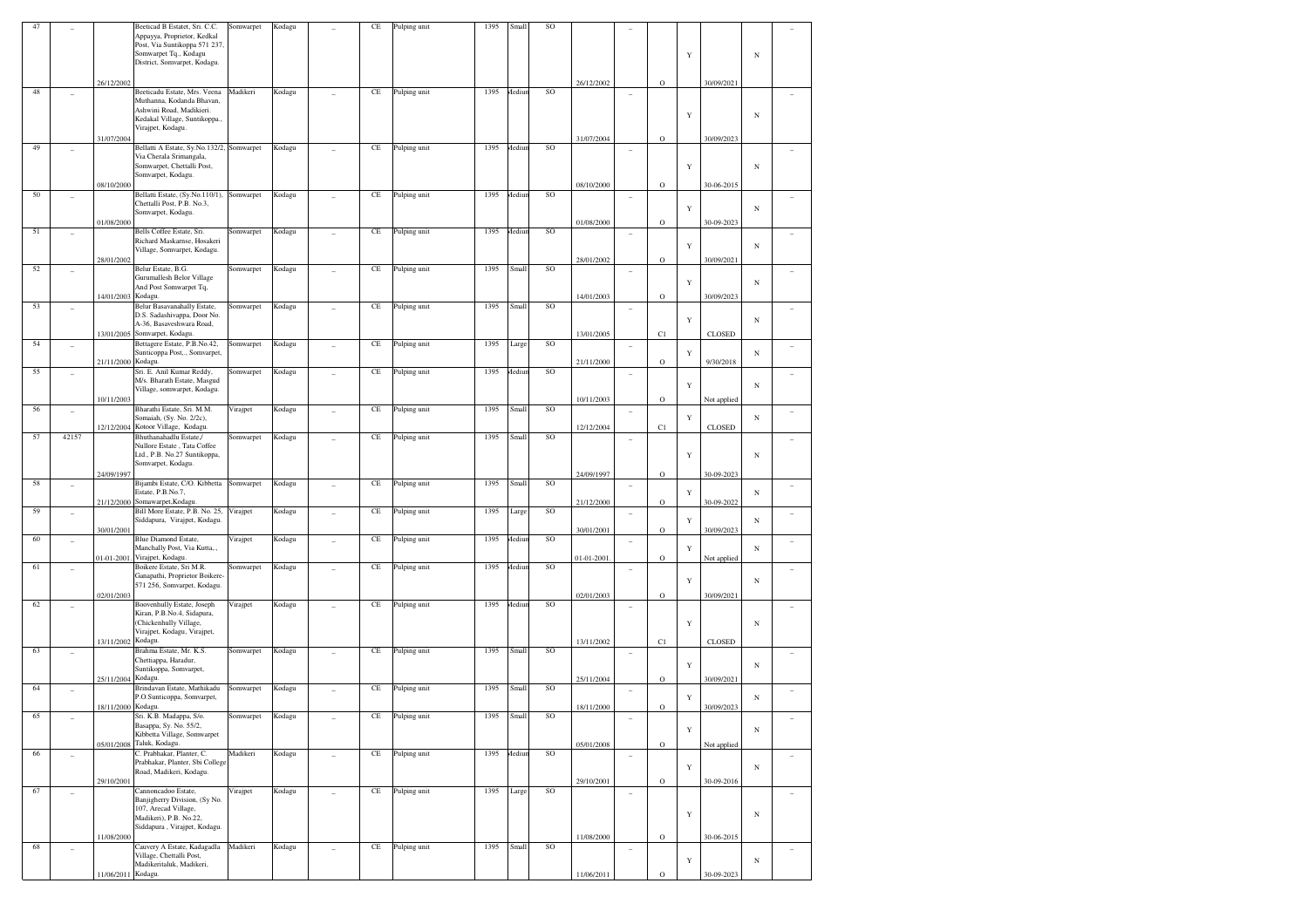| 47 |                          |                    | Beeticad B Estatet, Sri. C.C.<br>Appayya, Proprietor, Kedkal<br>Post, Via Suntikoppa 571 237,<br>Somwarpet Tq., Kodagu<br>District, Somvarpet, Kodagu. | Somwarpet | Kodagu |    | CE       | Pulping unit | 1395 | Small  | SO       |            |                          |              | Y           |               | $_{\rm N}$ |                          |
|----|--------------------------|--------------------|--------------------------------------------------------------------------------------------------------------------------------------------------------|-----------|--------|----|----------|--------------|------|--------|----------|------------|--------------------------|--------------|-------------|---------------|------------|--------------------------|
|    |                          | 26/12/2002         |                                                                                                                                                        |           |        |    |          |              |      |        |          | 26/12/2002 |                          | $\mathbf{O}$ |             | 30/09/2021    |            |                          |
| 48 |                          | 31/07/2004         | Beeticadu Estate, Mrs. Veena<br>Muthanna, Kodanda Bhavan,<br>Ashwini Road, Madikieri.<br>Kedakal Village, Suntikoppa.,<br>Virajpet, Kodagu.            | Madikeri  | Kodagu |    | $\rm CE$ | Pulping unit | 1395 | Aediun | SO       | 31/07/2004 |                          | $\circ$      | Y           | 30/09/2023    | N          |                          |
| 49 | ÷,                       |                    | Bellatti A Estate, Sy.No.132/2, Somwarpet                                                                                                              |           | Kodagu |    | $\rm CE$ | Pulping unit | 1395 | Mediun | SO       |            |                          |              |             |               |            |                          |
|    |                          | 08/10/2000         | Via Cherala Srimangala,<br>Somwarpet, Chettalli Post,<br>Somvarpet, Kodagu.                                                                            |           |        |    |          |              |      |        |          | 08/10/2000 |                          | $\mathbf{O}$ | Y           | 30-06-2015    | N          |                          |
| 50 |                          |                    | Bellatti Estate, (Sy.No.110/1),                                                                                                                        | Somwarpet | Kodagu |    | $\rm CE$ | Pulping unit | 1395 | Mediur | SO       |            |                          |              |             |               |            |                          |
|    |                          | 01/08/2000         | Chettalli Post, P.B. No.3,<br>Somvarpet, Kodagu.                                                                                                       |           |        |    |          |              |      |        |          | 01/08/2000 |                          | $\circ$      | Y           | 30-09-2023    | N          |                          |
| 51 |                          |                    | Bells Coffee Estate, Sri.                                                                                                                              | Somwarpet | Kodagu |    | $\rm CE$ | Pulping unit | 1395 | Mediur | SO       |            |                          |              |             |               |            |                          |
|    |                          | 28/01/2002         | Richard Maskarnse, Hosakeri<br>Village, Somvarpet, Kodagu.                                                                                             |           |        |    |          |              |      |        |          | 28/01/2002 |                          | $\circ$      | Y           | 30/09/2021    | N          |                          |
| 52 |                          |                    | Belur Estate, B.G.<br>Gurumallesh Belor Village                                                                                                        | Somwarpet | Kodagu |    | $\rm CE$ | Pulping unit | 1395 | Small  | SO       |            |                          |              |             |               |            |                          |
|    |                          |                    | And Post Somwarpet Tq,<br>Kodagu.                                                                                                                      |           |        |    |          |              |      |        |          |            |                          |              | Y           |               | N          |                          |
| 53 |                          | 14/01/2003         | Belur Basavanahally Estate,                                                                                                                            | Somwarpet | Kodagu |    | $\rm CE$ | Pulping unit | 1395 | Small  | SO       | 14/01/2003 |                          | $\circ$      |             | 30/09/2023    |            |                          |
|    |                          |                    | D.S. Sadashivappa, Door No.<br>A-36, Basaveshwara Road,                                                                                                |           |        |    |          |              |      |        |          |            |                          |              | Y           |               | N          |                          |
|    |                          | 13/01/2005         | Somvarpet, Kodagu.                                                                                                                                     |           |        |    |          |              |      |        |          | 13/01/2005 |                          | C1           |             | CLOSED        |            |                          |
| 54 |                          |                    | Bettagere Estate, P.B.No.42,<br>Sunticoppa Post,., Somvarpet,                                                                                          | Somwarpet | Kodagu |    | $\rm CE$ | Pulping unit | 1395 | Large  | SO       |            | $\overline{\phantom{a}}$ |              | Y           |               | N          |                          |
| 55 |                          | 21/11/2000         | Kodagu.<br>Sri. E. Anil Kumar Reddy,                                                                                                                   | Somwarpet | Kodagu |    | CE       | Pulping unit | 1395 | Mediur | SO       | 21/11/2000 | $\overline{a}$           | $\circ$      |             | 9/30/2018     |            |                          |
|    |                          |                    | M/s. Bharath Estate, Masgud<br>Village, somwarpet, Kodagu.                                                                                             |           |        |    |          |              |      |        |          |            |                          |              | Y           |               | N          |                          |
| 56 | ÷,                       | 10/11/2003         | Bharathi Estate, Sri. M.M.                                                                                                                             | Virajpet  | Kodagu |    | $\rm CE$ | Pulping unit | 1395 | Small  | SO       | 10/11/2003 | $\overline{\phantom{a}}$ | $\mathbf{O}$ |             | Not applied   |            |                          |
|    |                          | 12/12/2004         | Somaiah, (Sy. No. 2/2c),<br>Kotoor Village, Kodagu.                                                                                                    |           |        |    |          |              |      |        |          | 12/12/2004 |                          | C1           | Y           | <b>CLOSED</b> | N          |                          |
| 57 | 42157                    |                    | Bhuthanahadlu Estate,/<br>Nullore Estate, Tata Coffee<br>Ltd., P.B. No.27 Suntikoppa,<br>Somvarpet, Kodagu.                                            | Somwarpet | Kodagu |    | $\rm CE$ | Pulping unit | 1395 | Small  | SO       |            |                          |              | Y           |               | N          |                          |
| 58 | $\overline{\phantom{a}}$ | 24/09/1997         | Bijambi Estate, C/O. Kibbetta                                                                                                                          | Somwarpet | Kodagu |    | $\rm CE$ | Pulping unit | 1395 | Small  | SO       | 24/09/1997 | $\overline{\phantom{a}}$ | $\mathbf{O}$ |             | 30-09-2023    |            | $\overline{\phantom{a}}$ |
|    |                          | 21/12/2000         | Estate, P.B.No.7,<br>Somawarpet, Kodagu.                                                                                                               |           |        |    |          |              |      |        |          | 21/12/2000 |                          | $\circ$      | Y           | 30-09-2022    | N          |                          |
| 59 |                          | 30/01/2001         | Bill More Estate, P.B. No. 25,<br>Siddapura, Virajpet, Kodagu.                                                                                         | Virajpet  | Kodagu |    | $\rm CE$ | Pulping unit | 1395 | Large  | SO       | 30/01/2001 | $\overline{\phantom{a}}$ | $\circ$      | Y           | 30/09/2023    | N          |                          |
| 60 | ÷,                       |                    | <b>Blue Diamond Estate,</b><br>Manchally Post, Via Kutta,.,<br>Virajpet, Kodagu.                                                                       | Virajpet  | Kodagu |    | CE       | Pulping unit | 1395 | Mediur | SO       |            | $\overline{\phantom{a}}$ |              | Y           |               | N          |                          |
| 61 |                          | 01-01-2001         | Boikere Estate, Sri M.R.<br>Ganapathi, Proprietor Boikere-                                                                                             | Somwarpet | Kodagu |    | $\rm CE$ | Pulping unit | 1395 | Mediur | SO       | 01-01-2001 |                          | $\circ$      | Y           | Not applied   | N          |                          |
|    |                          | 02/01/2003         | 571 256, Somvarpet, Kodagu.                                                                                                                            |           |        |    |          |              |      |        |          | 02/01/2003 |                          | $\circ$      |             | 30/09/2021    |            |                          |
| 62 |                          |                    | Boovenhully Estate, Joseph<br>Kiran, P.B.No.4, Sidapura,<br>(Chickenhully Village,                                                                     | Virajpet  | Kodagu |    | $\rm CE$ | Pulping unit | 1395 | Mediur | SO       |            |                          |              | Y           |               | N          |                          |
|    |                          | 13/11/2002 Kodagu. | Virajpet, Kodagu, Virajpet,                                                                                                                            |           |        |    |          |              |      |        |          | 13/11/2002 |                          |              |             | <b>CLOSED</b> |            |                          |
| 63 |                          |                    | Brahma Estate, Mr. K.S.                                                                                                                                | Somwarpet | Kodagu |    | $\rm CE$ | Pulping unit | 1395 | Small  | SO       |            | $\overline{a}$           | C1           |             |               |            |                          |
|    |                          | 25/11/2004         | Chettiappa, Haradur,<br>Suntikoppa, Somvarpet,<br>Kodagu.                                                                                              |           |        |    |          |              |      |        |          | 25/11/2004 |                          | $\circ$      | Y           | 30/09/2021    | N          |                          |
| 64 |                          |                    | Brindavan Estate, Mathikadu<br>P.O.Sunticoppa, Somvarpet,                                                                                              | Somwarpet | Kodagu |    | $\rm CE$ | Pulping unit | 1395 | Small  | SO       |            | $\overline{\phantom{a}}$ |              | Y           |               | N          |                          |
| 65 |                          | 18/11/2000 Kodagu. | Sri. K.B. Madappa, S/o.<br>Basappa, Sy. No. 55/2,                                                                                                      | Somwarpet | Kodagu |    | $\rm CE$ | Pulping unit | 1395 | Small  | SO       | 18/11/2000 |                          | $\rm{O}$     |             | 30/09/2023    |            |                          |
|    |                          |                    | Kibbetta Village, Somwarpet<br>05/01/2008 Taluk, Kodagu.                                                                                               |           |        |    |          |              |      |        |          | 05/01/2008 |                          | $\mathbf O$  | $\mathbf Y$ | Not applied   | $_{\rm N}$ |                          |
| 66 | $\frac{1}{2}$            |                    | C. Prabhakar, Planter, C.<br>Prabhakar, Planter, Sbi College                                                                                           | Madikeri  | Kodagu | L, | $\rm CE$ | Pulping unit | 1395 | Mediur | SO       |            | $\sim$                   |              | $\mathbf Y$ |               | $_{\rm N}$ | $\overline{\phantom{a}}$ |
|    |                          | 29/10/2001         | Road, Madikeri, Kodagu.                                                                                                                                |           |        |    |          |              |      |        |          | 29/10/2001 |                          | $\mathbf O$  |             | 30-09-2016    |            |                          |
| 67 | ÷,                       |                    | Cannoncadoo Estate,<br>Banjigherry Division, (Sy No.                                                                                                   | Virajpet  | Kodagu | ÷, | $\rm CE$ | Pulping unit | 1395 | Large  | $\rm SO$ |            | ÷,                       |              |             |               |            | $\overline{\phantom{a}}$ |
|    |                          |                    | 107, Arecad Village,<br>Madikeri), P.B. No.22,<br>Siddapura, Virajpet, Kodagu.                                                                         |           |        |    |          |              |      |        |          |            |                          |              | Y           |               | $_{\rm N}$ |                          |
|    |                          | 11/08/2000         |                                                                                                                                                        |           |        |    |          |              |      |        |          | 11/08/2000 |                          | $\mathbf O$  |             | 30-06-2015    |            |                          |
| 68 | ÷,                       |                    | Cauvery A Estate, Kadagadla<br>Village, Chettalli Post,<br>Madikeritaluk, Madikeri,                                                                    | Madikeri  | Kodagu | ÷, | $\rm CE$ | Pulping unit | 1395 | Small  | SO       |            | $\overline{a}$           |              | $\mathbf Y$ |               | N          | $\sim$                   |
|    |                          | 11/06/2011 Kodagu. |                                                                                                                                                        |           |        |    |          |              |      |        |          | 11/06/2011 |                          | $\rm{O}$     |             | 30-09-2023    |            |                          |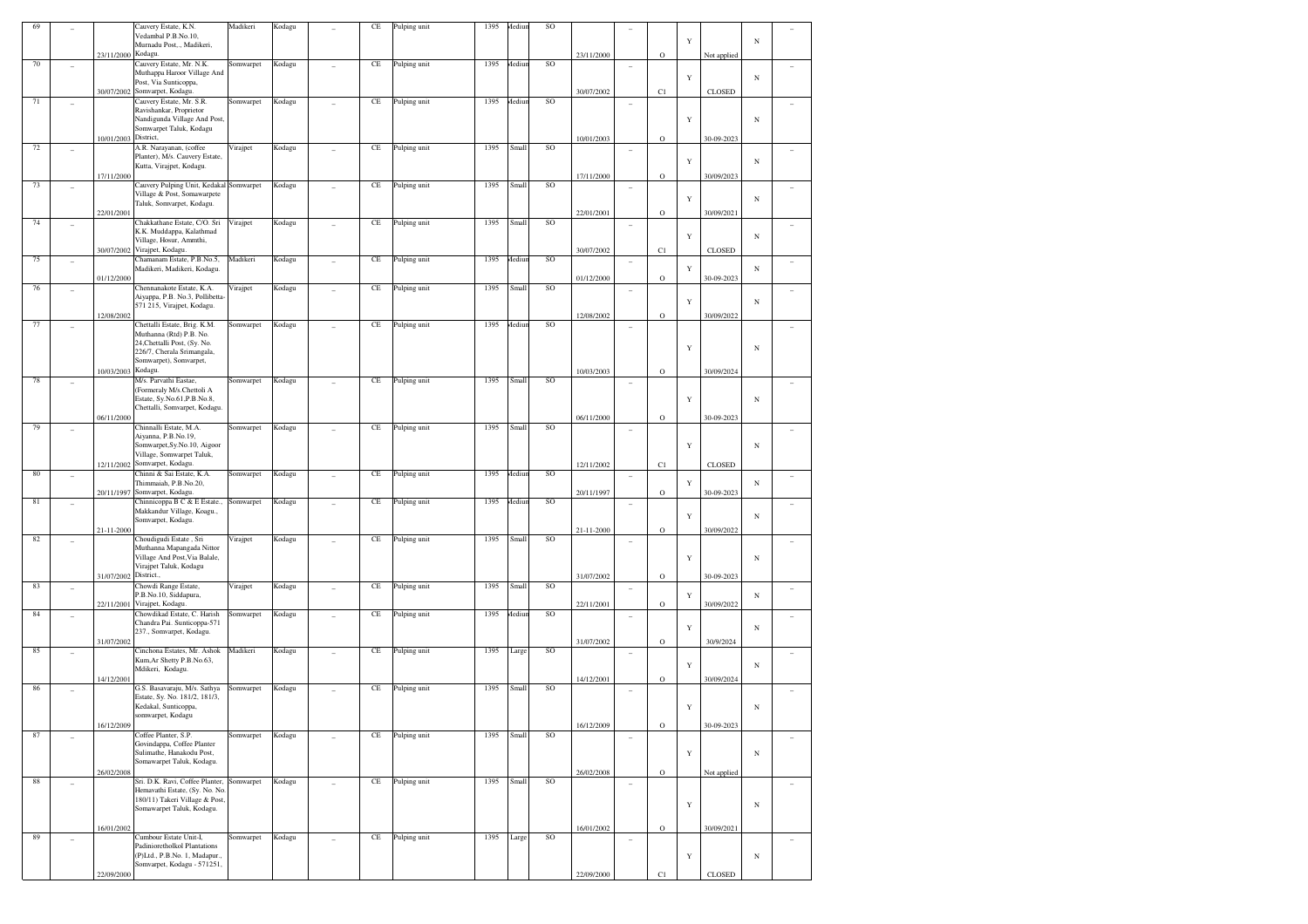| 69       |                          |                       | Cauvery Estate, K.N.<br>Vedambal P.B.No.10,                            | Madikeri  | Kodagu |                | CE       | Pulping unit | 1395 | Mediur | SO       |            |                          |             |             |               |            |        |
|----------|--------------------------|-----------------------|------------------------------------------------------------------------|-----------|--------|----------------|----------|--------------|------|--------|----------|------------|--------------------------|-------------|-------------|---------------|------------|--------|
|          |                          |                       | Murnadu Post,., Madikeri,                                              |           |        |                |          |              |      |        |          |            |                          |             | Y           |               | N          |        |
| $70\,$   | ٠                        | 23/11/2000            | Kodagu.<br>Cauvery Estate, Mr. N.K.                                    | Somwarpet | Kodagu |                | $\rm CE$ | Pulping unit | 1395 | Mediur | $\rm SO$ | 23/11/2000 | $\sim$                   | $\mathbf O$ |             | Not applied   |            |        |
|          |                          |                       | Muthappa Haroor Village And                                            |           |        |                |          |              |      |        |          |            |                          |             | $\mathbf Y$ |               | $_{\rm N}$ |        |
|          |                          |                       | Post, Via Sunticoppa,<br>30/07/2002 Somvarpet, Kodagu.                 |           |        |                |          |              |      |        |          | 30/07/2002 |                          | C1          |             | <b>CLOSED</b> |            |        |
| $71\,$   |                          |                       | Cauvery Estate, Mr. S.R.<br>Ravishankar, Proprietor                    | Somwarpet | Kodagu |                | $\rm CE$ | Pulping unit | 1395 | Mediur | SO       |            | ٠                        |             |             |               |            |        |
|          |                          |                       | Nandigunda Village And Post,                                           |           |        |                |          |              |      |        |          |            |                          |             | $\mathbf Y$ |               | $_{\rm N}$ |        |
|          |                          | 10/01/2003            | Somwarpet Taluk, Kodagu<br>District,                                   |           |        |                |          |              |      |        |          | 10/01/2003 |                          | $\mathbf O$ |             | 30-09-2023    |            |        |
| $72\,$   | $\sim$                   |                       | A.R. Narayanan, (coffee                                                | Virajpet  | Kodagu | ÷              | $\rm CE$ | Pulping unit | 1395 | Small  | $\rm SO$ |            | ٠                        |             |             |               |            | ٠      |
|          |                          |                       | Planter), M/s. Cauvery Estate,<br>Kutta, Virajpet, Kodagu.             |           |        |                |          |              |      |        |          |            |                          |             | $\mathbf Y$ |               | N          |        |
|          |                          | 17/11/2000            |                                                                        |           |        |                |          |              |      |        |          | 17/11/2000 |                          | $\mathbf O$ |             | 30/09/2023    |            |        |
| 73       | $\overline{\phantom{a}}$ |                       | Cauvery Pulping Unit, Kedakal Somwarpet<br>Village & Post, Somawarpete |           | Kodagu | ÷              | $\rm CE$ | Pulping unit | 1395 | Small  | $\rm SO$ |            | ۰                        |             |             |               |            |        |
|          |                          | 22/01/2001            | Taluk, Somvarpet, Kodagu.                                              |           |        |                |          |              |      |        |          | 22/01/2001 |                          | $\mathbf O$ | $\mathbf Y$ | 30/09/2021    | N          |        |
| $74\,$   |                          |                       | Chakkathane Estate, C/O. Sri                                           | Virajpet  | Kodagu |                | $\rm CE$ | Pulping unit | 1395 | Small  | $\rm SO$ |            | ۰                        |             |             |               |            |        |
|          |                          |                       | K.K. Muddappa, Kalathmad<br>Village, Hosur, Ammthi,                    |           |        |                |          |              |      |        |          |            |                          |             | $\mathbf Y$ |               | N          |        |
|          |                          | 30/07/2002            | Virajpet, Kodagu.                                                      |           |        |                |          |              |      |        |          | 30/07/2002 |                          | C1          |             | <b>CLOSED</b> |            |        |
| 75       | $\sim$                   |                       | Chamanam Estate, P.B.No.5,<br>Madikeri, Madikeri, Kodagu.              | Madikeri  | Kodagu | ÷              | $\rm CE$ | Pulping unit | 1395 | Mediur | $\rm SO$ |            | $\overline{\phantom{a}}$ |             | Y           |               | N          | ٠      |
|          |                          | 01/12/2000            |                                                                        |           |        |                |          |              |      |        |          | 01/12/2000 |                          | $\mathbf O$ |             | 30-09-2023    |            |        |
| 76       | $\sim$                   |                       | Chennanakote Estate, K.A.<br>Aiyappa, P.B. No.3, Pollibetta-           | Virajpet  | Kodagu | $\sim$         | $\rm CE$ | Pulping unit | 1395 | Small  | $\rm SO$ |            | $\overline{\phantom{a}}$ |             |             |               |            |        |
|          |                          |                       | 571 215, Virajpet, Kodagu.                                             |           |        |                |          |              |      |        |          |            |                          | $\mathbf O$ | $\mathbf Y$ |               | N          |        |
| 77       | $\sim$                   | 12/08/2002            | Chettalli Estate, Brig. K.M.                                           | Somwarpet | Kodagu |                | $\rm CE$ | Pulping unit | 1395 | Mediur | $\rm SO$ | 12/08/2002 | ۰                        |             |             | 30/09/2022    |            |        |
|          |                          |                       | Muthanna (Rtd) P.B. No.<br>24, Chettalli Post, (Sy. No.                |           |        |                |          |              |      |        |          |            |                          |             |             |               |            |        |
|          |                          |                       | 226/7, Cherala Srimangala,                                             |           |        |                |          |              |      |        |          |            |                          |             | $\mathbf Y$ |               | N          |        |
|          |                          | 10/03/2003            | Somwarpet), Somvarpet,<br>Kodagu.                                      |           |        |                |          |              |      |        |          | 10/03/2003 |                          | $\mathbf O$ |             | 30/09/2024    |            |        |
| $7\,$    | ۰                        |                       | M/s. Parvathi Eastae,                                                  | Somwarpet | Kodagu | ÷              | $\rm CE$ | Pulping unit | 1395 | Small  | $\rm SO$ |            | ۰                        |             |             |               |            |        |
|          |                          |                       | (Formeraly M/s.Chettoli A<br>Estate, Sy.No.61, P.B.No.8,               |           |        |                |          |              |      |        |          |            |                          |             | $\mathbf Y$ |               | $_{\rm N}$ |        |
|          |                          |                       | Chettalli, Somvarpet, Kodagu.                                          |           |        |                |          |              |      |        |          |            |                          |             |             |               |            |        |
| 79       |                          | 06/11/2000            | Chinnalli Estate, M.A.                                                 | Somwarpet | Kodagu |                | $\rm CE$ | Pulping unit | 1395 | Small  | $\rm SO$ | 06/11/2000 | $\overline{\phantom{a}}$ | $\mathbf O$ |             | 30-09-2023    |            |        |
|          |                          |                       | Aiyanna, P.B.No.19,<br>Somwarpet, Sy.No.10, Aigoor                     |           |        |                |          |              |      |        |          |            |                          |             | $\mathbf Y$ |               | $_{\rm N}$ |        |
|          |                          |                       | Village, Somwarpet Taluk,                                              |           |        |                |          |              |      |        |          |            |                          |             |             |               |            |        |
| 80       | ۰                        | 12/11/2002            | Somvarpet, Kodagu.<br>Chinni & Sai Estate, K.A.                        | Somwarpet | Kodagu | ÷              | $\rm CE$ | Pulping unit | 1395 | Mediur | SO       | 12/11/2002 | ÷                        | C1          |             | CLOSED        |            |        |
|          |                          |                       | Thimmaiah, P.B.No.20,                                                  |           |        |                |          |              |      |        |          |            |                          |             | Y           |               | N          |        |
| 81       | $\sim$                   | 20/11/1997            | Somvarpet, Kodagu.<br>Chinnicoppa B C & E Estate.,                     | Somwarpet | Kodagu | ÷              | $\rm CE$ | Pulping unit | 1395 | Mediur | $\rm SO$ | 20/11/1997 | $\overline{\phantom{a}}$ | $\mathbf O$ |             | 30-09-2023    |            | ٠      |
|          |                          |                       | Makkandur Village, Koagu.,<br>Somvarpet, Kodagu.                       |           |        |                |          |              |      |        |          |            |                          |             | $\mathbf Y$ |               | N          |        |
|          |                          | 21-11-2000            |                                                                        |           |        |                |          |              |      |        |          | 21-11-2000 |                          | $\mathbf O$ |             | 30/09/2022    |            |        |
| 82       |                          |                       | Choudigudi Estate, Sri<br>Muthanna Mapangada Nittor                    | Virajpet  | Kodagu |                | $\rm CE$ | Pulping unit | 1395 | Small  | $\rm SO$ |            | $\overline{\phantom{a}}$ |             |             |               |            |        |
|          |                          |                       | Village And Post, Via Balale,                                          |           |        |                |          |              |      |        |          |            |                          |             | $\mathbf Y$ |               | $_{\rm N}$ |        |
|          |                          | 31/07/2002 District., | Virajpet Taluk, Kodagu                                                 |           |        |                |          |              |      |        |          | 31/07/2002 |                          | $\mathbf O$ |             | 30-09-2023    |            |        |
| 83       | ۰                        |                       | Chowdi Range Estate,                                                   | Virajpet  | Kodagu | ÷              | $\rm CE$ | Pulping unit | 1395 | Small  | $\rm SO$ |            | ÷                        |             |             |               |            |        |
|          |                          | 22/11/2001            | P.B.No.10, Siddapura,<br>Virajpet, Kodagu.                             |           |        |                |          |              |      |        |          | 22/11/2001 |                          | $\mathbf O$ | Y           | 30/09/2022    | N          |        |
| 84       | $\sim$                   |                       | Chowdikad Estate, C. Harish<br>Chandra Pai. Sunticoppa-571             | Somwarpet | Kodagu | $\sim$         | $\rm CE$ | Pulping unit | 1395 | Mediur | $\rm SO$ |            | $\overline{\phantom{a}}$ |             |             |               |            | ٠      |
|          |                          |                       | 237., Somvarpet, Kodagu.                                               |           |        |                |          |              |      |        |          |            |                          |             | $\mathbf Y$ |               | N          |        |
| 85       | $\sim$                   | 31/07/2002            | Cinchona Estates, Mr. Ashok                                            | Madikeri  | Kodagu | ÷              | $\rm CE$ | Pulping unit | 1395 | Large  | $\rm SO$ | 31/07/2002 | ۰                        | $\mathbf O$ |             | 30/9/2024     |            |        |
|          |                          |                       | Kum, Ar Shetty P.B.No.63,                                              |           |        |                |          |              |      |        |          |            |                          |             | $\mathbf Y$ |               | N          | ۰      |
|          |                          | 14/12/2001            | Mdikeri, Kodagu.                                                       |           |        |                |          |              |      |        |          | 14/12/2001 |                          | $\rm{O}$    |             | 30/09/2024    |            |        |
| 86       | ٠                        |                       | G.S. Basavaraju, M/s. Sathya                                           | Somwarpet | Kodagu |                | $\rm CE$ | Pulping unit | 1395 | Small  | SO       |            | ۰                        |             |             |               |            | ٠      |
|          |                          |                       | Estate, Sy. No. 181/2, 181/3,<br>Kedakal, Sunticoppa,                  |           |        |                |          |              |      |        |          |            |                          |             | $\mathbf Y$ |               | $_{\rm N}$ |        |
|          |                          | 16/12/2009            | somwarpet, Kodagu                                                      |           |        |                |          |              |      |        |          | 16/12/2009 |                          | $\rm{O}$    |             | 30-09-2023    |            |        |
| 87       | $\sim$                   |                       | Coffee Planter, S.P.                                                   | Somwarpet | Kodagu |                | $\rm CE$ | Pulping unit | 1395 | Small  | SO       |            | $\overline{\phantom{a}}$ |             |             |               |            | $\sim$ |
|          |                          |                       | Govindappa, Coffee Planter<br>Sulimathe, Hanakodu Post,                |           |        |                |          |              |      |        |          |            |                          |             | $\mathbf Y$ |               | $_{\rm N}$ |        |
|          |                          |                       | Somawarpet Taluk, Kodagu.                                              |           |        |                |          |              |      |        |          |            |                          |             |             |               |            |        |
| $\bf 88$ | ٠                        | 26/02/2008            | Sri. D.K. Ravi, Coffee Planter, Somwarpet                              |           | Kodagu | $\overline{a}$ | $\rm CE$ | Pulping unit | 1395 | Small  | SO       | 26/02/2008 | $\overline{\phantom{a}}$ | $\mathbf O$ |             | Not applied   |            | $\sim$ |
|          |                          |                       | Hemavathi Estate, (Sy. No. No.<br>180/11) Takeri Village & Post,       |           |        |                |          |              |      |        |          |            |                          |             |             |               |            |        |
|          |                          |                       | Somawarpet Taluk, Kodagu.                                              |           |        |                |          |              |      |        |          |            |                          |             | $\mathbf Y$ |               | $_{\rm N}$ |        |
|          |                          | 16/01/2002            |                                                                        |           |        |                |          |              |      |        |          | 16/01/2002 |                          | $\mathbf O$ |             | 30/09/2021    |            |        |
| 89       | $\sim$                   |                       | Cumbour Estate Unit-I,                                                 | Somwarpet | Kodagu | $\overline{a}$ | $\rm CE$ | Pulping unit | 1395 | Large  | SO       |            | ٠                        |             |             |               |            | $\sim$ |
|          |                          |                       | Padinioretholkol Plantations<br>(P)Ltd., P.B.No. 1. Madapur.,          |           |        |                |          |              |      |        |          |            |                          |             | $\mathbf Y$ |               | $_{\rm N}$ |        |
|          |                          |                       | Somvarpet, Kodagu - 571251,                                            |           |        |                |          |              |      |        |          |            |                          |             |             |               |            |        |
|          |                          | 22/09/2000            |                                                                        |           |        |                |          |              |      |        |          | 22/09/2000 |                          | C1          |             | <b>CLOSED</b> |            |        |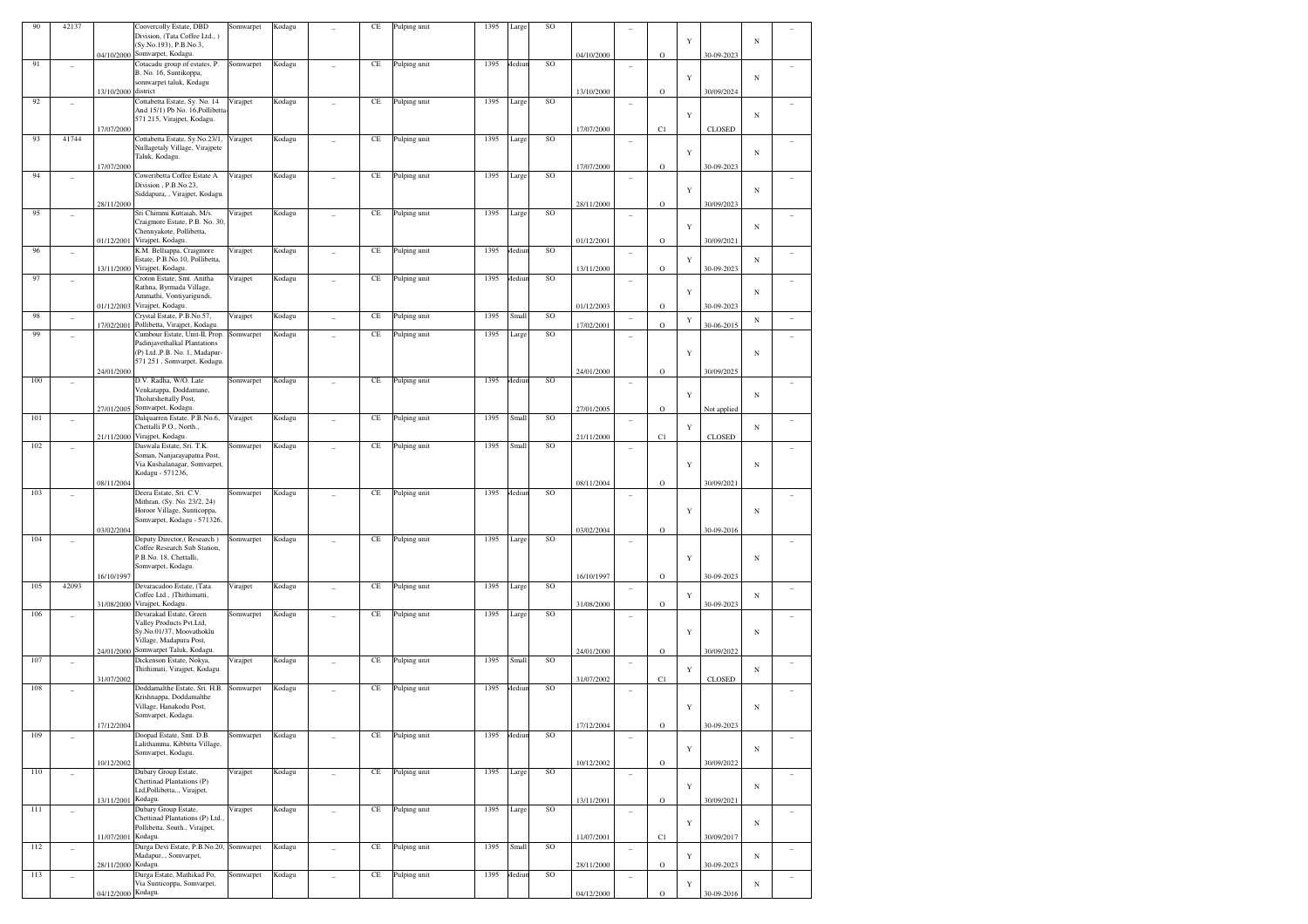| 90  | 42137                    |                     | Coovercolly Estate, DBD                                                    | Somwarpet | Kodagu |                          | CE       | Pulping unit | 1395 | Large  | SO            |            |                |          |             |             |            |                |
|-----|--------------------------|---------------------|----------------------------------------------------------------------------|-----------|--------|--------------------------|----------|--------------|------|--------|---------------|------------|----------------|----------|-------------|-------------|------------|----------------|
|     |                          |                     | Division, (Tata Coffee Ltd., )<br>(Sy.No.193), P.B.No.3,                   |           |        |                          |          |              |      |        |               |            |                |          | Y           |             | N          |                |
|     |                          |                     | 04/10/2000 Somvarpet, Kodagu.                                              |           |        |                          |          |              |      |        |               | 04/10/2000 |                | $\rm{O}$ |             | 30-09-2023  |            |                |
| 91  |                          |                     | Cotacadu group of estates, P.                                              | Somwarpet | Kodagu |                          | CE       | Pulping unit | 1395 | Aediur | SO            |            |                |          |             |             |            |                |
|     |                          |                     | B. No. 16, Suntikoppa,                                                     |           |        |                          |          |              |      |        |               |            |                |          | Y           |             | $_{\rm N}$ |                |
|     |                          | 13/10/2000 district | somwarpet taluk, Kodagu                                                    |           |        |                          |          |              |      |        |               |            |                |          |             |             |            |                |
| 92  |                          |                     | Cottabetta Estate, Sy. No. 14                                              | Virajpet  | Kodagu |                          | CE       | Pulping unit | 1395 | Large  | SO            | 13/10/2000 |                | $\rm{O}$ |             | 30/09/2024  |            |                |
|     |                          |                     | And 15/1) Pb No. 16, Pollibetta-                                           |           |        |                          |          |              |      |        |               |            |                |          |             |             |            |                |
|     |                          |                     | 571 215, Virajpet, Kodagu.                                                 |           |        |                          |          |              |      |        |               |            |                |          | Y           |             | $_{\rm N}$ |                |
|     |                          | 17/07/2000          |                                                                            |           |        |                          |          |              |      |        |               | 17/07/2000 |                | C1       |             | CLOSED      |            |                |
| 93  | 41744                    |                     | Cottabetta Estate, Sy.No.23/1,<br>Nullagetaly Village, Virajpete           | Virajpet  | Kodagu |                          | CE       | Pulping unit | 1395 | Large  | SO            |            |                |          |             |             |            |                |
|     |                          |                     | Taluk, Kodagu.                                                             |           |        |                          |          |              |      |        |               |            |                |          | Y           |             | $_{\rm N}$ |                |
|     |                          | 17/07/2000          |                                                                            |           |        |                          |          |              |      |        |               | 17/07/2000 |                | $\rm{O}$ |             | 30-09-2023  |            |                |
| 94  |                          |                     | Coweribetta Coffee Estate A                                                | Virajpet  | Kodagu |                          | CE       | Pulping unit | 1395 | Large  | SO            |            |                |          |             |             |            |                |
|     |                          |                     | Division, P.B.No.23,<br>Siddapura,., Virajpet, Kodagu.                     |           |        |                          |          |              |      |        |               |            |                |          | Y           |             | $_{\rm N}$ |                |
|     |                          | 28/11/2000          |                                                                            |           |        |                          |          |              |      |        |               | 28/11/2000 |                | $\rm{O}$ |             | 30/09/2023  |            |                |
| 95  |                          |                     | Sri Chimmi Kuttaiah, M/s.                                                  | Virajpet  | Kodagu |                          | CE       | Pulping unit | 1395 | Large  | SO            |            |                |          |             |             |            |                |
|     |                          |                     | Craigmore Estate, P.B. No. 30,<br>Chennyakote, Pollibetta,                 |           |        |                          |          |              |      |        |               |            |                |          | Y           |             | N          |                |
|     |                          |                     | 01/12/2001 Virajpet, Kodagu.                                               |           |        |                          |          |              |      |        |               | 01/12/2001 |                | $\rm{O}$ |             | 30/09/2021  |            |                |
| 96  |                          |                     | K.M. Belliappa, Craigmore                                                  | Virajpet  | Kodagu |                          | CE       | Pulping unit | 1395 | Aediun | SO            |            |                |          |             |             |            |                |
|     |                          |                     | Estate, P.B.No.10, Pollibetta,                                             |           |        |                          |          |              |      |        |               |            |                |          | Y           |             | $_{\rm N}$ |                |
|     |                          |                     | 13/11/2000 Virajpet, Kodagu.                                               |           |        |                          |          |              |      |        |               | 13/11/2000 |                | $\rm{O}$ |             | 30-09-2023  |            |                |
| 97  | $\overline{\phantom{a}}$ |                     | Croton Estate, Smt. Anitha<br>Rathna, Byrmada Village,                     | Virajpet  | Kodagu |                          | CE       | Pulping unit | 1395 | Aediur | SO            |            | $\overline{a}$ |          |             |             |            |                |
|     |                          |                     | Ammathi, Vontiyarigundi,                                                   |           |        |                          |          |              |      |        |               |            |                |          | Y           |             | N          |                |
|     |                          |                     | 01/12/2003 Virajpet, Kodagu.                                               |           |        |                          |          |              |      |        |               | 01/12/2003 |                | $\rm{O}$ |             | 30-09-2023  |            |                |
| 98  |                          |                     | Crystal Estate, P.B.No.57,                                                 | Virajpet  | Kodagu |                          | CE       | Pulping unit | 1395 | Small  | SO            |            |                |          | Y           |             | $_{\rm N}$ |                |
| 99  |                          |                     | 17/02/2001 Pollibetta, Virajpet, Kodagu.<br>Cumbour Estate, Unit-II, Prop. | Somwarpet | Kodagu |                          | CE       | Pulping unit | 1395 | Large  | SO            | 17/02/2001 |                | $\rm{O}$ |             | 30-06-2015  |            |                |
|     |                          |                     | Padinjavethalkal Plantations                                               |           |        |                          |          |              |      |        |               |            |                |          |             |             |            |                |
|     |                          |                     | (P) Ltd., P.B. No. 1, Madapur-                                             |           |        |                          |          |              |      |        |               |            |                |          | Y           |             | $_{\rm N}$ |                |
|     |                          |                     | 571 251, Somvarpet, Kodagu                                                 |           |        |                          |          |              |      |        |               |            |                |          |             | 30/09/2025  |            |                |
| 100 |                          | 24/01/2000          | D.V. Radha, W/O. Late                                                      | Somwarpet | Kodagu |                          | CE       | Pulping unit | 1395 | Aediur | SO            | 24/01/2000 |                | $\rm{O}$ |             |             |            |                |
|     |                          |                     | Venkatappa, Doddamane,                                                     |           |        |                          |          |              |      |        |               |            |                |          |             |             |            |                |
|     |                          |                     | Tholurshettally Post,                                                      |           |        |                          |          |              |      |        |               |            |                |          | Y           |             | N          |                |
|     |                          |                     | 27/01/2005 Somvarpet, Kodagu.<br>Dalquarren Estate, P.B.No.6,              |           |        |                          |          |              |      |        |               | 27/01/2005 |                | $\rm{O}$ |             | Not applied |            |                |
| 101 |                          |                     | Chettalli P.O., North.,                                                    | Virajpet  | Kodagu |                          | CE       | Pulping unit | 1395 | Small  | $\rm SO$      |            |                |          | Y           |             | $_{\rm N}$ |                |
|     |                          |                     | 21/11/2000 Virajpet, Kodagu.                                               |           |        |                          |          |              |      |        |               | 21/11/2000 |                | C1       |             | CLOSED      |            |                |
| 102 | $\overline{a}$           |                     | Daswala Estate, Sri. T.K.                                                  | Somwarpet | Kodagu |                          | CE       | Pulping unit | 1395 | Small  | SO            |            |                |          |             |             |            |                |
|     |                          |                     | Soman, Nanjarayapatna Post,<br>Via Kushalanagar, Somvarpet,                |           |        |                          |          |              |      |        |               |            |                |          |             |             |            |                |
|     |                          |                     | Kodagu - 571236,                                                           |           |        |                          |          |              |      |        |               |            |                |          | Y           |             | $_{\rm N}$ |                |
|     |                          | 08/11/2004          |                                                                            |           |        |                          |          |              |      |        |               | 08/11/2004 |                | $\rm{O}$ |             | 30/09/2021  |            |                |
| 103 |                          |                     | Deera Estate, Sri. C.V.                                                    | Somwarpet | Kodagu |                          | CE       | Pulping unit | 1395 | Aediur | SO            |            |                |          |             |             |            |                |
|     |                          |                     | Mithran, (Sy. No. 23/2, 24)<br>Horoor Village, Sunticoppa,                 |           |        |                          |          |              |      |        |               |            |                |          |             |             |            |                |
|     |                          |                     | Somvarpet, Kodagu - 571326,                                                |           |        |                          |          |              |      |        |               |            |                |          | Y           |             | $_{\rm N}$ |                |
|     |                          | 03/02/2004          |                                                                            |           |        |                          |          |              |      |        |               | 03/02/2004 |                | $\rm{O}$ |             | 30-09-2016  |            |                |
| 104 |                          |                     | Deputy Director,(Research)                                                 | Somwarpet | Kodagu |                          | CE       | Pulping unit | 1395 | Large  | <b>SO</b>     |            |                |          |             |             |            |                |
|     |                          |                     | Coffee Research Sub Station,<br>P.B.No. 18, Chettalli,                     |           |        |                          |          |              |      |        |               |            |                |          | Y           |             |            |                |
|     |                          |                     | Somvarpet, Kodagu.                                                         |           |        |                          |          |              |      |        |               |            |                |          |             |             | $_{\rm N}$ |                |
|     |                          | 16/10/1997          |                                                                            |           |        |                          |          |              |      |        |               | 16/10/1997 |                | $\rm{O}$ |             | 30-09-2023  |            |                |
| 105 | 42093                    |                     | Devaracadoo Estate, (Tata                                                  | Virajpet  | Kodagu |                          | CE       | Pulping unit | 1395 | Large  | SO            |            |                |          |             |             |            |                |
|     |                          |                     | Coffee Ltd., )Thithimatti,<br>31/08/2000 Virajpet, Kodagu.                 |           |        |                          |          |              |      |        |               |            |                |          | Y           |             | $_{\rm N}$ |                |
| 106 |                          |                     | Devarakad Estate, Green                                                    | Somwarpet | Kodagu |                          | CE       | Pulping unit | 1395 | Large  | SO            | 31/08/2000 |                | $\rm{O}$ |             | 30-09-2023  |            |                |
|     |                          |                     | Valley Products Pvt.Ltd,                                                   |           |        |                          |          |              |      |        |               |            |                |          |             |             |            |                |
|     |                          |                     | Sy.No.01/37, Moovathoklu                                                   |           |        |                          |          |              |      |        |               |            |                |          | Y           |             | $_{\rm N}$ |                |
|     |                          |                     | Village, Madapura Post,<br>24/01/2000 Somwarpet Taluk, Kodagu              |           |        |                          |          |              |      |        |               | 24/01/2000 |                | $\rm{O}$ |             | 30/09/2022  |            |                |
| 107 |                          |                     | Dickenson Estate, Nokya,                                                   | Virajpet  | Kodagu |                          | CE       | Pulping unit | 1395 | Small  | SO            |            |                |          |             |             |            |                |
|     |                          |                     | Thithimati, Virajpet, Kodagu.                                              |           |        |                          |          |              |      |        |               |            |                |          | Y           |             | $_{\rm N}$ |                |
|     |                          | 31/07/2002          |                                                                            |           |        |                          |          |              |      |        |               | 31/07/2002 |                | C1       |             | CLOSED      |            |                |
| 108 | $\overline{a}$           |                     | Doddamalthe Estate, Sri. H.B.<br>Krishnappa, Doddamalthe                   | Somwarpet | Kodagu |                          | CE       | Pulping unit | 1395 | Aediun | SO            |            |                |          |             |             |            |                |
|     |                          |                     | Village, Hanakodu Post,                                                    |           |        |                          |          |              |      |        |               |            |                |          | Y           |             | $_{\rm N}$ |                |
|     |                          |                     | Somvarpet, Kodagu.                                                         |           |        |                          |          |              |      |        |               |            |                |          |             |             |            |                |
|     |                          | 17/12/2004          |                                                                            |           |        |                          |          |              |      |        |               | 17/12/2004 |                | $\rm{O}$ |             | 30-09-2023  |            |                |
| 109 |                          |                     | Doopad Estate, Smt. D.B.<br>Lalithamma, Kibbitta Village,                  | Somwarpet | Kodagu |                          | CE       | Pulping unit | 1395 | Aediur | SO            |            | ÷              |          |             |             |            | ÷              |
|     |                          |                     | Somvarpet, Kodagu.                                                         |           |        |                          |          |              |      |        |               |            |                |          | $\mathbf Y$ |             | $_{\rm N}$ |                |
|     |                          | 10/12/2002          |                                                                            |           |        |                          |          |              |      |        |               | 10/12/2002 |                | $\rm{O}$ |             | 30/09/2022  |            |                |
| 110 | ÷,                       |                     | Dubary Group Estate,<br>Chettinad Plantations (P)                          | Virajpet  | Kodagu | L.                       | $\rm CE$ | Pulping unit | 1395 | Large  | <sub>SO</sub> |            | $\overline{a}$ |          |             |             |            | $\overline{a}$ |
|     |                          |                     | Ltd,Pollibetta,., Virajpet,                                                |           |        |                          |          |              |      |        |               |            |                |          | Y           |             | $_{\rm N}$ |                |
|     |                          | 13/11/2001 Kodagu.  |                                                                            |           |        |                          |          |              |      |        |               | 13/11/2001 |                | $\rm{O}$ |             | 30/09/2021  |            |                |
| 111 | $\overline{\phantom{a}}$ |                     | Dubary Group Estate,                                                       | Virajpet  | Kodagu | $\overline{\phantom{a}}$ | CE       | Pulping unit | 1395 | Large  | SO            |            | ÷              |          |             |             |            | ÷              |
|     |                          |                     | Chettinad Plantations (P) Ltd.,<br>Pollibetta, South., Virajpet,           |           |        |                          |          |              |      |        |               |            |                |          | $\mathbf Y$ |             | $_{\rm N}$ |                |
|     |                          | 11/07/2001 Kodagu.  |                                                                            |           |        |                          |          |              |      |        |               | 11/07/2001 |                | C1       |             | 30/09/2017  |            |                |
| 112 | $\overline{\phantom{a}}$ |                     | Durga Devi Estate, P.B.No.20, Somwarpet                                    |           | Kodagu | $\overline{a}$           | $\rm CE$ | Pulping unit | 1395 | Small  | $\rm SO$      |            | ÷              |          |             |             |            | $\sim$         |
|     |                          | 28/11/2000 Kodagu.  | Madapur,., Somvarpet,                                                      |           |        |                          |          |              |      |        |               |            |                |          | Y           |             | $_{\rm N}$ |                |
| 113 |                          |                     | Durga Estate, Mathikad Po,                                                 | Somwarpet | Kodagu |                          | CE       | Pulping unit | 1395 | Aediun | <sub>SO</sub> | 28/11/2000 |                | $\rm{O}$ |             | 30-09-2023  |            |                |
|     |                          |                     | Via Sunticoppa, Somvarpet,                                                 |           |        |                          |          |              |      |        |               |            |                |          | Y           |             | $_{\rm N}$ |                |
|     |                          | 04/12/2000 Kodagu.  |                                                                            |           |        |                          |          |              |      |        |               | 04/12/2000 |                | $\rm{O}$ |             | 30-09-2016  |            |                |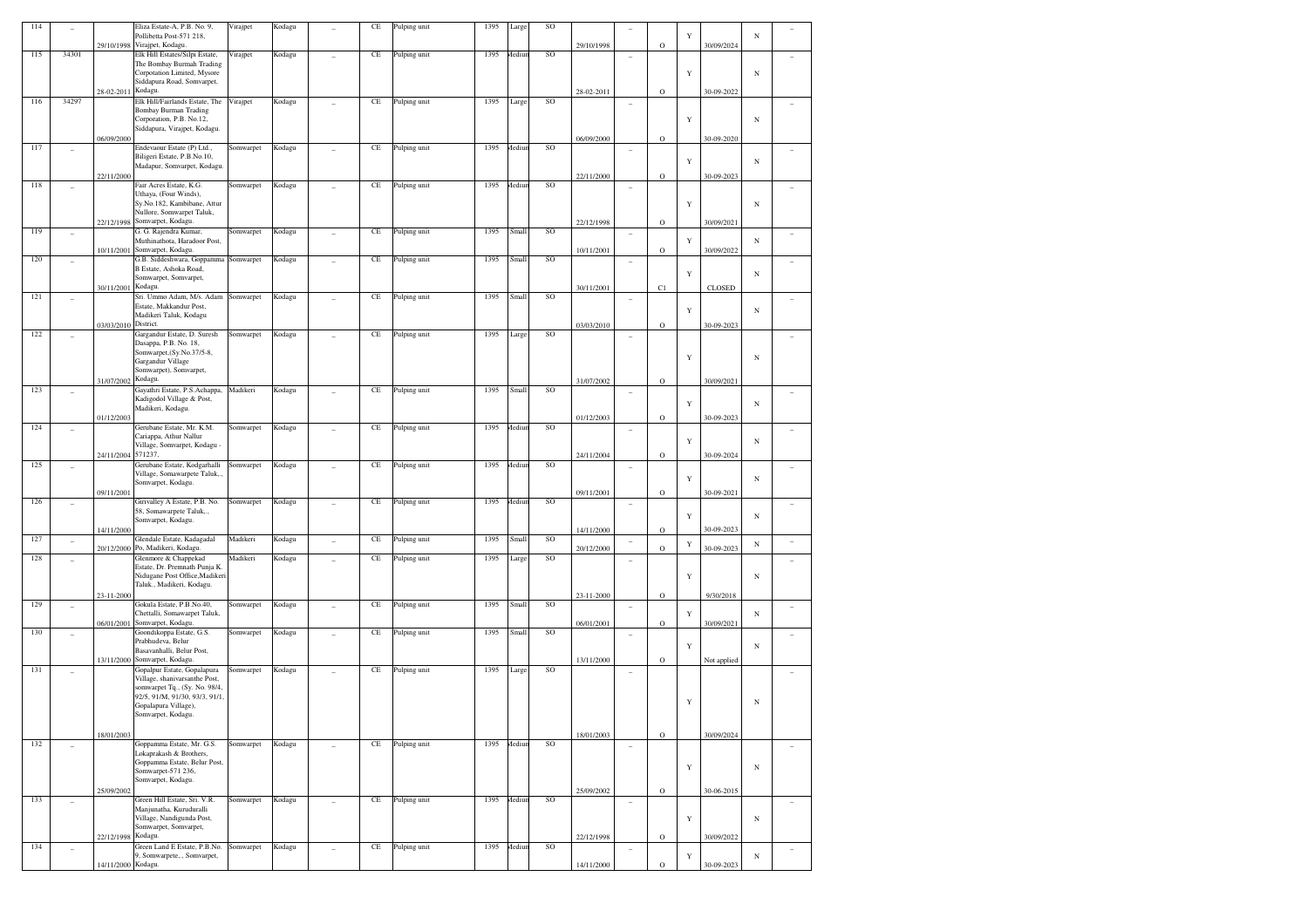| 114 |                          |                    | Eliza Estate-A, P.B. No. 9,                                 | Virajpet  | Kodagu |                          | CE       | Pulping unit | 1395 | Large  | <b>SO</b> |            |                          |             |   |               |            |        |
|-----|--------------------------|--------------------|-------------------------------------------------------------|-----------|--------|--------------------------|----------|--------------|------|--------|-----------|------------|--------------------------|-------------|---|---------------|------------|--------|
|     |                          |                    | Pollibetta Post-571 218,<br>29/10/1998 Virajpet, Kodagu.    |           |        |                          |          |              |      |        |           | 29/10/1998 |                          | $\circ$     | Y | 30/09/2024    | $_{\rm N}$ |        |
| 115 | 34301                    |                    | Elk Hill Estates/Silpi Estate,                              | Virajpet  | Kodagu |                          | $\rm CE$ | Pulping unit | 1395 | Mediur | SO        |            | ۰                        |             |   |               |            |        |
|     |                          |                    | The Bombay Burmah Trading                                   |           |        |                          |          |              |      |        |           |            |                          |             |   |               |            |        |
|     |                          |                    | Corpotation Limited, Mysore<br>Siddapura Road, Somvarpet,   |           |        |                          |          |              |      |        |           |            |                          |             | Y |               | $_{\rm N}$ |        |
|     |                          | 28-02-2011         | Kodagu.                                                     |           |        |                          |          |              |      |        |           | 28-02-2011 |                          | $\mathbf O$ |   | 30-09-2022    |            |        |
| 116 | 34297                    |                    | Elk Hill/Fairlands Estate, The                              | Virajpet  | Kodagu |                          | $\rm CE$ | Pulping unit | 1395 | Large  | SO        |            |                          |             |   |               |            |        |
|     |                          |                    | <b>Bombay Burman Trading</b><br>Corporation, P.B. No.12,    |           |        |                          |          |              |      |        |           |            |                          |             |   |               |            |        |
|     |                          |                    | Siddapura, Virajpet, Kodagu.                                |           |        |                          |          |              |      |        |           |            |                          |             | Y |               | $_{\rm N}$ |        |
|     |                          | 06/09/2000         |                                                             |           |        |                          |          |              |      |        |           | 06/09/2000 |                          | $\mathbf O$ |   | 30-09-2020    |            |        |
| 117 | ٠                        |                    | Endevaour Estate (P) Ltd.,                                  | Somwarpet | Kodagu |                          | $\rm CE$ | Pulping unit | 1395 | Mediur | SO        |            |                          |             |   |               |            |        |
|     |                          |                    | Biligeri Estate, P.B.No.10,<br>Madapur, Somvarpet, Kodagu.  |           |        |                          |          |              |      |        |           |            |                          |             | Y |               | $_{\rm N}$ |        |
|     |                          | 22/11/2000         |                                                             |           |        |                          |          |              |      |        |           | 22/11/2000 |                          | $\circ$     |   | 30-09-2023    |            |        |
| 118 | ٠                        |                    | Fair Acres Estate, K.G.                                     | Somwarpet | Kodagu |                          | $\rm CE$ | Pulping unit | 1395 | Mediur | <b>SO</b> |            | ۰                        |             |   |               |            |        |
|     |                          |                    | Uthaya, (Four Winds),<br>Sy.No.182, Kambibane, Attur        |           |        |                          |          |              |      |        |           |            |                          |             | Y |               | $_{\rm N}$ |        |
|     |                          |                    | Nullore, Somwarpet Taluk,                                   |           |        |                          |          |              |      |        |           |            |                          |             |   |               |            |        |
|     |                          | 22/12/1998         | Somvarpet, Kodagu.                                          |           |        |                          |          |              |      |        |           | 22/12/1998 |                          | $\mathbf O$ |   | 30/09/2021    |            |        |
| 119 | $\qquad \qquad -$        |                    | G. G. Rajendra Kumar,                                       | Somwarpet | Kodagu |                          | CE       | Pulping unit | 1395 | Small  | SO        |            | $\overline{\phantom{a}}$ |             |   |               |            |        |
|     |                          | 10/11/2001         | Muthinathota, Haradoor Post,<br>Somvarpet, Kodagu.          |           |        |                          |          |              |      |        |           | 10/11/2001 |                          | $\circ$     | Y | 30/09/2022    | $_{\rm N}$ |        |
| 120 | $\overline{\phantom{0}}$ |                    | G.B. Siddeshwara, Goppamma                                  | Somwarpet | Kodagu |                          | $\rm CE$ | Pulping unit | 1395 | Small  | SO        |            | ۰                        |             |   |               |            |        |
|     |                          |                    | B Estate, Ashoka Road,                                      |           |        |                          |          |              |      |        |           |            |                          |             | Y |               | $_{\rm N}$ |        |
|     |                          | 30/11/2001         | Somwarpet, Somvarpet,<br>Kodagu.                            |           |        |                          |          |              |      |        |           | 30/11/2001 |                          | C1          |   | <b>CLOSED</b> |            |        |
| 121 | ٠                        |                    | Sri. Ummo Adam, M/s. Adam                                   | Somwarpet | Kodagu |                          | CE       | Pulping unit | 1395 | Small  | SO        |            | $\overline{\phantom{a}}$ |             |   |               |            |        |
|     |                          |                    | Estate, Makkandur Post,                                     |           |        |                          |          |              |      |        |           |            |                          |             | Y |               | $_{\rm N}$ |        |
|     |                          | 03/03/2010         | Madikeri Taluk, Kodagu<br>District.                         |           |        |                          |          |              |      |        |           | 03/03/2010 |                          | $\circ$     |   | 30-09-2023    |            |        |
| 122 |                          |                    | Gargandur Estate, D. Suresh                                 | Somwarpet | Kodagu |                          | $\rm CE$ | Pulping unit | 1395 | Large  | <b>SO</b> |            | ۰                        |             |   |               |            |        |
|     |                          |                    | Dasappa, P.B. No. 18,                                       |           |        |                          |          |              |      |        |           |            |                          |             |   |               |            |        |
|     |                          |                    | Somwarpet, (Sy.No.37/5-8,<br>Gargandur Village              |           |        |                          |          |              |      |        |           |            |                          |             | Y |               | $_{\rm N}$ |        |
|     |                          |                    | Somwarpet), Somvarpet,                                      |           |        |                          |          |              |      |        |           |            |                          |             |   |               |            |        |
|     |                          | 31/07/2002         | Kodagu.                                                     |           |        |                          |          |              |      |        |           | 31/07/2002 |                          | $\mathbf O$ |   | 30/09/2021    |            |        |
| 123 | $\overline{\phantom{0}}$ |                    | Gayathri Estate, P.S.Achappa,                               | Madikeri  | Kodagu |                          | $\rm CE$ | Pulping unit | 1395 | Small  | SO        |            | $\overline{\phantom{a}}$ |             |   |               |            |        |
|     |                          |                    | Kadigodol Village & Post,<br>Madikeri, Kodagu.              |           |        |                          |          |              |      |        |           |            |                          |             | Y |               | $_{\rm N}$ |        |
|     |                          | 01/12/2003         |                                                             |           |        |                          |          |              |      |        |           | 01/12/2003 |                          | $\circ$     |   | 30-09-2023    |            |        |
| 124 | ٠                        |                    | Gerubane Estate, Mr. K.M.                                   | Somwarpet | Kodagu |                          | $\rm CE$ | Pulping unit | 1395 | Mediur | SO        |            | ۰                        |             |   |               |            |        |
|     |                          |                    | Cariappa, Athur Nallur<br>Village, Somvarpet, Kodagu -      |           |        |                          |          |              |      |        |           |            |                          |             | Y |               | $_{\rm N}$ |        |
|     |                          | 24/11/2004         | 571237,                                                     |           |        |                          |          |              |      |        |           | 24/11/2004 |                          | $\circ$     |   | 30-09-2024    |            |        |
| 125 | ٠                        |                    | Gerubane Estate, Kodgarhalli                                | Somwarpet | Kodagu |                          | $\rm CE$ | Pulping unit | 1395 | Mediur | <b>SO</b> |            | $\overline{\phantom{a}}$ |             |   |               |            |        |
|     |                          |                    | Village, Somawarpete Taluk,.,<br>Somvarpet, Kodagu.         |           |        |                          |          |              |      |        |           |            |                          |             | Y |               | $_{\rm N}$ |        |
|     |                          | 09/11/2001         |                                                             |           |        |                          |          |              |      |        |           | 09/11/2001 |                          | $\circ$     |   | 30-09-2021    |            |        |
| 126 | ٠                        |                    | Girivalley A Estate, P.B. No.                               | Somwarpet | Kodagu |                          | $\rm CE$ | Pulping unit | 1395 | Mediur | SO        |            | $\overline{\phantom{a}}$ |             |   |               |            |        |
|     |                          |                    | 58, Somawarpete Taluk,.,<br>Somvarpet, Kodagu.              |           |        |                          |          |              |      |        |           |            |                          |             | Y |               | $_{\rm N}$ |        |
|     |                          | 14/11/2000         |                                                             |           |        |                          |          |              |      |        |           | 14/11/2000 |                          | $\circ$     |   | 30-09-2023    |            |        |
| 127 | $\overline{\phantom{0}}$ |                    | Glendale Estate, Kadagadal                                  | Madikeri  | Kodagu | $\overline{\phantom{a}}$ | $\rm CE$ | Pulping unit | 1395 | Small  | SO        |            |                          |             | Y |               | $_{\rm N}$ |        |
|     |                          | 20/12/2000         | Po, Madikeri, Kodagu.<br>Glenmore & Chappekad               | Madikeri  |        |                          | $\rm CE$ |              | 1395 |        | <b>SO</b> | 20/12/2000 |                          | $\circ$     |   | 30-09-2023    |            |        |
| 128 | ٠                        |                    | Estate, Dr. Premnath Punja K.                               |           | Kodagu |                          |          | Pulping unit |      | Large  |           |            | ۰                        |             |   |               |            |        |
|     |                          |                    | Nidugane Post Office, Madikeri                              |           |        |                          |          |              |      |        |           |            |                          |             | Y |               | $_{\rm N}$ |        |
|     |                          | 23-11-2000         | Taluk., Madikeri, Kodagu.                                   |           |        |                          |          |              |      |        |           | 23-11-2000 |                          | $\circ$     |   | 9/30/2018     |            |        |
| 129 | $\overline{\phantom{0}}$ |                    | Gokula Estate, P.B.No.40,                                   | Somwarpet | Kodagu |                          | $\rm CE$ | Pulping unit | 1395 | Small  | SO        |            | $\overline{\phantom{a}}$ |             |   |               |            |        |
|     |                          |                    | Chettalli, Somawarpet Taluk,                                |           |        |                          |          |              |      |        |           |            |                          |             | Y |               | $_{\rm N}$ |        |
| 130 |                          | 06/01/2001         | Somvarpet, Kodagu.<br>Goondikoppa Estate, G.S.              | Somwarpet | Kodagu |                          | $\rm CE$ | Pulping unit | 1395 | Small  | SO        | 06/01/2001 |                          | $\circ$     |   | 30/09/2021    |            |        |
|     | $\overline{\phantom{0}}$ |                    | Prabhudeva, Belur                                           |           |        |                          |          |              |      |        |           |            | $\overline{\phantom{a}}$ |             |   |               |            |        |
|     |                          |                    | Basavanhalli, Belur Post,                                   |           |        |                          |          |              |      |        |           |            |                          |             | Y |               | $_{\rm N}$ |        |
| 131 |                          | 13/11/2000         | Somvarpet, Kodagu.<br>Gopalpur Estate, Gopalapura           | Somwarpet |        |                          | $\rm CE$ |              | 1395 |        | <b>SO</b> | 13/11/2000 |                          | $\circ$     |   | Not applied   |            |        |
|     | $\overline{\phantom{0}}$ |                    | Village, shanivarsanthe Post,                               |           | Kodagu |                          |          | Pulping unit |      | Large  |           |            | $\overline{\phantom{a}}$ |             |   |               |            |        |
|     |                          |                    | somwarpet Tq., (Sy. No. 98/4,                               |           |        |                          |          |              |      |        |           |            |                          |             |   |               |            |        |
|     |                          |                    | 92/5, 91/M, 91/30, 93/3, 91/1.<br>Gopalapura Village),      |           |        |                          |          |              |      |        |           |            |                          |             | Y |               | $_{\rm N}$ |        |
|     |                          |                    | Somvarpet, Kodagu.                                          |           |        |                          |          |              |      |        |           |            |                          |             |   |               |            |        |
|     |                          |                    |                                                             |           |        |                          |          |              |      |        |           |            |                          |             |   |               |            |        |
| 132 |                          | 18/01/2003         | Goppamma Estate, Mr. G.S.                                   | Somwarpet | Kodagu |                          | $\rm CE$ | Pulping unit | 1395 | Mediur | SO        | 18/01/2003 |                          | $\mathbf O$ |   | 30/09/2024    |            |        |
|     | ÷                        |                    | Lokaprakash & Brothers,                                     |           |        | $\overline{a}$           |          |              |      |        |           |            | ٠                        |             |   |               |            | $\sim$ |
|     |                          |                    | Goppamma Estate, Belur Post,                                |           |        |                          |          |              |      |        |           |            |                          |             | Y |               | $_{\rm N}$ |        |
|     |                          |                    | Somwarpet-571 236,<br>Somvarpet, Kodagu.                    |           |        |                          |          |              |      |        |           |            |                          |             |   |               |            |        |
|     |                          | 25/09/2002         |                                                             |           |        |                          |          |              |      |        |           | 25/09/2002 |                          | $\mathbf O$ |   | 30-06-2015    |            |        |
| 133 | $\overline{a}$           |                    | Green Hill Estate, Sri. V.R.                                | Somwarpet | Kodagu | $\overline{a}$           | $\rm CE$ | Pulping unit | 1395 | Aediur | SO        |            | $\overline{\phantom{a}}$ |             |   |               |            | $\sim$ |
|     |                          |                    | Manjunatha, Kuruduralli<br>Village, Nandigunda Post,        |           |        |                          |          |              |      |        |           |            |                          |             | Y |               | $_{\rm N}$ |        |
|     |                          |                    | Somwarpet, Somvarpet,                                       |           |        |                          |          |              |      |        |           |            |                          |             |   |               |            |        |
|     |                          | 22/12/1998 Kodagu. |                                                             |           |        |                          |          |              |      |        |           | 22/12/1998 |                          | $\mathbf O$ |   | 30/09/2022    |            |        |
| 134 | $\overline{a}$           |                    | Green Land E Estate, P.B.No.<br>9, Somwarpete,., Somvarpet, | Somwarpet | Kodagu |                          | $\rm CE$ | Pulping unit | 1395 | Mediur | SO        |            |                          |             | Y |               | $_{\rm N}$ |        |
|     |                          | 14/11/2000 Kodagu. |                                                             |           |        |                          |          |              |      |        |           | 14/11/2000 |                          | $\mathbf O$ |   | 30-09-2023    |            |        |
|     |                          |                    |                                                             |           |        |                          |          |              |      |        |           |            |                          |             |   |               |            |        |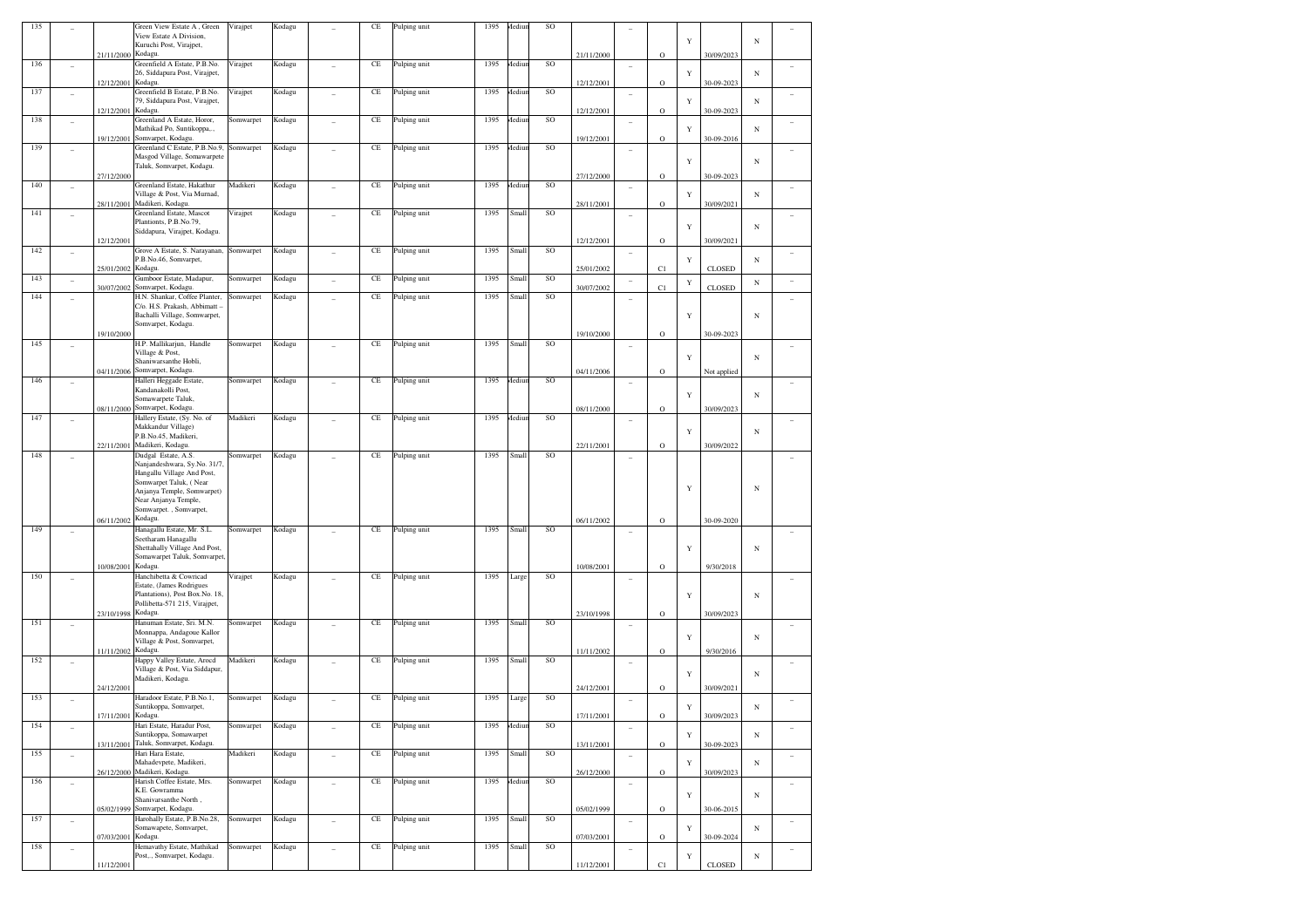|     |                          |                    | Green View Estate A, Green                                     | Virajpet  | Kodagu |                | CE                  | Pulping unit | 1395 | Aediun        | <b>SO</b>     |            |                          |             |             |               |            |                          |
|-----|--------------------------|--------------------|----------------------------------------------------------------|-----------|--------|----------------|---------------------|--------------|------|---------------|---------------|------------|--------------------------|-------------|-------------|---------------|------------|--------------------------|
|     |                          |                    | View Estate A Division,<br>Kuruchi Post, Virajpet,             |           |        |                |                     |              |      |               |               |            |                          |             | Y           |               | $_{\rm N}$ |                          |
|     |                          | 21/11/2000 Kodagu. |                                                                |           |        |                |                     |              |      |               |               | 21/11/2000 |                          | $\mathbf O$ |             | 30/09/2023    |            |                          |
| 136 | ۰                        |                    | Greenfield A Estate, P.B.No.<br>26, Siddapura Post, Virajpet,  | Virajpet  | Kodagu |                | CE                  | Pulping unit | 1395 | Aediun        | SO            |            |                          |             |             |               |            |                          |
|     |                          | 12/12/2001 Kodagu. |                                                                |           |        |                |                     |              |      |               |               | 12/12/2001 |                          | $\mathbf O$ | Y           | 30-09-2023    | $_{\rm N}$ |                          |
| 137 | $\overline{\phantom{a}}$ |                    | Greenfield B Estate, P.B.No.                                   | Virajpet  | Kodagu |                | CE                  | Pulping unit | 1395 | <b>Aediun</b> | <b>SO</b>     |            | ۰                        |             |             |               |            |                          |
|     |                          |                    | 79, Siddapura Post, Virajpet,<br>Kodagu.                       |           |        |                |                     |              |      |               |               |            |                          |             | Y           |               | $_{\rm N}$ |                          |
| 138 | $\overline{\phantom{a}}$ | 12/12/2001         | Greenland A Estate, Horor,                                     | Somwarpet | Kodagu | ٠              | CE                  | Pulping unit | 1395 | <b>Aediun</b> | SO            | 12/12/2001 | ٠                        | $\mathbf O$ |             | 30-09-2023    |            |                          |
|     |                          |                    | Mathikad Po, Suntikoppa,.,                                     |           |        |                |                     |              |      |               |               |            |                          |             | Y           |               | $_{\rm N}$ |                          |
|     |                          | 19/12/2001         | Somvarpet, Kodagu.<br>Greenland C Estate, P.B.No.9,            |           |        |                |                     |              | 1395 |               |               | 19/12/2001 |                          | $\circ$     |             | 30-09-2016    |            |                          |
| 139 | $\overline{\phantom{a}}$ |                    | Masgod Village, Somawarpete                                    | Somwarpet | Kodagu |                | CE                  | Pulping unit |      | Aediun        | SO            |            | ۰                        |             |             |               |            |                          |
|     |                          |                    | Taluk, Somvarpet, Kodagu.                                      |           |        |                |                     |              |      |               |               |            |                          |             | Y           |               | $_{\rm N}$ |                          |
|     |                          | 27/12/2000         |                                                                |           |        |                |                     |              |      |               |               | 27/12/2000 |                          | O           |             | 30-09-2023    |            |                          |
| 140 | $\qquad \qquad -$        |                    | Greenland Estate, Hakathur<br>Village & Post, Via Murnad,      | Madikeri  | Kodagu |                | CE                  | Pulping unit | 1395 | <b>Aediun</b> | SO            |            | ٠                        |             | Y           |               | $_{\rm N}$ |                          |
|     |                          | 28/11/2001         | Madikeri, Kodagu.                                              |           |        |                |                     |              |      |               |               | 28/11/2001 |                          | $\mathbf O$ |             | 30/09/2021    |            |                          |
| 141 |                          |                    | Greenland Estate, Mascot                                       | Virajpet  | Kodagu |                | CE                  | Pulping unit | 1395 | Small         | SO            |            | ۰                        |             |             |               |            |                          |
|     |                          |                    | Plantionts, P.B.No.79,<br>Siddapura, Virajpet, Kodagu.         |           |        |                |                     |              |      |               |               |            |                          |             | Y           |               | $_{\rm N}$ |                          |
|     |                          | 12/12/2001         |                                                                |           |        |                |                     |              |      |               |               | 12/12/2001 |                          | $\mathbf O$ |             | 30/09/2021    |            |                          |
| 142 | $\overline{\phantom{a}}$ |                    | Grove A Estate, S. Narayanan,                                  | Somwarpet | Kodagu | ٠              | CE                  | Pulping unit | 1395 | Small         | SO            |            | $\overline{\phantom{a}}$ |             |             |               |            |                          |
|     |                          | 25/01/2002 Kodagu. | P.B.No.46, Somvarpet,                                          |           |        |                |                     |              |      |               |               | 25/01/2002 |                          | C1          | Y           | <b>CLOSED</b> | $_{\rm N}$ |                          |
| 143 | $\qquad \qquad -$        |                    | Gumboor Estate, Madapur,                                       | Somwarpet | Kodagu | ٠              | CE                  | Pulping unit | 1395 | Small         | SO            |            |                          |             |             |               |            |                          |
|     |                          | 30/07/2002         | Somvarpet, Kodagu.                                             |           |        |                |                     |              |      |               |               | 30/07/2002 |                          | C1          | Y           | <b>CLOSED</b> | $_{\rm N}$ |                          |
| 144 | ۰                        |                    | H.N. Shankar, Coffee Planter,<br>C/o. H.S. Prakash, Abbimatt - | Somwarpet | Kodagu |                | CE                  | Pulping unit | 1395 | Small         | SO            |            | ۰                        |             |             |               |            |                          |
|     |                          |                    | Bachalli Village, Somwarpet,                                   |           |        |                |                     |              |      |               |               |            |                          |             | Y           |               | $_{\rm N}$ |                          |
|     |                          |                    | Somvarpet, Kodagu.                                             |           |        |                |                     |              |      |               |               |            |                          |             |             |               |            |                          |
|     |                          | 19/10/2000         | H.P. Mallikarjun, Handle                                       |           |        |                |                     |              |      |               |               | 19/10/2000 |                          | $\circ$     |             | 30-09-2023    |            |                          |
| 145 | ۰                        |                    | Village & Post,                                                | Somwarpet | Kodagu |                | CE                  | Pulping unit | 1395 | Small         | SO            |            | ٠                        |             |             |               |            |                          |
|     |                          |                    | Shaniwarsanthe Hobli,                                          |           |        |                |                     |              |      |               |               |            |                          |             | Y           |               | $_{\rm N}$ |                          |
|     |                          |                    | 04/11/2006 Somvarpet, Kodagu.                                  |           |        |                |                     |              |      |               |               | 04/11/2006 |                          | O           |             | Not applied   |            |                          |
| 146 |                          |                    | Halleri Heggade Estate,<br>Kandanakolli Post,                  | Somwarpet | Kodagu |                | CE                  | Pulping unit | 1395 | <b>Aediun</b> | SO            |            |                          |             |             |               |            |                          |
|     |                          |                    | Somawarpete Taluk,                                             |           |        |                |                     |              |      |               |               |            |                          |             | Y           |               | $_{\rm N}$ |                          |
|     |                          |                    | 08/11/2000 Somvarpet, Kodagu.                                  |           |        |                |                     |              |      |               |               | 08/11/2000 |                          | $\circ$     |             | 30/09/2023    |            |                          |
| 147 | ۰                        |                    | Hallery Estate, (Sy. No. of<br>Makkandur Village)              | Madikeri  | Kodagu |                | CE                  | Pulping unit | 1395 | <b>Aediun</b> | SO            |            | ٠                        |             |             |               |            |                          |
|     |                          |                    | P.B.No.45, Madikeri,                                           |           |        |                |                     |              |      |               |               |            |                          |             | Y           |               | $_{\rm N}$ |                          |
|     |                          |                    | 22/11/2001 Madikeri, Kodagu.                                   |           |        |                |                     |              |      |               |               | 22/11/2001 |                          | $\mathbf O$ |             | 30/09/2022    |            |                          |
| 148 |                          |                    | Dudgal Estate, A.S.<br>Nanjandeshwara, Sy.No. 31/7             | Somwarpet | Kodagu |                | CE                  | Pulping unit | 1395 | Small         | SO            |            |                          |             |             |               |            |                          |
|     |                          |                    |                                                                |           |        |                |                     |              |      |               |               |            |                          |             |             |               |            |                          |
|     |                          |                    |                                                                |           |        |                |                     |              |      |               |               |            |                          |             |             |               |            |                          |
|     |                          |                    | Hangallu Village And Post,<br>Somwarpet Taluk, (Near           |           |        |                |                     |              |      |               |               |            |                          |             |             |               |            |                          |
|     |                          |                    | Anjanya Temple, Somwarpet)                                     |           |        |                |                     |              |      |               |               |            |                          |             | Y           |               | $_{\rm N}$ |                          |
|     |                          |                    | Near Anjanya Temple,                                           |           |        |                |                     |              |      |               |               |            |                          |             |             |               |            |                          |
|     |                          |                    | Somwarpet., Somvarpet,                                         |           |        |                |                     |              |      |               |               | 06/11/2002 |                          | $\mathbf O$ |             | 30-09-2020    |            |                          |
| 149 |                          | 06/11/2002 Kodagu. | Hanagallu Estate, Mr. S.L.                                     | Somwarpet | Kodagu |                | CE                  | Pulping unit | 1395 | Small         | SO            |            |                          |             |             |               |            |                          |
|     |                          |                    | Seetharam Hanagallu                                            |           |        |                |                     |              |      |               |               |            |                          |             |             |               |            |                          |
|     |                          |                    | Shettahally Village And Post,<br>Somawarpet Taluk, Somvarpet,  |           |        |                |                     |              |      |               |               |            |                          |             | Y           |               | $_{\rm N}$ |                          |
|     |                          | 10/08/2001         | Kodagu.                                                        |           |        |                |                     |              |      |               |               | 10/08/2001 |                          | $\circ$     |             | 9/30/2018     |            |                          |
| 150 |                          |                    | Hanchibetta & Cowricad                                         | Virajpet  | Kodagu |                | CE                  | Pulping unit | 1395 | Large         | SO            |            | ٠                        |             |             |               |            |                          |
|     |                          |                    | Estate, (James Rodrigues<br>Plantations), Post Box.No. 18,     |           |        |                |                     |              |      |               |               |            |                          |             |             |               |            |                          |
|     |                          |                    | Pollibetta-571 215, Virajpet,                                  |           |        |                |                     |              |      |               |               |            |                          |             | Y           |               | $_{\rm N}$ |                          |
|     |                          | 23/10/1998 Kodagu. |                                                                |           |        |                |                     |              |      |               |               | 23/10/1998 |                          | $\mathbf O$ |             | 30/09/2023    |            |                          |
| 151 |                          |                    | Hanuman Estate, Sri, M.N.<br>Monnappa, Andagoue Kallor         | Somwarpet | Kodagu |                | CE                  | Pulping unit | 1395 | Small         | SO            |            |                          |             |             |               |            |                          |
|     |                          |                    | Village & Post, Somvarpet,                                     |           |        |                |                     |              |      |               |               |            |                          |             | Y           |               | $_{\rm N}$ |                          |
|     |                          | 11/11/2002 Kodagu. |                                                                |           |        |                |                     |              |      |               |               | 11/11/2002 |                          | $\circ$     |             | 9/30/2016     |            |                          |
| 152 | ۰                        |                    | Happy Valley Estate, Arocd<br>Village & Post, Via Siddapur,    | Madikeri  | Kodagu |                | CE                  | Pulping unit | 1395 | Small         | SO            |            | ٠                        |             |             |               |            |                          |
|     |                          |                    | Madikeri, Kodagu.                                              |           |        |                |                     |              |      |               |               |            |                          |             | Y           |               | $_{\rm N}$ |                          |
|     |                          | 24/12/2001         |                                                                |           |        |                |                     |              |      |               |               | 24/12/2001 |                          | $\mathbf O$ |             | 30/09/2021    |            |                          |
| 153 |                          |                    | Haradoor Estate, P.B.No.1,                                     | Somwarpet | Kodagu |                | CE                  | Pulping unit | 1395 | Large         | SO            |            |                          |             |             |               |            |                          |
|     |                          | 17/11/2001 Kodagu. | Suntikoppa, Somvarpet,                                         |           |        |                |                     |              |      |               |               | 17/11/2001 |                          | $\mathbf O$ | Y           | 30/09/2023    | $_{\rm N}$ |                          |
| 154 | $\overline{\phantom{a}}$ |                    | Hari Estate, Haradur Post,                                     | Somwarpet | Kodagu | ٠              | $\operatorname{CE}$ | Pulping unit | 1395 | Mediun        | SO            |            | $\overline{a}$           |             |             |               |            |                          |
|     |                          |                    | Suntikoppa, Somawarpet                                         |           |        |                |                     |              |      |               |               |            |                          |             | $\mathbf Y$ |               | $_{\rm N}$ |                          |
| 155 |                          |                    | 13/11/2001 Taluk, Somvarpet, Kodagu.<br>Hari Hara Estate,      | Madikeri  | Kodagu | $\overline{a}$ | $\rm CE$            | Pulping unit | 1395 | Small         | <sub>SO</sub> | 13/11/2001 |                          | $\mathbf O$ |             | 30-09-2023    |            |                          |
|     | $\frac{1}{2}$            |                    | Mahadevpete, Madikeri,                                         |           |        |                |                     |              |      |               |               |            | $\overline{a}$           |             | Y           |               | $_{\rm N}$ | $\overline{\phantom{a}}$ |
|     |                          |                    | 26/12/2000 Madikeri, Kodagu.                                   |           |        |                |                     |              |      |               |               | 26/12/2000 |                          | $\mathbf O$ |             | 30/09/2023    |            |                          |
| 156 | $\overline{\phantom{a}}$ |                    | Harish Coffee Estate, Mrs.                                     | Somwarpet | Kodagu | $\overline{a}$ | CE                  | Pulping unit | 1395 | Mediun        | SO            |            | $\overline{\phantom{a}}$ |             |             |               |            |                          |
|     |                          |                    | K.E. Gowramma<br>Shanivarsanthe North,                         |           |        |                |                     |              |      |               |               |            |                          |             | $\mathbf Y$ |               | $_{\rm N}$ |                          |
|     |                          |                    | 05/02/1999 Somvarpet, Kodagu.                                  |           |        |                |                     |              |      |               |               | 05/02/1999 |                          | $\mathbf O$ |             | 30-06-2015    |            |                          |
| 157 | $\frac{1}{2}$            |                    | Harohally Estate, P.B.No.28,<br>Somawapete, Somvarpet,         | Somwarpet | Kodagu | $\overline{a}$ | $\rm CE$            | Pulping unit | 1395 | Small         | SO            |            | ÷                        |             | Y           |               | $_{\rm N}$ | $\equiv$                 |
|     |                          | 07/03/2001 Kodagu. |                                                                |           |        |                |                     |              |      |               |               | 07/03/2001 |                          | $\mathbf O$ |             | 30-09-2024    |            |                          |
| 158 | $\overline{\phantom{a}}$ |                    | Hemavathy Estate, Mathikad                                     | Somwarpet | Kodagu |                | $\rm CE$            | Pulping unit | 1395 | Small         | SO            |            | ۰                        |             |             |               |            |                          |
|     |                          | 11/12/2001         | Post,., Somvarpet, Kodagu.                                     |           |        |                |                     |              |      |               |               | 11/12/2001 |                          | C1          | Y           | CLOSED        | $_{\rm N}$ |                          |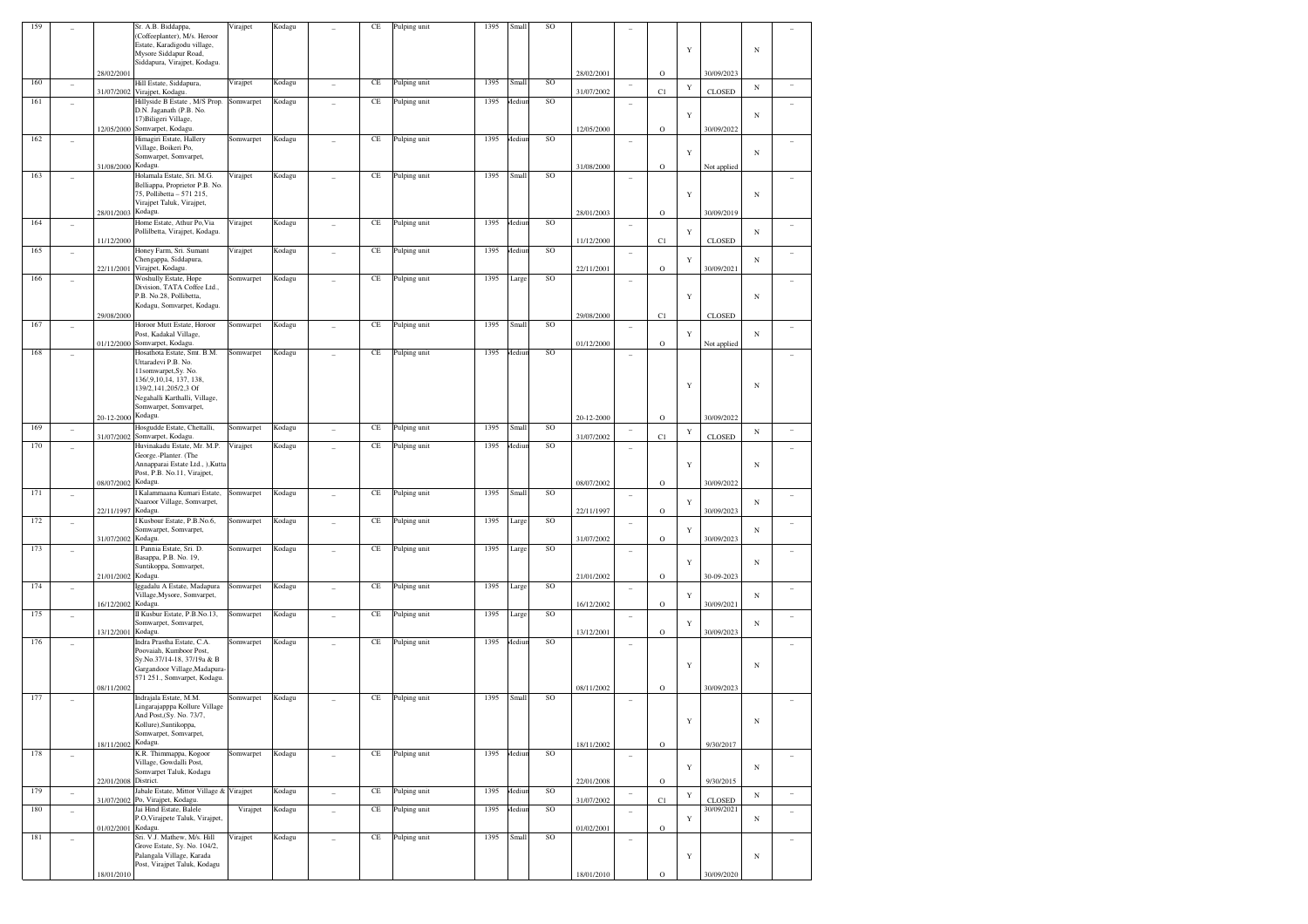| 159 |                |                      | Sr. A.B. Biddappa,                                                           | Virajpet  | Kodagu |                          | CE       | Pulping unit | 1395 | Small  | SO        |            |                          |              |             |                           |            |        |
|-----|----------------|----------------------|------------------------------------------------------------------------------|-----------|--------|--------------------------|----------|--------------|------|--------|-----------|------------|--------------------------|--------------|-------------|---------------------------|------------|--------|
|     |                |                      | (Coffeeplanter), M/s. Heroor<br>Estate, Karadigodu village,                  |           |        |                          |          |              |      |        |           |            |                          |              |             |                           |            |        |
|     |                |                      | Mysore Siddapur Road,                                                        |           |        |                          |          |              |      |        |           |            |                          |              | Y           |                           | $_{\rm N}$ |        |
|     |                |                      | Siddapura, Virajpet, Kodagu.                                                 |           |        |                          |          |              |      |        |           |            |                          |              |             |                           |            |        |
| 160 |                | 28/02/2001           |                                                                              |           | Kodagu |                          | CE       |              | 1395 | Small  | $\rm SO$  | 28/02/2001 |                          | $\mathbf O$  |             | 30/09/2023                |            |        |
|     | ÷              |                      | Hill Estate, Siddapura,<br>31/07/2002 Virajpet, Kodagu.                      | Virajpet  |        | $\overline{a}$           |          | Pulping unit |      |        |           | 31/07/2002 | $\overline{\phantom{a}}$ | C1           | $\mathbf Y$ | CLOSED                    | $_{\rm N}$ | ٠      |
| 161 | $\overline{a}$ |                      | Hillyside B Estate, M/S Prop.                                                | Somwarpet | Kodagu | ÷                        | $\rm CE$ | Pulping unit | 1395 | Mediur | SO        |            | $\overline{\phantom{a}}$ |              |             |                           |            | ٠      |
|     |                |                      | D.N. Jaganath (P.B. No.<br>17) Biligeri Village,                             |           |        |                          |          |              |      |        |           |            |                          |              | Y           |                           | N          |        |
|     |                |                      | 12/05/2000 Somvarpet, Kodagu                                                 |           |        |                          |          |              |      |        |           | 12/05/2000 |                          | $\mathbf O$  |             | 30/09/2022                |            |        |
| 162 | ٠              |                      | Himagiri Estate, Hallery                                                     | Somwarpet | Kodagu | $\sim$                   | $\rm CE$ | Pulping unit | 1395 | Mediur | SO        |            | ٠                        |              |             |                           |            | ٠      |
|     |                |                      | Village, Boikeri Po,<br>Somwarpet, Somvarpet,                                |           |        |                          |          |              |      |        |           |            |                          |              | Y           |                           | N          |        |
|     |                | 31/08/2000 Kodagu.   |                                                                              |           |        |                          |          |              |      |        |           | 31/08/2000 |                          | $\rm{O}$     |             | Not applied               |            |        |
| 163 | ٠              |                      | Holamala Estate, Sri. M.G.                                                   | Virajpet  | Kodagu | ÷                        | $\rm CE$ | Pulping unit | 1395 | Small  | SO        |            | ٠                        |              |             |                           |            | ÷      |
|     |                |                      | Belliappa, Proprietor P.B. No.                                               |           |        |                          |          |              |      |        |           |            |                          |              |             |                           |            |        |
|     |                |                      | 75, Pollibetta - 571 215,<br>Virajpet Taluk, Virajpet,                       |           |        |                          |          |              |      |        |           |            |                          |              | Y           |                           | $_{\rm N}$ |        |
|     |                | 28/01/2003           | Kodagu.                                                                      |           |        |                          |          |              |      |        |           | 28/01/2003 |                          | $\mathbf O$  |             | 30/09/2019                |            |        |
| 164 | $\overline{a}$ |                      | Home Estate, Athur Po, Via                                                   | Virajpet  | Kodagu | $\sim$                   | $\rm CE$ | Pulping unit | 1395 | Mediur | $\rm SO$  |            | $\sim$                   |              |             |                           |            | ٠      |
|     |                | 11/12/2000           | Pollilbetta, Virajpet, Kodagu.                                               |           |        |                          |          |              |      |        |           | 11/12/2000 |                          | C1           | Y           | CLOSED                    | N          |        |
| 165 | ٠              |                      | Honey Farm, Sri. Sumant                                                      | Virajpet  | Kodagu | $\overline{a}$           | CE       | Pulping unit | 1395 | Mediur | $\rm SO$  |            | $\overline{\phantom{a}}$ |              |             |                           |            | ٠      |
|     |                |                      | Chengappa, Siddapura,                                                        |           |        |                          |          |              |      |        |           |            |                          |              | Y           |                           | N          |        |
| 166 |                | 22/11/2001           | Virajpet, Kodagu.<br>Woshully Estate, Hope                                   |           |        |                          |          |              | 1395 |        | <b>SO</b> | 22/11/2001 |                          | $\mathbf O$  |             | 30/09/2021                |            |        |
|     | ÷              |                      | Division, TATA Coffee Ltd.,                                                  | Somwarpet | Kodagu | $\sim$                   | $\rm CE$ | Pulping unit |      | Large  |           |            | $\overline{\phantom{a}}$ |              |             |                           |            |        |
|     |                |                      | P.B. No.28, Pollibetta,                                                      |           |        |                          |          |              |      |        |           |            |                          |              | $\mathbf Y$ |                           | $_{\rm N}$ |        |
|     |                |                      | Kodagu, Somvarpet, Kodagu.                                                   |           |        |                          |          |              |      |        |           |            |                          |              |             |                           |            |        |
| 167 | $\overline{a}$ | 29/08/2000           | Horoor Mutt Estate, Horoor                                                   | Somwarpet | Kodagu | $\overline{a}$           | $\rm CE$ | Pulping unit | 1395 | Small  | $\rm SO$  | 29/08/2000 | $\overline{a}$           | C1           |             | CLOSED                    |            | ÷      |
|     |                |                      | Post, Kadakal Village,                                                       |           |        |                          |          |              |      |        |           |            |                          |              | Y           |                           | N          |        |
|     |                |                      | 01/12/2000 Somvarpet, Kodagu.                                                |           |        |                          |          |              |      |        |           | 01/12/2000 |                          | $\mathbf O$  |             | Not applied               |            |        |
| 168 | ÷              |                      | Hosathota Estate, Smt. B.M.<br>Uttaradevi P.B. No.                           | Somwarpet | Kodagu | $\sim$                   | $\rm CE$ | Pulping unit | 1395 | Mediur | <b>SO</b> |            | ٠                        |              |             |                           |            |        |
|     |                |                      | 11somwarpet, Sy. No.                                                         |           |        |                          |          |              |      |        |           |            |                          |              |             |                           |            |        |
|     |                |                      | 136/,9,10,14, 137, 138,                                                      |           |        |                          |          |              |      |        |           |            |                          |              | Y           |                           | $_{\rm N}$ |        |
|     |                |                      | 139/2,141,205/2,3 Of<br>Negahalli Karthalli, Village,                        |           |        |                          |          |              |      |        |           |            |                          |              |             |                           |            |        |
|     |                |                      | Somwarpet, Somvarpet,                                                        |           |        |                          |          |              |      |        |           |            |                          |              |             |                           |            |        |
|     |                | 20-12-2000           | Kodagu.                                                                      |           |        |                          |          |              |      |        |           | 20-12-2000 |                          | $\mathbf O$  |             | 30/09/2022                |            |        |
| 169 | $\overline{a}$ |                      | Hosgudde Estate, Chettalli,                                                  | Somwarpet | Kodagu | $\overline{a}$           | $\rm CE$ | Pulping unit | 1395 | Small  | SO        |            | $\overline{\phantom{a}}$ |              | $\mathbf Y$ |                           | N          | ٠      |
| 170 |                | 31/07/2002           | Somvarpet, Kodagu.<br>Huvinakadu Estate, Mr. M.P.                            | Virajpet  | Kodagu |                          | $\rm CE$ | Pulping unit | 1395 | Mediur | SO        | 31/07/2002 |                          | C1           |             | CLOSED                    |            |        |
|     | ÷              |                      | George.-Planter. (The                                                        |           |        | $\sim$                   |          |              |      |        |           |            | $\sim$                   |              |             |                           |            | ÷      |
|     |                |                      | Annapparai Estate Ltd., ), Kutta                                             |           |        |                          |          |              |      |        |           |            |                          |              | Y           |                           | $_{\rm N}$ |        |
|     |                | 08/07/2002 Kodagu.   | Post, P.B. No.11, Virajpet,                                                  |           |        |                          |          |              |      |        |           | 08/07/2002 |                          | $\mathbf O$  |             | 30/09/2022                |            |        |
| 171 | $\overline{a}$ |                      | Kalammaana Kumari Estate,                                                    | Somwarpet | Kodagu | $\overline{a}$           | $\rm CE$ | Pulping unit | 1395 | Small  | SO        |            | $\overline{a}$           |              |             |                           |            | ٠      |
|     |                |                      | Naaroor Village, Somvarpet,                                                  |           |        |                          |          |              |      |        |           |            |                          |              | Y           |                           | N          |        |
|     |                | 22/11/1997           | Kodagu.                                                                      |           |        |                          |          |              |      |        |           | 22/11/1997 |                          | $\mathbf O$  |             | 30/09/2023                |            |        |
| 172 | ÷              |                      | Kusbour Estate, P.B.No.6,<br>Somwarpet, Somvarpet,                           | Somwarpet | Kodagu | ٠                        | CE       | Pulping unit | 1395 | Large  | SO        |            | $\sim$                   |              | Y           |                           | N          | ٠      |
|     |                | 31/07/2002 Kodagu.   |                                                                              |           |        |                          |          |              |      |        |           | 31/07/2002 |                          | $\rm{O}$     |             | 30/09/2023                |            |        |
| 173 | ٠              |                      | Pannia Estate, Sri. D.                                                       | Somwarpet | Kodagu | $\sim$                   | CE       | Pulping unit | 1395 | Large  | SO        |            | ÷                        |              |             |                           |            | $\sim$ |
|     |                |                      | Basappa, P.B. No. 19,<br>Suntikoppa, Somvarpet,                              |           |        |                          |          |              |      |        |           |            |                          |              | Y           |                           | N          |        |
|     |                | 21/01/2002 Kodagu.   |                                                                              |           |        |                          |          |              |      |        |           | 21/01/2002 |                          | $\mathbf O$  |             | 30-09-2023                |            |        |
| 174 | $\overline{a}$ |                      | Iggadalu A Estate, Madapura                                                  | Somwarpet | Kodagu | $\overline{a}$           | $\rm CE$ | Pulping unit | 1395 | Large  | $\rm SO$  |            | $\sim$                   |              |             |                           |            | ٠      |
|     |                | 16/12/2002 Kodagu.   | Village, Mysore, Somvarpet,                                                  |           |        |                          |          |              |      |        |           | 16/12/2002 |                          | $\mathbf O$  | Y           | 30/09/2021                | N          |        |
| 175 | ÷              |                      | II Kusbur Estate, P.B.No.13,                                                 | Somwarpet | Kodagu | $\overline{a}$           | CE       | Pulping unit | 1395 | Large  | $\rm SO$  |            | $\sim$                   |              |             |                           |            | ٠      |
|     |                |                      | Somwarpet, Somvarpet,                                                        |           |        |                          |          |              |      |        |           |            |                          |              | Y           |                           | N          |        |
| 176 |                | 13/12/2001           | Kodagu.<br>Indra Prastha Estate, C.A.                                        |           |        |                          | CE       |              | 1395 | Mediur | <b>SO</b> | 13/12/2001 |                          | $\rm{O}$     |             | 30/09/2023                |            |        |
|     | ٠              |                      | Poovaiah, Kumboor Post,                                                      | Somwarpet | Kodagu | $\sim$                   |          | Pulping unit |      |        |           |            | ٠                        |              |             |                           |            |        |
|     |                |                      | Sy.No.37/14-18, 37/19a & B                                                   |           |        |                          |          |              |      |        |           |            |                          |              | Y           |                           | N          |        |
|     |                |                      | Gargandoor Village, Madapura-<br>571 251., Somvarpet, Kodagu.                |           |        |                          |          |              |      |        |           |            |                          |              |             |                           |            |        |
|     |                | 08/11/2002           |                                                                              |           |        |                          |          |              |      |        |           | 08/11/2002 |                          | $\mathbf O$  |             | 30/09/2023                |            |        |
| 177 | $\overline{a}$ |                      | Indrajala Estate, M.M.                                                       | Somwarpet | Kodagu | $\overline{a}$           | $\rm CE$ | Pulping unit | 1395 | Small  | SO        |            | ÷                        |              |             |                           |            |        |
|     |                |                      | Lingarajapppa Kollure Village                                                |           |        |                          |          |              |      |        |           |            |                          |              |             |                           |            |        |
|     |                |                      | And Post, (Sy. No. 73/7,<br>Kollure), Suntikoppa,                            |           |        |                          |          |              |      |        |           |            |                          |              |             |                           | N          |        |
|     |                |                      | Somwarpet, Somvarpet,                                                        |           |        |                          |          |              |      |        |           |            |                          |              |             |                           |            |        |
|     |                | 18/11/2002 Kodagu.   |                                                                              |           |        |                          |          |              |      |        |           | 18/11/2002 |                          | $\rm{O}$     |             | 9/30/2017                 |            |        |
| 178 | $\overline{a}$ |                      | K.R. Thimmappa, Kogoor<br>Village, Gowdalli Post,                            | Somwarpet | Kodagu | $\overline{\phantom{a}}$ | $\rm CE$ | Pulping unit | 1395 | Mediur | SO        |            | ÷                        |              |             |                           |            | $\sim$ |
|     |                |                      | Somvarpet Taluk, Kodagu                                                      |           |        |                          |          |              |      |        |           |            |                          |              | Y           |                           | $_{\rm N}$ |        |
|     |                | 22/01/2008 District. |                                                                              |           |        |                          |          |              |      |        |           | 22/01/2008 |                          | $\mathbf O$  |             | 9/30/2015                 |            |        |
| 179 | $\overline{a}$ |                      | Jabale Estate, Mittor Village & Virajpet<br>31/07/2002 Po, Virajpet, Kodagu. |           | Kodagu | $\overline{\phantom{a}}$ | $\rm CE$ | Pulping unit | 1395 | Mediur | $\rm SO$  | 31/07/2002 | $\sim$                   | C1           | $\mathbf Y$ | $\textsc{clos}\textsc{e}$ | $_{\rm N}$ | $\sim$ |
| 180 | $\overline{a}$ |                      | Jai Hind Estate, Balele                                                      | Virajpet  | Kodagu | $\overline{a}$           | $\rm CE$ | Pulping unit | 1395 | Mediur | SO        |            | $\sim$                   |              |             | 30/09/2021                |            | $\sim$ |
|     |                |                      | P.O, Virajpete Taluk, Virajpet,                                              |           |        |                          |          |              |      |        |           |            |                          |              | Y           |                           | N          |        |
| 181 |                | 01/02/2001           | Kodagu.<br>Sri. V.J. Mathew, M/s. Hill                                       | Virajpet  | Kodagu |                          | $\rm CE$ |              | 1395 | Small  | SO        | 01/02/2001 |                          | $\rm{O}$     |             |                           |            |        |
|     | $\overline{a}$ |                      | Grove Estate, Sy. No. 104/2,                                                 |           |        | $\overline{\phantom{a}}$ |          | Pulping unit |      |        |           |            | ÷                        |              |             |                           |            | $\sim$ |
|     |                |                      | Palangala Village, Karada                                                    |           |        |                          |          |              |      |        |           |            |                          |              | Y           |                           | $_{\rm N}$ |        |
|     |                |                      | Post, Virajpet Taluk, Kodagu                                                 |           |        |                          |          |              |      |        |           |            |                          |              |             | 30/09/2020                |            |        |
|     |                | 18/01/2010           |                                                                              |           |        |                          |          |              |      |        |           | 18/01/2010 |                          | $\mathbf{o}$ |             |                           |            |        |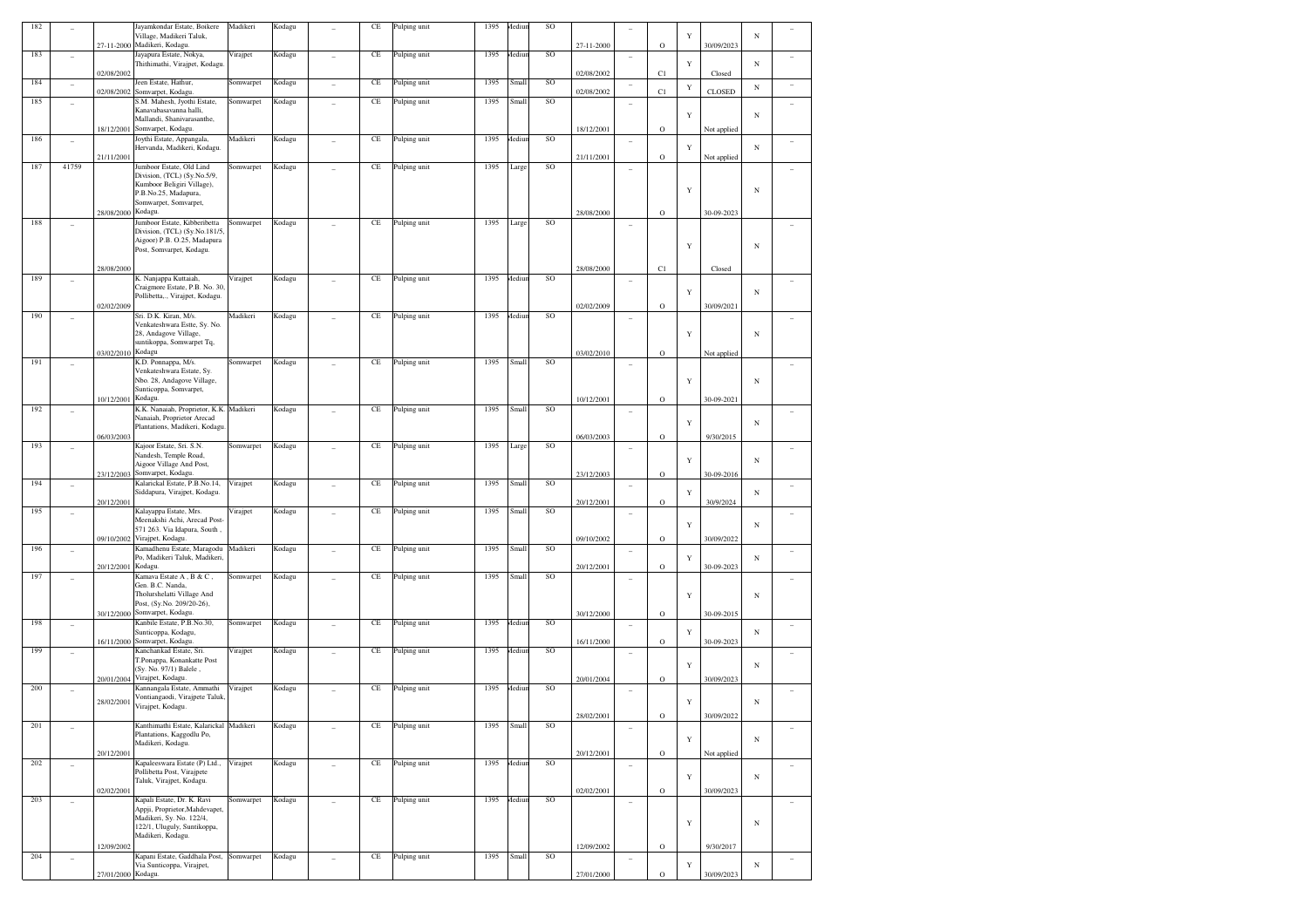| 182 |                          |                    | Jayamkondar Estate, Boikere<br>Village, Madikeri Taluk,                                      | Madikeri  | Kodagu | CE       | Pulping unit | 1395 | Aediu  | SO |            |                          |             | Y           |               | N          |                          |
|-----|--------------------------|--------------------|----------------------------------------------------------------------------------------------|-----------|--------|----------|--------------|------|--------|----|------------|--------------------------|-------------|-------------|---------------|------------|--------------------------|
|     |                          | 27-11-2000         | Madikeri, Kodagu.                                                                            |           |        |          |              |      |        |    | 27-11-2000 |                          | $\mathbf O$ |             | 30/09/2023    |            |                          |
| 183 | $\overline{\phantom{0}}$ | 02/08/2002         | Jayapura Estate, Nokya,<br>Thithimathi, Virajpet, Kodagu                                     | Virajpet  | Kodagu | $\rm CE$ | Pulping unit | 1395 | Mediur | SO | 02/08/2002 | $\overline{\phantom{a}}$ | C1          | Y           | Closed        | N          |                          |
| 184 | $\overline{\phantom{0}}$ | 02/08/2002         | een Estate, Hathur,<br>Somvarpet, Kodagu.                                                    | Somwarpet | Kodagu | $\rm CE$ | Pulping unit | 1395 | Small  | SO | 02/08/2002 | $\overline{\phantom{a}}$ | C1          | $\mathbf Y$ | <b>CLOSED</b> | N          |                          |
| 185 | ٠                        |                    | S.M. Mahesh, Jyothi Estate,                                                                  | Somwarpet | Kodagu | $\rm CE$ | Pulping unit | 1395 | Small  | SO |            | $\overline{\phantom{a}}$ |             |             |               |            |                          |
|     |                          |                    | Kanavabasavanna halli,<br>Mallandi, Shanivarasanthe,                                         |           |        |          |              |      |        |    |            |                          |             | $\mathbf Y$ |               | N          |                          |
| 186 | $\qquad \qquad -$        | 18/12/2001         | Somvarpet, Kodagu.<br>Joythi Estate, Appangala,                                              | Madikeri  | Kodagu | $\rm CE$ | Pulping unit | 1395 | Aediu  | SO | 18/12/2001 | $\overline{\phantom{a}}$ | $\circ$     |             | Not applied   |            |                          |
|     |                          | 21/11/2001         | Hervanda, Madikeri, Kodagu.                                                                  |           |        |          |              |      |        |    | 21/11/2001 |                          | $\mathbf O$ | Y           | Not applied   | N          |                          |
| 187 | 41759                    |                    | Jumboor Estate, Old Lind<br>Division, (TCL) (Sy.No.5/9,                                      | Somwarpet | Kodagu | $\rm CE$ | Pulping unit | 1395 | Large  | SO |            |                          |             |             |               |            |                          |
|     |                          |                    | Kumboor Beligiri Village),                                                                   |           |        |          |              |      |        |    |            |                          |             | Y           |               | $_{\rm N}$ |                          |
|     |                          |                    | P.B.No.25, Madapura,<br>Somwarpet, Somvarpet,                                                |           |        |          |              |      |        |    |            |                          |             |             |               |            |                          |
| 188 | $\overline{\phantom{0}}$ | 28/08/2000         | Kodagu.<br>Jumboor Estate, Kibberibetta                                                      | Somwarpet | Kodagu | $\rm CE$ | Pulping unit | 1395 | Large  | SO | 28/08/2000 | $\overline{\phantom{a}}$ | $\mathbf O$ |             | 30-09-2023    |            |                          |
|     |                          |                    | Division, (TCL) (Sy.No.181/5<br>Aigoor) P.B. O.25, Madapura<br>Post, Somvarpet, Kodagu.      |           |        |          |              |      |        |    |            |                          |             | Y           |               | $_{\rm N}$ |                          |
|     |                          | 28/08/2000         |                                                                                              |           |        |          |              |      |        |    | 28/08/2000 |                          | C1          |             | Closed        |            |                          |
| 189 | ٠                        |                    | K. Nanjappa Kuttaiah,<br>Craigmore Estate, P.B. No. 30<br>Pollibetta,., Virajpet, Kodagu.    | Virajpet  | Kodagu | $\rm CE$ | Pulping unit | 1395 | Mediur | SO |            | $\overline{\phantom{a}}$ |             | $\mathbf Y$ |               | N          |                          |
|     |                          | 02/02/2009         |                                                                                              |           |        |          |              |      |        |    | 02/02/2009 |                          | $\mathbf O$ |             | 30/09/2021    |            |                          |
| 190 |                          |                    | Sri. D.K. Kiran, M/s.<br>Venkateshwara Estte, Sy. No.                                        | Madikeri  | Kodagu | $\rm CE$ | Pulping unit | 1395 | Mediur | SO |            | $\overline{\phantom{a}}$ |             |             |               |            |                          |
|     |                          |                    | 28, Andagove Village,<br>suntikoppa, Somwarpet Tq,                                           |           |        |          |              |      |        |    |            |                          |             | $\mathbf Y$ |               | N          |                          |
| 191 | ٠                        | 03/02/2010         | Kodagu<br>K.D. Ponnappa, M/s.                                                                | Somwarpet | Kodagu | $\rm CE$ | Pulping unit | 1395 | Small  | SO | 03/02/2010 |                          | $\mathbf O$ |             | Not applied   |            |                          |
|     |                          |                    | Venkateshwara Estate, Sy.<br>Nbo. 28, Andagove Village,                                      |           |        |          |              |      |        |    |            |                          |             | $\mathbf Y$ |               | N          |                          |
|     |                          | 10/12/2001         | Sunticoppa, Somvarpet,<br>Kodagu.                                                            |           |        |          |              |      |        |    | 10/12/2001 |                          | $\mathbf O$ |             | 30-09-2021    |            |                          |
| 192 | ۰                        |                    | K.K. Nanaiah, Proprietor, K.K. Madikeri                                                      |           | Kodagu | $\rm CE$ | Pulping unit | 1395 | Small  | SO |            | $\overline{\phantom{a}}$ |             |             |               |            |                          |
|     |                          |                    | Nanaiah, Proprietor Arecad<br>Plantations, Madikeri, Kodagu                                  |           |        |          |              |      |        |    |            |                          |             | $\mathbf Y$ |               | N          |                          |
| 193 |                          | 06/03/2003         | Kajoor Estate, Sri. S.N.                                                                     | Somwarpet | Kodagu | $\rm CE$ | Pulping unit | 1395 | Large  | SO | 06/03/2003 | $\overline{\phantom{a}}$ | $\mathbf O$ |             | 9/30/2015     |            |                          |
|     |                          |                    | Nandesh, Temple Road,<br>Aigoor Village And Post,                                            |           |        |          |              |      |        |    |            |                          |             | $\mathbf Y$ |               | N          |                          |
| 194 |                          | 23/12/2003         | Somvarpet, Kodagu.<br>Kalarickal Estate, P.B.No.14,                                          |           | Kodagu | $\rm CE$ |              | 1395 | Small  | SO | 23/12/2003 |                          | $\mathbf O$ |             | 30-09-2016    |            |                          |
|     | $\qquad \qquad -$        | 20/12/2001         | Siddapura, Virajpet, Kodagu.                                                                 | Virajpet  |        |          | Pulping unit |      |        |    | 20/12/2001 | $\overline{\phantom{a}}$ | $\mathbf O$ | $\mathbf Y$ | 30/9/2024     | N          |                          |
| 195 | ۰                        |                    | Kalayappa Estate, Mrs.                                                                       | Virajpet  | Kodagu | $\rm CE$ | Pulping unit | 1395 | Small  | SO |            |                          |             |             |               |            |                          |
|     |                          |                    | Meenakshi Achi, Arecad Post-<br>571 263. Via Idapura, South,<br>09/10/2002 Virajpet, Kodagu. |           |        |          |              |      |        |    | 09/10/2002 |                          | $\mathbf O$ | $\mathbf Y$ | 30/09/2022    | N          |                          |
| 196 | $\overline{a}$           |                    | Kamadhenu Estate, Maragodu                                                                   | Madikeri  | Kodagu | $\rm CE$ | Pulping unit | 1395 | Small  | SO |            | $\overline{\phantom{a}}$ |             |             |               |            |                          |
|     |                          | 20/12/2001         | Po, Madikeri Taluk, Madikeri,<br>Kodagu.                                                     |           |        |          |              |      |        |    | 20/12/2001 |                          | $\mathbf O$ | Y           | 30-09-2023    | N          |                          |
| 197 | ۰                        |                    | Kamava Estate A, B & C,<br>Gen. B.C. Nanda,                                                  | Somwarpet | Kodagu | $\rm CE$ | Pulping unit | 1395 | Small  | SO |            | $\overline{\phantom{a}}$ |             |             |               |            |                          |
|     |                          |                    | Tholurshelatti Village And<br>Post, (Sy.No. 209/20-26),                                      |           |        |          |              |      |        |    |            |                          |             | $\mathbf Y$ |               | N          |                          |
| 198 |                          | 30/12/2000         | Somvarpet, Kodagu.<br>Kanbile Estate, P.B.No.30,                                             | Somwarpet | Kodagu | $\rm CE$ | Pulping unit | 1395 | Aediu  | SO | 30/12/2000 |                          | $\mathbf O$ |             | 30-09-2015    |            |                          |
|     | $\qquad \qquad -$        | 16/11/2000         | Sunticoppa, Kodagu,<br>Somvarpet, Kodagu.                                                    |           |        |          |              |      |        |    | 16/11/2000 | $\overline{\phantom{a}}$ | $\mathbf O$ | Y           | 30-09-2023    | N          |                          |
| 199 | $\overline{\phantom{0}}$ |                    | Kanchankad Estate, Sri.                                                                      | Virajpet  | Kodagu | $\rm CE$ | Pulping unit | 1395 | Aediu  | SO |            | $\overline{\phantom{a}}$ |             |             |               |            |                          |
|     |                          |                    | T.Ponappa, Konankatte Post<br>(Sy. No. 97/1) Balele,                                         |           |        |          |              |      |        |    |            |                          |             | $\mathbf Y$ |               | N          |                          |
| 200 | $\overline{\phantom{0}}$ | 20/01/2004         | Virajpet, Kodagu.<br>Kannangala Estate, Ammathi                                              | Virajpet  | Kodagu | $\rm CE$ | Pulping unit | 1395 | Mediur | SO | 20/01/2004 |                          | $\mathbf O$ |             | 30/09/2023    |            |                          |
|     |                          | 28/02/2001         | Vontiangaodi, Virajpete Taluk<br>Virajpet, Kodagu.                                           |           |        |          |              |      |        |    |            |                          |             | $\mathbf Y$ |               | N          |                          |
| 201 |                          |                    | Kanthimathi Estate, Kalarickal Madikeri                                                      |           | Kodagu | CE       | Pulping unit | 1395 | Small  | SO | 28/02/2001 |                          | $\circ$     |             | 30/09/2022    |            |                          |
|     | $\overline{\phantom{0}}$ |                    | Plantations, Kaggodlu Po,<br>Madikeri, Kodagu.                                               |           |        |          |              |      |        |    |            |                          |             | $\mathbf Y$ |               | $_{\rm N}$ |                          |
|     |                          | 20/12/2001         |                                                                                              |           |        |          |              |      |        |    | 20/12/2001 |                          | $\mathbf O$ |             | Not applied   |            |                          |
| 202 | $\overline{a}$           |                    | Kapaleeswara Estate (P) Ltd.,<br>Pollibetta Post, Virajpete                                  | Virajpet  | Kodagu | $\rm CE$ | Pulping unit | 1395 | Mediur | SO |            | $\overline{\phantom{a}}$ |             | $\mathbf Y$ |               | $_{\rm N}$ | $\overline{\phantom{a}}$ |
|     |                          | 02/02/2001         | Taluk, Virajpet, Kodagu.                                                                     |           |        |          |              |      |        |    | 02/02/2001 |                          | $\mathbf O$ |             | 30/09/2023    |            |                          |
| 203 | ÷                        |                    | Kapali Estate, Dr. K. Ravi<br>Appji, Proprietor, Mahdevapet,                                 | Somwarpet | Kodagu | $\rm CE$ | Pulping unit | 1395 | Mediur | SO |            |                          |             |             |               |            | $\overline{\phantom{a}}$ |
|     |                          |                    | Madikeri, Sy. No. 122/4,<br>122/1, Uluguly, Suntikoppa,                                      |           |        |          |              |      |        |    |            |                          |             | $\mathbf Y$ |               | $_{\rm N}$ |                          |
|     |                          | 12/09/2002         | Madikeri, Kodagu.                                                                            |           |        |          |              |      |        |    | 12/09/2002 |                          | $\mathbf O$ |             | 9/30/2017     |            |                          |
| 204 | $\overline{a}$           |                    | Kapani Estate, Gaddhala Post, Somwarpet<br>Via Sunticoppa, Virajpet,                         |           | Kodagu | $\rm CE$ | Pulping unit | 1395 | Small  | SO |            |                          |             | Y           |               | $_{\rm N}$ | $\overline{\phantom{a}}$ |
|     |                          | 27/01/2000 Kodagu. |                                                                                              |           |        |          |              |      |        |    | 27/01/2000 |                          | $\mathbf O$ |             | 30/09/2023    |            |                          |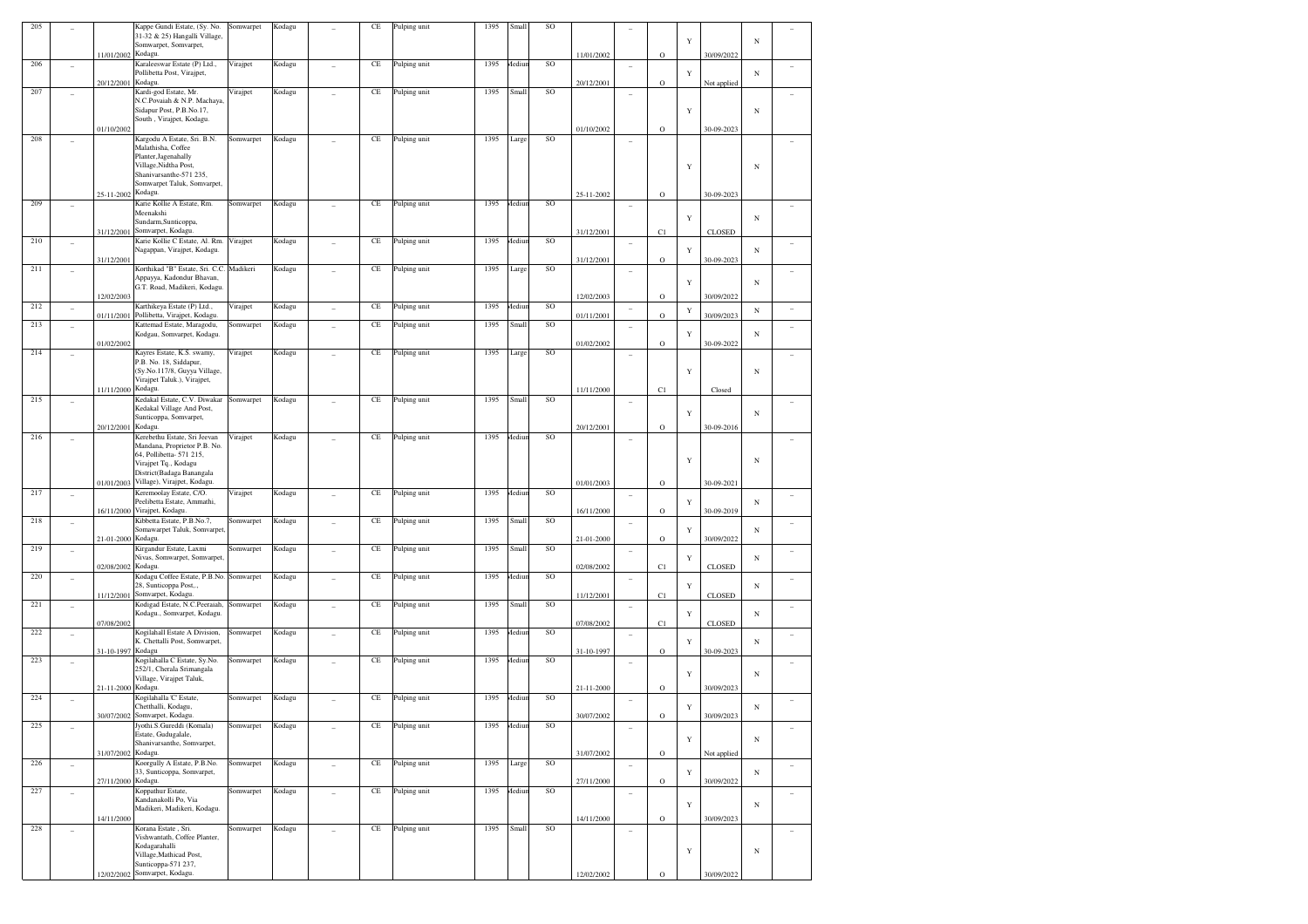| $205\,$ |                          |                    | Kappe Gundi Estate, (Sy. No.                                      | Somwarpet | Kodagu |                          | CE       | Pulping unit | 1395 | Small  | SO        |            |                          |              |             |               |            |                |
|---------|--------------------------|--------------------|-------------------------------------------------------------------|-----------|--------|--------------------------|----------|--------------|------|--------|-----------|------------|--------------------------|--------------|-------------|---------------|------------|----------------|
|         |                          |                    | 31-32 & 25) Hangalli Village,<br>Somwarpet, Somvarpet,            |           |        |                          |          |              |      |        |           |            |                          |              | Y           |               | $_{\rm N}$ |                |
|         |                          | 11/01/2002 Kodagu. |                                                                   |           |        |                          |          |              |      |        |           | 11/01/2002 |                          | $\mathbf O$  |             | 30/09/2022    |            |                |
| 206     | ٠                        |                    | Karaleeswar Estate (P) Ltd.,                                      | Virajpet  | Kodagu |                          | CE       | Pulping unit | 1395 | Mediun | SO        |            | ÷                        |              |             |               |            |                |
|         |                          | 20/12/2001 Kodagu. | Pollibetta Post, Virajpet,                                        |           |        |                          |          |              |      |        |           | 20/12/2001 |                          | $\mathbf O$  | Y           | Not applied   | $_{\rm N}$ |                |
| 207     | $\sim$                   |                    | Kardi-god Estate, Mr.                                             | Virajpet  | Kodagu |                          | CE       | Pulping unit | 1395 | Small  | SO        |            | i.                       |              |             |               |            |                |
|         |                          |                    | N.C.Povaiah & N.P. Machaya<br>Sidapur Post, P.B.No.17,            |           |        |                          |          |              |      |        |           |            |                          |              | Y           |               | $_{\rm N}$ |                |
|         |                          |                    | South, Virajpet, Kodagu.                                          |           |        |                          |          |              |      |        |           |            |                          |              |             |               |            |                |
|         |                          | 01/10/2002         |                                                                   |           |        |                          |          |              |      |        |           | 01/10/2002 |                          | $\mathbf O$  |             | 30-09-2023    |            |                |
| 208     | ۰                        |                    | Kargodu A Estate, Sri. B.N.<br>Malathisha, Coffee                 | Somwarpet | Kodagu |                          | CE       | Pulping unit | 1395 | Large  | SO        |            | ٠                        |              |             |               |            |                |
|         |                          |                    | Planter, Jagenahally                                              |           |        |                          |          |              |      |        |           |            |                          |              |             |               |            |                |
|         |                          |                    | Village, Nidtha Post,                                             |           |        |                          |          |              |      |        |           |            |                          |              | Y           |               | $_{\rm N}$ |                |
|         |                          |                    | Shanivarsanthe-571 235,<br>Somwarpet Taluk, Somvarpet,            |           |        |                          |          |              |      |        |           |            |                          |              |             |               |            |                |
|         |                          | 25-11-2002 Kodagu. |                                                                   |           |        |                          |          |              |      |        |           | 25-11-2002 |                          | $\mathbf O$  |             | 30-09-2023    |            |                |
| 209     | ٠                        |                    | Karie Kollie A Estate, Rm.                                        | Somwarpet | Kodagu | ÷                        | CE       | Pulping unit | 1395 | Mediun | SO        |            | $\overline{\phantom{a}}$ |              |             |               |            |                |
|         |                          |                    | Meenakshi<br>Sundarm, Sunticoppa,                                 |           |        |                          |          |              |      |        |           |            |                          |              | Y           |               | $_{\rm N}$ |                |
|         |                          |                    | 31/12/2001 Somvarpet, Kodagu.                                     |           |        |                          |          |              |      |        |           | 31/12/2001 |                          | C1           |             | <b>CLOSED</b> |            |                |
| 210     | ٠                        |                    | Karie Kollie C Estate, Al. Rm.                                    | Virajpet  | Kodagu |                          | CE       | Pulping unit | 1395 | Mediun | <b>SO</b> |            | ÷                        |              |             |               |            |                |
|         |                          | 31/12/2001         | Nagappan, Virajpet, Kodagu.                                       |           |        |                          |          |              |      |        |           | 31/12/2001 |                          | $\mathbf O$  | Y           | 30-09-2023    | $_{\rm N}$ |                |
| 211     | ٠                        |                    | Korthikad "B" Estate, Sri. C.C.                                   | Madikeri  | Kodagu | ÷                        | CE       | Pulping unit | 1395 | Large  | SO        |            | $\overline{\phantom{a}}$ |              |             |               |            |                |
|         |                          |                    | Appayya, Kadondur Bhavan,                                         |           |        |                          |          |              |      |        |           |            |                          |              | Y           |               | $_{\rm N}$ |                |
|         |                          | 12/02/2003         | G.T. Road, Madikeri, Kodagu                                       |           |        |                          |          |              |      |        |           | 12/02/2003 |                          | $\mathbf O$  |             | 30/09/2022    |            |                |
| 212     | ٠                        |                    | Karthikeya Estate (P) Ltd.,                                       | Virajpet  | Kodagu | ÷                        | CE       | Pulping unit | 1395 | Mediun | SO        |            | $\overline{\phantom{a}}$ |              |             |               |            | ÷              |
|         |                          |                    | 01/11/2001 Pollibetta, Virajpet, Kodagu.                          |           |        |                          |          |              |      |        |           | 01/11/2001 |                          | $\circ$      | $\mathbf Y$ | 30/09/2023    | $_{\rm N}$ |                |
| 213     | ٠                        |                    | Kattemad Estate, Maragodu,<br>Kodgau, Somvarpet, Kodagu.          | Somwarpet | Kodagu | ÷                        | CE       | Pulping unit | 1395 | Small  | SO        |            | ÷                        |              |             |               |            | ۰              |
|         |                          | 01/02/2002         |                                                                   |           |        |                          |          |              |      |        |           | 01/02/2002 |                          | $\circ$      | Y           | 30-09-2022    | $_{\rm N}$ |                |
| 214     | ٠                        |                    | Kayres Estate, K.S. swamy,                                        | Virajpet  | Kodagu | ÷                        | CE       | Pulping unit | 1395 | Large  | SO        |            | $\overline{\phantom{a}}$ |              |             |               |            |                |
|         |                          |                    | P.B. No. 18, Siddapur,<br>(Sy.No.117/8, Guyya Village,            |           |        |                          |          |              |      |        |           |            |                          |              |             |               |            |                |
|         |                          |                    | Virajpet Taluk.), Virajpet,                                       |           |        |                          |          |              |      |        |           |            |                          |              | Y           |               | $_{\rm N}$ |                |
|         |                          | 11/11/2000 Kodagu. |                                                                   |           |        |                          |          |              |      |        |           | 11/11/2000 |                          | C1           |             | Closed        |            |                |
| 215     | ٠                        |                    | Kedakal Estate, C.V. Diwakar                                      | Somwarpet | Kodagu |                          | CE       | Pulping unit | 1395 | Small  | SO        |            | ۰                        |              |             |               |            | ۰              |
|         |                          |                    | Kedakal Village And Post,<br>Sunticoppa, Somvarpet,               |           |        |                          |          |              |      |        |           |            |                          |              | Y           |               | $_{\rm N}$ |                |
|         |                          | 20/12/2001 Kodagu. |                                                                   |           |        |                          |          |              |      |        |           | 20/12/2001 |                          | $\mathbf O$  |             | 30-09-2016    |            |                |
| 216     | ٠                        |                    | Kerebethu Estate, Sri Jeevan                                      | Virajpet  | Kodagu |                          | CE       | Pulping unit | 1395 | Aediun | SO        |            | ٠                        |              |             |               |            |                |
|         |                          |                    | Mandana, Proprietor P.B. No.<br>64, Pollibetta- 571 215,          |           |        |                          |          |              |      |        |           |            |                          |              |             |               |            |                |
|         |                          |                    | Virajpet Tq., Kodagu                                              |           |        |                          |          |              |      |        |           |            |                          |              | Y           |               | $_{\rm N}$ |                |
|         |                          |                    | District(Badaga Banangala                                         |           |        |                          |          |              |      |        |           |            |                          |              |             |               |            |                |
| 217     |                          |                    | 01/01/2003 Village), Virajpet, Kodagu.<br>Keremoolay Estate, C/O. |           |        |                          | CE       |              | 1395 | Aediun | SO        | 01/01/2003 |                          | $\mathbf O$  |             | 30-09-2021    |            |                |
|         | ٠                        |                    | Peelibetta Estate, Ammathi,                                       | Virajpet  | Kodagu | ÷                        |          | Pulping unit |      |        |           |            | ٠                        |              | Y           |               | N          | ۰              |
|         |                          |                    | 16/11/2000 Virajpet, Kodagu.                                      |           |        |                          |          |              |      |        |           | 16/11/2000 |                          | $\circ$      |             | 30-09-2019    |            |                |
| 218     | ٠                        |                    | Kibbetta Estate, P.B.No.7,<br>Somawarpet Taluk, Somvarpet,        | Somwarpet | Kodagu | ÷                        | CE       | Pulping unit | 1395 | Small  | SO        |            | $\overline{\phantom{a}}$ |              |             |               | N          | ۳              |
|         |                          | 21-01-2000 Kodagu. |                                                                   |           |        |                          |          |              |      |        |           | 21-01-2000 |                          | $\mathbf O$  | Y           | 30/09/2022    |            |                |
| 219     | ٠                        |                    | Kirgandur Estate, Laxmi                                           | Somwarpet | Kodagu |                          | CE       | Pulping unit | 1395 | Small  | SO        |            | ÷                        |              |             |               |            |                |
|         |                          | 02/08/2002 Kodagu. | Nivas, Somwarpet, Somvarpet,                                      |           |        |                          |          |              |      |        |           |            |                          |              | Y           | <b>CLOSED</b> | $_{\rm N}$ |                |
| 220     | ٠                        |                    | Kodagu Coffee Estate, P.B.No.                                     | Somwarpet | Kodagu | ÷                        | CE       | Pulping unit | 1395 | Aediun | SO        | 02/08/2002 | $\overline{\phantom{a}}$ | C1           |             |               |            | ٠              |
|         |                          |                    | 28, Sunticoppa Post,.,                                            |           |        |                          |          |              |      |        |           |            |                          |              | Y           |               | N          |                |
|         |                          |                    | 11/12/2001 Somvarpet, Kodagu.                                     |           |        |                          |          |              | 1395 |        | SO        | 11/12/2001 |                          | C1           |             | <b>CLOSED</b> |            |                |
| 221     | ٠                        |                    | Kodigad Estate, N.C.Peeraiah,<br>Kodagu., Somvarpet, Kodagu.      | Somwarpet | Kodagu | ÷                        | CE       | Pulping unit |      | Small  |           |            | ÷                        |              | Y           |               | $_{\rm N}$ |                |
|         |                          | 07/08/2002         |                                                                   |           |        |                          |          |              |      |        |           | 07/08/2002 |                          | C1           |             | <b>CLOSED</b> |            |                |
| 222     | ٠                        |                    | Kogilahall Estate A Division,<br>K. Chettalli Post, Somwarpet,    | Somwarpet | Kodagu |                          | CE       | Pulping unit | 1395 | Mediun | SO        |            | ÷                        |              |             |               | $_{\rm N}$ | ۰              |
|         |                          | 31-10-1997 Kodagu  |                                                                   |           |        |                          |          |              |      |        |           | 31-10-1997 |                          | $\mathbf O$  | Y           | 30-09-2023    |            |                |
| 223     | ٠                        |                    | Kogilahalla C Estate, Sy.No.                                      | Somwarpet | Kodagu | ÷                        | CE       | Pulping unit | 1395 | Aediun | SO        |            | $\overline{\phantom{a}}$ |              |             |               |            |                |
|         |                          |                    | 252/1, Cherala Srimangala<br>Village, Virajpet Taluk,             |           |        |                          |          |              |      |        |           |            |                          |              | Y           |               | $_{\rm N}$ |                |
|         |                          | 21-11-2000 Kodagu. |                                                                   |           |        |                          |          |              |      |        |           | 21-11-2000 |                          | $\mathbf O$  |             | 30/09/2023    |            |                |
| 224     |                          |                    | Kogilahalla 'C' Estate,                                           | Somwarpet | Kodagu |                          | $\rm CE$ | Pulping unit | 1395 | Mediun | SO        |            | ÷                        |              |             |               |            |                |
|         |                          |                    | Chetthalli, Kodagu,<br>30/07/2002 Somvarpet, Kodagu.              |           |        |                          |          |              |      |        |           | 30/07/2002 |                          | $\mathbf O$  | Y           | 30/09/2023    | $_{\rm N}$ |                |
| $225\,$ | ۰                        |                    | Jyothi.S.Gureddi (Komala)                                         | Somwarpet | Kodagu | ÷                        | CE       | Pulping unit | 1395 | Mediun | SO        |            | ÷                        |              |             |               |            |                |
|         |                          |                    | Estate, Gudugalale,                                               |           |        |                          |          |              |      |        |           |            |                          |              | Y           |               | $_{\rm N}$ |                |
|         |                          | 31/07/2002 Kodagu. | Shanivarsanthe, Somvarpet,                                        |           |        |                          |          |              |      |        |           | 31/07/2002 |                          | $\mathbf O$  |             |               |            |                |
| 226     | $\overline{a}$           |                    | Koorgully A Estate, P.B.No.                                       | Somwarpet | Kodagu | $\overline{a}$           | $\rm CE$ | Pulping unit | 1395 | Large  | SO        |            | $\overline{\phantom{a}}$ |              |             | Not applied   |            | $\sim$         |
|         |                          |                    | 33, Sunticoppa, Somvarpet,                                        |           |        |                          |          |              |      |        |           |            |                          |              | Y           |               | $_{\rm N}$ |                |
|         |                          | 27/11/2000 Kodagu. |                                                                   |           |        |                          |          |              |      |        |           | 27/11/2000 |                          | $\mathbf O$  |             | 30/09/2022    |            |                |
| 227     | $\overline{a}$           |                    | Koppathur Estate,<br>Kandanakolli Po, Via                         | Somwarpet | Kodagu | $\overline{\phantom{a}}$ | $\rm CE$ | Pulping unit | 1395 | Mediun | SO        |            | ÷                        |              |             |               |            | $\overline{a}$ |
|         |                          |                    | Madikeri, Madikeri, Kodagu,                                       |           |        |                          |          |              |      |        |           |            |                          |              | Y           |               | $_{\rm N}$ |                |
|         |                          | 14/11/2000         |                                                                   |           |        |                          |          |              |      |        |           | 14/11/2000 |                          | $\mathbf O$  |             | 30/09/2023    |            |                |
| 228     | $\overline{\phantom{a}}$ |                    | Korana Estate, Sri.<br>Vishwantath, Coffee Planter.               | Somwarpet | Kodagu | $\overline{a}$           | $\rm CE$ | Pulping unit | 1395 | Small  | SO        |            | $\overline{\phantom{a}}$ |              |             |               |            | $\sim$         |
|         |                          |                    | Kodagarahalli                                                     |           |        |                          |          |              |      |        |           |            |                          |              | Y           |               | $_{\rm N}$ |                |
|         |                          |                    | Village, Mathicad Post,<br>Sunticoppa-571 237,                    |           |        |                          |          |              |      |        |           |            |                          |              |             |               |            |                |
|         |                          | 12/02/2002         | Somvarpet, Kodagu.                                                |           |        |                          |          |              |      |        |           | 12/02/2002 |                          | $\mathbf{o}$ |             | 30/09/2022    |            |                |
|         |                          |                    |                                                                   |           |        |                          |          |              |      |        |           |            |                          |              |             |               |            |                |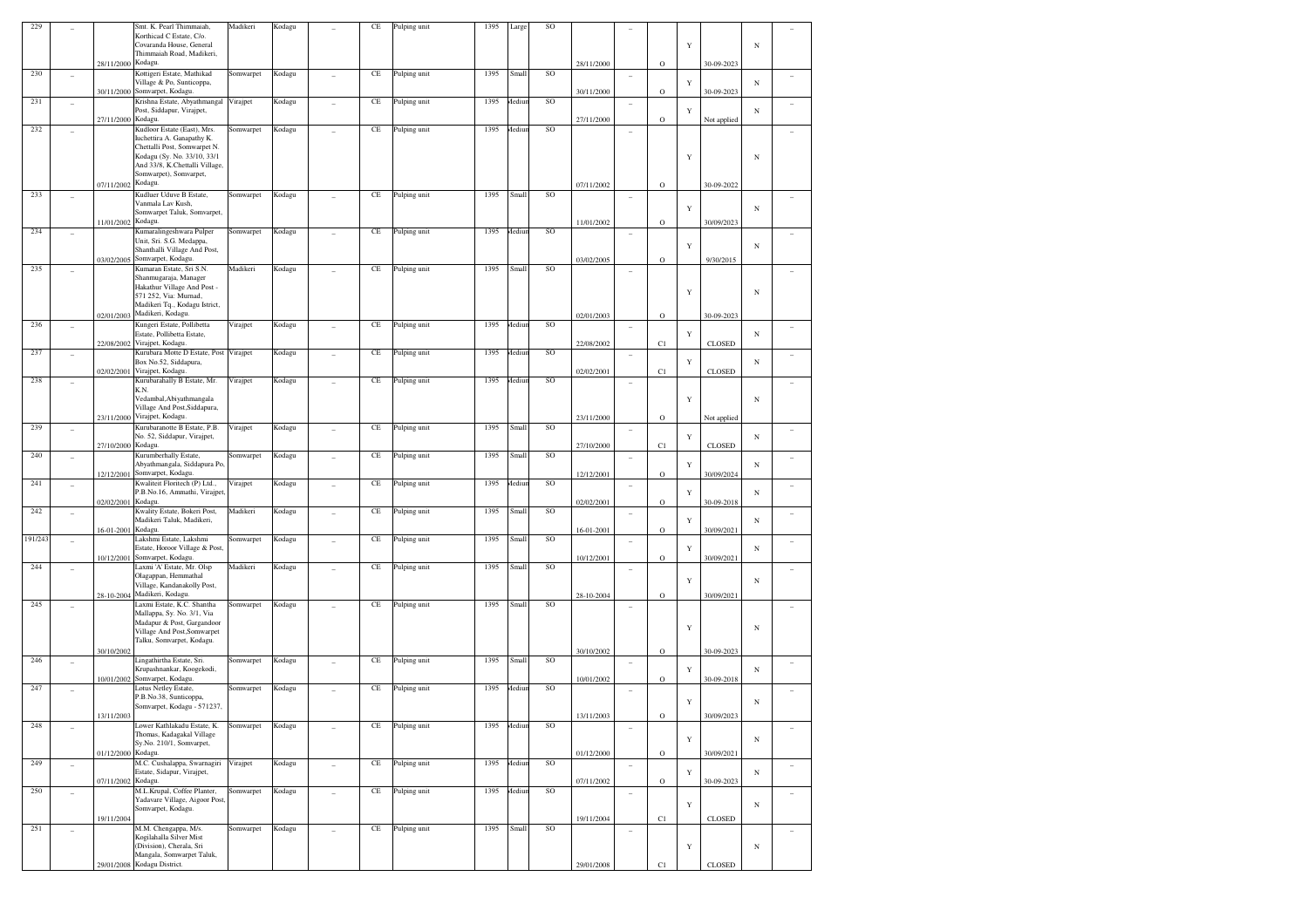| 229     |                          |                    | Smt. K. Pearl Thimmaiah,<br>Korthicad C Estate, C/o.<br>Covaranda House, General<br>Thimmaiah Road, Madikeri,                                         | Madikeri  | Kodagu |                | $\!$ $\!$ | Pulping unit | 1395 | Large        | SO       |            |                          |         | $\mathbf Y$ |               | $_{\rm N}$ |                |
|---------|--------------------------|--------------------|-------------------------------------------------------------------------------------------------------------------------------------------------------|-----------|--------|----------------|-----------|--------------|------|--------------|----------|------------|--------------------------|---------|-------------|---------------|------------|----------------|
|         |                          | 28/11/2000 Kodagu. |                                                                                                                                                       |           |        |                |           |              |      |              |          | 28/11/2000 |                          | $\circ$ |             | 30-09-2023    |            |                |
| 230     | ٠                        |                    | Kottigeri Estate, Mathikad<br>Village & Po, Sunticoppa,                                                                                               | Somwarpet | Kodagu |                | $\!$ $\!$ | Pulping unit | 1395 | Small        | $\rm SO$ |            | $\overline{\phantom{a}}$ |         | Y           |               | N          |                |
| 231     | $\overline{a}$           |                    | 30/11/2000 Somvarpet, Kodagu.<br>Krishna Estate, Abyathmangal<br>Post, Siddapur, Virajpet,                                                            | Virajpet  | Kodagu | ÷              | $\!$ $\!$ | Pulping unit | 1395 | <b>Aediu</b> | $\rm SO$ | 30/11/2000 | $\sim$                   | $\circ$ | Y           | 30-09-2023    | $_{\rm N}$ | ٠              |
| 232     | ٠                        | 27/11/2000 Kodagu. | Kudloor Estate (East), Mrs.                                                                                                                           | Somwarpet | Kodagu |                | $\!$ $\!$ | Pulping unit | 1395 | <i>Aediu</i> | SO       | 27/11/2000 | $\overline{\phantom{a}}$ | $\circ$ |             | Not applied   |            |                |
|         |                          |                    | Iuchettira A. Ganapathy K.<br>Chettalli Post, Somwarpet N.<br>Kodagu (Sy. No. 33/10, 33/1<br>And 33/8, K.Chettalli Village,<br>Somwarpet), Somvarpet, |           |        |                |           |              |      |              |          |            |                          |         | Y           |               | $_{\rm N}$ |                |
| 233     | ٠                        | 07/11/2002 Kodagu. | Kudluer Uduve B Estate,<br>Vanmala Lav Kush,<br>Somwarpet Taluk, Somvarpet,                                                                           | Somwarpet | Kodagu | ÷              | $\!$ $\!$ | Pulping unit | 1395 | Small        | $\rm SO$ | 07/11/2002 | $\sim$                   | $\circ$ | Y           | 30-09-2022    | N          |                |
| 234     |                          | 11/01/2002 Kodagu. |                                                                                                                                                       | Somwarpet |        |                |           |              | 1395 |              |          | 11/01/2002 |                          | $\circ$ |             | 30/09/2023    |            |                |
|         | ÷                        |                    | Kumaralingeshwara Pulper<br>Unit, Sri. S.G. Medappa,<br>Shanthalli Village And Post,<br>Somvarpet, Kodagu.                                            |           | Kodagu |                | $\!$ $\!$ | Pulping unit |      | <b>Aediu</b> | $\rm SO$ |            | ٠                        |         | Y           |               | $_{\rm N}$ |                |
| 235     |                          | 03/02/2005         | Kumaran Estate, Sri S.N.                                                                                                                              | Madikeri  | Kodagu |                | $\!$ $\!$ | Pulping unit | 1395 | Small        | $\rm SO$ | 03/02/2005 |                          | $\circ$ |             | 9/30/2015     |            |                |
|         | ٠                        |                    | Shanmugaraja, Manager<br>Hakathur Village And Post -<br>571 252, Via: Murnad,<br>Madikeri Tq., Kodagu Istrict,<br>02/01/2003 Madikeri, Kodagu.        |           |        |                |           |              |      |              |          | 02/01/2003 | $\overline{\phantom{a}}$ | $\circ$ | Y           | 30-09-2023    | $_{\rm N}$ |                |
| 236     | ٠                        | 22/08/2002         | Kungeri Estate, Pollibetta<br>Estate, Pollibetta Estate,<br>Virajpet, Kodagu.                                                                         | Virajpet  | Kodagu | ÷              | $\!$ $\!$ | Pulping unit | 1395 | <i>Aediu</i> | $\rm SO$ | 22/08/2002 | $\sim$                   | C1      | Y           | CLOSED        | $_{\rm N}$ | ÷              |
| 237     | ٠                        |                    | Kurubara Motte D Estate, Post<br>Box No.52, Siddapura,<br>Virajpet, Kodagu.                                                                           | Virajpet  | Kodagu | ÷              | $\!$ $\!$ | Pulping unit | 1395 | <i>Aediu</i> | $\rm SO$ |            | $\overline{\phantom{a}}$ |         | Y           |               | N          |                |
| 238     | ٠                        | 02/02/2001         | Kurubarahally B Estate, Mr.<br>K.N.<br>Vedambal, Abiyathmangala<br>Village And Post, Siddapura,                                                       | Virajpet  | Kodagu | ÷              | $\!$ $\!$ | Pulping unit | 1395 | <i>Aediu</i> | $\rm SO$ | 02/02/2001 | $\overline{\phantom{a}}$ | C1      | Y           | CLOSED        | $_{\rm N}$ |                |
|         |                          |                    | 23/11/2000 Virajpet, Kodagu.                                                                                                                          |           |        |                |           |              |      |              |          | 23/11/2000 |                          | $\circ$ |             | Not applied   |            |                |
| 239     | ٠                        | 27/10/2000 Kodagu. | Kurubaranotte B Estate, P.B.<br>No. 52, Siddapur, Virajpet,                                                                                           | Virajpet  | Kodagu | ÷              | $\!$ $\!$ | Pulping unit | 1395 | Small        | $\rm SO$ | 27/10/2000 | $\sim$                   |         | Y           |               | $_{\rm N}$ | ۰              |
| 240     | ٠                        |                    | Kurumberhally Estate,<br>Abyathmangala, Siddapura Po,                                                                                                 | Somwarpet | Kodagu | ÷              | $\!$ $\!$ | Pulping unit | 1395 | Small        | $\rm SO$ |            | $\overline{\phantom{a}}$ | C1      | Y           | CLOSED        | $_{\rm N}$ |                |
| 241     | $\overline{\phantom{a}}$ |                    | 12/12/2001 Somvarpet, Kodagu.<br>Kwaliteit Floritech (P) Ltd.,<br>P.B.No.16, Ammathi, Virajpet                                                        | Virajpet  | Kodagu | ÷              | $\!$ $\!$ | Pulping unit | 1395 | <i>Aediu</i> | SO       | 12/12/2001 | $\sim$                   | $\circ$ | Y           | 30/09/2024    | N          | ÷              |
| 242     | $\overline{a}$           | 02/02/2001 Kodagu. | Kwality Estate, Bokeri Post,<br>Madikeri Taluk, Madikeri,                                                                                             | Madikeri  | Kodagu | $\overline{a}$ | $\!$ $\!$ | Pulping unit | 1395 | Small        | SO       | 02/02/2001 | $\sim$                   | $\circ$ | Y           | 30-09-2018    | $_{\rm N}$ | ۰              |
| 191/243 | $\overline{\phantom{a}}$ | 16-01-2001 Kodagu. | Lakshmi Estate, Lakshmi<br>Estate, Horoor Village & Post,                                                                                             | Somwarpet | Kodagu | ÷              | $\!$ $\!$ | Pulping unit | 1395 | Small        | SO       | 16-01-2001 | $\overline{\phantom{a}}$ | $\circ$ | Y           | 30/09/2021    | $_{\rm N}$ | ÷,             |
| 244     | ٠                        |                    | 10/12/2001 Somvarpet, Kodagu.<br>Laxmi 'A' Estate, Mr. Olsp<br>Olagappan, Hemmathal                                                                   | Madikeri  | Kodagu |                | $\!$ $\!$ | Pulping unit | 1395 | Small        | $\rm SO$ | 10/12/2001 | $\overline{\phantom{a}}$ | $\circ$ |             | 30/09/2021    |            |                |
| 245     |                          |                    | Village, Kandanakolly Post,<br>28-10-2004 Madikeri, Kodagu.<br>Laxmi Estate, K.C. Shantha                                                             | Somwarpet | Kodagu |                | $\!$ $\!$ | Pulping unit | 1395 | Small        | $\rm SO$ | 28-10-2004 |                          | $\circ$ | Y           | 30/09/2021    | N          |                |
|         | ٠                        |                    | Mallappa, Sy. No. 3/1, Via<br>Madapur & Post, Gargandoor<br>Village And Post, Somwarpet<br>Talku, Somvarpet, Kodagu.                                  |           |        |                |           |              |      |              |          |            | $\sim$                   |         | Y           |               | $_{\rm N}$ |                |
| 246     | ٠                        | 30/10/2002         | Lingathirtha Estate, Sri.<br>Krupashnankar, Koogekodi,                                                                                                | Somwarpet | Kodagu | ÷              | $\!$ $\!$ | Pulping unit | 1395 | Small        | $\rm SO$ | 30/10/2002 | ٠                        | $\circ$ | Y           | 30-09-2023    | $_{\rm N}$ |                |
| 247     | ٠                        |                    | 10/01/2002 Somvarpet, Kodagu.<br>Lotus Netley Estate,<br>P.B.No.38, Sunticoppa,                                                                       | Somwarpet | Kodagu | ÷              | $\!$ $\!$ | Pulping unit | 1395 | <i>Aediu</i> | SO       | 10/01/2002 | $\sim$                   | $\circ$ | $\mathbf Y$ | 30-09-2018    | N          | ÷              |
| 248     |                          | 13/11/2003         | Somvarpet, Kodagu - 571237,<br>Lower Kathlakadu Estate, K.                                                                                            | Somwarpet | Kodagu |                | $\!$ $\!$ | Pulping unit | 1395 | Mediu        | SO       | 13/11/2003 |                          | $\circ$ |             | 30/09/2023    |            |                |
|         | ۰                        | 01/12/2000 Kodagu. | Thomas, Kadagakal Village<br>Sv.No. 210/1. Somvarpet.                                                                                                 |           |        |                |           |              |      |              |          | 01/12/2000 | $\sim$                   | $\circ$ | $\mathbf Y$ | 30/09/2021    | $_{\rm N}$ |                |
| 249     | $\overline{\phantom{a}}$ | 07/11/2002 Kodagu. | M.C. Cushalappa, Swarnagiri<br>Estate, Sidapur, Virajpet,                                                                                             | Virajpet  | Kodagu | $\overline{a}$ | $\!$ $\!$ | Pulping unit | 1395 | Aediu        | SO       | 07/11/2002 | $\sim$                   | $\circ$ | Y           | 30-09-2023    | $_{\rm N}$ | ۰              |
| 250     | $\overline{a}$           |                    | M.L.Krupal, Coffee Planter,<br>Yadavare Village, Aigoor Post<br>Somvarpet, Kodagu.                                                                    | Somwarpet | Kodagu | $\overline{a}$ | $\!$ $\!$ | Pulping unit | 1395 | <b>Aediu</b> | SO       |            | $\sim$                   |         | Y           |               | $_{\rm N}$ | $\overline{a}$ |
| 251     | $\overline{\phantom{a}}$ | 19/11/2004         | M.M. Chengappa, M/s.<br>Kogilahalla Silver Mist                                                                                                       | Somwarpet | Kodagu |                | $\!$ $\!$ | Pulping unit | 1395 | Small        | SO       | 19/11/2004 | $\sim$                   | C1      |             | <b>CLOSED</b> |            | $\overline{a}$ |
|         |                          |                    | (Division), Cherala, Sri<br>Mangala, Somwarpet Taluk,<br>29/01/2008 Kodagu District.                                                                  |           |        |                |           |              |      |              |          | 29/01/2008 |                          | C1      | $\mathbf Y$ | CLOSED        | $_{\rm N}$ |                |
|         |                          |                    |                                                                                                                                                       |           |        |                |           |              |      |              |          |            |                          |         |             |               |            |                |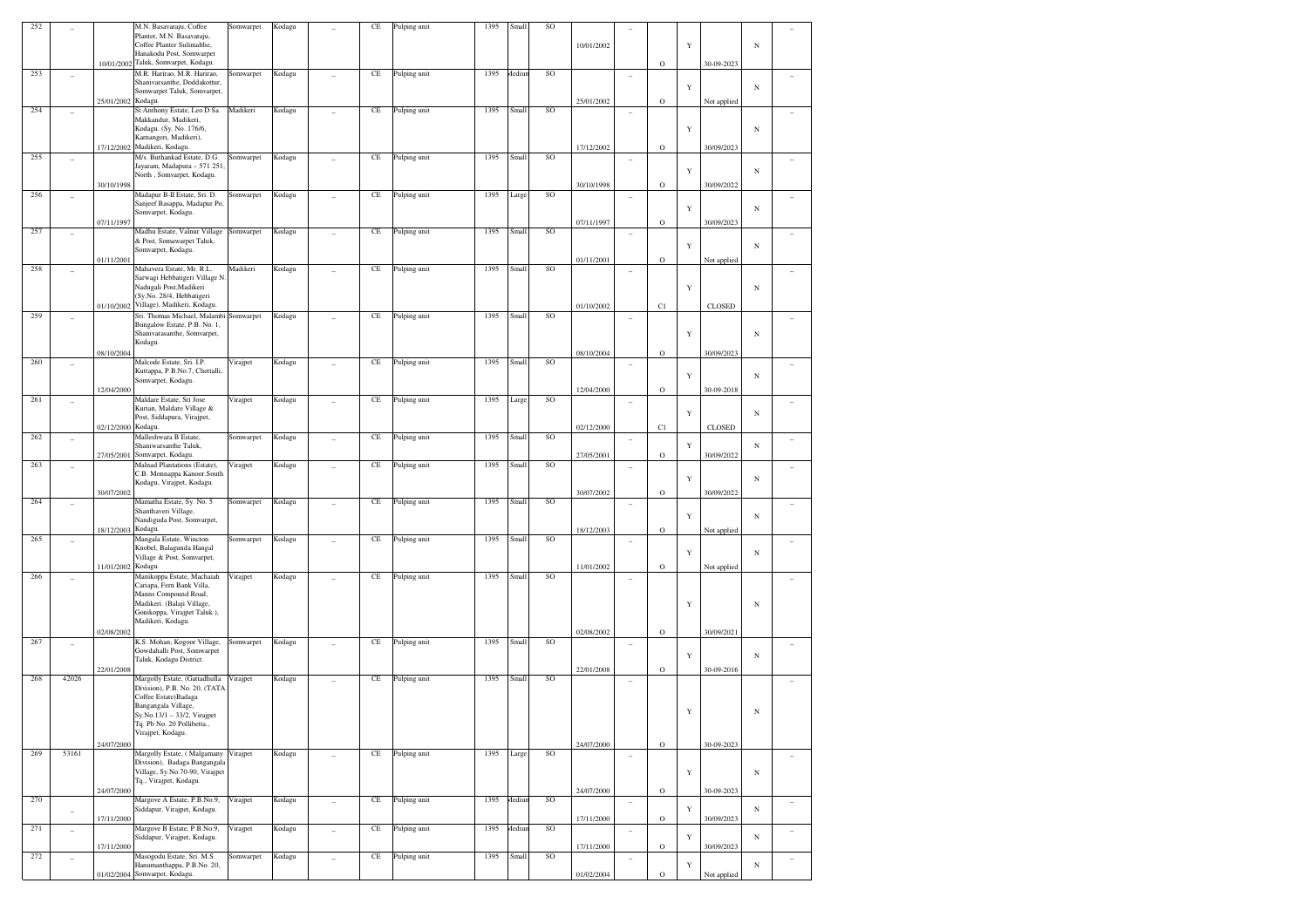| 252 |       | M.N. Basavaraju, Coffee<br>Planter, M.N. Basavaraju,<br>Coffee Planter Sulimalthe,<br>Hanakodu Post, Somwarpet<br>10/01/2002 Taluk, Somvarpet, Kodagu.                                                            | Somwarpet                              | Kodagu |                | CE       | Pulping unit | 1395 | Small  | SO        | 10/01/2002 |                          |             | Y           |               | $_{\rm N}$ |                          |
|-----|-------|-------------------------------------------------------------------------------------------------------------------------------------------------------------------------------------------------------------------|----------------------------------------|--------|----------------|----------|--------------|------|--------|-----------|------------|--------------------------|-------------|-------------|---------------|------------|--------------------------|
| 253 |       | M.R. Harirao, M.R. Harirao,                                                                                                                                                                                       | Somwarpet                              | Kodagu |                | CE       | Pulping unit | 1395 | Mediur | SO        |            |                          | $\mathbf O$ |             | 30-09-2023    |            |                          |
|     | ÷     | Shanivarsanthe, Doddakottur,<br>Somwarpet Taluk, Somvarpet,<br>25/01/2002 Kodagu.                                                                                                                                 |                                        |        |                |          |              |      |        |           | 25/01/2002 | ÷                        | $\mathbf O$ | Y           | Not applied   | $_{\rm N}$ |                          |
| 254 |       | St. Anthony Estate, Leo D Sa<br>Makkandur, Madikeri,<br>Kodagu. (Sy. No. 176/6,<br>Karnangeri, Madikeri),                                                                                                         | Madikeri                               | Kodagu |                | CE       | Pulping unit | 1395 | Small  | <b>SO</b> |            | $\qquad \qquad -$        |             | Y           |               | $_{\rm N}$ |                          |
| 255 |       | 17/12/2002 Madikeri, Kodagu.<br>M/s. Buthankad Estate, D.G.                                                                                                                                                       |                                        |        |                |          |              | 1395 | Small  | SO        | 17/12/2002 |                          | $\mathbf O$ |             | 30/09/2023    |            |                          |
|     | ٠     | Jayaram, Madapura - 571 251<br>North, Somvarpet, Kodagu.<br>30/10/1998                                                                                                                                            | Somwarpet                              | Kodagu | ٠              | CE       | Pulping unit |      |        |           | 30/10/1998 | ۰                        | $\mathbf O$ | Y           | 30/09/2022    | $_{\rm N}$ |                          |
| 256 |       | Madapur B-II Estate, Sri. D.<br>Sanjeef Basappa, Madapur Po,<br>Somvarpet, Kodagu.<br>07/11/1997                                                                                                                  | Somwarpet                              | Kodagu | ÷              | CE       | Pulping unit | 1395 | Large  | SO        | 07/11/1997 | ۰                        | $\mathbf O$ | Y           | 30/09/2023    | $_{\rm N}$ |                          |
| 257 | ٠     | Madhu Estate, Valnur Village<br>& Post, Somawarpet Taluk,<br>Somvarpet, Kodagu.<br>01/11/2001                                                                                                                     | Somwarpet                              | Kodagu | ٠              | CE       | Pulping unit | 1395 | Small  | SO        | 01/11/2001 | ۰                        | $\mathbf O$ | Y           | Not applied   | $_{\rm N}$ |                          |
| 258 |       | Mahavera Estate, Mr. R.L.<br>Sarwagi Hebbatigeri Village N<br>Nadugali Post, Madikeri<br>(Sy.No. 28/4, Hebbatigeri<br>Village), Madikeri, Kodagu.<br>01/10/2002                                                   | Madikeri                               | Kodagu |                | CE       | Pulping unit | 1395 | Small  | SO        | 01/10/2002 | ۰                        | C1          | Y           | <b>CLOSED</b> | $_{\rm N}$ |                          |
| 259 |       | Bungalow Estate, P.B. No. 1,<br>Shanivarasanthe, Somvarpet,<br>Kodagu.                                                                                                                                            | Sri. Thomas Michael, Malambi Somwarpet | Kodagu |                | CE       | Pulping unit | 1395 | Small  | SO        |            | -                        |             | Y           |               | $_{\rm N}$ |                          |
| 260 |       | 08/10/2004                                                                                                                                                                                                        |                                        |        |                |          |              | 1395 |        | SO        | 08/10/2004 |                          | $\mathbf O$ |             | 30/09/2023    |            |                          |
|     |       | Malcode Estate, Sri. I.P.<br>Kuttappa, P.B.No.7, Chettalli,<br>Somvarpet, Kodagu.<br>12/04/2000                                                                                                                   | Virajpet                               | Kodagu |                | CE       | Pulping unit |      | Small  |           | 12/04/2000 | ۰                        | $\mathbf O$ | Y           | 30-09-2018    | $_{\rm N}$ |                          |
| 261 |       | Maldare Estate, Sri Jose<br>Kurian, Maldare Village &<br>Post, Siddapura, Virajpet,<br>02/12/2000 Kodagu.                                                                                                         | Virajpet                               | Kodagu |                | CE       | Pulping unit | 1395 | Large  | SO        | 02/12/2000 | ۰                        | C1          | Y           | <b>CLOSED</b> | $_{\rm N}$ |                          |
| 262 |       | Malleshwara B Estate,<br>Shaniwarsanthe Taluk,<br>Somvarpet, Kodagu.<br>27/05/2001                                                                                                                                | Somwarpet                              | Kodagu |                | CE       | Pulping unit | 1395 | Small  | SO        | 27/05/2001 | ۰                        | $\mathbf O$ | Y           | 30/09/2022    | $_{\rm N}$ |                          |
| 263 |       | Malnad Plantations (Estate),<br>C.B. Monnappa Kanoor.South<br>Kodagu, Virajpet, Kodagu.<br>30/07/2002                                                                                                             | Virajpet                               | Kodagu |                | CE       | Pulping unit | 1395 | Small  | SO        | 30/07/2002 | $\overline{\phantom{0}}$ | $\mathbf O$ | Y           | 30/09/2022    | $_{\rm N}$ |                          |
| 264 |       | Mamatha Estate, Sy. No. 5<br>Shanthaveri Village,<br>Nandiguda Post, Somvarpet,<br>18/12/2003 Kodagu.                                                                                                             | Somwarpet                              | Kodagu |                | CE       | Pulping unit | 1395 | Small  | SO        |            | $\qquad \qquad -$        |             | Y           |               | $_{\rm N}$ |                          |
| 265 |       | Mangala Estate, Wincton<br>Knobel, Balagunda Hangal<br>Village & Post, Somvarpet,                                                                                                                                 | Somwarpet                              | Kodagu |                | CE       | Pulping unit | 1395 | Small  | SO        | 18/12/2003 | $\overline{a}$           | $\mathbf O$ | Y           | Not applied   | $_{\rm N}$ |                          |
|     |       | 11/01/2002 Kodagu.                                                                                                                                                                                                |                                        |        |                |          |              |      |        |           | 11/01/2002 |                          | $\mathbf O$ |             | Not applied   |            |                          |
| 266 |       | Manikoppa Estate, Machaiah<br>Cariapa, Fern Bank Villa,<br>Manns Compound Road,<br>Madikeri. (Balaji Village,<br>Gonikoppa, Virajpet Taluk.),<br>Madikeri, Kodagu.                                                | Virajpet                               | Kodagu |                | CE       | Pulping unit | 1395 | Small  | SO        |            |                          |             | Y           |               | $_{\rm N}$ |                          |
| 267 | ٠     | 02/08/2002<br>K.S. Mohan, Kogoor Village,                                                                                                                                                                         | Somwarpet                              | Kodagu |                | CE       | Pulping unit | 1395 | Small  | SO        | 02/08/2002 | ٠                        | $\mathbf O$ |             | 30/09/2021    |            |                          |
|     |       | Gowdahalli Post, Somwarpet<br>Taluk, Kodagu District.<br>22/01/2008                                                                                                                                               |                                        |        |                |          |              |      |        |           | 22/01/2008 |                          | $\mathbf O$ | Y           | 30-09-2016    | $_{\rm N}$ |                          |
| 268 | 42026 | Margolly Estate, (Gattadhulla<br>Division), P.B. No. 20, (TATA<br>Coffee Estate) Badaga<br>Bangangala Village,<br>$Sy.No.13/1 - 33/2$ , Virajpet<br>Tq. Pb No. 20 Pollibetta.,<br>Virajpet, Kodagu.<br>24/07/2000 | Virajpet                               | Kodagu |                | CE       | Pulping unit | 1395 | Small  | SO        | 24/07/2000 | $\overline{\phantom{a}}$ | $\mathbf O$ | Y           | 30-09-2023    | $_{\rm N}$ |                          |
| 269 | 53161 | Division), Badaga Bangangala<br>Village, Sy.No.70-90, Virajpet<br>Tq., Virajpet, Kodagu.<br>24/07/2000                                                                                                            | Margolly Estate, (Malgamany Virajpet   | Kodagu | $\overline{a}$ | $\rm CE$ | Pulping unit | 1395 | Large  | SO        | 24/07/2000 | $\overline{a}$           | $\mathbf O$ | Y           | 30-09-2023    | $_{\rm N}$ | $\overline{\phantom{a}}$ |
| 270 |       | Margove A Estate, P.B.No.9,<br>Siddapur, Virajpet, Kodagu.<br>17/11/2000                                                                                                                                          | Virajpet                               | Kodagu | $\overline{a}$ | $\rm CE$ | Pulping unit | 1395 | Mediur | SO        | 17/11/2000 | ÷                        | $\mathbf O$ | $\mathbf Y$ | 30/09/2023    | $_{\rm N}$ | $\sim$                   |
| 271 | ÷     | Margove B Estate, P.B.No.9,<br>Siddapur, Virajpet, Kodagu.<br>17/11/2000                                                                                                                                          | Virajpet                               | Kodagu | $\overline{a}$ | CE       | Pulping unit | 1395 | Mediur | $\rm SO$  | 17/11/2000 | $\overline{a}$           | $\mathbf O$ | $\mathbf Y$ | 30/09/2023    | $_{\rm N}$ | $\sim$                   |
| 272 | ÷     | Masogodu Estate, Sri. M.S.<br>Hanumanthappa, P.B.No. 20,<br>01/02/2004 Somvarpet, Kodagu.                                                                                                                         | Somwarpet                              | Kodagu | $\overline{a}$ | CE       | Pulping unit | 1395 | Small  | $\rm SO$  | 01/02/2004 | ۰                        | $\mathbf O$ | $\mathbf Y$ | Not applied   | $_{\rm N}$ |                          |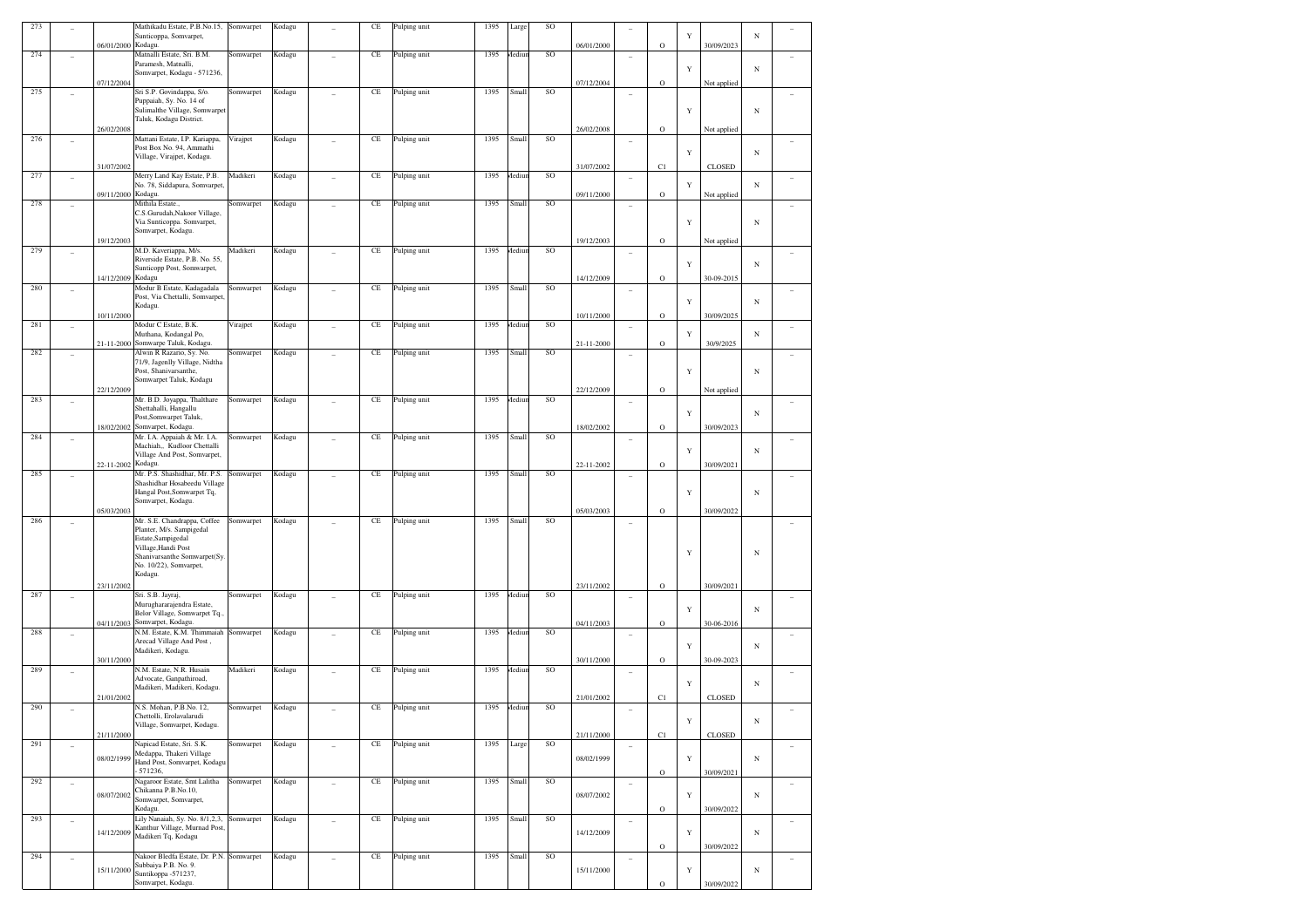| 273 |                          | 06/01/2000<br>Kodagu. | Mathikadu Estate, P.B.No.15, Somwarpet<br>Sunticoppa, Somvarpet,                                                               |           | Kodagu |                | CE        | Pulping unit | 1395 | Large  | SO | 06/01/2000 |                          | $\mathbf O$ | Y           | 30/09/2023    | N          |                          |
|-----|--------------------------|-----------------------|--------------------------------------------------------------------------------------------------------------------------------|-----------|--------|----------------|-----------|--------------|------|--------|----|------------|--------------------------|-------------|-------------|---------------|------------|--------------------------|
| 274 |                          |                       | Matnalli Estate, Sri. B.M.<br>Paramesh, Matnalli,<br>Somvarpet, Kodagu - 571236,                                               | Somwarpet | Kodagu |                | $\rm CE$  | Pulping unit | 1395 | Mediur | SO |            | $\overline{\phantom{a}}$ |             | $\mathbf Y$ |               | N          |                          |
|     |                          | 07/12/2004            |                                                                                                                                |           |        |                |           |              |      |        |    | 07/12/2004 |                          | $\mathbf O$ |             | Not applied   |            |                          |
| 275 |                          |                       | Sri S.P. Govindappa, S/o.<br>Puppaiah, Sy. No. 14 of<br>Sulimalthe Village, Somwarpet<br>Taluk, Kodagu District.               | Somwarpet | Kodagu |                | $\rm CE$  | Pulping unit | 1395 | Small  | SO |            |                          |             | $\mathbf Y$ |               | $_{\rm N}$ |                          |
| 276 |                          | 26/02/2008            | Mattani Estate, I.P. Kariappa,                                                                                                 | Virajpet  | Kodagu |                | $\rm CE$  | Pulping unit | 1395 | Small  | SO | 26/02/2008 |                          | $\circ$     |             | Not applied   |            |                          |
|     | ٠                        | 31/07/2002            | Post Box No. 94, Ammathi<br>Village, Virajpet, Kodagu.                                                                         |           |        |                |           |              |      |        |    | 31/07/2002 | $\overline{\phantom{a}}$ | C1          | $\mathbf Y$ | <b>CLOSED</b> | N          |                          |
| 277 | ٠                        |                       | Merry Land Kay Estate, P.B.                                                                                                    | Madikeri  | Kodagu |                | $\rm CE$  | Pulping unit | 1395 | Aediu  | SO |            |                          |             |             |               |            |                          |
|     |                          | Kodagu.<br>09/11/2000 | No. 78, Siddapura, Somvarpet                                                                                                   |           |        |                |           |              |      |        |    | 09/11/2000 |                          | $\mathbf O$ | $\mathbf Y$ | Not applied   | N          |                          |
| 278 | ٠                        |                       | Mithila Estate.,<br>C.S.Gurudah, Nakoor Village,<br>Via Sunticoppa. Somvarpet,<br>Somvarpet, Kodagu.                           | Somwarpet | Kodagu |                | $\rm CE$  | Pulping unit | 1395 | Small  | SO |            | $\overline{\phantom{a}}$ |             | $\mathbf Y$ |               | N          |                          |
| 279 |                          | 19/12/2003            | M.D. Kaveriappa, M/s.                                                                                                          | Madikeri  | Kodagu |                | $\rm CE$  | Pulping unit | 1395 | Aediu  | SO | 19/12/2003 |                          | $\mathbf O$ |             | Not applied   |            |                          |
|     | ٠                        | 14/12/2009<br>Kodagu  | Riverside Estate, P.B. No. 55,<br>Sunticopp Post, Somwarpet,                                                                   |           |        |                |           |              |      |        |    | 14/12/2009 |                          | $\circ$     | $\mathbf Y$ | 30-09-2015    | N          |                          |
| 280 | ٠                        |                       | Modur B Estate, Kadagadala                                                                                                     | Somwarpet | Kodagu |                | $\rm CE$  | Pulping unit | 1395 | Small  | SO |            | $\overline{\phantom{a}}$ |             |             |               |            |                          |
|     |                          | Kodagu.<br>10/11/2000 | Post, Via Chettalli, Somvarpet                                                                                                 |           |        |                |           |              |      |        |    | 10/11/2000 |                          | $\circ$     | $\mathbf Y$ | 30/09/2025    | N          |                          |
| 281 | $\qquad \qquad -$        |                       | Modur C Estate, B.K.<br>Muthana, Kodangal Po,                                                                                  | Virajpet  | Kodagu |                | $\rm CE$  | Pulping unit | 1395 | Aediu  | SO |            | $\overline{\phantom{a}}$ |             | $\mathbf Y$ |               | N          |                          |
| 282 |                          | 21-11-2000            | Somwarpe Taluk, Kodagu.<br>Alwin R Razario, Sy. No.                                                                            |           |        |                | $\rm CE$  |              | 1395 | Small  | SO | 21-11-2000 |                          | $\mathbf O$ |             | 30/9/2025     |            |                          |
|     | ۰                        |                       | 71/9, Jagenlly Village, Nidtha                                                                                                 | Somwarpet | Kodagu |                |           | Pulping unit |      |        |    |            |                          |             |             |               |            |                          |
|     |                          | 22/12/2009            | Post, Shanivarsanthe,<br>Somwarpet Taluk, Kodagu                                                                               |           |        |                |           |              |      |        |    | 22/12/2009 |                          | $\mathbf O$ | $\mathbf Y$ | Not applied   | N          |                          |
| 283 | ٠                        |                       | Mr. B.D. Joyappa, Thalthare<br>Shettahalli, Hangallu                                                                           | Somwarpet | Kodagu |                | $\rm CE$  | Pulping unit | 1395 | Aediu  | SO |            | $\overline{\phantom{a}}$ |             |             |               |            |                          |
|     |                          |                       | Post, Somwarpet Taluk,                                                                                                         |           |        |                |           |              |      |        |    |            |                          |             | $\mathbf Y$ |               | N          |                          |
| 284 | ٠                        | 18/02/2002            | Somvarpet, Kodagu.<br>Mr. I.A. Appaiah & Mr. I.A.                                                                              | Somwarpet | Kodagu |                | $\rm CE$  | Pulping unit | 1395 | Small  | SO | 18/02/2002 |                          | $\mathbf O$ |             | 30/09/2023    |            |                          |
|     |                          |                       | Machiah,, Kudloor Chettalli<br>Village And Post, Somvarpet,                                                                    |           |        |                |           |              |      |        |    |            |                          |             | $\mathbf Y$ |               | N          |                          |
|     |                          | 22-11-2002<br>Kodagu. |                                                                                                                                |           |        |                |           |              |      |        |    | 22-11-2002 |                          | $\circ$     |             | 30/09/2021    |            |                          |
| 285 | ٠                        | 05/03/2003            | Mr. P.S. Shashidhar, Mr. P.S.<br>Shashidhar Hosabeedu Village<br>Hangal Post, Somwarpet Tq,<br>Somvarpet, Kodagu.              | Somwarpet | Kodagu |                | $\rm CE$  | Pulping unit | 1395 | Small  | SO | 05/03/2003 | $\overline{\phantom{a}}$ | $\mathbf O$ | Y           | 30/09/2022    | N          |                          |
| 286 |                          |                       | Mr. S.E. Chandrappa, Coffee                                                                                                    | Somwarpet | Kodagu |                | $\rm CE$  | Pulping unit | 1395 | Small  | SO |            |                          |             |             |               |            |                          |
|     |                          | Kodagu.<br>23/11/2002 | Planter, M/s. Sampigedal<br>Estate, Sampigedal<br>Village, Handi Post<br>Shanivarsanthe Somwarpet(Sy<br>No. 10/22), Somvarpet, |           |        |                |           |              |      |        |    | 23/11/2002 |                          | $\mathbf O$ | Y           | 30/09/2021    | $_{\rm N}$ |                          |
| 287 |                          |                       | Sri. S.B. Jayraj,                                                                                                              | Somwarpet | Kodagu |                | $\rm CE$  | Pulping unit | 1395 | Mediur | SO |            | $\overline{\phantom{a}}$ |             |             |               |            |                          |
|     |                          |                       | Murughararajendra Estate,<br>Belor Village, Somwarpet Tq.,                                                                     |           |        |                |           |              |      |        |    |            |                          |             | $\mathbf Y$ |               | N          |                          |
| 288 |                          | 04/11/2003            | Somvarpet, Kodagu.<br>N.M. Estate, K.M. Thimmaiah                                                                              | Somwarpet | Kodagu |                | $\rm CE$  | Pulping unit | 1395 | Aediu  | SO | 04/11/2003 |                          | $\mathbf O$ |             | 30-06-2016    |            |                          |
|     |                          |                       | Arecad Village And Post,<br>Madikeri, Kodagu.                                                                                  |           |        |                |           |              |      |        |    |            | $\overline{\phantom{a}}$ |             | $\mathbf Y$ |               | N          |                          |
| 289 |                          | 30/11/2000            | N.M. Estate, N.R. Husain                                                                                                       | Madikeri  | Kodagu |                | $\rm CE$  | Pulping unit | 1395 | Mediur | SO | 30/11/2000 |                          | $\mathbf O$ |             | 30-09-2023    |            |                          |
|     |                          |                       | Advocate, Ganpathiroad,<br>Madikeri, Madikeri, Kodagu.                                                                         |           |        |                |           |              |      |        |    |            | $\overline{\phantom{a}}$ |             | $\mathbf Y$ |               | N          |                          |
|     |                          | 21/01/2002            |                                                                                                                                |           |        |                |           |              |      |        |    | 21/01/2002 |                          | C1          |             | <b>CLOSED</b> |            |                          |
| 290 |                          |                       | N.S. Mohan, P.B.No. 12,<br>Chettolli, Erolavalarudi                                                                            | Somwarpet | Kodagu |                | $\rm CE$  | Pulping unit | 1395 | Aediu  | SO |            |                          |             |             |               |            |                          |
|     |                          | 21/11/2000            | Village, Somvarpet, Kodagu.                                                                                                    |           |        |                |           |              |      |        |    | 21/11/2000 |                          | C1          |             | CLOSED        | N          |                          |
| 291 | $\overline{\phantom{a}}$ |                       | Napicad Estate, Sri. S.K.                                                                                                      | Somwarpet | Kodagu | $\overline{a}$ | $\rm CE$  | Pulping unit | 1395 | Large  | SO |            | $\overline{\phantom{a}}$ |             |             |               |            | $\overline{\phantom{a}}$ |
|     |                          | 08/02/1999            | Medappa, Thakeri Village<br>Hand Post, Somvarpet, Kodagu                                                                       |           |        |                |           |              |      |        |    | 08/02/1999 |                          |             | $\mathbf Y$ |               | $_{\rm N}$ |                          |
| 292 | $\overline{a}$           | 571236,               | Nagaroor Estate, Smt Lalitha                                                                                                   | Somwarpet | Kodagu |                | $\!$ $\!$ | Pulping unit | 1395 | Small  | SO |            |                          | $\mathbf O$ |             | 30/09/2021    |            |                          |
|     |                          | 08/07/2002            | Chikanna P.B.No.10,<br>Somwarpet, Somvarpet,                                                                                   |           |        |                |           |              |      |        |    | 08/07/2002 | $\overline{\phantom{a}}$ |             | $\mathbf Y$ |               | $_{\rm N}$ | ۰                        |
|     |                          | Kodagu.               |                                                                                                                                |           |        |                |           |              |      |        |    |            |                          | $\mathbf O$ |             | 30/09/2022    |            |                          |
| 293 | $\overline{\phantom{a}}$ | 14/12/2009            | Lily Nanaiah, Sy. No. 8/1,2,3, Somwarpet<br>Kanthur Village, Murnad Post                                                       |           | Kodagu | ÷              | $\rm CE$  | Pulping unit | 1395 | Small  | SO | 14/12/2009 | $\overline{\phantom{a}}$ |             | $\mathbf Y$ |               | $_{\rm N}$ | $\overline{\phantom{a}}$ |
|     |                          |                       | Madikeri Tq, Kodagu                                                                                                            |           |        |                |           |              |      |        |    |            |                          | $\mathbf O$ |             | 30/09/2022    |            |                          |
| 294 | ÷                        |                       | Nakoor Bledfa Estate, Dr. P.N. Somwarpet<br>Subbaiya P.B. No. 9.                                                               |           | Kodagu |                | $\!$ $\!$ | Pulping unit | 1395 | Small  | SO |            | $\overline{\phantom{a}}$ |             |             |               |            | $\overline{\phantom{a}}$ |
|     |                          | 15/11/2000            | Suntikoppa -571237,<br>Somvarpet, Kodagu.                                                                                      |           |        |                |           |              |      |        |    | 15/11/2000 |                          | $\mathbf O$ | $\mathbf Y$ | 30/09/2022    | $_{\rm N}$ |                          |
|     |                          |                       |                                                                                                                                |           |        |                |           |              |      |        |    |            |                          |             |             |               |            |                          |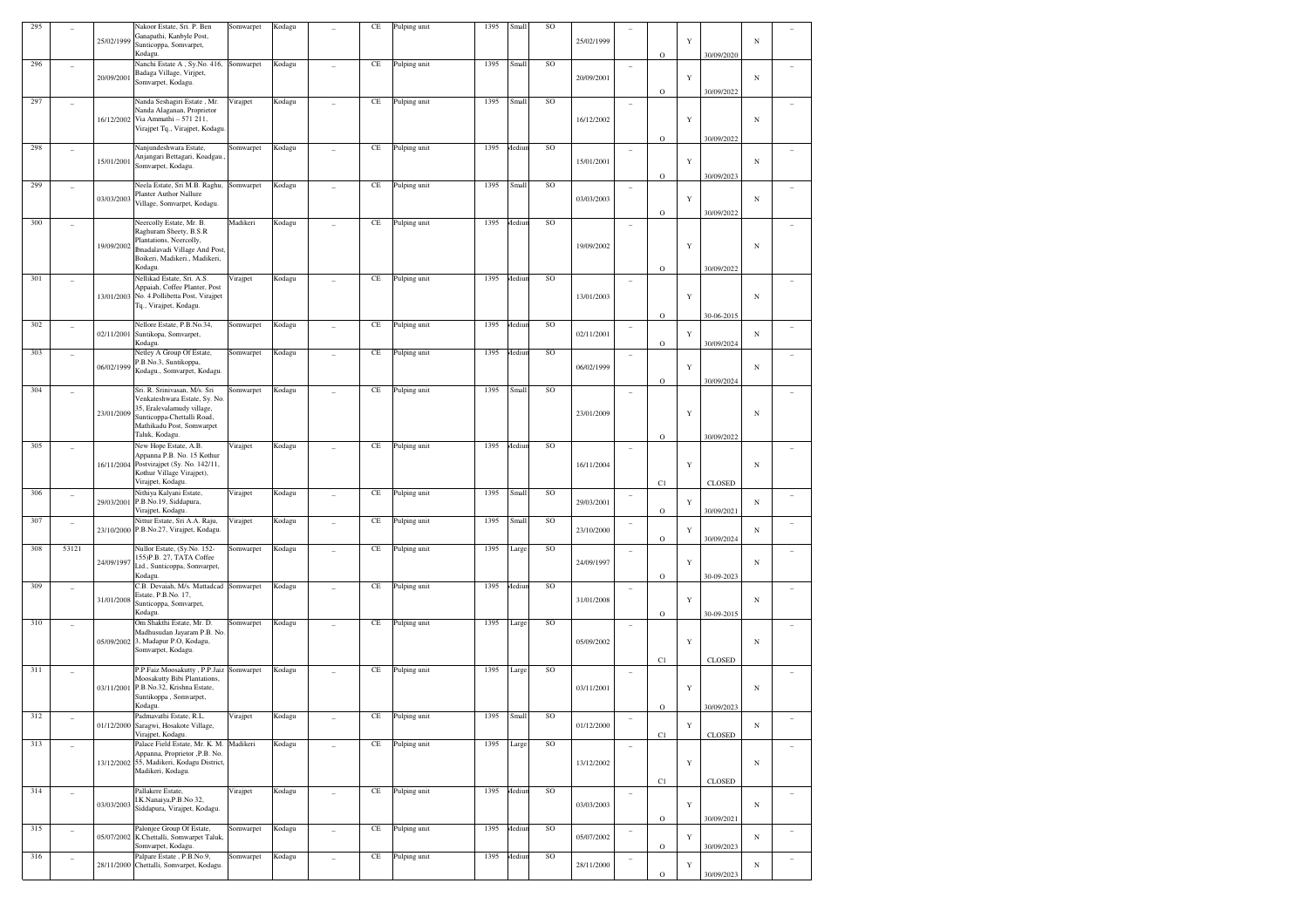| 295 |                |            | Nakoor Estate, Sri. P. Ben<br>Ganapathi, Kanbyle Post,           | Somwarpet | Kodagu |                | CE       | Pulping unit | 1395 | Small  | SO          |            |                          |              |             |                           |            |                          |
|-----|----------------|------------|------------------------------------------------------------------|-----------|--------|----------------|----------|--------------|------|--------|-------------|------------|--------------------------|--------------|-------------|---------------------------|------------|--------------------------|
|     |                | 25/02/1999 | Sunticoppa, Somvarpet,<br>Kodagu.                                |           |        |                |          |              |      |        |             | 25/02/1999 |                          |              | Y           |                           | N          |                          |
| 296 | ÷              |            | Nanchi Estate A, Sy.No. 416,                                     | Somwarpet | Kodagu |                | $\rm CE$ | Pulping unit | 1395 | Small  | SO          |            | ۰                        | $\mathbf O$  |             | 30/09/2020                |            |                          |
|     |                | 20/09/2001 | Badaga Village, Virjpet,<br>Somvarpet, Kodagu.                   |           |        |                |          |              |      |        |             | 20/09/2001 |                          |              | Y           |                           | $_{\rm N}$ |                          |
|     |                |            |                                                                  |           |        |                |          |              |      |        |             |            |                          | $\mathbf O$  |             | 30/09/2022                |            |                          |
| 297 | ÷              |            | Nanda Seshagiri Estate, Mr.<br>Nanda Alaganan, Proprietor        | Virajpet  | Kodagu |                | $\rm CE$ | Pulping unit | 1395 | Small  | SO          |            | ÷                        |              |             |                           |            | ÷                        |
|     |                | 16/12/2002 | Via Ammathi - 571 211,<br>Virajpet Tq., Virajpet, Kodagu.        |           |        |                |          |              |      |        |             | 16/12/2002 |                          |              | $\mathbf Y$ |                           | $_{\rm N}$ |                          |
|     |                |            |                                                                  |           |        |                |          |              | 1395 |        | SO          |            |                          | $\mathbf O$  |             | 30/09/2022                |            |                          |
| 298 | ÷              | 15/01/2001 | Nanjundeshwara Estate,<br>Anjangari Bettagari, Koadgau.          | Somwarpet | Kodagu |                | $\rm CE$ | Pulping unit |      | Mediur |             | 15/01/2001 | i.                       |              | Y           |                           | N          |                          |
|     |                |            | Somvarpet, Kodagu.                                               |           |        |                |          |              |      |        |             |            |                          | $\mathbf O$  |             | 30/09/2023                |            |                          |
| 299 | ٠              |            | Neela Estate, Sri M.B. Raghu,<br><b>Planter Author Nallure</b>   | Somwarpet | Kodagu |                | $\rm CE$ | Pulping unit | 1395 | Small  | SO          |            | $\overline{\phantom{a}}$ |              |             |                           |            | ÷                        |
|     |                | 03/03/2003 | Village, Somvarpet, Kodagu.                                      |           |        |                |          |              |      |        |             | 03/03/2003 |                          |              | $\mathbf Y$ |                           | N          |                          |
| 300 | ÷              |            | Neercolly Estate, Mr. B.                                         | Madikeri  | Kodagu |                | $\rm CE$ | Pulping unit | 1395 | Mediur | SO          |            | ۰                        | $\mathbf O$  |             | 30/09/2022                |            |                          |
|     |                |            | Raghuram Sheety, B.S.R<br>Plantations, Neercolly,                |           |        |                |          |              |      |        |             |            |                          |              |             |                           |            |                          |
|     |                | 19/09/2002 | Ibnadalavadi Village And Post,                                   |           |        |                |          |              |      |        |             | 19/09/2002 |                          |              | Y           |                           | N          |                          |
|     |                |            | Boikeri, Madikeri., Madikeri,<br>Kodagu.                         |           |        |                |          |              |      |        |             |            |                          | $\mathbf O$  |             | 30/09/2022                |            |                          |
| 301 | ÷              |            | Nellikad Estate, Sri. A.S.<br>Appaiah, Coffee Planter, Post      | Virajpet  | Kodagu |                | $\rm CE$ | Pulping unit | 1395 | Mediur | SO          |            | i.                       |              |             |                           |            |                          |
|     |                | 13/01/2003 | No. 4. Pollibetta Post, Virajpet                                 |           |        |                |          |              |      |        |             | 13/01/2003 |                          |              | $\mathbf Y$ |                           | $_{\rm N}$ |                          |
|     |                |            | Tq., Virajpet, Kodagu.                                           |           |        |                |          |              |      |        |             |            |                          | $\mathbf O$  |             | 30-06-2015                |            |                          |
| 302 | ÷              | 02/11/2001 | Nellore Estate, P.B.No.34,<br>Suntikopa, Somvarpet,              | Somwarpet | Kodagu |                | $\rm CE$ | Pulping unit | 1395 | Mediur | SO          | 02/11/2001 | i.                       |              | Y           |                           | N          | ÷                        |
|     |                |            | Kodagu.                                                          |           |        |                |          |              |      |        |             |            |                          | $\mathbf O$  |             | 30/09/2024                |            |                          |
| 303 | ٠              |            | Netley A Group Of Estate,<br>P.B.No.3, Suntikoppa,               | Somwarpet | Kodagu |                | $\rm CE$ | Pulping unit | 1395 | Mediur | $\rm SO$    | 06/02/1999 | ٠                        |              | Y           |                           |            | ٠                        |
|     |                | 06/02/1999 | Kodagu., Somvarpet, Kodagu.                                      |           |        |                |          |              |      |        |             |            |                          | $\mathbf O$  |             | 30/09/2024                | N          |                          |
| 304 | ٠              |            | Sri. R. Srinivasan, M/s. Sri                                     | Somwarpet | Kodagu |                | $\rm CE$ | Pulping unit | 1395 | Small  | SO          |            | ۰                        |              |             |                           |            |                          |
|     |                | 23/01/2009 | Venkateshwara Estate, Sy. No<br>35, Eralevalamudy village,       |           |        |                |          |              |      |        |             |            |                          |              |             |                           |            |                          |
|     |                |            | Sunticoppa-Chettalli Road,<br>Mathikadu Post, Somwarpet          |           |        |                |          |              |      |        |             | 23/01/2009 |                          |              | $\mathbf Y$ |                           | N          |                          |
|     |                |            | Taluk, Kodagu.                                                   |           |        |                |          |              |      |        |             |            |                          | $\mathbf O$  |             | 30/09/2022                |            |                          |
| 305 | ÷              |            | New Hope Estate, A.B.<br>Appanna P.B. No. 15 Kothur              | Virajpet  | Kodagu |                | $\rm CE$ | Pulping unit | 1395 | Mediur | SO          |            | ۰                        |              |             |                           |            |                          |
|     |                | 16/11/2004 | Postvirajpet (Sy. No. 142/11,<br>Kothur Village Virajpet),       |           |        |                |          |              |      |        |             | 16/11/2004 |                          |              | Y           |                           | $_{\rm N}$ |                          |
|     |                |            | Virajpet, Kodagu.                                                |           |        |                |          |              |      |        |             |            |                          | C1           |             | CLOSED                    |            |                          |
| 306 | ٠              | 29/03/2001 | Nithiya Kalyani Estate,<br>P.B.No.19, Siddapura,                 | Virajpet  | Kodagu | ÷              | $\rm CE$ | Pulping unit | 1395 | Small  | $\rm SO$    | 29/03/2001 | $\overline{\phantom{a}}$ |              | Y           |                           | N          | ٠                        |
| 307 | $\overline{a}$ |            | Virajpet, Kodagu.<br>Nittur Estate, Sri A.A. Raju,               | Virajpet  | Kodagu |                | $\rm CE$ | Pulping unit | 1395 | Small  | SO          |            | $\overline{\phantom{a}}$ | $\mathbf O$  |             | 30/09/2021                |            | $\overline{\phantom{a}}$ |
|     |                | 23/10/2000 | P.B.No.27, Virajpet, Kodagu.                                     |           |        |                |          |              |      |        |             | 23/10/2000 |                          | $\mathbf O$  | Y           | 30/09/2024                | N          |                          |
| 308 | 53121          |            | Nullor Estate, (Sy.No. 152-                                      | Somwarpet | Kodagu |                | $\rm CE$ | Pulping unit | 1395 | Large  | SO          |            | i.                       |              |             |                           |            |                          |
|     |                | 24/09/1997 | 155) P.B. 27, TATA Coffee<br>Ltd., Sunticoppa, Somvarpet,        |           |        |                |          |              |      |        |             | 24/09/1997 |                          |              | Y           |                           | N          |                          |
| 309 |                |            | Kodagu.<br>C.B. Devaiah, M/s. Mattadcad Somwarpet                |           |        |                | $\rm CE$ |              | 1395 | Mediur | $\rm SO$    |            |                          | $\mathbf O$  |             | 30-09-2023                |            |                          |
|     | ÷              | 31/01/2008 | Estate, P.B.No. 17,                                              |           | Kodagu |                |          | Pulping unit |      |        |             | 31/01/2008 | ٠                        |              | Y           |                           | N          | ٠                        |
|     |                |            | Sunticoppa, Somvarpet,<br>Kodagu.                                |           |        |                |          |              |      |        |             |            |                          | $\mathbf{O}$ |             | 30-09-2015                |            |                          |
| 310 |                |            | Om Shakthi Estate, Mr. D.<br>Madhusudan Jayaram P.B. No.         | Somwarpet | Kodagu |                | $\rm CE$ | Pulping unit | 1395 | Large  | SO          |            | ۰                        |              |             |                           |            |                          |
|     |                | 05/09/2002 | 3, Madapur P.O, Kodagu,                                          |           |        |                |          |              |      |        |             | 05/09/2002 |                          |              | $\mathbf Y$ |                           | $_{\rm N}$ |                          |
|     |                |            | Somvarpet, Kodagu.                                               |           |        |                |          |              |      |        |             |            |                          | C1           |             | CLOSED                    |            |                          |
| 311 | ÷              |            | P.P.Faiz Moosakutty, P.P.Jaiz<br>Moosakutty Bibi Plantations,    | Somwarpet | Kodagu |                | $\rm CE$ | Pulping unit | 1395 | Large  | SO          |            | ۰                        |              |             |                           |            | ٠                        |
|     |                | 03/11/2001 | P.B.No.32, Krishna Estate,<br>Suntikoppa, Somvarpet,             |           |        |                |          |              |      |        |             | 03/11/2001 |                          |              | Y           |                           | $_{\rm N}$ |                          |
|     |                |            | Kodagu.                                                          |           |        |                |          |              |      |        |             |            |                          | $\mathbf O$  |             | 30/09/2023                |            |                          |
| 312 |                |            | Padmavathi Estate, R.L.<br>01/12/2000 Saragwi, Hosakote Village, | Virajpet  | Kodagu |                | $\rm CE$ | Pulping unit | 1395 | Small  | $_{\rm SO}$ | 01/12/2000 |                          |              | $\mathbf Y$ |                           | $_{\rm N}$ |                          |
| 313 |                |            | Virajpet, Kodagu.<br>Palace Field Estate, Mr. K. M. Madikeri     |           | Kodagu |                | $\rm CE$ | Pulping unit | 1395 | Large  | SO          |            |                          | C1           |             | CLOSED                    |            |                          |
|     | $\equiv$       |            | Appanna, Proprietor ,P.B. No.                                    |           |        | $\overline{a}$ |          |              |      |        |             |            | $\overline{a}$           |              |             |                           |            | $\sim$                   |
|     |                |            | 13/12/2002 55, Madikeri, Kodagu District,<br>Madikeri, Kodagu.   |           |        |                |          |              |      |        |             | 13/12/2002 |                          |              | $\mathbf Y$ |                           | $_{\rm N}$ |                          |
| 314 |                |            | Pallakere Estate,                                                | Virajpet  | Kodagu |                | $\rm CE$ | Pulping unit | 1395 | Mediun | SO          |            |                          | C1           |             | $\textsc{clos}\textsc{e}$ |            |                          |
|     | $\equiv$       | 03/03/2003 | I.K.Nanaiya, P.B.No 32,                                          |           |        | $\overline{a}$ |          |              |      |        |             | 03/03/2003 | $\overline{a}$           |              | $\mathbf Y$ |                           | $_{\rm N}$ | $\sim$                   |
|     |                |            | Siddapura, Virajpet, Kodagu.                                     |           |        |                |          |              |      |        |             |            |                          | $\mathbf O$  |             | 30/09/2021                |            |                          |
| 315 | $\equiv$       | 05/07/2002 | Palonjee Group Of Estate,<br>K.Chettalli, Somwarpet Taluk,       | Somwarpet | Kodagu | $\overline{a}$ | $\rm CE$ | Pulping unit | 1395 | Mediun | $\rm SO$    | 05/07/2002 | $\sim$                   |              | Y           |                           | $_{\rm N}$ | $\overline{\phantom{a}}$ |
| 316 |                |            | Somvarpet, Kodagu.<br>Palpare Estate, P.B.No.9,                  | Somwarpet | Kodagu |                | $\rm CE$ | Pulping unit | 1395 | Mediur | $_{\rm SO}$ |            |                          | $\rm{O}$     |             | 30/09/2023                |            |                          |
|     | $\overline{a}$ | 28/11/2000 | Chettalli, Somvarpet, Kodagu.                                    |           |        |                |          |              |      |        |             | 28/11/2000 | i.                       |              | $\mathbf Y$ |                           | $_{\rm N}$ | $\overline{\phantom{a}}$ |
|     |                |            |                                                                  |           |        |                |          |              |      |        |             |            |                          | $\rm{O}$     |             | 30/09/2023                |            |                          |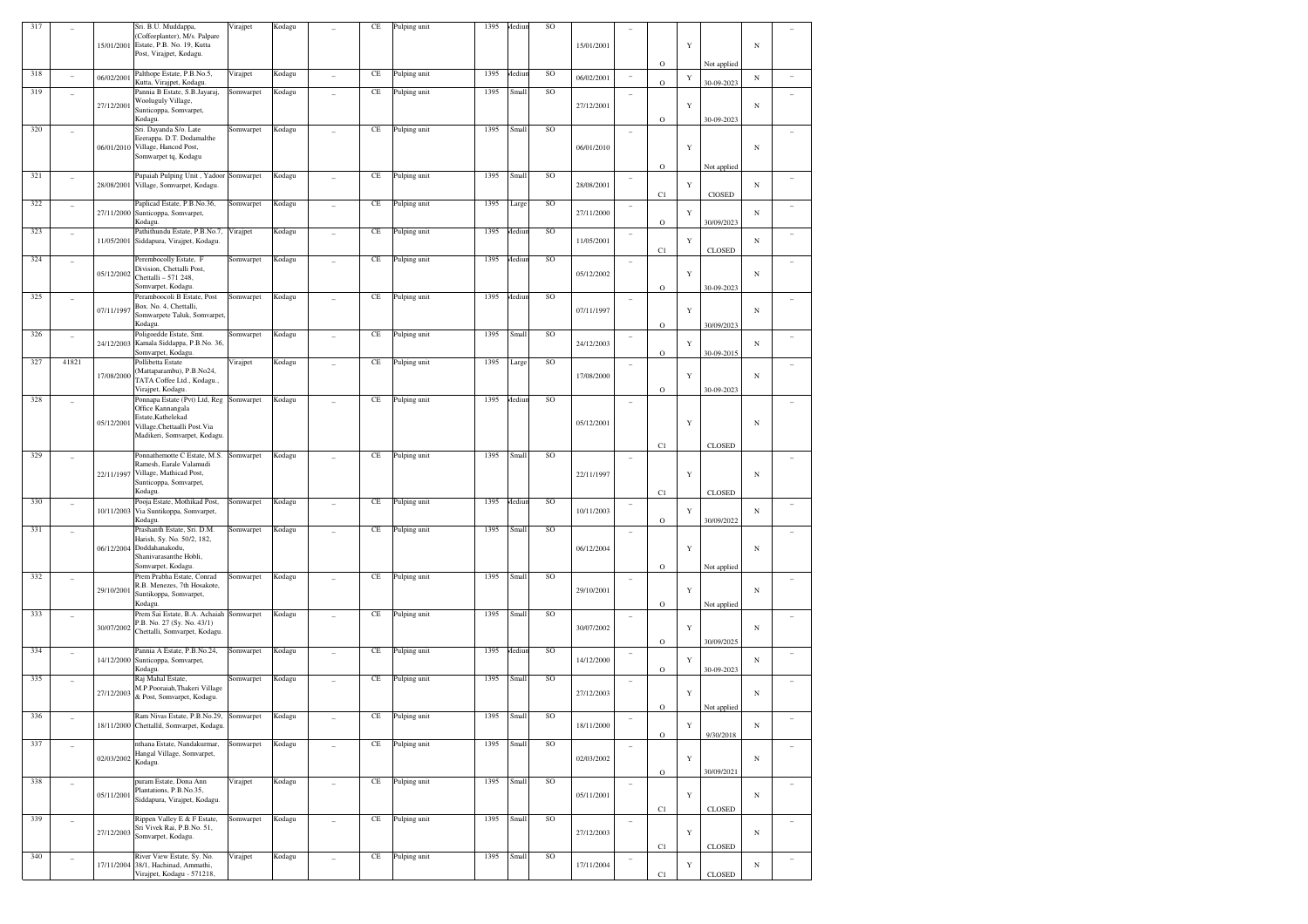| 317 |                |            | Sri. B.U. Muddappa,<br>(Coffeeplanter), M/s. Palpare          | Virajpet  | Kodagu |                          | CE       | Pulping unit | 1395 | Aediur | SO       |            |                          |              |             |               |            |        |
|-----|----------------|------------|---------------------------------------------------------------|-----------|--------|--------------------------|----------|--------------|------|--------|----------|------------|--------------------------|--------------|-------------|---------------|------------|--------|
|     |                | 15/01/2001 | Estate, P.B. No. 19, Kutta                                    |           |        |                          |          |              |      |        |          | 15/01/2001 |                          |              | $\mathbf Y$ |               | $_{\rm N}$ |        |
|     |                |            | Post, Virajpet, Kodagu.                                       |           |        |                          |          |              |      |        |          |            |                          |              |             |               |            |        |
| 318 |                |            | Palthope Estate, P.B.No.5,                                    |           |        |                          | $\rm CE$ |              | 1395 | Mediur | SO       |            |                          | $\mathbf O$  |             | Not applied   |            |        |
|     | ٠              | 06/02/2001 | Kutta, Virajpet, Kodagu.                                      | Virajpet  | Kodagu | ÷                        |          | Pulping unit |      |        |          | 06/02/2001 | $\overline{\phantom{a}}$ | $\mathbf O$  | Y           | 30-09-2023    | N          | ۰      |
| 319 | ٠              |            | Pannia B Estate, S.B.Jayaraj,<br>Wooluguly Village,           | Somwarpet | Kodagu | ÷                        | $\rm CE$ | Pulping unit | 1395 | Small  | $\rm SO$ |            | ۰                        |              |             |               |            | ٠      |
|     |                | 27/12/2001 | Sunticoppa, Somvarpet,                                        |           |        |                          |          |              |      |        |          | 27/12/2001 |                          |              | $\mathbf Y$ |               | N          |        |
|     |                |            | Kodagu.                                                       |           |        |                          |          |              |      |        |          |            |                          | $\mathbf O$  |             | 30-09-2023    |            |        |
| 320 | ÷              |            | Sri. Dayanda S/o. Late<br>Eeerappa. D.T. Dodamalthe           | Somwarpet | Kodagu |                          | $\rm CE$ | Pulping unit | 1395 | Small  | $\rm SO$ |            | ÷                        |              |             |               |            |        |
|     |                | 06/01/2010 | Village, Hancod Post,                                         |           |        |                          |          |              |      |        |          | 06/01/2010 |                          |              | $\mathbf Y$ |               | $_{\rm N}$ |        |
|     |                |            | Somwarpet tq, Kodagu                                          |           |        |                          |          |              |      |        |          |            |                          |              |             |               |            |        |
| 321 | $\sim$         |            | Pupaiah Pulping Unit, Yadoor Somwarpet                        |           | Kodagu | ٠                        | $\rm CE$ | Pulping unit | 1395 | Small  | $\rm SO$ |            | ٠                        | $\mathbf O$  |             | Not applied   |            |        |
|     |                | 28/08/2001 | Village, Somvarpet, Kodagu.                                   |           |        |                          |          |              |      |        |          | 28/08/2001 |                          |              | Y           |               | N          | ۰      |
| 322 |                |            |                                                               |           |        |                          | $\rm CE$ |              | 1395 |        | $\rm SO$ |            |                          | C1           |             | CIOSED        |            |        |
|     | $\sim$         | 27/11/2000 | Paplicad Estate, P.B.No.36,<br>Sunticoppa, Somvarpet,         | Somwarpet | Kodagu |                          |          | Pulping unit |      | Large  |          | 27/11/2000 | $\overline{\phantom{0}}$ |              | Y           |               | N          |        |
|     |                |            | Kodagu.                                                       |           |        |                          |          |              |      |        |          |            |                          | $\mathbf O$  |             | 30/09/2023    |            |        |
| 323 | $\sim$         | 11/05/2001 | Pathithundu Estate, P.B.No.7,<br>Siddapura, Virajpet, Kodagu. | Virajpet  | Kodagu | ÷                        | $\rm CE$ | Pulping unit | 1395 | Aediu  | $\rm SO$ | 11/05/2001 | ٠                        |              | Y           |               | N          | ٠      |
|     |                |            |                                                               |           |        |                          |          |              |      |        |          |            |                          | C1           |             | CLOSED        |            |        |
| 324 | $\sim$         |            | Perembocolly Estate, F<br>Division, Chettalli Post,           | Somwarpet | Kodagu | ÷                        | $\rm CE$ | Pulping unit | 1395 | Mediur | $\rm SO$ |            | $\overline{\phantom{a}}$ |              |             |               |            | ٠      |
|     |                | 05/12/2002 | Chettalli - 571 248,                                          |           |        |                          |          |              |      |        |          | 05/12/2002 |                          |              | $\mathbf Y$ |               | N          |        |
|     |                |            | Somvarpet, Kodagu.                                            |           |        |                          |          |              |      |        |          |            |                          | $\mathbf O$  |             | 30-09-2023    |            |        |
| 325 | $\sim$         |            | Peramboocoli B Estate, Post<br>Box. No. 4, Chettalli,         | Somwarpet | Kodagu | ÷                        | $\rm CE$ | Pulping unit | 1395 | Mediur | SO       |            | ٠                        |              |             |               |            | ٠      |
|     |                | 07/11/1997 | Somwarpete Taluk, Somvarpet,                                  |           |        |                          |          |              |      |        |          | 07/11/1997 |                          |              | $\mathbf Y$ |               | N          |        |
|     |                |            | Kodagu.                                                       |           |        |                          |          |              |      |        |          |            |                          | $\mathbf O$  |             | 30/09/2023    |            |        |
| 326 | ٠              | 24/12/2003 | Poligoedde Estate, Smt.<br>Kamala Siddappa, P.B.No. 36,       | Somwarpet | Kodagu |                          | $\rm CE$ | Pulping unit | 1395 | Small  | $\rm SO$ | 24/12/2003 | ۰                        |              | Y           |               | N          |        |
|     |                |            | Somvarpet, Kodagu.                                            |           |        |                          |          |              |      |        |          |            |                          | $\mathbf O$  |             | 30-09-2015    |            |        |
| 327 | 41821          |            | Pollibetta Estate<br>(Mattaparambu), P.B.No24,                | Virajpet  | Kodagu | ÷                        | $\rm CE$ | Pulping unit | 1395 | Large  | $\rm SO$ |            | ٠                        |              |             |               |            |        |
|     |                | 17/08/2000 | TATA Coffee Ltd., Kodagu.,                                    |           |        |                          |          |              |      |        |          | 17/08/2000 |                          |              | $\mathbf Y$ |               | N          |        |
|     |                |            | Virajpet, Kodagu.                                             |           |        |                          |          |              |      |        |          |            |                          | $\mathbf{O}$ |             | 30-09-2023    |            |        |
| 328 | ٠              |            | Ponnapa Estate (Pvt) Ltd, Reg<br>Office Kannangala            | Somwarpet | Kodagu |                          | CE       | Pulping unit | 1395 | Aediur | SO       |            | ۰                        |              |             |               |            |        |
|     |                |            | Estate, Kathelekad                                            |           |        |                          |          |              |      |        |          |            |                          |              |             |               |            |        |
|     |                | 05/12/2001 | Village, Chettaalli Post. Via                                 |           |        |                          |          |              |      |        |          | 05/12/2001 |                          |              | Y           |               | N          |        |
|     |                |            | Madikeri, Somvarpet, Kodagu                                   |           |        |                          |          |              |      |        |          |            |                          | C1           |             | CLOSED        |            |        |
| 329 |                |            | Ponnathemotte C Estate, M.S.                                  | Somwarpet | Kodagu |                          | $\rm CE$ | Pulping unit | 1395 | Small  | SO       |            | ۰                        |              |             |               |            |        |
|     |                | 22/11/1997 | Ramesh, Earale Valamudi<br>Village, Mathicad Post,            |           |        |                          |          |              |      |        |          | 22/11/1997 |                          |              | $\mathbf Y$ |               |            |        |
|     |                |            | Sunticoppa, Somvarpet,                                        |           |        |                          |          |              |      |        |          |            |                          |              |             |               | $_{\rm N}$ |        |
|     |                |            | Kodagu.                                                       |           |        |                          |          |              |      |        |          |            |                          | C1           |             | CLOSED        |            |        |
| 330 | $\sim$         | 10/11/2003 | Pooja Estate, Mothikad Post,<br>Via Suntikoppa, Somvarpet,    | Somwarpet | Kodagu | ÷                        | $\rm CE$ | Pulping unit | 1395 | Mediur | SO       | 10/11/2003 | $\overline{\phantom{a}}$ |              | Y           |               | N          | ٠      |
|     |                |            | Kodagu.                                                       |           |        |                          |          |              |      |        |          |            |                          | $\mathbf O$  |             | 30/09/2022    |            |        |
| 331 | ٠              |            | Prashanth Estate, Sri. D.M.<br>Harish, Sy. No. 50/2, 182,     | Somwarpet | Kodagu |                          | CE       | Pulping unit | 1395 | Small  | SO       |            | ٠                        |              |             |               |            |        |
|     |                | 06/12/2004 | Doddahanakodu,                                                |           |        |                          |          |              |      |        |          | 06/12/2004 |                          |              | $\mathbf Y$ |               | $_{\rm N}$ |        |
|     |                |            | Shanivarasanthe Hobli,                                        |           |        |                          |          |              |      |        |          |            |                          |              |             |               |            |        |
| 332 |                |            | Somvarpet, Kodagu.<br>Prem Prabha Estate, Conrad              | Somwarpet | Kodagu |                          | $\rm CE$ | Pulping unit | 1395 | Small  | SO       |            |                          | $\mathbf O$  |             | Not applied   |            |        |
|     | ٠              | 29/10/2001 | R.B. Menezes, 7th Hosakote,                                   |           |        |                          |          |              |      |        |          | 29/10/2001 | i.                       |              | $\mathbf Y$ |               | N          | ٠      |
|     |                |            | Suntikoppa, Somvarpet,<br>Kodagu.                             |           |        |                          |          |              |      |        |          |            |                          | $\mathbf O$  |             |               |            |        |
| 333 | $\sim$         |            | Prem Sai Estate, B.A. Achaiah Somwarpet                       |           | Kodagu | $\sim$                   | $\rm CE$ | Pulping unit | 1395 | Small  | $\rm SO$ |            | $\overline{\phantom{a}}$ |              |             | Not applied   |            | ٠      |
|     |                | 30/07/2002 | P.B. No. 27 (Sy. No. 43/1)                                    |           |        |                          |          |              |      |        |          | 30/07/2002 |                          |              | $\mathbf Y$ |               | N          |        |
|     |                |            | Chettalli, Somvarpet, Kodagu.                                 |           |        |                          |          |              |      |        |          |            |                          | $\mathbf O$  |             | 30/09/2025    |            |        |
| 334 | $\sim$         |            | Pannia A Estate, P.B.No.24,                                   | Somwarpet | Kodagu | ÷                        | $\rm CE$ | Pulping unit | 1395 | Mediur | $\rm SO$ |            | $\overline{\phantom{a}}$ |              |             |               |            | ۰      |
|     |                |            | 14/12/2000 Sunticoppa, Somvarpet,<br>Kodagu.                  |           |        |                          |          |              |      |        |          | 14/12/2000 |                          | $\mathbf O$  | Y           | 30-09-2023    | N          |        |
| 335 |                |            | Raj Mahal Estate,                                             | Somwarpet | Kodagu |                          | $\rm CE$ | Pulping unit | 1395 | Small  | SO       |            | i.                       |              |             |               |            |        |
|     |                | 27/12/2003 | M.P.Pooraiah, Thakeri Village                                 |           |        |                          |          |              |      |        |          | 27/12/2003 |                          |              | Y           |               | N          |        |
|     |                |            | & Post, Somvarpet, Kodagu.                                    |           |        |                          |          |              |      |        |          |            |                          | $\mathbf{O}$ |             | Not applied   |            |        |
| 336 |                |            | Ram Nivas Estate, P.B.No.29, Somwarpet                        |           | Kodagu |                          | $\rm CE$ | Pulping unit | 1395 | Small  | $\rm SO$ |            |                          |              |             |               |            |        |
|     |                |            | 18/11/2000 Chettallil, Somvarpet, Kodagu.                     |           |        |                          |          |              |      |        |          | 18/11/2000 |                          | $\mathbf O$  | $\mathbf Y$ | 9/30/2018     | $_{\rm N}$ |        |
| 337 | $\overline{a}$ |            | nthana Estate, Nandakurmar,                                   | Somwarpet | Kodagu | $\overline{\phantom{a}}$ | $\rm CE$ | Pulping unit | 1395 | Small  | $\rm SO$ |            | $\overline{a}$           |              |             |               |            | $\sim$ |
|     |                | 02/03/2002 | Hangal Village, Somvarpet,                                    |           |        |                          |          |              |      |        |          | 02/03/2002 |                          |              | $\mathbf Y$ |               | $_{\rm N}$ |        |
|     |                |            | Kodagu.                                                       |           |        |                          |          |              |      |        |          |            |                          | $\mathbf O$  |             | 30/09/2021    |            |        |
| 338 | $\overline{a}$ |            | puram Estate, Dona Ann                                        | Virajpet  | Kodagu | $\overline{a}$           | $\rm CE$ | Pulping unit | 1395 | Small  | SO       |            | ٠                        |              |             |               |            | $\sim$ |
|     |                | 05/11/2001 | Plantations, P.B.No.35,<br>Siddapura, Virajpet, Kodagu.       |           |        |                          |          |              |      |        |          | 05/11/2001 |                          |              | $\mathbf Y$ |               | $_{\rm N}$ |        |
|     |                |            |                                                               |           |        |                          |          |              |      |        |          |            |                          | C1           |             | <b>CLOSED</b> |            |        |
| 339 | $\overline{a}$ |            | Rippen Valley E & F Estate,                                   | Somwarpet | Kodagu | $\overline{a}$           | $\rm CE$ | Pulping unit | 1395 | Small  | SO       |            | ٠                        |              |             |               |            | ٠      |
|     |                | 27/12/2003 | Sri Vivek Rai, P.B.No. 51,<br>Somvarpet, Kodagu.              |           |        |                          |          |              |      |        |          | 27/12/2003 |                          |              | $\mathbf Y$ |               | $_{\rm N}$ |        |
|     |                |            |                                                               |           |        |                          |          |              |      |        |          |            |                          | C1           |             | <b>CLOSED</b> |            |        |
| 340 | $\overline{a}$ | 17/11/2004 | River View Estate, Sy. No.<br>38/1, Hachinad, Ammathi,        | Virajpet  | Kodagu | $\overline{a}$           | $\rm CE$ | Pulping unit | 1395 | Small  | $\rm SO$ | 17/11/2004 | ٠                        |              |             |               | N          | $\sim$ |
|     |                |            | Virajpet, Kodagu - 571218,                                    |           |        |                          |          |              |      |        |          |            |                          | C1           | Y           | <b>CLOSED</b> |            |        |
|     |                |            |                                                               |           |        |                          |          |              |      |        |          |            |                          |              |             |               |            |        |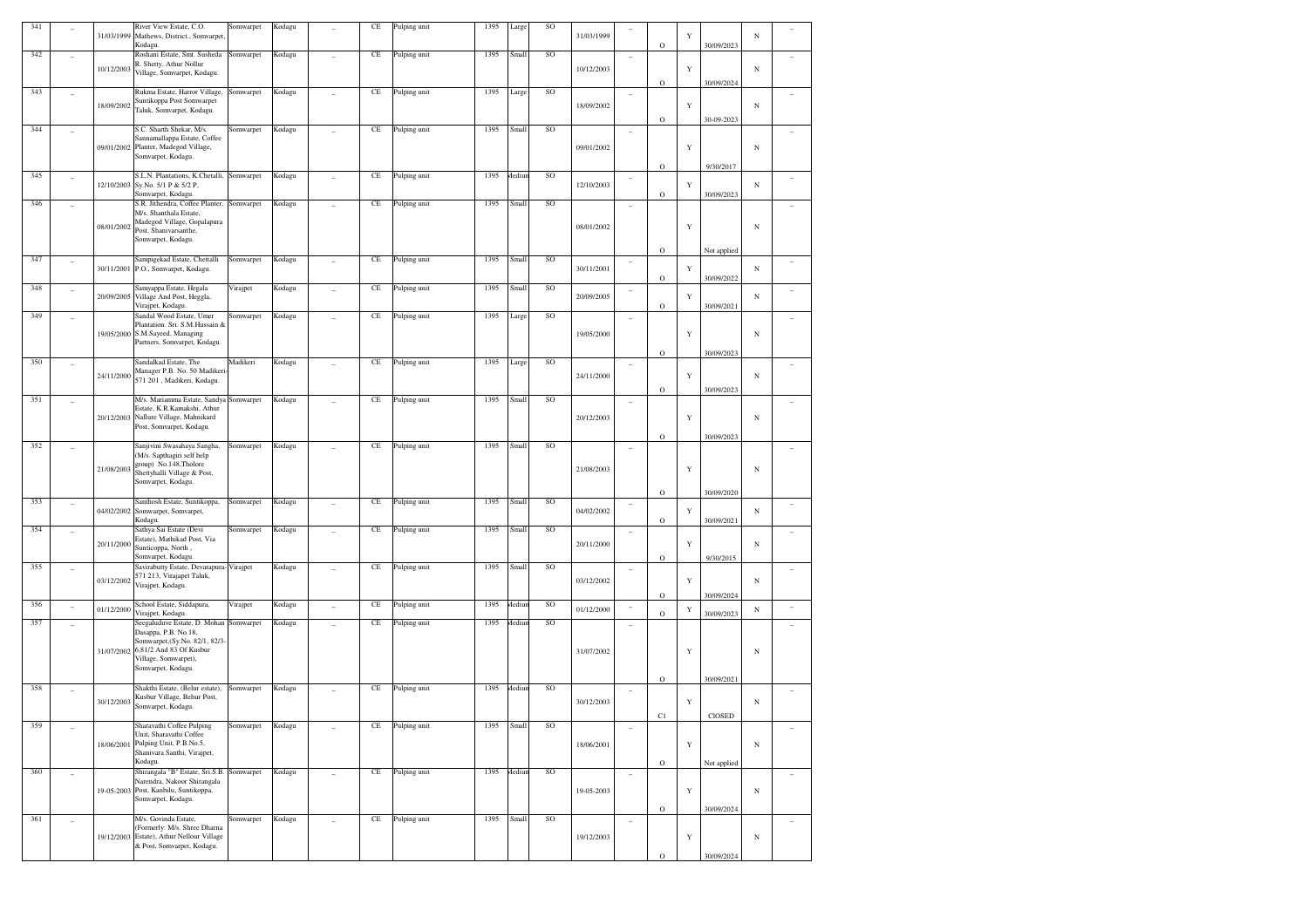| 341 |                          | 31/03/1999 | River View Estate, C.O.<br>Mathews, District., Somvarpet,<br>Kodagu.                                 | Somwarpet | Kodagu |                | CE       | Pulping unit | 1395 | Large         | SO        | 31/03/1999 |                          | $\circ$ | Y           | 30/09/2023  | N          |  |
|-----|--------------------------|------------|------------------------------------------------------------------------------------------------------|-----------|--------|----------------|----------|--------------|------|---------------|-----------|------------|--------------------------|---------|-------------|-------------|------------|--|
| 342 |                          | 10/12/2003 | Roshani Estate, Smt. Susheda<br>R. Shetty, Athur Nollur<br>Village, Somvarpet, Kodagu.               | Somwarpet | Kodagu |                | CE       | Pulping unit | 1395 | Small         | SO        | 10/12/2003 | $\qquad \qquad -$        |         | Y           |             | $_{\rm N}$ |  |
|     |                          |            |                                                                                                      |           |        |                |          |              |      |               |           |            |                          | $\circ$ |             | 30/09/2024  |            |  |
| 343 | $\overline{\phantom{a}}$ | 18/09/2002 | Rukma Estate, Harror Village,<br>Suntikoppa Post Somwarpet<br>Taluk, Somvarpet, Kodagu.              | Somwarpet | Kodagu |                | CE       | Pulping unit | 1395 | Large         | SO        | 18/09/2002 | $\overline{\phantom{a}}$ |         | Y           |             | $_{\rm N}$ |  |
| 344 |                          |            | S.C. Sharth Shekar, M/s.                                                                             | Somwarpet | Kodagu |                | CE       | Pulping unit | 1395 | Small         | SO        |            | $\overline{\phantom{a}}$ | $\circ$ |             | 30-09-2023  |            |  |
|     |                          |            | Sannamallappa Estate, Coffee                                                                         |           |        |                |          |              |      |               |           |            |                          |         |             |             |            |  |
|     |                          | 09/01/2002 | Planter, Madegod Village,<br>Somvarpet, Kodagu.                                                      |           |        |                |          |              |      |               |           | 09/01/2002 |                          | $\circ$ | Y           | 9/30/2017   | $_{\rm N}$ |  |
| 345 | $\overline{a}$           | 12/10/2003 | S.L.N. Plantations, K.Chetalli,<br>Sy.No. 5/1 P & 5/2 P,<br>Somvarpet, Kodagu.                       | Somwarpet | Kodagu | ÷              | CE       | Pulping unit | 1395 | <i>dediur</i> | SO        | 12/10/2003 | $\overline{\phantom{a}}$ | $\circ$ | $\mathbf Y$ | 30/09/2023  | $_{\rm N}$ |  |
| 346 |                          |            | S.R. Jithendra, Coffee Planter,                                                                      | Somwarpet | Kodagu |                | CE       | Pulping unit | 1395 | Small         | SO        |            |                          |         |             |             |            |  |
|     |                          | 08/01/2002 | M/s. Shanthala Estate,<br>Madegod Village, Gopalapura<br>Post, Shanivarsanthe,<br>Somvarpet, Kodagu. |           |        |                |          |              |      |               |           | 08/01/2002 |                          | $\circ$ | Y           | Not applied | $_{\rm N}$ |  |
| 347 | $\overline{\phantom{0}}$ | 30/11/2001 | Sampigekad Estate, Chettalli<br>P.O., Somvarpet, Kodagu.                                             | Somwarpet | Kodagu |                | CE       | Pulping unit | 1395 | Small         | SO        | 30/11/2001 | $\overline{\phantom{a}}$ | $\circ$ | Y           | 30/09/2022  | N          |  |
| 348 | $\overline{\phantom{0}}$ | 20/09/2005 | Samyappa Estate, Hegala<br>Village And Post, Heggla,<br>Virajpet, Kodagu.                            | Virajpet  | Kodagu |                | CE       | Pulping unit | 1395 | Small         | SO        | 20/09/2005 | $\overline{\phantom{a}}$ | $\circ$ | Y           | 30/09/2021  | N          |  |
| 349 | $\overline{\phantom{0}}$ |            | Sandal Wood Estate, Umer                                                                             | Somwarpet | Kodagu |                | CE       | Pulping unit | 1395 | Large         | <b>SO</b> |            | $\overline{\phantom{a}}$ |         |             |             |            |  |
|     |                          | 19/05/2000 | Plantation. Sri. S.M.Hussain &<br>S.M.Sayeed, Managing                                               |           |        |                |          |              |      |               |           | 19/05/2000 |                          |         | Y           |             | $_{\rm N}$ |  |
|     |                          |            | Partners, Somvarpet, Kodagu.                                                                         |           |        |                |          |              |      |               |           |            |                          | $\circ$ |             | 30/09/2023  |            |  |
| 350 |                          |            | Sandalkad Estate, The                                                                                | Madikeri  | Kodagu |                | CE       | Pulping unit | 1395 | Large         | SO        |            | $\overline{\phantom{a}}$ |         |             |             |            |  |
|     |                          | 24/11/2000 | Manager P.B. No. 50 Madikeri<br>571 201, Madikeri, Kodagu.                                           |           |        |                |          |              |      |               |           | 24/11/2000 |                          |         | $\mathbf Y$ |             | $_{\rm N}$ |  |
| 351 |                          |            | M/s. Mariamma Estate, Sandya                                                                         | Somwarpet | Kodagu |                | CE       | Pulping unit | 1395 | Small         | SO        |            |                          | $\circ$ |             | 30/09/2023  |            |  |
|     | ٠                        |            | Estate, K.R.Kamakshi, Athur                                                                          |           |        |                |          |              |      |               |           |            | $\overline{\phantom{a}}$ |         |             |             |            |  |
|     |                          | 20/12/2003 | Nallure Village, Mahnikard<br>Post, Somvarpet, Kodagu.                                               |           |        |                |          |              |      |               |           | 20/12/2003 |                          |         | Y           |             | $_{\rm N}$ |  |
| 352 |                          |            | Sanjivini Swasahaya Sangha,                                                                          | Somwarpet | Kodagu |                | CE       |              | 1395 | Small         | SO        |            |                          | $\circ$ |             | 30/09/2023  |            |  |
|     | ٠                        |            | M/s. Sapthagiri self help                                                                            |           |        |                |          | Pulping unit |      |               |           |            | $\overline{\phantom{a}}$ |         |             |             |            |  |
|     |                          | 21/08/2003 | group) No.148, Tholore<br>Shettyhalli Village & Post,                                                |           |        |                |          |              |      |               |           | 21/08/2003 |                          |         | Y           |             | $_{\rm N}$ |  |
|     |                          |            | Somvarpet, Kodagu.                                                                                   |           |        |                |          |              |      |               |           |            |                          |         |             |             |            |  |
| 353 | ٠                        |            | Santhosh Estate, Suntikoppa,                                                                         | Somwarpet | Kodagu |                | CE       | Pulping unit | 1395 | Small         | SO        |            | $\overline{\phantom{a}}$ | $\circ$ |             | 30/09/2020  |            |  |
|     |                          | 04/02/2002 | Somwarpet, Somvarpet,<br>Kodagu.                                                                     |           |        |                |          |              |      |               |           | 04/02/2002 |                          | $\circ$ | Y           | 30/09/2021  | $_{\rm N}$ |  |
| 354 |                          |            | Sathya Sai Estate (Devi<br>Estate), Mathikad Post, Via                                               | Somwarpet | Kodagu |                | CE       | Pulping unit | 1395 | Small         | SO        |            | $\overline{\phantom{a}}$ |         |             |             |            |  |
|     |                          | 20/11/2000 | Sunticoppa, North,                                                                                   |           |        |                |          |              |      |               |           | 20/11/2000 |                          |         | Y           |             | $_{\rm N}$ |  |
| 355 | ٠                        |            | Somvarpet, Kodagu.<br>Savirabutty Estate, Devarapura-Virajpet                                        |           | Kodagu |                | CE       | Pulping unit | 1395 | Small         | SO        |            | $\overline{\phantom{a}}$ | $\circ$ |             | 9/30/2015   |            |  |
|     |                          | 03/12/2002 | 571 213, Virajapet Taluk,<br>Virajpet, Kodagu.                                                       |           |        |                |          |              |      |               |           | 03/12/2002 |                          |         | $\mathbf Y$ |             | N          |  |
|     |                          |            |                                                                                                      |           |        |                |          |              |      |               |           |            |                          | $\circ$ |             | 30/09/2024  |            |  |
| 356 | $\overline{a}$           | 01/12/2000 | School Estate, Siddapura,<br>Virajpet, Kodagu.                                                       | Virajpet  | Kodagu | $\overline{a}$ | CE       | Pulping unit | 1395 | <b>Aediun</b> | SO        | 01/12/2000 | $\overline{\phantom{a}}$ | $\circ$ | Y           | 30/09/2023  | $_{\rm N}$ |  |
| 357 |                          |            | Seegaluduve Estate, D. Mohan<br>Dasappa, P.B. No.18,                                                 | Somwarpet | Kodagu |                | CE       | Pulping unit | 1395 | <i>dediun</i> | SO        |            |                          |         |             |             |            |  |
|     |                          |            | Somwarpet, (Sy.No. 82/1, 82/3                                                                        |           |        |                |          |              |      |               |           |            |                          |         |             |             |            |  |
|     |                          | 31/07/2002 | 6,81/2 And 83 Of Kusbur<br>Village, Somwarpet),                                                      |           |        |                |          |              |      |               |           | 31/07/2002 |                          |         | Y           |             | $_{\rm N}$ |  |
|     |                          |            | Somvarpet, Kodagu.                                                                                   |           |        |                |          |              |      |               |           |            |                          | $\circ$ |             | 30/09/2021  |            |  |
| 358 |                          |            | Shakthi Estate, (Belur estate),                                                                      | Somwarpet | Kodagu |                | CE       | Pulping unit | 1395 | Aediun        | SO        |            | ۰                        |         |             |             |            |  |
|     |                          | 30/12/2003 | Kusbur Village, Behur Post,<br>Somvarpet, Kodagu.                                                    |           |        |                |          |              |      |               |           | 30/12/2003 |                          |         | $\mathbf Y$ |             | $_{\rm N}$ |  |
| 359 |                          |            | Sharavathi Coffee Pulping                                                                            | Somwarpet | Kodagu |                | CE       | Pulping unit | 1395 | Small         | SO        |            |                          | C1      |             | CIOSED      |            |  |
|     | ٠                        |            | Unit, Sharavathi Coffee                                                                              |           |        |                |          |              |      |               |           |            | $\qquad \qquad -$        |         |             |             |            |  |
|     |                          | 18/06/2001 | Pulping Unit, P.B.No.5,<br>Shanivara Santhi, Virajpet,                                               |           |        |                |          |              |      |               |           | 18/06/2001 |                          |         | $\mathbf Y$ |             | $_{\rm N}$ |  |
| 360 |                          |            | Kodagu.<br>Shirangala "B" Estate, Sri.S.B.                                                           | Somwarpet | Kodagu |                | $\rm CE$ | Pulping unit | 1395 | Mediun        | SO        |            |                          | $\circ$ |             | Not applied |            |  |
|     | $\overline{a}$           |            | Narendra, Nakoor Shirangala                                                                          |           |        |                |          |              |      |               |           |            | ÷                        |         |             |             |            |  |
|     |                          | 19-05-2003 | Post, Kanbilu, Suntikoppa,<br>Somvarpet, Kodagu.                                                     |           |        |                |          |              |      |               |           | 19-05-2003 |                          |         | Y           |             | $_{\rm N}$ |  |
| 361 |                          |            | M/s. Govinda Estate,                                                                                 | Somwarpet | Kodagu |                | $\rm CE$ | Pulping unit | 1395 | Small         | SO        |            |                          | $\circ$ |             | 30/09/2024  |            |  |
|     | ÷,                       |            | (Formerly: M/s. Shree Dharna                                                                         |           |        | ÷              |          |              |      |               |           |            | ÷                        |         |             |             |            |  |
|     |                          | 19/12/2003 | Estate), Athur Nellour Village<br>& Post, Somvarpet, Kodagu.                                         |           |        |                |          |              |      |               |           | 19/12/2003 |                          |         | $\mathbf Y$ |             | $_{\rm N}$ |  |
|     |                          |            |                                                                                                      |           |        |                |          |              |      |               |           |            |                          | $\circ$ |             | 30/09/2024  |            |  |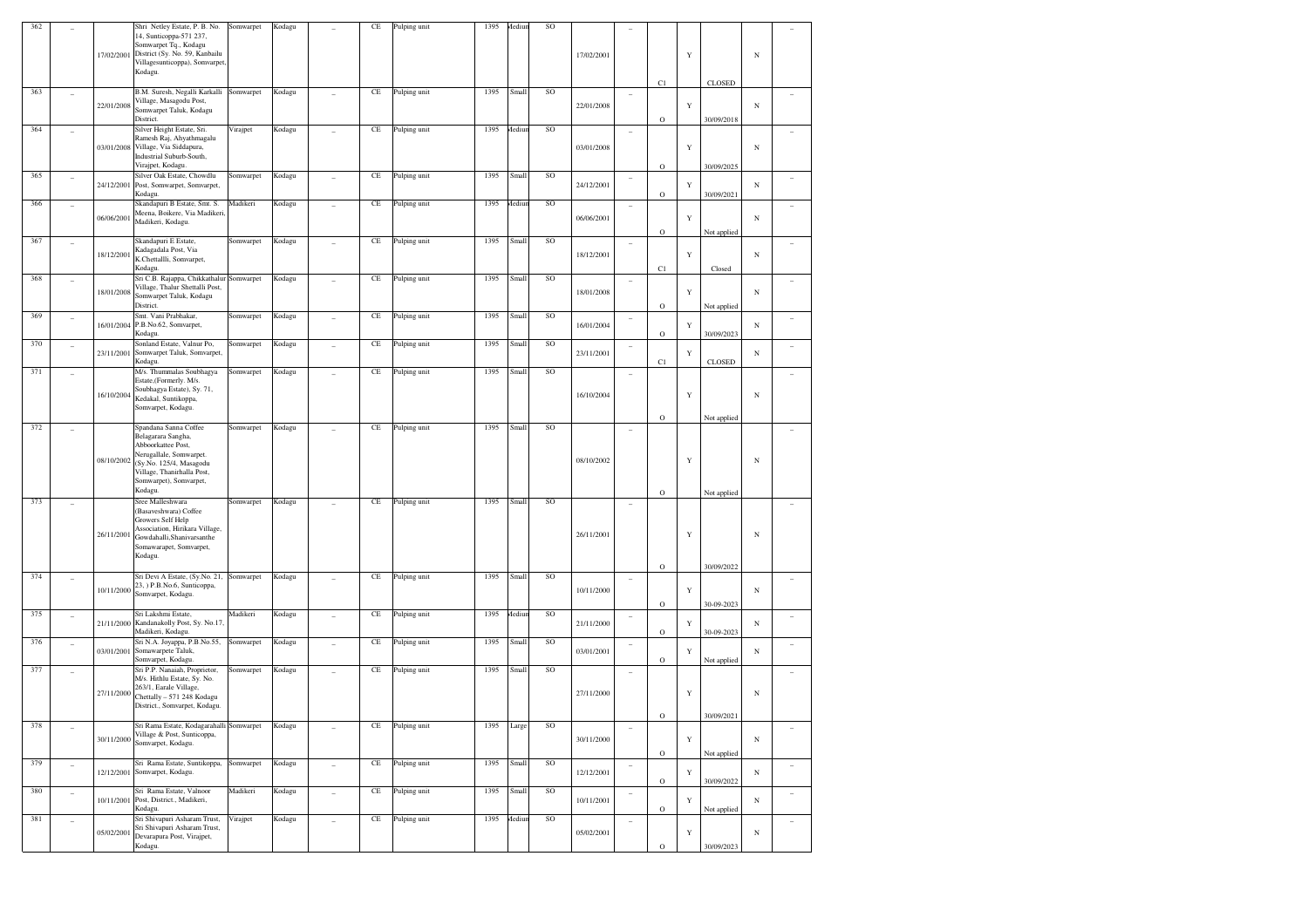| 362 |                          | 17/02/2001 | Shri Netley Estate, P. B. No.<br>14, Sunticoppa-571 237,<br>Somwarpet Tq., Kodagu<br>District (Sy. No. 59, Kanbailu<br>Villagesunticoppa), Somvarpet<br>Kodagu.                            | Somwarpet | Kodagu |                          | CE        | Pulping unit | 1395 | Mediur | SO              | 17/02/2001 |                          | C1                          | Y           | <b>CLOSED</b>             | $_{\rm N}$ |                |
|-----|--------------------------|------------|--------------------------------------------------------------------------------------------------------------------------------------------------------------------------------------------|-----------|--------|--------------------------|-----------|--------------|------|--------|-----------------|------------|--------------------------|-----------------------------|-------------|---------------------------|------------|----------------|
| 363 |                          | 22/01/2008 | B.M. Suresh, Negalli Karkalli Somwarpet<br>Village, Masagodu Post,<br>Somwarpet Taluk, Kodagu<br>District.                                                                                 |           | Kodagu |                          | $\!$ $\!$ | Pulping unit | 1395 | Small  | $\rm SO$        | 22/01/2008 | $\qquad \qquad -$        | $\circ$                     | $\mathbf Y$ | 30/09/2018                | $_{\rm N}$ |                |
| 364 | $\qquad \qquad -$        | 03/01/2008 | Silver Height Estate, Sri.<br>Ramesh Raj, Ahyathmagalu<br>Village, Via Siddapura,<br>Industrial Suburb-South,<br>Virajpet, Kodagu.                                                         | Virajpet  | Kodagu |                          | $\!$ $\!$ | Pulping unit | 1395 | Aediu  | $\rm SO$        | 03/01/2008 | $\qquad \qquad -$        | $\circ$                     | Y           | 30/09/2025                | $_{\rm N}$ |                |
| 365 | $\overline{a}$           | 24/12/2001 | Silver Oak Estate, Chowdlu<br>Post, Somwarpet, Somvarpet,<br>Kodagu.                                                                                                                       | Somwarpet | Kodagu | Ĭ.                       | $\rm CE$  | Pulping unit | 1395 | Smal   | SO              | 24/12/2001 | $\overline{a}$           | $\circ$                     | $\mathbf Y$ | 30/09/2021                | $_{\rm N}$ |                |
| 366 | $\qquad \qquad -$        | 06/06/2001 | Skandapuri B Estate, Smt. S.<br>Meena, Boikere, Via Madikeri<br>Madikeri, Kodagu.                                                                                                          | Madikeri  | Kodagu |                          | $\!$ $\!$ | Pulping unit | 1395 | Mediu  | $\rm SO$        | 06/06/2001 | $\qquad \qquad -$        | $\circ$                     | $\mathbf Y$ | Not applied               | $_{\rm N}$ |                |
| 367 | $\qquad \qquad -$        | 18/12/2001 | Skandapuri E Estate,<br>Kadagadala Post, Via<br>K.Chettallli, Somvarpet,<br>Kodagu.                                                                                                        | Somwarpet | Kodagu |                          | $\!$ $\!$ | Pulping unit | 1395 | Small  | $\rm SO$        | 18/12/2001 | $\qquad \qquad -$        | C1                          | $\mathbf Y$ | Closed                    | $_{\rm N}$ |                |
| 368 | $\overline{a}$           | 18/01/2008 | Sri C.B. Rajappa, Chikkathalur Somwarpet<br>Village, Thalur Shettalli Post,<br>Somwarpet Taluk, Kodagu<br>District.                                                                        |           | Kodagu |                          | $\!$ $\!$ | Pulping unit | 1395 | Smal   | $\rm SO$        | 18/01/2008 | $\overline{a}$           | $\circ$                     | $\mathbf Y$ | Not applied               | $_{\rm N}$ |                |
| 369 | $\overline{a}$           | 16/01/2004 | Smt. Vani Prabhakar,<br>P.B.No.62, Somvarpet,<br>Kodagu.                                                                                                                                   | Somwarpet | Kodagu | Ĭ.                       | $\!$ $\!$ | Pulping unit | 1395 | Smal   | SO              | 16/01/2004 | $\overline{a}$           | $\circ$                     | $\mathbf Y$ | 30/09/2023                | $_{\rm N}$ |                |
| 370 | $\overline{a}$           | 23/11/2001 | Sonland Estate, Valnur Po,<br>Somwarpet Taluk, Somvarpet,<br>Kodagu.                                                                                                                       | Somwarpet | Kodagu | $\overline{\phantom{0}}$ | $\!$ $\!$ | Pulping unit | 1395 | Smal   | SO              | 23/11/2001 | $\qquad \qquad -$        | C1                          | Y           | <b>CLOSED</b>             | $_{\rm N}$ |                |
| 371 | $\qquad \qquad -$        | 16/10/2004 | M/s. Thummalas Soubhagya<br>Estate,(Formerly. M/s.<br>Soubhagya Estate), Sy. 71,<br>Kedakal, Suntikoppa,<br>Somvarpet, Kodagu.                                                             | Somwarpet | Kodagu |                          | $\!$ $\!$ | Pulping unit | 1395 | Smal   | SO              | 16/10/2004 | $\qquad \qquad -$        |                             | Y           |                           | $_{\rm N}$ |                |
| 372 | $\overline{a}$           | 08/10/2002 | Spandana Sanna Coffee<br>Belagarara Sangha,<br>Abboorkattee Post,<br>Nerugallale, Somwarpet.<br>(Sy.No. 125/4, Masagodu<br>Village, Thanirhalla Post,<br>Somwarpet), Somvarpet,<br>Kodagu. | Somwarpet | Kodagu |                          | $\!$ $\!$ | Pulping unit | 1395 | Smal   | SO              | 08/10/2002 | $\overline{a}$           | $\circ$<br>$\circ$          | Y           | Not applied               | N          |                |
| 373 |                          | 26/11/2001 | Sree Malleshwara<br>(Basaveshwara) Coffee<br>Growers Self Help<br>Association, Hirikara Village,<br>Gowdahalli, Shanivarsanthe<br>Somawarapet, Somvarpet,<br>Kodagu.                       | Somwarpet | Kodagu |                          | $\!$ $\!$ | Pulping unit | 1395 | Smal   | SO              | 26/11/2001 | $\qquad \qquad -$        | $\circ$                     | Y           | Not applied<br>30/09/2022 | $_{\rm N}$ |                |
| 374 | $\overline{a}$           | 10/11/2000 | Sri Devi A Estate, (Sy.No. 21,<br>23, ) P.B.No.6, Sunticoppa,<br>Somvarpet, Kodagu.                                                                                                        | Somwarpet | Kodagu |                          | $\!$ $\!$ | Pulping unit | 1395 | Smal   | SO              | 10/11/2000 | $\overline{\phantom{a}}$ | $\circ$                     | $\mathbf Y$ | 30-09-2023                | $_{\rm N}$ |                |
| 375 | $\overline{a}$           | 21/11/2000 | Sri Lakshmi Estate,<br>Kandanakolly Post, Sy. No.17,<br>Madikeri, Kodagu.                                                                                                                  | Madikeri  | Kodagu | $\overline{\phantom{0}}$ | $\!$ $\!$ | Pulping unit | 1395 | Mediu  | SO              | 21/11/2000 | $\overline{a}$           | $\circ$                     | Y           | 30-09-2023                | $_{\rm N}$ |                |
| 376 | $\overline{a}$           | 03/01/2001 | Sri N.A. Joyappa, P.B.No.55,<br>Somawarpete Taluk,<br>Somvarpet, Kodagu.                                                                                                                   | Somwarpet | Kodagu | $\overline{\phantom{0}}$ | $\!$ $\!$ | Pulping unit | 1395 | Smal   | $\rm SO$        | 03/01/2001 | $\qquad \qquad -$        | $\circ$                     | Y           | Not applied               | $_{\rm N}$ |                |
| 377 | $\overline{a}$           | 27/11/2000 | Sri P.P. Nanaiah, Proprietor,<br>M/s. Hithlu Estate, Sy. No.<br>263/1, Earale Village,<br>Chettally - 571 248 Kodagu<br>District., Somvarpet, Kodagu.                                      | Somwarpet | Kodagu |                          | $\!$ $\!$ | Pulping unit | 1395 | Small  | SO              | 27/11/2000 | $\overline{\phantom{a}}$ |                             | Y           |                           | N          |                |
| 378 |                          | 30/11/2000 | Sri Rama Estate, Kodagarahalli Somwarpet<br>Village & Post, Sunticoppa,<br>Somvarpet, Kodagu.                                                                                              |           | Kodagu |                          | $\!$ $\!$ | Pulping unit | 1395 | Large  | SO              | 30/11/2000 |                          | $\mathbf{O}$<br>$\mathbf O$ | $\mathbf Y$ | 30/09/2021                | $_{\rm N}$ |                |
| 379 | $\overline{\phantom{a}}$ | 12/12/2001 | Sri Rama Estate, Suntikoppa, Somwarpet<br>Somvarpet, Kodagu.                                                                                                                               |           | Kodagu | Ĭ.                       | $\rm CE$  | Pulping unit | 1395 | Small  | SO <sub>1</sub> | 12/12/2001 | $\overline{\phantom{a}}$ | $\mathbf O$                 | $\mathbf Y$ | Not applied<br>30/09/2022 | $_{\rm N}$ | $\overline{a}$ |
| 380 | $\overline{\phantom{a}}$ | 10/11/2001 | Sri Rama Estate, Valnoor<br>Post, District., Madikeri,<br>Kodagu.                                                                                                                          | Madikeri  | Kodagu | Ĭ.                       | $\rm CE$  | Pulping unit | 1395 | Small  | SO <sub>1</sub> | 10/11/2001 | $\overline{\phantom{a}}$ | $\mathbf O$                 | $\mathbf Y$ | Not applied               | $_{\rm N}$ | $\overline{a}$ |
| 381 | $\overline{\phantom{a}}$ | 05/02/2001 | Sri Shivapuri Asharam Trust,<br>Sri Shivapuri Asharam Trust,<br>Devarapura Post, Virajpet,<br>Kodagu.                                                                                      | Virajpet  | Kodagu | Ĭ.                       | $\!$ $\!$ | Pulping unit | 1395 | Aediu  | SO <sub>1</sub> | 05/02/2001 | $\overline{\phantom{a}}$ | $\rm{O}$                    | $\mathbf Y$ | 30/09/2023                | $_{\rm N}$ | $\overline{a}$ |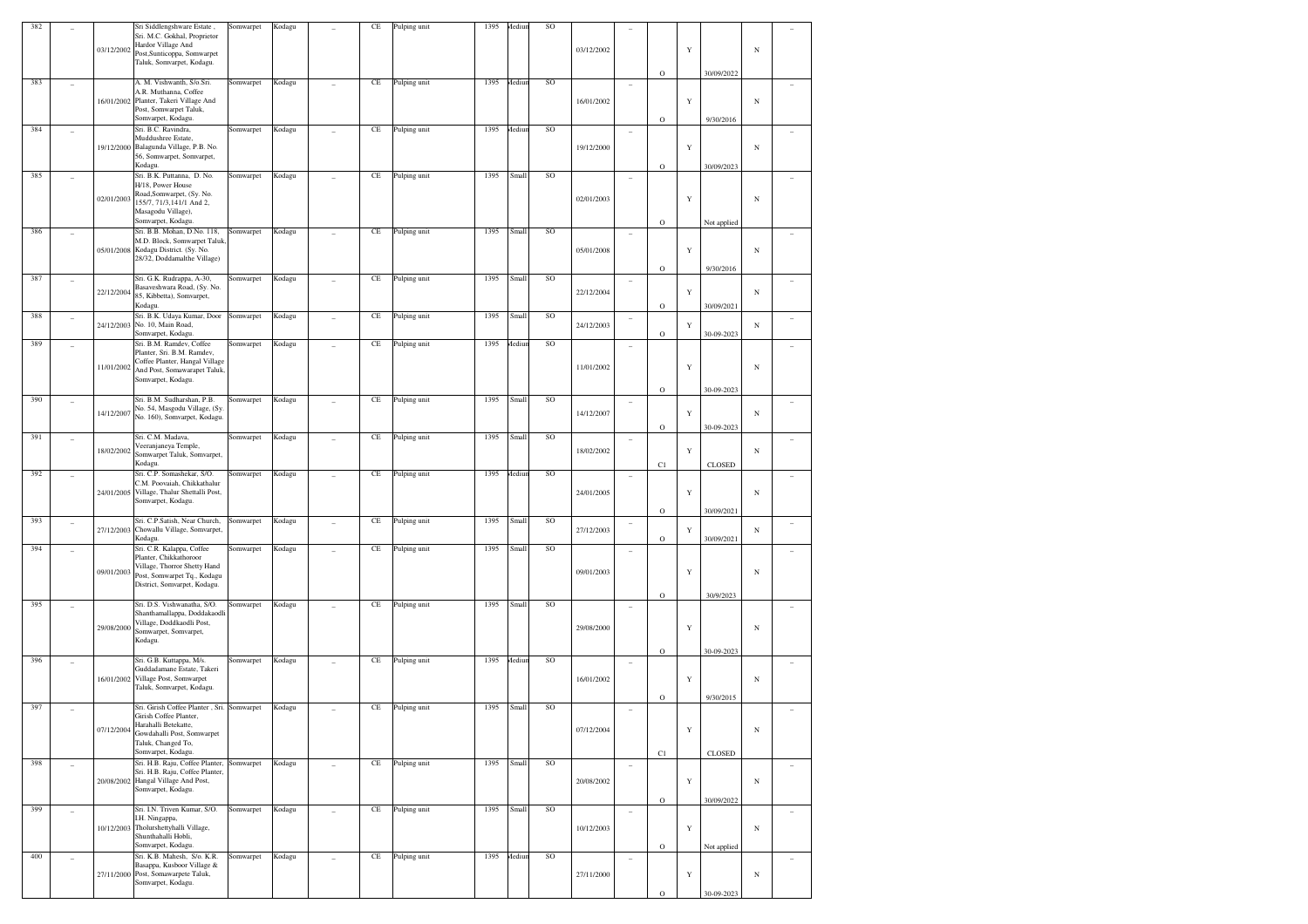| 382 |                |            | Sri Siddlengshware Estate,<br>Sri. M.C. Gokhal, Proprietor           | Somwarpet | Kodagu |                          | CE       | Pulping unit | 1395 | Aediun | SO            |            |                          |              |             |                           |            |        |
|-----|----------------|------------|----------------------------------------------------------------------|-----------|--------|--------------------------|----------|--------------|------|--------|---------------|------------|--------------------------|--------------|-------------|---------------------------|------------|--------|
|     |                |            | Hardor Village And                                                   |           |        |                          |          |              |      |        |               |            |                          |              |             |                           |            |        |
|     |                | 03/12/2002 | Post, Sunticoppa, Somwarpet<br>Taluk, Somvarpet, Kodagu.             |           |        |                          |          |              |      |        |               | 03/12/2002 |                          |              | Y           |                           | $_{\rm N}$ |        |
|     |                |            |                                                                      |           |        |                          |          |              |      |        |               |            |                          | $\mathbf O$  |             | 30/09/2022                |            |        |
| 383 |                |            | A. M. Vishwanth, S/o.Sri.<br>A.R. Muthanna, Coffee                   | Somwarpet | Kodagu |                          | $\rm CE$ | Pulping unit | 1395 | Mediur | SO            |            | $\overline{\phantom{a}}$ |              |             |                           |            |        |
|     |                |            | 16/01/2002 Planter, Takeri Village And                               |           |        |                          |          |              |      |        |               | 16/01/2002 |                          |              | $\mathbf Y$ |                           | $_{\rm N}$ |        |
|     |                |            | Post, Somwarpet Taluk,<br>Somvarpet, Kodagu.                         |           |        |                          |          |              |      |        |               |            |                          | $\mathbf O$  |             | 9/30/2016                 |            |        |
| 384 | ÷,             |            | Sri. B.C. Ravindra,                                                  | Somwarpet | Kodagu |                          | $\rm CE$ | Pulping unit | 1395 | Aediun | SO            |            | ٠                        |              |             |                           |            |        |
|     |                | 19/12/2000 | Muddushree Estate,<br>Balagunda Village, P.B. No.                    |           |        |                          |          |              |      |        |               | 19/12/2000 |                          |              | Y           |                           | $_{\rm N}$ |        |
|     |                |            | 56, Somwarpet, Somvarpet,                                            |           |        |                          |          |              |      |        |               |            |                          |              |             |                           |            |        |
|     |                |            | Kodagu.                                                              |           |        |                          |          |              |      |        | SO            |            |                          | $\mathbf O$  |             | 30/09/2023                |            |        |
| 385 | ÷,             |            | Sri. B.K. Puttanna, D. No.<br>H/18, Power House                      | Somwarpet | Kodagu |                          | $\rm CE$ | Pulping unit | 1395 | Small  |               |            | ٠                        |              |             |                           |            |        |
|     |                | 02/01/2003 | Road, Somwarpet, (Sy. No.<br>155/7, 71/3, 141/1 And 2,               |           |        |                          |          |              |      |        |               | 02/01/2003 |                          |              | Y           |                           | $_{\rm N}$ |        |
|     |                |            | Masagodu Village),                                                   |           |        |                          |          |              |      |        |               |            |                          |              |             |                           |            |        |
| 386 |                |            | Somvarpet, Kodagu.<br>Sri. B.B. Mohan, D.No. 118,                    |           |        |                          | $\rm CE$ |              | 1395 | Small  | SO            |            |                          | $\mathbf O$  |             | Not applied               |            |        |
|     | ÷              |            | M.D. Block, Somwarpet Taluk                                          | Somwarpet | Kodagu |                          |          | Pulping unit |      |        |               |            | ۰                        |              |             |                           |            |        |
|     |                | 05/01/2008 | Kodagu District. (Sy. No.<br>28/32, Doddamalthe Village)             |           |        |                          |          |              |      |        |               | 05/01/2008 |                          |              | $\mathbf Y$ |                           | $_{\rm N}$ |        |
|     |                |            |                                                                      |           |        |                          |          |              |      |        |               |            |                          | $\mathbf O$  |             | 9/30/2016                 |            |        |
| 387 | ÷,             |            | Sri. G.K. Rudrappa, A-30,<br>Basaveshwara Road, (Sy. No.             | Somwarpet | Kodagu |                          | $\rm CE$ | Pulping unit | 1395 | Small  | SO            |            | ٠                        |              |             |                           |            |        |
|     |                | 22/12/2004 | 85, Kibbetta), Somvarpet,                                            |           |        |                          |          |              |      |        |               | 22/12/2004 |                          |              | Y           |                           | $_{\rm N}$ |        |
| 388 |                |            | Kodagu.<br>Sri. B.K. Udaya Kumar, Door                               | Somwarpet | Kodagu |                          | $\rm CE$ | Pulping unit | 1395 | Small  | SO            |            |                          | $\mathbf O$  |             | 30/09/2021                |            |        |
|     | ٠              | 24/12/2003 | No. 10, Main Road,                                                   |           |        |                          |          |              |      |        |               | 24/12/2003 | $\sim$                   |              | Y           |                           | N          | ۰      |
| 389 |                |            | Somvarpet, Kodagu.<br>Sri. B.M. Ramdev, Coffee                       | Somwarpet | Kodagu |                          | $\rm CE$ | Pulping unit | 1395 | Aediur | SO            |            | ٠                        | $\mathbf O$  |             | 30-09-2023                |            |        |
|     | ٠              |            | Planter, Sri. B.M. Ramdev,                                           |           |        |                          |          |              |      |        |               |            |                          |              |             |                           |            |        |
|     |                | 11/01/2002 | Coffee Planter, Hangal Village<br>And Post, Somawarapet Taluk        |           |        |                          |          |              |      |        |               | 11/01/2002 |                          |              | Y           |                           | $_{\rm N}$ |        |
|     |                |            | Somvarpet, Kodagu.                                                   |           |        |                          |          |              |      |        |               |            |                          |              |             |                           |            |        |
| 390 | ÷              |            | Sri. B.M. Sudharshan, P.B.                                           | Somwarpet | Kodagu |                          | $\rm CE$ | Pulping unit | 1395 | Small  | SO            |            | ٠                        | $\mathbf O$  |             | 30-09-2023                |            |        |
|     |                | 14/12/2007 | No. 54, Masgodu Village, (Sy.                                        |           |        |                          |          |              |      |        |               | 14/12/2007 |                          |              | Y           |                           | $_{\rm N}$ |        |
|     |                |            | No. 160), Somvarpet, Kodagu.                                         |           |        |                          |          |              |      |        |               |            |                          | $\mathbf O$  |             | 30-09-2023                |            |        |
| 391 | ÷              |            | Sri. C.M. Madava,                                                    | Somwarpet | Kodagu |                          | $\rm CE$ | Pulping unit | 1395 | Small  | SO            |            | ٠                        |              |             |                           |            |        |
|     |                | 18/02/2002 | Veeranjaneya Temple,<br>Somwarpet Taluk, Somvarpet,                  |           |        |                          |          |              |      |        |               | 18/02/2002 |                          |              | Y           |                           | $_{\rm N}$ |        |
|     |                |            | Kodagu.                                                              |           |        |                          |          |              |      |        |               |            |                          | C1           |             | CLOSED                    |            |        |
| 392 | ÷,             |            | Sri. C.P. Somashekar, S/O.<br>C.M. Poovaiah, Chikkathalur            | somwarpet | Kodagu |                          | $\rm CE$ | Pulping unit | 1395 | Mediur | SO            |            | ٠                        |              |             |                           |            |        |
|     |                | 24/01/2005 | Village, Thalur Shettalli Post,<br>Somvarpet, Kodagu.                |           |        |                          |          |              |      |        |               | 24/01/2005 |                          |              | Y           |                           | $_{\rm N}$ |        |
|     |                |            |                                                                      |           |        |                          |          |              |      |        |               |            |                          | $\mathbf O$  |             | 30/09/2021                |            |        |
| 393 | ٠              | 27/12/2003 | Sri. C.P.Satish, Near Church,<br>Chowallu Village, Somvarpet,        | Somwarpet | Kodagu | $\sim$                   | $\rm CE$ | Pulping unit | 1395 | Small  | SO            | 27/12/2003 | $\sim$                   |              | Y           |                           | $_{\rm N}$ | ٠      |
|     |                |            | Kodagu.                                                              |           |        |                          |          |              |      |        |               |            |                          | $\mathbf O$  |             | 30/09/2021                |            |        |
| 394 | ÷,             |            | Sri. C.R. Kalappa, Coffee<br>Planter, Chikkathoroor                  | Somwarpet | Kodagu |                          | $\rm CE$ | Pulping unit | 1395 | Small  | SO            |            | ٠                        |              |             |                           |            |        |
|     |                | 09/01/2003 | Village, Thorror Shetty Hand                                         |           |        |                          |          |              |      |        |               | 09/01/2003 |                          |              | Y           |                           | $_{\rm N}$ |        |
|     |                |            | Post, Somwarpet Tq., Kodagu<br>District, Somvarpet, Kodagu.          |           |        |                          |          |              |      |        |               |            |                          |              |             |                           |            |        |
|     |                |            |                                                                      |           |        |                          |          |              |      |        |               |            |                          | $\mathbf O$  |             | 30/9/2023                 |            |        |
| 395 | ÷              |            | Sri. D.S. Vishwanatha, S/O.<br>Shanthamallappa, Doddakaodli          | Somwarpet | Kodagu |                          | $\rm CE$ | Pulping unit | 1395 | Small  | SO            |            | ٠                        |              |             |                           |            |        |
|     |                | 29/08/2000 | Village, Doddkaodli Post,                                            |           |        |                          |          |              |      |        |               | 29/08/2000 |                          |              | Y           |                           | $_{\rm N}$ |        |
|     |                |            | Somwarpet, Somvarpet,<br>Kodagu.                                     |           |        |                          |          |              |      |        |               |            |                          |              |             |                           |            |        |
|     |                |            |                                                                      |           |        |                          |          |              |      |        |               |            |                          | $\mathbf O$  |             | 30-09-2023                |            |        |
| 396 |                |            | Sri. G.B. Kuttappa, M/s.<br>Guddadamane Estate, Takeri               | Somwarpet | Kodagu |                          | $\rm CE$ | Pulping unit | 1395 | Mediur | SO            |            | $\sim$                   |              |             |                           |            |        |
|     |                |            | 16/01/2002 Village Post, Somwarpet<br>Taluk, Somvarpet, Kodagu.      |           |        |                          |          |              |      |        |               | 16/01/2002 |                          |              | Y           |                           | $_{\rm N}$ |        |
|     |                |            |                                                                      |           |        |                          |          |              |      |        |               |            |                          | $\mathbf O$  |             | 9/30/2015                 |            |        |
| 397 | ÷,             |            | Sri. Girish Coffee Planter, Sri. Somwarpet<br>Girish Coffee Planter, |           | Kodagu |                          | $\rm CE$ | Pulping unit | 1395 | Small  | SO            |            | $\overline{\phantom{a}}$ |              |             |                           |            |        |
|     |                |            | Harahalli Betekatte,                                                 |           |        |                          |          |              |      |        |               |            |                          |              |             |                           |            |        |
|     |                | 07/12/2004 | Gowdahalli Post, Somwarpet<br>Taluk, Changed To,                     |           |        |                          |          |              |      |        |               | 07/12/2004 |                          |              | Y           |                           | $_{\rm N}$ |        |
|     |                |            | Somvarpet, Kodagu.                                                   |           |        |                          |          |              |      |        |               |            |                          | C1           |             | $\textsc{clos}\textsc{e}$ |            |        |
| 398 | $\overline{a}$ |            | Sri. H.B. Raju, Coffee Planter,<br>Sri. H.B. Raju, Coffee Planter,   | Somwarpet | Kodagu | $\overline{a}$           | $\rm CE$ | Pulping unit | 1395 | Small  | <sub>SO</sub> |            | ٠                        |              |             |                           |            | $\sim$ |
|     |                |            | 20/08/2002 Hangal Village And Post,                                  |           |        |                          |          |              |      |        |               | 20/08/2002 |                          |              | $\mathbf Y$ |                           | $_{\rm N}$ |        |
|     |                |            | Somvarpet, Kodagu.                                                   |           |        |                          |          |              |      |        |               |            |                          | $\mathbf O$  |             | 30/09/2022                |            |        |
| 399 | $\equiv$       |            | Sri. I.N. Triven Kumar, S/O.                                         | Somwarpet | Kodagu | $\sim$                   | $\rm CE$ | Pulping unit | 1395 | Small  | SO            |            | $\sim$                   |              |             |                           |            | $\sim$ |
|     |                |            | I.H. Ningappa,<br>10/12/2003 Tholurshettyhalli Village,              |           |        |                          |          |              |      |        |               | 10/12/2003 |                          |              | Y           |                           | $_{\rm N}$ |        |
|     |                |            | Shunthahalli Hobli,                                                  |           |        |                          |          |              |      |        |               |            |                          |              |             |                           |            |        |
| 400 | $\equiv$       |            | Somvarpet, Kodagu.<br>Sri. K.B. Mahesh, S/o. K.R.                    | Somwarpet | Kodagu | $\overline{\phantom{a}}$ | $\rm CE$ | Pulping unit | 1395 | Aediun | SO            |            | ٠                        | $\mathbf O$  |             | Not applied               |            | $\sim$ |
|     |                |            | Basappa, Kusboor Village &                                           |           |        |                          |          |              |      |        |               |            |                          |              |             |                           |            |        |
|     |                | 27/11/2000 | Post, Somawarpete Taluk,<br>Somvarpet, Kodagu.                       |           |        |                          |          |              |      |        |               | 27/11/2000 |                          |              | $\mathbf Y$ |                           | $_{\rm N}$ |        |
|     |                |            |                                                                      |           |        |                          |          |              |      |        |               |            |                          | $\mathbf{o}$ |             | 30-09-2023                |            |        |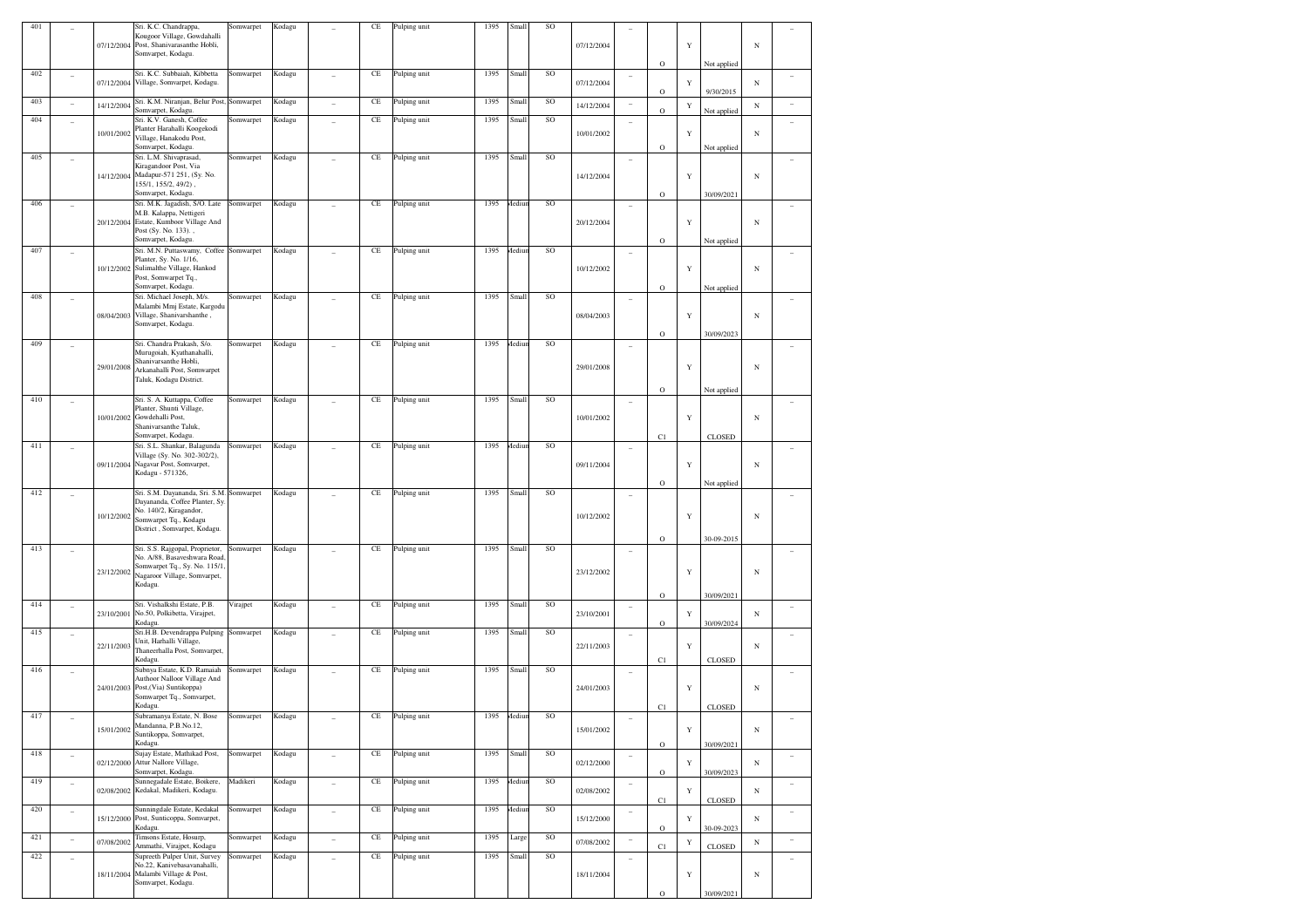| 401 |                          |            | Sri. K.C. Chandrappa,                                            | somwarpet | Kodagu |    | CE       | Pulping unit | 1395       | Small        | SO        |            |                |             |             |               |            |                          |
|-----|--------------------------|------------|------------------------------------------------------------------|-----------|--------|----|----------|--------------|------------|--------------|-----------|------------|----------------|-------------|-------------|---------------|------------|--------------------------|
|     |                          |            | Kougoor Village, Gowdahalli                                      |           |        |    |          |              |            |              |           |            |                |             |             |               |            |                          |
|     |                          |            | 07/12/2004 Post, Shanivarasanthe Hobli,<br>Somvarpet, Kodagu.    |           |        |    |          |              |            |              |           | 07/12/2004 |                |             | Y           |               | $_{\rm N}$ |                          |
|     |                          |            |                                                                  |           |        |    |          |              |            |              |           |            |                | $\circ$     |             | Not applied   |            |                          |
| 402 |                          |            | Sri. K.C. Subbaiah, Kibbetta                                     | Somwarpet | Kodagu |    | $\rm CE$ | Pulping unit | 1395       | Small        | SO        |            | $\overline{a}$ |             |             |               |            |                          |
|     |                          | 07/12/2004 | Village, Somvarpet, Kodagu.                                      |           |        |    |          |              |            |              |           | 07/12/2004 |                |             | Y           |               | $_{\rm N}$ |                          |
| 403 |                          |            | Sri. K.M. Niranjan, Belur Post,                                  | Somwarpet | Kodagu |    | $\rm CE$ | Pulping unit | 1395       | Small        | SO        |            |                | $\rm{O}$    |             | 9/30/2015     |            |                          |
|     |                          | 14/12/2004 | Somvarpet, Kodagu.                                               |           |        |    |          |              |            |              |           | 14/12/2004 | $\overline{a}$ | O           | Y           | Not applied   | $_{\rm N}$ |                          |
| 404 |                          |            | Sri. K.V. Ganesh, Coffee                                         | Somwarpet | Kodagu |    | $\rm CE$ | Pulping unit | 1395       | Small        | <b>SO</b> |            |                |             |             |               |            |                          |
|     |                          | 10/01/2002 | Planter Harahalli Koogekodi                                      |           |        |    |          |              |            |              |           | 10/01/2002 |                |             | Y           |               | $_{\rm N}$ |                          |
|     |                          |            | Village, Hanakodu Post,<br>Somvarpet, Kodagu.                    |           |        |    |          |              |            |              |           |            |                | $\circ$     |             | Not applied   |            |                          |
| 405 |                          |            | Sri. L.M. Shivaprasad,                                           | Somwarpet | Kodagu |    | CE       | Pulping unit | 1395       | Small        | SO        |            | $\overline{a}$ |             |             |               |            |                          |
|     |                          |            | Kiragandoor Post, Via                                            |           |        |    |          |              |            |              |           |            |                |             |             |               |            |                          |
|     |                          | 14/12/2004 | Madapur-571 251, (Sy. No.<br>155/1, 155/2, 49/2),                |           |        |    |          |              |            |              |           | 14/12/2004 |                |             | Y           |               | $_{\rm N}$ |                          |
|     |                          |            | Somvarpet, Kodagu.                                               |           |        |    |          |              |            |              |           |            |                | $\circ$     |             | 30/09/2021    |            |                          |
| 406 |                          |            | Sri. M.K. Jagadish, S/O. Late                                    | Somwarpet | Kodagu |    | $\rm CE$ | Pulping unit | 1395       | Mediur       | SO        |            |                |             |             |               |            |                          |
|     |                          |            | M.B. Kalappa, Nettigeri                                          |           |        |    |          |              |            |              |           |            |                |             |             |               |            |                          |
|     |                          | 20/12/2004 | Estate, Kumboor Village And<br>Post (Sy. No. 133).,              |           |        |    |          |              |            |              |           | 20/12/2004 |                |             | Y           |               | $_{\rm N}$ |                          |
|     |                          |            | Somvarpet, Kodagu.                                               |           |        |    |          |              |            |              |           |            |                | $\circ$     |             | Not applied   |            |                          |
| 407 |                          |            | Sri. M.N. Puttaswamy, Coffee                                     | Somwarpet | Kodagu |    | CE       | Pulping unit | 1395       | <b>Aediu</b> | SO        |            |                |             |             |               |            |                          |
|     |                          |            | Planter, Sy. No. 1/16,                                           |           |        |    |          |              |            |              |           |            |                |             |             |               |            |                          |
|     |                          |            | 10/12/2002 Sulimalthe Village, Hankod<br>Post, Somwarpet Tq.,    |           |        |    |          |              |            |              |           | 10/12/2002 |                |             | Y           |               | $_{\rm N}$ |                          |
|     |                          |            | Somvarpet, Kodagu.                                               |           |        |    |          |              |            |              |           |            |                | $\circ$     |             | Not applied   |            |                          |
| 408 |                          |            | Sri. Michael Joseph, M/s.                                        | Somwarpet | Kodagu |    | $\rm CE$ | Pulping unit | 1395       | Small        | SO        |            |                |             |             |               |            |                          |
|     |                          | 08/04/2003 | Malambi Mmj Estate, Kargodu<br>Village, Shanivarshanthe,         |           |        |    |          |              |            |              |           |            |                |             |             |               |            |                          |
|     |                          |            | Somvarpet, Kodagu.                                               |           |        |    |          |              |            |              |           | 08/04/2003 |                |             | Y           |               | $_{\rm N}$ |                          |
|     |                          |            |                                                                  |           |        |    |          |              |            |              |           |            |                | $\circ$     |             | 30/09/2023    |            |                          |
| 409 |                          |            | Sri. Chandra Prakash, S/o.                                       | Somwarpet | Kodagu |    | CE       | Pulping unit | 1395       | <b>Aediu</b> | SO        |            | $\overline{a}$ |             |             |               |            |                          |
|     |                          |            | Murugoiah, Kyathanahalli,<br>Shanivarsanthe Hobli,               |           |        |    |          |              |            |              |           |            |                |             |             |               |            |                          |
|     |                          | 29/01/2008 | Arkanahalli Post, Somwarpet                                      |           |        |    |          |              |            |              |           | 29/01/2008 |                |             | Y           |               | $_{\rm N}$ |                          |
|     |                          |            | Taluk, Kodagu District.                                          |           |        |    |          |              |            |              |           |            |                |             |             |               |            |                          |
|     |                          |            |                                                                  |           |        |    |          |              |            |              |           |            |                | $\rm{O}$    |             | Not applied   |            |                          |
| 410 |                          |            | Sri. S. A. Kuttappa, Coffee<br>Planter, Shunti Village,          | Somwarpet | Kodagu |    | $\rm CE$ | Pulping unit | 1395       | Small        | SO        |            |                |             |             |               |            |                          |
|     |                          |            | 10/01/2002 Gowdehalli Post,                                      |           |        |    |          |              |            |              |           | 10/01/2002 |                |             | Y           |               | $_{\rm N}$ |                          |
|     |                          |            | Shanivarsanthe Taluk,                                            |           |        |    |          |              |            |              |           |            |                |             |             |               |            |                          |
|     |                          |            | Somvarpet, Kodagu.                                               |           |        |    |          |              |            |              |           |            |                | C1          |             | <b>CLOSED</b> |            |                          |
| 411 |                          |            | Sri. S.L. Shankar, Balagunda<br>Village (Sy. No. 302-302/2),     | Somwarpet | Kodagu |    | $\rm CE$ | Pulping unit | 1395       | Mediur       | SO        |            | -              |             |             |               |            |                          |
|     |                          | 09/11/2004 | Nagavar Post, Somvarpet,                                         |           |        |    |          |              |            |              |           | 09/11/2004 |                |             | Y           |               | $_{\rm N}$ |                          |
|     |                          |            | Kodagu - 571326,                                                 |           |        |    |          |              |            |              |           |            |                |             |             |               |            |                          |
|     |                          |            |                                                                  |           |        |    |          |              |            |              |           |            |                | $\rm{O}$    |             | Not applied   |            |                          |
| 412 |                          |            | Sri. S.M. Dayananda, Sri. S.M.<br>Dayananda, Coffee Planter, Sy. | Somwarpet | Kodagu |    | CE       | Pulping unit | 1395       | Small        | SO        |            |                |             |             |               |            |                          |
|     |                          |            | No. 140/2, Kiragandor,                                           |           |        |    |          |              |            |              |           |            |                |             |             |               |            |                          |
|     |                          | 10/12/2002 | Somwarpet Tq., Kodagu                                            |           |        |    |          |              |            |              |           | 10/12/2002 |                |             | Y           |               | $_{\rm N}$ |                          |
|     |                          |            | District, Somvarpet, Kodagu.                                     |           |        |    |          |              |            |              |           |            |                |             |             |               |            |                          |
| 413 |                          |            | Sri. S.S. Rajgopal, Proprietor,                                  | Somwarpet | Kodagu |    | $\rm CE$ | Pulping unit | 1395       | Small        | SO        |            |                | $\rm{O}$    |             | 30-09-2015    |            |                          |
|     |                          |            | No. A/88, Basaveshwara Road,                                     |           |        |    |          |              |            |              |           |            |                |             |             |               |            |                          |
|     |                          | 23/12/2002 | Somwarpet Tq., Sy. No. 115/1.                                    |           |        |    |          |              |            |              |           | 23/12/2002 |                |             | Y           |               | $_{\rm N}$ |                          |
|     |                          |            | Nagaroor Village, Somvarpet,<br>Kodagu.                          |           |        |    |          |              |            |              |           |            |                |             |             |               |            |                          |
|     |                          |            |                                                                  |           |        |    |          |              |            |              |           |            |                | $\circ$     |             | 30/09/2021    |            |                          |
| 414 |                          |            | Sri. Vishalkshi Estate, P.B.                                     | Virajpet  | Kodagu |    | $\rm CE$ | Pulping unit | 1395       | Small        | SO        |            | $\overline{a}$ |             |             |               |            |                          |
|     |                          | 23/10/2001 | No.50, Polkibetta, Virajpet,                                     |           |        |    |          |              |            |              |           | 23/10/2001 |                |             | Y           |               | $_{\rm N}$ |                          |
| 415 |                          |            | Kodagu.<br>Sri.H.B. Devendrappa Pulping                          | Somwarpet | Kodagu |    | $\rm CE$ | Pulping unit | 1395       | Small        | <b>SO</b> |            |                | $\rm{O}$    |             | 30/09/2024    |            |                          |
|     |                          |            | Unit, Harhalli Village,                                          |           |        |    |          |              |            |              |           |            | -              |             |             |               |            |                          |
|     |                          | 22/11/2003 | Thaneerhalla Post, Somvarpet,                                    |           |        |    |          |              |            |              |           | 22/11/2003 |                |             | Y           |               | $_{\rm N}$ |                          |
| 416 |                          |            | Kodagu.<br>Subnya Estate, K.D. Ramaiah                           | Somwarpet |        |    | $\rm CE$ |              | 1395       | Small        | <b>SO</b> |            |                | C1          |             | <b>CLOSED</b> |            |                          |
|     |                          |            | Authoor Nalloor Village And                                      |           | Kodagu |    |          | Pulping unit |            |              |           |            | i.             |             |             |               |            |                          |
|     |                          | 24/01/2003 | Post, (Via) Suntikoppa)                                          |           |        |    |          |              |            |              |           | 24/01/2003 |                |             | Y           |               | $_{\rm N}$ |                          |
|     |                          |            | Somwarpet Tq., Somvarpet,<br>Kodagu.                             |           |        |    |          |              |            |              |           |            |                |             |             |               |            |                          |
| 417 |                          |            | Subramanya Estate, N. Bose                                       | Somwarpet | Kodagu |    | CE       | Pulping unit | 1395 Mediu |              | SO        |            |                | C1          |             | <b>CLOSED</b> |            |                          |
|     |                          |            | Mandanna, P.B.No.12,                                             |           |        |    |          |              |            |              |           |            |                |             |             |               |            |                          |
|     |                          | 15/01/2002 | Suntikoppa, Somvarpet,                                           |           |        |    |          |              |            |              |           | 15/01/2002 |                |             | Y           |               | N          |                          |
|     |                          |            | Kodagu.<br>Sujay Estate, Mathikad Post,                          |           |        |    |          | Pulping unit |            |              | SO        |            |                | $\mathbf O$ |             | 30/09/2021    |            |                          |
| 418 |                          | 02/12/2000 | Attur Nallore Village,                                           | Somwarpet | Kodagu |    | $\rm CE$ |              | 1395       | Small        |           | 02/12/2000 | Ĭ.             |             | Y           |               | $_{\rm N}$ | $\overline{a}$           |
|     |                          |            | Somvarpet, Kodagu.                                               |           |        |    |          |              |            |              |           |            |                | $\rm{O}$    |             | 30/09/2023    |            |                          |
| 419 | $\overline{\phantom{a}}$ |            | Sunnegadale Estate, Boikere,                                     | Madikeri  | Kodagu | L  | $\rm CE$ | Pulping unit | 1395       | Aediur       | SO        |            | $\overline{a}$ |             |             |               |            | $\overline{a}$           |
|     |                          | 02/08/2002 | Kedakal, Madikeri, Kodagu.                                       |           |        |    |          |              |            |              |           | 02/08/2002 |                | C1          | Y           | <b>CLOSED</b> | N          |                          |
| 420 | $\overline{\phantom{a}}$ |            | Sunningdale Estate, Kedakal                                      | Somwarpet | Kodagu |    | $\rm CE$ | Pulping unit | 1395       | Mediun       | SO        |            | $\overline{a}$ |             |             |               |            |                          |
|     |                          | 15/12/2000 | Post, Sunticoppa, Somvarpet,                                     |           |        |    |          |              |            |              |           | 15/12/2000 |                |             | Y           |               | $_{\rm N}$ | $\overline{\phantom{0}}$ |
|     |                          |            | Kodagu.                                                          |           |        |    |          |              |            |              |           |            |                | $\rm{O}$    |             | 30-09-2023    |            |                          |
| 421 |                          | 07/08/2002 | Timsons Estate, Hosurp,<br>Ammathi, Virajpet, Kodagu             | Somwarpet | Kodagu |    | $\rm CE$ | Pulping unit | 1395       | Large        | SO        | 07/08/2002 |                | C1          | $\mathbf Y$ | CLOSED        | $_{\rm N}$ | ÷,                       |
| 422 | ÷,                       |            | Supreeth Pulper Unit, Survey                                     | Somwarpet | Kodagu | L, | $\rm CE$ | Pulping unit | 1395       | Small        | SO        |            |                |             |             |               |            |                          |
|     |                          |            | No.22, Kanivebasavanahalli,                                      |           |        |    |          |              |            |              |           |            |                |             |             |               |            |                          |
|     |                          |            | 18/11/2004 Malambi Village & Post,<br>Somvarpet, Kodagu.         |           |        |    |          |              |            |              |           | 18/11/2004 |                |             | Y           |               | $_{\rm N}$ |                          |
|     |                          |            |                                                                  |           |        |    |          |              |            |              |           |            |                | $\rm{O}$    |             | 30/09/2021    |            |                          |
|     |                          |            |                                                                  |           |        |    |          |              |            |              |           |            |                |             |             |               |            |                          |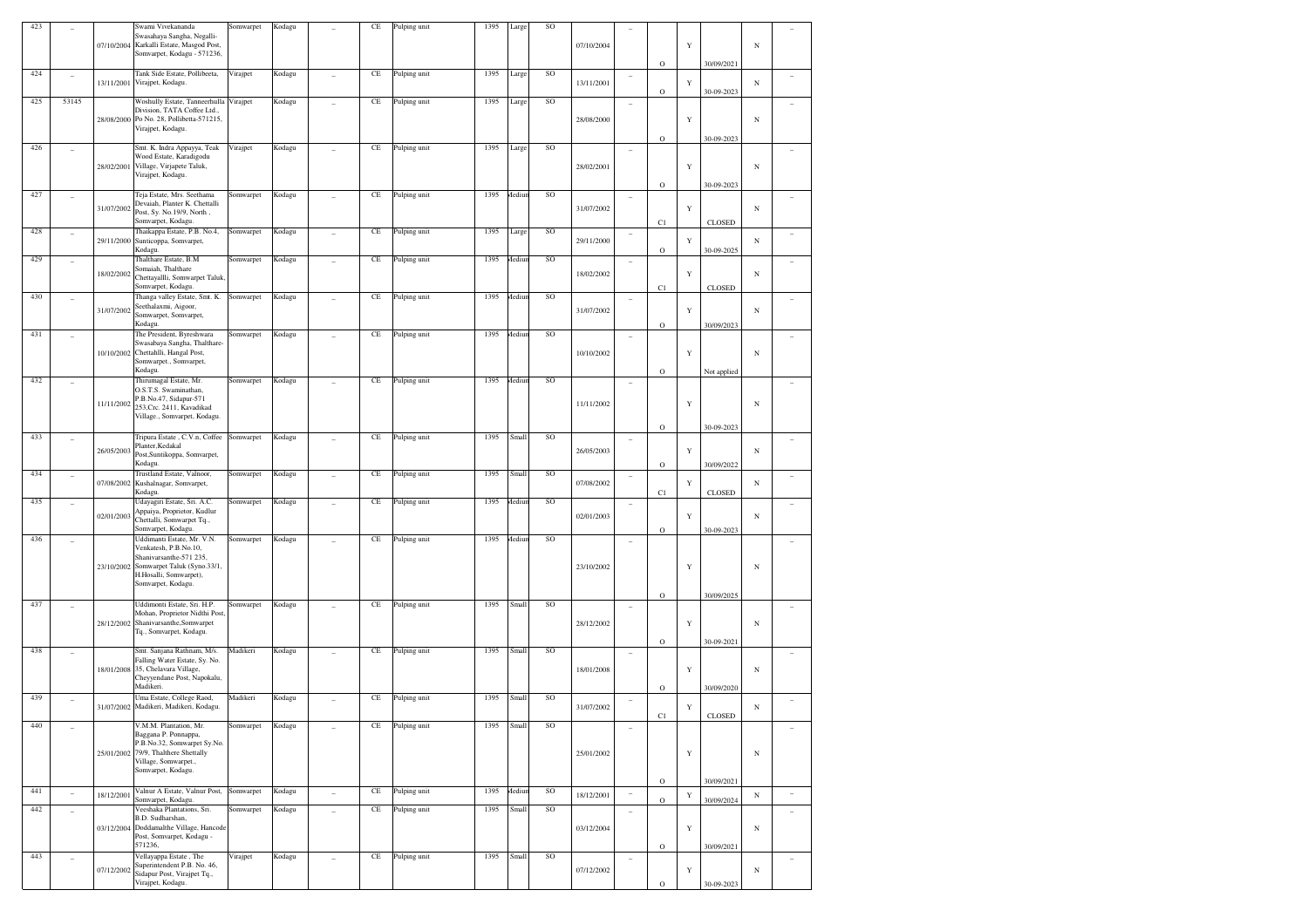| 423 |                          | 07/10/2004 | Swami Vivekananda<br>Swasahaya Sangha, Negalli-<br>Karkalli Estate, Masgod Post,<br>Somvarpet, Kodagu - 571236,                                                     | Somwarpet | Kodagu |                          | CE       | Pulping unit | 1395 | Large         | <b>SO</b> | 07/10/2004 |                   | $\mathbf O$                | Y           | 30/09/2021               | $_{\rm N}$ |                          |
|-----|--------------------------|------------|---------------------------------------------------------------------------------------------------------------------------------------------------------------------|-----------|--------|--------------------------|----------|--------------|------|---------------|-----------|------------|-------------------|----------------------------|-------------|--------------------------|------------|--------------------------|
| 424 | ۰                        | 13/11/2001 | Tank Side Estate, Pollibeeta,<br>Virajpet, Kodagu.                                                                                                                  | Virajpet  | Kodagu |                          | CE       | Pulping unit | 1395 | Large         | SO        | 13/11/2001 |                   |                            | Y           |                          | $_{\rm N}$ |                          |
| 425 | 53145                    |            | Woshully Estate, Tanneerhulla Virajpet<br>Division, TATA Coffee Ltd.,<br>28/08/2000 Po No. 28, Pollibetta-571215,<br>Virajpet, Kodagu.                              |           | Kodagu |                          | CE       | Pulping unit | 1395 | Large         | SO        | 28/08/2000 | ۰                 | $\mathbf O$<br>$\mathbf O$ | Y           | 30-09-2023<br>30-09-2023 | $_{\rm N}$ |                          |
| 426 | ۰                        | 28/02/2001 | Smt. K. Indra Appayya, Teak<br>Wood Estate, Karadigodu<br>Village, Virjapete Taluk,<br>Virajpet, Kodagu.                                                            | Virajpet  | Kodagu |                          | CE       | Pulping unit | 1395 | Large         | SO        | 28/02/2001 |                   | $\circ$                    | Y           | 30-09-2023               | $_{\rm N}$ |                          |
| 427 | ۰                        | 31/07/2002 | Teja Estate, Mrs. Seethama<br>Devaiah, Planter K. Chettalli<br>Post, Sy. No.19/9, North,<br>Somvarpet, Kodagu.                                                      | Somwarpet | Kodagu | ٠                        | CE       | Pulping unit | 1395 | Aediun        | SO        | 31/07/2002 | ۰                 | C1                         | Y           | <b>CLOSED</b>            | $_{\rm N}$ |                          |
| 428 | ۰                        | 29/11/2000 | Thaikappa Estate, P.B. No.4,<br>Sunticoppa, Somvarpet,<br>Kodagu.                                                                                                   | Somwarpet | Kodagu |                          | CE       | Pulping unit | 1395 | Large         | SO        | 29/11/2000 |                   | $\circ$                    | Y           | 30-09-2025               | $_{\rm N}$ |                          |
| 429 | ۰                        | 18/02/2002 | Thalthare Estate, B.M<br>Somaiah, Thalthare<br>Chettayallli, Somwarpet Taluk,<br>Somvarpet, Kodagu.                                                                 | Somwarpet | Kodagu |                          | CE       | Pulping unit | 1395 | <b>Aediun</b> | SO        | 18/02/2002 | ۰                 | C1                         | Y           | <b>CLOSED</b>            | $_{\rm N}$ |                          |
| 430 | ۰                        | 31/07/2002 | Thanga valley Estate, Smt. K.<br>Seethalaxmi, Aigoor,<br>Somwarpet, Somvarpet,<br>Kodagu.                                                                           | Somwarpet | Kodagu |                          | CE       | Pulping unit | 1395 | Aediun        | SO        | 31/07/2002 | ۰                 | $\mathbf O$                | Y           | 30/09/2023               | $_{\rm N}$ |                          |
| 431 | ۰                        |            | The President, Byreshwara<br>Swasabaya Sangha, Thalthare-<br>10/10/2002 Chettahlli, Hangal Post,<br>Somwarpet., Somvarpet,<br>Kodagu.                               | Somwarpet | Kodagu |                          | CE       | Pulping unit | 1395 | <b>Aediun</b> | SO        | 10/10/2002 | ۰                 | $\mathbf O$                | Y           | Not applied              | $_{\rm N}$ |                          |
| 432 |                          | 11/11/2002 | Thirumagal Estate, Mr.<br>O.S.T.S. Swaminathan,<br>P.B.No.47, Sidapur-571<br>253, Crc. 2411, Kavadikad<br>Village., Somvarpet, Kodagu.                              | Somwarpet | Kodagu |                          | CE       | Pulping unit | 1395 | <b>Mediun</b> | SO        | 11/11/2002 |                   | $\mathbf O$                | Y           | 30-09-2023               | $_{\rm N}$ |                          |
| 433 |                          | 26/05/2003 | Tripura Estate, C.V.n, Coffee<br>Planter, Kedakal<br>Post, Suntikoppa, Somvarpet,<br>Kodagu.                                                                        | Somwarpet | Kodagu |                          | CE       | Pulping unit | 1395 | Small         | SO        | 26/05/2003 | ۰                 | $\circ$                    | Y           | 30/09/2022               | $_{\rm N}$ |                          |
| 434 | ۰                        | 07/08/2002 | Trustland Estate, Valnoor,<br>Kushalnagar, Somvarpet,<br>Kodagu.                                                                                                    | Somwarpet | Kodagu |                          | CE       | Pulping unit | 1395 | Small         | SO        | 07/08/2002 |                   | C1                         | Y           | <b>CLOSED</b>            | $_{\rm N}$ |                          |
| 435 | $\qquad \qquad -$        | 02/01/2003 | Udayagiri Estate, Sri. A.C.<br>Appaiya, Proprietor, Kudlur<br>Chettalli, Somwarpet Tq.,<br>Somvarpet, Kodagu.                                                       | Somwarpet | Kodagu | ٠                        | CE       | Pulping unit | 1395 | Aediun        | <b>SO</b> | 02/01/2003 | ٠                 | $\mathbf O$                | Y           | 30-09-2023               | $_{\rm N}$ |                          |
| 436 |                          | 23/10/2002 | Uddimanti Estate, Mr. V.N.<br>Venkatesh, P.B.No.10,<br>Shanivarsanthe-571 235,<br>Somwarpet Taluk (Syno.33/1,<br>H.Hosalli, Somwarpet),<br>Somvarpet, Kodagu.       | Somwarpet | Kodagu |                          | CE       | Pulping unit | 1395 | Aediun        | SO        | 23/10/2002 |                   | $\mathbf O$                | Y           | 30/09/2025               | $_{\rm N}$ |                          |
| 437 |                          | 28/12/2002 | Uddimonti Estate, Sri. H.P.<br>Mohan, Proprietor Nidthi Post,<br>Shanivarsanthe, Somwarpet<br>Tq., Somvarpet, Kodagu.                                               | Somwarpet | Kodagu |                          | CE       | Pulping unit | 1395 | Small         | SO        | 28/12/2002 | ٠                 | $\mathbf O$                | Y           | 30-09-2021               | $_{\rm N}$ |                          |
| 438 | ۰                        |            | Smt. Sanjana Rathnam, M/s.<br>Falling Water Estate, Sy. No.<br>18/01/2008 35, Chelavara Village,<br>Cheyyendane Post, Napokalu,<br>Madikeri.                        | Madikeri  | Kodagu |                          | CE       | Pulping unit | 1395 | Small         | <b>SO</b> | 18/01/2008 | ٠                 | $\mathbf O$                | Y           | 30/09/2020               | $_{\rm N}$ |                          |
| 439 |                          |            | Uma Estate, College Raod,<br>31/07/2002 Madikeri, Madikeri, Kodagu.                                                                                                 | Madikeri  | Kodagu |                          | CE       | Pulping unit | 1395 | Small         | SO        | 31/07/2002 |                   | C1                         | Y           | <b>CLOSED</b>            | $_{\rm N}$ |                          |
| 440 |                          |            | V.M.M. Plantation, Mr.<br>Baggana P. Ponnappa,<br>P.B.No.32, Somwarpet Sy.No.<br>25/01/2002 79/9, Thalthere Shettally<br>Village, Somwarpet.,<br>Somvarpet, Kodagu. | Somwarpet | Kodagu |                          | CE       | Pulping unit | 1395 | Small         | SO        | 25/01/2002 | $\qquad \qquad -$ | $\mathbf O$                | Y           | 30/09/2021               | $_{\rm N}$ |                          |
| 441 | $\frac{1}{2}$            | 18/12/2001 | Valnur A Estate, Valnur Post,<br>Somvarpet, Kodagu.                                                                                                                 | Somwarpet | Kodagu | $\overline{\phantom{a}}$ | $\rm CE$ | Pulping unit | 1395 | Mediun        | SO        | 18/12/2001 | $\sim$            | $\circ$                    | $\mathbf Y$ | 30/09/2024               | $_{\rm N}$ | $\overline{\phantom{a}}$ |
| 442 | $\overline{\phantom{a}}$ |            | Veeshaka Plantations, Sri.<br>B.D. Sudharshan,<br>03/12/2004 Doddamalthe Village, Hancode<br>Post, Somvarpet, Kodagu -<br>571236,                                   | Somwarpet | Kodagu | $\overline{a}$           | $\rm CE$ | Pulping unit | 1395 | Small         | SO        | 03/12/2004 | ÷                 | $\mathbf O$                | Y           | 30/09/2021               | $_{\rm N}$ | $\equiv$                 |
| 443 | $\overline{\phantom{a}}$ | 07/12/2002 | Vellayappa Estate, The<br>Superintendent P.B. No. 46,<br>Sidapur Post, Virajpet Tq.,<br>Virajpet, Kodagu.                                                           | Virajpet  | Kodagu |                          | CE       | Pulping unit | 1395 | Small         | SO        | 07/12/2002 | ٠                 | $\mathbf O$                | Y           | 30-09-2023               | $_{\rm N}$ |                          |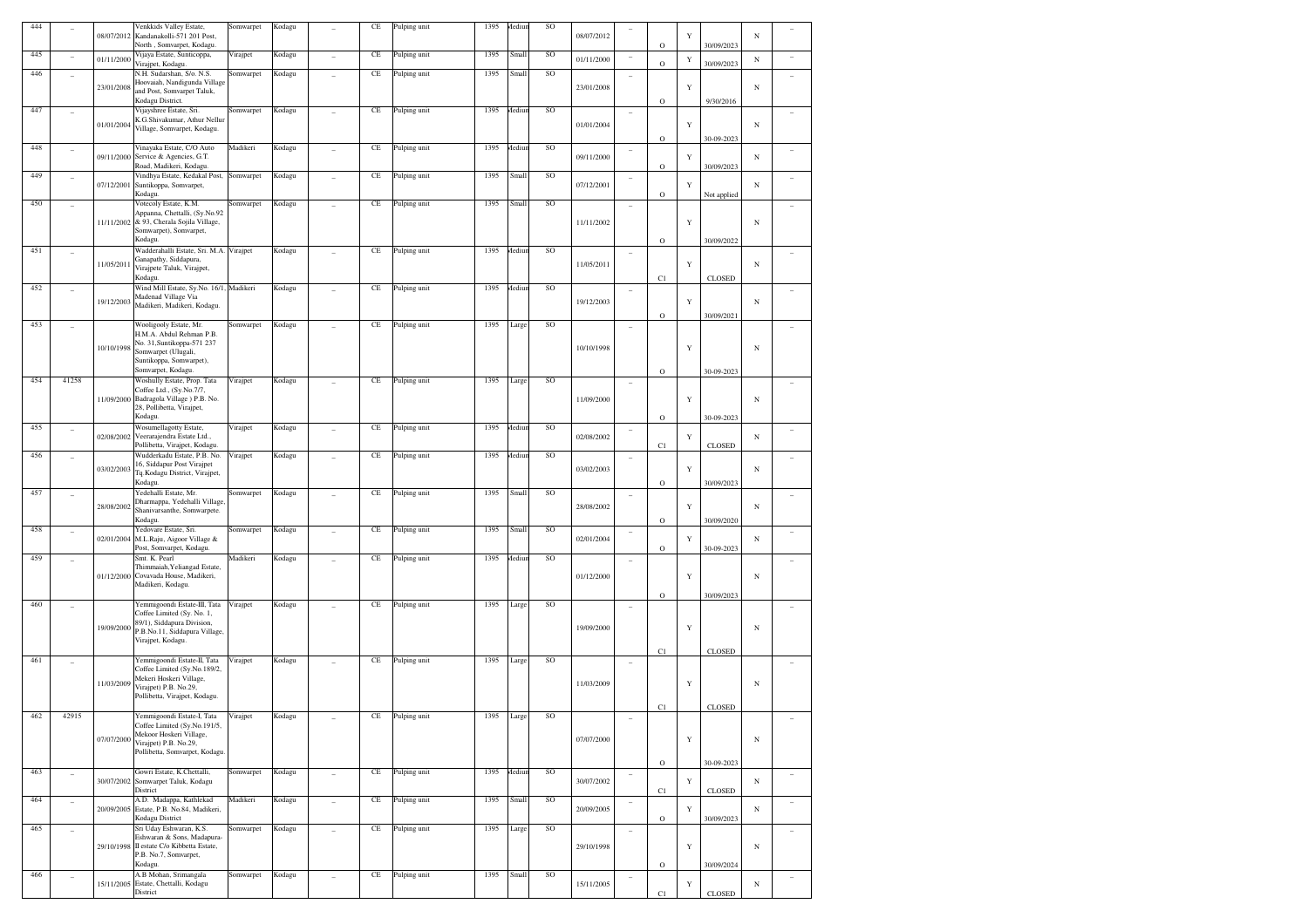| 444 |                |            | Venkkids Valley Estate,                                                   | Somwarpet | Kodagu |        | CE                  | Pulping unit | 1395 | Aediur | SO |            |                          |              |             |               |            |                          |
|-----|----------------|------------|---------------------------------------------------------------------------|-----------|--------|--------|---------------------|--------------|------|--------|----|------------|--------------------------|--------------|-------------|---------------|------------|--------------------------|
|     |                | 08/07/2012 | Kandanakolli-571 201 Post,                                                |           |        |        |                     |              |      |        |    | 08/07/2012 |                          |              | Y           |               | $_{\rm N}$ |                          |
|     |                |            | North, Somvarpet, Kodagu.                                                 |           |        |        |                     |              |      |        |    |            |                          | $\circ$      |             | 30/09/2023    |            |                          |
| 445 |                | 01/11/2000 | Vijaya Estate, Sunticoppa,                                                | Virajpet  | Kodagu |        | $\rm CE$            | Pulping unit | 1395 | Small  | SO | 01/11/2000 | ÷                        |              | $\mathbf Y$ |               | $_{\rm N}$ |                          |
|     |                |            | Virajpet, Kodagu.                                                         |           |        |        |                     |              |      |        |    |            |                          | $\circ$      |             | 30/09/2023    |            |                          |
| 446 | ٠              |            | N.H. Sudarshan, S/o. N.S.<br>Hoovaiah, Nandigunda Village                 | Somwarpet | Kodagu |        | $\operatorname{CE}$ | Pulping unit | 1395 | Small  | SO |            | ۰                        |              |             |               |            |                          |
|     |                | 23/01/2008 | and Post, Somvarpet Taluk,                                                |           |        |        |                     |              |      |        |    | 23/01/2008 |                          |              | Y           |               | $_{\rm N}$ |                          |
|     |                |            | Kodagu District.                                                          |           |        |        |                     |              |      |        |    |            |                          | $\mathbf O$  |             | 9/30/2016     |            |                          |
| 447 |                |            | Vijayshree Estate, Sri.                                                   | Somwarpet | Kodagu |        | $\rm CE$            | Pulping unit | 1395 | Mediur | SO |            | ۰                        |              |             |               |            |                          |
|     |                | 01/01/2004 | K.G.Shivakumar, Athur Nellur                                              |           |        |        |                     |              |      |        |    | 01/01/2004 |                          |              | Y           |               | $_{\rm N}$ |                          |
|     |                |            | Village, Somvarpet, Kodagu.                                               |           |        |        |                     |              |      |        |    |            |                          |              |             |               |            |                          |
|     |                |            |                                                                           |           |        |        |                     |              |      |        |    |            |                          | $\circ$      |             | 30-09-2023    |            |                          |
| 448 | ٠              | 09/11/2000 | Vinayaka Estate, C/O Auto<br>Service & Agencies, G.T.                     | Madikeri  | Kodagu |        | $\rm CE$            | Pulping unit | 1395 | Aediur | SO | 09/11/2000 | ÷                        |              | Y           |               | $_{\rm N}$ |                          |
|     |                |            | Road, Madikeri, Kodagu.                                                   |           |        |        |                     |              |      |        |    |            |                          | $\mathbf{O}$ |             | 30/09/2023    |            |                          |
| 449 | ٠              |            | Vindhya Estate, Kedakal Post,                                             | Somwarpet | Kodagu |        | $\rm CE$            | Pulping unit | 1395 | Small  | SO |            | ٠                        |              |             |               |            |                          |
|     |                | 07/12/2001 | Suntikoppa, Somvarpet,                                                    |           |        |        |                     |              |      |        |    | 07/12/2001 |                          |              | Y           |               | $_{\rm N}$ |                          |
|     |                |            | Kodagu.                                                                   |           |        |        |                     |              |      |        |    |            |                          | $\mathbf{O}$ |             | Not applied   |            |                          |
| 450 | ÷              |            | Votecoly Estate, K.M.                                                     | Somwarpet | Kodagu |        | $\operatorname{CE}$ | Pulping unit | 1395 | Small  | SO |            | ÷                        |              |             |               |            |                          |
|     |                |            | Appanna, Chettalli, (Sy.No.92<br>11/11/2002 & 93, Cherala Sojila Village, |           |        |        |                     |              |      |        |    |            |                          |              |             |               |            |                          |
|     |                |            | Somwarpet), Somvarpet,                                                    |           |        |        |                     |              |      |        |    | 11/11/2002 |                          |              | Y           |               | $_{\rm N}$ |                          |
|     |                |            | Kodagu.                                                                   |           |        |        |                     |              |      |        |    |            |                          | $\circ$      |             | 30/09/2022    |            |                          |
| 451 |                |            | Wadderahalli Estate, Sri. M.A.                                            | Virajpet  | Kodagu |        | $\rm CE$            | Pulping unit | 1395 | Aediur | SO |            | ۰                        |              |             |               |            |                          |
|     |                | 11/05/2011 | Ganapathy, Siddapura,                                                     |           |        |        |                     |              |      |        |    | 11/05/2011 |                          |              | Y           |               |            |                          |
|     |                |            | Virajpete Taluk, Virajpet,                                                |           |        |        |                     |              |      |        |    |            |                          |              |             |               | $_{\rm N}$ |                          |
|     |                |            | Kodagu.                                                                   |           |        |        |                     |              |      |        |    |            |                          | C1           |             | <b>CLOSED</b> |            |                          |
| 452 |                |            | Wind Mill Estate, Sy.No. 16/1,<br>Madenad Village Via                     | Madikeri  | Kodagu |        | $\rm CE$            | Pulping unit | 1395 | Aediur | SO |            | ÷                        |              |             |               |            |                          |
|     |                | 19/12/2003 | Madikeri, Madikeri, Kodagu.                                               |           |        |        |                     |              |      |        |    | 19/12/2003 |                          |              | Y           |               | $_{\rm N}$ |                          |
|     |                |            |                                                                           |           |        |        |                     |              |      |        |    |            |                          | $\mathbf O$  |             | 30/09/2021    |            |                          |
| 453 |                |            | Wooligooly Estate, Mr.                                                    | Somwarpet | Kodagu |        | $\rm CE$            | Pulping unit | 1395 | Large  | SO |            | ۰                        |              |             |               |            |                          |
|     |                |            | H.M.A. Abdul Rehman P.B.                                                  |           |        |        |                     |              |      |        |    |            |                          |              |             |               |            |                          |
|     |                | 10/10/1998 | No. 31, Suntikoppa-571 237                                                |           |        |        |                     |              |      |        |    | 10/10/1998 |                          |              | Y           |               | $_{\rm N}$ |                          |
|     |                |            | Somwarpet (Ulugali,                                                       |           |        |        |                     |              |      |        |    |            |                          |              |             |               |            |                          |
|     |                |            | Suntikoppa, Somwarpet),<br>Somvarpet, Kodagu.                             |           |        |        |                     |              |      |        |    |            |                          |              |             |               |            |                          |
| 454 | 41258          |            | Woshully Estate, Prop. Tata                                               |           |        |        | $\rm CE$            |              | 1395 |        | SO |            |                          | $\mathbf O$  |             | 30-09-2023    |            |                          |
|     |                |            | Coffee Ltd., (Sy.No.7/7,                                                  | Virajpet  | Kodagu |        |                     | Pulping unit |      | Large  |    |            | ۰                        |              |             |               |            |                          |
|     |                | 11/09/2000 | Badragola Village ) P.B. No.                                              |           |        |        |                     |              |      |        |    | 11/09/2000 |                          |              | Y           |               | $_{\rm N}$ |                          |
|     |                |            | 28, Pollibetta, Virajpet,                                                 |           |        |        |                     |              |      |        |    |            |                          |              |             |               |            |                          |
|     |                |            | Kodagu.                                                                   |           |        |        |                     |              |      |        |    |            |                          | $\circ$      |             | 30-09-2023    |            |                          |
| 455 | ÷              |            | Wosumellagotty Estate,                                                    | Virajpet  | Kodagu |        | $\rm CE$            | Pulping unit | 1395 | Aediur | SO |            | ÷                        |              |             |               |            |                          |
|     |                | 02/08/2002 | Veerarajendra Estate Ltd.,                                                |           |        |        |                     |              |      |        |    | 02/08/2002 |                          |              | Y           |               | $_{\rm N}$ |                          |
|     |                |            | Pollibetta, Virajpet, Kodagu.                                             |           |        |        |                     |              |      |        |    |            |                          | C1           |             | CLOSED        |            |                          |
| 456 |                |            | Wudderkadu Estate, P.B. No.<br>16, Siddapur Post Virajpet                 | Virajpet  | Kodagu |        | $\rm CE$            | Pulping unit | 1395 | Aediur | SO |            |                          |              |             |               |            |                          |
|     |                | 03/02/2003 | Tq.Kodagu District, Virajpet,                                             |           |        |        |                     |              |      |        |    | 03/02/2003 |                          |              | Y           |               | $_{\rm N}$ |                          |
|     |                |            | Kodagu.                                                                   |           |        |        |                     |              |      |        |    |            |                          | $\mathbf O$  |             | 30/09/2023    |            |                          |
| 457 |                |            | Yedehalli Estate, Mr.                                                     | Somwarpet | Kodagu |        | $\rm CE$            | Pulping unit | 1395 | Small  | SO |            | ÷                        |              |             |               |            |                          |
|     |                | 28/08/2002 | Dharmappa, Yedehalli Village,                                             |           |        |        |                     |              |      |        |    | 28/08/2002 |                          |              | Y           |               | $_{\rm N}$ |                          |
|     |                |            | Shanivarsanthe, Somwarpete.                                               |           |        |        |                     |              |      |        |    |            |                          |              |             |               |            |                          |
|     |                |            | Kodagu.                                                                   |           |        |        |                     |              |      |        |    |            |                          | $\mathbf{O}$ |             | 30/09/2020    |            |                          |
| 458 |                | 02/01/2004 | Yedovare Estate, Sri.<br>M.L.Raju, Aigoor Village &                       | Somwarpet | Kodagu |        | $\rm CE$            | Pulping unit | 1395 | Small  | SO | 02/01/2004 | ٠                        |              |             |               | $_{\rm N}$ |                          |
|     |                |            | Post, Somvarpet, Kodagu.                                                  |           |        |        |                     |              |      |        |    |            |                          | $\mathbf{O}$ | Y           | 30-09-2023    |            |                          |
| 459 | ÷              |            | Smt. K. Pearl                                                             | Madikeri  | Kodagu |        | $\operatorname{CE}$ | Pulping unit | 1395 | Aediur | SO |            | ÷                        |              |             |               |            |                          |
|     |                |            | Thimmaiah, Yeliangad Estate,                                              |           |        |        |                     |              |      |        |    |            |                          |              |             |               |            |                          |
|     |                | 01/12/2000 | Covavada House, Madikeri,                                                 |           |        |        |                     |              |      |        |    | 01/12/2000 |                          |              | Y           |               | $_{\rm N}$ |                          |
|     |                |            | Madikeri, Kodagu.                                                         |           |        |        |                     |              |      |        |    |            |                          |              |             |               |            |                          |
|     |                |            |                                                                           |           |        |        |                     |              |      |        |    |            |                          | $\mathbf O$  |             | 30/09/2023    |            |                          |
| 460 |                |            | Yemmigoondi Estate-III, Tata<br>Coffee Limited (Sy. No. 1,                | Virajpet  | Kodagu |        | $\rm CE$            | Pulping unit | 1395 | Large  | SO |            | ۰                        |              |             |               |            |                          |
|     |                |            | 89/1), Siddapura Division,                                                |           |        |        |                     |              |      |        |    |            |                          |              |             |               |            |                          |
|     |                | 19/09/2000 | P.B.No.11, Siddapura Village,                                             |           |        |        |                     |              |      |        |    | 19/09/2000 |                          |              | Y           |               | $_{\rm N}$ |                          |
|     |                |            | Virajpet, Kodagu.                                                         |           |        |        |                     |              |      |        |    |            |                          |              |             |               |            |                          |
|     |                |            |                                                                           |           |        |        |                     |              |      |        |    |            |                          | C1           |             | <b>CLOSED</b> |            |                          |
| 461 |                |            | Yemmigoondi Estate-II, Tata                                               | Virajpet  | Kodagu |        | $\rm CE$            | Pulping unit | 1395 | Large  | SO |            | ۰                        |              |             |               |            |                          |
|     |                |            | Coffee Limited (Sy.No.189/2,<br>Mekeri Hoskeri Village,                   |           |        |        |                     |              |      |        |    |            |                          |              |             |               |            |                          |
|     |                | 11/03/2009 | Virajpet) P.B. No.29,                                                     |           |        |        |                     |              |      |        |    | 11/03/2009 |                          |              | Y           |               | $_{\rm N}$ |                          |
|     |                |            | Pollibetta, Virajpet, Kodagu.                                             |           |        |        |                     |              |      |        |    |            |                          |              |             |               |            |                          |
|     |                |            |                                                                           |           |        |        |                     |              |      |        |    |            |                          | C1           |             | CLOSED        |            |                          |
| 462 | 42915          |            | Yemmigoondi Estate-I, Tata                                                | Virajpet  | Kodagu |        |                     | Pulping unit | 1395 |        |    |            |                          |              |             |               |            |                          |
|     |                |            | Coffee Limited (Sy.No.191/5,                                              |           |        |        |                     |              |      |        |    |            |                          |              |             |               |            |                          |
|     |                | 07/07/2000 | Mekoor Hoskeri Village,                                                   |           |        |        |                     |              |      |        |    | 07/07/2000 |                          |              | $\mathbf Y$ |               | $_{\rm N}$ |                          |
|     |                |            | Virajpet) P.B. No.29,<br>Pollibetta, Somvarpet, Kodagu.                   |           |        |        |                     |              |      |        |    |            |                          |              |             |               |            |                          |
|     |                |            |                                                                           |           |        |        |                     |              |      |        |    |            |                          | $\mathbf O$  |             | 30-09-2023    |            |                          |
| 463 | $\overline{a}$ |            | Gowri Estate, K.Chettalli,                                                | Somwarpet | Kodagu | $\sim$ | $\rm CE$            | Pulping unit | 1395 | Mediur | SO |            |                          |              |             |               |            |                          |
|     |                |            | 30/07/2002 Somwarpet Taluk, Kodagu                                        |           |        |        |                     |              |      |        |    | 30/07/2002 | $\overline{\phantom{a}}$ |              | $\mathbf Y$ |               | $_{\rm N}$ | $\sim$                   |
|     |                |            | District                                                                  |           |        |        |                     |              |      |        |    |            |                          | C1           |             | <b>CLOSED</b> |            |                          |
| 464 | $\overline{a}$ |            | A.D. Madappa, Kathlekad                                                   | Madikeri  | Kodagu | ٠      | $\rm CE$            | Pulping unit | 1395 | Small  | SO |            | $\overline{a}$           |              |             |               |            | $\overline{\phantom{a}}$ |
|     |                | 20/09/2005 | Estate, P.B. No.84, Madikeri,                                             |           |        |        |                     |              |      |        |    | 20/09/2005 |                          |              | $\mathbf Y$ |               | $_{\rm N}$ |                          |
|     |                |            | Kodagu District                                                           |           |        |        |                     |              |      |        |    |            |                          | $\mathbf O$  |             | 30/09/2023    |            |                          |
| 465 | $\overline{a}$ |            | Sri Uday Eshwaran, K.S.<br>Eshwaran & Sons, Madapura-                     | Somwarpet | Kodagu | $\sim$ | $\rm CE$            | Pulping unit | 1395 | Large  | SO |            | ÷                        |              |             |               |            | $\equiv$                 |
|     |                |            | 29/10/1998 II estate C/o Kibbetta Estate,                                 |           |        |        |                     |              |      |        |    | 29/10/1998 |                          |              | Y           |               | $_{\rm N}$ |                          |
|     |                |            | P.B. No.7, Somvarpet,                                                     |           |        |        |                     |              |      |        |    |            |                          |              |             |               |            |                          |
|     |                |            | Kodagu.                                                                   |           |        |        |                     |              |      |        |    |            |                          | $\mathbf O$  |             | 30/09/2024    |            |                          |
| 466 | ÷,             |            | A.B Mohan, Srimangala                                                     | Somwarpet | Kodagu |        | $\rm CE$            | Pulping unit | 1395 | Small  | SO |            | $\overline{\phantom{a}}$ |              |             |               |            | $\overline{\phantom{a}}$ |
|     |                | 15/11/2005 | Estate, Chettalli, Kodagu                                                 |           |        |        |                     |              |      |        |    | 15/11/2005 |                          |              | $\mathbf Y$ |               | $_{\rm N}$ |                          |
|     |                |            | District                                                                  |           |        |        |                     |              |      |        |    |            |                          | C1           |             | <b>CLOSED</b> |            |                          |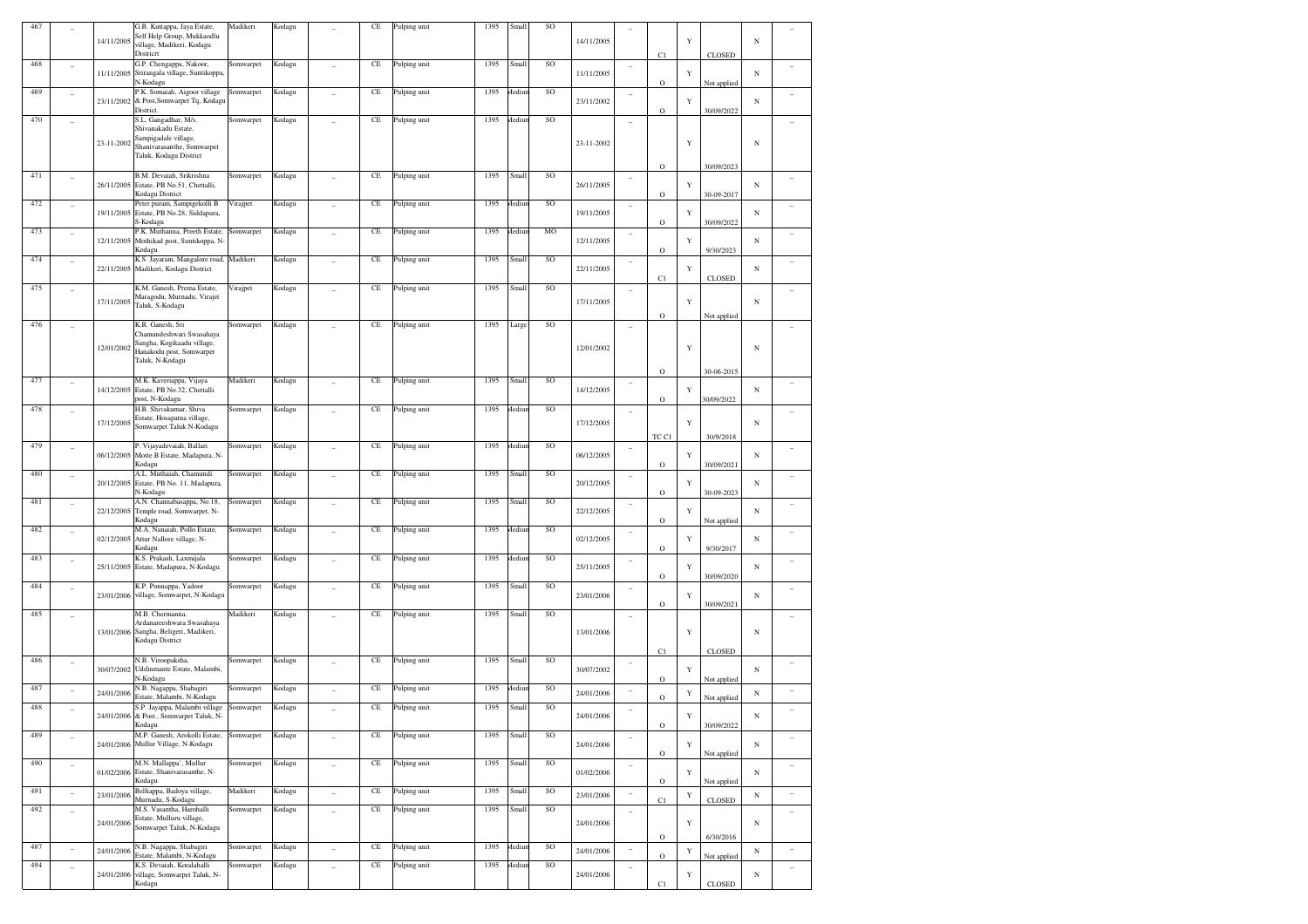| 467 |                          |            | G.B. Kuttappa, Jaya Estate,                                         | Madikeri  | Kodagu |                          | CE        | Pulping unit | 1395 | Small  | SO              |            |                          |             |             |                           |            |                          |
|-----|--------------------------|------------|---------------------------------------------------------------------|-----------|--------|--------------------------|-----------|--------------|------|--------|-----------------|------------|--------------------------|-------------|-------------|---------------------------|------------|--------------------------|
|     |                          | 14/11/2005 | Self Help Group, Mukkaodlu<br>village, Madikeri, Kodagu             |           |        |                          |           |              |      |        |                 | 14/11/2005 |                          |             | Y           |                           | N          |                          |
|     |                          |            | Districrt                                                           |           |        |                          |           |              |      |        |                 |            |                          | C1          |             | <b>CLOSED</b>             |            |                          |
| 468 |                          | 11/11/2005 | G.P. Chengappa, Nakoor,                                             | Somwarpet | Kodagu |                          | CE        | Pulping unit | 1395 | Small  | SO              |            | $\overline{\phantom{a}}$ |             |             |                           |            |                          |
|     |                          |            | Srirangala village, Suntikoppa,<br>N-Kodagu                         |           |        |                          |           |              |      |        |                 | 11/11/2005 |                          | $\rm{O}$    | Y           | Not applied               | N          |                          |
| 469 |                          |            | P.K. Somaiah, Aigoor village                                        | Somwarpet | Kodagu |                          | CE        | Pulping unit | 1395 | Mediur | SO              |            |                          |             |             |                           |            |                          |
|     |                          | 23/11/2002 | & Post, Somwarpet Tq, Kodagu<br>District.                           |           |        |                          |           |              |      |        |                 | 23/11/2002 |                          | $\rm{O}$    | Y           | 30/09/2022                | N          |                          |
| 470 |                          |            | S.L. Gangadhar, M/s.                                                | Somwarpet | Kodagu |                          | $\rm CE$  | Pulping unit | 1395 | Mediur | SO              |            |                          |             |             |                           |            |                          |
|     |                          |            | Shivanakadu Estate,                                                 |           |        |                          |           |              |      |        |                 |            |                          |             |             |                           |            |                          |
|     |                          | 23-11-2002 | Sampigadale village,<br>Shanivarasanthe, Somwarpet                  |           |        |                          |           |              |      |        |                 | 23-11-2002 |                          |             | $\mathbf Y$ |                           | N          |                          |
|     |                          |            | Taluk, Kodagu District                                              |           |        |                          |           |              |      |        |                 |            |                          |             |             |                           |            |                          |
|     |                          |            |                                                                     |           |        |                          |           |              |      |        |                 |            |                          | $\rm{O}$    |             | 30/09/2023                |            |                          |
| 471 |                          |            | B.M. Devaiah, Srikrishna<br>26/11/2005 Estate, PB No.51, Chettalli, | Somwarpet | Kodagu |                          | CE        | Pulping unit | 1395 | Small  | SO              | 26/11/2005 | $\overline{a}$           |             | Y           |                           | N          |                          |
|     |                          |            | Kodagu District                                                     |           |        |                          |           |              |      |        |                 |            |                          | $\rm{O}$    |             | 30-09-2017                |            |                          |
| 472 |                          |            | Peter puram, Sampigekolli B                                         | Virajpet  | Kodagu |                          | CE        | Pulping unit | 1395 | Mediur | SO              |            |                          |             |             |                           |            |                          |
|     |                          |            | 19/11/2005 Estate, PB No.28, Siddapura,<br>S-Kodagu                 |           |        |                          |           |              |      |        |                 | 19/11/2005 |                          | $\rm{O}$    | Y           | 30/09/2022                | N          |                          |
| 473 | ٠                        |            | P.K. Muthanna, Preeth Estate,                                       | Somwarpet | Kodagu |                          | $\rm CE$  | Pulping unit | 1395 | Mediur | $_{\rm MO}$     |            |                          |             |             |                           |            |                          |
|     |                          | 12/11/2005 | Mothikad post, Suntikoppa, N-                                       |           |        |                          |           |              |      |        |                 | 12/11/2005 |                          |             | Y           |                           | N          |                          |
| 474 |                          |            | Kodagu<br>K.S. Jayaram, Mangalore road,                             | Madikeri  | Kodagu |                          | $\rm CE$  | Pulping unit | 1395 | Small  | SO              |            |                          | $\rm{O}$    |             | 9/30/2023                 |            |                          |
|     | ÷,                       | 22/11/2005 | Madikeri, Kodagu District                                           |           |        |                          |           |              |      |        |                 | 22/11/2005 | $\overline{\phantom{a}}$ |             | Y           |                           | N          |                          |
|     |                          |            |                                                                     |           |        |                          |           |              |      |        |                 |            |                          | C1          |             | CLOSED                    |            |                          |
| 475 |                          |            | K.M. Ganesh, Prema Estate,<br>Maragodu, Murnadu, Virajet            | Virajpet  | Kodagu |                          | CE        | Pulping unit | 1395 | Small  | SO              |            |                          |             |             |                           |            |                          |
|     |                          | 17/11/2005 | Taluk, S-Kodagu                                                     |           |        |                          |           |              |      |        |                 | 17/11/2005 |                          |             | $\mathbf Y$ |                           | N          |                          |
|     |                          |            |                                                                     |           |        |                          |           |              |      |        |                 |            |                          | $\rm{O}$    |             | Not applied               |            |                          |
| 476 |                          |            | K.R. Ganesh, Sri<br>Chamundeshwari Swasahaya                        | Somwarpet | Kodagu |                          | CE        | Pulping unit | 1395 | Large  | SO              |            |                          |             |             |                           |            |                          |
|     |                          | 12/01/2002 | Sangha, Kogikaadu village,                                          |           |        |                          |           |              |      |        |                 | 12/01/2002 |                          |             | $\mathbf Y$ |                           | N          |                          |
|     |                          |            | Hanakodu post, Somwarpet<br>Taluk, N-Kodagu                         |           |        |                          |           |              |      |        |                 |            |                          |             |             |                           |            |                          |
|     |                          |            |                                                                     |           |        |                          |           |              |      |        |                 |            |                          | $\rm{O}$    |             | 30-06-2015                |            |                          |
| 477 |                          |            | M.K. Kaveriappa, Vijaya                                             | Madikeri  | Kodagu |                          | CE        | Pulping unit | 1395 | Small  | SO              |            | $\overline{a}$           |             |             |                           |            |                          |
|     |                          | 14/12/2005 | Estate, PB No.32, Chettalli                                         |           |        |                          |           |              |      |        |                 | 14/12/2005 |                          |             | Y           |                           | N          |                          |
| 478 |                          |            | oost, N-Kodagu<br>H.B. Shivakumar, Shiva                            | Somwarpet | Kodagu |                          | CE        |              | 1395 | Mediur | SO              |            |                          | $\rm{O}$    |             | 0/09/2022                 |            |                          |
|     |                          |            | Estate, Hosapatna village,                                          |           |        |                          |           | Pulping unit |      |        |                 |            |                          |             |             |                           |            |                          |
|     |                          | 17/12/2005 | Somwarpet Taluk N-Kodagu                                            |           |        |                          |           |              |      |        |                 | 17/12/2005 |                          |             | $\mathbf Y$ |                           | N          |                          |
| 479 |                          |            | P. Vijayadevaiah, Ballari                                           | Somwarpet | Kodagu |                          | $\rm CE$  |              | 1395 | Mediur | SO              |            |                          | TC C1       |             | 30/9/2018                 |            |                          |
|     | ٠                        | 06/12/2005 | Motte B Estate, Madapura, N-                                        |           |        |                          |           | Pulping unit |      |        |                 | 06/12/2005 | $\overline{\phantom{a}}$ |             | Y           |                           | N          |                          |
|     |                          |            | Kodagu                                                              |           |        |                          |           |              |      |        |                 |            |                          | $\rm{O}$    |             | 30/09/2021                |            |                          |
| 480 | $\overline{\phantom{a}}$ |            | A.L. Muthaiah, Chamundi<br>20/12/2005 Estate, PB No. 11, Madapura,  | Somwarpet | Kodagu |                          | CE        | Pulping unit | 1395 | Small  | SO              | 20/12/2005 | $\overline{a}$           |             | Y           |                           | N          |                          |
|     |                          |            | N-Kodagu                                                            |           |        |                          |           |              |      |        |                 |            |                          | $\rm{O}$    |             | 30-09-2023                |            |                          |
| 481 |                          |            | A.N. Channabasappa, No.18,                                          | Somwarpet | Kodagu |                          | CE        | Pulping unit | 1395 | Small  | SO              |            |                          |             |             |                           |            |                          |
|     |                          | 22/12/2005 | Temple road, Somwarpet, N-<br>Kodagu                                |           |        |                          |           |              |      |        |                 | 22/12/2005 |                          | $\rm{O}$    | Y           | Not applied               | N          |                          |
| 482 |                          |            | M.A. Nanaiah, Pollo Estate,                                         | Somwarpet | Kodagu |                          | $\rm CE$  | Pulping unit | 1395 | Mediur | SO              |            |                          |             |             |                           |            |                          |
|     |                          | 02/12/2005 | Attur Nallore village, N-                                           |           |        |                          |           |              |      |        |                 | 02/12/2005 |                          |             | Y           |                           | N          |                          |
| 483 |                          |            | Kodagu<br>K.S. Prakash, Laxmijala                                   | Somwarpet | Kodagu |                          | $\rm CE$  | Pulping unit | 1395 | Mediur | SO              |            |                          | $\rm{O}$    |             | 9/30/2017                 |            |                          |
|     | ÷,                       | 25/11/2005 | Estate, Madapura, N-Kodagu                                          |           |        |                          |           |              |      |        |                 | 25/11/2005 | $\overline{\phantom{a}}$ |             | Y           |                           | N          |                          |
|     |                          |            |                                                                     |           |        |                          |           |              |      |        |                 |            |                          | $\rm{O}$    |             | 30/09/2020                |            |                          |
| 484 |                          | 23/01/2006 | K.P. Ponnappa, Yadoor<br>village, Somwarpet, N-Kodagu               | Somwarpet | Kodagu |                          | CE        | Pulping unit | 1395 | Small  | SO              | 23/01/2006 |                          |             | Y           |                           | N          |                          |
|     |                          |            |                                                                     |           |        |                          |           |              |      |        |                 |            |                          | $\rm{O}$    |             | 30/09/2021                |            |                          |
| 485 |                          |            | M.B. Chermanna,                                                     | Madikeri  | Kodagu |                          | CE        | Pulping unit | 1395 | Small  | SO              |            |                          |             |             |                           |            |                          |
|     |                          |            | Ardanareeshwara Swasahaya<br>13/01/2006 Sangha, Beligeri, Madikeri, |           |        |                          |           |              |      |        |                 | 13/01/2006 |                          |             | $\mathbf Y$ |                           | N          |                          |
|     |                          |            | Kodagu District                                                     |           |        |                          |           |              |      |        |                 |            |                          |             |             |                           |            |                          |
|     |                          |            |                                                                     |           |        |                          |           |              | 1395 |        | SO              |            |                          | C1          |             | CLOSED                    |            |                          |
| 486 | $\overline{\phantom{a}}$ | 30/07/2002 | N.B. Viroopaksha,<br>Uddinmante Estate, Malambi,                    | Somwarpet | Kodagu |                          | $\rm CE$  | Pulping unit |      | Small  |                 | 30/07/2002 | $\overline{\phantom{a}}$ |             | Y           |                           | N          |                          |
|     |                          |            | N-Kodagu                                                            |           |        |                          |           |              |      |        |                 |            |                          | $\rm{O}$    |             | Not applied               |            |                          |
| 487 |                          | 24/01/2006 | N.B. Nagappa, Shabagiri<br>Estate, Malambi, N-Kodagu                | Somwarpet | Kodagu |                          | $\rm CE$  | Pulping unit | 1395 | Mediur | $\rm SO$        | 24/01/2006 |                          | $\rm{O}$    | $\mathbf Y$ |                           | N          |                          |
| 488 | $\overline{\phantom{0}}$ |            | S.P. Jayappa, Malambi village                                       | Somwarpet | Kodagu |                          | $\rm CE$  | Pulping unit | 1395 | Small  | SO              |            | $\overline{\phantom{a}}$ |             |             | Not applied               |            |                          |
|     |                          |            | 24/01/2006 & Post., Somwarpet Taluk, N-                             |           |        |                          |           |              |      |        |                 | 24/01/2006 |                          |             | $\mathbf Y$ |                           | N          |                          |
| 489 |                          |            | Kodagu<br>M.P. Ganesh, Arokolli Estate,                             |           |        |                          |           | Pulping unit | 1395 |        | SO              |            |                          | $\mathbf O$ |             | 30/09/2022                |            |                          |
|     |                          | 24/01/2006 | Mullur Village, N-Kodagu                                            | Somwarpet | Kodagu |                          | $\rm CE$  |              |      | Small  |                 | 24/01/2006 | $\sim$                   |             | $\mathbf Y$ |                           | $_{\rm N}$ | $\overline{\phantom{a}}$ |
|     |                          |            |                                                                     |           |        |                          |           |              |      |        |                 |            |                          | $\mathbf O$ |             | Not applied               |            |                          |
| 490 | $\overline{\phantom{a}}$ | 01/02/2006 | M.N. Mallappa', Mullur<br>Estate, Shanivarasanthe, N-               | Somwarpet | Kodagu | $\overline{a}$           | $\rm CE$  | Pulping unit | 1395 | Small  | SO              | 01/02/2006 | $\sim$                   |             |             |                           | $_{\rm N}$ | $\sim$                   |
|     |                          |            | Kodagu                                                              |           |        |                          |           |              |      |        |                 |            |                          | $\mathbf O$ | Y           | Not applied               |            |                          |
| 491 | $\overline{\phantom{a}}$ | 23/01/2006 | Belliappa, Badoya village,                                          | Madikeri  | Kodagu | $\overline{\phantom{a}}$ | $\!$ $\!$ | Pulping unit | 1395 | Small  | SO              | 23/01/2006 |                          |             | $\mathbf Y$ |                           | $_{\rm N}$ | i,                       |
|     |                          |            | Murnadu, S-Kodagu<br>M.S. Vasantha, Harohalli                       | Somwarpet |        |                          |           |              | 1395 |        | SO              |            |                          | C1          |             | $\textsc{clos}\textsc{e}$ |            |                          |
| 492 | ÷,                       |            | Estate, Mulluru village,                                            |           | Kodagu |                          | $\rm CE$  | Pulping unit |      | Small  |                 |            | $\overline{a}$           |             |             |                           |            | $\overline{a}$           |
|     |                          | 24/01/2006 | Somwarpet Taluk, N-Kodagu                                           |           |        |                          |           |              |      |        |                 | 24/01/2006 |                          |             | $\mathbf Y$ |                           | N          |                          |
| 487 |                          |            |                                                                     |           |        |                          |           |              | 1395 |        | SO <sub>1</sub> |            |                          | $\rm{O}$    |             | 6/30/2016                 |            |                          |
|     | $\overline{\phantom{a}}$ | 24/01/2006 | N.B. Nagappa, Shabagiri<br>Estate, Malambi, N-Kodagu                | Somwarpet | Kodagu | $\overline{\phantom{m}}$ | $\rm CE$  | Pulping unit |      | Mediur |                 | 24/01/2006 | $\overline{\phantom{a}}$ | $\mathbf O$ | $\mathbf Y$ | Not applied               | $_{\rm N}$ | $\overline{\phantom{a}}$ |
| 494 | $\overline{\phantom{a}}$ |            | K.S. Devaiah, Koralahalli                                           | Somwarpet | Kodagu | $\overline{a}$           | $\rm CE$  | Pulping unit | 1395 | Mediur | SO              |            |                          |             |             |                           |            | $\overline{\phantom{a}}$ |
|     |                          | 24/01/2006 | village, Somwarpet Taluk, N-<br>Kodagu                              |           |        |                          |           |              |      |        |                 | 24/01/2006 |                          | $_{\rm C1}$ | Y           | <b>CLOSED</b>             | N          |                          |
|     |                          |            |                                                                     |           |        |                          |           |              |      |        |                 |            |                          |             |             |                           |            |                          |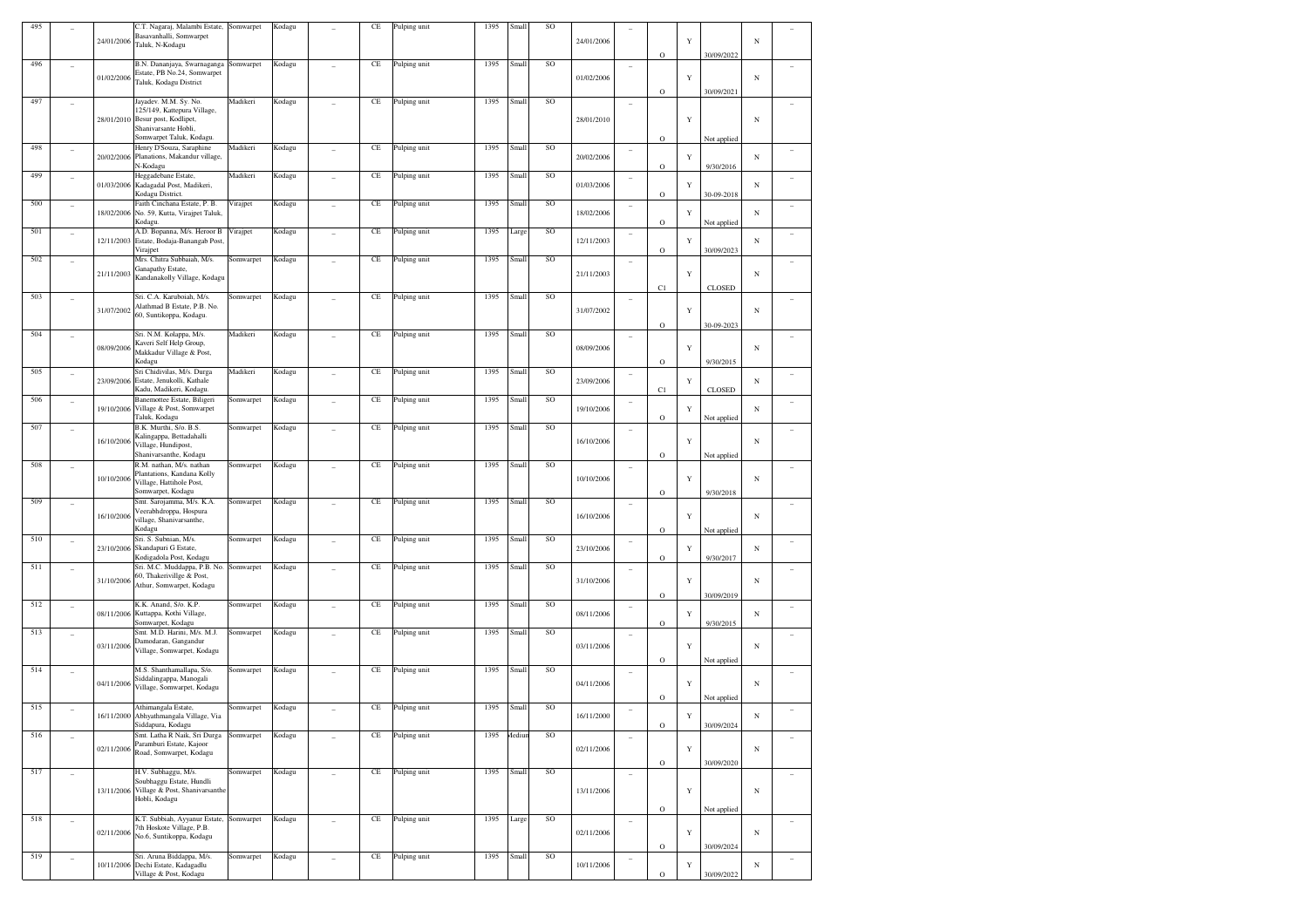| 495 |                | 24/01/2006 | C.T. Nagaraj, Malambi Estate,<br>Basavanhalli, Somwarpet<br>Taluk, N-Kodagu                                                       | Somwarpet | Kodagu |                | CE       | Pulping unit | 1395 | Small         | SO        | 24/01/2006 |                          | $\circ$             | Y           | 30/09/2022                | $_{\rm N}$ |        |
|-----|----------------|------------|-----------------------------------------------------------------------------------------------------------------------------------|-----------|--------|----------------|----------|--------------|------|---------------|-----------|------------|--------------------------|---------------------|-------------|---------------------------|------------|--------|
| 496 | ÷              | 01/02/2006 | B.N. Dananjaya, Swarnaganga<br>Estate, PB No.24, Somwarpet<br>Taluk, Kodagu District                                              | Somwarpet | Kodagu |                | CE       | Pulping unit | 1395 | Small         | SO        | 01/02/2006 | ÷                        | O                   | Y           | 30/09/2021                | $_{\rm N}$ |        |
| 497 | ÷              | 28/01/2010 | Jayadev. M.M. Sy. No.<br>125/149, Kattepura Village,<br>Besur post, Kodlipet,<br>Shanivarsante Hobli,<br>Somwarpet Taluk, Kodagu. | Madikeri  | Kodagu |                | CE       | Pulping unit | 1395 | Small         | SO        | 28/01/2010 | ٠                        | $\circ$             | $\mathbf Y$ | Not applied               | $_{\rm N}$ |        |
| 498 | ÷,             | 20/02/2006 | Henry D'Souza, Saraphine<br>Planations, Makandur village,<br>N-Kodagu                                                             | Madikeri  | Kodagu |                | CE       | Pulping unit | 1395 | Small         | SO        | 20/02/2006 | ÷                        | $\circ$             | Y           | 9/30/2016                 | $_{\rm N}$ |        |
| 499 | ٠              | 01/03/2006 | Heggadebane Estate,<br>Kadagadal Post, Madikeri,<br>Kodagu District.                                                              | Madikeri  | Kodagu | $\sim$         | CE       | Pulping unit | 1395 | Small         | SO        | 01/03/2006 | $\sim$                   | $\circ$             | Y           | 30-09-2018                | N          |        |
| 500 | ÷              | 18/02/2006 | Faith Cinchana Estate, P. B.<br>No. 59, Kutta, Virajpet Taluk,<br>Kodagu.                                                         | Virajpet  | Kodagu |                | CE       | Pulping unit | 1395 | Small         | SO        | 18/02/2006 | $\overline{a}$           | $\circ$             | Y           | Not applied               | $_{\rm N}$ |        |
| 501 | ÷              | 12/11/2003 | A.D. Bopanna, M/s. Heroor B<br>Estate, Bodaja-Banangab Post,<br>Virajpet                                                          | Virajpet  | Kodagu | ÷              | CE       | Pulping unit | 1395 | Large         | SO        | 12/11/2003 | ÷                        | $\circ$             | Y           | 30/09/2023                | N          |        |
| 502 | ÷              | 21/11/2003 | Mrs. Chitra Subbaiah, M/s.<br>Ganapathy Estate,<br>Kandanakolly Village, Kodagu                                                   | Somwarpet | Kodagu | ÷              | CE       | Pulping unit | 1395 | Small         | <b>SO</b> | 21/11/2003 | ÷                        | C1                  | Y           | <b>CLOSED</b>             | $_{\rm N}$ |        |
| 503 | ÷              | 31/07/2002 | Sri. C.A. Karuboiah, M/s.<br>Alathmad B Estate, P.B. No.<br>60, Suntikoppa, Kodagu.                                               | Somwarpet | Kodagu | ÷              | CE       | Pulping unit | 1395 | Small         | SO        | 31/07/2002 | $\overline{\phantom{a}}$ | $\circ$             | Y           | 30-09-2023                | $_{\rm N}$ |        |
| 504 | ÷              | 08/09/2006 | Sri. N.M. Kolappa, M/s.<br>Kaveri Self Help Group,<br>Makkadur Village & Post,<br>Kodagu                                          | Madikeri  | Kodagu | ÷              | CE       | Pulping unit | 1395 | Small         | SO        | 08/09/2006 | $\overline{\phantom{a}}$ | $\circ$             | Y           | 9/30/2015                 | $_{\rm N}$ |        |
| 505 | ÷              | 23/09/2006 | Sri Chidivilas, M/s. Durga<br>Estate, Jenukolli, Kathale<br>Kadu, Madikeri, Kodagu.                                               | Madikeri  | Kodagu | ÷              | CE       | Pulping unit | 1395 | Small         | <b>SO</b> | 23/09/2006 | $\overline{\phantom{a}}$ | C1                  | Y           | <b>CLOSED</b>             | $_{\rm N}$ |        |
| 506 | ÷              | 19/10/2006 | Banemottee Estate, Biligeri<br>Village & Post, Somwarpet<br>Taluk, Kodagu                                                         | Somwarpet | Kodagu | ÷              | CE       | Pulping unit | 1395 | Small         | SO        | 19/10/2006 | ÷                        | $\circ$             | Y           | Not applied               | $_{\rm N}$ |        |
| 507 | ÷              | 16/10/2006 | B.K. Murthi, S/o. B.S.<br>Kalingappa, Bettadahalli<br>Village, Hundipost,<br>Shanivarsanthe, Kodagu                               | Somwarpet | Kodagu |                | CE       | Pulping unit | 1395 | Small         | SO        | 16/10/2006 | ÷                        | $\circ$             | Y           | Not applied               | $_{\rm N}$ |        |
| 508 | ÷              | 10/10/2006 | R.M. nathan, M/s. nathan<br>Plantations, Kandana Kolly<br>Village, Hattihole Post,<br>Somwarpet, Kodagu                           | Somwarpet | Kodagu | ٠              | CE       | Pulping unit | 1395 | Small         | <b>SO</b> | 10/10/2006 | $\sim$                   | $\circ$             | Y           | 9/30/2018                 | $_{\rm N}$ |        |
| 509 | ÷              | 16/10/2006 | Smt. Sarojamma, M/s. K.A.<br>Veerabhdroppa, Hospura<br>village, Shanivarsanthe,<br>Kodagu                                         | Somwarpet | Kodagu | ÷              | CE       | Pulping unit | 1395 | Small         | SO        | 16/10/2006 | ÷                        | $\circ$             | Y           | Not applied               | $_{\rm N}$ |        |
| 510 | ÷              | 23/10/2006 | Sri. S. Subnian, M/s.<br>Skandapuri G Estate,<br>Kodigadola Post, Kodagu                                                          | Somwarpet | Kodagu | ÷              | CE       | Pulping unit | 1395 | Small         | SO        | 23/10/2006 | ÷                        | O                   | Y           | 9/30/2017                 | $_{\rm N}$ |        |
| 511 | ÷              | 31/10/2006 | Sri. M.C. Muddappa, P.B. No.<br>60, Thakerivillge & Post,<br>Athur, Somwarpet, Kodagu                                             | Somwarpet | Kodagu |                | CE       | Pulping unit | 1395 | Small         | SO        | 31/10/2006 | ÷                        | $\circ$             | Y           | 30/09/2019                | $_{\rm N}$ |        |
| 512 | ÷              | 08/11/2006 | K.K. Anand, S/o. K.P.<br>Kuttappa, Kothi Village,<br>Somwarpet, Kodagu                                                            | Somwarpet | Kodagu | ÷              | CE       | Pulping unit | 1395 | Small         | SO        | 08/11/2006 | $\overline{\phantom{a}}$ | $\circ$             | Y           | 9/30/2015                 | $_{\rm N}$ |        |
| 513 | ÷              | 03/11/2006 | Smt. M.D. Harini, M/s. M.J.<br>Damodaran, Gangandur<br>Village, Somwarpet, Kodagu                                                 | Somwarpet | Kodagu | ÷              | CE       | Pulping unit | 1395 | Small         | SO        | 03/11/2006 | ÷                        | $\circ$             | Y           | Not applied               | $_{\rm N}$ |        |
| 514 | ÷              | 04/11/2006 | M.S. Shanthamallapa, S/o.<br>Siddalingappa, Manogali<br>Village, Somwarpet, Kodagu                                                | Somwarpet | Kodagu | ٠              | CE       | Pulping unit | 1395 | Small         | <b>SO</b> | 04/11/2006 | $\sim$                   |                     | Y           |                           | $_{\rm N}$ |        |
| 515 | ÷              |            | Athimangala Estate,<br>16/11/2000 Abhyathmangala Village, Via<br>Siddapura, Kodagu                                                | Somwarpet | Kodagu |                | CE       | Pulping unit | 1395 | Small         | SO        | 16/11/2000 | $\overline{\phantom{a}}$ | O<br>$\rm{O}$       | Ÿ           | Not applied<br>30/09/2024 | N          |        |
| 516 | $\overline{a}$ | 02/11/2006 | Smt. Latha R Naik, Sri Durga<br>Paramburi Estate, Kajoor<br>Road, Somwarpet, Kodagu                                               | Somwarpet | Kodagu | $\overline{a}$ | CE       | Pulping unit | 1395 | <b>Aediun</b> | SO        | 02/11/2006 | $\sim$                   | $\rm{O}$            | Y           | 30/09/2020                | $_{\rm N}$ | $\sim$ |
| 517 | $\overline{a}$ | 13/11/2006 | H.V. Subhaggu, M/s.<br>Soubhaggu Estate, Hundli<br>Village & Post, Shanivarsanthe<br>Hobli, Kodagu                                | Somwarpet | Kodagu | $\overline{a}$ | $\rm CE$ | Pulping unit | 1395 | Small         | SO        | 13/11/2006 | ÷                        |                     | Y           |                           | $_{\rm N}$ | ÷      |
| 518 | $\equiv$       | 02/11/2006 | K.T. Subbiah, Ayyanur Estate,<br>7th Hoskote Village, P.B.<br>No.6, Suntikoppa, Kodagu                                            | Somwarpet | Kodagu | $\overline{a}$ | $\rm CE$ | Pulping unit | 1395 | Large         | SO        | 02/11/2006 | $\overline{\phantom{a}}$ | $\rm{O}$            | Y           | Not applied               | $_{\rm N}$ | ÷      |
| 519 | $\overline{a}$ | 10/11/2006 | Sri. Aruna Biddappa, M/s.<br>Dechi Estate, Kadagadlu<br>Village & Post, Kodagu                                                    | Somwarpet | Kodagu | $\overline{a}$ | $\rm CE$ | Pulping unit | 1395 | Small         | SO        | 10/11/2006 | ÷                        | $\rm{O}$<br>$\circ$ | $\mathbf Y$ | 30/09/2024<br>30/09/2022  | $_{\rm N}$ | ÷      |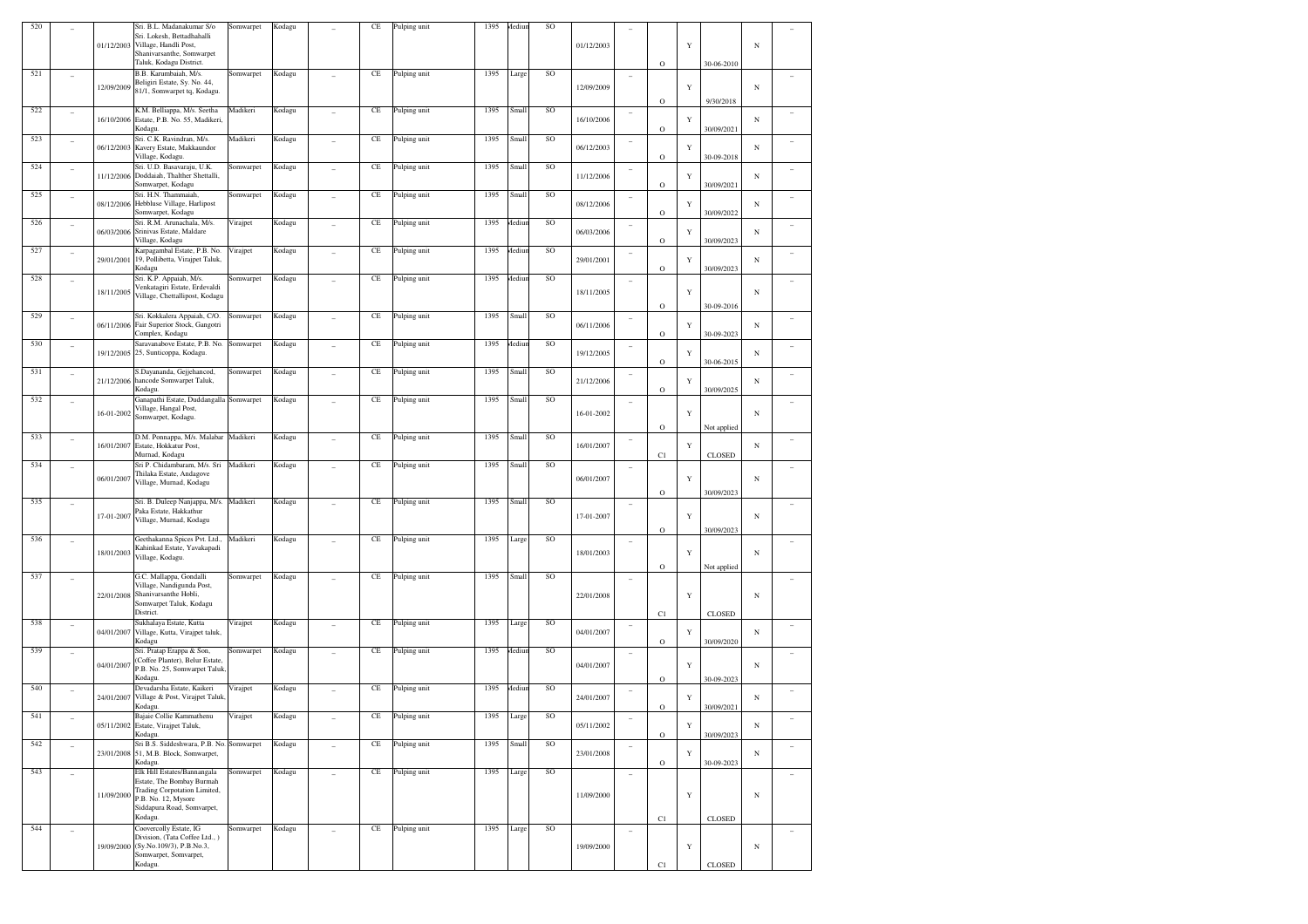| 520 |                          |            | Sri. B.L. Madanakumar S/o<br>Sri. Lokesh, Bettadhahalli<br>01/12/2003 Village, Handli Post,<br>Shanivarsanthe, Somwarpet<br>Taluk, Kodagu District. | Somwarpet | Kodagu |                          | $\!$ $\!$ | Pulping unit | 1395 | Aediu        | SO       | 01/12/2003 |                          | $\circ$           | $\mathbf Y$ | 30-06-2010                   | $_{\rm N}$ |   |
|-----|--------------------------|------------|-----------------------------------------------------------------------------------------------------------------------------------------------------|-----------|--------|--------------------------|-----------|--------------|------|--------------|----------|------------|--------------------------|-------------------|-------------|------------------------------|------------|---|
| 521 | ٠                        | 12/09/2009 | B.B. Karumbaiah, M/s.<br>Beligiri Estate, Sy. No. 44,<br>81/1, Somwarpet tq, Kodagu.                                                                | Somwarpet | Kodagu |                          | $\!$ $\!$ | Pulping unit | 1395 | Large        | $\rm SO$ | 12/09/2009 | ۰                        | $\circ$           | $\mathbf Y$ | 9/30/2018                    | $_{\rm N}$ |   |
| 522 | $\overline{\phantom{a}}$ | 16/10/2006 | K.M. Belliappa, M/s. Seetha<br>Estate, P.B. No. 55, Madikeri,<br>Kodagu.                                                                            | Madikeri  | Kodagu | ÷                        | $\!$ $\!$ | Pulping unit | 1395 | Small        | SO       | 16/10/2006 | $\overline{\phantom{a}}$ | $\circ$           | Y           | 30/09/2021                   | $_{\rm N}$ |   |
| 523 | $\overline{\phantom{a}}$ | 06/12/2003 | Sri. C.K. Ravindran, M/s.<br>Kavery Estate, Makkaundor<br>Village, Kodagu.                                                                          | Madikeri  | Kodagu | ٠                        | $\!$ $\!$ | Pulping unit | 1395 | Small        | SO       | 06/12/2003 | ۰                        | $\mathbf O$       | Y           | 30-09-2018                   | N          |   |
| 524 | $\overline{\phantom{a}}$ | 11/12/2006 | Sri. U.D. Basavaraju, U.K.<br>Doddaiah, Thalther Shettalli,<br>Somwarpet, Kodagu                                                                    | Somwarpet | Kodagu | ٠                        | $\!$ $\!$ | Pulping unit | 1395 | Small        | SO       | 11/12/2006 | ۰                        | $\mathbf O$       | Y           | 30/09/2021                   | $_{\rm N}$ |   |
| 525 | $\overline{\phantom{a}}$ | 08/12/2006 | Sri. H.N. Thammaiah,<br>Hebbluse Village, Harlipost<br>Somwarpet, Kodagu                                                                            | Somwarpet | Kodagu | $\overline{a}$           | $\!$ $\!$ | Pulping unit | 1395 | Small        | SO       | 08/12/2006 | ۰                        | $\circ$           | Y           | 30/09/2022                   | $_{\rm N}$ |   |
| 526 | $\overline{\phantom{a}}$ | 06/03/2006 | Sri. R.M. Arunachala, M/s.<br>Srinivas Estate, Maldare<br>Village, Kodagu                                                                           | Virajpet  | Kodagu | ÷                        | $\!$ $\!$ | Pulping unit | 1395 | <b>Aediu</b> | SO       | 06/03/2006 | $\overline{\phantom{a}}$ | $\circ$           | Y           | 30/09/2023                   | $_{\rm N}$ |   |
| 527 | $\overline{\phantom{a}}$ | 29/01/2001 | Karpagambal Estate, P.B. No.<br>19, Pollibetta, Virajpet Taluk,<br>Kodagu                                                                           | Virajpet  | Kodagu | ٠                        | $\!$ $\!$ | Pulping unit | 1395 | <b>Aediu</b> | SO       | 29/01/2001 | ۰                        | $\mathbf O$       | Y           | 30/09/2023                   | $_{\rm N}$ |   |
| 528 | $\overline{\phantom{a}}$ | 18/11/2005 | Sri. K.P. Appaiah, M/s.<br>Venkatagiri Estate, Erdevaldi<br>Village, Chettallipost, Kodagu                                                          | Somwarpet | Kodagu | ٠                        | $\!$ $\!$ | Pulping unit | 1395 | <b>Aediu</b> | $\rm SO$ | 18/11/2005 | ۰                        | $\circ$           | Y           | 30-09-2016                   | $_{\rm N}$ |   |
| 529 | $\overline{\phantom{a}}$ | 06/11/2006 | Sri. Kokkalera Appaiah, C/O.<br>Fair Superior Stock, Gangotri<br>Complex, Kodagu                                                                    | Somwarpet | Kodagu | ÷                        | $\!$ $\!$ | Pulping unit | 1395 | Small        | SO       | 06/11/2006 | $\overline{\phantom{a}}$ | $\circ$           | Y           | 30-09-2023                   | $_{\rm N}$ | ٠ |
| 530 | $\overline{\phantom{a}}$ | 19/12/2005 | Saravanabove Estate, P.B. No.<br>25, Sunticoppa, Kodagu.                                                                                            | Somwarpet | Kodagu | ٠                        | $\!$ $\!$ | Pulping unit | 1395 | <b>Aediu</b> | SO       | 19/12/2005 | ۰                        | $\mathbf O$       | Y           | 30-06-2015                   | N          |   |
| 531 | $\overline{\phantom{a}}$ | 21/12/2006 | S.Dayananda, Gejjehancod,<br>hancode Somwarpet Taluk,<br>Kodagu.                                                                                    | Somwarpet | Kodagu | $\overline{\phantom{0}}$ | $\!$ $\!$ | Pulping unit | 1395 | Small        | SO       | 21/12/2006 | ۰                        | $\circ$           | Y           | 30/09/2025                   | $_{\rm N}$ |   |
| 532 | ٠                        | 16-01-2002 | Ganapathi Estate, Duddangalla Somwarpet<br>Village, Hangal Post,<br>Somwarpet, Kodagu.                                                              |           | Kodagu | ٠                        | $\!$ $\!$ | Pulping unit | 1395 | Small        | $\rm SO$ | 16-01-2002 | ۰                        | $\circ$           | Y           | Not applied                  | $_{\rm N}$ |   |
| 533 | $\overline{\phantom{a}}$ | 16/01/2007 | D.M. Ponnappa, M/s. Malabar<br>Estate, Hokkatur Post,<br>Murnad, Kodagu                                                                             | Madikeri  | Kodagu | ÷                        | $\!$ $\!$ | Pulping unit | 1395 | Small        | SO       | 16/01/2007 | $\overline{\phantom{a}}$ | C1                | Y           | <b>CLOSED</b>                | N          |   |
| 534 | ۰                        | 06/01/2007 | Sri P. Chidambaram, M/s. Sri<br>Thilaka Estate, Andagove<br>Village, Murnad, Kodagu                                                                 | Madikeri  | Kodagu | ٠                        | $\!$ $\!$ | Pulping unit | 1395 | Small        | $\rm SO$ | 06/01/2007 | ۰                        |                   | Y           |                              | $_{\rm N}$ |   |
| 535 | ۰                        | 17-01-2007 | Sri. B. Duleep Nanjappa, M/s.<br>Paka Estate, Hakkathur<br>Village, Murnad, Kodagu                                                                  | Madikeri  | Kodagu | ٠                        | $\!$ $\!$ | Pulping unit | 1395 | Small        | $\rm SO$ | 17-01-2007 | $\overline{\phantom{a}}$ | $\circ$           | Y           | 30/09/2023                   | $_{\rm N}$ |   |
| 536 | ۰                        | 18/01/2003 | Geethakanna Spices Pvt. Ltd.,<br>Kahinkad Estate, Yavakapadi<br>Village, Kodagu.                                                                    | Madikeri  | Kodagu |                          | $\!$ $\!$ | Pulping unit | 1395 | Large        | SO       | 18/01/2003 | $\overline{\phantom{a}}$ | $\circ$           | Y           | 30/09/2023                   | $_{\rm N}$ |   |
| 537 | $\overline{\phantom{a}}$ |            | G.C. Mallappa, Gondalli<br>Village, Nandigunda Post,<br>22/01/2008 Shanivarsanthe Hobli,<br>Somwarpet Taluk, Kodagu<br>District.                    | Somwarpet | Kodagu |                          | $\!$ $\!$ | Pulping unit | 1395 | Small        | $\rm SO$ | 22/01/2008 | ۰                        | $\mathbf O$<br>C1 | Y           | Not applied<br><b>CLOSED</b> | $_{\rm N}$ |   |
| 538 | $\overline{\phantom{a}}$ | 04/01/2007 | Sukhalaya Estate, Kutta<br>Village, Kutta, Virajpet taluk,<br>Kodagu                                                                                | Virajpet  | Kodagu | ÷                        | $\!$ $\!$ | Pulping unit | 1395 | Large        | SO       | 04/01/2007 | $\overline{\phantom{a}}$ | $\circ$           | Y           | 30/09/2020                   | N          |   |
| 539 | ۰                        | 04/01/2007 | Sri. Pratap Erappa & Son,<br>Coffee Planter), Belur Estate,<br>P.B. No. 25, Somwarpet Taluk<br>Kodagu.                                              | Somwarpet | Kodagu |                          | $\!$ $\!$ | Pulping unit | 1395 | Aediu        | $\rm SO$ | 04/01/2007 | ۰                        | $\circ$           | Y           | 30-09-2023                   | $_{\rm N}$ |   |
| 540 |                          | 24/01/2007 | Devadarsha Estate, Kaikeri<br>Village & Post, Virajpet Taluk<br>Kodagu.                                                                             | Virajpet  | Kodagu |                          | $\!$ $\!$ | Pulping unit | 1395 | Aediu        | SO       | 24/01/2007 | ۰                        | $\circ$           | Y           | 30/09/2021                   | $_{\rm N}$ | ٠ |
| 541 |                          |            | Bajaie Collie Kammathenu<br>05/11/2002 Estate, Virajpet Taluk,<br>Kodagu.                                                                           | Virajpet  | Kodagu |                          | $\!$ $\!$ | Pulping unit | 1395 | Large        | SO       | 05/11/2002 |                          | $\mathbf O$       | Y           | 30/09/2023                   | $_{\rm N}$ |   |
| 542 | $\overline{\phantom{a}}$ |            | Sri B.S. Siddeshwara, P.B. No. Somwarpet<br>23/01/2008 51, M.B. Block, Somwarpet,<br>Kodagu.                                                        |           | Kodagu | $\overline{a}$           | $\!$ $\!$ | Pulping unit | 1395 | Small        | SO       | 23/01/2008 |                          | $\mathbf O$       | $\mathbf Y$ | 30-09-2023                   | $_{\rm N}$ |   |
| 543 | ٠                        | 11/09/2000 | Elk Hill Estates/Bannangala<br>Estate, The Bombay Burmah<br>Trading Corpotation Limited,<br>P.B. No. 12, Mysore<br>Siddapura Road, Somvarpet,       | Somwarpet | Kodagu | ÷                        | $\rm CE$  | Pulping unit | 1395 | Large        | SO       | 11/09/2000 | ۰                        |                   | Y           |                              | $_{\rm N}$ | ٠ |
| 544 | ٠                        |            | Kodagu.<br>Coovercolly Estate, IG                                                                                                                   | Somwarpet | Kodagu |                          | $\rm CE$  | Pulping unit | 1395 | Large        | SO       |            |                          | C1                |             | <b>CLOSED</b>                |            |   |
|     |                          |            | Division, (Tata Coffee Ltd., )<br>19/09/2000 (Sy.No.109/3), P.B.No.3,<br>Somwarpet, Somvarpet,<br>Kodagu.                                           |           |        |                          |           |              |      |              |          | 19/09/2000 |                          | C1                | Y           | <b>CLOSED</b>                | $_{\rm N}$ |   |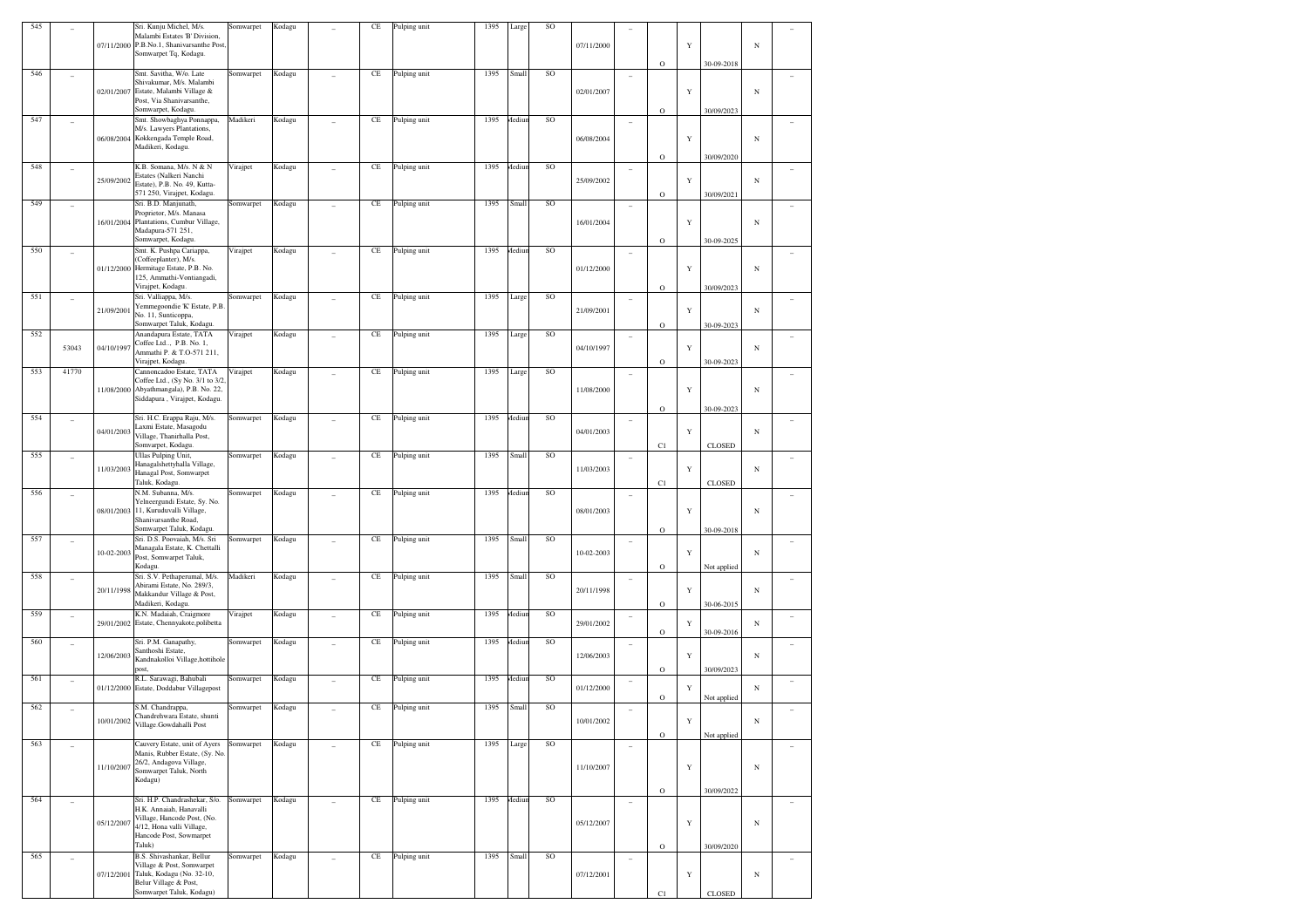| 545        |                | 07/11/2000 | Sri. Kunju Michel, M/s.<br>Malambi Estates 'B' Division,<br>P.B.No.1, Shanivarsanthe Post<br>Somwarpet Tq, Kodagu.                                        | Somwarpet              | Kodagu           |                | CE                   | Pulping unit                 | 1395         | Large            | SO       | 07/11/2000 |    | $\circ$                | Y           | 30-09-2018               | $\mathbf N$ |        |
|------------|----------------|------------|-----------------------------------------------------------------------------------------------------------------------------------------------------------|------------------------|------------------|----------------|----------------------|------------------------------|--------------|------------------|----------|------------|----|------------------------|-------------|--------------------------|-------------|--------|
| 546        |                | 02/01/2007 | Smt. Savitha, W/o. Late<br>Shivakumar, M/s. Malambi<br>Estate, Malambi Village &<br>Post, Via Shanivarsanthe,<br>Somwarpet, Kodagu.                       | Somwarpet              | Kodagu           |                | CE                   | Pulping unit                 | 1395         | Small            | SO       | 02/01/2007 | i. | $\circ$                | Y           | 30/09/2023               | $\mathbf N$ |        |
| 547        | ٠              | 06/08/2004 | Smt. Showbaghya Ponnappa,<br>M/s. Lawyers Plantations,<br>Kokkengada Temple Road,<br>Madikeri, Kodagu.                                                    | Madikeri               | Kodagu           | ÷              | CE                   | Pulping unit                 | 1395         | Aediu            | SO       | 06/08/2004 | i. | $\circ$                | $\mathbf Y$ | 30/09/2020               | $_{\rm N}$  |        |
| 548        |                | 25/09/2002 | K.B. Somana, M/s. N & N<br>Estates (Nalkeri Nanchi<br>Estate), P.B. No. 49, Kutta-<br>571 250, Virajpet, Kodagu.                                          | Virajpet               | Kodagu           |                | CE                   | Pulping unit                 | 1395         | Mediur           | SO       | 25/09/2002 | i. | $\circ$                | Y           | 30/09/2021               | $_{\rm N}$  |        |
| 549        |                | 16/01/2004 | Sri. B.D. Manjunath.<br>Proprietor, M/s. Manasa<br>Plantations, Cumbur Village,<br>Madapura-571 251,<br>Somwarpet, Kodagu.                                | Somwarpet              | Kodagu           |                | CE                   | Pulping unit                 | 1395         | Small            | SO       | 16/01/2004 | ٠  | $\circ$                | Y           | 30-09-2025               | $\mathbf N$ |        |
| 550        |                |            | Smt. K. Pushpa Cariappa,<br>(Coffeeplanter), M/s.<br>01/12/2000 Hermitage Estate, P.B. No.<br>125, Ammathi-Vontiangadi,<br>Virajpet, Kodagu.              | Virajpet               | Kodagu           |                | $\rm CE$             | Pulping unit                 | 1395         | <b>Aediur</b>    | SO       | 01/12/2000 |    | $\circ$                | Y           | 30/09/2023               | $\mathbf N$ |        |
| 551        |                | 21/09/2001 | Sri. Valliappa, M/s.<br>Yemmegoondie 'K' Estate, P.B.<br>No. 11, Sunticoppa,<br>Somwarpet Taluk, Kodagu.                                                  | Somwarpet              | Kodagu           |                | $\rm CE$             | Pulping unit                 | 1395         | Large            | SO       | 21/09/2001 | i. | $\circ$                | Y           | 30-09-2023               | $_{\rm N}$  |        |
| 552        | 53043          | 04/10/1997 | Anandapura Estate, TATA<br>Coffee Ltd, P.B. No. 1,<br>Ammathi P. & T.O-571 211,<br>Virajpet, Kodagu.                                                      | Virajpet               | Kodagu           |                | $\rm CE$             | Pulping unit                 | 1395         | Large            | SO       | 04/10/1997 | i. | $\circ$                | Y           | 30-09-2023               | $_{\rm N}$  |        |
| 553        | 41770          | 11/08/2000 | Cannoncadoo Estate, TATA<br>Coffee Ltd., (Sy No. 3/1 to 3/2<br>Abyathmangala), P.B. No. 22,<br>Siddapura, Virajpet, Kodagu.                               | Virajpet               | Kodagu           |                | CE                   | Pulping unit                 | 1395         | Large            | SO       | 11/08/2000 | i. | $\circ$                | Y           | 30-09-2023               | $\mathbf N$ |        |
| 554        | $\overline{a}$ | 04/01/2003 | Sri. H.C. Erappa Raju, M/s.<br>Laxmi Estate, Masagodu<br>Village, Thanirhalla Post,<br>Somvarpet, Kodagu.                                                 | Somwarpet              | Kodagu           | ÷              | $\rm CE$             | Pulping unit                 | 1395         | Aediu            | SO       | 04/01/2003 | i. | C1                     | Y           | <b>CLOSED</b>            | $_{\rm N}$  |        |
| 555        | ÷              | 11/03/2003 | Ullas Pulping Unit,<br>Hanagalshettyhalla Village,<br>Hanagal Post, Somwarpet<br>Taluk, Kodagu.                                                           | Somwarpet              | Kodagu           | ÷              | CE                   | Pulping unit                 | 1395         | Small            | SO       | 11/03/2003 | i. | C1                     | Y           | <b>CLOSED</b>            | $_{\rm N}$  |        |
| 556        | ٠              | 08/01/2003 | N.M. Subanna, M/s.<br>Yelneergundi Estate, Sy. No.<br>11, Kuruduvalli Village,<br>Shanivarsanthe Road,<br>Somwarpet Taluk, Kodagu.                        | Somwarpet              | Kodagu           | ÷              | CE                   | Pulping unit                 | 1395         | <b>Aediur</b>    | SO       | 08/01/2003 | i. | $\circ$                | Y           | 30-09-2018               | $_{\rm N}$  |        |
| 557        | ٠              | 10-02-2003 | Sri. D.S. Poovaiah, M/s. Sri<br>Managala Estate, K. Chettalli<br>Post, Somwarpet Taluk,<br>Kodagu.                                                        | Somwarpet              | Kodagu           | ÷              | $\rm CE$             | Pulping unit                 | 1395         | Small            | SO       | 10-02-2003 | i. | $\circ$                | Y           | Not applied              | $_{\rm N}$  |        |
| 558        |                | 20/11/1998 | Sri. S.V. Pethaperumal, M/s.<br>Abirami Estate, No. 289/3,<br>Makkandur Village & Post,<br>Madikeri, Kodagu.                                              | Madikeri               | Kodagu           |                | $\rm CE$             | Pulping unit                 | 1395         | Small            | SO       | 20/11/1998 | i. | $\circ$                | Y           | 30-06-2015               | $_{\rm N}$  |        |
| 559<br>560 | ÷<br>٠         |            | K.N. Madaiah, Craigmore<br>29/01/2002 Estate, Chennyakote, polibetta<br>Sri. P.M. Ganapathy,                                                              | Virajpet<br>Somwarpet  | Kodagu<br>Kodagu |                | CE<br>$\rm CE$       | Pulping unit<br>Pulping unit | 1395<br>1395 | Mediur<br>Mediur | SO<br>SO | 29/01/2002 | ٠  | $\rm{O}$               | Y           | 30-09-2016               | $_{\rm N}$  | ٠      |
| 561        |                | 12/06/2003 | Santhoshi Estate,<br>Kandnakolloi Village, hottihole<br>ost,<br>R.L. Sarawagi, Bahubali                                                                   |                        |                  |                |                      |                              | 1395         | Mediur           | SO       | 12/06/2003 | ٠  | $\rm{O}$               | Y           | 30/09/2023               | $_{\rm N}$  |        |
| 562        | ÷              |            | 01/12/2000 Estate, Doddabur Villagepost<br>S.M. Chandrappa,                                                                                               | Somwarpet<br>Somwarpet | Kodagu<br>Kodagu | ÷              | $\rm CE$<br>$\rm CE$ | Pulping unit<br>Pulping unit | 1395         | Small            | SO       | 01/12/2000 | i. | $\rm{O}$               | Y           | Not applied              | $_{\rm N}$  | ÷      |
|            | ÷              | 10/01/2002 | Chandrehwara Estate, shunti<br>Village.Gowdahalli Post                                                                                                    |                        |                  | ÷              |                      |                              |              |                  |          | 10/01/2002 | i. | $\mathbf O$            |             | Not applied              | Ν           |        |
| 563        | $\overline{a}$ | 11/10/2007 | Cauvery Estate, unit of Ayers<br>Manis, Rubber Estate, (Sy. No.<br>26/2, Andagova Village,<br>Somwarpet Taluk, North<br>Kodagu)                           | Somwarpet              | Kodagu           | $\overline{a}$ | $\rm CE$             | Pulping unit                 | 1395         | Large            | SO       | 11/10/2007 | ÷  |                        | Y           |                          | $_{\rm N}$  | $\sim$ |
| 564        | $\overline{a}$ | 05/12/2007 | Sri. H.P. Chandrashekar, S/o.<br>H.K. Annaiah, Hanavalli<br>Village, Hancode Post, (No.<br>4/12, Hona valli Village,<br>Hancode Post, Sowmarpet<br>Taluk) | Somwarpet              | Kodagu           | ÷,             | $\rm CE$             | Pulping unit                 | 1395         | <b>Aediur</b>    | SO       | 05/12/2007 | i. | $\circ$<br>$\mathbf O$ | Y           | 30/09/2022<br>30/09/2020 | $_{\rm N}$  | $\sim$ |
| 565        | ÷              | 07/12/2001 | B.S. Shivashankar, Bellur<br>Village & Post, Somwarpet<br>Taluk, Kodagu (No. 32-10,<br>Belur Village & Post,<br>Somwarpet Taluk, Kodagu)                  | Somwarpet              | Kodagu           | $\overline{a}$ | $\rm CE$             | Pulping unit                 | 1395         | Small            | SO       | 07/12/2001 | ÷  | C1                     | Y           | CLOSED                   | $_{\rm N}$  | $\sim$ |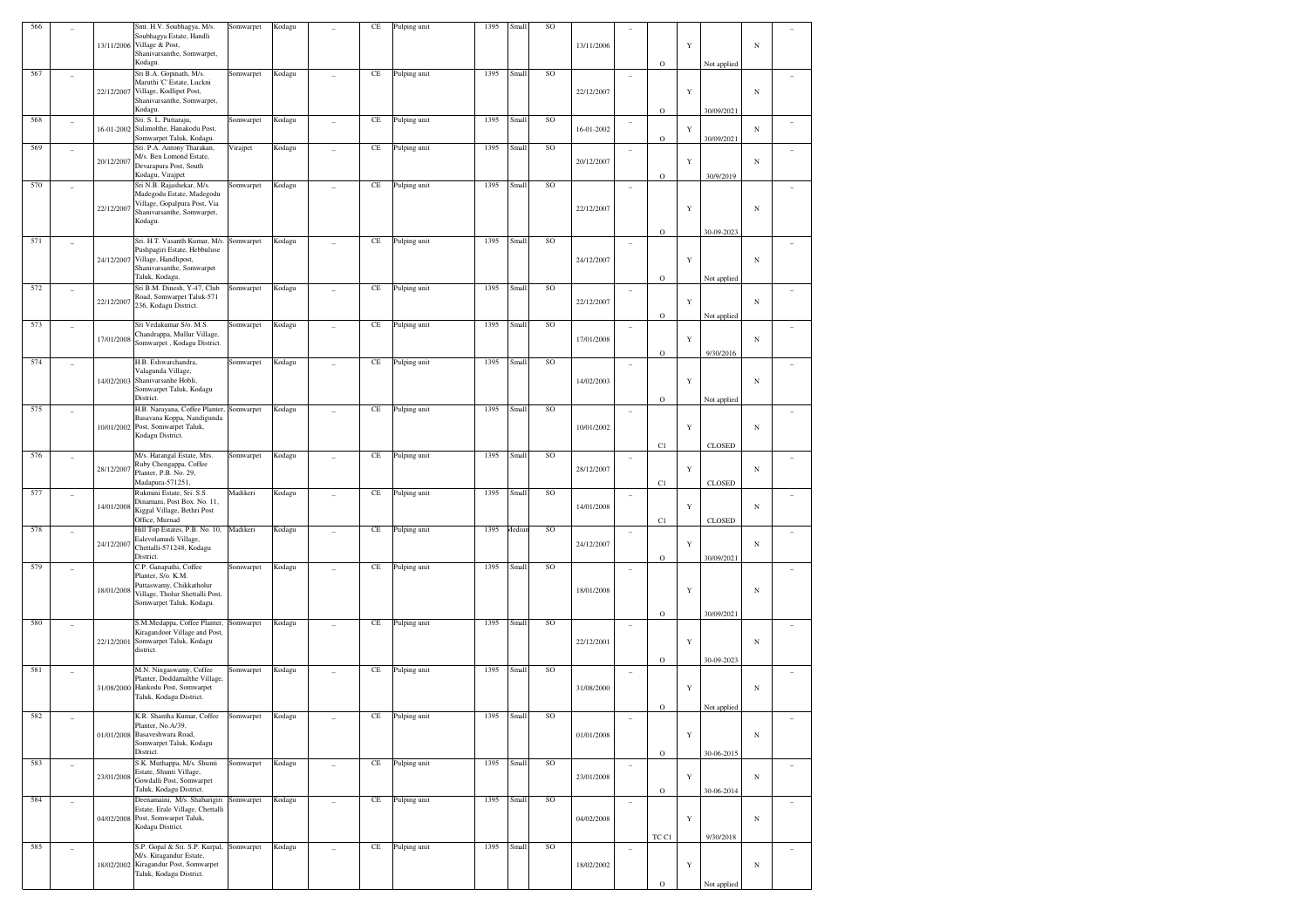| 566 |                          |            | Smt. H.V. Soubhagya, M/s.                                        | Somwarpet | Kodagu |                | CE       | Pulping unit | 1395 | Small  | SO |            |                          |             |             |               |            |                          |
|-----|--------------------------|------------|------------------------------------------------------------------|-----------|--------|----------------|----------|--------------|------|--------|----|------------|--------------------------|-------------|-------------|---------------|------------|--------------------------|
|     |                          |            | Soubhagya Estate, Handli<br>13/11/2006 Village & Post,           |           |        |                |          |              |      |        |    | 13/11/2006 |                          |             | $\mathbf Y$ |               | $_{\rm N}$ |                          |
|     |                          |            | Shanivarsanthe, Somwarpet,                                       |           |        |                |          |              |      |        |    |            |                          |             |             |               |            |                          |
|     |                          |            | Kodagu.                                                          |           |        |                |          |              |      |        |    |            |                          | $\rm{O}$    |             | Not applied   |            |                          |
| 567 |                          |            | Sri B.A. Gopinath, M/s.<br>Maruthi 'C' Estate, Luckni            | Somwarpet | Kodagu |                | $\rm CE$ | Pulping unit | 1395 | Small  | SO |            |                          |             |             |               |            |                          |
|     |                          | 22/12/2007 | Village, Kodlipet Post,                                          |           |        |                |          |              |      |        |    | 22/12/2007 |                          |             | $\mathbf Y$ |               | $_{\rm N}$ |                          |
|     |                          |            | Shanivarsanthe, Somwarpet,                                       |           |        |                |          |              |      |        |    |            |                          |             |             |               |            |                          |
|     |                          |            | Kodagu.                                                          |           |        |                |          |              |      |        |    |            |                          | $\mathbf O$ |             | 30/09/2021    |            |                          |
| 568 | ۰                        |            | Sri. S. L. Puttaraju,                                            | Somwarpet | Kodagu | $\sim$         | $\rm CE$ | Pulping unit | 1395 | Small  | SO |            | $\overline{\phantom{a}}$ |             |             |               |            | ٠                        |
|     |                          | 16-01-2002 | Sulimolthe, Hanakodu Post,<br>Somwarpet Taluk, Kodagu.           |           |        |                |          |              |      |        |    | 16-01-2002 |                          | $\mathbf O$ | Y           | 30/09/2021    | N          |                          |
| 569 | ٠                        |            | Sri. P.A. Antony Tharakan,                                       | Virajpet  | Kodagu |                | $\rm CE$ | Pulping unit | 1395 | Small  | SO |            | ٠                        |             |             |               |            |                          |
|     |                          | 20/12/2007 | M/s. Ben Lomond Estate,                                          |           |        |                |          |              |      |        |    | 20/12/2007 |                          |             | $\mathbf Y$ |               | N          |                          |
|     |                          |            | Devarapura Post, South                                           |           |        |                |          |              |      |        |    |            |                          |             |             |               |            |                          |
| 570 |                          |            | Kodagu, Virajpet<br>Sri N.B. Rajashekar, M/s.                    |           |        |                | $\rm CE$ | Pulping unit | 1395 | Small  | SO |            |                          | $\mathbf O$ |             | 30/9/2019     |            |                          |
|     |                          |            | Madegodu Estate, Madegodu                                        | Somwarpet | Kodagu |                |          |              |      |        |    |            | ۰                        |             |             |               |            |                          |
|     |                          | 22/12/2007 | Village, Gopalpura Post, Via                                     |           |        |                |          |              |      |        |    |            |                          |             | $\mathbf Y$ |               |            |                          |
|     |                          |            | Shanivarsanthe, Somwarpet,                                       |           |        |                |          |              |      |        |    | 22/12/2007 |                          |             |             |               | N          |                          |
|     |                          |            | Kodagu.                                                          |           |        |                |          |              |      |        |    |            |                          | $\mathbf O$ |             | 30-09-2023    |            |                          |
| 571 |                          |            | Sri. H.T. Vasanth Kumar, M/s.                                    | Somwarpet | Kodagu |                | $\rm CE$ | Pulping unit | 1395 | Small  | SO |            |                          |             |             |               |            |                          |
|     |                          |            | Pushpagiri Estate, Hebbuluse                                     |           |        |                |          |              |      |        |    |            | ۰                        |             |             |               |            |                          |
|     |                          | 24/12/2007 | Village, Handlipost,                                             |           |        |                |          |              |      |        |    | 24/12/2007 |                          |             | $\mathbf Y$ |               | $_{\rm N}$ |                          |
|     |                          |            | Shanivarsanthe, Somwarpet<br>Taluk, Kodagu.                      |           |        |                |          |              |      |        |    |            |                          | $\mathbf O$ |             |               |            |                          |
| 572 | ۰                        |            | Sri B.M. Dinesh, Y-47, Club                                      | somwarpet | Kodagu |                | $\rm CE$ | Pulping unit | 1395 | Small  | SO |            |                          |             |             | Not applied   |            | ۰                        |
|     |                          |            | Road, Somwarpet Taluk-571                                        |           |        |                |          |              |      |        |    |            | ٠                        |             |             |               |            |                          |
|     |                          | 22/12/2007 | 236, Kodagu District.                                            |           |        |                |          |              |      |        |    | 22/12/2007 |                          |             | $\mathbf Y$ |               | N          |                          |
|     |                          |            |                                                                  |           |        |                |          |              |      |        |    |            |                          | $\mathbf O$ |             | Not applied   |            |                          |
| 573 | ٠                        |            | Sri Vedakumar S/o. M.S.<br>Chandrappa, Mullur Village,           | Somwarpet | Kodagu |                | $\rm CE$ | Pulping unit | 1395 | Small  | SO |            | ٠                        |             |             |               |            |                          |
|     |                          | 17/01/2008 | Somwarpet, Kodagu District.                                      |           |        |                |          |              |      |        |    | 17/01/2008 |                          |             | $\mathbf Y$ |               | N          |                          |
|     |                          |            |                                                                  |           |        |                |          |              |      |        |    |            |                          | $\mathbf O$ |             | 9/30/2016     |            |                          |
| 574 | $\sim$                   |            | H.B. Eshwarchandra,                                              | Somwarpet | Kodagu |                | $\rm CE$ | Pulping unit | 1395 | Small  | SO |            | ٠                        |             |             |               |            |                          |
|     |                          |            | Valagunda Village,<br>14/02/2003 Shanivarsanhe Hobli,            |           |        |                |          |              |      |        |    | 14/02/2003 |                          |             | $\mathbf Y$ |               | $_{\rm N}$ |                          |
|     |                          |            | Somwarpet Taluk, Kodagu                                          |           |        |                |          |              |      |        |    |            |                          |             |             |               |            |                          |
|     |                          |            | District.                                                        |           |        |                |          |              |      |        |    |            |                          | $\mathbf O$ |             | Not applied   |            |                          |
| 575 | ۰                        |            | H.B. Narayana, Coffee Planter,                                   | Somwarpet | Kodagu |                | $\rm CE$ | Pulping unit | 1395 | Small  | SO |            | ٠                        |             |             |               |            |                          |
|     |                          |            | Basavana Koppa, Nandigunda                                       |           |        |                |          |              |      |        |    |            |                          |             |             |               |            |                          |
|     |                          |            | 10/01/2002 Post, Somwarpet Taluk,<br>Kodagu District.            |           |        |                |          |              |      |        |    | 10/01/2002 |                          |             | $\mathbf Y$ |               | $_{\rm N}$ |                          |
|     |                          |            |                                                                  |           |        |                |          |              |      |        |    |            |                          | C1          |             | <b>CLOSED</b> |            |                          |
| 576 | ۰                        |            | M/s. Harangal Estate, Mrs.                                       | Somwarpet | Kodagu |                | $\rm CE$ | Pulping unit | 1395 | Small  | SO |            | ٠                        |             |             |               |            | ÷                        |
|     |                          | 28/12/2007 | Ruby Chengappa, Coffee                                           |           |        |                |          |              |      |        |    | 28/12/2007 |                          |             | Y           |               | N          |                          |
|     |                          |            | Planter, P.B. No. 29,<br>Madapura-571251,                        |           |        |                |          |              |      |        |    |            |                          |             |             | <b>CLOSED</b> |            |                          |
| 577 |                          |            | Rukmini Estate, Sri. S.S.                                        | Madikeri  | Kodagu |                | $\rm CE$ | Pulping unit | 1395 | Small  | SO |            |                          | C1          |             |               |            |                          |
|     | ٠                        |            | Dinamani, Post Box. No. 11,                                      |           |        |                |          |              |      |        |    |            | ٠                        |             | Y           |               |            |                          |
|     |                          | 14/01/2008 | Kiggal Village, Bethri Post                                      |           |        |                |          |              |      |        |    | 14/01/2008 |                          |             |             |               | N          |                          |
|     |                          |            | Office, Murnad                                                   |           |        |                |          |              |      |        | SO |            |                          | C1          |             | CLOSED        |            |                          |
| 578 |                          |            | Hill Top Estates, P.B. No. 10,<br>Ealevolamudi Village,          | Madikeri  | Kodagu |                | $\rm CE$ | Pulping unit | 1395 | Mediur |    |            | ٠                        |             |             |               |            |                          |
|     |                          | 24/12/2007 | Chettalli-571248, Kodagu                                         |           |        |                |          |              |      |        |    | 24/12/2007 |                          |             | $\mathbf Y$ |               | N          |                          |
|     |                          |            | District.                                                        |           |        |                |          |              |      |        |    |            |                          | $\mathbf O$ |             | 30/09/2021    |            |                          |
| 579 | $\sim$                   |            | C.P. Ganapathi, Coffee                                           | Somwarpet | Kodagu |                | $\rm CE$ | Pulping unit | 1395 | Small  | SO |            | ٠                        |             |             |               |            |                          |
|     |                          |            | Planter, S/o. K.M.<br>Puttaswamy, Chikkatholur                   |           |        |                |          |              |      |        |    |            |                          |             |             |               |            |                          |
|     |                          | 18/01/2008 | Village, Tholur Shettalli Post,                                  |           |        |                |          |              |      |        |    | 18/01/2008 |                          |             | $\mathbf Y$ |               | N          |                          |
|     |                          |            | Somwarpet Taluk, Kodagu.                                         |           |        |                |          |              |      |        |    |            |                          |             |             |               |            |                          |
|     |                          |            |                                                                  |           |        |                |          |              |      |        |    |            |                          | $\mathbf O$ |             | 30/09/2021    |            |                          |
| 580 |                          |            | S.M.Medappa, Coffee Planter,<br>Kiragandoor Village and Post,    | Somwarpet | Kodagu |                | $\rm CE$ | Pulping unit | 1395 | Small  | SO |            | ٠                        |             |             |               |            |                          |
|     |                          |            | 22/12/2001 Somwarpet Taluk, Kodagu                               |           |        |                |          |              |      |        |    | 22/12/2001 |                          |             | $\mathbf Y$ |               | $_{\rm N}$ |                          |
|     |                          |            | district.                                                        |           |        |                |          |              |      |        |    |            |                          |             |             |               |            |                          |
|     |                          |            |                                                                  |           |        |                |          |              |      |        |    |            |                          | $\mathbf O$ |             | 30-09-2023    |            |                          |
| 581 | ۰                        |            | M.N. Ningaswamy, Coffee<br>Planter, Doddamalthe Village,         | Somwarpet | Kodagu |                | $\rm CE$ | Pulping unit | 1395 | Small  | SO |            | $\overline{\phantom{a}}$ |             |             |               |            | ÷,                       |
|     |                          |            | 31/08/2000 Hankodu Post, Somwarpet                               |           |        |                |          |              |      |        |    | 31/08/2000 |                          |             | $\mathbf Y$ |               | $_{\rm N}$ |                          |
|     |                          |            | Taluk, Kodagu District.                                          |           |        |                |          |              |      |        |    |            |                          |             |             |               |            |                          |
|     |                          |            |                                                                  |           |        |                |          |              |      |        |    |            |                          | $\mathbf O$ |             | Not applied   |            |                          |
| 582 |                          |            | K.R. Shantha Kumar, Coffee Somwarpet<br>Planter, No.A/39,        |           | Kodagu |                | $\rm CE$ | Pulping unit | 1395 | Small  | SO |            |                          |             |             |               |            |                          |
|     |                          |            | 01/01/2008 Basaveshwara Road,                                    |           |        |                |          |              |      |        |    | 01/01/2008 |                          |             | $\mathbf Y$ |               | $_{\rm N}$ |                          |
|     |                          |            | Somwarpet Taluk, Kodagu                                          |           |        |                |          |              |      |        |    |            |                          |             |             |               |            |                          |
|     |                          |            | District.                                                        |           |        |                |          |              |      |        |    |            |                          | $\mathbf O$ |             | 30-06-2015    |            |                          |
| 583 | $\overline{\phantom{a}}$ |            | S.K. Muthappa, M/s. Shunti<br>Estate, Shunti Village,            | Somwarpet | Kodagu | $\overline{a}$ | $\rm CE$ | Pulping unit | 1395 | Small  | SO |            | $\sim$                   |             |             |               |            | $\overline{\phantom{a}}$ |
|     |                          | 23/01/2008 | Gowdalli Post, Somwarpet                                         |           |        |                |          |              |      |        |    | 23/01/2008 |                          |             | Y           |               | $_{\rm N}$ |                          |
|     |                          |            | Taluk, Kodagu District.                                          |           |        |                |          |              |      |        |    |            |                          | $\mathbf O$ |             | 30-06-2014    |            |                          |
| 584 | $\overline{a}$           |            | Deenamaini, M/s. Shabarigiri                                     | Somwarpet | Kodagu | $\overline{a}$ | $\rm CE$ | Pulping unit | 1395 | Small  | SO |            | ٠                        |             |             |               |            | $\equiv$                 |
|     |                          |            | Estate, Erale Village, Chettalli                                 |           |        |                |          |              |      |        |    |            |                          |             |             |               |            |                          |
|     |                          |            | 04/02/2008 Post, Somwarpet Taluk,<br>Kodagu District.            |           |        |                |          |              |      |        |    | 04/02/2008 |                          |             | $\mathbf Y$ |               | $_{\rm N}$ |                          |
|     |                          |            |                                                                  |           |        |                |          |              |      |        |    |            |                          | TC C1       |             | 9/30/2018     |            |                          |
| 585 | ۰                        |            | S.P. Gopal & Sri. S.P. Kurpal, Somwarpet                         |           | Kodagu | ÷              | $\rm CE$ | Pulping unit | 1395 | Small  | SO |            | $\sim$                   |             |             |               |            | $\sim$                   |
|     |                          |            | M/s. Kiragandur Estate,                                          |           |        |                |          |              |      |        |    |            |                          |             |             |               |            |                          |
|     |                          |            | 18/02/2002 Kiragandur Post, Somwarpet<br>Taluk, Kodagu District. |           |        |                |          |              |      |        |    | 18/02/2002 |                          |             | $\mathbf Y$ |               | $_{\rm N}$ |                          |
|     |                          |            |                                                                  |           |        |                |          |              |      |        |    |            |                          | $\rm{O}$    |             | Not applied   |            |                          |
|     |                          |            |                                                                  |           |        |                |          |              |      |        |    |            |                          |             |             |               |            |                          |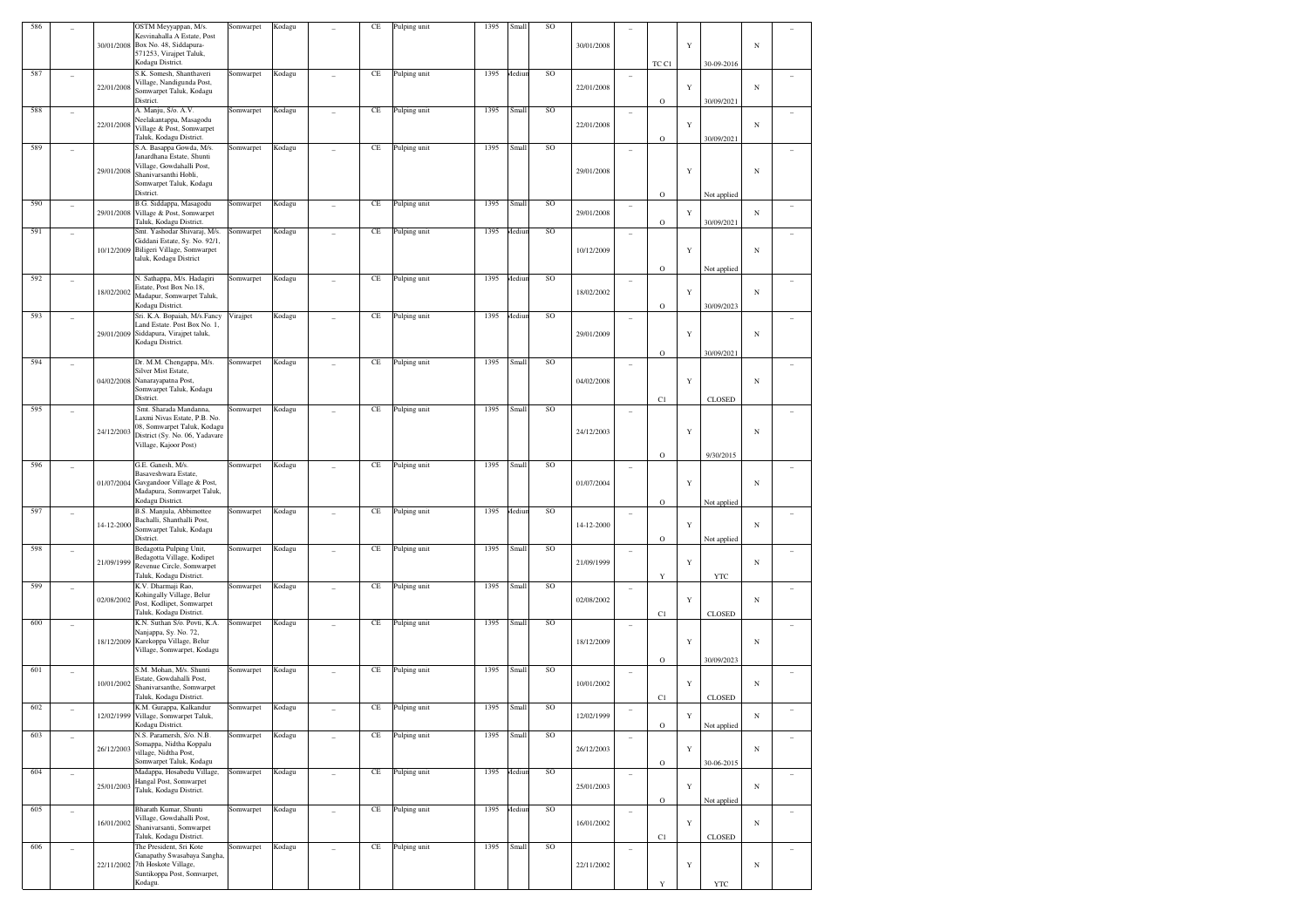| 586 |                          | 30/01/2008 | OSTM Meyyappan, M/s.<br>Kesvinahalla A Estate, Post<br>Box No. 48, Siddapura-<br>571253, Virajpet Taluk,<br>Kodagu District.                                      | Somwarpet | Kodagu |                | CE       | Pulping unit | 1395 | Small         | SO | 30/01/2008 |                          | TC C1                      | Y           | 30-09-2016                 | $_{\rm N}$ |          |
|-----|--------------------------|------------|-------------------------------------------------------------------------------------------------------------------------------------------------------------------|-----------|--------|----------------|----------|--------------|------|---------------|----|------------|--------------------------|----------------------------|-------------|----------------------------|------------|----------|
| 587 |                          | 22/01/2008 | S.K. Somesh, Shanthaveri<br>Village, Nandigunda Post,<br>Somwarpet Taluk, Kodagu                                                                                  | Somwarpet | Kodagu |                | $\rm CE$ | Pulping unit | 1395 | <b>Aediun</b> | SO | 22/01/2008 | $\qquad \qquad -$        |                            | $\mathbf Y$ |                            | $_{\rm N}$ |          |
| 588 |                          | 22/01/2008 | District.<br>A. Manju, S/o. A.V.<br>Neelakantappa, Masagodu<br>Village & Post, Somwarpet                                                                          | Somwarpet | Kodagu |                | CE       | Pulping unit | 1395 | Small         | SO | 22/01/2008 | $\overline{\phantom{a}}$ | $\circ$                    | Y           | 30/09/2021                 | $_{\rm N}$ |          |
| 589 |                          | 29/01/2008 | Taluk, Kodagu District.<br>S.A. Basappa Gowda, M/s.<br>Janardhana Estate, Shunti<br>Village, Gowdahalli Post,<br>Shanivarsanthi Hobli,<br>Somwarpet Taluk, Kodagu | Somwarpet | Kodagu |                | $\rm CE$ | Pulping unit | 1395 | Small         | SO | 29/01/2008 | ۰                        | $\circ$                    | Y           | 30/09/2021                 | $_{\rm N}$ |          |
| 590 | $\overline{\phantom{a}}$ | 29/01/2008 | District.<br>B.G. Siddappa, Masagodu<br>Village & Post, Somwarpet                                                                                                 | Somwarpet | Kodagu |                | CE       | Pulping unit | 1395 | Small         | SO | 29/01/2008 | $\overline{\phantom{a}}$ | $\mathbf O$                | Y           | Not applied                | $_{\rm N}$ |          |
| 591 |                          | 10/12/2009 | Taluk, Kodagu District.<br>Smt. Yashodar Shivaraj, M/s.<br>Giddani Estate, Sy. No. 92/1,<br>Biligeri Village, Somwarpet<br>taluk, Kodagu District                 | Somwarpet | Kodagu |                | CE       | Pulping unit | 1395 | <b>fediur</b> | SO | 10/12/2009 | $\overline{\phantom{a}}$ | $\circ$<br>$\mathbf O$     | Y           | 30/09/2021                 | $_{\rm N}$ |          |
| 592 |                          | 18/02/2002 | N. Sathappa, M/s. Hadagiri<br>Estate, Post Box No.18,<br>Madapur, Somwarpet Taluk,<br>Kodagu District.                                                            | Somwarpet | Kodagu |                | $\rm CE$ | Pulping unit | 1395 | <b>Aediun</b> | SO | 18/02/2002 | $\overline{\phantom{a}}$ | $\circ$                    | Y           | Not applied<br>30/09/2023  | $_{\rm N}$ |          |
| 593 |                          | 29/01/2009 | Sri. K.A. Bopaiah, M/s.Fancy<br>Land Estate. Post Box No. 1,<br>Siddapura, Virajpet taluk,<br>Kodagu District.                                                    | Virajpet  | Kodagu |                | CE       | Pulping unit | 1395 | <b>Aediun</b> | SO | 29/01/2009 | ۰                        | $\mathbf O$                | Y           | 30/09/2021                 | $_{\rm N}$ |          |
| 594 |                          | 04/02/2008 | Dr. M.M. Chengappa, M/s.<br>Silver Mist Estate,<br>Nanarayapatna Post,<br>Somwarpet Taluk, Kodagu<br>District.                                                    | Somwarpet | Kodagu |                | CE       | Pulping unit | 1395 | Small         | SO | 04/02/2008 | ٠                        | C1                         | Y           | <b>CLOSED</b>              | $_{\rm N}$ |          |
| 595 |                          | 24/12/2003 | Smt. Sharada Mandanna.<br>Laxmi Nivas Estate, P.B. No.<br>08, Somwarpet Taluk, Kodagu<br>District (Sy. No. 06, Yadavare<br>Village, Kajoor Post)                  | Somwarpet | Kodagu |                | $\rm CE$ | Pulping unit | 1395 | Small         | SO | 24/12/2003 | ۰                        |                            | Y           |                            | $_{\rm N}$ |          |
| 596 |                          | 01/07/2004 | G.E. Ganesh, M/s.<br>Basaveshwara Estate,<br>Gavgandoor Village & Post,<br>Madapura, Somwarpet Taluk,<br>Kodagu District.                                         | Somwarpet | Kodagu |                | CE       | Pulping unit | 1395 | Small         | SO | 01/07/2004 | $\overline{\phantom{a}}$ | $\mathbf O$<br>$\mathbf O$ | Y           | 9/30/2015                  | $_{\rm N}$ |          |
| 597 |                          | 14-12-2000 | B.S. Manjula, Abbimottee<br>Bachalli, Shanthalli Post,<br>Somwarpet Taluk, Kodagu<br>District.                                                                    | Somwarpet | Kodagu |                | $\rm CE$ | Pulping unit | 1395 | <i>dediur</i> | SO | 14-12-2000 | ۰                        | $\mathbf O$                | Y           | Not applied<br>Not applied | $_{\rm N}$ |          |
| 598 |                          | 21/09/1999 | Bedagotta Pulping Unit,<br>Bedagotta Village, Kodipet<br>Revenue Circle, Somwarpet<br>Taluk, Kodagu District.                                                     | Somwarpet | Kodagu |                | CE       | Pulping unit | 1395 | Small         | SO | 21/09/1999 | $\overline{\phantom{a}}$ | Y                          | Y           | <b>YTC</b>                 | $_{\rm N}$ |          |
| 599 |                          | 02/08/2002 | K.V. Dharmaji Rao,<br>Kohingally Village, Belur<br>Post, Kodlipet, Somwarpet<br>Taluk, Kodagu District.                                                           | Somwarpet | Kodagu |                | $\rm CE$ | Pulping unit | 1395 | Small         | SO | 02/08/2002 | $\overline{\phantom{0}}$ | C1                         | Y           | <b>CLOSED</b>              | $_{\rm N}$ |          |
| 600 |                          | 18/12/2009 | K.N. Suthan S/o. Povti, K.A.<br>Nanjappa, Sy. No. 72,<br>Karekoppa Village, Belur<br>Village, Somwarpet, Kodagu                                                   | Somwarpet | Kodagu |                | $\rm CE$ | Pulping unit | 1395 | Small         | SO | 18/12/2009 | $\overline{\phantom{a}}$ | $\mathbf O$                | Y           | 30/09/2023                 | $_{\rm N}$ |          |
| 601 |                          | 10/01/2002 | S.M. Mohan, M/s. Shunti<br>Estate, Gowdahalli Post,<br>Shanivarsanthe, Somwarpet<br>Taluk, Kodagu District.                                                       | Somwarpet | Kodagu |                | $\rm CE$ | Pulping unit | 1395 | Small         | SO | 10/01/2002 | $\qquad \qquad -$        | C1                         | Y           | <b>CLOSED</b>              | $_{\rm N}$ |          |
| 602 |                          | 12/02/1999 | K.M. Gurappa, Kalkandur<br>Village, Somwarpet Taluk,<br>Kodagu District.                                                                                          | Somwarpet | Kodagu |                | $\rm CE$ | Pulping unit | 1395 | Small         | SO | 12/02/1999 | $\overline{\phantom{a}}$ | $\mathbf O$                | Y           | Not applied                | $_{\rm N}$ |          |
| 603 | $\overline{\phantom{a}}$ | 26/12/2003 | N.S. Paramersh, S/o. N.B.<br>Somappa, Nidtha Koppalu<br>village, Nidtha Post,<br>Somwarpet Taluk, Kodagu                                                          | Somwarpet | Kodagu | ÷              | $\rm CE$ | Pulping unit | 1395 | Small         | SO | 26/12/2003 | $\overline{a}$           | $\mathbf O$                | $\mathbf Y$ | 30-06-2015                 | $_{\rm N}$ | $\sim$   |
| 604 | ٠                        | 25/01/2003 | Madappa, Hosabedu Village,<br>Hangal Post, Somwarpet<br>Taluk, Kodagu District.                                                                                   | Somwarpet | Kodagu | $\overline{a}$ | $\rm CE$ | Pulping unit | 1395 | Aediun        | SO | 25/01/2003 | $\overline{a}$           | $\mathbf O$                | $\mathbf Y$ | Not applied                | $_{\rm N}$ | ۰        |
| 605 | $\overline{\phantom{a}}$ | 16/01/2002 | Bharath Kumar, Shunti<br>Village, Gowdahalli Post,<br>Shanivarsanti, Somwarpet<br>Taluk, Kodagu District.                                                         | Somwarpet | Kodagu | $\overline{a}$ | $\rm CE$ | Pulping unit | 1395 | Aediun        | SO | 16/01/2002 | $\sim$                   | C1                         | $\mathbf Y$ | <b>CLOSED</b>              | $_{\rm N}$ | $\equiv$ |
| 606 | $\overline{\phantom{a}}$ | 22/11/2002 | The President, Sri Kote<br>Ganapathy Swasabaya Sangha,<br>7th Hoskote Village,<br>Suntikoppa Post, Somvarpet,<br>Kodagu.                                          | Somwarpet | Kodagu | ÷              | $\rm CE$ | Pulping unit | 1395 | Small         | SO | 22/11/2002 | $\overline{a}$           | Y                          | $\mathbf Y$ | YTC                        | $_{\rm N}$ |          |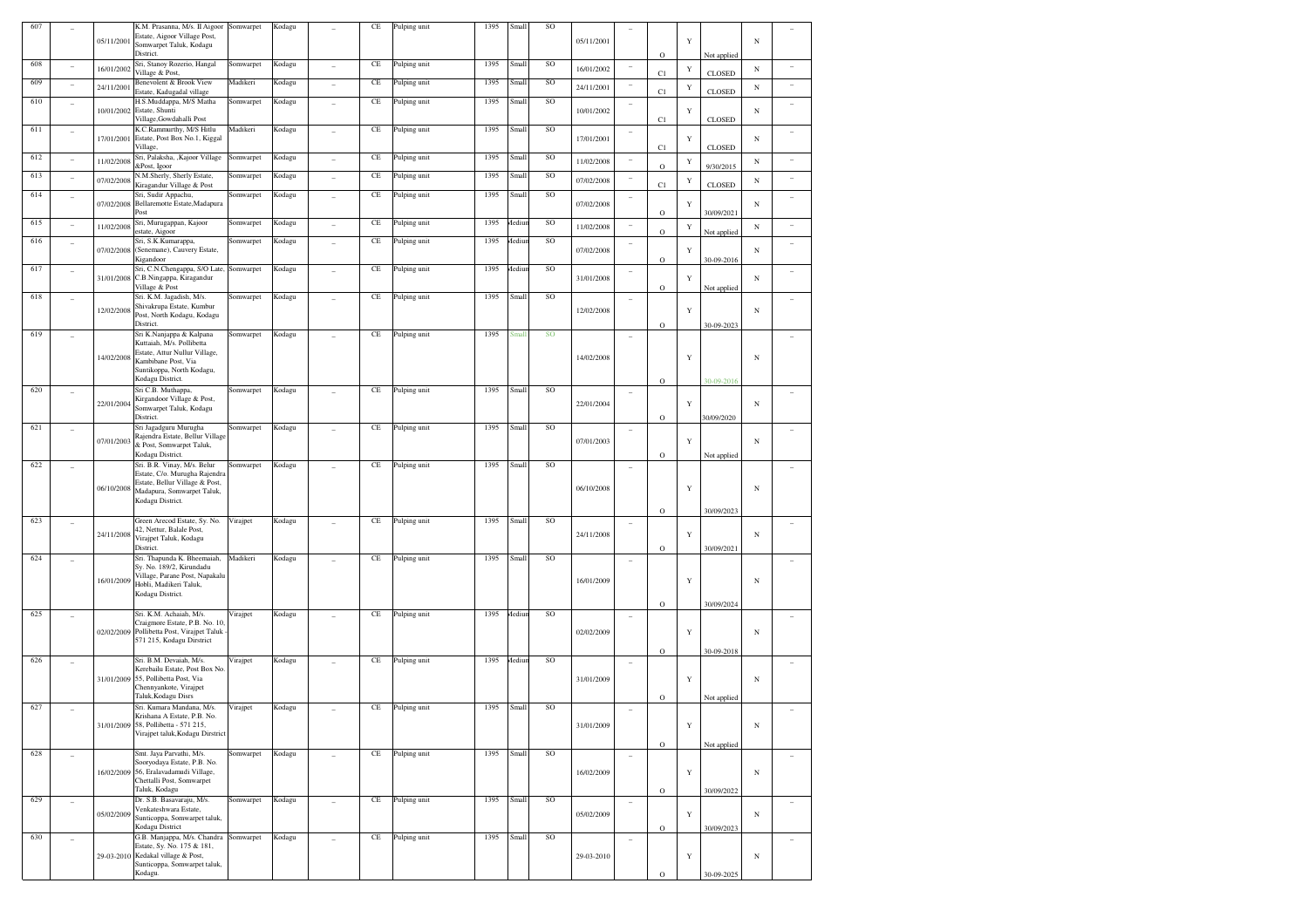| 607 |                          |            | K.M. Prasanna, M/s. II Aigoor                                | Somwarpet | Kodagu |   | CE       | Pulping unit | 1395 | Small  | SO |            |                          |             |             |               |            |  |
|-----|--------------------------|------------|--------------------------------------------------------------|-----------|--------|---|----------|--------------|------|--------|----|------------|--------------------------|-------------|-------------|---------------|------------|--|
|     |                          | 05/11/2001 | Estate, Aigoor Village Post,                                 |           |        |   |          |              |      |        |    | 05/11/2001 |                          |             | Y           |               | N          |  |
|     |                          |            | Somwarpet Taluk, Kodagu                                      |           |        |   |          |              |      |        |    |            |                          |             |             |               |            |  |
| 608 |                          |            | District.<br>Sri, Stanoy Rozerio, Hangal                     | Somwarpet | Kodagu |   | $\rm CE$ |              | 1395 | Small  | SO |            |                          | $\circ$     |             | Not applied   |            |  |
|     |                          | 16/01/2002 | Village & Post,                                              |           |        |   |          | Pulping unit |      |        |    | 16/01/2002 |                          | C1          | Y           | <b>CLOSED</b> | $_{\rm N}$ |  |
| 609 |                          |            | Benevolent & Brook View                                      | Madikeri  | Kodagu |   | $\rm CE$ | Pulping unit | 1395 | Small  | SO | 24/11/2001 |                          |             |             |               | $_{\rm N}$ |  |
|     |                          | 24/11/200  | Estate, Kadugadal village                                    |           |        |   |          |              |      |        |    |            |                          | C1          | $\mathbf Y$ | CLOSED        |            |  |
| 610 | $\overline{\phantom{a}}$ |            | H.S.Muddappa, M/S Matha                                      | Somwarpet | Kodagu |   | $\rm CE$ | Pulping unit | 1395 | Small  | SO |            | ۰                        |             |             |               |            |  |
|     |                          | 10/01/2002 | Estate, Shunti<br>Village, Gowdahalli Post                   |           |        |   |          |              |      |        |    | 10/01/2002 |                          | C1          | Y           | <b>CLOSED</b> | $_{\rm N}$ |  |
| 611 |                          |            | K.C.Rammurthy, M/S Hitlu                                     | Madikeri  | Kodagu |   | $\rm CE$ | Pulping unit | 1395 | Small  | SO |            |                          |             |             |               |            |  |
|     | $\overline{\phantom{0}}$ | 17/01/200  | Estate, Post Box No.1, Kiggal                                |           |        |   |          |              |      |        |    | 17/01/2001 | $\qquad \qquad -$        |             | Y           |               | $_{\rm N}$ |  |
|     |                          |            | Village,                                                     |           |        |   |          |              |      |        |    |            |                          | C1          |             | <b>CLOSED</b> |            |  |
| 612 |                          | 11/02/2008 | Sri, Palaksha, , Kajoor Village                              | Somwarpet | Kodagu |   | $\rm CE$ | Pulping unit | 1395 | Small  | SO | 11/02/2008 | $\overline{\phantom{a}}$ |             | $\mathbf Y$ |               | $_{\rm N}$ |  |
| 613 |                          |            | &Post, Igoor<br>N.M.Sherly, Sherly Estate,                   |           |        |   | $\rm CE$ |              | 1395 | Small  | SO |            |                          | $\circ$     |             | 9/30/2015     |            |  |
|     |                          | 07/02/2008 | Kiragandur Village & Post                                    | Somwarpet | Kodagu |   |          | Pulping unit |      |        |    | 07/02/2008 | ۰                        | C1          | $\mathbf Y$ | CLOSED        | $_{\rm N}$ |  |
| 614 | $\overline{\phantom{0}}$ |            | Sri, Sudir Appachu,                                          | Somwarpet | Kodagu |   | $\rm CE$ | Pulping unit | 1395 | Small  | SO |            | ۰                        |             |             |               |            |  |
|     |                          | 07/02/2008 | Bellaremotte Estate, Madapura                                |           |        |   |          |              |      |        |    | 07/02/2008 |                          |             | Y           |               | $_{\rm N}$ |  |
|     |                          |            | Post                                                         |           |        |   |          |              |      |        |    |            |                          | $\mathbf O$ |             | 30/09/2021    |            |  |
| 615 |                          | 11/02/2008 | Sri, Murugappan, Kajoor<br>estate, Aigoor                    | Somwarpet | Kodagu |   | $\rm CE$ | Pulping unit | 1395 | Mediur | SO | 11/02/2008 | $\overline{\phantom{a}}$ | $\circ$     | $\mathbf Y$ |               | $_{\rm N}$ |  |
| 616 |                          |            | Sri, S.K.Kumarappa,                                          | Somwarpet | Kodagu |   | $\rm CE$ | Pulping unit | 1395 | Mediur | SO |            |                          |             |             | Not applied   |            |  |
|     | $\qquad \qquad -$        | 07/02/200  | (Senemane), Cauvery Estate,                                  |           |        |   |          |              |      |        |    | 07/02/2008 | $\qquad \qquad -$        |             | Y           |               | $_{\rm N}$ |  |
|     |                          |            | Kigandoor                                                    |           |        |   |          |              |      |        |    |            |                          | $\mathbf O$ |             | 30-09-2016    |            |  |
| 617 |                          |            | Sri, C.N.Chengappa, S/O Late,                                | Somwarpet | Kodagu |   | $\rm CE$ | Pulping unit | 1395 | Mediur | SO |            | ۰                        |             |             |               |            |  |
|     |                          | 31/01/2008 | C.B.Ningappa, Kiragandur                                     |           |        |   |          |              |      |        |    | 31/01/2008 |                          |             | Y           |               | $_{\rm N}$ |  |
| 618 |                          |            | Village & Post<br>Sri. K.M. Jagadish, M/s.                   | Somwarpet | Kodagu |   | $\rm CE$ | Pulping unit | 1395 | Small  | SO |            |                          | $\mathbf O$ |             | Not applied   |            |  |
|     |                          |            | Shivakrupa Estate, Kumbur                                    |           |        |   |          |              |      |        |    |            | ۰                        |             |             |               |            |  |
|     |                          | 12/02/2008 | Post, North Kodagu, Kodagu                                   |           |        |   |          |              |      |        |    | 12/02/2008 |                          |             | Y           |               | N          |  |
|     |                          |            | District.                                                    |           |        |   |          |              |      |        |    |            |                          | $\circ$     |             | 30-09-2023    |            |  |
| 619 |                          |            | Sri K.Nanjappa & Kalpana                                     | Somwarpet | Kodagu |   | $\rm CE$ | Pulping unit | 1395 | Small  | SO |            | J.                       |             |             |               |            |  |
|     |                          |            | Kuttaiah, M/s. Pollibetta<br>Estate, Attur Nullur Village,   |           |        |   |          |              |      |        |    |            |                          |             |             |               |            |  |
|     |                          | 14/02/2008 | Kambibane Post, Via                                          |           |        |   |          |              |      |        |    | 14/02/2008 |                          |             | Y           |               | $_{\rm N}$ |  |
|     |                          |            | Suntikoppa, North Kodagu,                                    |           |        |   |          |              |      |        |    |            |                          |             |             |               |            |  |
|     |                          |            | Kodagu District.                                             |           |        |   |          |              |      |        |    |            |                          | $\mathbf O$ |             | 30-09-2016    |            |  |
| 620 |                          |            | Sri C.B. Muthappa,                                           | Somwarpet | Kodagu |   | $\rm CE$ | Pulping unit | 1395 | Small  | SO |            | ٠                        |             |             |               |            |  |
|     |                          | 22/01/2004 | Kirgandoor Village & Post,                                   |           |        |   |          |              |      |        |    | 22/01/2004 |                          |             | Y           |               | N          |  |
|     |                          |            | Somwarpet Taluk, Kodagu<br>District.                         |           |        |   |          |              |      |        |    |            |                          | $\circ$     |             | 30/09/2020    |            |  |
| 621 |                          |            | Sri Jagadguru Murugha                                        | Somwarpet | Kodagu |   | $\rm CE$ | Pulping unit | 1395 | Small  | SO |            |                          |             |             |               |            |  |
|     |                          |            | Rajendra Estate, Bellur Village                              |           |        |   |          |              |      |        |    |            | $\overline{a}$           |             |             |               |            |  |
|     |                          | 07/01/2003 | & Post, Somwarpet Taluk,                                     |           |        |   |          |              |      |        |    | 07/01/2003 |                          |             | Y           |               | N          |  |
|     |                          |            | Kodagu District.                                             |           |        |   |          |              |      |        |    |            |                          | $\circ$     |             | Not applied   |            |  |
| 622 |                          |            | Sri. B.R. Vinay, M/s. Belur<br>Estate, C/o. Murugha Rajendra | Somwarpet | Kodagu |   | $\rm CE$ | Pulping unit | 1395 | Small  | SO |            | ٠                        |             |             |               |            |  |
|     |                          |            | Estate, Bellur Village & Post,                               |           |        |   |          |              |      |        |    |            |                          |             |             |               |            |  |
|     |                          | 06/10/2008 | Madapura, Somwarpet Taluk,                                   |           |        |   |          |              |      |        |    | 06/10/2008 |                          |             | Y           |               | $_{\rm N}$ |  |
|     |                          |            | Kodagu District.                                             |           |        |   |          |              |      |        |    |            |                          |             |             |               |            |  |
|     |                          |            |                                                              |           |        |   |          |              |      |        |    |            |                          | $\mathbf O$ |             | 30/09/2023    |            |  |
| 623 |                          |            | Green Arecod Estate, Sy. No.<br>42, Nettur, Balale Post,     | Virajpet  | Kodagu |   | $\rm CE$ | Pulping unit | 1395 | Small  | SO |            | ۰                        |             |             |               |            |  |
|     |                          | 24/11/2008 | Virajpet Taluk, Kodagu                                       |           |        |   |          |              |      |        |    | 24/11/2008 |                          |             | Y           |               | N          |  |
|     |                          |            | District.                                                    |           |        |   |          |              |      |        |    |            |                          | $\circ$     |             | 30/09/2021    |            |  |
| 624 |                          |            | Sri. Thapunda K. Bheemaiah,                                  | Madikeri  | Kodagu |   | $\rm CE$ | Pulping unit | 1395 | Small  | SO |            | ٠                        |             |             |               |            |  |
|     |                          |            | Sy. No. 189/2, Kirundadu                                     |           |        |   |          |              |      |        |    |            |                          |             |             |               |            |  |
|     |                          | 16/01/2009 | Village, Parane Post, Napakalu<br>Hobli, Madikeri Taluk,     |           |        |   |          |              |      |        |    | 16/01/2009 |                          |             | Y           |               | $_{\rm N}$ |  |
|     |                          |            | Kodagu District.                                             |           |        |   |          |              |      |        |    |            |                          |             |             |               |            |  |
|     |                          |            |                                                              |           |        |   |          |              |      |        |    |            |                          | $\mathbf O$ |             | 30/09/2024    |            |  |
| 625 |                          |            | Sri. K.M. Achaiah, M/s.                                      | Virajpet  | Kodagu |   | $\rm CE$ | Pulping unit | 1395 | Mediur | SO |            | ۰                        |             |             |               |            |  |
|     |                          |            | Craigmore Estate, P.B. No. 10.                               |           |        |   |          |              |      |        |    |            |                          |             |             |               |            |  |
|     |                          | 02/02/2009 | Pollibetta Post, Virajpet Taluk                              |           |        |   |          |              |      |        |    | 02/02/2009 |                          |             | Y           |               | $_{\rm N}$ |  |
|     |                          |            | 571 215, Kodagu Dirstrict                                    |           |        |   |          |              |      |        |    |            |                          | $\circ$     |             | 30-09-2018    |            |  |
| 626 |                          |            | Sri. B.M. Devaiah, M/s.                                      | Virajpet  | Kodagu |   | $\rm CE$ | Pulping unit | 1395 | Mediur | SO |            |                          |             |             |               |            |  |
|     |                          |            | Kerebailu Estate, Post Box No.                               |           |        |   |          |              |      |        |    |            |                          |             |             |               |            |  |
|     |                          | 31/01/2009 | 55, Pollibetta Post, Via                                     |           |        |   |          |              |      |        |    | 31/01/2009 |                          |             | Y           |               | $_{\rm N}$ |  |
|     |                          |            | Chennyankote, Virajpet                                       |           |        |   |          |              |      |        |    |            |                          |             |             |               |            |  |
| 627 |                          |            | Taluk, Kodagu Disrs<br>Sri. Kumara Mandana, M/s.             |           |        |   |          | Pulping unit | 1395 |        | SO |            |                          | $\circ$     |             | Not applied   |            |  |
|     |                          |            | Krishana A Estate, P.B. No.                                  | Virajpet  | Kodagu |   | $\rm CE$ |              |      | Small  |    |            | $\qquad \qquad -$        |             |             |               |            |  |
|     |                          |            | 31/01/2009 58, Pollibetta - 571 215,                         |           |        |   |          |              |      |        |    | 31/01/2009 |                          |             | $\mathbf Y$ |               | $_{\rm N}$ |  |
|     |                          |            | Virajpet taluk, Kodagu Dirstrict                             |           |        |   |          |              |      |        |    |            |                          |             |             |               |            |  |
|     |                          |            |                                                              |           |        |   |          |              |      |        |    |            |                          | $\mathbf O$ |             | Not applied   |            |  |
| 628 | ٠                        |            | Smt. Jaya Parvathi, M/s.                                     | Somwarpet | Kodagu | ٠ | $\rm CE$ | Pulping unit | 1395 | Small  | SO |            | $\overline{\phantom{a}}$ |             |             |               |            |  |
|     |                          | 16/02/2009 | Sooryodaya Estate, P.B. No.<br>56, Eralavadamudi Village,    |           |        |   |          |              |      |        |    | 16/02/2009 |                          |             | $\mathbf Y$ |               | $_{\rm N}$ |  |
|     |                          |            | Chettalli Post, Somwarpet                                    |           |        |   |          |              |      |        |    |            |                          |             |             |               |            |  |
|     |                          |            | Taluk, Kodagu                                                |           |        |   |          |              |      |        |    |            |                          | $\mathbf O$ |             | 30/09/2022    |            |  |
| 629 |                          |            | Dr. S.B. Basavaraju, M/s.                                    | Somwarpet | Kodagu | ٠ | $\rm CE$ | Pulping unit | 1395 | Small  | SO |            |                          |             |             |               |            |  |
|     |                          | 05/02/2009 | Venkateshwara Estate,                                        |           |        |   |          |              |      |        |    | 05/02/2009 |                          |             | Y           |               | $_{\rm N}$ |  |
|     |                          |            | Sunticoppa, Somwarpet taluk,<br>Kodagu District              |           |        |   |          |              |      |        |    |            |                          |             |             | 30/09/2023    |            |  |
| 630 |                          |            | G.B. Manjappa, M/s. Chandra Somwarpet                        |           | Kodagu |   | $\rm CE$ | Pulping unit | 1395 | Small  | SO |            |                          | $\mathbf O$ |             |               |            |  |
|     |                          |            | Estate, Sy. No. 175 & 181,                                   |           |        | ٠ |          |              |      |        |    |            | ٠                        |             |             |               |            |  |
|     |                          | 29-03-2010 | Kedakal village & Post,                                      |           |        |   |          |              |      |        |    | 29-03-2010 |                          |             | Y           |               | $_{\rm N}$ |  |
|     |                          |            |                                                              |           |        |   |          |              |      |        |    |            |                          |             |             |               |            |  |
|     |                          |            | Sunticoppa, Somwarpet taluk,<br>Kodagu.                      |           |        |   |          |              |      |        |    |            |                          | $\mathbf O$ |             | 30-09-2025    |            |  |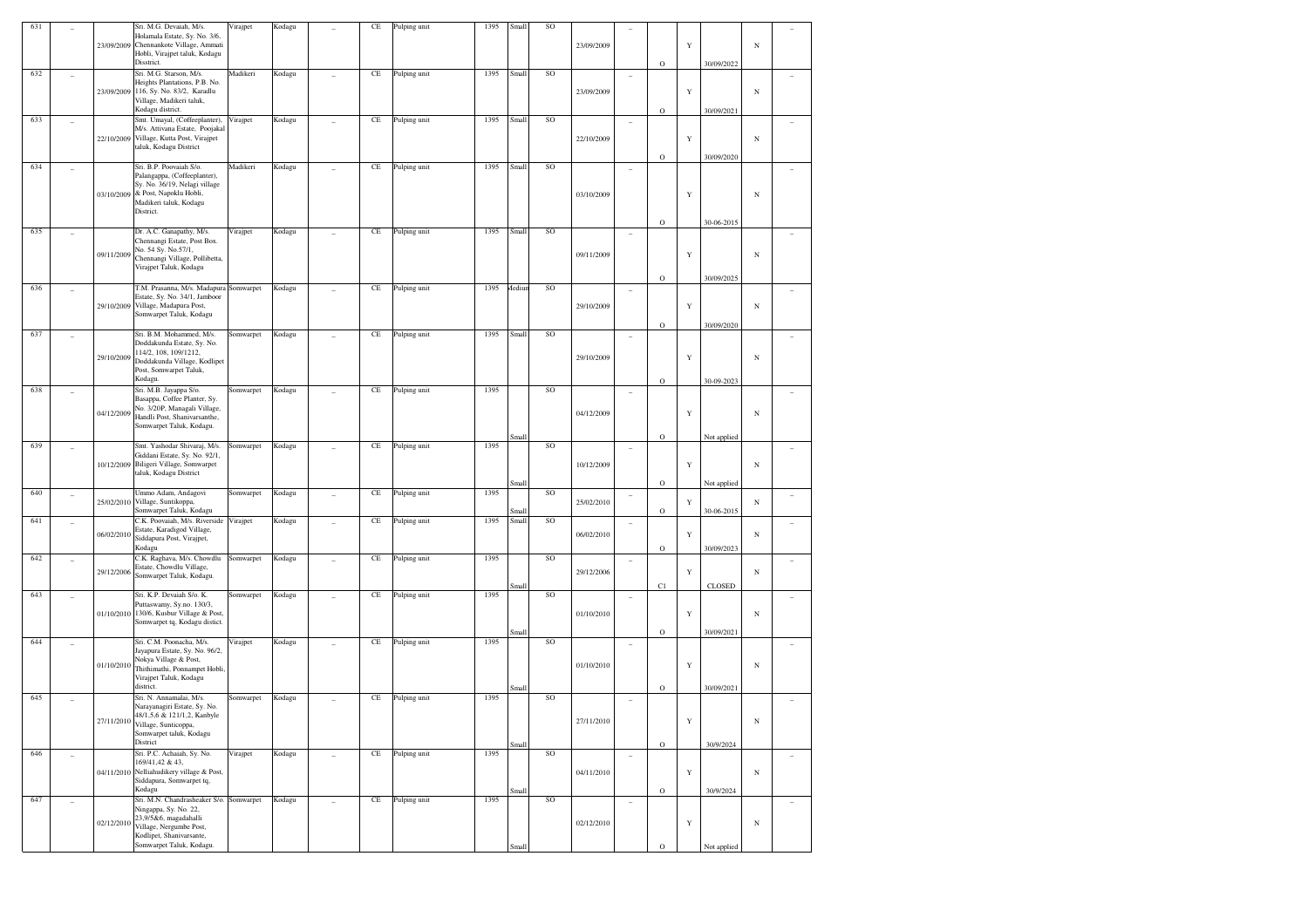| 631 |                | 23/09/2009 | Sri. M.G. Devaiah, M/s.<br>Holamala Estate, Sy. No. 3/6,<br>Chennankote Village, Ammati<br>Hobli, Virajpet taluk, Kodagu<br>Disstrict. | Virajpet  | Kodagu | CE       | Pulping unit | 1395 | Small | SO | 23/09/2009 |                          | $\circ$     | $\mathbf Y$ | 30/09/2022    | $_{\rm N}$ |                          |
|-----|----------------|------------|----------------------------------------------------------------------------------------------------------------------------------------|-----------|--------|----------|--------------|------|-------|----|------------|--------------------------|-------------|-------------|---------------|------------|--------------------------|
| 632 |                | 23/09/2009 | Sri. M.G. Starson, M/s.<br>Heights Plantations, P.B. No.<br>116, Sy. No. 83/2, Karadlu<br>Village, Madikeri taluk,                     | Madikeri  | Kodagu | CE       | Pulping unit | 1395 | Small | SO | 23/09/2009 |                          |             | Y           |               | $_{\rm N}$ |                          |
| 633 |                |            | Kodagu district.<br>Smt. Umayal, (Coffeeplanter),                                                                                      | Virajpet  | Kodagu | CE       | Pulping unit | 1395 | Small | SO |            |                          | O           |             | 30/09/2021    |            |                          |
|     | i.             |            | M/s. Attivana Estate, Poojaka                                                                                                          |           |        |          |              |      |       |    |            | $\overline{\phantom{a}}$ |             |             |               |            |                          |
|     |                | 22/10/2009 | Village, Kutta Post, Virajpet<br>taluk, Kodagu District                                                                                |           |        |          |              |      |       |    | 22/10/2009 |                          |             | Y           |               | $_{\rm N}$ |                          |
| 634 |                |            | Sri. B.P. Poovaiah S/o.                                                                                                                | Madikeri  | Kodagu | CE       | Pulping unit | 1395 | Small | SO |            |                          | O           |             | 30/09/2020    |            |                          |
|     | $\overline{a}$ |            | Palangappa, (Coffeeplanter),                                                                                                           |           |        |          |              |      |       |    |            | $\overline{\phantom{a}}$ |             |             |               |            |                          |
|     |                | 03/10/2009 | Sy. No. 36/19, Nelagi village<br>& Post, Napoklu Hobli,<br>Madikeri taluk, Kodagu                                                      |           |        |          |              |      |       |    | 03/10/2009 |                          |             | Y           |               | $_{\rm N}$ |                          |
|     |                |            | District.                                                                                                                              |           |        |          |              |      |       |    |            |                          |             |             |               |            |                          |
| 635 | $\overline{a}$ |            | Dr. A.C. Ganapathy, M/s.                                                                                                               | Virajpet  | Kodagu | CE       | Pulping unit | 1395 | Small | SO |            | $\overline{\phantom{a}}$ | $\circ$     |             | 30-06-2015    |            |                          |
|     |                |            | Chennangi Estate, Post Box.<br>No. 54 Sy. No.57/1,                                                                                     |           |        |          |              |      |       |    |            |                          |             |             |               |            |                          |
|     |                | 09/11/2009 | Chennangi Village, Pollibetta,<br>Virajpet Taluk, Kodagu                                                                               |           |        |          |              |      |       |    | 09/11/2009 |                          |             | Y           |               | $_{\rm N}$ |                          |
|     |                |            |                                                                                                                                        |           |        |          |              |      |       |    |            |                          | $\circ$     |             | 30/09/2025    |            |                          |
| 636 |                |            | T.M. Prasanna, M/s. Madapura<br>Estate, Sy. No. 34/1, Jamboor                                                                          | Somwarpet | Kodagu | $\rm CE$ | Pulping unit | 1395 | Aediu | SO |            | $\overline{\phantom{a}}$ |             |             |               |            |                          |
|     |                | 29/10/2009 | Village, Madapura Post,<br>Somwarpet Taluk, Kodagu                                                                                     |           |        |          |              |      |       |    | 29/10/2009 |                          |             | Y           |               | $_{\rm N}$ |                          |
|     |                |            |                                                                                                                                        |           |        |          |              |      |       |    |            |                          | O           |             | 30/09/2020    |            |                          |
| 637 | $\overline{a}$ |            | Sri. B.M. Mohammed, M/s.<br>Doddakunda Estate, Sy. No.                                                                                 | Somwarpet | Kodagu | CE       | Pulping unit | 1395 | Small | SO |            | $\overline{\phantom{a}}$ |             |             |               |            |                          |
|     |                | 29/10/2009 | 114/2, 108, 109/1212,<br>Doddakunda Village, Kodlipet                                                                                  |           |        |          |              |      |       |    | 29/10/2009 |                          |             | Y           |               | $_{\rm N}$ |                          |
|     |                |            | Post, Somwarpet Taluk,                                                                                                                 |           |        |          |              |      |       |    |            |                          |             |             |               |            |                          |
| 638 |                |            | Kodagu.<br>Sri. M.B. Jayappa S/o.                                                                                                      | Somwarpet | Kodagu | CE       | Pulping unit | 1395 |       | SO |            |                          | $\circ$     |             | 30-09-2023    |            |                          |
|     | $\overline{a}$ |            | Basappa, Coffee Planter, Sy.                                                                                                           |           |        |          |              |      |       |    |            | $\overline{\phantom{a}}$ |             |             |               |            |                          |
|     |                | 04/12/2009 | No. 3/20P, Managali Village,<br>Handli Post, Shanivarsanthe,                                                                           |           |        |          |              |      |       |    | 04/12/2009 |                          |             | Y           |               | $_{\rm N}$ |                          |
|     |                |            | Somwarpet Taluk, Kodagu.                                                                                                               |           |        |          |              |      | Smal  |    |            |                          | $\circ$     |             | Not applied   |            |                          |
| 639 | $\overline{a}$ |            | Smt. Yashodar Shivaraj, M/s.                                                                                                           | Somwarpet | Kodagu | CE       | Pulping unit | 1395 |       | SO |            | $\overline{\phantom{a}}$ |             |             |               |            |                          |
|     |                | 10/12/2009 | Giddani Estate, Sy. No. 92/1,<br>Biligeri Village, Somwarpet                                                                           |           |        |          |              |      |       |    | 10/12/2009 |                          |             | Y           |               | $_{\rm N}$ |                          |
|     |                |            | taluk, Kodagu District                                                                                                                 |           |        |          |              |      | Smal  |    |            |                          | $\circ$     |             | Not applied   |            |                          |
| 640 | $\overline{a}$ |            | Jmmo Adam, Andagovi                                                                                                                    | Somwarpet | Kodagu | $\rm CE$ | Pulping unit | 1395 |       | SO |            | $\overline{\phantom{0}}$ |             |             |               |            |                          |
|     |                | 25/02/2010 | Village, Suntikoppa,<br>Somwarpet Taluk, Kodagu                                                                                        |           |        |          |              |      | Smal  |    | 25/02/2010 |                          | O           | Y           | 30-06-2015    | $_{\rm N}$ |                          |
| 641 | $\overline{a}$ |            | C.K. Poovaiah, M/s. Riverside<br>Estate, Karadigod Village,                                                                            | Virajpet  | Kodagu | CE       | Pulping unit | 1395 | Small | SO |            | $\overline{\phantom{a}}$ |             |             |               |            |                          |
|     |                | 06/02/2010 | Siddapura Post, Virajpet,<br>Kodagu                                                                                                    |           |        |          |              |      |       |    | 06/02/2010 |                          | O           | Y           | 30/09/2023    | $_{\rm N}$ |                          |
| 642 | i.             |            | C.K. Raghava, M/s. Chowdlu                                                                                                             | Somwarpet | Kodagu | CE       | Pulping unit | 1395 |       | SO |            | $\overline{a}$           |             |             |               |            |                          |
|     |                | 29/12/2006 | Estate, Chowdlu Village,<br>Somwarpet Taluk, Kodagu.                                                                                   |           |        |          |              |      |       |    | 29/12/2006 |                          |             | Y           |               | $_{\rm N}$ |                          |
| 643 |                |            | Sri. K.P. Devaiah S/o. K.                                                                                                              | Somwarpet | Kodagu | CE       | Pulping unit | 1395 | Smal  | SO |            |                          | C1          |             | <b>CLOSED</b> |            |                          |
|     | $\overline{a}$ |            | Puttaswamy, Sy.no. 130/3,                                                                                                              |           |        |          |              |      |       |    |            | $\overline{a}$           |             |             |               |            |                          |
|     |                | 01/10/2010 | 130/6, Kusbur Village & Post,<br>Somwarpet tq, Kodagu distict.                                                                         |           |        |          |              |      |       |    | 01/10/2010 |                          |             | Y           |               | $_{\rm N}$ |                          |
| 644 |                |            | Sri. C.M. Poonacha, M/s.                                                                                                               | Virajpet  | Kodagu | $\rm CE$ | Pulping unit | 1395 | Smal  | SO |            |                          | O           |             | 30/09/2021    |            |                          |
|     |                |            | Jayapura Estate, Sy. No. 96/2,<br>Nokya Village & Post,                                                                                |           |        |          |              |      |       |    |            | $\overline{\phantom{a}}$ |             |             |               |            |                          |
|     |                | 01/10/2010 | Thithimathi, Ponnampet Hobli,                                                                                                          |           |        |          |              |      |       |    | 01/10/2010 |                          |             | Y           |               | $_{\rm N}$ |                          |
|     |                |            | Virajpet Taluk, Kodagu<br>district.                                                                                                    |           |        |          |              |      | Smal  |    |            |                          | O           |             | 30/09/2021    |            |                          |
| 645 |                |            | Sri. N. Annamalai, M/s.                                                                                                                | Somwarpet | Kodagu | CE       | Pulping unit | 1395 |       | SO |            | $\overline{\phantom{a}}$ |             |             |               |            |                          |
|     |                | 27/11/2010 | Narayanagiri Estate, Sy. No.<br>48/1,5,6 & 121/1,2, Kanbyle                                                                            |           |        |          |              |      |       |    | 27/11/2010 |                          |             |             |               |            |                          |
|     |                |            | Village, Sunticoppa,<br>Somwarpet taluk, Kodagu                                                                                        |           |        |          |              |      |       |    |            |                          |             | x           |               | N          |                          |
|     |                |            | District                                                                                                                               |           |        |          |              |      | Small |    |            |                          | $\mathbf O$ |             | 30/9/2024     |            |                          |
| 646 | $\overline{a}$ |            | Sri. P.C. Achaiah, Sy. No.<br>169/41,42 & 43,                                                                                          | Virajpet  | Kodagu | $\rm CE$ | Pulping unit | 1395 |       | SO |            | $\sim$                   |             |             |               |            | $\overline{\phantom{a}}$ |
|     |                |            | 04/11/2010 Nelliahudikery village & Post,<br>Siddapura, Somwarpet tq,                                                                  |           |        |          |              |      |       |    | 04/11/2010 |                          |             | $\mathbf Y$ |               | $_{\rm N}$ |                          |
|     |                |            | Kodagu                                                                                                                                 |           |        |          |              |      | Small |    |            |                          | $\mathbf O$ |             | 30/9/2024     |            |                          |
|     |                |            |                                                                                                                                        |           |        |          |              |      |       |    |            |                          |             |             |               |            |                          |
| 647 | $\frac{1}{2}$  |            | Sri. M.N. Chandrasheaker S/o.<br>Ningappa, Sy. No. 22,                                                                                 | Somwarpet | Kodagu | $\rm CE$ | Pulping unit | 1395 |       | SO |            | $\sim$                   |             |             |               |            | $\sim$                   |
|     |                | 02/12/2010 | 23,9/5&6, magadahalli<br>Village, Nergumbe Post,                                                                                       |           |        |          |              |      |       |    | 02/12/2010 |                          |             | $\mathbf Y$ |               | $_{\rm N}$ |                          |
|     |                |            | Kodlipet, Shanivarsante,<br>Somwarpet Taluk, Kodagu.                                                                                   |           |        |          |              |      | Small |    |            |                          | $\rm{O}$    |             | Not applied   |            |                          |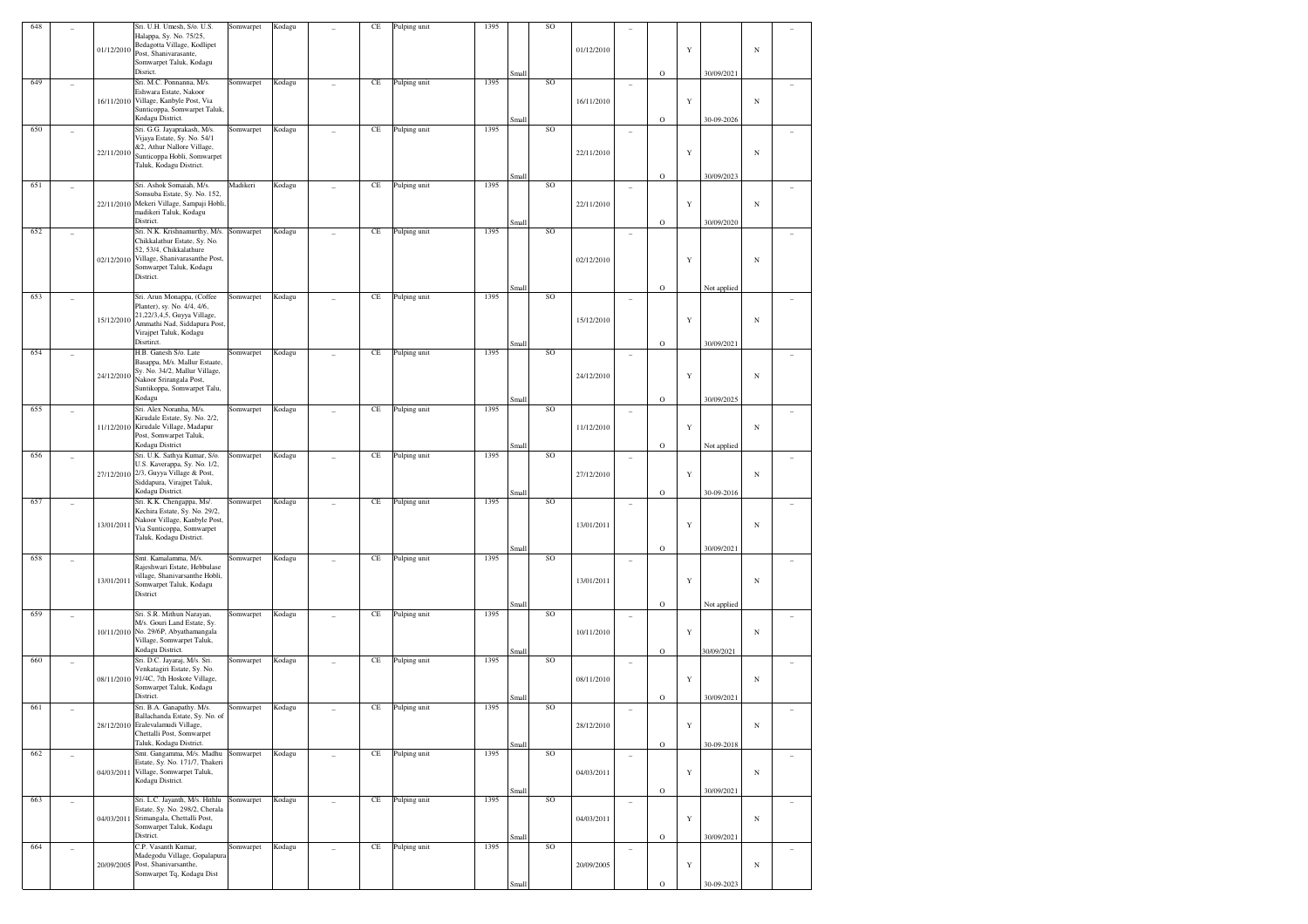| 648 |                          |            | Sri. U.H. Umesh, S/o. U.S.<br>Halappa, Sy. No. 75/25,          | Somwarpet | Kodagu |   | CE        | Pulping unit | 1395 |       | SO |            |                          |             |             |             |            |                          |
|-----|--------------------------|------------|----------------------------------------------------------------|-----------|--------|---|-----------|--------------|------|-------|----|------------|--------------------------|-------------|-------------|-------------|------------|--------------------------|
|     |                          |            | Bedagotta Village, Kodlipet                                    |           |        |   |           |              |      |       |    |            |                          |             |             |             |            |                          |
|     |                          | 01/12/2010 | Post, Shanivarasante,                                          |           |        |   |           |              |      |       |    | 01/12/2010 |                          |             | $\mathbf Y$ |             | N          |                          |
|     |                          |            | Somwarpet Taluk, Kodagu<br>Disrict.                            |           |        |   |           |              |      | Small |    |            |                          | $\mathbf O$ |             | 30/09/2021  |            |                          |
| 649 | ٠                        |            | Sri. M.C. Ponnanna, M/s.                                       | Somwarpet | Kodagu |   | $\rm CE$  | Pulping unit | 1395 |       | SO |            | $\overline{\phantom{a}}$ |             |             |             |            |                          |
|     |                          | 16/11/2010 | Eshwara Estate, Nakoor<br>Village, Kanbyle Post, Via           |           |        |   |           |              |      |       |    | 16/11/2010 |                          |             | $\mathbf Y$ |             | $_{\rm N}$ |                          |
|     |                          |            | Sunticoppa, Somwarpet Taluk,<br>Kodagu District.               |           |        |   |           |              |      |       |    |            |                          |             |             |             |            |                          |
| 650 | ٠                        |            | Sri. G.G. Jayaprakash, M/s.                                    | Somwarpet | Kodagu |   | $\rm CE$  | Pulping unit | 1395 | Small | SO |            | $\overline{\phantom{a}}$ | $\mathbf O$ |             | 30-09-2026  |            |                          |
|     |                          |            | Vijaya Estate, Sy. No. 54/1                                    |           |        |   |           |              |      |       |    |            |                          |             |             |             |            |                          |
|     |                          | 22/11/2010 | &2, Athur Nallore Village,<br>Sunticoppa Hobli, Somwarpet      |           |        |   |           |              |      |       |    | 22/11/2010 |                          |             | $\mathbf Y$ |             | $_{\rm N}$ |                          |
|     |                          |            | Taluk, Kodagu District.                                        |           |        |   |           |              |      |       |    |            |                          |             |             |             |            |                          |
| 651 |                          |            | Sri. Ashok Somaiah, M/s.                                       | Madikeri  | Kodagu |   | $\rm CE$  | Pulping unit | 1395 | Small | SO |            |                          | $\mathbf O$ |             | 30/09/2023  |            |                          |
|     |                          | 22/11/2010 | Somsuba Estate, Sy. No. 152,<br>Mekeri Village, Sampaji Hobli. |           |        |   |           |              |      |       |    | 22/11/2010 |                          |             | $\mathbf Y$ |             | $_{\rm N}$ |                          |
|     |                          |            | madikeri Taluk, Kodagu                                         |           |        |   |           |              |      |       |    |            |                          |             |             |             |            |                          |
| 652 |                          |            | District.<br>Sri. N.K. Krishnamurthy, M/s.                     | Somwarpet | Kodagu |   | $\rm CE$  | Pulping unit | 1395 | Smal  | SO |            |                          | $\mathbf O$ |             | 30/09/2020  |            |                          |
|     | ٠                        |            | Chikkalathur Estate, Sy. No.                                   |           |        |   |           |              |      |       |    |            | ٠                        |             |             |             |            |                          |
|     |                          | 02/12/2010 | 52, 53/4, Chikkalathure<br>Village, Shanivarasanthe Post,      |           |        |   |           |              |      |       |    | 02/12/2010 |                          |             | Y           |             | $_{\rm N}$ |                          |
|     |                          |            | Somwarpet Taluk, Kodagu                                        |           |        |   |           |              |      |       |    |            |                          |             |             |             |            |                          |
|     |                          |            | District.                                                      |           |        |   |           |              |      | Small |    |            |                          | $\mathbf O$ |             | Not applied |            |                          |
| 653 | ٠                        |            | Sri. Arun Monappa, (Coffee                                     | Somwarpet | Kodagu |   | $\rm CE$  | Pulping unit | 1395 |       | SO |            | $\overline{\phantom{a}}$ |             |             |             |            |                          |
|     |                          |            | Planter), sy. No. 4/4, 4/6,<br>21,22/3,4,5, Guyya Village,     |           |        |   |           |              |      |       |    |            |                          |             |             |             |            |                          |
|     |                          | 15/12/2010 | Ammathi Nad, Siddapura Post,                                   |           |        |   |           |              |      |       |    | 15/12/2010 |                          |             | Y           |             | $_{\rm N}$ |                          |
|     |                          |            | Virajpet Taluk, Kodagu<br>Disrtirct.                           |           |        |   |           |              |      | Smal  |    |            |                          | $\mathbf O$ |             | 30/09/2021  |            |                          |
| 654 |                          |            | H.B. Ganesh S/o. Late                                          | Somwarpet | Kodagu |   | $\rm CE$  | Pulping unit | 1395 |       | SO |            |                          |             |             |             |            |                          |
|     |                          |            | Basappa, M/s. Mallur Estaate,<br>Sy. No. 34/2, Mallur Village, |           |        |   |           |              |      |       |    | 24/12/2010 |                          |             |             |             |            |                          |
|     |                          | 24/12/2010 | Nakoor Srirangala Post,<br>Suntikoppa, Somwarpet Talu,         |           |        |   |           |              |      |       |    |            |                          |             | $\mathbf Y$ |             | $_{\rm N}$ |                          |
|     |                          |            | Kodagu                                                         |           |        |   |           |              |      | Small |    |            |                          | $\mathbf O$ |             | 30/09/2025  |            |                          |
| 655 | ٠                        |            | Sri. Alex Noranha, M/s.<br>Kirudale Estate, Sy. No. 2/2,       | Somwarpet | Kodagu |   | $\rm CE$  | Pulping unit | 1395 |       | SO |            | ٠                        |             |             |             |            |                          |
|     |                          | 11/12/2010 | Kirudale Village, Madapur                                      |           |        |   |           |              |      |       |    | 11/12/2010 |                          |             | $\mathbf Y$ |             | $_{\rm N}$ |                          |
|     |                          |            | Post, Somwarpet Taluk,<br>Kodagu District                      |           |        |   |           |              |      | Small |    |            |                          | $\mathbf O$ |             | Not applied |            |                          |
| 656 | ٠                        |            | Sri. U.K. Sathya Kumar, S/o.                                   | Somwarpet | Kodagu |   | $\rm CE$  | Pulping unit | 1395 |       | SO |            | $\overline{\phantom{a}}$ |             |             |             |            |                          |
|     |                          | 27/12/2010 | U.S. Kaverappa, Sy. No. 1/2,<br>2/3, Guyya Village & Post,     |           |        |   |           |              |      |       |    | 27/12/2010 |                          |             | $\mathbf Y$ |             | $_{\rm N}$ |                          |
|     |                          |            | Siddapura, Virajpet Taluk,                                     |           |        |   |           |              |      |       |    |            |                          |             |             |             |            |                          |
| 657 |                          |            | Kodagu District.<br>Sri. K.K. Chengappa, Ms/.                  | Somwarpet | Kodagu |   | $\rm CE$  | Pulping unit | 1395 | Small | SO |            |                          | $\mathbf O$ |             | 30-09-2016  |            |                          |
|     | ۰                        |            | Kechira Estate, Sy. No. 29/2,                                  |           |        |   |           |              |      |       |    |            | ۰                        |             |             |             |            |                          |
|     |                          | 13/01/2011 | Nakoor Village, Kanbyle Post,<br>Via Sunticoppa, Somwarpet     |           |        |   |           |              |      |       |    | 13/01/2011 |                          |             | Y           |             | $_{\rm N}$ |                          |
|     |                          |            | Taluk, Kodagu District.                                        |           |        |   |           |              |      |       |    |            |                          |             |             |             |            |                          |
| 658 | ٠                        |            | Smt. Kamalamma, M/s.                                           | Somwarpet | Kodagu |   | $\rm CE$  | Pulping unit | 1395 | Small | SO |            | $\overline{\phantom{a}}$ | $\mathbf O$ |             | 30/09/2021  |            |                          |
|     |                          |            | Rajeshwari Estate, Hebbulase<br>village, Shanivarsanthe Hobli, |           |        |   |           |              |      |       |    |            |                          |             |             |             |            |                          |
|     |                          | 13/01/2011 | Somwarpet Taluk, Kodagu                                        |           |        |   |           |              |      |       |    | 13/01/2011 |                          |             | Y           |             | $_{\rm N}$ |                          |
|     |                          |            | District                                                       |           |        |   |           |              |      | Smal  |    |            |                          | $\mathbf O$ |             | Not applied |            |                          |
| 659 |                          |            | Sri. S.R. Mithun Narayan,                                      | Somwarpet | Kodagu |   | $\rm CE$  | Pulping unit | 1395 |       | SO |            |                          |             |             |             |            |                          |
|     |                          | 10/11/2010 | M/s. Gouri Land Estate, Sy.<br>No. 29/6P, Abyathamangala       |           |        |   |           |              |      |       |    | 10/11/2010 |                          |             | $\mathbf Y$ |             | $_{\rm N}$ |                          |
|     |                          |            | Village, Somwarpet Taluk,                                      |           |        |   |           |              |      |       |    |            |                          |             |             |             |            |                          |
| 660 | ٠                        |            | Kodagu District.<br>Sri. D.C. Jayaraj, M/s. Sri.               | Somwarpet | Kodagu |   | $\rm CE$  | Pulping unit | 1395 | Small | SO |            | $\overline{\phantom{a}}$ | $\mathbf O$ |             | 30/09/2021  |            |                          |
|     |                          |            | Venkatagiri Estate, Sy. No.                                    |           |        |   |           |              |      |       |    |            |                          |             |             |             |            |                          |
|     |                          | 08/11/2010 | 91/4C, 7th Hoskote Village,<br>Somwarpet Taluk, Kodagu         |           |        |   |           |              |      |       |    | 08/11/2010 |                          |             | $\mathbf Y$ |             | $_{\rm N}$ |                          |
|     |                          |            | District.                                                      |           |        |   |           |              |      | Small |    |            |                          | $\mathbf O$ |             | 30/09/2021  |            |                          |
| 661 |                          |            | Sri. B.A. Ganapathy. M/s.<br>Ballachanda Estate, Sy. No. of    | Somwarpet | Kodagu |   | $\!$ $\!$ | Pulping unit | 1395 |       | SO |            | $\overline{\phantom{a}}$ |             |             |             |            |                          |
|     |                          |            | 28/12/2010 Eralevalamudi Village,<br>Chettalli Post, Somwarpet |           |        |   |           |              |      |       |    | 28/12/2010 |                          |             | $\mathbf Y$ |             | $_{\rm N}$ |                          |
|     |                          |            | Taluk, Kodagu District.                                        |           |        |   |           |              |      | Small |    |            |                          | $\mathbf O$ |             | 30-09-2018  |            |                          |
| 662 | $\overline{\phantom{a}}$ |            | Smt. Gangamma, M/s. Madhu<br>Estate, Sy. No. 171/7, Thakeri    | Somwarpet | Kodagu | ÷ | $\rm CE$  | Pulping unit | 1395 |       | SO |            | $\overline{\phantom{a}}$ |             |             |             |            | $\overline{\phantom{a}}$ |
|     |                          | 04/03/2011 | Village, Somwarpet Taluk,                                      |           |        |   |           |              |      |       |    | 04/03/2011 |                          |             | $\mathbf Y$ |             | $_{\rm N}$ |                          |
|     |                          |            | Kodagu District.                                               |           |        |   |           |              |      | Small |    |            |                          | $\mathbf O$ |             | 30/09/2021  |            |                          |
| 663 | $\overline{\phantom{a}}$ |            | Sri. L.C. Jayanth, M/s. Hithlu                                 | Somwarpet | Kodagu |   | $\!$ $\!$ | Pulping unit | 1395 |       | SO |            | $\overline{\phantom{a}}$ |             |             |             |            | $\sim$                   |
|     |                          | 04/03/2011 | Estate, Sy. No. 298/2, Cherala<br>Srimangala, Chettalli Post,  |           |        |   |           |              |      |       |    | 04/03/2011 |                          |             | $\mathbf Y$ |             | $_{\rm N}$ |                          |
|     |                          |            | Somwarpet Taluk, Kodagu<br>District.                           |           |        |   |           |              |      |       |    |            |                          |             |             |             |            |                          |
| 664 | $\overline{a}$           |            | C.P. Vasanth Kumar,                                            | Somwarpet | Kodagu |   | $\rm CE$  | Pulping unit | 1395 | Small | SO |            | $\overline{\phantom{a}}$ | $\mathbf O$ |             | 30/09/2021  |            | $\overline{\phantom{a}}$ |
|     |                          |            | Madegodu Village, Gopalapura                                   |           |        |   |           |              |      |       |    |            |                          |             |             |             |            |                          |
|     |                          | 20/09/2005 | Post, Shanivarsanthe,<br>Somwarpet Tq, Kodagu Dist             |           |        |   |           |              |      |       |    | 20/09/2005 |                          |             | $\mathbf Y$ |             | $_{\rm N}$ |                          |
|     |                          |            |                                                                |           |        |   |           |              |      | Small |    |            |                          | $\mathbf O$ |             | 30-09-2023  |            |                          |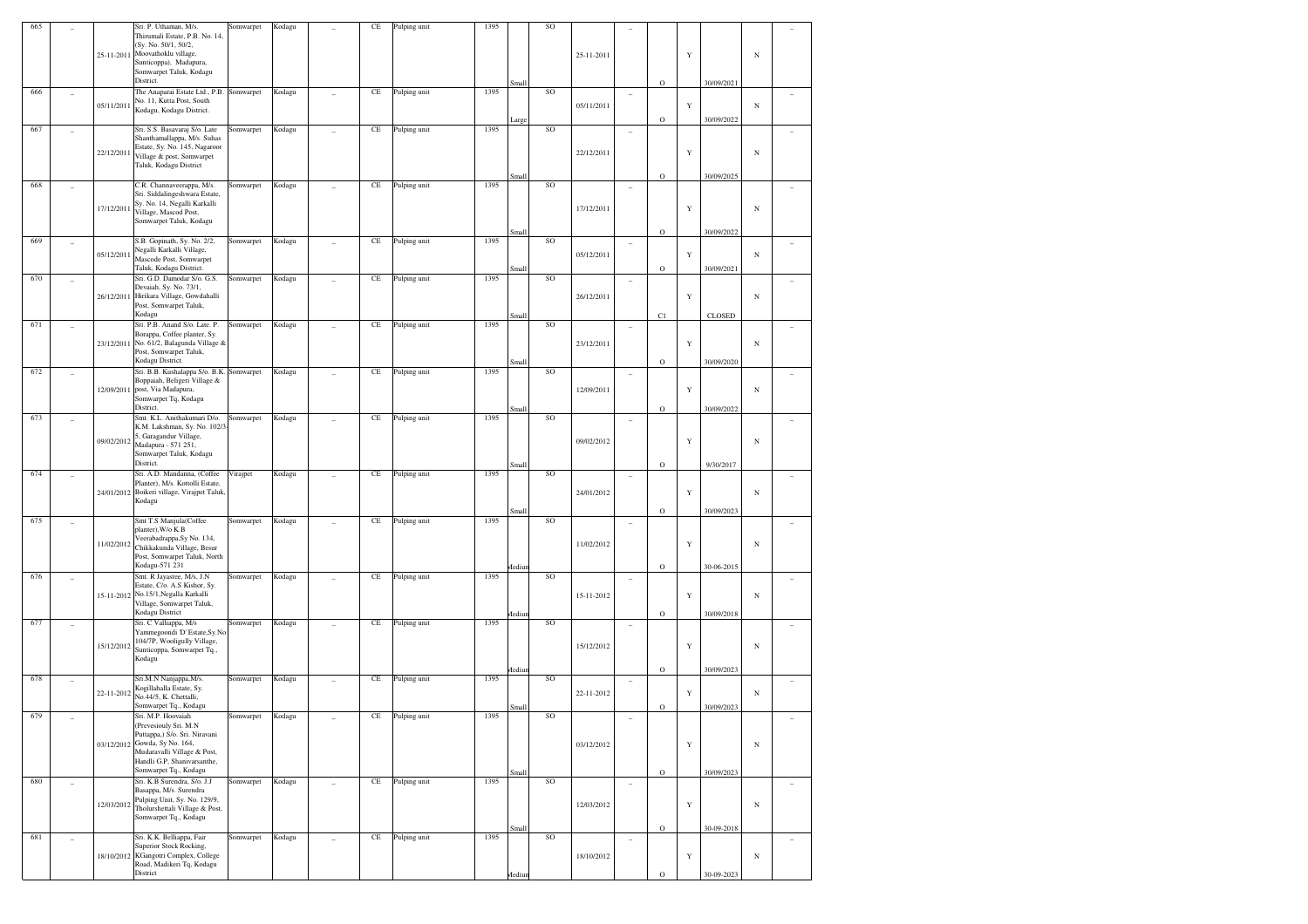| 665 |                          |            | Sri. P. Uthaman, M/s.<br>Thirumali Estate, P.B. No. 14.<br>(Sy. No. 50/1, 50/2,<br>25-11-2011 Moovathoklu village,                                                                                   | Somwarpet | Kodagu |                | CE       | Pulping unit | 1395 |               | SO        | 25-11-2011 |                          |             | Y |               | $_{\rm N}$ |        |
|-----|--------------------------|------------|------------------------------------------------------------------------------------------------------------------------------------------------------------------------------------------------------|-----------|--------|----------------|----------|--------------|------|---------------|-----------|------------|--------------------------|-------------|---|---------------|------------|--------|
|     |                          |            | Sunticoppa), Madapura,<br>Somwarpet Taluk, Kodagu<br>District.                                                                                                                                       |           |        |                |          |              |      | Small         |           |            |                          | $\mathbf O$ |   | 30/09/2021    |            |        |
| 666 |                          | 05/11/2011 | The Anaparai Estate Ltd., P.B. Somwarpet<br>No. 11, Kutta Post, South<br>Kodagu, Kodagu District.                                                                                                    |           | Kodagu |                | CE       | Pulping unit | 1395 |               | SO        | 05/11/2011 | ٠                        |             | Y |               | $_{\rm N}$ |        |
| 667 |                          |            | Sri. S.S. Basavaraj S/o. Late<br>Shanthamallappa, M/s. Suhas                                                                                                                                         | Somwarpet | Kodagu |                | CE       | Pulping unit | 1395 | arge          | SO        |            |                          | $\circ$     |   | 30/09/2022    |            |        |
|     |                          | 22/12/2011 | Estate, Sy. No. 145, Nagaroor<br>Village & post, Somwarpet<br>Taluk, Kodagu District                                                                                                                 |           |        |                |          |              |      | Small         |           | 22/12/2011 |                          | $\mathbf O$ | Y | 30/09/2025    | $_{\rm N}$ |        |
| 668 |                          |            | C.R. Channaveerappa, M/s.<br>Sri. Siddalingeshwara Estate,                                                                                                                                           | Somwarpet | Kodagu |                | CE       | Pulping unit | 1395 |               | SO        |            | ٠                        |             |   |               |            |        |
|     |                          | 17/12/2011 | Sy. No. 14, Negalli Karkalli<br>Village, Mascod Post,<br>Somwarpet Taluk, Kodagu                                                                                                                     |           |        |                |          |              |      | Small         |           | 17/12/2011 |                          | $\mathbf O$ | Y | 30/09/2022    | $_{\rm N}$ |        |
| 669 |                          | 05/12/2011 | S.B. Gopinath, Sy. No. 2/2,<br>Negalli Karkalli Village,<br>Mascode Post, Somwarpet                                                                                                                  | Somwarpet | Kodagu |                | CE       | Pulping unit | 1395 |               | SO        | 05/12/2011 | ٠                        |             | Y |               | $_{\rm N}$ |        |
| 670 | ۰                        |            | Taluk, Kodagu District.<br>Sri. G.D. Damodar S/o. G.S.                                                                                                                                               | Somwarpet | Kodagu |                | CE       | Pulping unit | 1395 | Small         | SO        |            | ۰                        | $\circ$     |   | 30/09/2021    |            |        |
|     |                          |            | Devaiah, Sy. No. 73/1,<br>26/12/2011 Hirikara Village, Gowdahalli<br>Post, Somwarpet Taluk,<br>Kodagu                                                                                                |           |        |                |          |              |      | Small         |           | 26/12/2011 |                          | C1          | Y | <b>CLOSED</b> | $_{\rm N}$ |        |
| 671 |                          |            | Sri. P.B. Anand S/o. Late. P.<br>Borappa, Coffee planter, Sy.                                                                                                                                        | Somwarpet | Kodagu |                | CE       | Pulping unit | 1395 |               | SO        |            | ٠                        |             |   |               |            |        |
|     |                          | 23/12/2011 | No. 61/2, Balagunda Village &<br>Post, Somwarpet Taluk,<br>Kodagu District.                                                                                                                          |           |        |                |          |              |      | Small         |           | 23/12/2011 |                          | $\mathbf O$ | Y | 30/09/2020    | $_{\rm N}$ |        |
| 672 |                          |            | Sri. B.B. Kushalappa S/o. B.K. Somwarpet<br>Boppaiah, Beligeri Village &                                                                                                                             |           | Kodagu |                | CE       | Pulping unit | 1395 |               | SO        |            |                          |             |   |               |            |        |
|     |                          | 12/09/2011 | post, Via Madapura,<br>Somwarpet Tq, Kodagu<br>District.                                                                                                                                             |           |        |                |          |              |      | Small         |           | 12/09/2011 |                          | $\mathbf O$ | Y | 30/09/2022    | $_{\rm N}$ |        |
| 673 | ۰                        |            | Smt. K.L. Anithakumari D/o.<br>K.M. Lakshman, Sy. No. 102/3                                                                                                                                          | Somwarpet | Kodagu |                | CE       | Pulping unit | 1395 |               | SO        |            | ٠                        |             |   |               |            |        |
|     |                          | 09/02/2012 | 5, Garagandur Village,<br>Madapura - 571 251,<br>Somwarpet Taluk, Kodagu<br>District.                                                                                                                |           |        |                |          |              |      | Small         |           | 09/02/2012 |                          | $\mathbf O$ | Y | 9/30/2017     | $_{\rm N}$ |        |
| 674 |                          |            | Sri. A.D. Mandanna, (Coffee<br>Planter), M/s. Kottolli Estate,<br>24/01/2012 Boikeri village, Virajpet Taluk,                                                                                        | Virajpet  | Kodagu |                | CE       | Pulping unit | 1395 |               | SO        | 24/01/2012 |                          |             | Y |               | $_{\rm N}$ |        |
|     |                          |            | Kodagu                                                                                                                                                                                               |           |        |                |          |              |      | Small         |           |            |                          | $\mathbf O$ |   | 30/09/2023    |            |        |
| 675 |                          | 11/02/2012 | Smt T.S Manjula(Coffee<br>planter), W/o K.B<br>Veerabadrappa, Sy No. 134,<br>Chikkakunda Village, Besur<br>Post, Somwarpet Taluk, North                                                              | Somwarpet | Kodagu |                | CE       | Pulping unit | 1395 |               | SO        | 11/02/2012 | ۰                        |             | Y |               | $_{\rm N}$ |        |
| 676 | ۰                        |            | Kodagu-571 231<br>Smt. R Jayasree, M/s, J.N                                                                                                                                                          | Somwarpet | Kodagu |                | CE       | Pulping unit | 1395 | <b>fediur</b> | <b>SO</b> |            | ٠                        | $\mathbf O$ |   | 30-06-2015    |            |        |
|     |                          |            | Estate, C/o. A.S Kishor, Sy.<br>15-11-2012 No.15/1, Negalla Karkalli<br>Village, Somwarpet Taluk,<br>Kodagu District                                                                                 |           |        |                |          |              |      | Iediur        |           | 15-11-2012 |                          | $\mathbf O$ | Y | 30/09/2018    | $_{\rm N}$ |        |
| 677 |                          |            | Sri. C Valliappa, M/s<br>Yammegoondi 'D' Estate, Sy. No                                                                                                                                              | Somwarpet | Kodagu |                | CE       | Pulping unit | 1395 |               | SO        |            |                          |             |   |               |            |        |
|     |                          | 15/12/2012 | 104/7P, Wooligully Village,<br>Sunticoppa, Somwarpet Tq.,<br>Kodagu                                                                                                                                  |           |        |                |          |              |      | Iediu         |           | 15/12/2012 |                          | $\mathbf O$ | Y | 30/09/2023    | $_{\rm N}$ |        |
| 678 |                          |            | Sri.M.N Nanjappa, M/s.<br>Kogillahalla Estate, Sy.                                                                                                                                                   | Somwarpet | Kodagu |                | CE       | Pulping unit | 1395 |               | SO        |            |                          |             |   |               |            |        |
|     |                          | 22-11-2012 | No.44/5, K. Chettalli,<br>Somwarpet Tq., Kodagu                                                                                                                                                      |           |        |                |          |              |      | Small         |           | 22-11-2012 |                          | $\mathbf O$ | Y | 30/09/2023    | $_{\rm N}$ |        |
| 679 |                          |            | Sri. M.P. Hoovaiah<br>(Prevesiouly Sri. M.N<br>Puttappa,) S/o. Sri. Niravani<br>03/12/2012 Gowda, Sy No. 164,<br>Mudaravalli Village & Post,<br>Handli G.P. Shaniyarsanthe.<br>Somwarpet Tq., Kodagu | Somwarpet | Kodagu |                | $\rm CE$ | Pulping unit | 1395 |               | SO        | 03/12/2012 |                          |             | Y |               | $_{\rm N}$ |        |
| 680 | $\overline{\phantom{a}}$ |            | Sri. K.B Surendra, S/o. J.J<br>Basappa, M/s. Surendra                                                                                                                                                | Somwarpet | Kodagu | $\overline{a}$ | $\rm CE$ | Pulping unit | 1395 | Small         | SO        |            | $\overline{\phantom{a}}$ | $\mathbf O$ |   | 30/09/2023    |            | $\sim$ |
|     |                          | 12/03/2012 | Pulping Unit, Sy. No. 129/9,<br>Tholurshettali Village & Post,<br>Somwarpet Tq., Kodagu                                                                                                              |           |        |                |          |              |      |               |           | 12/03/2012 |                          |             | Y |               | $_{\rm N}$ |        |
| 681 | $\overline{\phantom{a}}$ |            | Sri. K.K. Belliappa, Fair<br>Superior Stock Rocking,                                                                                                                                                 | Somwarpet | Kodagu | ÷              | $\rm CE$ | Pulping unit | 1395 | Small         | SO        |            | ٠                        | $\mathbf O$ |   | 30-09-2018    |            | $\sim$ |
|     |                          |            | 18/10/2012 KGangotri Complex, College<br>Road, Madikeri Tq, Kodagu                                                                                                                                   |           |        |                |          |              |      |               |           | 18/10/2012 |                          |             | Y |               | $_{\rm N}$ |        |
|     |                          |            | District                                                                                                                                                                                             |           |        |                |          |              |      | Aediun        |           |            |                          | $\mathbf O$ |   | 30-09-2023    |            |        |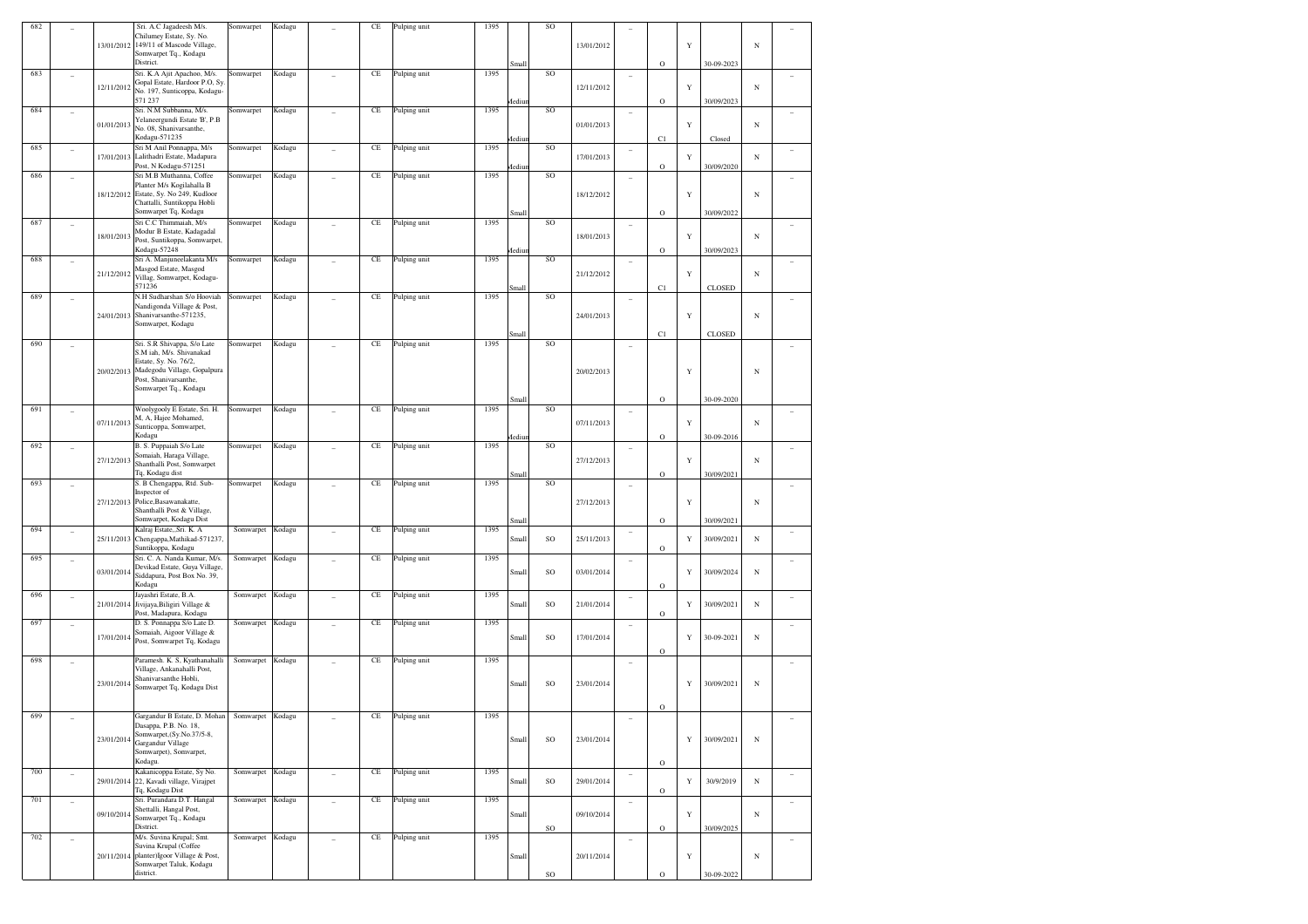| 682 |                          |            | Sri. A.C Jagadeesh M/s.<br>Chilumey Estate, Sy. No.<br>13/01/2012 149/11 of Mascode Village,<br>Somwarpet Tq., Kodagu<br>District.                            | Somwarpet        | Kodagu |                | CE                  | Pulping unit | 1395 | Small         | <b>SO</b> | 13/01/2012 |                          | $\mathbf O$ | Y | 30-09-2023    | $_{\rm N}$ |        |
|-----|--------------------------|------------|---------------------------------------------------------------------------------------------------------------------------------------------------------------|------------------|--------|----------------|---------------------|--------------|------|---------------|-----------|------------|--------------------------|-------------|---|---------------|------------|--------|
| 683 |                          | 12/11/2012 | Sri. K.A Ajit Apachoo, M/s.<br>Gopal Estate, Hardoor P.O, Sy                                                                                                  | Somwarpet        | Kodagu |                | CE                  | Pulping unit | 1395 |               | SO        | 12/11/2012 | ٠                        |             | Y |               | $_{\rm N}$ |        |
| 684 |                          |            | No. 197, Sunticoppa, Kodagu-<br>571 237<br>Sri. N.M Subbanna, M/s.                                                                                            | Somwarpet        | Kodagu |                | CE                  | Pulping unit | 1395 | <b>fediur</b> | <b>SO</b> |            |                          | $\circ$     |   | 30/09/2023    |            |        |
|     | $\overline{\phantom{a}}$ | 01/01/2013 | Yelaneergundi Estate 'B', P.B<br>No. 08, Shanivarsanthe,<br>Kodagu-571235                                                                                     |                  |        |                |                     |              |      | fediur        |           | 01/01/2013 | $\overline{\phantom{a}}$ | C1          | Y | Closed        | $_{\rm N}$ |        |
| 685 | $\overline{\phantom{a}}$ | 17/01/2013 | Sri M Anil Ponnappa, M/s<br>Lalithadri Estate, Madapura<br>Post, N Kodagu-571251                                                                              | Somwarpet        | Kodagu |                | CE                  | Pulping unit | 1395 | <b>fediun</b> | SO        | 17/01/2013 |                          | $\mathbf O$ | Y | 30/09/2020    | $_{\rm N}$ |        |
| 686 | ۰                        |            | Sri M.B Muthanna, Coffee<br>Planter M/s Kogilahalla B<br>18/12/2012 Estate, Sy. No 249, Kudloor<br>Chattalli, Suntikoppa Hobli<br>Somwarpet Tq, Kodagu        | Somwarpet        | Kodagu |                | CE                  | Pulping unit | 1395 | Small         | SO        | 18/12/2012 |                          | $\mathbf O$ | Y | 30/09/2022    | $_{\rm N}$ |        |
| 687 | ۰                        | 18/01/2013 | Sri C.C Thimmaiah, M/s<br>Modur B Estate, Kadagadal<br>Post, Suntikoppa, Somwarpet,<br>Kodagu-57248                                                           | Somwarpet        | Kodagu |                | CE                  | Pulping unit | 1395 | <b>fediur</b> | SO        | 18/01/2013 | ٠                        | $\circ$     | Y | 30/09/2023    | $_{\rm N}$ |        |
| 688 | $\overline{\phantom{a}}$ | 21/12/2012 | Sri A. Manjuneelakanta M/s<br>Masgod Estate, Masgod<br>Villag, Somwarpet, Kodagu-<br>571236                                                                   | Somwarpet        | Kodagu |                | CE                  | Pulping unit | 1395 | Small         | SO        | 21/12/2012 | $\overline{\phantom{a}}$ | C1          | Y | <b>CLOSED</b> | $_{\rm N}$ |        |
| 689 |                          |            | N.H Sudharshan S/o Hooviah<br>Nandigonda Village & Post,                                                                                                      | Somwarpet        | Kodagu |                | CE                  | Pulping unit | 1395 |               | SO        |            |                          |             |   |               |            |        |
|     |                          | 24/01/2013 | Shanivarsanthe-571235,<br>Somwarpet, Kodagu                                                                                                                   |                  |        |                |                     |              |      |               |           | 24/01/2013 |                          |             | Y |               | $_{\rm N}$ |        |
| 690 | ۰                        |            | Sri. S.R Shivappa, S/o Late<br>S.M iah, M/s. Shivanakad                                                                                                       | Somwarpet        | Kodagu |                | CE                  | Pulping unit | 1395 | Small         | SO        |            | ٠                        | C1          |   | <b>CLOSED</b> |            |        |
|     |                          |            | Estate, Sy. No. 76/2,<br>20/02/2013 Madegodu Village, Gopalpura<br>Post, Shanivarsanthe,<br>Somwarpet Tq., Kodagu                                             |                  |        |                |                     |              |      | Small         |           | 20/02/2013 |                          | $\mathbf O$ | Y | 30-09-2020    | $_{\rm N}$ |        |
| 691 | ۰                        | 07/11/2013 | Woolygooly E Estate, Sri. H.<br>M, A, Hajee Mohamed,<br>Sunticoppa, Somwarpet,<br>Kodagu                                                                      | Somwarpet        | Kodagu |                | CE                  | Pulping unit | 1395 | <b>fediur</b> | SO        | 07/11/2013 | $\overline{\phantom{a}}$ | $\circ$     | Y | 30-09-2016    | $_{\rm N}$ |        |
| 692 | $\overline{\phantom{a}}$ | 27/12/2013 | B. S. Puppaiah S/o Late<br>Somaiah, Haraga Village,<br>Shanthalli Post, Somwarpet<br>Tq, Kodagu dist                                                          | Somwarpet        | Kodagu |                | CE                  | Pulping unit | 1395 | Small         | SO        | 27/12/2013 | ۰                        | $\mathbf O$ | Y | 30/09/2021    | $_{\rm N}$ |        |
| 693 |                          |            | S. B Chengappa, Rtd. Sub-<br>Inspector of<br>27/12/2013 Police, Basawanakatte,<br>Shanthalli Post & Village,<br>Somwarpet, Kodagu Dist                        | Somwarpet        | Kodagu |                | CE                  | Pulping unit | 1395 | Small         | SO        | 27/12/2013 |                          | $\mathbf O$ | Y | 30/09/2021    | $_{\rm N}$ |        |
| 694 | ۰                        | 25/11/2013 | Kalraj Estate,, Sri. K. A<br>Chengappa, Mathikad-571237,<br>Suntikoppa, Kodagu                                                                                | Somwarpet        | Kodagu |                | CE                  | Pulping unit | 1395 | Small         | SO        | 25/11/2013 | -                        | $\mathbf O$ | Y | 30/09/2021    | $_{\rm N}$ |        |
| 695 | ۰                        | 03/01/2014 | Sri. C. A. Nanda Kumar, M/s.<br>Devikad Estate, Guya Village,<br>Siddapura, Post Box No. 39,<br>Kodagu                                                        | Somwarpet        | Kodagu |                | CE                  | Pulping unit | 1395 | Small         | <b>SO</b> | 03/01/2014 | ٠                        | $\circ$     | Y | 30/09/2024    | $_{\rm N}$ |        |
| 696 | $\overline{\phantom{a}}$ | 21/01/2014 | Jayashri Estate, B.A.<br>Jivijaya, Biligiri Village &<br>Post, Madapura, Kodagu                                                                               | Somwarpet        | Kodagu |                | CE                  | Pulping unit | 1395 | Small         | SO        | 21/01/2014 | $\overline{a}$           | $\mathbf O$ | Y | 30/09/2021    | $_{\rm N}$ |        |
| 697 |                          | 17/01/2014 | D. S. Ponnappa S/o Late D.<br>Somaiah, Aigoor Village &<br>Post, Somwarpet Tq, Kodagu                                                                         | Somwarpet        | Kodagu |                | CE                  | Pulping unit | 1395 | Small         | <b>SO</b> | 17/01/2014 |                          | O           | Y | 30-09-2021    | $_{\rm N}$ |        |
| 698 |                          | 23/01/2014 | Paramesh. K. S, Kyathanahalli<br>Village, Ankanahalli Post,<br>Shanivarsanthe Hobli,<br>Somwarpet Tq, Kodagu Dist                                             | Somwarpet        | Kodagu |                | CE                  | Pulping unit | 1395 | Small         | SO        | 23/01/2014 | ٠                        |             | Y | 30/09/2021    | $_{\rm N}$ |        |
|     |                          |            |                                                                                                                                                               |                  |        |                |                     |              |      |               |           |            |                          | $\mathbf O$ |   |               |            |        |
| 699 |                          | 23/01/2014 | Gargandur B Estate, D. Mohan Somwarpet Kodagu<br>Dasappa, P.B. No. 18,<br>Somwarpet, (Sy.No.37/5-8,<br>Gargandur Village<br>Somwarpet), Somvarpet,<br>Kodagu. |                  |        |                | $\operatorname{CE}$ | Pulping unit | 1395 | Small         | SO        | 23/01/2014 |                          | $\mathbf O$ | Y | 30/09/2021    | $_{\rm N}$ |        |
| 700 | $\overline{\phantom{a}}$ | 29/01/2014 | Kakanicoppa Estate, Sy No.<br>22, Kavadi village, Virajpet<br>Tq, Kodagu Dist                                                                                 | Somwarpet Kodagu |        | $\overline{a}$ | $\rm CE$            | Pulping unit | 1395 | Small         | SO        | 29/01/2014 | ٠                        | $\mathbf O$ | Y | 30/9/2019     | $_{\rm N}$ | $\sim$ |
| 701 | $\overline{\phantom{a}}$ | 09/10/2014 | Sri. Purandara D.T. Hangal<br>Shettalli, Hangal Post,<br>Somwarpet Tq., Kodagu<br>District.                                                                   | Somwarpet        | Kodagu | $\overline{a}$ | CE                  | Pulping unit | 1395 | Small         | SO        | 09/10/2014 | $\overline{\phantom{a}}$ | $\mathbf O$ | Y | 30/09/2025    | $_{\rm N}$ |        |
| 702 | $\overline{\phantom{a}}$ |            | M/s. Suvina Krupal: Smt.<br>Suvina Krupal (Coffee<br>20/11/2014 planter)Igoor Village & Post,<br>Somwarpet Taluk, Kodagu<br>district.                         | Somwarpet Kodagu |        | ÷              | $\rm CE$            | Pulping unit | 1395 | Small         | SO        | 20/11/2014 | $\overline{\phantom{a}}$ | $\mathbf O$ | Y | 30-09-2022    | $_{\rm N}$ |        |
|     |                          |            |                                                                                                                                                               |                  |        |                |                     |              |      |               |           |            |                          |             |   |               |            |        |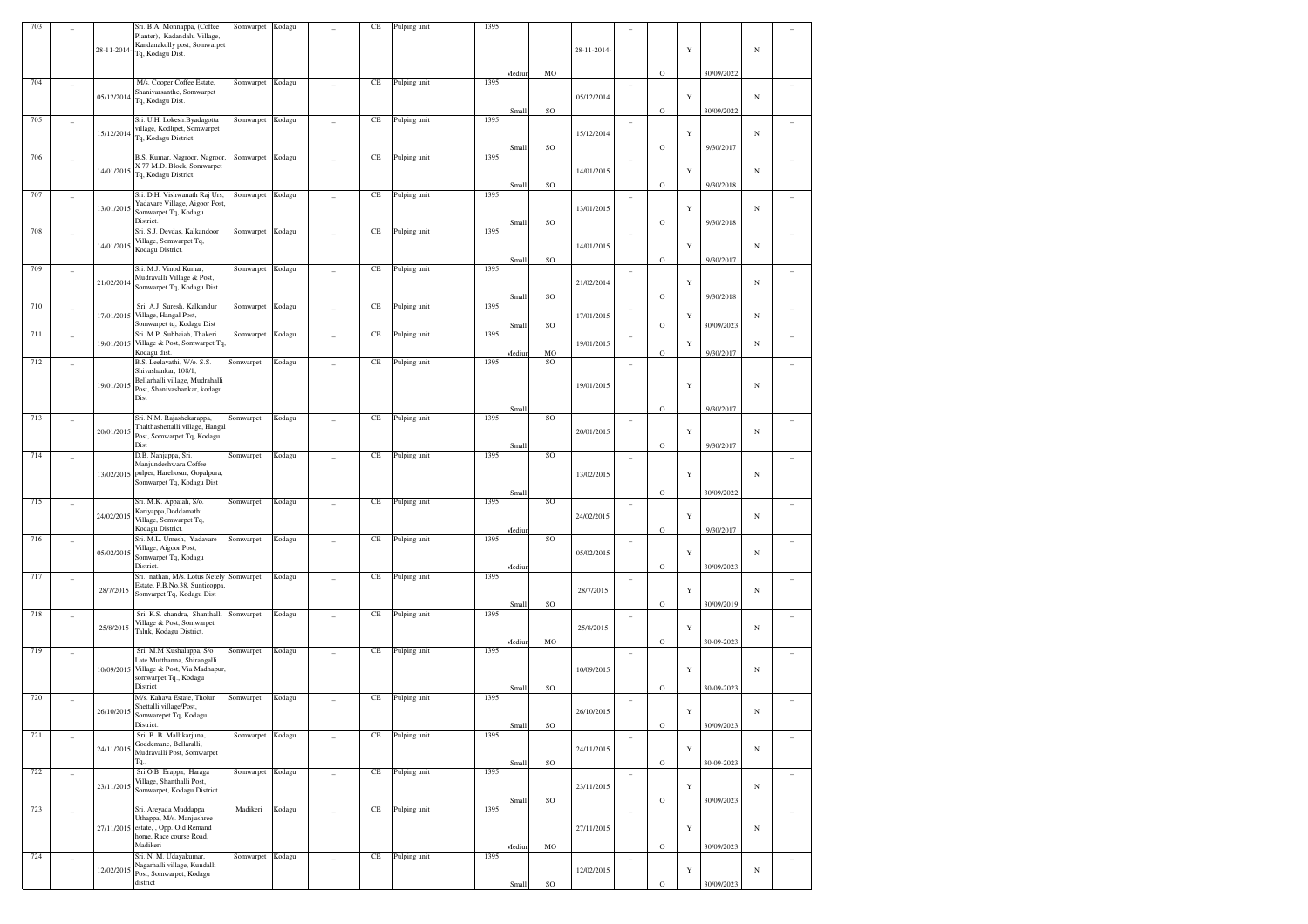| 703 |                |             | Sri. B.A. Monnappa, (Coffee                                      | Somwarpet | Kodagu |                | CE       | Pulping unit | 1395 |        |           |             |                          |              |             |            |            |                |
|-----|----------------|-------------|------------------------------------------------------------------|-----------|--------|----------------|----------|--------------|------|--------|-----------|-------------|--------------------------|--------------|-------------|------------|------------|----------------|
|     |                |             | Planter), Kadandalu Village,                                     |           |        |                |          |              |      |        |           |             |                          |              |             |            |            |                |
|     |                | 28-11-2014- | Kandanakolly post, Somwarpet<br>Tq, Kodagu Dist.                 |           |        |                |          |              |      |        |           | 28-11-2014- |                          |              | Y           |            | N          |                |
|     |                |             |                                                                  |           |        |                |          |              |      |        |           |             |                          |              |             |            |            |                |
|     |                |             |                                                                  |           |        |                |          |              |      | Mediur | MO        |             |                          | $\rm{O}$     |             | 30/09/2022 |            |                |
| 704 |                |             | M/s. Cooper Coffee Estate,                                       | Somwarpet | Kodagu |                | $\rm CE$ | Pulping unit | 1395 |        |           |             | $\qquad \qquad -$        |              |             |            |            |                |
|     |                | 05/12/2014  | Shanivarsanthe, Somwarpet<br>Tq, Kodagu Dist.                    |           |        |                |          |              |      |        |           | 05/12/2014  |                          |              | Y           |            | N          |                |
|     |                |             |                                                                  |           |        |                |          |              |      | Small  | <b>SO</b> |             |                          | $\rm{O}$     |             | 30/09/2022 |            |                |
| 705 |                |             | Sri. U.H. Lokesh.Byadagotta                                      | Somwarpet | Kodagu |                | $\rm CE$ | Pulping unit | 1395 |        |           |             |                          |              |             |            |            |                |
|     |                | 15/12/2014  | village, Kodlipet, Somwarpet                                     |           |        |                |          |              |      |        |           | 15/12/2014  |                          |              | Y           |            | N          |                |
|     |                |             | Tq, Kodagu District.                                             |           |        |                |          |              |      |        |           |             |                          |              |             | 9/30/2017  |            |                |
| 706 |                |             | B.S. Kumar, Nagroor, Nagroor                                     | Somwarpet | Kodagu |                | $\rm CE$ | Pulping unit | 1395 | Small  | SO        |             |                          | $\circ$      |             |            |            |                |
|     |                |             | X 77 M.D. Block, Somwarpet                                       |           |        |                |          |              |      |        |           |             |                          |              |             |            |            |                |
|     |                | 14/01/2015  | Tq, Kodagu District.                                             |           |        |                |          |              |      |        |           | 14/01/2015  |                          |              | Y           |            | N          |                |
|     |                |             |                                                                  |           |        |                |          |              |      | Small  | <b>SO</b> |             |                          | $\rm{O}$     |             | 9/30/2018  |            |                |
| 707 |                |             | Sri. D.H. Vishwanath Raj Urs,<br>Yadavare Village, Aigoor Post   | Somwarpet | Kodagu |                | $\rm CE$ | Pulping unit | 1395 |        |           |             |                          |              |             |            |            |                |
|     |                | 13/01/2015  | Somwarpet Tq, Kodagu                                             |           |        |                |          |              |      |        |           | 13/01/2015  |                          |              | $\mathbf Y$ |            | N          |                |
|     |                |             | District.                                                        |           |        |                |          |              |      | Small  | <b>SO</b> |             |                          | $\rm{O}$     |             | 9/30/2018  |            |                |
| 708 |                |             | Sri. S.J. Devdas, Kalkandoor                                     | Somwarpet | Kodagu |                | $\rm CE$ | Pulping unit | 1395 |        |           |             |                          |              |             |            |            |                |
|     |                | 14/01/2015  | Village, Somwarpet Tq,<br>Kodagu District.                       |           |        |                |          |              |      |        |           | 14/01/2015  |                          |              | Y           |            | N          |                |
|     |                |             |                                                                  |           |        |                |          |              |      | Small  | SO        |             |                          | $\rm{O}$     |             | 9/30/2017  |            |                |
| 709 |                |             | Sri. M.J. Vinod Kumar,                                           | Somwarpet | Kodagu |                | $\rm CE$ | Pulping unit | 1395 |        |           |             | $\qquad \qquad =$        |              |             |            |            |                |
|     |                | 21/02/2014  | Mudravalli Village & Post,                                       |           |        |                |          |              |      |        |           | 21/02/2014  |                          |              | $\mathbf Y$ |            | N          |                |
|     |                |             | Somwarpet Tq, Kodagu Dist                                        |           |        |                |          |              |      | Small  | <b>SO</b> |             |                          | $\rm{O}$     |             | 9/30/2018  |            |                |
| 710 |                |             | Sri. A.J. Suresh, Kalkandur                                      | Somwarpet | Kodagu |                | $\rm CE$ | Pulping unit | 1395 |        |           |             | $\overline{\phantom{a}}$ |              |             |            |            |                |
|     |                | 17/01/2015  | Village, Hangal Post,                                            |           |        |                |          |              |      |        |           | 17/01/2015  |                          |              | Y           |            | N          |                |
|     |                |             | Somwarpet tq, Kodagu Dist                                        |           |        |                |          |              |      | Small  | SO        |             |                          | $\rm{O}$     |             | 30/09/2023 |            |                |
| 711 | $\overline{a}$ | 19/01/2015  | Sri. M.P. Subbaiah, Thakeri<br>Village & Post, Somwarpet Tq,     | Somwarpet | Kodagu |                | $\rm CE$ | Pulping unit | 1395 |        |           | 19/01/2015  | $\overline{\phantom{a}}$ |              | Y           |            | N          |                |
|     |                |             | Kodagu dist.                                                     |           |        |                |          |              |      | Mediu  | MO        |             |                          | $\rm{O}$     |             | 9/30/2017  |            |                |
| 712 |                |             | B.S. Leelavathi, W/o. S.S.                                       | Somwarpet | Kodagu |                | $\rm CE$ | Pulping unit | 1395 |        | <b>SO</b> |             |                          |              |             |            |            |                |
|     |                |             | Shivashankar, 108/1,                                             |           |        |                |          |              |      |        |           |             |                          |              |             |            |            |                |
|     |                | 19/01/2015  | Bellarhalli village, Mudrahalli<br>Post, Shanivashankar, kodagu  |           |        |                |          |              |      |        |           | 19/01/2015  |                          |              | Y           |            | N          |                |
|     |                |             | Dist                                                             |           |        |                |          |              |      |        |           |             |                          |              |             |            |            |                |
|     |                |             |                                                                  |           |        |                |          |              |      | Small  |           |             |                          | $\rm{O}$     |             | 9/30/2017  |            |                |
| 713 |                |             | Sri. N.M. Rajashekarappa,                                        | Somwarpet | Kodagu |                | $\rm CE$ | Pulping unit | 1395 |        | <b>SO</b> |             | $\overline{a}$           |              |             |            |            |                |
|     |                | 20/01/2015  | Thalthashettalli village, Hangal<br>Post, Somwarpet Tq, Kodagu   |           |        |                |          |              |      |        |           | 20/01/2015  |                          |              | Y           |            | N          |                |
|     |                |             | Dist                                                             |           |        |                |          |              |      | Small  |           |             |                          | $\rm{O}$     |             | 9/30/2017  |            |                |
| 714 |                |             | D.B. Nanjappa, Sri.                                              | Somwarpet | Kodagu |                | $\rm CE$ | Pulping unit | 1395 |        | <b>SO</b> |             |                          |              |             |            |            |                |
|     |                |             | Manjundeshwara Coffee                                            |           |        |                |          |              |      |        |           |             |                          |              |             |            |            |                |
|     |                | 13/02/2015  | pulper, Harehosur, Gopalpura,                                    |           |        |                |          |              |      |        |           | 13/02/2015  |                          |              | Y           |            | N          |                |
|     |                |             | Somwarpet Tq, Kodagu Dist                                        |           |        |                |          |              |      | Small  |           |             |                          | $\rm{O}$     |             | 30/09/2022 |            |                |
| 715 |                |             | Sri. M.K. Appaiah, S/o.                                          | Somwarpet | Kodagu |                | $\rm CE$ | Pulping unit | 1395 |        | <b>SO</b> |             | $\overline{a}$           |              |             |            |            |                |
|     |                | 24/02/2015  | Kariyappa,Doddamathi                                             |           |        |                |          |              |      |        |           | 24/02/2015  |                          |              | Y           |            | N          |                |
|     |                |             | Village, Somwarpet Tq,                                           |           |        |                |          |              |      |        |           |             |                          |              |             |            |            |                |
| 716 |                |             | Kodagu District.<br>Sri. M.L. Umesh, Yadavare                    | Somwarpet | Kodagu |                | $\rm CE$ | Pulping unit | 1395 | Mediui | <b>SO</b> |             |                          | $\rm{O}$     |             | 9/30/2017  |            |                |
|     |                |             | Village, Aigoor Post,                                            |           |        |                |          |              |      |        |           |             | $\qquad \qquad =$        |              |             |            |            |                |
|     |                | 05/02/2015  | Somwarpet Tq, Kodagu                                             |           |        |                |          |              |      |        |           | 05/02/2015  |                          |              | Y           |            | N          |                |
|     |                |             | District.                                                        |           |        |                |          |              |      | Mediu  |           |             |                          | $\rm{O}$     |             | 30/09/2023 |            |                |
| 717 |                |             | Sri. nathan, M/s. Lotus Netely<br>Estate, P.B.No.38, Sunticoppa, | Somwarpet | Kodagu |                | $\rm CE$ | Pulping unit | 1395 |        |           |             | $\overline{a}$           |              |             |            |            |                |
|     |                | 28/7/2015   | Somvarpet Tq, Kodagu Dist                                        |           |        |                |          |              |      |        |           | 28/7/2015   |                          |              | Y           |            | N          |                |
|     |                |             |                                                                  |           |        |                |          |              |      | Small  | SO        |             |                          | $\rm{O}$     |             | 30/09/2019 |            |                |
| 718 |                |             | Sri. K.S. chandra, Shanthalli                                    | Somwarpet | Kodagu |                | $\rm CE$ | Pulping unit | 1395 |        |           |             | $\qquad \qquad -$        |              |             |            |            |                |
|     |                | 25/8/2015   | Village & Post, Somwarpet<br>Taluk, Kodagu District.             |           |        |                |          |              |      |        |           | 25/8/2015   |                          |              | Y           |            | N          |                |
|     |                |             |                                                                  |           |        |                |          |              |      | Mediu  | MO        |             |                          | $\rm{O}$     |             | 30-09-2023 |            |                |
| 719 |                |             | Sri. M.M Kushalappa, S/o                                         | Somwarpet | Kodagu |                | $\rm CE$ | Pulping unit | 1395 |        |           |             |                          |              |             |            |            |                |
|     |                |             | Late Mutthanna, Shirangalli                                      |           |        |                |          |              |      |        |           |             |                          |              |             |            |            |                |
|     |                |             | 10/09/2015 Village & Post, Via Madhapur                          |           |        |                |          |              |      |        |           | 10/09/2015  |                          |              | Y           |            | N          |                |
|     |                |             | somwarpet Tq., Kodagu<br>District                                |           |        |                |          |              |      | Small  | SO        |             |                          | $\rm{O}$     |             | 30-09-2023 |            |                |
| 720 |                |             | M/s. Kahava Estate, Tholur                                       | Somwarpet | Kodagu |                | $\rm CE$ | Pulping unit | 1395 |        |           |             | $\qquad \qquad -$        |              |             |            |            |                |
|     |                | 26/10/2015  | Shettalli village/Post,                                          |           |        |                |          |              |      |        |           | 26/10/2015  |                          |              | Y           |            | N          |                |
|     |                |             | Somwarepet Tq, Kodagu                                            |           |        |                |          |              |      |        |           |             |                          |              |             |            |            |                |
| 721 |                |             | District.<br>Sri. B. B. Mallikarjuna,                            | Somwarpet | Kodagu |                | $\rm CE$ | Pulping unit | 1395 | Small  | SO        |             |                          | $\mathbf O$  |             | 30/09/2023 |            |                |
|     |                |             | Goddemane, Bellaralli,                                           |           |        |                |          |              |      |        |           |             | $\overline{\phantom{a}}$ |              |             |            |            |                |
|     |                | 24/11/2015  | Mudravalli Post, Somwarpet                                       |           |        |                |          |              |      |        |           | 24/11/2015  |                          |              | $\mathbf Y$ |            | $_{\rm N}$ |                |
|     |                |             | Tq.,                                                             |           |        |                |          |              |      | Small  | $\rm SO$  |             |                          | $\rm{O}$     |             | 30-09-2023 |            |                |
| 722 | ÷,             |             | Sri O.B. Erappa, Haraga<br>Village, Shanthalli Post,             | Somwarpet | Kodagu | $\overline{a}$ | $\rm CE$ | Pulping unit | 1395 |        |           |             | $\sim$                   |              |             |            |            | $\overline{a}$ |
|     |                | 23/11/2015  | Somwarpet, Kodagu District                                       |           |        |                |          |              |      |        |           | 23/11/2015  |                          |              | $\mathbf Y$ |            | N          |                |
|     |                |             |                                                                  |           |        |                |          |              |      | Small  | SO        |             |                          | $\rm{O}$     |             | 30/09/2023 |            |                |
| 723 | ÷,             |             | Sri. Areyada Muddappa                                            | Madikeri  | Kodagu |                | $\rm CE$ | Pulping unit | 1395 |        |           |             | $\qquad \qquad -$        |              |             |            |            |                |
|     |                |             | Uthappa, M/s. Manjushree<br>27/11/2015 estate, , Opp. Old Remand |           |        |                |          |              |      |        |           | 27/11/2015  |                          |              | $\mathbf Y$ |            | $_{\rm N}$ |                |
|     |                |             | home, Race course Road,                                          |           |        |                |          |              |      |        |           |             |                          |              |             |            |            |                |
|     |                |             | Madikeri                                                         |           |        |                |          |              |      | Mediur | MO        |             |                          | $\rm{O}$     |             | 30/09/2023 |            |                |
| 724 |                |             | Sri. N. M. Udayakumar,                                           | Somwarpet | Kodagu |                | $\rm CE$ | Pulping unit | 1395 |        |           |             | $\overline{a}$           |              |             |            |            |                |
|     |                | 12/02/2015  | Nagarhalli village, Kundalli<br>Post, Somwarpet, Kodagu          |           |        |                |          |              |      |        |           | 12/02/2015  |                          |              | $\mathbf Y$ |            | N          |                |
|     |                |             |                                                                  |           |        |                |          |              |      |        | SO        |             |                          |              |             |            |            |                |
|     |                |             | district                                                         |           |        |                |          |              |      | Small  |           |             |                          | $\mathbf{O}$ |             | 30/09/2023 |            |                |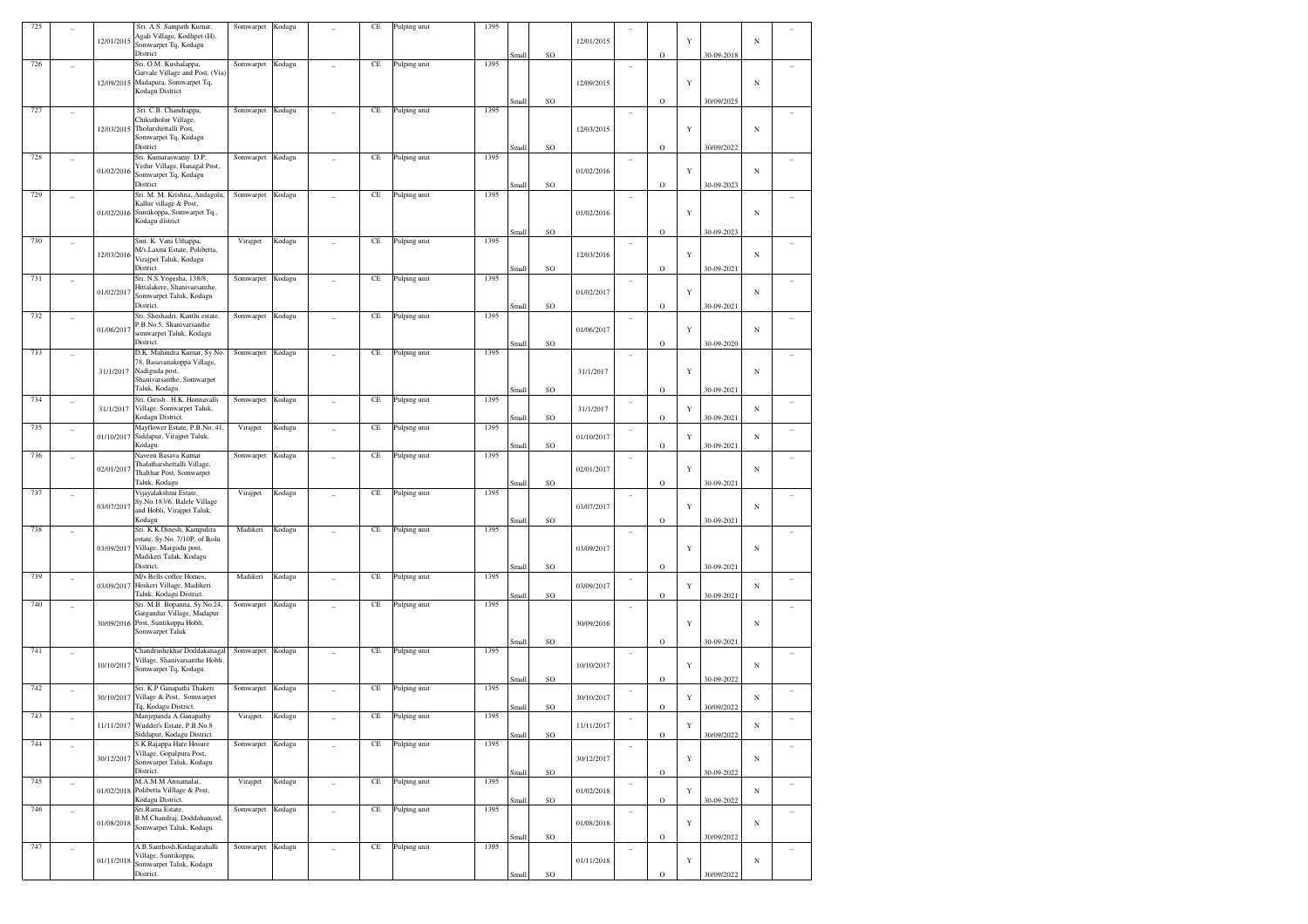| 725 |                          |            | Sri. A.S. Sampath Kumar,                                   | Somwarpet        | Kodagu |                | CE        | Pulping unit | 1395 |       |    |            |                          |             |             |            |            |                          |
|-----|--------------------------|------------|------------------------------------------------------------|------------------|--------|----------------|-----------|--------------|------|-------|----|------------|--------------------------|-------------|-------------|------------|------------|--------------------------|
|     |                          | 12/01/2015 | Agali Village, Kodlipet (H),                               |                  |        |                |           |              |      |       |    | 12/01/2015 |                          |             | Y           |            | N          |                          |
|     |                          |            | Somwarpet Tq, Kodagu<br>District                           |                  |        |                |           |              |      | Small | SO |            |                          | $\circ$     |             | 30-09-2018 |            |                          |
| 726 |                          |            | Sri. O.M. Kushalappa,                                      | Somwarpet        | Kodagu |                | $\rm CE$  | Pulping unit | 1395 |       |    |            |                          |             |             |            |            |                          |
|     | ٠                        |            | Garvale Village and Post, (Via)                            |                  |        |                |           |              |      |       |    |            |                          |             |             |            |            |                          |
|     |                          | 12/09/2015 | Madapura, Somwarpet Tq,                                    |                  |        |                |           |              |      |       |    | 12/09/2015 |                          |             | $\mathbf Y$ |            | $_{\rm N}$ |                          |
|     |                          |            | Kodagu District                                            |                  |        |                |           |              |      |       |    |            |                          |             |             |            |            |                          |
|     |                          |            |                                                            |                  |        |                |           |              |      | Small | SO |            |                          | $\mathbf O$ |             | 30/09/2025 |            |                          |
| 727 | ٠                        |            | Sri. C.B. Chandrappa,<br>Chikutholur Village,              | Somwarpet        | Kodagu |                | $\rm CE$  | Pulping unit | 1395 |       |    |            | $\overline{\phantom{a}}$ |             |             |            |            |                          |
|     |                          | 12/03/2015 | Tholurshettalli Post,                                      |                  |        |                |           |              |      |       |    | 12/03/2015 |                          |             | $\mathbf Y$ |            | N          |                          |
|     |                          |            | Somwarpet Tq, Kodagu                                       |                  |        |                |           |              |      |       |    |            |                          |             |             |            |            |                          |
|     |                          |            | District                                                   |                  |        |                |           |              |      | Small | SO |            |                          | $\mathbf O$ |             | 30/09/2022 |            |                          |
| 728 | ٠                        |            | Sri. Kumaraswamy. D.P,                                     | Somwarpet        | Kodagu |                | $\rm CE$  | Pulping unit | 1395 |       |    |            | ۰                        |             |             |            |            |                          |
|     |                          | 01/02/2016 | Yedur Village, Hanagal Post,                               |                  |        |                |           |              |      |       |    | 01/02/2016 |                          |             | $\mathbf Y$ |            | N          |                          |
|     |                          |            | Somwarpet Tq, Kodagu<br>District                           |                  |        |                |           |              |      |       |    |            |                          |             |             | 30-09-2023 |            |                          |
| 729 |                          |            | Sri. M. M. Krishna, Andagolu,                              | Somwarpet        |        |                | $\rm CE$  | Pulping unit | 1395 | Small | SO |            |                          | $\circ$     |             |            |            |                          |
|     | ٠                        |            | Kallur village & Post,                                     |                  | Kodagu |                |           |              |      |       |    |            | $\overline{\phantom{a}}$ |             |             |            |            |                          |
|     |                          | 01/02/2016 | Suntikoppa, Somwarpet Tq.,                                 |                  |        |                |           |              |      |       |    | 01/02/2016 |                          |             | $\mathbf Y$ |            | N          |                          |
|     |                          |            | Kodagu district                                            |                  |        |                |           |              |      |       |    |            |                          |             |             |            |            |                          |
|     |                          |            |                                                            |                  |        |                |           |              |      | Small | SO |            |                          | $\mathbf O$ |             | 30-09-2023 |            |                          |
| 730 | ۰                        |            | Smt. K. Vani Uthappa,                                      | Virajpet         | Kodagu |                | $\rm CE$  | Pulping unit | 1395 |       |    |            | $\overline{\phantom{a}}$ |             |             |            |            |                          |
|     |                          | 12/03/2016 | M/s.Laxmi Estate, Polibetta,<br>Virajpet Taluk, Kodagu     |                  |        |                |           |              |      |       |    | 12/03/2016 |                          |             | $\mathbf Y$ |            | N          |                          |
|     |                          |            | District.                                                  |                  |        |                |           |              |      | Small | SO |            |                          | $\mathbf O$ |             | 30-09-2021 |            |                          |
| 731 | ٠                        |            | Sri. N.S. Yogesha, 138/8,                                  | Somwarpet        | Kodagu |                | $\rm CE$  | Pulping unit | 1395 |       |    |            | $\overline{\phantom{a}}$ |             |             |            |            |                          |
|     |                          |            | Hittalakere, Shanivarsanthe,                               |                  |        |                |           |              |      |       |    |            |                          |             | $\mathbf Y$ |            |            |                          |
|     |                          | 01/02/2017 | Somwarpet Taluk, Kodagu                                    |                  |        |                |           |              |      |       |    | 01/02/2017 |                          |             |             |            | N          |                          |
|     |                          |            | District.                                                  |                  |        |                |           |              |      | Small | SO |            |                          | $\circ$     |             | 30-09-2021 |            |                          |
| 732 | $\qquad \qquad -$        |            | Sri. Sheshadri, Kanthi estate,                             | Somwarpet        | Kodagu |                | $\rm CE$  | Pulping unit | 1395 |       |    |            | $\overline{\phantom{a}}$ |             |             |            |            |                          |
|     |                          | 01/06/2017 | P.B.No.5, Shanivarsanthe<br>somwarpet Taluk, Kodagu        |                  |        |                |           |              |      |       |    | 01/06/2017 |                          |             | $\mathbf Y$ |            | N          |                          |
|     |                          |            | District.                                                  |                  |        |                |           |              |      | Small | SO |            |                          | $\mathbf O$ |             | 30-09-2020 |            |                          |
| 733 |                          |            | D.K. Mahindra Kumar, Sy.No.                                | Somwarpet        | Kodagu |                | $\rm CE$  | Pulping unit | 1395 |       |    |            |                          |             |             |            |            |                          |
|     |                          |            | 78, Basavanakoppa Village,                                 |                  |        |                |           |              |      |       |    |            |                          |             |             |            |            |                          |
|     |                          | 31/1/2017  | Nadiguda post,                                             |                  |        |                |           |              |      |       |    | 31/1/2017  |                          |             | $\mathbf Y$ |            | $_{\rm N}$ |                          |
|     |                          |            | Shanivarsanthe, Somwarpet                                  |                  |        |                |           |              |      |       |    |            |                          |             |             |            |            |                          |
|     |                          |            | Taluk, Kodagu.                                             |                  |        |                |           |              |      | Small | SO |            |                          | $\mathbf O$ |             | 30-09-2021 |            |                          |
| 734 | $\qquad \qquad -$        | 31/1/2017  | Sri. Girish . H.K. Honnavalli<br>Village, Somwarpet Taluk, | Somwarpet        | Kodagu |                | $\rm CE$  | Pulping unit | 1395 |       |    | 31/1/2017  | $\overline{\phantom{a}}$ |             | Y           |            | $_{\rm N}$ |                          |
|     |                          |            | Kodagu District.                                           |                  |        |                |           |              |      | Small | SO |            |                          | $\circ$     |             | 30-09-2021 |            |                          |
| 735 | $\qquad \qquad -$        |            | Mayflower Estate, P.B.No. 41,                              | Virajpet         | Kodagu |                | $\rm CE$  | Pulping unit | 1395 |       |    |            | $\overline{\phantom{a}}$ |             |             |            |            |                          |
|     |                          | 01/10/2017 | Siddapur, Virajpet Taluk,                                  |                  |        |                |           |              |      |       |    | 01/10/2017 |                          |             | Y           |            | N          |                          |
|     |                          |            | Kodagu.                                                    |                  |        |                |           |              |      | Small | SO |            |                          | $\mathbf O$ |             | 30-09-2021 |            |                          |
| 736 | ٠                        |            | Naveen Basava Kumar                                        | Somwarpet        | Kodagu |                | $\rm CE$  | Pulping unit | 1395 |       |    |            | $\overline{\phantom{a}}$ |             |             |            |            |                          |
|     |                          | 02/01/2017 | Thalatharshettalli Village,<br>Thalthar Post, Somwarpet    |                  |        |                |           |              |      |       |    | 02/01/2017 |                          |             | $\mathbf Y$ |            | $_{\rm N}$ |                          |
|     |                          |            | Taluk, Kodagu                                              |                  |        |                |           |              |      | Small | SO |            |                          | $\circ$     |             | 30-09-2021 |            |                          |
| 737 | ٠                        |            | Vijayalakshmi Estate,                                      | Virajpet         | Kodagu |                | $\rm CE$  | Pulping unit | 1395 |       |    |            | $\overline{\phantom{a}}$ |             |             |            |            |                          |
|     |                          |            | Sy.No.183/6, Balele Village                                |                  |        |                |           |              |      |       |    |            |                          |             |             |            |            |                          |
|     |                          | 03/07/2017 | and Hobli, Virajpet Taluk,                                 |                  |        |                |           |              |      |       |    | 03/07/2017 |                          |             | $\mathbf Y$ |            | N          |                          |
|     |                          |            | Kodagu                                                     |                  |        |                |           |              |      | Small | SO |            |                          | $\circ$     |             | 30-09-2021 |            |                          |
| 738 |                          |            | Sri. K.K.Dinesh, Kampulira                                 | Madikeri         | Kodagu |                | $\rm CE$  | Pulping unit | 1395 |       |    |            | $\overline{\phantom{a}}$ |             |             |            |            |                          |
|     |                          | 03/09/2017 | estate, Sy.No. 7/10P, of Ikolu<br>Village, Margodu post,   |                  |        |                |           |              |      |       |    | 03/09/2017 |                          |             | $\mathbf Y$ |            | N          |                          |
|     |                          |            | Madikeri Taluk, Kodagu                                     |                  |        |                |           |              |      |       |    |            |                          |             |             |            |            |                          |
|     |                          |            | District.                                                  |                  |        |                |           |              |      | Small | SO |            |                          | $\mathbf O$ |             | 30-09-2021 |            |                          |
| 739 | $\qquad \qquad -$        |            | M/s Bells coffee Homes,                                    | Madikeri         | Kodagu |                | $\rm CE$  | Pulping unit | 1395 |       |    |            | $\overline{\phantom{a}}$ |             |             |            |            |                          |
|     |                          | 03/09/2017 | Hoskeri Village, Madikeri                                  |                  |        |                |           |              |      |       |    | 03/09/2017 |                          |             | Y           |            | N          |                          |
|     |                          |            | Taluk, Kodagu District.                                    |                  |        |                |           |              |      | Small | SO |            |                          | $\mathbf O$ |             | 30-09-2021 |            |                          |
| 740 |                          |            | Sri. M.B. Bopanna, Sy.No.24,                               | Somwarpet        | Kodagu |                | $\rm CE$  | Pulping unit | 1395 |       |    |            |                          |             |             |            |            |                          |
|     |                          | 30/09/2016 | Gargandur Village, Madapur<br>Post, Suntikoppa Hobli,      |                  |        |                |           |              |      |       |    | 30/09/2016 |                          |             | $\mathbf Y$ |            | N          |                          |
|     |                          |            | Somwarpet Taluk                                            |                  |        |                |           |              |      |       |    |            |                          |             |             |            |            |                          |
|     |                          |            |                                                            |                  |        |                |           |              |      | Small | SO |            |                          | $\mathbf O$ |             | 30-09-2021 |            |                          |
| 741 | $\qquad \qquad -$        |            | Chandrashekhar Doddakanagal                                | Somwarpet Kodagu |        |                | $\rm CE$  | Pulping unit | 1395 |       |    |            | $\overline{\phantom{a}}$ |             |             |            |            |                          |
|     |                          | 10/10/2017 | Village, Shanivarsanthe Hobli,                             |                  |        |                |           |              |      |       |    | 10/10/2017 |                          |             | $\mathbf Y$ |            | N          |                          |
|     |                          |            | Somwarpet Tq, Kodagu.                                      |                  |        |                |           |              |      |       | SO |            |                          | $\mathbf O$ |             | 30-09-2022 |            |                          |
| 742 |                          |            | Sri. K.P Ganapathi Thakeri                                 | Somwarpet        | Kodagu |                | $\rm CE$  | Pulping unit | 1395 | Small |    |            |                          |             |             |            |            |                          |
|     |                          | 30/10/2017 | Village & Post, Somwarpet                                  |                  |        |                |           |              |      |       |    | 30/10/2017 | $\overline{\phantom{a}}$ |             | Y           |            | N          |                          |
|     |                          |            | Tq, Kodagu District.                                       |                  |        |                |           |              |      | Small | SO |            |                          | $\mathbf O$ |             | 30/09/2022 |            |                          |
| 743 |                          |            | Manjepanda A.Ganapathy                                     | Virajpet         | Kodagu |                | $\!$ $\!$ | Pulping unit | 1395 |       |    |            |                          |             |             |            |            |                          |
|     |                          |            | 11/11/2017 Wudder's Estate, P.B.No.8                       |                  |        |                |           |              |      |       |    | 11/11/2017 |                          |             | $\mathbf Y$ |            | $_{\rm N}$ |                          |
|     |                          |            | Siddapur, Kodagu District.<br>S.K.Rajappa Hare Hosure      |                  |        |                |           |              |      | Small | SO |            |                          | $\mathbf O$ |             | 30/09/2022 |            |                          |
| 744 | $\overline{\phantom{a}}$ |            | Village, Gopalpura Post,                                   | Somwarpet Kodagu |        | $\overline{a}$ | $\rm CE$  | Pulping unit | 1395 |       |    |            | $\overline{\phantom{a}}$ |             |             |            |            | $\overline{\phantom{a}}$ |
|     |                          | 30/12/2017 | Somwarpet Taluk, Kodagu                                    |                  |        |                |           |              |      |       |    | 30/12/2017 |                          |             | $\mathbf Y$ |            | $_{\rm N}$ |                          |
|     |                          |            | District.                                                  |                  |        |                |           |              |      | Small | SO |            |                          | $\mathbf O$ |             | 30-09-2022 |            |                          |
| 745 | $\overline{\phantom{a}}$ |            | M.A.M.M Annamalai,                                         | Virajpet         | Kodagu | $\overline{a}$ | $\!$ $\!$ | Pulping unit | 1395 |       |    |            | $\overline{\phantom{a}}$ |             |             |            |            | $\overline{\phantom{a}}$ |
|     |                          | 01/02/2018 | Polibetta Villlage & Post,                                 |                  |        |                |           |              |      |       |    | 01/02/2018 |                          |             | $\mathbf Y$ |            | $_{\rm N}$ |                          |
|     |                          |            | Kodagu District.                                           |                  |        |                |           |              |      | Small | SO |            |                          | $\mathbf O$ |             | 30-09-2022 |            |                          |
| 746 | $\overline{\phantom{a}}$ |            | Sri.Rama Estate,<br>B.M.Chandraj, Doddahancod,             | Somwarpet        | Kodagu | $\overline{a}$ | $\rm CE$  | Pulping unit | 1395 |       |    |            | $\overline{a}$           |             |             |            |            | $\overline{\phantom{a}}$ |
|     |                          | 01/08/2018 | Somwarpet Taluk, Kodagu.                                   |                  |        |                |           |              |      |       |    | 01/08/2018 |                          |             | $\mathbf Y$ |            | $_{\rm N}$ |                          |
|     |                          |            |                                                            |                  |        |                |           |              |      | Small | SO |            |                          | $\mathbf O$ |             | 30/09/2022 |            |                          |
| 747 | ÷,                       |            | A.B.Santhosh, Kodagarahalli                                | Somwarpet Kodagu |        |                | $\!$ $\!$ | Pulping unit | 1395 |       |    |            | $\overline{\phantom{a}}$ |             |             |            |            | $\overline{\phantom{a}}$ |
|     |                          | 01/11/2018 | Village, Suntikoppa,                                       |                  |        |                |           |              |      |       |    | 01/11/2018 |                          |             | $\mathbf Y$ |            | $_{\rm N}$ |                          |
|     |                          |            | Somwarpet Taluk, Kodagu                                    |                  |        |                |           |              |      |       |    |            |                          |             |             |            |            |                          |
|     |                          |            | District.                                                  |                  |        |                |           |              |      | Small | SO |            |                          | $\mathbf O$ |             | 30/09/2022 |            |                          |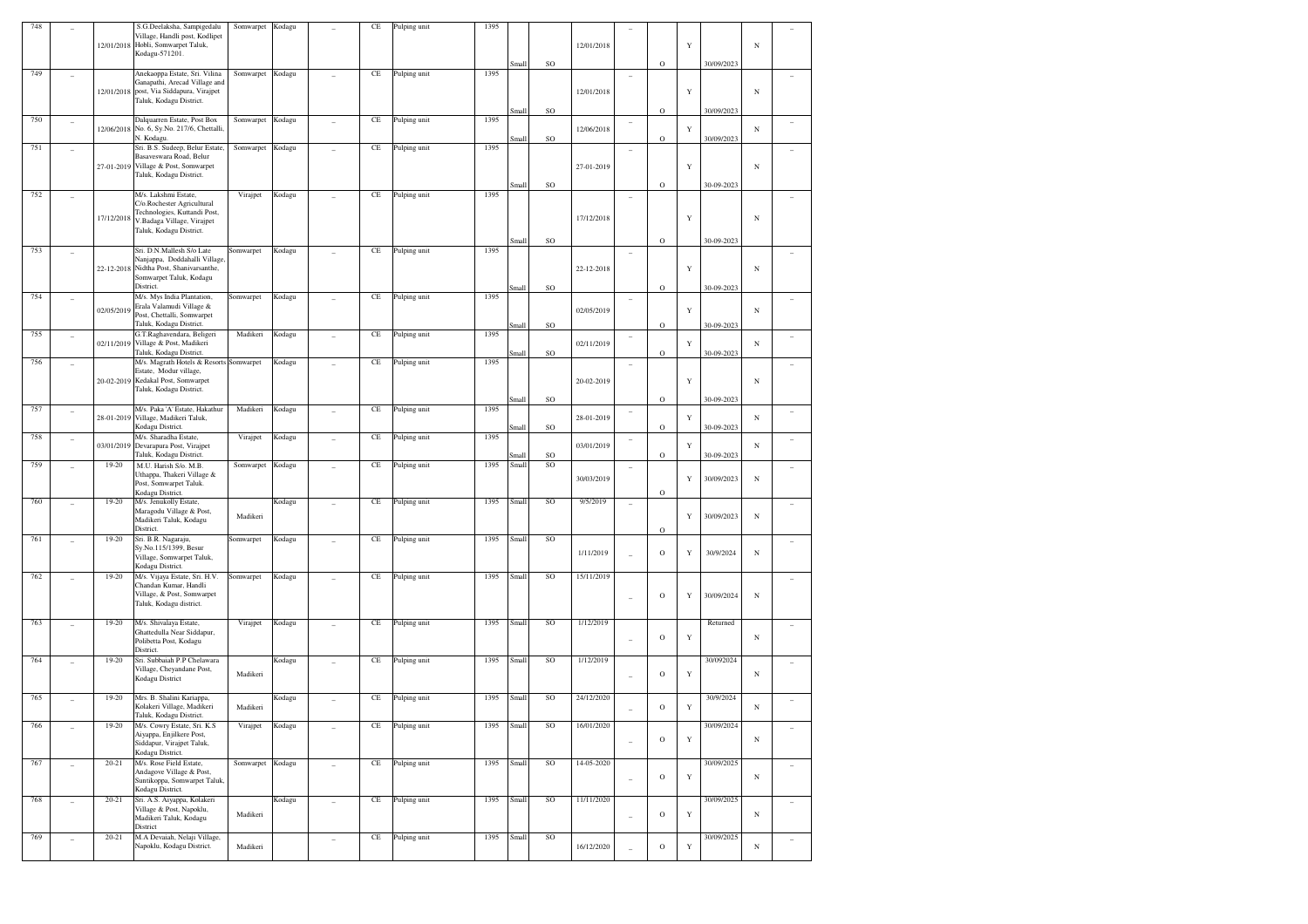| 748 |                          |            | S.G.Deelaksha, Sampigedalu<br>Village, Handli post, Kodlipet<br>12/01/2018 Hobli, Somwarpet Taluk,<br>Kodagu-571201.                          | Somwarpet        | Kodagu |                | CE       | Pulping unit | 1395 | Small          | SO              | 12/01/2018 |                          | $\circ$      | Y | 30/09/2023               | $_{\rm N}$ |                          |
|-----|--------------------------|------------|-----------------------------------------------------------------------------------------------------------------------------------------------|------------------|--------|----------------|----------|--------------|------|----------------|-----------------|------------|--------------------------|--------------|---|--------------------------|------------|--------------------------|
| 749 |                          | 12/01/2018 | Anekaoppa Estate, Sri. Vilina<br>Ganapathi, Arecad Village and<br>post, Via Siddapura, Virajpet<br>Taluk, Kodagu District.                    | Somwarpet        | Kodagu |                | CE       | Pulping unit | 1395 |                |                 | 12/01/2018 |                          |              | Y |                          | $_{\rm N}$ |                          |
| 750 |                          |            | Dalquarren Estate, Post Box                                                                                                                   | Somwarpet        | Kodagu |                | CE       | Pulping unit | 1395 | Small          | SO              |            |                          | O            |   | 30/09/2023               |            |                          |
|     | $\overline{\phantom{a}}$ |            | 12/06/2018 No. 6, Sy.No. 217/6, Chettalli,<br>N. Kodagu.                                                                                      |                  |        |                |          |              |      | Small          | SO              | 12/06/2018 | $\overline{a}$           | O            | Y | 30/09/2023               | $_{\rm N}$ |                          |
| 751 |                          |            | Sri. B.S. Sudeep, Belur Estate,<br>Basaveswara Road, Belur<br>27-01-2019 Village & Post, Somwarpet                                            | Somwarpet        | Kodagu |                | CE       | Pulping unit | 1395 |                |                 | 27-01-2019 |                          |              | Y |                          | $_{\rm N}$ |                          |
|     |                          |            | Taluk, Kodagu District.                                                                                                                       |                  |        |                |          |              |      | Small          | SO              |            |                          | O            |   | 30-09-2023               |            |                          |
| 752 |                          | 17/12/2018 | M/s. Lakshmi Estate,<br>C/o.Rochester Agricultural<br>Technologies, Kuttandi Post,<br>V.Badaga Village, Virajpet<br>Taluk, Kodagu District.   | Virajpet         | Kodagu |                | CE       | Pulping unit | 1395 |                |                 | 17/12/2018 |                          |              | Y | 30-09-2023               | $_{\rm N}$ |                          |
| 753 |                          |            | Sri. D.N.Mallesh S/o Late<br>Nanjappa, Doddahalli Village.<br>22-12-2018 Nidtha Post, Shanivarsanthe,<br>Somwarpet Taluk, Kodagu<br>District. | Somwarpet        | Kodagu |                | CE       | Pulping unit | 1395 | Small<br>Small | SO<br>SO        | 22-12-2018 | $\overline{a}$           | $\circ$<br>O | Y | 30-09-2023               | $_{\rm N}$ |                          |
| 754 |                          | 02/05/2019 | M/s. Mys India Plantation,<br>Erala Valamudi Village &<br>Post, Chettalli, Somwarpet                                                          | Somwarpet        | Kodagu |                | CE       | Pulping unit | 1395 |                |                 | 02/05/2019 | $\overline{a}$           |              | Y |                          | $_{\rm N}$ |                          |
| 755 | $\overline{\phantom{a}}$ |            | Taluk, Kodagu District.<br>G.T.Raghavendara, Beligeri                                                                                         | Madikeri         | Kodagu |                | CE       | Pulping unit | 1395 | Small          | <b>SO</b>       |            | $\qquad \qquad -$        | O            |   | 30-09-2023               |            |                          |
|     |                          | 02/11/2019 | Village & Post, Madikeri<br>Taluk, Kodagu District.                                                                                           |                  |        |                |          |              |      | Small          | SO              | 02/11/2019 |                          | O            | Y | 30-09-2023               | $_{\rm N}$ |                          |
| 756 | $\overline{\phantom{a}}$ |            | M/s. Magrath Hotels & Resorts Somwarpet<br>Estate, Modur village,<br>20-02-2019 Kedakal Post, Somwarpet<br>Taluk, Kodagu District.            |                  | Kodagu |                | CE       | Pulping unit | 1395 |                |                 | 20-02-2019 | $\overline{\phantom{0}}$ |              | Y |                          | $_{\rm N}$ |                          |
| 757 | $\overline{\phantom{a}}$ | 28-01-2019 | M/s. Paka 'A' Estate, Hakathur<br>Village, Madikeri Taluk,<br>Kodagu District.                                                                | Madikeri         | Kodagu |                | CE       | Pulping unit | 1395 | Small<br>Small | <b>SO</b><br>SO | 28-01-2019 | $\qquad \qquad -$        | $\circ$<br>O | Y | 30-09-2023<br>30-09-2023 | N          | $\overline{\phantom{0}}$ |
| 758 | $\overline{\phantom{a}}$ | 03/01/2019 | M/s. Sharadha Estate,<br>Devarapura Post, Virajpet<br>Taluk, Kodagu District.                                                                 | Virajpet         | Kodagu |                | CE       | Pulping unit | 1395 | Small          | <b>SO</b>       | 03/01/2019 | $\overline{\phantom{0}}$ | O            | Y | 30-09-2023               | $_{\rm N}$ |                          |
| 759 |                          | $19-20$    | M.U. Harish S/o. M.B.<br>Uthappa, Thakeri Village &<br>Post, Somwarpet Taluk.<br>Kodagu District.                                             | Somwarpet        | Kodagu |                | CE       | Pulping unit | 1395 | Small          | SO              | 30/03/2019 | $\overline{a}$           | O            | Y | 30/09/2023               | $_{\rm N}$ |                          |
| 760 | $\overline{\phantom{a}}$ | $19-20$    | M/s. Jenukolly Estate,<br>Maragodu Village & Post,<br>Madikeri Taluk, Kodagu<br>District.                                                     | Madikeri         | Kodagu |                | CE       | Pulping unit | 1395 | Small          | SO              | 9/5/2019   | $\overline{a}$           | O            | Y | 30/09/2023               | $_{\rm N}$ |                          |
| 761 |                          | $19-20$    | Sri. B.R. Nagaraju,<br>Sy.No.115/1399, Besur<br>Village, Somwarpet Taluk,<br>Kodagu District.                                                 | Somwarpet        | Kodagu |                | CE       | Pulping unit | 1395 | Small          | SO              | 1/11/2019  |                          | $\mathbf O$  | Y | 30/9/2024                | $_{\rm N}$ |                          |
| 762 |                          | 19-20      | M/s. Vijaya Estate, Sri. H.V.<br>Chandan Kumar, Handli<br>Village, & Post, Somwarpet<br>Taluk, Kodagu district.                               | Somwarpet        | Kodagu |                | CE       | Pulping unit | 1395 | Small          | SO              | 15/11/2019 |                          | $\circ$      | Y | 30/09/2024               | $_{\rm N}$ |                          |
| 763 |                          | $19 - 20$  | M/s. Shivalaya Estate,<br>Ghattedulla Near Siddapur,<br>Polibetta Post, Kodagu<br>District.                                                   | Virajpet         | Kodagu |                | CE       | Pulping unit | 1395 | Small          | SO              | 1/12/2019  |                          | $\mathbf O$  | Y | Returned                 | $_{\rm N}$ |                          |
| 764 |                          | 19-20      | Sri. Subbaiah P.P Chelawara<br>Village, Cheyandane Post,<br>Kodagu District                                                                   | Madikeri         | Kodagu |                | CE       | Pulping unit | 1395 | Small          | SO              | 1/12/2019  |                          | $\mathbf O$  | Y | 30/092024                | $_{\rm N}$ |                          |
| 765 |                          | 19-20      | Mrs. B. Shalini Kariappa,<br>Kolakeri Village, Madikeri<br>Taluk, Kodagu District.                                                            | Madikeri         | Kodagu |                | CE       | Pulping unit | 1395 | Small          | SO              | 24/12/2020 |                          | $\mathbf O$  | Y | 30/9/2024                | $_{\rm N}$ |                          |
| 766 | ÷,                       | 19-20      | M/s. Cowry Estate, Sri. K.S.<br>Aiyappa, Enjilkere Post,<br>Siddapur, Virajpet Taluk,<br>Kodagu District.                                     | Virajpet         | Kodagu |                | CE       | Pulping unit | 1395 | Small          | SO              | 16/01/2020 | Ĭ.                       | $\mathbf O$  | Y | 30/09/2024               | N          |                          |
| 767 | $\overline{\phantom{a}}$ | $20 - 21$  | M/s. Rose Field Estate,<br>Andagove Village & Post,<br>Suntikoppa, Somwarpet Taluk,<br>Kodagu District.                                       | Somwarpet Kodagu |        |                | $\rm CE$ | Pulping unit | 1395 | Small          | <sub>SO</sub>   | 14-05-2020 | L                        | $\mathbf O$  | Y | 30/09/2025               | $_{\rm N}$ | $\overline{a}$           |
| 768 | ÷,                       | $20 - 21$  | Sri. A.S. Aiyappa, Kolakeri<br>Village & Post, Napoklu,<br>Madikeri Taluk, Kodagu<br>District                                                 | Madikeri         | Kodagu | $\overline{a}$ | CE       | Pulping unit | 1395 | Small          | SO              | 11/11/2020 | Ĭ.                       | $\rm{O}$     | Y | 30/09/2025               | N          | $\sim$                   |
| 769 |                          | $20 - 21$  | M.A Devaiah, Nelaji Village,<br>Napoklu, Kodagu District.                                                                                     | Madikeri         |        | $\overline{a}$ | $\rm CE$ | Pulping unit | 1395 | Small          | SO              | 16/12/2020 |                          | $\rm{O}$     | Y | 30/09/2025               | $_{\rm N}$ |                          |